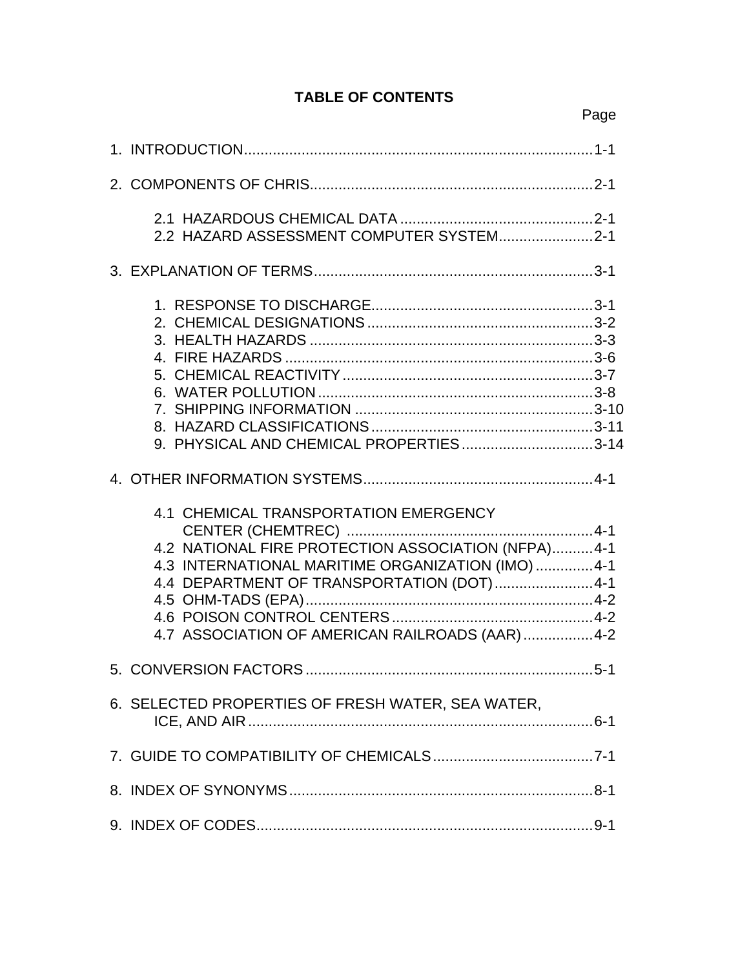|                                                                                                                                                                                                                                                   | Page |
|---------------------------------------------------------------------------------------------------------------------------------------------------------------------------------------------------------------------------------------------------|------|
|                                                                                                                                                                                                                                                   |      |
|                                                                                                                                                                                                                                                   |      |
| 2.2 HAZARD ASSESSMENT COMPUTER SYSTEM2-1                                                                                                                                                                                                          |      |
|                                                                                                                                                                                                                                                   |      |
| 9. PHYSICAL AND CHEMICAL PROPERTIES3-14                                                                                                                                                                                                           |      |
|                                                                                                                                                                                                                                                   |      |
| 4.1 CHEMICAL TRANSPORTATION EMERGENCY<br>4.2 NATIONAL FIRE PROTECTION ASSOCIATION (NFPA)4-1<br>4.3 INTERNATIONAL MARITIME ORGANIZATION (IMO) 4-1<br>4.4 DEPARTMENT OF TRANSPORTATION (DOT) 4-1<br>4.7 ASSOCIATION OF AMERICAN RAILROADS (AAR) 4-2 |      |
|                                                                                                                                                                                                                                                   |      |
| 6. SELECTED PROPERTIES OF FRESH WATER, SEA WATER,                                                                                                                                                                                                 |      |
|                                                                                                                                                                                                                                                   |      |
|                                                                                                                                                                                                                                                   |      |
|                                                                                                                                                                                                                                                   |      |

# **TABLE OF CONTENTS**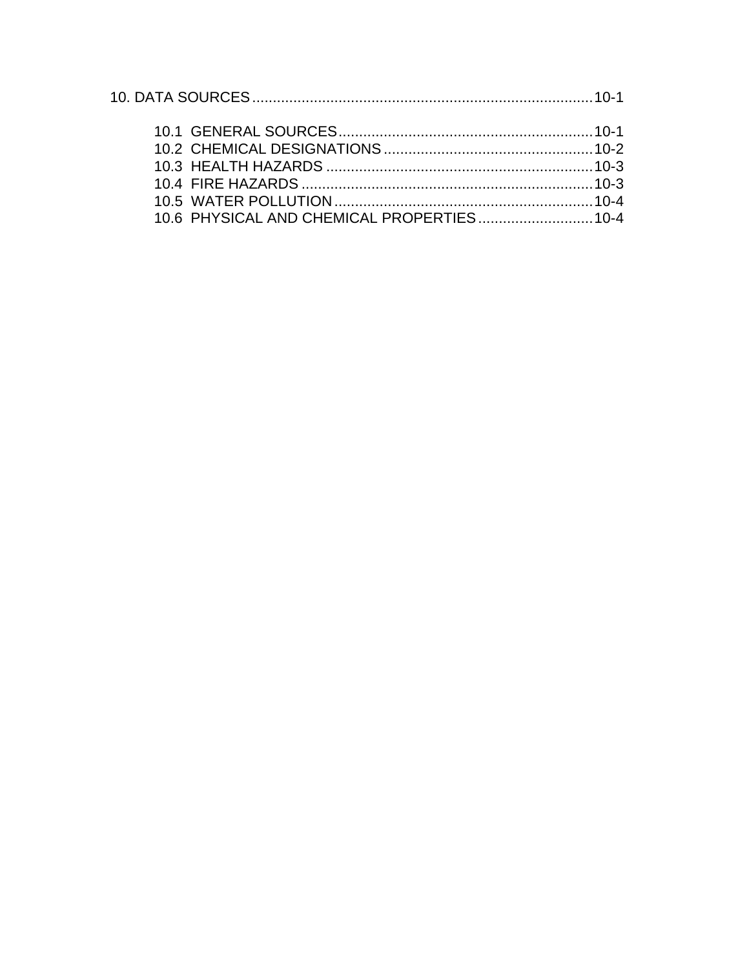| 10.6 PHYSICAL AND CHEMICAL PROPERTIES 10-4 |  |
|--------------------------------------------|--|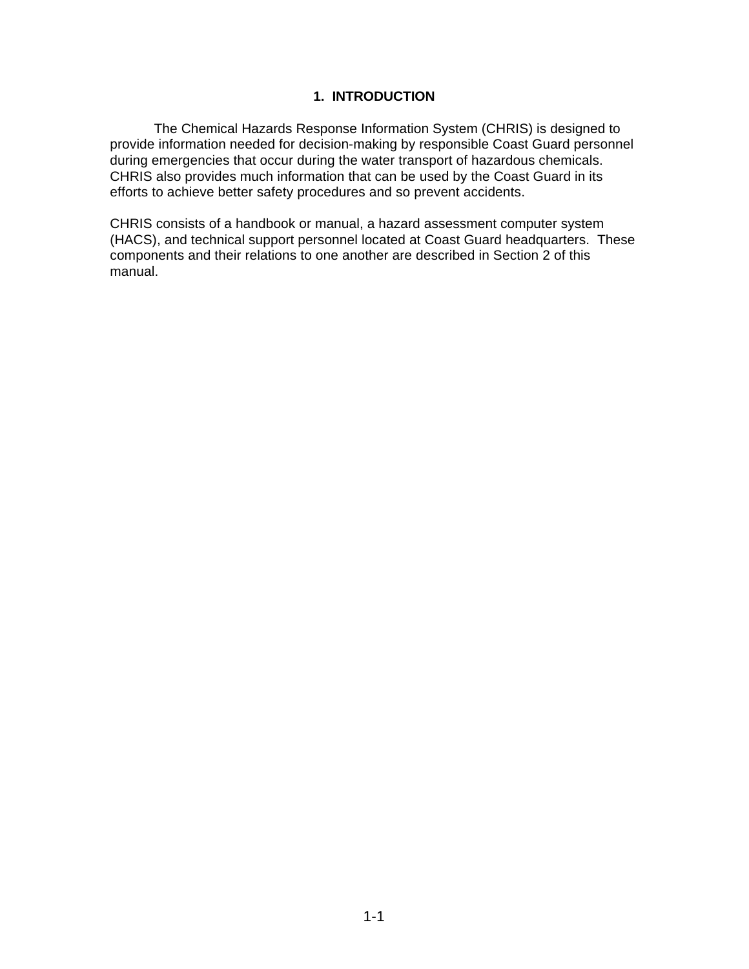## **1. INTRODUCTION**

The Chemical Hazards Response Information System (CHRIS) is designed to provide information needed for decision-making by responsible Coast Guard personnel during emergencies that occur during the water transport of hazardous chemicals. CHRIS also provides much information that can be used by the Coast Guard in its efforts to achieve better safety procedures and so prevent accidents.

CHRIS consists of a handbook or manual, a hazard assessment computer system (HACS), and technical support personnel located at Coast Guard headquarters. These components and their relations to one another are described in Section 2 of this manual.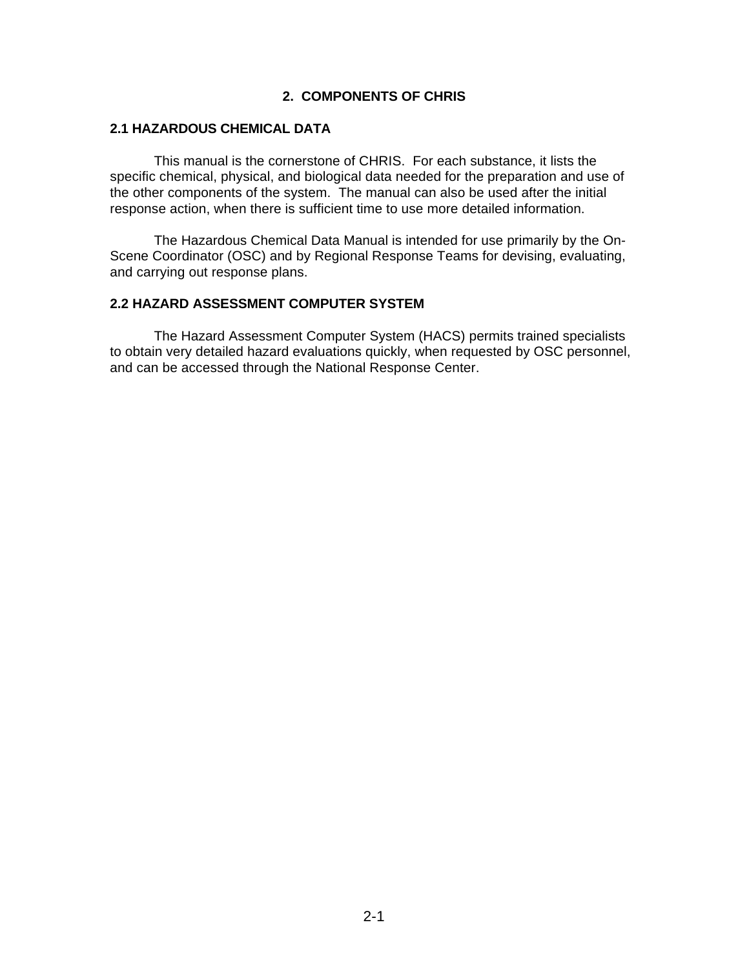#### **2. COMPONENTS OF CHRIS**

#### **2.1 HAZARDOUS CHEMICAL DATA**

This manual is the cornerstone of CHRIS. For each substance, it lists the specific chemical, physical, and biological data needed for the preparation and use of the other components of the system. The manual can also be used after the initial response action, when there is sufficient time to use more detailed information.

The Hazardous Chemical Data Manual is intended for use primarily by the On-Scene Coordinator (OSC) and by Regional Response Teams for devising, evaluating, and carrying out response plans.

# **2.2 HAZARD ASSESSMENT COMPUTER SYSTEM**

The Hazard Assessment Computer System (HACS) permits trained specialists to obtain very detailed hazard evaluations quickly, when requested by OSC personnel, and can be accessed through the National Response Center.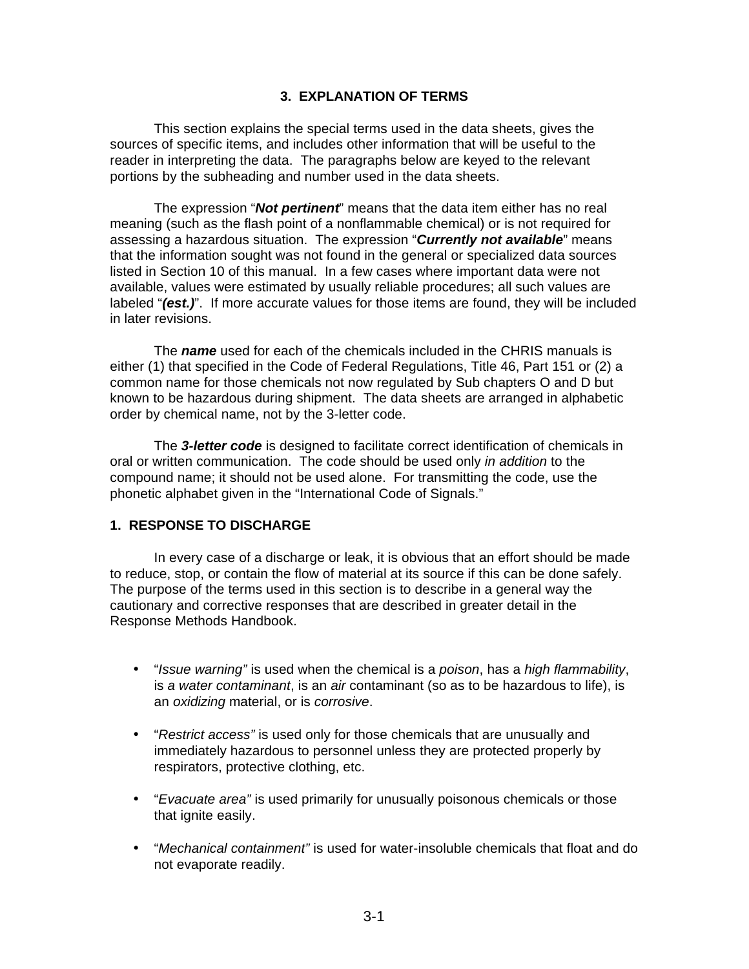#### **3. EXPLANATION OF TERMS**

This section explains the special terms used in the data sheets, gives the sources of specific items, and includes other information that will be useful to the reader in interpreting the data. The paragraphs below are keyed to the relevant portions by the subheading and number used in the data sheets.

The expression "*Not pertinent*" means that the data item either has no real meaning (such as the flash point of a nonflammable chemical) or is not required for assessing a hazardous situation. The expression "*Currently not available*" means that the information sought was not found in the general or specialized data sources listed in Section 10 of this manual. In a few cases where important data were not available, values were estimated by usually reliable procedures; all such values are labeled "*(est.)*". If more accurate values for those items are found, they will be included in later revisions.

The *name* used for each of the chemicals included in the CHRIS manuals is either (1) that specified in the Code of Federal Regulations, Title 46, Part 151 or (2) a common name for those chemicals not now regulated by Sub chapters O and D but known to be hazardous during shipment. The data sheets are arranged in alphabetic order by chemical name, not by the 3-letter code.

The *3-letter code* is designed to facilitate correct identification of chemicals in oral or written communication. The code should be used only *in addition* to the compound name; it should not be used alone. For transmitting the code, use the phonetic alphabet given in the "International Code of Signals."

#### **1. RESPONSE TO DISCHARGE**

In every case of a discharge or leak, it is obvious that an effort should be made to reduce, stop, or contain the flow of material at its source if this can be done safely. The purpose of the terms used in this section is to describe in a general way the cautionary and corrective responses that are described in greater detail in the Response Methods Handbook.

- "*Issue warning"* is used when the chemical is a *poison*, has a *high flammability*, is *a water contaminant*, is an *air* contaminant (so as to be hazardous to life), is an *oxidizing* material, or is *corrosive*.
- "*Restrict access"* is used only for those chemicals that are unusually and immediately hazardous to personnel unless they are protected properly by respirators, protective clothing, etc.
- "*Evacuate area"* is used primarily for unusually poisonous chemicals or those that ignite easily.
- "*Mechanical containment"* is used for water-insoluble chemicals that float and do not evaporate readily.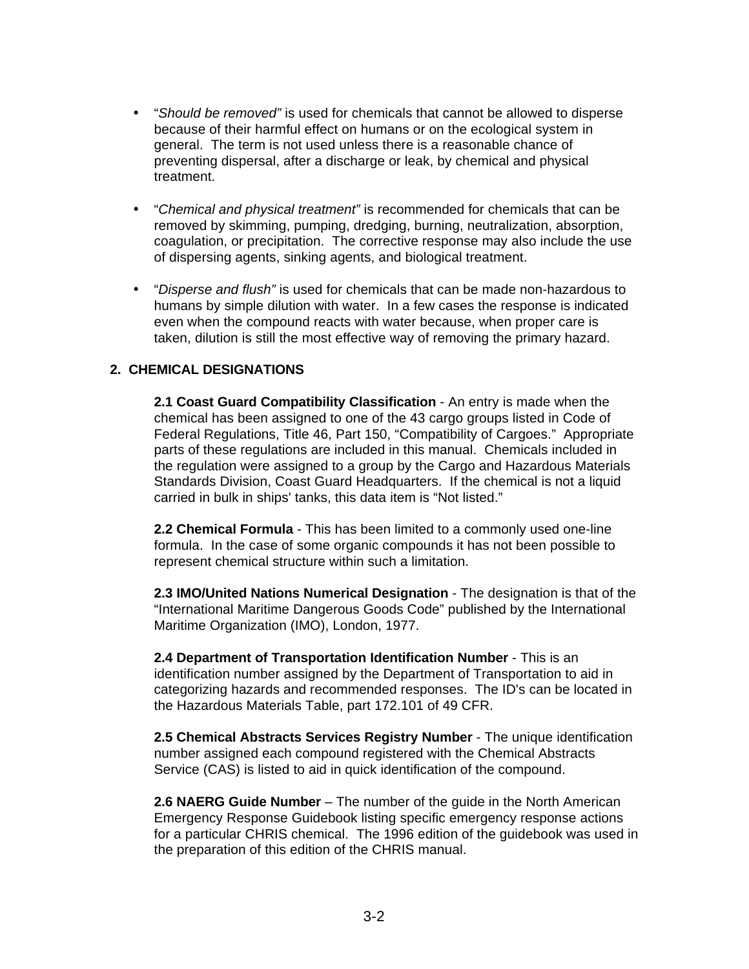- "*Should be removed"* is used for chemicals that cannot be allowed to disperse because of their harmful effect on humans or on the ecological system in general. The term is not used unless there is a reasonable chance of preventing dispersal, after a discharge or leak, by chemical and physical treatment.
- "*Chemical and physical treatment"* is recommended for chemicals that can be removed by skimming, pumping, dredging, burning, neutralization, absorption, coagulation, or precipitation. The corrective response may also include the use of dispersing agents, sinking agents, and biological treatment.
- "*Disperse and flush"* is used for chemicals that can be made non-hazardous to humans by simple dilution with water. In a few cases the response is indicated even when the compound reacts with water because, when proper care is taken, dilution is still the most effective way of removing the primary hazard.

## **2. CHEMICAL DESIGNATIONS**

**2.1 Coast Guard Compatibility Classification** - An entry is made when the chemical has been assigned to one of the 43 cargo groups listed in Code of Federal Regulations, Title 46, Part 150, "Compatibility of Cargoes." Appropriate parts of these regulations are included in this manual. Chemicals included in the regulation were assigned to a group by the Cargo and Hazardous Materials Standards Division, Coast Guard Headquarters. If the chemical is not a liquid carried in bulk in ships' tanks, this data item is "Not listed."

**2.2 Chemical Formula** - This has been limited to a commonly used one-line formula. In the case of some organic compounds it has not been possible to represent chemical structure within such a limitation.

**2.3 IMO/United Nations Numerical Designation** - The designation is that of the "International Maritime Dangerous Goods Code" published by the International Maritime Organization (IMO), London, 1977.

**2.4 Department of Transportation Identification Number** - This is an identification number assigned by the Department of Transportation to aid in categorizing hazards and recommended responses. The ID's can be located in the Hazardous Materials Table, part 172.101 of 49 CFR.

**2.5 Chemical Abstracts Services Registry Number** - The unique identification number assigned each compound registered with the Chemical Abstracts Service (CAS) is listed to aid in quick identification of the compound.

**2.6 NAERG Guide Number** – The number of the guide in the North American Emergency Response Guidebook listing specific emergency response actions for a particular CHRIS chemical. The 1996 edition of the guidebook was used in the preparation of this edition of the CHRIS manual.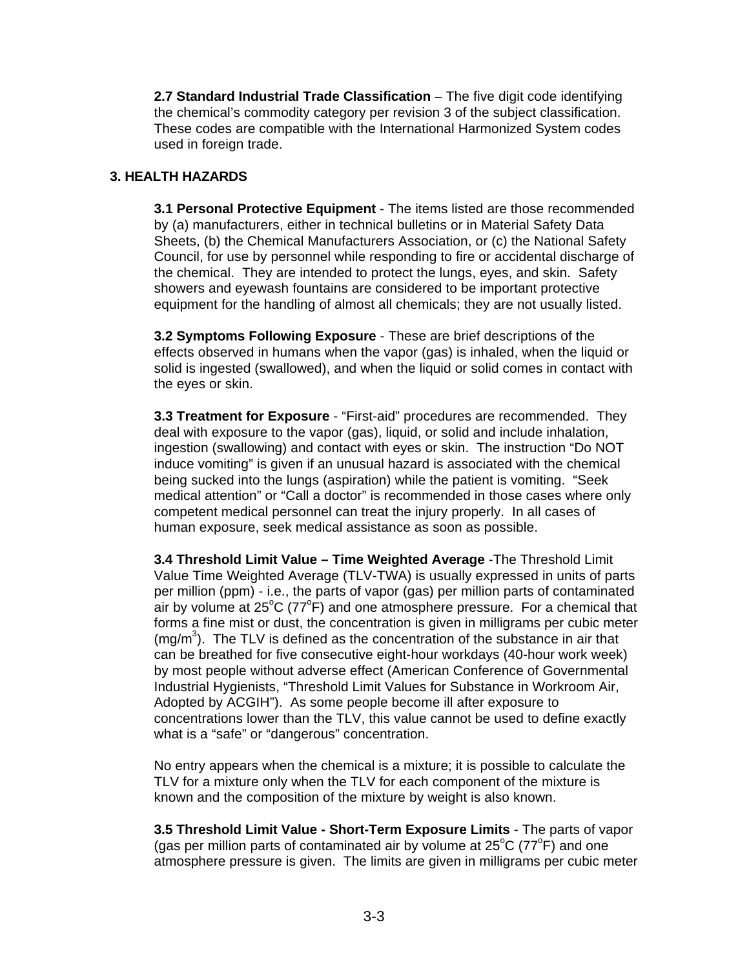**2.7 Standard Industrial Trade Classification** – The five digit code identifying the chemical's commodity category per revision 3 of the subject classification. These codes are compatible with the International Harmonized System codes used in foreign trade.

## **3. HEALTH HAZARDS**

**3.1 Personal Protective Equipment** - The items listed are those recommended by (a) manufacturers, either in technical bulletins or in Material Safety Data Sheets, (b) the Chemical Manufacturers Association, or (c) the National Safety Council, for use by personnel while responding to fire or accidental discharge of the chemical. They are intended to protect the lungs, eyes, and skin. Safety showers and eyewash fountains are considered to be important protective equipment for the handling of almost all chemicals; they are not usually listed.

**3.2 Symptoms Following Exposure** - These are brief descriptions of the effects observed in humans when the vapor (gas) is inhaled, when the liquid or solid is ingested (swallowed), and when the liquid or solid comes in contact with the eyes or skin.

**3.3 Treatment for Exposure** - "First-aid" procedures are recommended. They deal with exposure to the vapor (gas), liquid, or solid and include inhalation, ingestion (swallowing) and contact with eyes or skin. The instruction "Do NOT induce vomiting" is given if an unusual hazard is associated with the chemical being sucked into the lungs (aspiration) while the patient is vomiting. "Seek medical attention" or "Call a doctor" is recommended in those cases where only competent medical personnel can treat the injury properly. In all cases of human exposure, seek medical assistance as soon as possible.

**3.4 Threshold Limit Value – Time Weighted Average** -The Threshold Limit Value Time Weighted Average (TLV-TWA) is usually expressed in units of parts per million (ppm) - i.e., the parts of vapor (gas) per million parts of contaminated air by volume at 25 $\mathrm{^{\circ}C}$  (77 $\mathrm{^{\circ}F}$ ) and one atmosphere pressure. For a chemical that forms a fine mist or dust, the concentration is given in milligrams per cubic meter  $(mg/m<sup>3</sup>)$ . The TLV is defined as the concentration of the substance in air that can be breathed for five consecutive eight-hour workdays (40-hour work week) by most people without adverse effect (American Conference of Governmental Industrial Hygienists, "Threshold Limit Values for Substance in Workroom Air, Adopted by ACGIH"). As some people become ill after exposure to concentrations lower than the TLV, this value cannot be used to define exactly what is a "safe" or "dangerous" concentration.

No entry appears when the chemical is a mixture; it is possible to calculate the TLV for a mixture only when the TLV for each component of the mixture is known and the composition of the mixture by weight is also known.

**3.5 Threshold Limit Value - Short-Term Exposure Limits** - The parts of vapor (gas per million parts of contaminated air by volume at  $25^{\circ}$ C (77 $^{\circ}$ F) and one atmosphere pressure is given. The limits are given in milligrams per cubic meter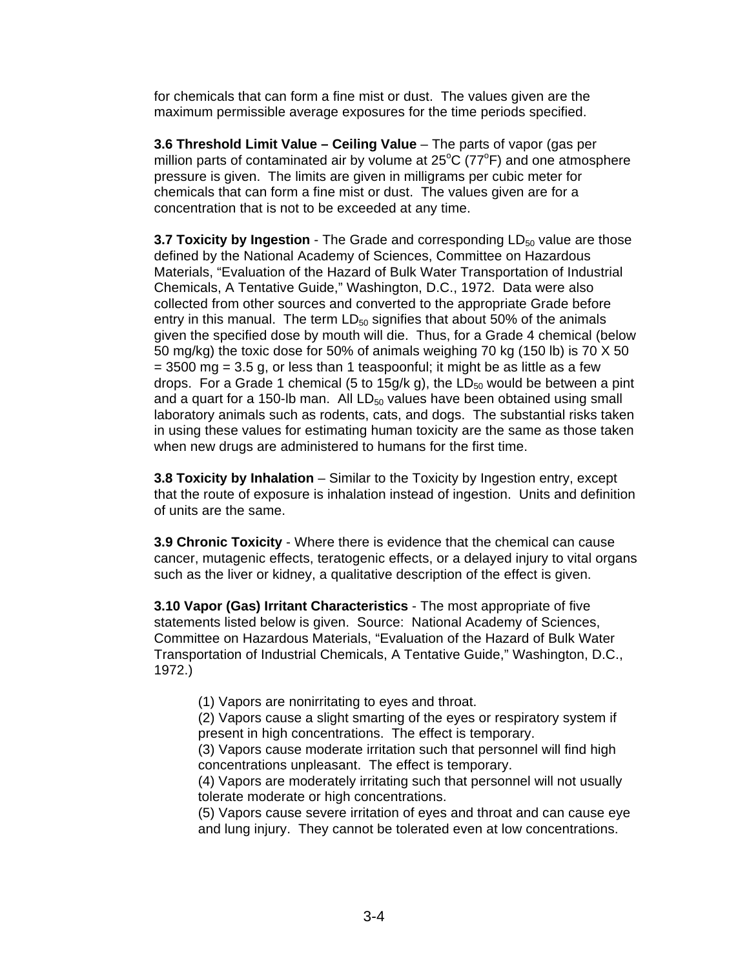for chemicals that can form a fine mist or dust. The values given are the maximum permissible average exposures for the time periods specified.

**3.6 Threshold Limit Value – Ceiling Value** – The parts of vapor (gas per million parts of contaminated air by volume at  $25^{\circ}$ C (77 $^{\circ}$ F) and one atmosphere pressure is given. The limits are given in milligrams per cubic meter for chemicals that can form a fine mist or dust. The values given are for a concentration that is not to be exceeded at any time.

**3.7 Toxicity by Ingestion** - The Grade and corresponding LD<sub>50</sub> value are those defined by the National Academy of Sciences, Committee on Hazardous Materials, "Evaluation of the Hazard of Bulk Water Transportation of Industrial Chemicals, A Tentative Guide," Washington, D.C., 1972. Data were also collected from other sources and converted to the appropriate Grade before entry in this manual. The term  $LD_{50}$  signifies that about 50% of the animals given the specified dose by mouth will die. Thus, for a Grade 4 chemical (below 50 mg/kg) the toxic dose for 50% of animals weighing 70 kg (150 lb) is 70 X 50  $= 3500$  mg  $= 3.5$  g, or less than 1 teaspoonful; it might be as little as a few drops. For a Grade 1 chemical (5 to 15g/k g), the  $LD_{50}$  would be between a pint and a quart for a 150-lb man. All  $LD_{50}$  values have been obtained using small laboratory animals such as rodents, cats, and dogs. The substantial risks taken in using these values for estimating human toxicity are the same as those taken when new drugs are administered to humans for the first time.

**3.8 Toxicity by Inhalation** – Similar to the Toxicity by Ingestion entry, except that the route of exposure is inhalation instead of ingestion. Units and definition of units are the same.

**3.9 Chronic Toxicity** - Where there is evidence that the chemical can cause cancer, mutagenic effects, teratogenic effects, or a delayed injury to vital organs such as the liver or kidney, a qualitative description of the effect is given.

**3.10 Vapor (Gas) Irritant Characteristics** - The most appropriate of five statements listed below is given. Source: National Academy of Sciences, Committee on Hazardous Materials, "Evaluation of the Hazard of Bulk Water Transportation of Industrial Chemicals, A Tentative Guide," Washington, D.C., 1972.)

(1) Vapors are nonirritating to eyes and throat.

(2) Vapors cause a slight smarting of the eyes or respiratory system if present in high concentrations. The effect is temporary.

(3) Vapors cause moderate irritation such that personnel will find high concentrations unpleasant. The effect is temporary.

(4) Vapors are moderately irritating such that personnel will not usually tolerate moderate or high concentrations.

(5) Vapors cause severe irritation of eyes and throat and can cause eye and lung injury. They cannot be tolerated even at low concentrations.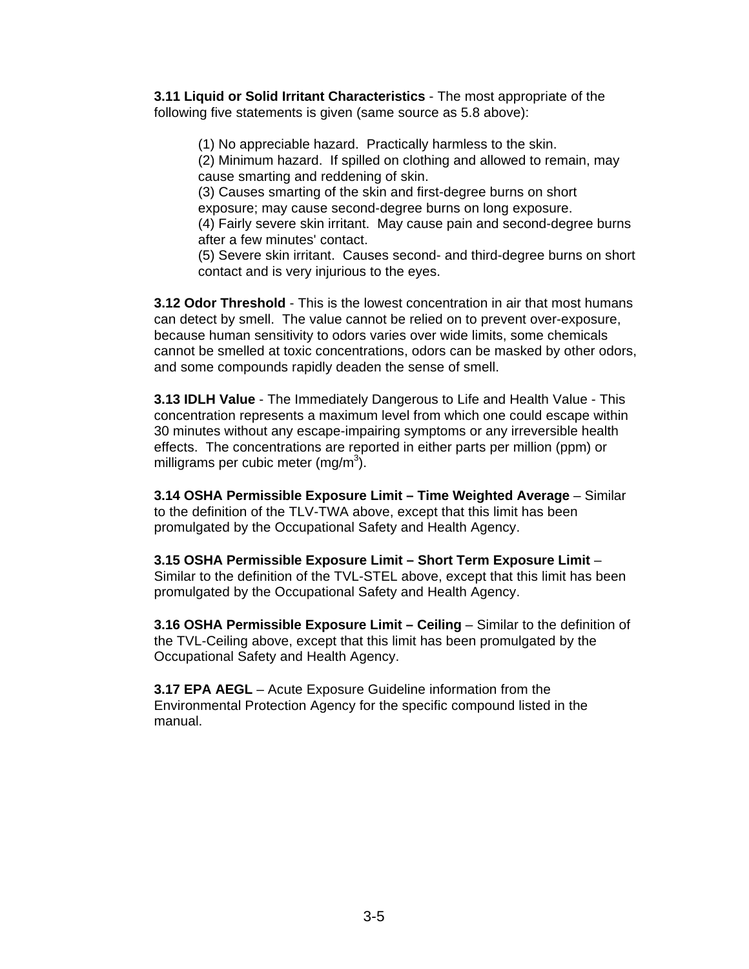**3.11 Liquid or Solid Irritant Characteristics** - The most appropriate of the following five statements is given (same source as 5.8 above):

(1) No appreciable hazard. Practically harmless to the skin.

(2) Minimum hazard. If spilled on clothing and allowed to remain, may cause smarting and reddening of skin.

(3) Causes smarting of the skin and first-degree burns on short exposure; may cause second-degree burns on long exposure. (4) Fairly severe skin irritant. May cause pain and second-degree burns

after a few minutes' contact.

(5) Severe skin irritant. Causes second- and third-degree burns on short contact and is very injurious to the eyes.

**3.12 Odor Threshold** - This is the lowest concentration in air that most humans can detect by smell. The value cannot be relied on to prevent over-exposure, because human sensitivity to odors varies over wide limits, some chemicals cannot be smelled at toxic concentrations, odors can be masked by other odors, and some compounds rapidly deaden the sense of smell.

**3.13 IDLH Value** - The Immediately Dangerous to Life and Health Value - This concentration represents a maximum level from which one could escape within 30 minutes without any escape-impairing symptoms or any irreversible health effects. The concentrations are reported in either parts per million (ppm) or milligrams per cubic meter (mg/m $3$ ).

**3.14 OSHA Permissible Exposure Limit – Time Weighted Average** – Similar to the definition of the TLV-TWA above, except that this limit has been promulgated by the Occupational Safety and Health Agency.

**3.15 OSHA Permissible Exposure Limit – Short Term Exposure Limit** – Similar to the definition of the TVL-STEL above, except that this limit has been promulgated by the Occupational Safety and Health Agency.

**3.16 OSHA Permissible Exposure Limit - Ceiling - Similar to the definition of** the TVL-Ceiling above, except that this limit has been promulgated by the Occupational Safety and Health Agency.

**3.17 EPA AEGL** – Acute Exposure Guideline information from the Environmental Protection Agency for the specific compound listed in the manual.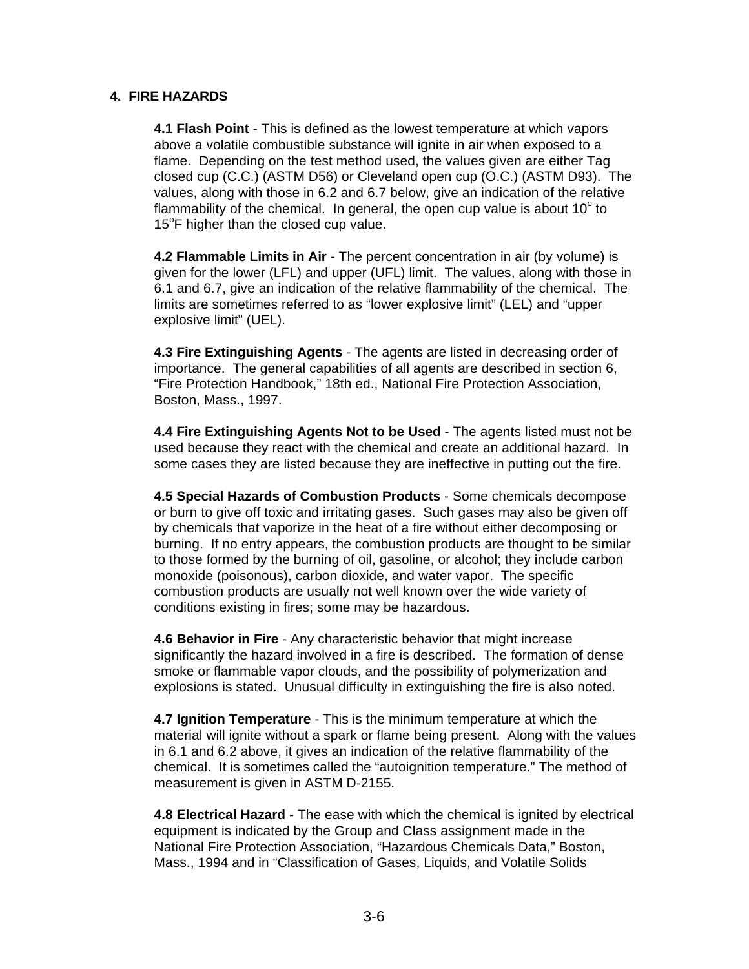#### **4. FIRE HAZARDS**

**4.1 Flash Point** - This is defined as the lowest temperature at which vapors above a volatile combustible substance will ignite in air when exposed to a flame. Depending on the test method used, the values given are either Tag closed cup (C.C.) (ASTM D56) or Cleveland open cup (O.C.) (ASTM D93). The values, along with those in 6.2 and 6.7 below, give an indication of the relative flammability of the chemical. In general, the open cup value is about  $10^{\circ}$  to 15°F higher than the closed cup value.

**4.2 Flammable Limits in Air** - The percent concentration in air (by volume) is given for the lower (LFL) and upper (UFL) limit. The values, along with those in 6.1 and 6.7, give an indication of the relative flammability of the chemical. The limits are sometimes referred to as "lower explosive limit" (LEL) and "upper explosive limit" (UEL).

**4.3 Fire Extinguishing Agents** - The agents are listed in decreasing order of importance. The general capabilities of all agents are described in section 6, "Fire Protection Handbook," 18th ed., National Fire Protection Association, Boston, Mass., 1997.

**4.4 Fire Extinguishing Agents Not to be Used** - The agents listed must not be used because they react with the chemical and create an additional hazard. In some cases they are listed because they are ineffective in putting out the fire.

**4.5 Special Hazards of Combustion Products** - Some chemicals decompose or burn to give off toxic and irritating gases. Such gases may also be given off by chemicals that vaporize in the heat of a fire without either decomposing or burning. If no entry appears, the combustion products are thought to be similar to those formed by the burning of oil, gasoline, or alcohol; they include carbon monoxide (poisonous), carbon dioxide, and water vapor. The specific combustion products are usually not well known over the wide variety of conditions existing in fires; some may be hazardous.

**4.6 Behavior in Fire** - Any characteristic behavior that might increase significantly the hazard involved in a fire is described. The formation of dense smoke or flammable vapor clouds, and the possibility of polymerization and explosions is stated. Unusual difficulty in extinguishing the fire is also noted.

**4.7 Ignition Temperature** - This is the minimum temperature at which the material will ignite without a spark or flame being present. Along with the values in 6.1 and 6.2 above, it gives an indication of the relative flammability of the chemical. It is sometimes called the "autoignition temperature." The method of measurement is given in ASTM D-2155.

**4.8 Electrical Hazard** - The ease with which the chemical is ignited by electrical equipment is indicated by the Group and Class assignment made in the National Fire Protection Association, "Hazardous Chemicals Data," Boston, Mass., 1994 and in "Classification of Gases, Liquids, and Volatile Solids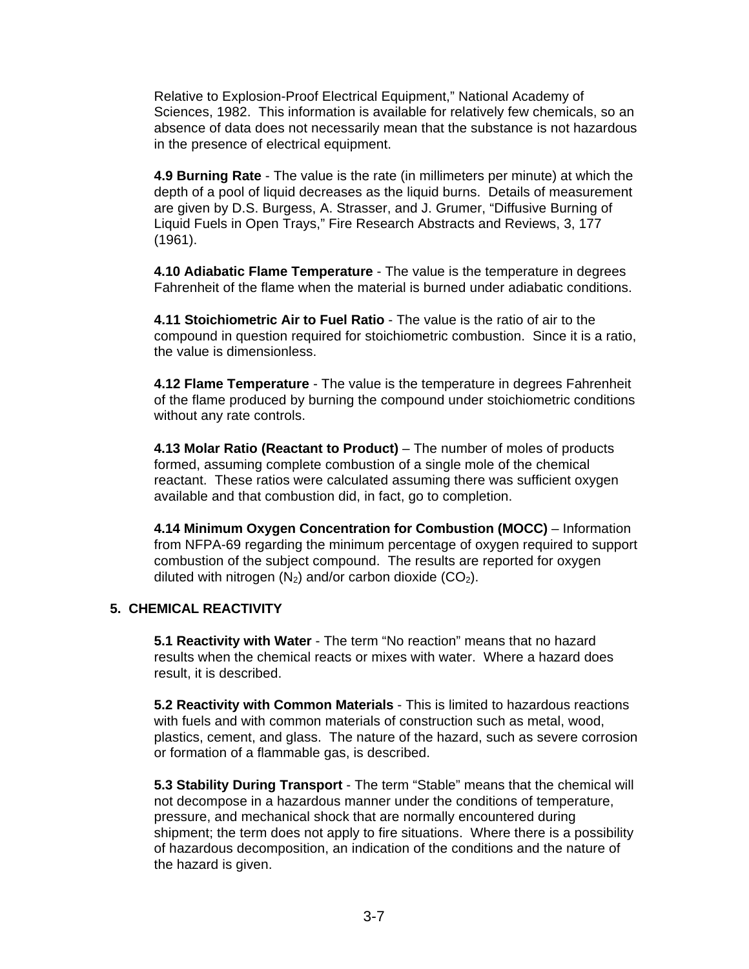Relative to Explosion-Proof Electrical Equipment," National Academy of Sciences, 1982. This information is available for relatively few chemicals, so an absence of data does not necessarily mean that the substance is not hazardous in the presence of electrical equipment.

**4.9 Burning Rate** - The value is the rate (in millimeters per minute) at which the depth of a pool of liquid decreases as the liquid burns. Details of measurement are given by D.S. Burgess, A. Strasser, and J. Grumer, "Diffusive Burning of Liquid Fuels in Open Trays," Fire Research Abstracts and Reviews, 3, 177 (1961).

**4.10 Adiabatic Flame Temperature** - The value is the temperature in degrees Fahrenheit of the flame when the material is burned under adiabatic conditions.

**4.11 Stoichiometric Air to Fuel Ratio** - The value is the ratio of air to the compound in question required for stoichiometric combustion. Since it is a ratio, the value is dimensionless.

**4.12 Flame Temperature** - The value is the temperature in degrees Fahrenheit of the flame produced by burning the compound under stoichiometric conditions without any rate controls.

**4.13 Molar Ratio (Reactant to Product)** – The number of moles of products formed, assuming complete combustion of a single mole of the chemical reactant. These ratios were calculated assuming there was sufficient oxygen available and that combustion did, in fact, go to completion.

**4.14 Minimum Oxygen Concentration for Combustion (MOCC)** – Information from NFPA-69 regarding the minimum percentage of oxygen required to support combustion of the subject compound. The results are reported for oxygen diluted with nitrogen  $(N_2)$  and/or carbon dioxide  $(CO_2)$ .

### **5. CHEMICAL REACTIVITY**

**5.1 Reactivity with Water** - The term "No reaction" means that no hazard results when the chemical reacts or mixes with water. Where a hazard does result, it is described.

**5.2 Reactivity with Common Materials** - This is limited to hazardous reactions with fuels and with common materials of construction such as metal, wood, plastics, cement, and glass. The nature of the hazard, such as severe corrosion or formation of a flammable gas, is described.

**5.3 Stability During Transport** - The term "Stable" means that the chemical will not decompose in a hazardous manner under the conditions of temperature, pressure, and mechanical shock that are normally encountered during shipment; the term does not apply to fire situations. Where there is a possibility of hazardous decomposition, an indication of the conditions and the nature of the hazard is given.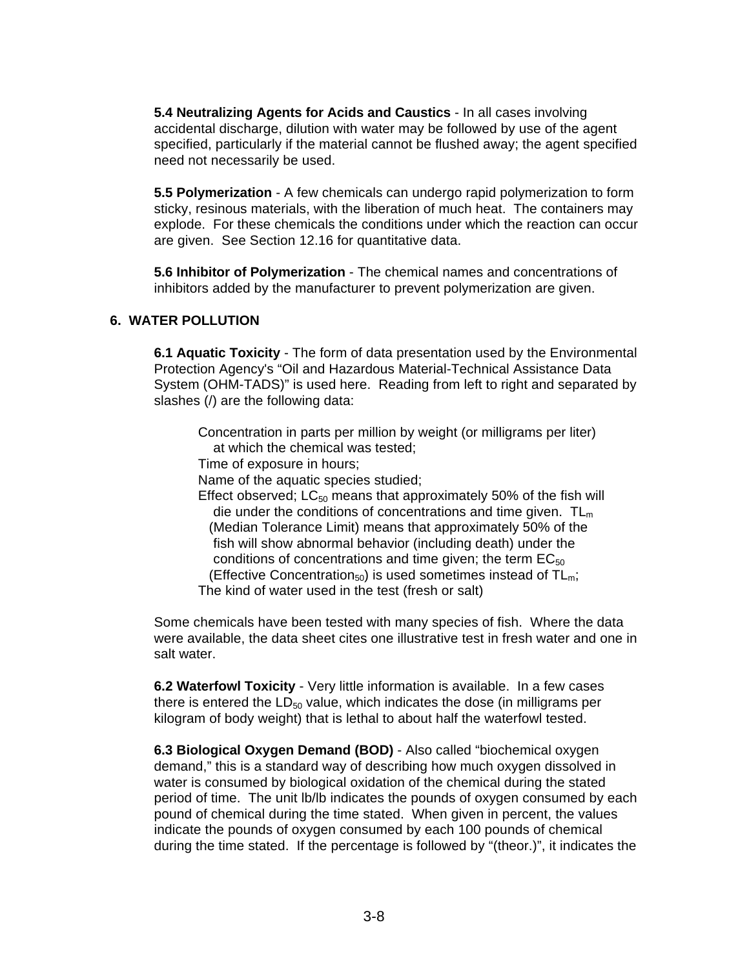**5.4 Neutralizing Agents for Acids and Caustics** - In all cases involving accidental discharge, dilution with water may be followed by use of the agent specified, particularly if the material cannot be flushed away; the agent specified need not necessarily be used.

**5.5 Polymerization** - A few chemicals can undergo rapid polymerization to form sticky, resinous materials, with the liberation of much heat. The containers may explode. For these chemicals the conditions under which the reaction can occur are given. See Section 12.16 for quantitative data.

**5.6 Inhibitor of Polymerization** - The chemical names and concentrations of inhibitors added by the manufacturer to prevent polymerization are given.

## **6. WATER POLLUTION**

**6.1 Aquatic Toxicity** - The form of data presentation used by the Environmental Protection Agency's "Oil and Hazardous Material-Technical Assistance Data System (OHM-TADS)" is used here. Reading from left to right and separated by slashes (/) are the following data:

Concentration in parts per million by weight (or milligrams per liter) at which the chemical was tested;

Time of exposure in hours;

Name of the aquatic species studied;

Effect observed;  $LC_{50}$  means that approximately 50% of the fish will die under the conditions of concentrations and time given.  $TL<sub>m</sub>$  (Median Tolerance Limit) means that approximately 50% of the fish will show abnormal behavior (including death) under the conditions of concentrations and time given; the term  $EC_{50}$ (Effective Concentration<sub>50</sub>) is used sometimes instead of  $TL_m$ ; The kind of water used in the test (fresh or salt)

Some chemicals have been tested with many species of fish. Where the data were available, the data sheet cites one illustrative test in fresh water and one in salt water.

**6.2 Waterfowl Toxicity** - Very little information is available. In a few cases there is entered the  $LD_{50}$  value, which indicates the dose (in milligrams per kilogram of body weight) that is lethal to about half the waterfowl tested.

**6.3 Biological Oxygen Demand (BOD)** - Also called "biochemical oxygen demand," this is a standard way of describing how much oxygen dissolved in water is consumed by biological oxidation of the chemical during the stated period of time. The unit lb/lb indicates the pounds of oxygen consumed by each pound of chemical during the time stated. When given in percent, the values indicate the pounds of oxygen consumed by each 100 pounds of chemical during the time stated. If the percentage is followed by "(theor.)", it indicates the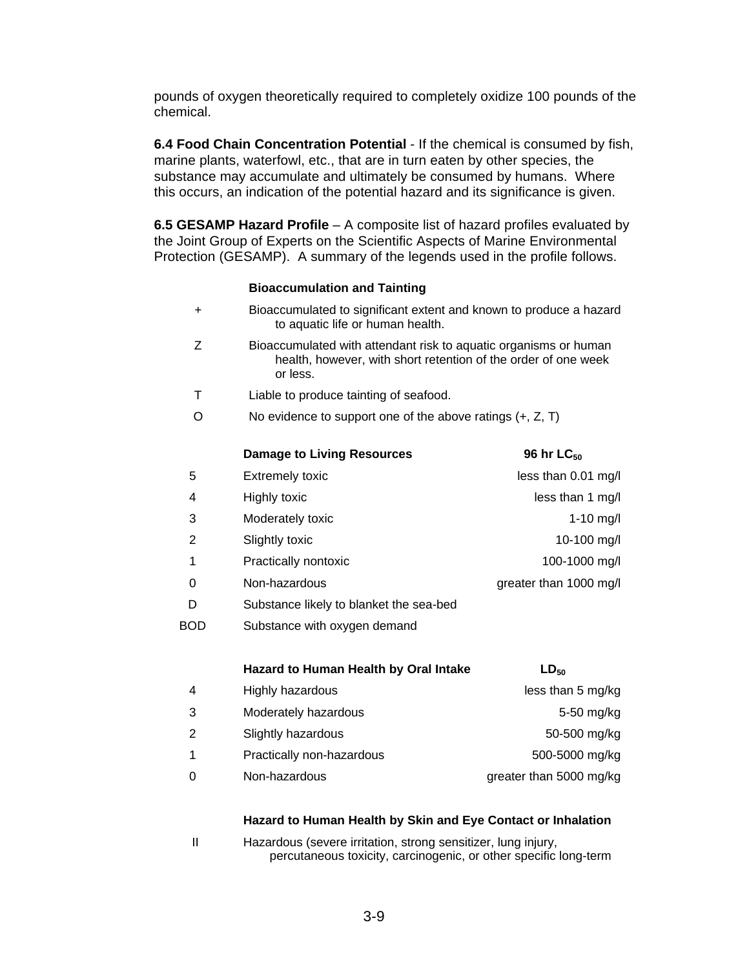pounds of oxygen theoretically required to completely oxidize 100 pounds of the chemical.

**6.4 Food Chain Concentration Potential** - If the chemical is consumed by fish, marine plants, waterfowl, etc., that are in turn eaten by other species, the substance may accumulate and ultimately be consumed by humans. Where this occurs, an indication of the potential hazard and its significance is given.

**6.5 GESAMP Hazard Profile** – A composite list of hazard profiles evaluated by the Joint Group of Experts on the Scientific Aspects of Marine Environmental Protection (GESAMP). A summary of the legends used in the profile follows.

#### **Bioaccumulation and Tainting**

| $\ddot{}$ | Bioaccumulated to significant extent and known to produce a hazard<br>to aquatic life or human health.                                         |                         |  |  |  |  |
|-----------|------------------------------------------------------------------------------------------------------------------------------------------------|-------------------------|--|--|--|--|
| Z         | Bioaccumulated with attendant risk to aquatic organisms or human<br>health, however, with short retention of the order of one week<br>or less. |                         |  |  |  |  |
| т         | Liable to produce tainting of seafood.                                                                                                         |                         |  |  |  |  |
| Ω         | No evidence to support one of the above ratings $(+, Z, T)$                                                                                    |                         |  |  |  |  |
|           | <b>Damage to Living Resources</b>                                                                                                              | 96 hr LC <sub>50</sub>  |  |  |  |  |
| 5         | <b>Extremely toxic</b>                                                                                                                         | less than 0.01 mg/l     |  |  |  |  |
| 4         | Highly toxic                                                                                                                                   | less than 1 mg/l        |  |  |  |  |
| 3         | Moderately toxic                                                                                                                               | $1 - 10$ mg/l           |  |  |  |  |
| 2         | Slightly toxic                                                                                                                                 | 10-100 mg/l             |  |  |  |  |
| 1         | Practically nontoxic                                                                                                                           | 100-1000 mg/l           |  |  |  |  |
| 0         | Non-hazardous                                                                                                                                  | greater than 1000 mg/l  |  |  |  |  |
| D         | Substance likely to blanket the sea-bed                                                                                                        |                         |  |  |  |  |
| BOD       | Substance with oxygen demand                                                                                                                   |                         |  |  |  |  |
|           | Hazard to Human Health by Oral Intake                                                                                                          | $LD_{50}$               |  |  |  |  |
| 4         | Highly hazardous                                                                                                                               | less than 5 mg/kg       |  |  |  |  |
| 3         | Moderately hazardous                                                                                                                           | 5-50 mg/kg              |  |  |  |  |
| 2         | Slightly hazardous                                                                                                                             | 50-500 mg/kg            |  |  |  |  |
| 1         | Practically non-hazardous                                                                                                                      | 500-5000 mg/kg          |  |  |  |  |
| 0         | Non-hazardous                                                                                                                                  | greater than 5000 mg/kg |  |  |  |  |

#### **Hazard to Human Health by Skin and Eye Contact or Inhalation**

II Hazardous (severe irritation, strong sensitizer, lung injury, percutaneous toxicity, carcinogenic, or other specific long-term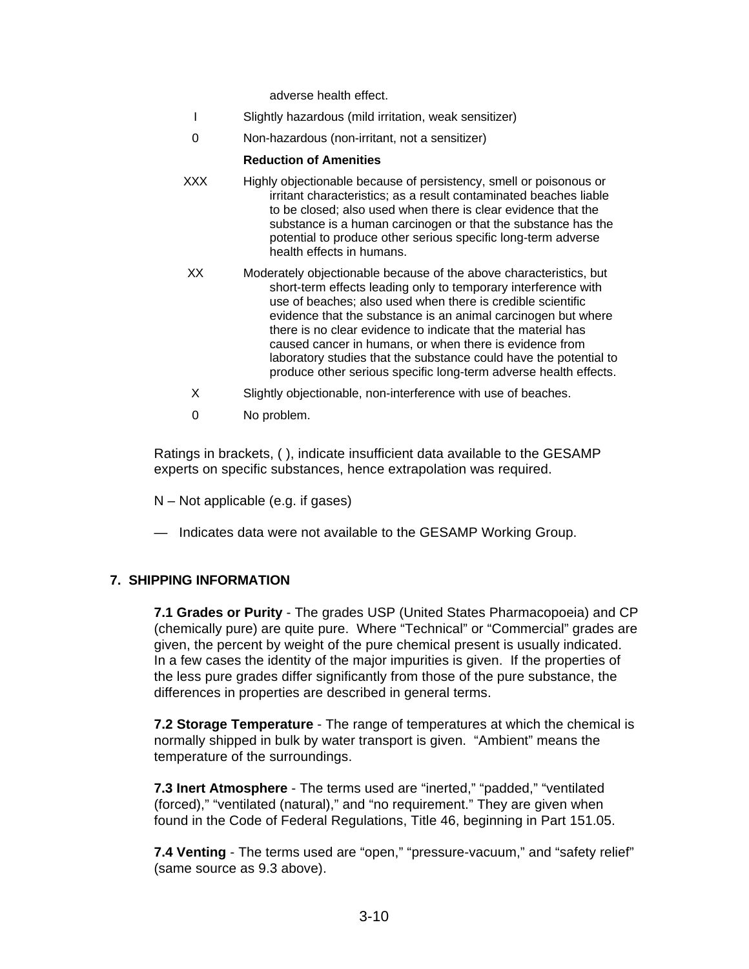adverse health effect.

- I Slightly hazardous (mild irritation, weak sensitizer)
- 0 Non-hazardous (non-irritant, not a sensitizer)

#### **Reduction of Amenities**

- XXX Highly objectionable because of persistency, smell or poisonous or irritant characteristics; as a result contaminated beaches liable to be closed; also used when there is clear evidence that the substance is a human carcinogen or that the substance has the potential to produce other serious specific long-term adverse health effects in humans.
- XX Moderately objectionable because of the above characteristics, but short-term effects leading only to temporary interference with use of beaches; also used when there is credible scientific evidence that the substance is an animal carcinogen but where there is no clear evidence to indicate that the material has caused cancer in humans, or when there is evidence from laboratory studies that the substance could have the potential to produce other serious specific long-term adverse health effects.
- X Slightly objectionable, non-interference with use of beaches.
- 0 No problem.

Ratings in brackets, ( ), indicate insufficient data available to the GESAMP experts on specific substances, hence extrapolation was required.

- N Not applicable (e.g. if gases)
- Indicates data were not available to the GESAMP Working Group.

#### **7. SHIPPING INFORMATION**

**7.1 Grades or Purity** - The grades USP (United States Pharmacopoeia) and CP (chemically pure) are quite pure. Where "Technical" or "Commercial" grades are given, the percent by weight of the pure chemical present is usually indicated. In a few cases the identity of the major impurities is given. If the properties of the less pure grades differ significantly from those of the pure substance, the differences in properties are described in general terms.

**7.2 Storage Temperature** - The range of temperatures at which the chemical is normally shipped in bulk by water transport is given. "Ambient" means the temperature of the surroundings.

**7.3 Inert Atmosphere** - The terms used are "inerted," "padded," "ventilated (forced)," "ventilated (natural)," and "no requirement." They are given when found in the Code of Federal Regulations, Title 46, beginning in Part 151.05.

**7.4 Venting** - The terms used are "open," "pressure-vacuum," and "safety relief" (same source as 9.3 above).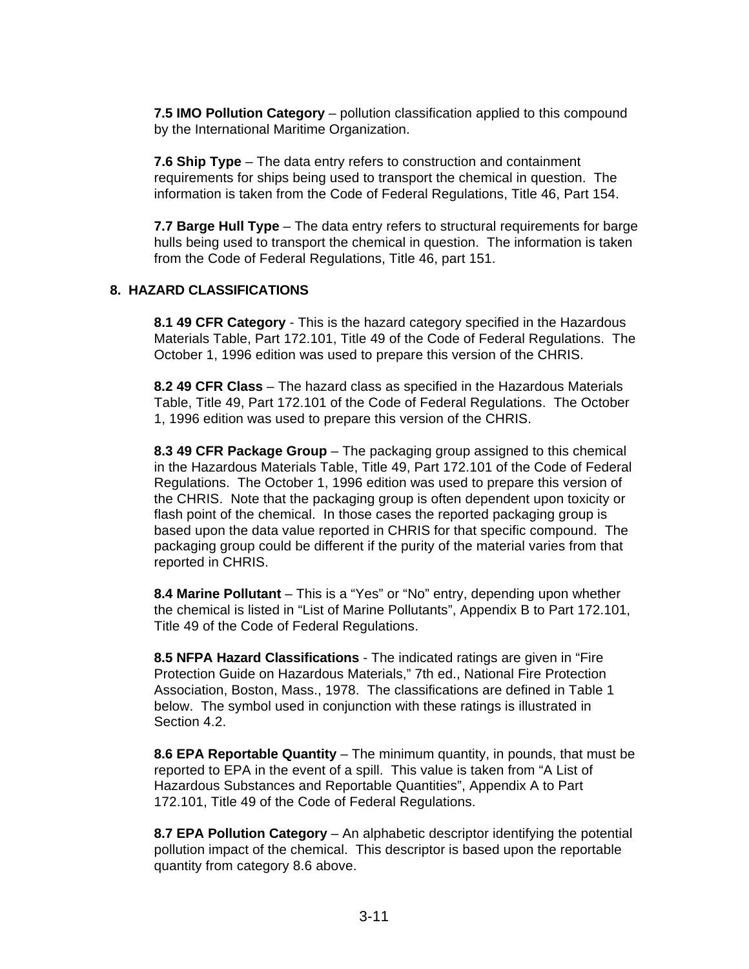**7.5 IMO Pollution Category** – pollution classification applied to this compound by the International Maritime Organization.

**7.6 Ship Type** – The data entry refers to construction and containment requirements for ships being used to transport the chemical in question. The information is taken from the Code of Federal Regulations, Title 46, Part 154.

**7.7 Barge Hull Type** – The data entry refers to structural requirements for barge hulls being used to transport the chemical in question. The information is taken from the Code of Federal Regulations, Title 46, part 151.

#### **8. HAZARD CLASSIFICATIONS**

**8.1 49 CFR Category** - This is the hazard category specified in the Hazardous Materials Table, Part 172.101, Title 49 of the Code of Federal Regulations. The October 1, 1996 edition was used to prepare this version of the CHRIS.

**8.2 49 CFR Class** – The hazard class as specified in the Hazardous Materials Table, Title 49, Part 172.101 of the Code of Federal Regulations. The October 1, 1996 edition was used to prepare this version of the CHRIS.

**8.3 49 CFR Package Group** – The packaging group assigned to this chemical in the Hazardous Materials Table, Title 49, Part 172.101 of the Code of Federal Regulations. The October 1, 1996 edition was used to prepare this version of the CHRIS. Note that the packaging group is often dependent upon toxicity or flash point of the chemical. In those cases the reported packaging group is based upon the data value reported in CHRIS for that specific compound. The packaging group could be different if the purity of the material varies from that reported in CHRIS.

**8.4 Marine Pollutant** – This is a "Yes" or "No" entry, depending upon whether the chemical is listed in "List of Marine Pollutants", Appendix B to Part 172.101, Title 49 of the Code of Federal Regulations.

**8.5 NFPA Hazard Classifications** - The indicated ratings are given in "Fire Protection Guide on Hazardous Materials," 7th ed., National Fire Protection Association, Boston, Mass., 1978. The classifications are defined in Table 1 below. The symbol used in conjunction with these ratings is illustrated in Section 4.2.

**8.6 EPA Reportable Quantity** – The minimum quantity, in pounds, that must be reported to EPA in the event of a spill. This value is taken from "A List of Hazardous Substances and Reportable Quantities", Appendix A to Part 172.101, Title 49 of the Code of Federal Regulations.

**8.7 EPA Pollution Category** – An alphabetic descriptor identifying the potential pollution impact of the chemical. This descriptor is based upon the reportable quantity from category 8.6 above.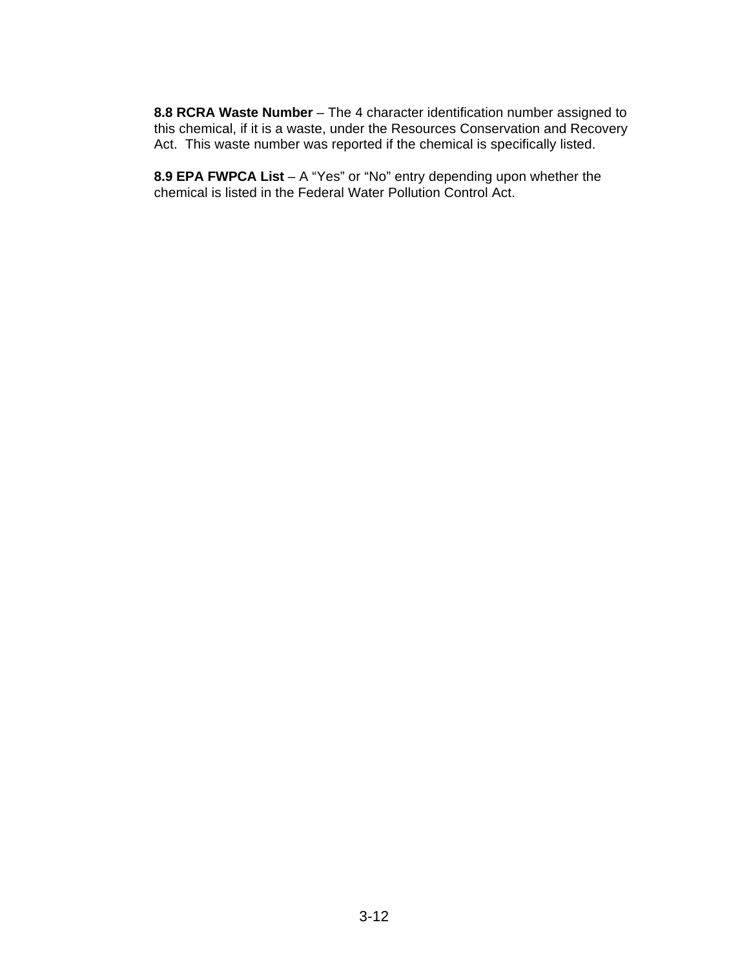**8.8 RCRA Waste Number** – The 4 character identification number assigned to this chemical, if it is a waste, under the Resources Conservation and Recovery Act. This waste number was reported if the chemical is specifically listed.

**8.9 EPA FWPCA List** – A "Yes" or "No" entry depending upon whether the chemical is listed in the Federal Water Pollution Control Act.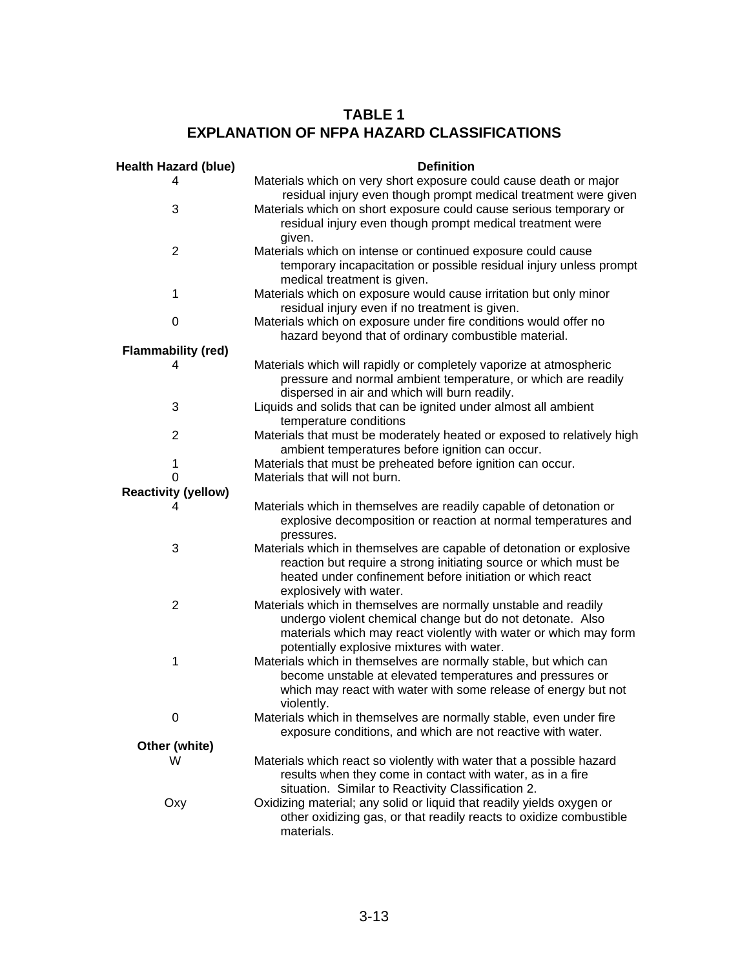# **TABLE 1 EXPLANATION OF NFPA HAZARD CLASSIFICATIONS**

| <b>Health Hazard (blue)</b> | <b>Definition</b>                                                                                                                                                                                                                              |
|-----------------------------|------------------------------------------------------------------------------------------------------------------------------------------------------------------------------------------------------------------------------------------------|
| 4                           | Materials which on very short exposure could cause death or major<br>residual injury even though prompt medical treatment were given                                                                                                           |
| 3                           | Materials which on short exposure could cause serious temporary or<br>residual injury even though prompt medical treatment were<br>given.                                                                                                      |
| $\overline{2}$              | Materials which on intense or continued exposure could cause<br>temporary incapacitation or possible residual injury unless prompt<br>medical treatment is given.                                                                              |
| 1                           | Materials which on exposure would cause irritation but only minor<br>residual injury even if no treatment is given.                                                                                                                            |
| 0                           | Materials which on exposure under fire conditions would offer no<br>hazard beyond that of ordinary combustible material.                                                                                                                       |
| <b>Flammability (red)</b>   |                                                                                                                                                                                                                                                |
| 4                           | Materials which will rapidly or completely vaporize at atmospheric<br>pressure and normal ambient temperature, or which are readily<br>dispersed in air and which will burn readily.                                                           |
| 3                           | Liquids and solids that can be ignited under almost all ambient<br>temperature conditions                                                                                                                                                      |
| $\overline{2}$              | Materials that must be moderately heated or exposed to relatively high<br>ambient temperatures before ignition can occur.                                                                                                                      |
| 1                           | Materials that must be preheated before ignition can occur.                                                                                                                                                                                    |
| 0                           | Materials that will not burn.                                                                                                                                                                                                                  |
| <b>Reactivity (yellow)</b>  |                                                                                                                                                                                                                                                |
| 4                           | Materials which in themselves are readily capable of detonation or<br>explosive decomposition or reaction at normal temperatures and<br>pressures.                                                                                             |
| 3                           | Materials which in themselves are capable of detonation or explosive<br>reaction but require a strong initiating source or which must be<br>heated under confinement before initiation or which react<br>explosively with water.               |
| $\overline{2}$              | Materials which in themselves are normally unstable and readily<br>undergo violent chemical change but do not detonate. Also<br>materials which may react violently with water or which may form<br>potentially explosive mixtures with water. |
| 1                           | Materials which in themselves are normally stable, but which can<br>become unstable at elevated temperatures and pressures or<br>which may react with water with some release of energy but not<br>violently.                                  |
| 0                           | Materials which in themselves are normally stable, even under fire<br>exposure conditions, and which are not reactive with water.                                                                                                              |
| Other (white)               |                                                                                                                                                                                                                                                |
| W                           | Materials which react so violently with water that a possible hazard<br>results when they come in contact with water, as in a fire<br>situation. Similar to Reactivity Classification 2.                                                       |
| Oxy                         | Oxidizing material; any solid or liquid that readily yields oxygen or<br>other oxidizing gas, or that readily reacts to oxidize combustible<br>materials.                                                                                      |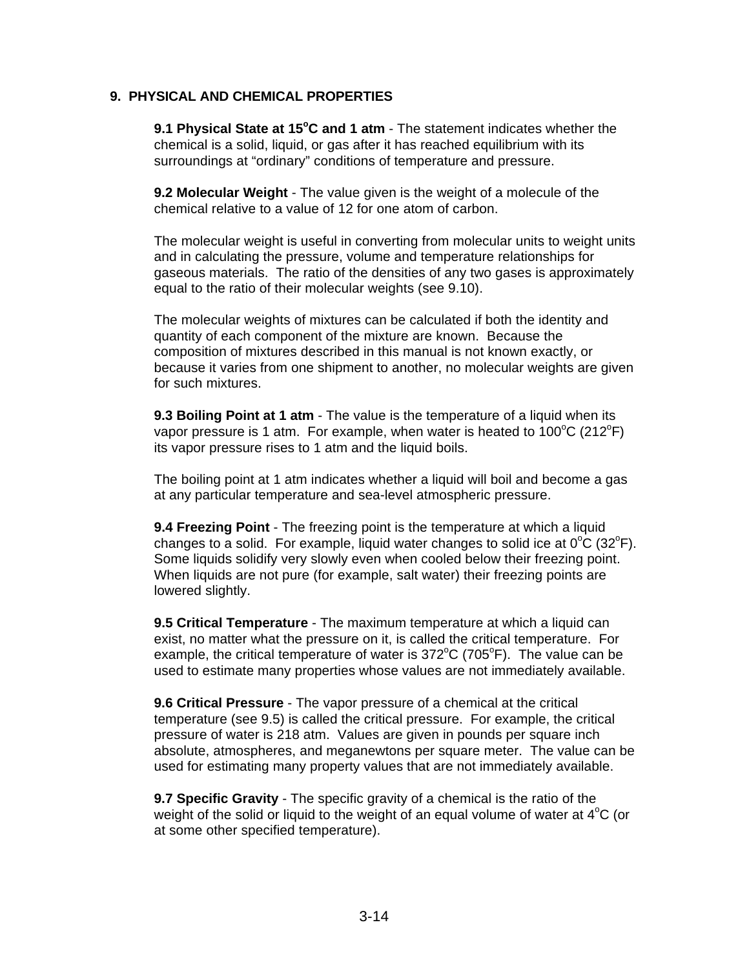#### **9. PHYSICAL AND CHEMICAL PROPERTIES**

**9.1 Physical State at 15<sup>o</sup>C and 1 atm** - The statement indicates whether the chemical is a solid, liquid, or gas after it has reached equilibrium with its surroundings at "ordinary" conditions of temperature and pressure.

**9.2 Molecular Weight** - The value given is the weight of a molecule of the chemical relative to a value of 12 for one atom of carbon.

The molecular weight is useful in converting from molecular units to weight units and in calculating the pressure, volume and temperature relationships for gaseous materials. The ratio of the densities of any two gases is approximately equal to the ratio of their molecular weights (see 9.10).

The molecular weights of mixtures can be calculated if both the identity and quantity of each component of the mixture are known. Because the composition of mixtures described in this manual is not known exactly, or because it varies from one shipment to another, no molecular weights are given for such mixtures.

**9.3 Boiling Point at 1 atm** - The value is the temperature of a liquid when its vapor pressure is 1 atm. For example, when water is heated to 100 $\mathrm{^{\circ}C}$  (212 $\mathrm{^{\circ}F}$ ) its vapor pressure rises to 1 atm and the liquid boils.

The boiling point at 1 atm indicates whether a liquid will boil and become a gas at any particular temperature and sea-level atmospheric pressure.

**9.4 Freezing Point** - The freezing point is the temperature at which a liquid changes to a solid. For example, liquid water changes to solid ice at  $0^{\circ}$ C (32 $^{\circ}$ F). Some liquids solidify very slowly even when cooled below their freezing point. When liquids are not pure (for example, salt water) their freezing points are lowered slightly.

**9.5 Critical Temperature** - The maximum temperature at which a liquid can exist, no matter what the pressure on it, is called the critical temperature. For example, the critical temperature of water is  $372^{\circ}$ C (705 $^{\circ}$ F). The value can be used to estimate many properties whose values are not immediately available.

**9.6 Critical Pressure** - The vapor pressure of a chemical at the critical temperature (see 9.5) is called the critical pressure. For example, the critical pressure of water is 218 atm. Values are given in pounds per square inch absolute, atmospheres, and meganewtons per square meter. The value can be used for estimating many property values that are not immediately available.

**9.7 Specific Gravity** - The specific gravity of a chemical is the ratio of the weight of the solid or liquid to the weight of an equal volume of water at  $4^{\circ}C$  (or at some other specified temperature).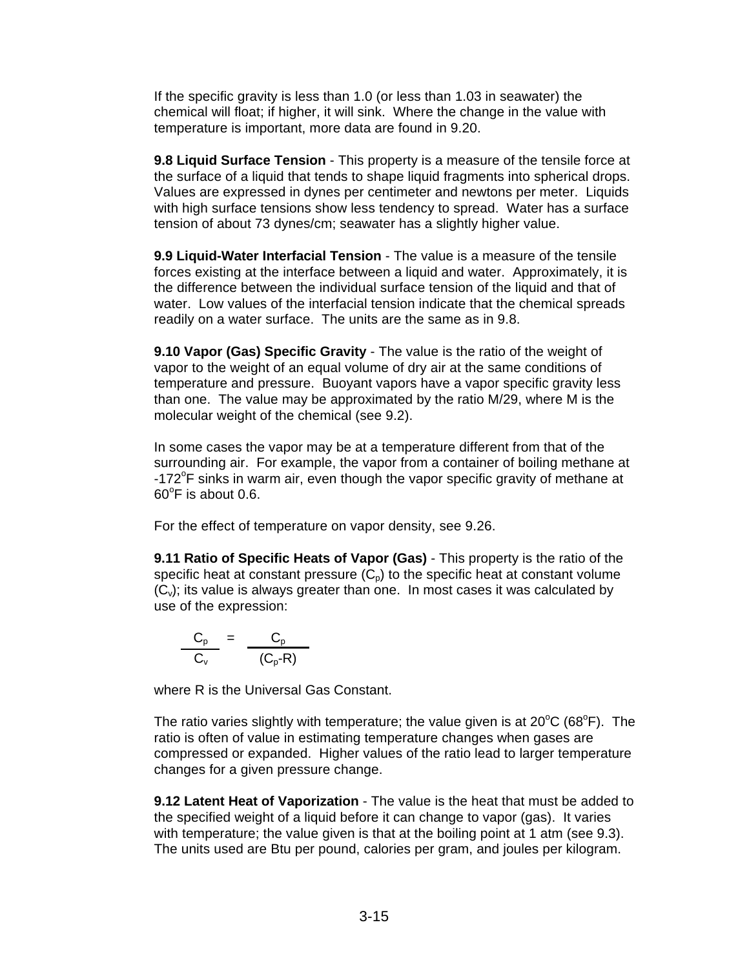If the specific gravity is less than 1.0 (or less than 1.03 in seawater) the chemical will float; if higher, it will sink. Where the change in the value with temperature is important, more data are found in 9.20.

**9.8 Liquid Surface Tension** - This property is a measure of the tensile force at the surface of a liquid that tends to shape liquid fragments into spherical drops. Values are expressed in dynes per centimeter and newtons per meter. Liquids with high surface tensions show less tendency to spread. Water has a surface tension of about 73 dynes/cm; seawater has a slightly higher value.

**9.9 Liquid-Water Interfacial Tension** - The value is a measure of the tensile forces existing at the interface between a liquid and water. Approximately, it is the difference between the individual surface tension of the liquid and that of water. Low values of the interfacial tension indicate that the chemical spreads readily on a water surface. The units are the same as in 9.8.

**9.10 Vapor (Gas) Specific Gravity** - The value is the ratio of the weight of vapor to the weight of an equal volume of dry air at the same conditions of temperature and pressure. Buoyant vapors have a vapor specific gravity less than one. The value may be approximated by the ratio M/29, where M is the molecular weight of the chemical (see 9.2).

In some cases the vapor may be at a temperature different from that of the surrounding air. For example, the vapor from a container of boiling methane at -172°F sinks in warm air, even though the vapor specific gravity of methane at  $60^{\circ}$ F is about 0.6.

For the effect of temperature on vapor density, see 9.26.

**9.11 Ratio of Specific Heats of Vapor (Gas)** - This property is the ratio of the specific heat at constant pressure  $(C_p)$  to the specific heat at constant volume  $(C_{\nu})$ ; its value is always greater than one. In most cases it was calculated by use of the expression:

$$
\frac{C_p}{C_v} = \frac{C_p}{(C_p - R)}
$$

where R is the Universal Gas Constant.

The ratio varies slightly with temperature; the value given is at  $20^{\circ}$ C (68 $^{\circ}$ F). The ratio is often of value in estimating temperature changes when gases are compressed or expanded. Higher values of the ratio lead to larger temperature changes for a given pressure change.

**9.12 Latent Heat of Vaporization** - The value is the heat that must be added to the specified weight of a liquid before it can change to vapor (gas). It varies with temperature; the value given is that at the boiling point at 1 atm (see 9.3). The units used are Btu per pound, calories per gram, and joules per kilogram.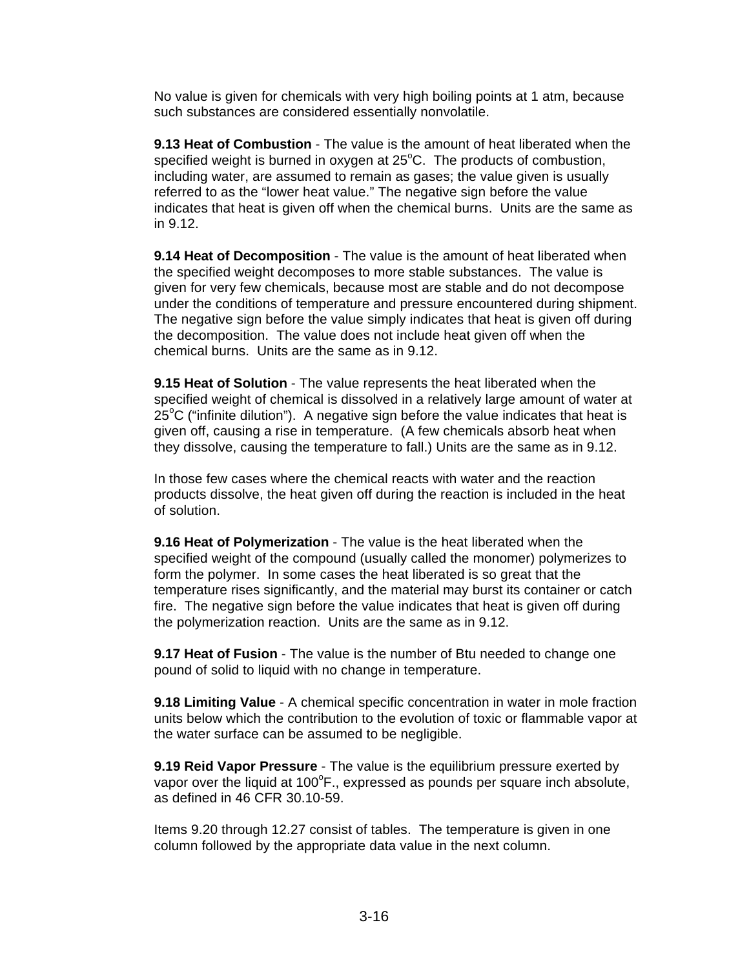No value is given for chemicals with very high boiling points at 1 atm, because such substances are considered essentially nonvolatile.

**9.13 Heat of Combustion** - The value is the amount of heat liberated when the specified weight is burned in oxygen at  $25^{\circ}$ C. The products of combustion, including water, are assumed to remain as gases; the value given is usually referred to as the "lower heat value." The negative sign before the value indicates that heat is given off when the chemical burns. Units are the same as in 9.12.

**9.14 Heat of Decomposition** - The value is the amount of heat liberated when the specified weight decomposes to more stable substances. The value is given for very few chemicals, because most are stable and do not decompose under the conditions of temperature and pressure encountered during shipment. The negative sign before the value simply indicates that heat is given off during the decomposition. The value does not include heat given off when the chemical burns. Units are the same as in 9.12.

**9.15 Heat of Solution** - The value represents the heat liberated when the specified weight of chemical is dissolved in a relatively large amount of water at 25 $\mathrm{^{\circ}C}$  ("infinite dilution"). A negative sign before the value indicates that heat is given off, causing a rise in temperature. (A few chemicals absorb heat when they dissolve, causing the temperature to fall.) Units are the same as in 9.12.

In those few cases where the chemical reacts with water and the reaction products dissolve, the heat given off during the reaction is included in the heat of solution.

**9.16 Heat of Polymerization** - The value is the heat liberated when the specified weight of the compound (usually called the monomer) polymerizes to form the polymer. In some cases the heat liberated is so great that the temperature rises significantly, and the material may burst its container or catch fire. The negative sign before the value indicates that heat is given off during the polymerization reaction. Units are the same as in 9.12.

**9.17 Heat of Fusion** - The value is the number of Btu needed to change one pound of solid to liquid with no change in temperature.

**9.18 Limiting Value** - A chemical specific concentration in water in mole fraction units below which the contribution to the evolution of toxic or flammable vapor at the water surface can be assumed to be negligible.

**9.19 Reid Vapor Pressure** - The value is the equilibrium pressure exerted by vapor over the liquid at 100 $\mathrm{^oF}$ ., expressed as pounds per square inch absolute, as defined in 46 CFR 30.10-59.

Items 9.20 through 12.27 consist of tables. The temperature is given in one column followed by the appropriate data value in the next column.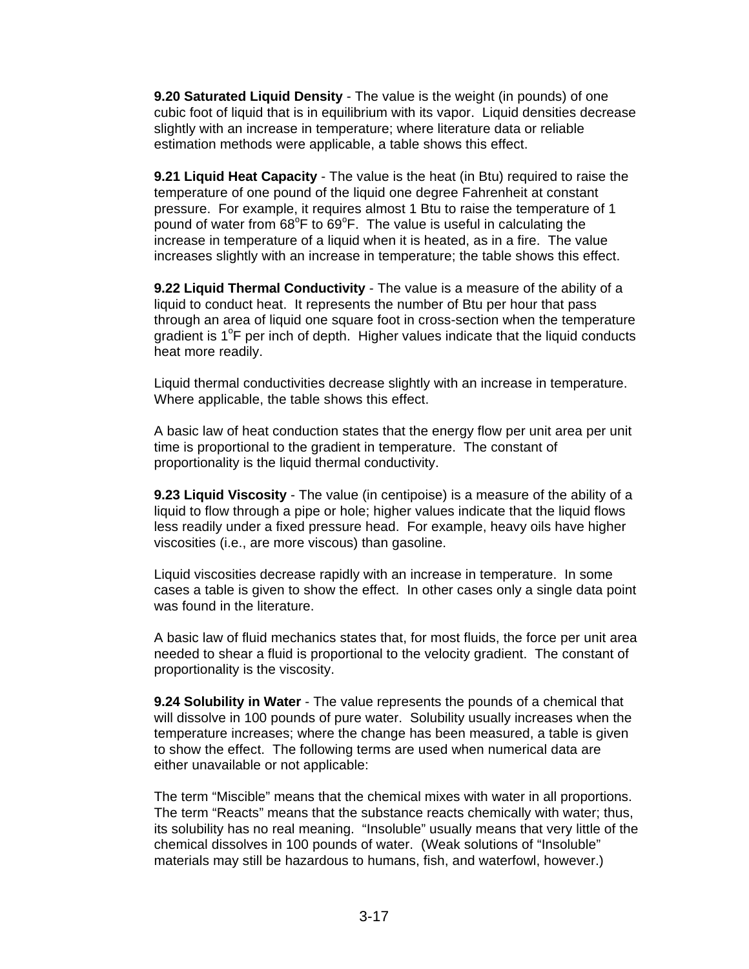**9.20 Saturated Liquid Density** - The value is the weight (in pounds) of one cubic foot of liquid that is in equilibrium with its vapor. Liquid densities decrease slightly with an increase in temperature; where literature data or reliable estimation methods were applicable, a table shows this effect.

**9.21 Liquid Heat Capacity** - The value is the heat (in Btu) required to raise the temperature of one pound of the liquid one degree Fahrenheit at constant pressure. For example, it requires almost 1 Btu to raise the temperature of 1 pound of water from 68°F to 69°F. The value is useful in calculating the increase in temperature of a liquid when it is heated, as in a fire. The value increases slightly with an increase in temperature; the table shows this effect.

**9.22 Liquid Thermal Conductivity** - The value is a measure of the ability of a liquid to conduct heat. It represents the number of Btu per hour that pass through an area of liquid one square foot in cross-section when the temperature gradient is 1°F per inch of depth. Higher values indicate that the liquid conducts heat more readily.

Liquid thermal conductivities decrease slightly with an increase in temperature. Where applicable, the table shows this effect.

A basic law of heat conduction states that the energy flow per unit area per unit time is proportional to the gradient in temperature. The constant of proportionality is the liquid thermal conductivity.

**9.23 Liquid Viscosity** - The value (in centipoise) is a measure of the ability of a liquid to flow through a pipe or hole; higher values indicate that the liquid flows less readily under a fixed pressure head. For example, heavy oils have higher viscosities (i.e., are more viscous) than gasoline.

Liquid viscosities decrease rapidly with an increase in temperature. In some cases a table is given to show the effect. In other cases only a single data point was found in the literature.

A basic law of fluid mechanics states that, for most fluids, the force per unit area needed to shear a fluid is proportional to the velocity gradient. The constant of proportionality is the viscosity.

**9.24 Solubility in Water** - The value represents the pounds of a chemical that will dissolve in 100 pounds of pure water. Solubility usually increases when the temperature increases; where the change has been measured, a table is given to show the effect. The following terms are used when numerical data are either unavailable or not applicable:

The term "Miscible" means that the chemical mixes with water in all proportions. The term "Reacts" means that the substance reacts chemically with water; thus, its solubility has no real meaning. "Insoluble" usually means that very little of the chemical dissolves in 100 pounds of water. (Weak solutions of "Insoluble" materials may still be hazardous to humans, fish, and waterfowl, however.)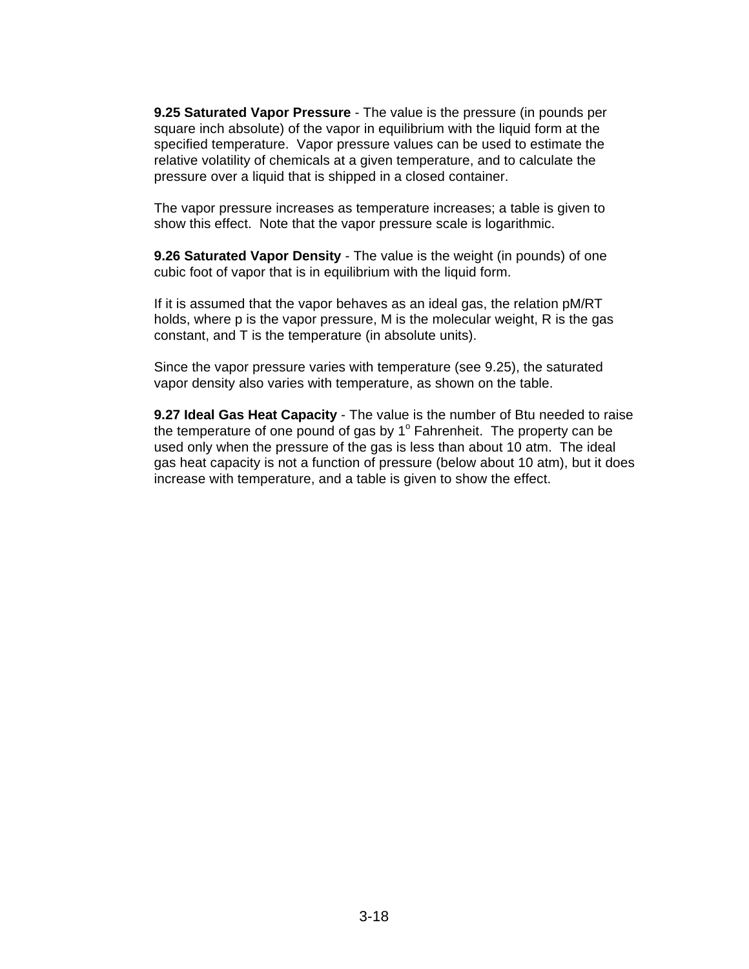**9.25 Saturated Vapor Pressure** - The value is the pressure (in pounds per square inch absolute) of the vapor in equilibrium with the liquid form at the specified temperature. Vapor pressure values can be used to estimate the relative volatility of chemicals at a given temperature, and to calculate the pressure over a liquid that is shipped in a closed container.

The vapor pressure increases as temperature increases; a table is given to show this effect. Note that the vapor pressure scale is logarithmic.

**9.26 Saturated Vapor Density** - The value is the weight (in pounds) of one cubic foot of vapor that is in equilibrium with the liquid form.

If it is assumed that the vapor behaves as an ideal gas, the relation pM/RT holds, where p is the vapor pressure, M is the molecular weight, R is the gas constant, and T is the temperature (in absolute units).

Since the vapor pressure varies with temperature (see 9.25), the saturated vapor density also varies with temperature, as shown on the table.

**9.27 Ideal Gas Heat Capacity** - The value is the number of Btu needed to raise the temperature of one pound of gas by  $1^\circ$  Fahrenheit. The property can be used only when the pressure of the gas is less than about 10 atm. The ideal gas heat capacity is not a function of pressure (below about 10 atm), but it does increase with temperature, and a table is given to show the effect.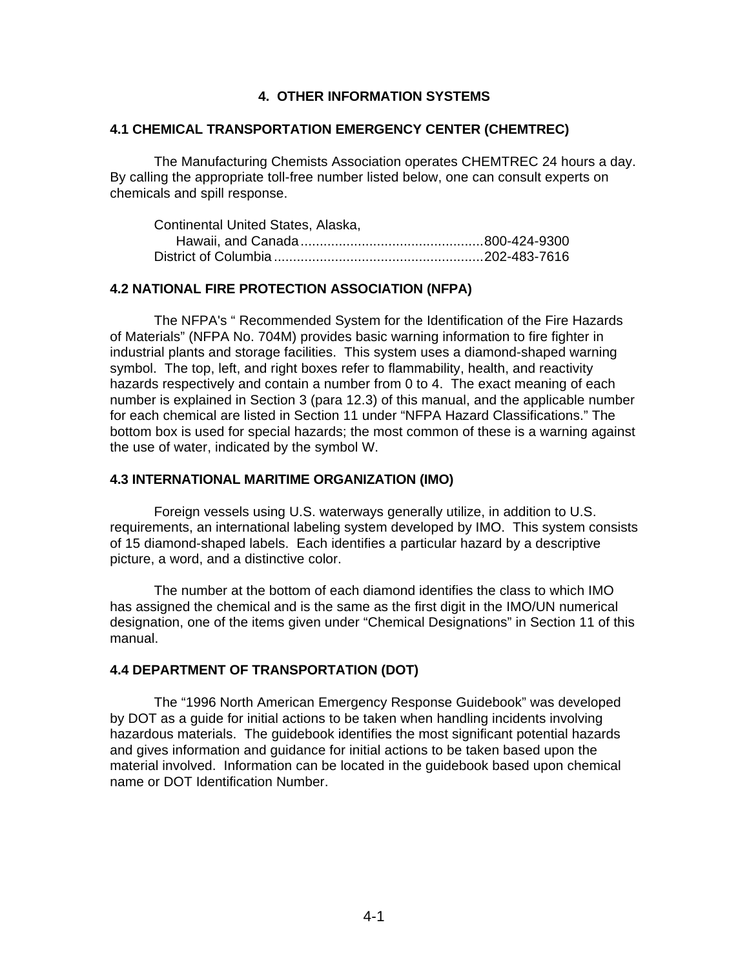#### **4. OTHER INFORMATION SYSTEMS**

#### **4.1 CHEMICAL TRANSPORTATION EMERGENCY CENTER (CHEMTREC)**

The Manufacturing Chemists Association operates CHEMTREC 24 hours a day. By calling the appropriate toll-free number listed below, one can consult experts on chemicals and spill response.

| Continental United States, Alaska, |  |
|------------------------------------|--|
|                                    |  |
|                                    |  |

#### **4.2 NATIONAL FIRE PROTECTION ASSOCIATION (NFPA)**

The NFPA's " Recommended System for the Identification of the Fire Hazards of Materials" (NFPA No. 704M) provides basic warning information to fire fighter in industrial plants and storage facilities. This system uses a diamond-shaped warning symbol. The top, left, and right boxes refer to flammability, health, and reactivity hazards respectively and contain a number from 0 to 4. The exact meaning of each number is explained in Section 3 (para 12.3) of this manual, and the applicable number for each chemical are listed in Section 11 under "NFPA Hazard Classifications." The bottom box is used for special hazards; the most common of these is a warning against the use of water, indicated by the symbol W.

#### **4.3 INTERNATIONAL MARITIME ORGANIZATION (IMO)**

Foreign vessels using U.S. waterways generally utilize, in addition to U.S. requirements, an international labeling system developed by IMO. This system consists of 15 diamond-shaped labels. Each identifies a particular hazard by a descriptive picture, a word, and a distinctive color.

The number at the bottom of each diamond identifies the class to which IMO has assigned the chemical and is the same as the first digit in the IMO/UN numerical designation, one of the items given under "Chemical Designations" in Section 11 of this manual.

#### **4.4 DEPARTMENT OF TRANSPORTATION (DOT)**

The "1996 North American Emergency Response Guidebook" was developed by DOT as a guide for initial actions to be taken when handling incidents involving hazardous materials. The guidebook identifies the most significant potential hazards and gives information and guidance for initial actions to be taken based upon the material involved. Information can be located in the guidebook based upon chemical name or DOT Identification Number.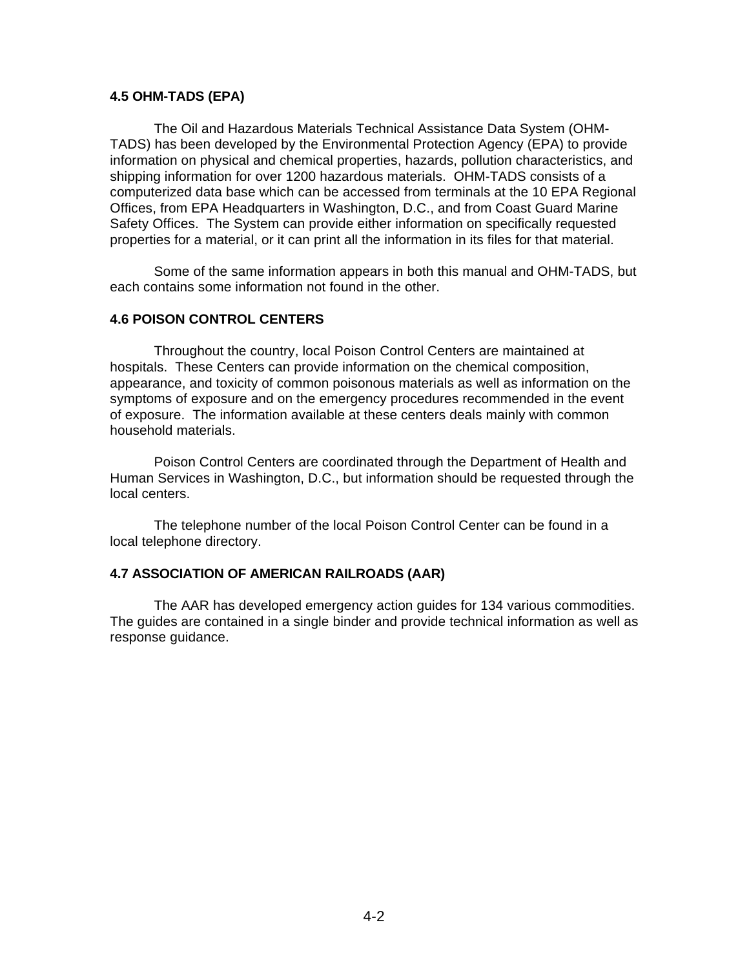#### **4.5 OHM-TADS (EPA)**

The Oil and Hazardous Materials Technical Assistance Data System (OHM-TADS) has been developed by the Environmental Protection Agency (EPA) to provide information on physical and chemical properties, hazards, pollution characteristics, and shipping information for over 1200 hazardous materials. OHM-TADS consists of a computerized data base which can be accessed from terminals at the 10 EPA Regional Offices, from EPA Headquarters in Washington, D.C., and from Coast Guard Marine Safety Offices. The System can provide either information on specifically requested properties for a material, or it can print all the information in its files for that material.

Some of the same information appears in both this manual and OHM-TADS, but each contains some information not found in the other.

#### **4.6 POISON CONTROL CENTERS**

Throughout the country, local Poison Control Centers are maintained at hospitals. These Centers can provide information on the chemical composition, appearance, and toxicity of common poisonous materials as well as information on the symptoms of exposure and on the emergency procedures recommended in the event of exposure. The information available at these centers deals mainly with common household materials.

Poison Control Centers are coordinated through the Department of Health and Human Services in Washington, D.C., but information should be requested through the local centers.

The telephone number of the local Poison Control Center can be found in a local telephone directory.

#### **4.7 ASSOCIATION OF AMERICAN RAILROADS (AAR)**

The AAR has developed emergency action guides for 134 various commodities. The guides are contained in a single binder and provide technical information as well as response guidance.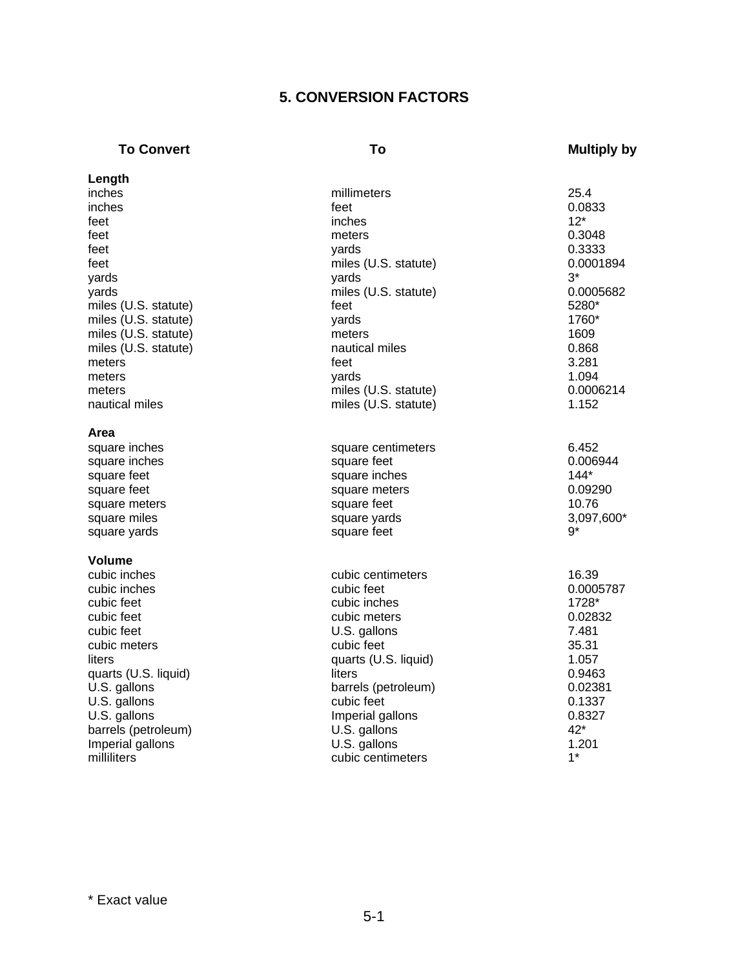# **5. CONVERSION FACTORS**

# **To Convert To To To Multiply by**

| Length               |                            |            |
|----------------------|----------------------------|------------|
| inches               | millimeters                | 25.4       |
| inches               | feet                       | 0.0833     |
| feet                 | inches                     | $12*$      |
| feet                 | meters                     | 0.3048     |
| feet                 | yards                      | 0.3333     |
| feet                 | miles (U.S. statute)       | 0.0001894  |
| yards                | yards                      | 3*         |
| yards                | miles (U.S. statute)       | 0.0005682  |
| miles (U.S. statute) | feet                       | 5280*      |
| miles (U.S. statute) | yards                      | 1760*      |
| miles (U.S. statute) | meters                     | 1609       |
| miles (U.S. statute) | nautical miles             | 0.868      |
| meters               | feet                       | 3.281      |
| meters               | yards                      | 1.094      |
| meters               | miles (U.S. statute)       | 0.0006214  |
| nautical miles       | miles (U.S. statute)       | 1.152      |
|                      |                            |            |
| Area                 |                            |            |
| square inches        | square centimeters         | 6.452      |
| square inches        | square feet                | 0.006944   |
| square feet          | square inches              | $144*$     |
| square feet          | square meters              | 0.09290    |
| square meters        | square feet                | 10.76      |
| square miles         | square yards               | 3,097,600* |
| square yards         | square feet                | $9*$       |
| <b>Volume</b>        |                            |            |
| cubic inches         | cubic centimeters          | 16.39      |
| cubic inches         | cubic feet                 | 0.0005787  |
| cubic feet           | cubic inches               | 1728*      |
| cubic feet           | cubic meters               | 0.02832    |
| cubic feet           |                            | 7.481      |
| cubic meters         | U.S. gallons<br>cubic feet | 35.31      |
| liters               |                            | 1.057      |
|                      | quarts (U.S. liquid)       |            |
| quarts (U.S. liquid) | liters                     | 0.9463     |
| U.S. gallons         | barrels (petroleum)        | 0.02381    |
| U.S. gallons         | cubic feet                 | 0.1337     |
| U.S. gallons         | Imperial gallons           | 0.8327     |
| barrels (petroleum)  | U.S. gallons               | 42*        |
| Imperial gallons     | U.S. gallons               | 1.201      |
| milliliters          | cubic centimeters          | $1^*$      |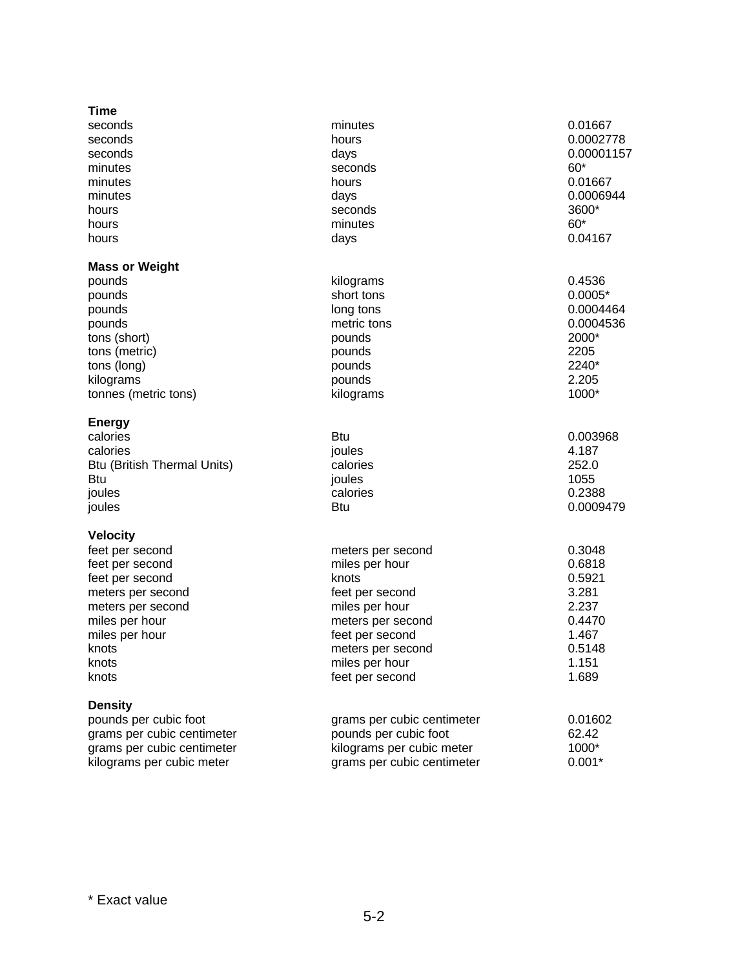| Time                               |                            |            |
|------------------------------------|----------------------------|------------|
| seconds                            | minutes                    | 0.01667    |
| seconds                            | hours                      | 0.0002778  |
| seconds                            | days                       | 0.00001157 |
| minutes                            | seconds                    | $60*$      |
| minutes                            | hours                      | 0.01667    |
| minutes                            | days                       | 0.0006944  |
| hours                              | seconds                    | 3600*      |
| hours                              | minutes                    | $60*$      |
| hours                              | days                       | 0.04167    |
| <b>Mass or Weight</b>              |                            |            |
| pounds                             | kilograms                  | 0.4536     |
| pounds                             | short tons                 | $0.0005*$  |
| pounds                             | long tons                  | 0.0004464  |
| pounds                             | metric tons                | 0.0004536  |
| tons (short)                       | pounds                     | 2000*      |
| tons (metric)                      | pounds                     | 2205       |
| tons (long)                        | pounds                     | 2240*      |
| kilograms                          | pounds                     | 2.205      |
| tonnes (metric tons)               | kilograms                  | 1000*      |
| <b>Energy</b>                      |                            |            |
| calories                           | <b>Btu</b>                 | 0.003968   |
| calories                           | joules                     | 4.187      |
| <b>Btu (British Thermal Units)</b> | calories                   | 252.0      |
| Btu                                | joules                     | 1055       |
| joules                             | calories                   | 0.2388     |
| joules                             | <b>Btu</b>                 | 0.0009479  |
| <b>Velocity</b>                    |                            |            |
| feet per second                    | meters per second          | 0.3048     |
| feet per second                    | miles per hour             | 0.6818     |
| feet per second                    | knots                      | 0.5921     |
| meters per second                  | feet per second            | 3.281      |
| meters per second                  | miles per hour             | 2.237      |
| miles per hour                     | meters per second          | 0.4470     |
| miles per hour                     | feet per second            | 1.467      |
| knots                              | meters per second          | 0.5148     |
| knots                              | miles per hour             | 1.151      |
| knots                              | feet per second            | 1.689      |
| <b>Density</b>                     |                            |            |
| pounds per cubic foot              | grams per cubic centimeter | 0.01602    |
| grams per cubic centimeter         | pounds per cubic foot      | 62.42      |
| grams per cubic centimeter         | kilograms per cubic meter  | 1000*      |
| kilograms per cubic meter          | grams per cubic centimeter | $0.001*$   |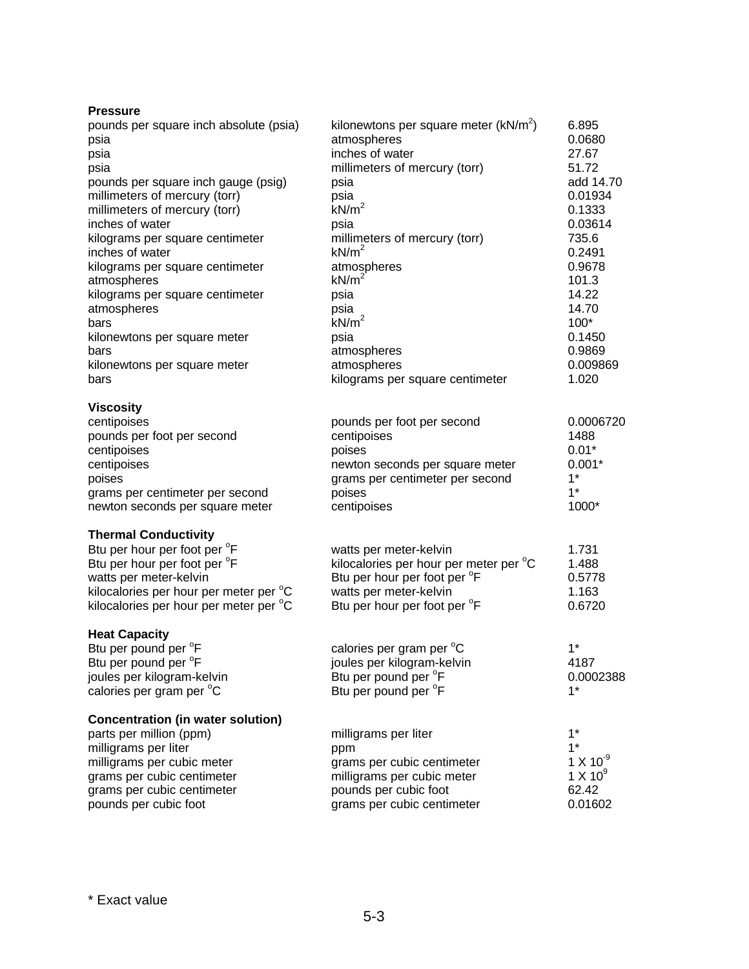| <b>Pressure</b>                          |                                          |                     |
|------------------------------------------|------------------------------------------|---------------------|
| pounds per square inch absolute (psia)   | kilonewtons per square meter $(kN/m^2)$  | 6.895               |
| psia                                     | atmospheres                              | 0.0680              |
| psia                                     | inches of water                          | 27.67               |
| psia                                     | millimeters of mercury (torr)            | 51.72               |
| pounds per square inch gauge (psig)      | psia                                     | add 14.70           |
| millimeters of mercury (torr)            | psia                                     | 0.01934             |
| millimeters of mercury (torr)            | kN/m <sup>2</sup>                        | 0.1333              |
| inches of water                          | psia                                     | 0.03614             |
| kilograms per square centimeter          | millimeters of mercury (torr)            | 735.6               |
| inches of water                          | kN/m <sup>2</sup>                        | 0.2491              |
| kilograms per square centimeter          | atmospheres                              | 0.9678              |
| atmospheres                              | kN/m <sup>2</sup>                        | 101.3               |
| kilograms per square centimeter          | psia                                     | 14.22               |
| atmospheres                              | psia                                     | 14.70               |
| bars                                     | kN/m <sup>2</sup>                        | 100*                |
| kilonewtons per square meter             | psia                                     | 0.1450<br>0.9869    |
| bars                                     | atmospheres<br>atmospheres               | 0.009869            |
| kilonewtons per square meter<br>bars     | kilograms per square centimeter          | 1.020               |
|                                          |                                          |                     |
| <b>Viscosity</b>                         |                                          |                     |
| centipoises                              | pounds per foot per second               | 0.0006720           |
| pounds per foot per second               | centipoises                              | 1488                |
| centipoises                              | poises                                   | $0.01*$             |
| centipoises                              | newton seconds per square meter          | $0.001*$            |
| poises                                   | grams per centimeter per second          | $1*$                |
| grams per centimeter per second          | poises                                   | $1^*$               |
| newton seconds per square meter          | centipoises                              | 1000*               |
| <b>Thermal Conductivity</b>              |                                          |                     |
| Btu per hour per foot per <sup>o</sup> F | watts per meter-kelvin                   | 1.731               |
| Btu per hour per foot per <sup>o</sup> F | kilocalories per hour per meter per °C   | 1.488               |
| watts per meter-kelvin                   | Btu per hour per foot per <sup>o</sup> F | 0.5778              |
| kilocalories per hour per meter per °C   | watts per meter-kelvin                   | 1.163               |
| kilocalories per hour per meter per °C   | Btu per hour per foot per <sup>o</sup> F | 0.6720              |
| <b>Heat Capacity</b>                     |                                          |                     |
| Btu per pound per °F                     | calories per gram per °C                 | $1*$                |
| Btu per pound per <sup>o</sup> F         | joules per kilogram-kelvin               | 4187                |
| joules per kilogram-kelvin               | Btu per pound per <sup>o</sup> F         | 0.0002388           |
| calories per gram per °C                 | Btu per pound per <sup>o</sup> F         | $1*$                |
| <b>Concentration (in water solution)</b> |                                          |                     |
| parts per million (ppm)                  | milligrams per liter                     | $1^*$               |
| milligrams per liter                     | ppm                                      | $1*$                |
| milligrams per cubic meter               | grams per cubic centimeter               | $1 X 10^{-9}$       |
| grams per cubic centimeter               | milligrams per cubic meter               | 1 X 10 <sup>9</sup> |
| grams per cubic centimeter               | pounds per cubic foot                    | 62.42               |
| pounds per cubic foot                    | grams per cubic centimeter               | 0.01602             |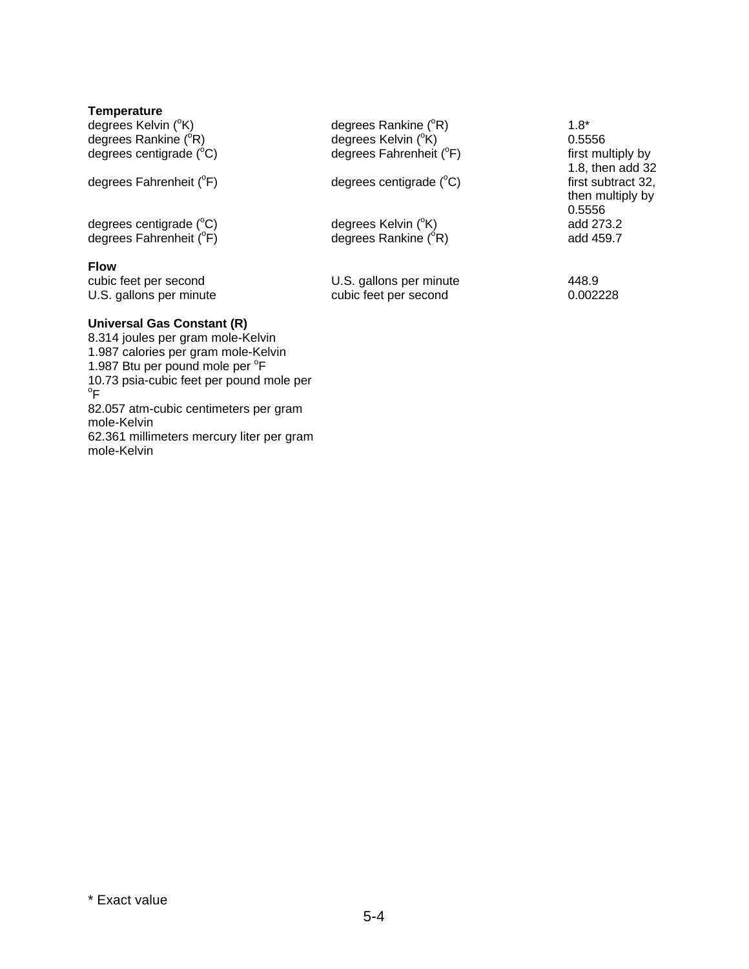| <b>Temperature</b>                  |                                  |                    |
|-------------------------------------|----------------------------------|--------------------|
| degrees Kelvin ( <sup>°</sup> K)    | degrees Rankine (°R)             | $1.8*$             |
| degrees Rankine $(^{\circ}R)$       | degrees Kelvin (°K)              | 0.5556             |
| degrees centigrade $(^{\circ}C)$    | degrees Fahrenheit (°F)          | first multiply by  |
|                                     |                                  | 1.8, then add 32   |
| degrees Fahrenheit (°F)             | degrees centigrade $(^{\circ}C)$ | first subtract 32, |
|                                     |                                  | then multiply by   |
|                                     |                                  | 0.5556             |
| degrees centigrade $(^{\circ}C)$    | degrees Kelvin ( <sup>°</sup> K) | add 273.2          |
| degrees Fahrenheit (°F)             | degrees Rankine $(^{\circ}R)$    | add 459.7          |
| <b>Flow</b>                         |                                  |                    |
| cubic feet per second               | U.S. gallons per minute          | 448.9              |
| U.S. gallons per minute             | cubic feet per second            | 0.002228           |
| Universal Gas Constant (R)          |                                  |                    |
| 8.314 joules per gram mole-Kelvin   |                                  |                    |
| 1.987 calories per gram mole-Kelvin |                                  |                    |

1.987 Btu per pound mole per <sup>o</sup>F

 $\mathrm{^{\circ}F}$ 

mole-Kelvin

mole-Kelvin

10.73 psia-cubic feet per pound mole per

82.057 atm-cubic centimeters per gram

62.361 millimeters mercury liter per gram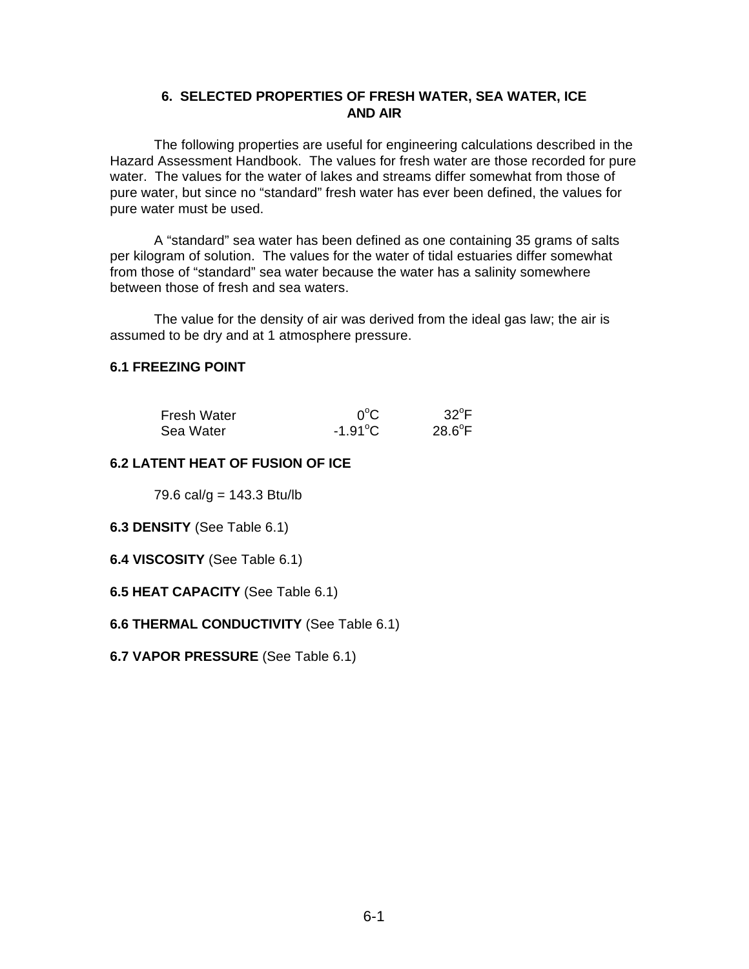### **6. SELECTED PROPERTIES OF FRESH WATER, SEA WATER, ICE AND AIR**

The following properties are useful for engineering calculations described in the Hazard Assessment Handbook. The values for fresh water are those recorded for pure water. The values for the water of lakes and streams differ somewhat from those of pure water, but since no "standard" fresh water has ever been defined, the values for pure water must be used.

A "standard" sea water has been defined as one containing 35 grams of salts per kilogram of solution. The values for the water of tidal estuaries differ somewhat from those of "standard" sea water because the water has a salinity somewhere between those of fresh and sea waters.

The value for the density of air was derived from the ideal gas law; the air is assumed to be dry and at 1 atmosphere pressure.

# **6.1 FREEZING POINT**

| <b>Fresh Water</b> | $0^{\circ}$ C     | $32^{\circ}$ F  |
|--------------------|-------------------|-----------------|
| Sea Water          | $-1.91^{\circ}$ C | $28.6^{\circ}F$ |

#### **6.2 LATENT HEAT OF FUSION OF ICE**

79.6 cal/g =  $143.3$  Btu/lb

#### **6.3 DENSITY** (See Table 6.1)

- **6.4 VISCOSITY** (See Table 6.1)
- **6.5 HEAT CAPACITY** (See Table 6.1)

#### **6.6 THERMAL CONDUCTIVITY** (See Table 6.1)

**6.7 VAPOR PRESSURE** (See Table 6.1)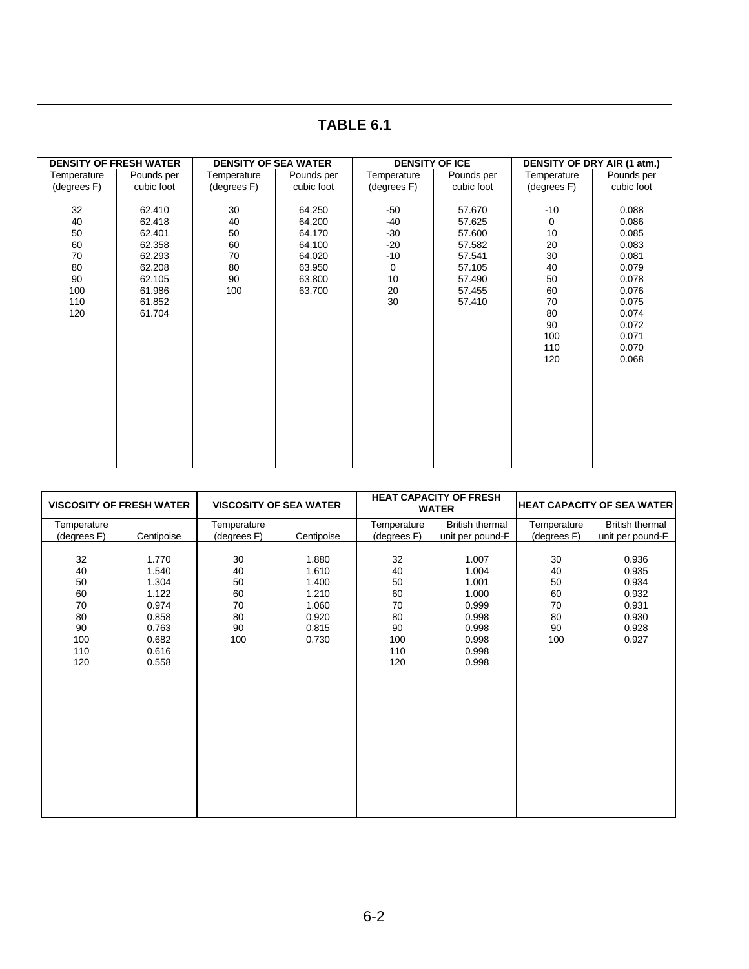# **TABLE 6.1**

| <b>DENSITY OF FRESH WATER</b> |            | <b>DENSITY OF SEA WATER</b> |            | <b>DENSITY OF ICE</b> |            | DENSITY OF DRY AIR (1 atm.) |            |
|-------------------------------|------------|-----------------------------|------------|-----------------------|------------|-----------------------------|------------|
| Temperature                   | Pounds per | Temperature                 | Pounds per | Temperature           | Pounds per | Temperature                 | Pounds per |
| (degrees F)                   | cubic foot | (degrees F)                 | cubic foot | (degrees F)           | cubic foot | (degrees F)                 | cubic foot |
|                               |            |                             |            |                       |            |                             |            |
| 32                            | 62.410     | 30                          | 64.250     | $-50$                 | 57.670     | $-10$                       | 0.088      |
| 40                            | 62.418     | 40                          | 64.200     | $-40$                 | 57.625     | $\mathbf 0$                 | 0.086      |
| 50                            | 62.401     | 50                          | 64.170     | $-30$                 | 57.600     | 10                          | 0.085      |
| 60                            | 62.358     | 60                          | 64.100     | $-20$                 | 57.582     | 20                          | 0.083      |
| 70                            | 62.293     | 70                          | 64.020     | $-10$                 | 57.541     | 30                          | 0.081      |
| 80                            | 62.208     | 80                          | 63.950     | 0                     | 57.105     | 40                          | 0.079      |
| 90                            | 62.105     | 90                          | 63.800     | 10                    | 57.490     | 50                          | 0.078      |
| 100                           | 61.986     | 100                         | 63.700     | 20                    | 57.455     | 60                          | 0.076      |
| 110                           | 61.852     |                             |            | 30                    | 57.410     | 70                          | 0.075      |
| 120                           | 61.704     |                             |            |                       |            | 80                          | 0.074      |
|                               |            |                             |            |                       |            | 90                          | 0.072      |
|                               |            |                             |            |                       |            | 100                         | 0.071      |
|                               |            |                             |            |                       |            | 110                         | 0.070      |
|                               |            |                             |            |                       |            | 120                         | 0.068      |
|                               |            |                             |            |                       |            |                             |            |
|                               |            |                             |            |                       |            |                             |            |
|                               |            |                             |            |                       |            |                             |            |
|                               |            |                             |            |                       |            |                             |            |
|                               |            |                             |            |                       |            |                             |            |
|                               |            |                             |            |                       |            |                             |            |
|                               |            |                             |            |                       |            |                             |            |
|                               |            |                             |            |                       |            |                             |            |
|                               |            |                             |            |                       |            |                             |            |

| <b>VISCOSITY OF FRESH WATER</b>                             |                                                                                        | <b>VISCOSITY OF SEA WATER</b>                 |                                                                      | <b>HEAT CAPACITY OF FRESH</b><br><b>WATER</b>               |                                                                                        | <b>HEAT CAPACITY OF SEA WATER</b>             |                                                                      |
|-------------------------------------------------------------|----------------------------------------------------------------------------------------|-----------------------------------------------|----------------------------------------------------------------------|-------------------------------------------------------------|----------------------------------------------------------------------------------------|-----------------------------------------------|----------------------------------------------------------------------|
| Temperature<br>(degrees F)                                  | Centipoise                                                                             | Temperature<br>(degrees F)                    | Centipoise                                                           | Temperature<br>(degrees F)                                  | <b>British thermal</b><br>unit per pound-F                                             | Temperature<br>(degrees F)                    | <b>British thermal</b><br>unit per pound-F                           |
| 32<br>40<br>50<br>60<br>70<br>80<br>90<br>100<br>110<br>120 | 1.770<br>1.540<br>1.304<br>1.122<br>0.974<br>0.858<br>0.763<br>0.682<br>0.616<br>0.558 | 30<br>40<br>50<br>60<br>70<br>80<br>90<br>100 | 1.880<br>1.610<br>1.400<br>1.210<br>1.060<br>0.920<br>0.815<br>0.730 | 32<br>40<br>50<br>60<br>70<br>80<br>90<br>100<br>110<br>120 | 1.007<br>1.004<br>1.001<br>1.000<br>0.999<br>0.998<br>0.998<br>0.998<br>0.998<br>0.998 | 30<br>40<br>50<br>60<br>70<br>80<br>90<br>100 | 0.936<br>0.935<br>0.934<br>0.932<br>0.931<br>0.930<br>0.928<br>0.927 |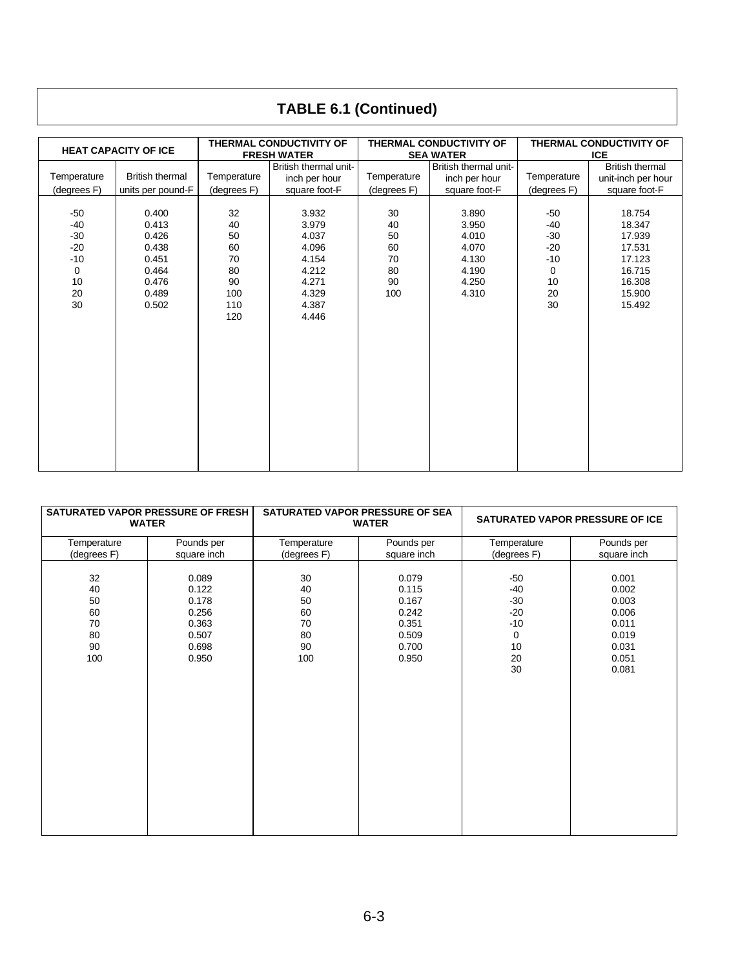# **TABLE 6.1 (Continued)**

|                                                                            |                                                                               |                                                             | THERMAL CONDUCTIVITY OF                                                                |                                               | THERMAL CONDUCTIVITY OF                                              | THERMAL CONDUCTIVITY OF                                                  |                                                                                        |  |  |  |
|----------------------------------------------------------------------------|-------------------------------------------------------------------------------|-------------------------------------------------------------|----------------------------------------------------------------------------------------|-----------------------------------------------|----------------------------------------------------------------------|--------------------------------------------------------------------------|----------------------------------------------------------------------------------------|--|--|--|
| <b>HEAT CAPACITY OF ICE</b>                                                |                                                                               |                                                             | <b>FRESH WATER</b>                                                                     |                                               | <b>SEA WATER</b>                                                     | <b>ICE</b>                                                               |                                                                                        |  |  |  |
|                                                                            |                                                                               |                                                             | British thermal unit-                                                                  |                                               | British thermal unit-                                                |                                                                          | <b>British thermal</b>                                                                 |  |  |  |
| Temperature                                                                | <b>British thermal</b>                                                        | Temperature                                                 | inch per hour                                                                          | Temperature                                   | inch per hour                                                        | Temperature                                                              | unit-inch per hour                                                                     |  |  |  |
| (degrees F)                                                                | units per pound-F                                                             | (degrees F)                                                 | square foot-F                                                                          | (degrees F)                                   | square foot-F                                                        | (degrees F)                                                              | square foot-F                                                                          |  |  |  |
| $-50$<br>$-40$<br>$-30$<br>$-20$<br>$-10$<br>$\mathbf 0$<br>10<br>20<br>30 | 0.400<br>0.413<br>0.426<br>0.438<br>0.451<br>0.464<br>0.476<br>0.489<br>0.502 | 32<br>40<br>50<br>60<br>70<br>80<br>90<br>100<br>110<br>120 | 3.932<br>3.979<br>4.037<br>4.096<br>4.154<br>4.212<br>4.271<br>4.329<br>4.387<br>4.446 | 30<br>40<br>50<br>60<br>70<br>80<br>90<br>100 | 3.890<br>3.950<br>4.010<br>4.070<br>4.130<br>4.190<br>4.250<br>4.310 | $-50$<br>-40<br>$-30$<br>$-20$<br>$-10$<br>$\mathbf 0$<br>10<br>20<br>30 | 18.754<br>18.347<br>17.939<br>17.531<br>17.123<br>16.715<br>16.308<br>15,900<br>15.492 |  |  |  |
|                                                                            |                                                                               |                                                             |                                                                                        |                                               |                                                                      |                                                                          |                                                                                        |  |  |  |

|                                               | SATURATED VAPOR PRESSURE OF FRESH<br><b>WATER</b>                    |                                                         | SATURATED VAPOR PRESSURE OF SEA<br><b>WATER</b>                      | SATURATED VAPOR PRESSURE OF ICE                                    |                                                                               |  |  |  |  |
|-----------------------------------------------|----------------------------------------------------------------------|---------------------------------------------------------|----------------------------------------------------------------------|--------------------------------------------------------------------|-------------------------------------------------------------------------------|--|--|--|--|
| Temperature<br>(degrees F)                    | Pounds per<br>square inch                                            | Pounds per<br>Temperature<br>(degrees F)<br>square inch |                                                                      | Temperature<br>(degrees F)                                         | Pounds per<br>square inch                                                     |  |  |  |  |
| 32<br>40<br>50<br>60<br>70<br>80<br>90<br>100 | 0.089<br>0.122<br>0.178<br>0.256<br>0.363<br>0.507<br>0.698<br>0.950 | 30<br>40<br>50<br>60<br>70<br>80<br>90<br>100           | 0.079<br>0.115<br>0.167<br>0.242<br>0.351<br>0.509<br>0.700<br>0.950 | $-50$<br>-40<br>$-30$<br>$-20$<br>$-10$<br>0<br>10<br>$20\,$<br>30 | 0.001<br>0.002<br>0.003<br>0.006<br>0.011<br>0.019<br>0.031<br>0.051<br>0.081 |  |  |  |  |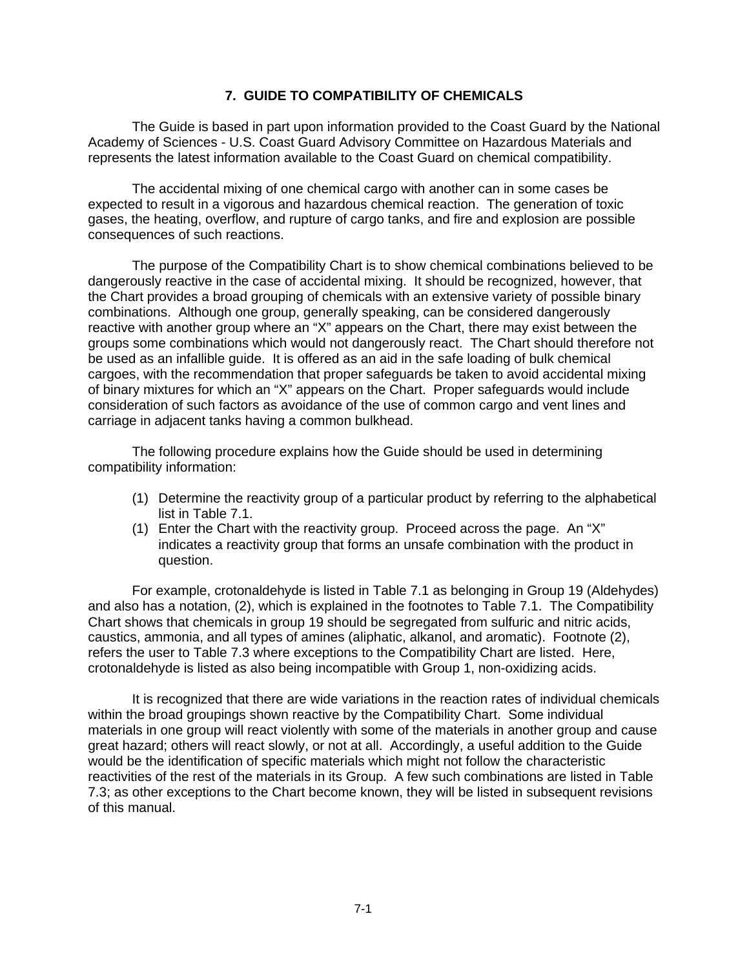#### **7. GUIDE TO COMPATIBILITY OF CHEMICALS**

The Guide is based in part upon information provided to the Coast Guard by the National Academy of Sciences - U.S. Coast Guard Advisory Committee on Hazardous Materials and represents the latest information available to the Coast Guard on chemical compatibility.

The accidental mixing of one chemical cargo with another can in some cases be expected to result in a vigorous and hazardous chemical reaction. The generation of toxic gases, the heating, overflow, and rupture of cargo tanks, and fire and explosion are possible consequences of such reactions.

The purpose of the Compatibility Chart is to show chemical combinations believed to be dangerously reactive in the case of accidental mixing. It should be recognized, however, that the Chart provides a broad grouping of chemicals with an extensive variety of possible binary combinations. Although one group, generally speaking, can be considered dangerously reactive with another group where an "X" appears on the Chart, there may exist between the groups some combinations which would not dangerously react. The Chart should therefore not be used as an infallible guide. It is offered as an aid in the safe loading of bulk chemical cargoes, with the recommendation that proper safeguards be taken to avoid accidental mixing of binary mixtures for which an "X" appears on the Chart. Proper safeguards would include consideration of such factors as avoidance of the use of common cargo and vent lines and carriage in adjacent tanks having a common bulkhead.

The following procedure explains how the Guide should be used in determining compatibility information:

- (1) Determine the reactivity group of a particular product by referring to the alphabetical list in Table 7.1.
- (1) Enter the Chart with the reactivity group. Proceed across the page. An "X" indicates a reactivity group that forms an unsafe combination with the product in question.

For example, crotonaldehyde is listed in Table 7.1 as belonging in Group 19 (Aldehydes) and also has a notation, (2), which is explained in the footnotes to Table 7.1. The Compatibility Chart shows that chemicals in group 19 should be segregated from sulfuric and nitric acids, caustics, ammonia, and all types of amines (aliphatic, alkanol, and aromatic). Footnote (2), refers the user to Table 7.3 where exceptions to the Compatibility Chart are listed. Here, crotonaldehyde is listed as also being incompatible with Group 1, non-oxidizing acids.

It is recognized that there are wide variations in the reaction rates of individual chemicals within the broad groupings shown reactive by the Compatibility Chart. Some individual materials in one group will react violently with some of the materials in another group and cause great hazard; others will react slowly, or not at all. Accordingly, a useful addition to the Guide would be the identification of specific materials which might not follow the characteristic reactivities of the rest of the materials in its Group. A few such combinations are listed in Table 7.3; as other exceptions to the Chart become known, they will be listed in subsequent revisions of this manual.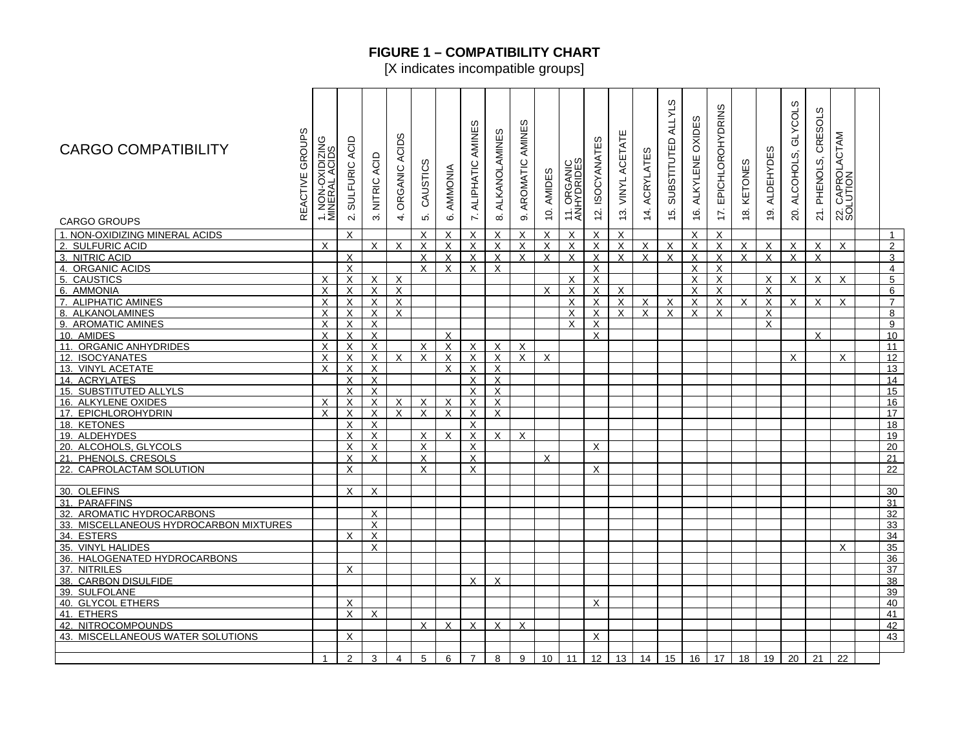# **FIGURE 1 – COMPATIBILITY CHART**

[X indicates incompatible groups]

| GROUPS<br><b>CARGO COMPATIBILITY</b><br>REACTIVE<br><b>CARGO GROUPS</b> | 1. NON-OXIDIZIN<br>MINERAL ACIDS                       | SULFURIC ACID<br>$\overline{\mathsf{N}}$ | NITRIC ACID<br>$\sim$ | ORGANIC ACIDS<br>$\overline{4}$ | CAUSTICS<br>ιó.           | AMMONIA<br>$\ddot{\circ}$ | AMINES<br>ALIPHATIC<br>$\overline{\mathcal{N}}$ | ഗ<br>ALKANOLAMINE<br>$\infty$ | AMINES<br>AROMATIC<br>တ | 10. AMIDES                            | 11. ORGANIC<br>ANHYDRIDES             | <b>ISOCYANATES</b><br>$\overline{2}$ | ш<br>VINYL ACETAT<br>$\frac{3}{2}$ | ACRYLATES<br>14. | w<br>ALLYL'<br>SUBSTITUTED<br>15. | OXIDES<br>ALKYLENE<br><u>ʻ</u> | <b>EPICHLOROHYDRINS</b><br>17. | KETONES<br>$\frac{8}{1}$ | <b>ALDEHYDES</b><br>19. | ALCOHOLS, GLYCOLS<br>20. | ഗ<br>ಕ<br>CRES<br>21. PHENOLS, | 22. CAPROLACTAM<br>SOLUTION |                                  |
|-------------------------------------------------------------------------|--------------------------------------------------------|------------------------------------------|-----------------------|---------------------------------|---------------------------|---------------------------|-------------------------------------------------|-------------------------------|-------------------------|---------------------------------------|---------------------------------------|--------------------------------------|------------------------------------|------------------|-----------------------------------|--------------------------------|--------------------------------|--------------------------|-------------------------|--------------------------|--------------------------------|-----------------------------|----------------------------------|
| 1. NON-OXIDIZING MINERAL ACIDS                                          |                                                        | $\mathsf{X}$                             |                       |                                 | X                         | X                         | X                                               | $\mathsf{X}$                  | X                       | $\pmb{\times}$                        | $\times$                              | X                                    | X                                  |                  |                                   | X                              | $\times$                       |                          |                         |                          |                                |                             | $\overline{1}$                   |
|                                                                         | X                                                      |                                          | X                     | X                               | $\times$                  | X                         | $\sf X$                                         | $\sf X$                       | X                       |                                       | $\times$                              | X                                    | $\mathsf{X}$                       | X                | X                                 | X                              | $\times$                       | X                        | X                       | X                        | $\times$                       | $\mathsf{x}$                |                                  |
| 2. SULFURIC ACID<br>3. NITRIC ACID                                      |                                                        | X                                        |                       |                                 | X                         | X                         | X                                               | $\mathsf{X}$                  | $\mathsf{X}$            | $\boldsymbol{\mathsf{X}}$<br>$\times$ | X                                     | X                                    | $\mathsf{X}$                       | $\overline{X}$   | $\times$                          | X                              | $\times$                       | $\mathsf{X}$             | X                       | $\mathsf{x}$             | $\mathsf{X}$                   |                             | $\overline{2}$                   |
| 4. ORGANIC ACIDS                                                        |                                                        |                                          |                       |                                 | X                         | X                         | X                                               | X                             |                         |                                       |                                       |                                      |                                    |                  |                                   | X                              | $\times$                       |                          |                         |                          |                                |                             | 3                                |
| 5. CAUSTICS                                                             | x                                                      | X                                        |                       |                                 |                           |                           |                                                 |                               |                         |                                       |                                       | X                                    |                                    |                  |                                   |                                |                                |                          |                         |                          |                                |                             | $\overline{4}$<br>$\overline{5}$ |
|                                                                         |                                                        | X                                        | X                     | X                               |                           |                           |                                                 |                               |                         |                                       | $\times$                              | X                                    |                                    |                  |                                   | X                              | $\times$                       |                          | X                       | X                        | $\sf X$                        | X                           |                                  |
| 6.<br><b>AMMONIA</b><br>7. ALIPHATIC AMINES                             | $\times$<br>$\boldsymbol{\mathsf{x}}$                  | X                                        | X                     | X                               |                           |                           |                                                 |                               |                         | X                                     | $\times$                              | X                                    | X                                  |                  |                                   | X                              | $\times$                       |                          | X                       |                          |                                |                             | $6\phantom{1}$                   |
|                                                                         | $\boldsymbol{\mathsf{x}}$                              | $\mathsf{X}$<br>$\times$                 | X                     | X<br>$\mathsf{x}$               |                           |                           |                                                 |                               |                         |                                       | $\times$                              | X                                    | X                                  | X                | X                                 | X<br>$\mathsf{x}$              | X<br>$\boldsymbol{\mathsf{x}}$ | X                        | X                       | X                        | $\sf X$                        | X                           | $\overline{7}$                   |
| 8. ALKANOLAMINES                                                        |                                                        |                                          | X                     |                                 |                           |                           |                                                 |                               |                         |                                       | $\times$<br>$\boldsymbol{\mathsf{x}}$ | X                                    | X                                  | $\times$         | X                                 |                                |                                |                          | X                       |                          |                                |                             | $\overline{8}$                   |
| 9. AROMATIC AMINES                                                      | $\boldsymbol{\mathsf{X}}$<br>$\boldsymbol{\mathsf{x}}$ | $\times$<br>$\mathsf{X}$                 | X<br>X                |                                 |                           |                           |                                                 |                               |                         |                                       |                                       | X<br>$\times$                        |                                    |                  |                                   |                                |                                |                          | X                       |                          |                                |                             | $\boldsymbol{9}$                 |
| 10. AMIDES                                                              | $\boldsymbol{\mathsf{X}}$                              |                                          |                       |                                 |                           | $\times$                  |                                                 |                               |                         |                                       |                                       |                                      |                                    |                  |                                   |                                |                                |                          |                         |                          | $\times$                       |                             | 10                               |
| 11. ORGANIC ANHYDRIDES                                                  |                                                        | $\mathsf{x}$<br>$\mathsf{X}$             | X                     |                                 | $\sf X$                   | X                         | $\times$                                        | $\times$<br>$\times$          | X<br>$\mathsf{x}$       | $\times$                              |                                       |                                      |                                    |                  |                                   |                                |                                |                          |                         |                          |                                |                             | 11                               |
| 12. ISOCYANATES                                                         | $\times$<br>$\boldsymbol{\mathsf{x}}$                  |                                          | X                     | $\times$                        | $\times$                  | X<br>X                    | $\times$                                        |                               |                         |                                       |                                       |                                      |                                    |                  |                                   |                                |                                |                          |                         | X                        |                                | $\times$                    | 12                               |
| 13. VINYL ACETATE                                                       |                                                        | X<br>X                                   | X<br>X                |                                 |                           |                           | X<br>X                                          | X<br>X                        |                         |                                       |                                       |                                      |                                    |                  |                                   |                                |                                |                          |                         |                          |                                |                             | 13<br>14                         |
| 14. ACRYLATES                                                           |                                                        |                                          |                       |                                 |                           |                           |                                                 |                               |                         |                                       |                                       |                                      |                                    |                  |                                   |                                |                                |                          |                         |                          |                                |                             |                                  |
| 15. SUBSTITUTED ALLYLS                                                  |                                                        | $\overline{X}$                           | X                     | X                               |                           |                           | X                                               | $\overline{X}$                |                         |                                       |                                       |                                      |                                    |                  |                                   |                                |                                |                          |                         |                          |                                |                             | 15                               |
| 16. ALKYLENE OXIDES<br>17. EPICHLOROHYDRIN                              | X<br>X                                                 | X<br>X                                   | X<br>X                | X                               | X<br>X                    | X<br>X                    | X<br>X                                          | X<br>X                        |                         |                                       |                                       |                                      |                                    |                  |                                   |                                |                                |                          |                         |                          |                                |                             | 16<br>17                         |
|                                                                         |                                                        |                                          |                       |                                 |                           |                           |                                                 |                               |                         |                                       |                                       |                                      |                                    |                  |                                   |                                |                                |                          |                         |                          |                                |                             |                                  |
| 18. KETONES<br>19. ALDEHYDES                                            |                                                        | X<br>X                                   | X<br>X                |                                 | X                         | X                         | X<br>X                                          | X                             | X                       |                                       |                                       |                                      |                                    |                  |                                   |                                |                                |                          |                         |                          |                                |                             | 18<br>19                         |
| 20. ALCOHOLS, GLYCOLS                                                   |                                                        | X                                        | X                     |                                 | X                         |                           | X                                               |                               |                         |                                       |                                       | X                                    |                                    |                  |                                   |                                |                                |                          |                         |                          |                                |                             | 20                               |
|                                                                         |                                                        | $\mathsf{X}$                             | X                     |                                 | $\boldsymbol{\mathsf{X}}$ |                           | X                                               |                               |                         | $\mathsf{x}$                          |                                       |                                      |                                    |                  |                                   |                                |                                |                          |                         |                          |                                |                             | 21                               |
| 21. PHENOLS, CRESOLS<br>22. CAPROLACTAM SOLUTION                        |                                                        | $\mathsf{X}$                             |                       |                                 | $\mathsf{x}$              |                           | X                                               |                               |                         |                                       |                                       | X                                    |                                    |                  |                                   |                                |                                |                          |                         |                          |                                |                             | 22                               |
|                                                                         |                                                        |                                          |                       |                                 |                           |                           |                                                 |                               |                         |                                       |                                       |                                      |                                    |                  |                                   |                                |                                |                          |                         |                          |                                |                             |                                  |
| 30. OLEFINS                                                             |                                                        | X                                        | X                     |                                 |                           |                           |                                                 |                               |                         |                                       |                                       |                                      |                                    |                  |                                   |                                |                                |                          |                         |                          |                                |                             | 30                               |
| 31. PARAFFINS                                                           |                                                        |                                          |                       |                                 |                           |                           |                                                 |                               |                         |                                       |                                       |                                      |                                    |                  |                                   |                                |                                |                          |                         |                          |                                |                             | 31                               |
| 32. AROMATIC HYDROCARBONS                                               |                                                        |                                          | X                     |                                 |                           |                           |                                                 |                               |                         |                                       |                                       |                                      |                                    |                  |                                   |                                |                                |                          |                         |                          |                                |                             | 32                               |
| 33. MISCELLANEOUS HYDROCARBON MIXTURES                                  |                                                        |                                          | X                     |                                 |                           |                           |                                                 |                               |                         |                                       |                                       |                                      |                                    |                  |                                   |                                |                                |                          |                         |                          |                                |                             | 33                               |
| 34. ESTERS                                                              |                                                        | X                                        | X                     |                                 |                           |                           |                                                 |                               |                         |                                       |                                       |                                      |                                    |                  |                                   |                                |                                |                          |                         |                          |                                |                             | 34                               |
| 35. VINYL HALIDES                                                       |                                                        |                                          | X                     |                                 |                           |                           |                                                 |                               |                         |                                       |                                       |                                      |                                    |                  |                                   |                                |                                |                          |                         |                          |                                | X                           | 35                               |
| 36. HALOGENATED HYDROCARBONS                                            |                                                        |                                          |                       |                                 |                           |                           |                                                 |                               |                         |                                       |                                       |                                      |                                    |                  |                                   |                                |                                |                          |                         |                          |                                |                             |                                  |
| 37. NITRILES                                                            |                                                        | $\mathsf{X}$                             |                       |                                 |                           |                           |                                                 |                               |                         |                                       |                                       |                                      |                                    |                  |                                   |                                |                                |                          |                         |                          |                                |                             | $\frac{36}{37}$                  |
| 38. CARBON DISULFIDE                                                    |                                                        |                                          |                       |                                 |                           |                           | $\times$                                        | X                             |                         |                                       |                                       |                                      |                                    |                  |                                   |                                |                                |                          |                         |                          |                                |                             | 38                               |
| 39. SULFOLANE                                                           |                                                        |                                          |                       |                                 |                           |                           |                                                 |                               |                         |                                       |                                       |                                      |                                    |                  |                                   |                                |                                |                          |                         |                          |                                |                             | 39                               |
| 40. GLYCOL ETHERS                                                       |                                                        | X                                        |                       |                                 |                           |                           |                                                 |                               |                         |                                       |                                       | $\times$                             |                                    |                  |                                   |                                |                                |                          |                         |                          |                                |                             | 40                               |
| 41. ETHERS                                                              |                                                        | X                                        | X                     |                                 |                           |                           |                                                 |                               |                         |                                       |                                       |                                      |                                    |                  |                                   |                                |                                |                          |                         |                          |                                |                             | 41                               |
| 42. NITROCOMPOUNDS                                                      |                                                        |                                          |                       |                                 | $\boldsymbol{\mathsf{x}}$ | X                         | $\mathsf{x}$                                    | $\times$                      | $\mathsf{x}$            |                                       |                                       |                                      |                                    |                  |                                   |                                |                                |                          |                         |                          |                                |                             | 42                               |
| 43. MISCELLANEOUS WATER SOLUTIONS                                       |                                                        | X                                        |                       |                                 |                           |                           |                                                 |                               |                         |                                       |                                       | X                                    |                                    |                  |                                   |                                |                                |                          |                         |                          |                                |                             | 43                               |
|                                                                         |                                                        |                                          |                       |                                 |                           |                           |                                                 |                               |                         |                                       |                                       |                                      |                                    |                  |                                   |                                |                                |                          |                         |                          |                                |                             |                                  |
|                                                                         | 1                                                      | $\overline{2}$                           | 3                     | 4                               | 5                         | 6                         | $\overline{7}$                                  | 8                             | 9                       | 10 <sup>°</sup>                       | 11                                    | 12                                   | 13                                 | 14               | 15                                | 16                             | 17                             | 18                       | 19                      | 20                       | 21                             | 22                          |                                  |
|                                                                         |                                                        |                                          |                       |                                 |                           |                           |                                                 |                               |                         |                                       |                                       |                                      |                                    |                  |                                   |                                |                                |                          |                         |                          |                                |                             |                                  |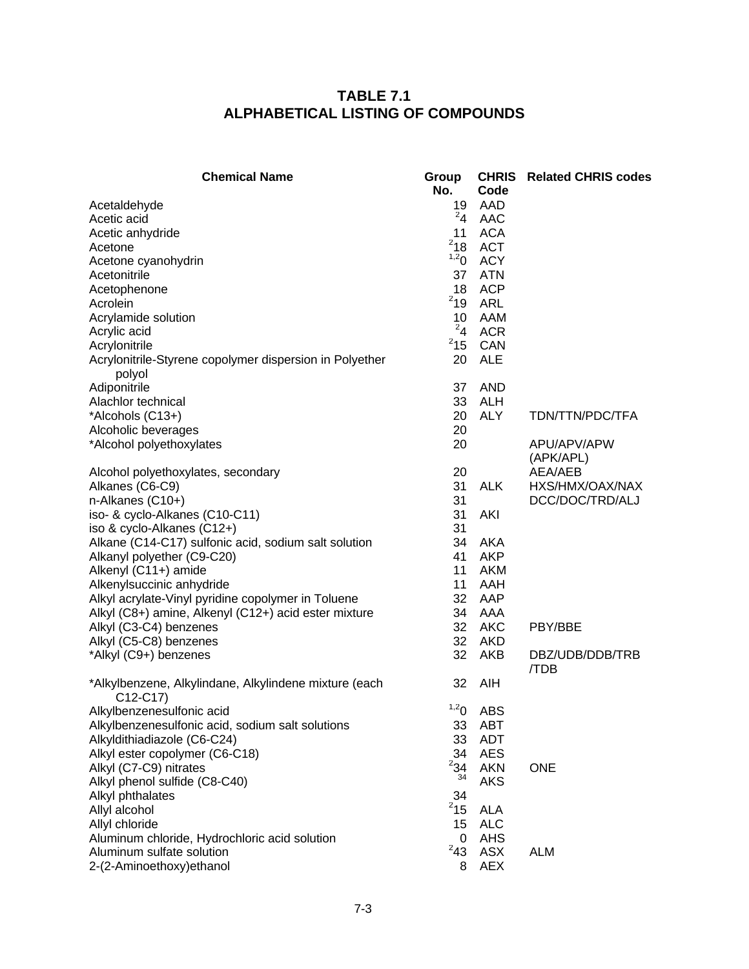# **TABLE 7.1 ALPHABETICAL LISTING OF COMPOUNDS**

| <b>Chemical Name</b>                                               | Group<br>No.     | <b>CHRIS</b><br>Code | <b>Related CHRIS codes</b> |
|--------------------------------------------------------------------|------------------|----------------------|----------------------------|
| Acetaldehyde                                                       | 19               | AAD                  |                            |
| Acetic acid                                                        | $^{2}4$          | AAC                  |                            |
| Acetic anhydride                                                   | 11               | <b>ACA</b>           |                            |
| Acetone                                                            | $2$ 18           | <b>ACT</b>           |                            |
| Acetone cyanohydrin                                                | 1,2 <sub>0</sub> | <b>ACY</b>           |                            |
| Acetonitrile                                                       | 37               | <b>ATN</b>           |                            |
| Acetophenone                                                       | 18               | <b>ACP</b>           |                            |
| Acrolein                                                           | $2$ 19           | <b>ARL</b>           |                            |
| Acrylamide solution                                                | 10<br>$^{2}4$    | AAM                  |                            |
| Acrylic acid                                                       | $2$ 15           | <b>ACR</b>           |                            |
| Acrylonitrile                                                      |                  | CAN<br><b>ALE</b>    |                            |
| Acrylonitrile-Styrene copolymer dispersion in Polyether            | 20               |                      |                            |
| polyol<br>Adiponitrile                                             | 37               | <b>AND</b>           |                            |
| Alachlor technical                                                 | 33               | <b>ALH</b>           |                            |
| *Alcohols (C13+)                                                   | 20               | <b>ALY</b>           | TDN/TTN/PDC/TFA            |
| Alcoholic beverages                                                | 20               |                      |                            |
| *Alcohol polyethoxylates                                           | 20               |                      | APU/APV/APW                |
|                                                                    |                  |                      | (APK/APL)                  |
| Alcohol polyethoxylates, secondary                                 | 20               |                      | AEA/AEB                    |
| Alkanes (C6-C9)                                                    | 31               | ALK                  | HXS/HMX/OAX/NAX            |
| n-Alkanes (C10+)                                                   | 31               |                      | DCC/DOC/TRD/ALJ            |
| iso- & cyclo-Alkanes (C10-C11)                                     | 31               | AKI                  |                            |
| iso & cyclo-Alkanes (C12+)                                         | 31               |                      |                            |
| Alkane (C14-C17) sulfonic acid, sodium salt solution               | 34               | <b>AKA</b>           |                            |
| Alkanyl polyether (C9-C20)                                         | 41               | <b>AKP</b>           |                            |
| Alkenyl (C11+) amide                                               | 11               | <b>AKM</b>           |                            |
| Alkenylsuccinic anhydride                                          | 11               | AAH                  |                            |
| Alkyl acrylate-Vinyl pyridine copolymer in Toluene                 | 32               | AAP                  |                            |
| Alkyl (C8+) amine, Alkenyl (C12+) acid ester mixture               | 34               | AAA                  |                            |
| Alkyl (C3-C4) benzenes                                             | 32               | AKC                  | PBY/BBE                    |
| Alkyl (C5-C8) benzenes                                             | 32               | AKD                  |                            |
| *Alkyl (C9+) benzenes                                              | 32               | <b>AKB</b>           | DBZ/UDB/DDB/TRB<br>/TDB    |
| *Alkylbenzene, Alkylindane, Alkylindene mixture (each<br>$C12-C17$ | 32               | <b>AIH</b>           |                            |
| Alkylbenzenesulfonic acid                                          | 1,20             | <b>ABS</b>           |                            |
| Alkylbenzenesulfonic acid, sodium salt solutions                   | 33               | ABT                  |                            |
| Alkyldithiadiazole (C6-C24)                                        | 33               | <b>ADT</b>           |                            |
| Alkyl ester copolymer (C6-C18)                                     | 34               | <b>AES</b>           |                            |
| Alkyl (C7-C9) nitrates                                             | $^{2}34$         | <b>AKN</b>           | <b>ONE</b>                 |
| Alkyl phenol sulfide (C8-C40)                                      | 34               | <b>AKS</b>           |                            |
| Alkyl phthalates                                                   | 34               |                      |                            |
| Allyl alcohol                                                      | $2$ 15           | <b>ALA</b>           |                            |
| Allyl chloride                                                     | 15               | <b>ALC</b>           |                            |
| Aluminum chloride, Hydrochloric acid solution                      | 0                | AHS                  |                            |
| Aluminum sulfate solution                                          | $^{2}43$         | <b>ASX</b>           | <b>ALM</b>                 |
| 2-(2-Aminoethoxy) ethanol                                          | 8                | <b>AEX</b>           |                            |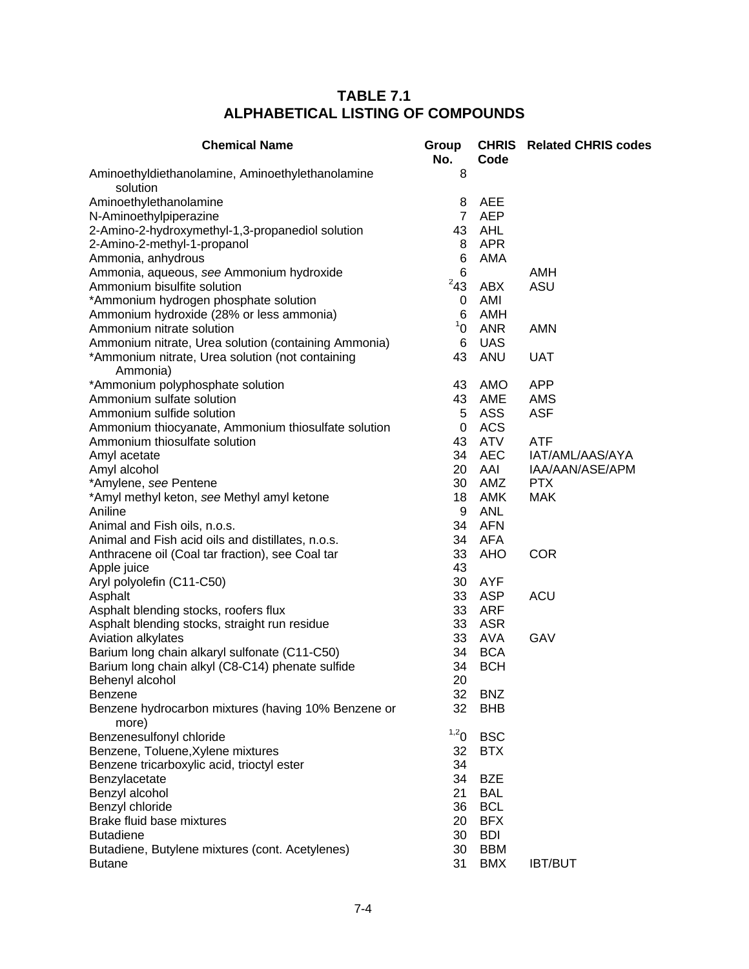# **TABLE 7.1 ALPHABETICAL LISTING OF COMPOUNDS**

| <b>Chemical Name</b>                                         | Group<br>No.   | Code       | <b>CHRIS</b> Related CHRIS codes |
|--------------------------------------------------------------|----------------|------------|----------------------------------|
| Aminoethyldiethanolamine, Aminoethylethanolamine<br>solution | 8              |            |                                  |
| Aminoethylethanolamine                                       | 8              | <b>AEE</b> |                                  |
|                                                              | $\overline{7}$ | <b>AEP</b> |                                  |
| N-Aminoethylpiperazine                                       | 43             | AHL        |                                  |
| 2-Amino-2-hydroxymethyl-1,3-propanediol solution             |                | <b>APR</b> |                                  |
| 2-Amino-2-methyl-1-propanol                                  | 8              |            |                                  |
| Ammonia, anhydrous                                           | 6              | AMA        |                                  |
| Ammonia, aqueous, see Ammonium hydroxide                     | 6<br>$^{2}43$  |            | AMH                              |
| Ammonium bisulfite solution                                  |                | <b>ABX</b> | ASU                              |
| *Ammonium hydrogen phosphate solution                        | 0              | AMI        |                                  |
| Ammonium hydroxide (28% or less ammonia)                     | 6              | AMH        |                                  |
| Ammonium nitrate solution                                    | $1^1$ 0        | <b>ANR</b> | AMN                              |
| Ammonium nitrate, Urea solution (containing Ammonia)         | 6              | <b>UAS</b> |                                  |
| *Ammonium nitrate, Urea solution (not containing<br>Ammonia) | 43             | <b>ANU</b> | <b>UAT</b>                       |
| *Ammonium polyphosphate solution                             | 43             | AMO        | <b>APP</b>                       |
| Ammonium sulfate solution                                    | 43             | AME        | AMS                              |
| Ammonium sulfide solution                                    | 5              | <b>ASS</b> | <b>ASF</b>                       |
| Ammonium thiocyanate, Ammonium thiosulfate solution          | 0              | <b>ACS</b> |                                  |
| Ammonium thiosulfate solution                                | 43             | ATV        | ATF                              |
| Amyl acetate                                                 | 34             | <b>AEC</b> | IAT/AML/AAS/AYA                  |
| Amyl alcohol                                                 | 20             | AAI        | IAA/AAN/ASE/APM                  |
| *Amylene, see Pentene                                        | 30             | AMZ        | <b>PTX</b>                       |
| *Amyl methyl keton, see Methyl amyl ketone                   | 18             | <b>AMK</b> | <b>MAK</b>                       |
| Aniline                                                      | 9              | <b>ANL</b> |                                  |
| Animal and Fish oils, n.o.s.                                 | 34             | <b>AFN</b> |                                  |
| Animal and Fish acid oils and distillates, n.o.s.            | 34             | AFA        |                                  |
| Anthracene oil (Coal tar fraction), see Coal tar             | 33             | AHO        | <b>COR</b>                       |
| Apple juice                                                  | 43             |            |                                  |
| Aryl polyolefin (C11-C50)                                    | 30             | <b>AYF</b> |                                  |
| Asphalt                                                      | 33             | <b>ASP</b> | <b>ACU</b>                       |
| Asphalt blending stocks, roofers flux                        | 33             | <b>ARF</b> |                                  |
| Asphalt blending stocks, straight run residue                | 33             | <b>ASR</b> |                                  |
| Aviation alkylates                                           | 33             | <b>AVA</b> | GAV                              |
| Barium long chain alkaryl sulfonate (C11-C50)                | 34             | <b>BCA</b> |                                  |
| Barium long chain alkyl (C8-C14) phenate sulfide             | 34             | <b>BCH</b> |                                  |
| Behenyl alcohol                                              | 20             |            |                                  |
| <b>Benzene</b>                                               | 32             | <b>BNZ</b> |                                  |
| Benzene hydrocarbon mixtures (having 10% Benzene or<br>more) | 32             | <b>BHB</b> |                                  |
| Benzenesulfonyl chloride                                     | 1,20           | <b>BSC</b> |                                  |
| Benzene, Toluene, Xylene mixtures                            | 32             | <b>BTX</b> |                                  |
| Benzene tricarboxylic acid, trioctyl ester                   | 34             |            |                                  |
| Benzylacetate                                                | 34             | <b>BZE</b> |                                  |
| Benzyl alcohol                                               | 21             | <b>BAL</b> |                                  |
| Benzyl chloride                                              | 36             | <b>BCL</b> |                                  |
| Brake fluid base mixtures                                    | 20             | <b>BFX</b> |                                  |
| <b>Butadiene</b>                                             | 30             | <b>BDI</b> |                                  |
| Butadiene, Butylene mixtures (cont. Acetylenes)              | 30             | <b>BBM</b> |                                  |
| <b>Butane</b>                                                | 31             | <b>BMX</b> | <b>IBT/BUT</b>                   |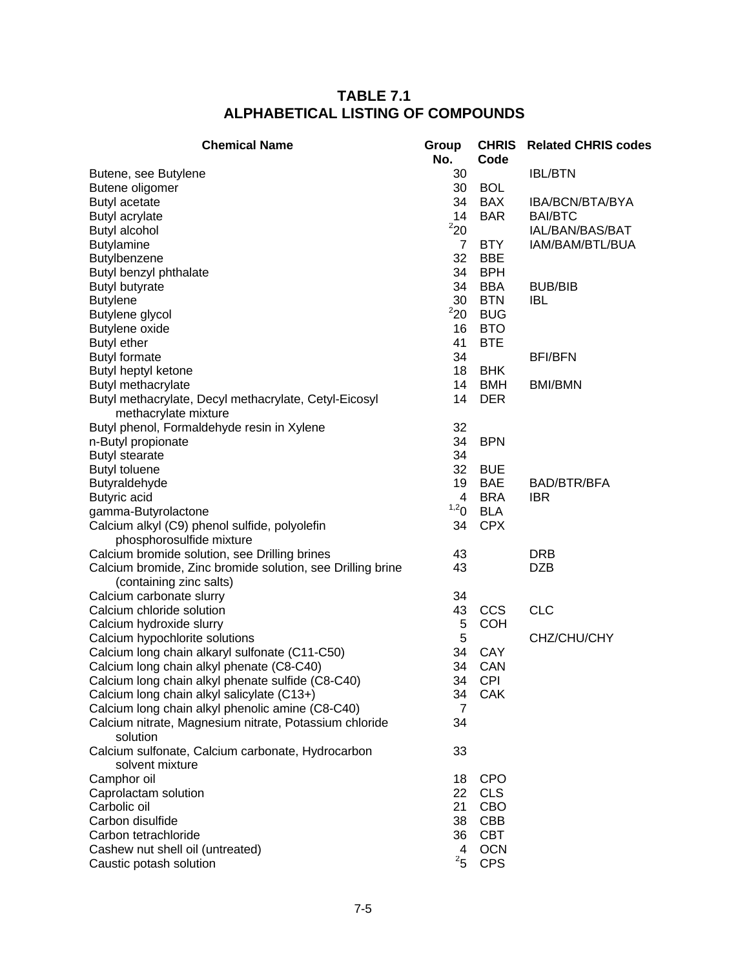# **TABLE 7.1 ALPHABETICAL LISTING OF COMPOUNDS**

| <b>Chemical Name</b>                                       | Group<br>No.   | Code       | <b>CHRIS</b> Related CHRIS codes |
|------------------------------------------------------------|----------------|------------|----------------------------------|
| Butene, see Butylene                                       | 30             |            | <b>IBL/BTN</b>                   |
| Butene oligomer                                            | 30             | <b>BOL</b> |                                  |
| <b>Butyl acetate</b>                                       | 34             | <b>BAX</b> | IBA/BCN/BTA/BYA                  |
| Butyl acrylate                                             | 14             | <b>BAR</b> | <b>BAI/BTC</b>                   |
| <b>Butyl alcohol</b>                                       | $^2$ 20 $\,$   |            | IAL/BAN/BAS/BAT                  |
| <b>Butylamine</b>                                          | $\overline{7}$ | <b>BTY</b> | IAM/BAM/BTL/BUA                  |
| Butylbenzene                                               | 32             | <b>BBE</b> |                                  |
| Butyl benzyl phthalate                                     | 34             | <b>BPH</b> |                                  |
| <b>Butyl butyrate</b>                                      | 34             | <b>BBA</b> | <b>BUB/BIB</b>                   |
| <b>Butylene</b>                                            | 30             | <b>BTN</b> | <b>IBL</b>                       |
| Butylene glycol                                            | 220            | <b>BUG</b> |                                  |
| Butylene oxide                                             | 16             | <b>BTO</b> |                                  |
| <b>Butyl ether</b>                                         | 41             | <b>BTE</b> |                                  |
| <b>Butyl formate</b>                                       | 34             |            | <b>BFI/BFN</b>                   |
| Butyl heptyl ketone                                        | 18             | <b>BHK</b> |                                  |
| Butyl methacrylate                                         | 14             | <b>BMH</b> | <b>BMI/BMN</b>                   |
| Butyl methacrylate, Decyl methacrylate, Cetyl-Eicosyl      | 14             | <b>DER</b> |                                  |
| methacrylate mixture                                       |                |            |                                  |
| Butyl phenol, Formaldehyde resin in Xylene                 | 32             |            |                                  |
| n-Butyl propionate                                         | 34             | <b>BPN</b> |                                  |
| <b>Butyl stearate</b>                                      | 34             |            |                                  |
| <b>Butyl toluene</b>                                       | 32             | <b>BUE</b> |                                  |
| Butyraldehyde                                              | 19             | <b>BAE</b> | <b>BAD/BTR/BFA</b>               |
| Butyric acid                                               | 4              | <b>BRA</b> | <b>IBR</b>                       |
| gamma-Butyrolactone                                        | 1,20           | <b>BLA</b> |                                  |
| Calcium alkyl (C9) phenol sulfide, polyolefin              | 34             | <b>CPX</b> |                                  |
| phosphorosulfide mixture                                   |                |            |                                  |
| Calcium bromide solution, see Drilling brines              | 43             |            | <b>DRB</b>                       |
| Calcium bromide, Zinc bromide solution, see Drilling brine | 43             |            | <b>DZB</b>                       |
| (containing zinc salts)                                    |                |            |                                  |
| Calcium carbonate slurry                                   | 34             |            |                                  |
| Calcium chloride solution                                  | 43             | <b>CCS</b> | <b>CLC</b>                       |
| Calcium hydroxide slurry                                   | 5              | <b>COH</b> |                                  |
| Calcium hypochlorite solutions                             | 5              |            | CHZ/CHU/CHY                      |
| Calcium long chain alkaryl sulfonate (C11-C50)             | 34             | CAY        |                                  |
| Calcium long chain alkyl phenate (C8-C40)                  | 34             | CAN        |                                  |
| Calcium long chain alkyl phenate sulfide (C8-C40)          | 34             | <b>CPI</b> |                                  |
| Calcium long chain alkyl salicylate (C13+)                 | 34             | CAK        |                                  |
| Calcium long chain alkyl phenolic amine (C8-C40)           | 7              |            |                                  |
| Calcium nitrate, Magnesium nitrate, Potassium chloride     | 34             |            |                                  |
| solution                                                   |                |            |                                  |
| Calcium sulfonate, Calcium carbonate, Hydrocarbon          | 33             |            |                                  |
| solvent mixture                                            |                |            |                                  |
| Camphor oil                                                | 18             | <b>CPO</b> |                                  |
| Caprolactam solution                                       | 22             | <b>CLS</b> |                                  |
| Carbolic oil                                               | 21             | CBO        |                                  |
| Carbon disulfide                                           | 38             | <b>CBB</b> |                                  |
| Carbon tetrachloride                                       | 36             | <b>CBT</b> |                                  |
| Cashew nut shell oil (untreated)                           | 4              | <b>OCN</b> |                                  |
| Caustic potash solution                                    | $^{2}5$        | <b>CPS</b> |                                  |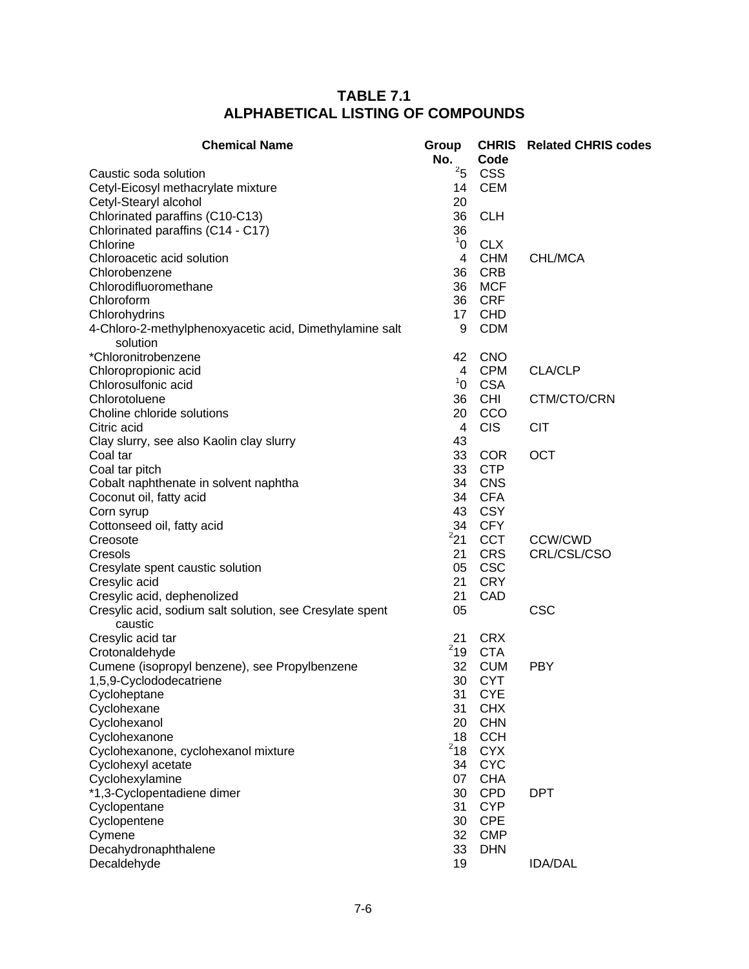| <b>Chemical Name</b>                                                | Group<br>No.   | Code       | <b>CHRIS</b> Related CHRIS codes |
|---------------------------------------------------------------------|----------------|------------|----------------------------------|
| Caustic soda solution                                               | 25             | <b>CSS</b> |                                  |
| Cetyl-Eicosyl methacrylate mixture                                  | 14             | <b>CEM</b> |                                  |
| Cetyl-Stearyl alcohol                                               | 20             |            |                                  |
| Chlorinated paraffins (C10-C13)                                     | 36             | <b>CLH</b> |                                  |
| Chlorinated paraffins (C14 - C17)                                   | 36             |            |                                  |
| Chlorine                                                            | 1 <sup>1</sup> | <b>CLX</b> |                                  |
| Chloroacetic acid solution                                          | 4              | <b>CHM</b> | CHL/MCA                          |
| Chlorobenzene                                                       | 36             | <b>CRB</b> |                                  |
| Chlorodifluoromethane                                               | 36             | <b>MCF</b> |                                  |
| Chloroform                                                          | 36             | <b>CRF</b> |                                  |
| Chlorohydrins                                                       | 17             | <b>CHD</b> |                                  |
| 4-Chloro-2-methylphenoxyacetic acid, Dimethylamine salt<br>solution | 9              | <b>CDM</b> |                                  |
| *Chloronitrobenzene                                                 | 42             | <b>CNO</b> |                                  |
| Chloropropionic acid                                                | $\overline{4}$ | <b>CPM</b> | <b>CLA/CLP</b>                   |
| Chlorosulfonic acid                                                 | 1 <sup>1</sup> | <b>CSA</b> |                                  |
| Chlorotoluene                                                       | 36             | <b>CHI</b> | CTM/CTO/CRN                      |
| Choline chloride solutions                                          | 20             | CCO        |                                  |
| Citric acid                                                         | 4              | <b>CIS</b> | <b>CIT</b>                       |
| Clay slurry, see also Kaolin clay slurry                            | 43             |            |                                  |
| Coal tar                                                            | 33             | <b>COR</b> | <b>OCT</b>                       |
| Coal tar pitch                                                      | 33             | <b>CTP</b> |                                  |
| Cobalt naphthenate in solvent naphtha                               | 34             | <b>CNS</b> |                                  |
| Coconut oil, fatty acid                                             | 34             | <b>CFA</b> |                                  |
| Corn syrup                                                          | 43             | <b>CSY</b> |                                  |
| Cottonseed oil, fatty acid                                          | 34             | <b>CFY</b> |                                  |
| Creosote                                                            | 221            | <b>CCT</b> | <b>CCW/CWD</b>                   |
| Cresols                                                             | 21             | <b>CRS</b> | CRL/CSL/CSO                      |
| Cresylate spent caustic solution                                    | 05             | <b>CSC</b> |                                  |
| Cresylic acid                                                       | 21             | <b>CRY</b> |                                  |
| Cresylic acid, dephenolized                                         | 21             | CAD        |                                  |
| Cresylic acid, sodium salt solution, see Cresylate spent<br>caustic | 05             |            | <b>CSC</b>                       |
| Cresylic acid tar                                                   | 21             | <b>CRX</b> |                                  |
| Crotonaldehyde                                                      | $^{2}19$       | <b>CTA</b> |                                  |
| Cumene (isopropyl benzene), see Propylbenzene                       | 32             | <b>CUM</b> | <b>PBY</b>                       |
| 1,5,9-Cyclododecatriene                                             | 30             | <b>CYT</b> |                                  |
| Cycloheptane                                                        | 31             | <b>CYE</b> |                                  |
| Cyclohexane                                                         | 31             | <b>CHX</b> |                                  |
| Cyclohexanol                                                        | 20             | <b>CHN</b> |                                  |
| Cyclohexanone                                                       | 18             | <b>CCH</b> |                                  |
| Cyclohexanone, cyclohexanol mixture                                 | $^{2}18$       | <b>CYX</b> |                                  |
| Cyclohexyl acetate                                                  | 34             | <b>CYC</b> |                                  |
| Cyclohexylamine                                                     | 07             | <b>CHA</b> |                                  |
| *1,3-Cyclopentadiene dimer                                          | 30             | <b>CPD</b> | <b>DPT</b>                       |
| Cyclopentane                                                        | 31             | <b>CYP</b> |                                  |
| Cyclopentene                                                        | 30             | <b>CPE</b> |                                  |
| Cymene                                                              | 32             | <b>CMP</b> |                                  |
| Decahydronaphthalene                                                | 33             | <b>DHN</b> |                                  |
| Decaldehyde                                                         | 19             |            | <b>IDA/DAL</b>                   |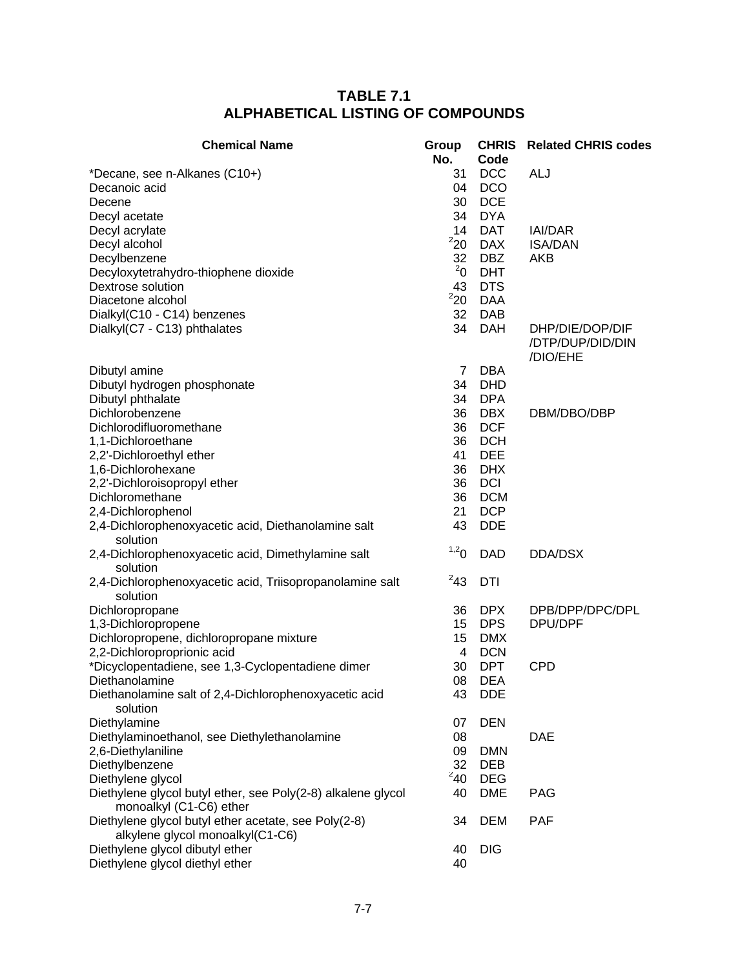| <b>Chemical Name</b>                                                                     | Group<br>No. | <b>CHRIS</b><br>Code | <b>Related CHRIS codes</b>                      |
|------------------------------------------------------------------------------------------|--------------|----------------------|-------------------------------------------------|
| *Decane, see n-Alkanes (C10+)                                                            | 31           | <b>DCC</b>           | ALJ                                             |
| Decanoic acid                                                                            | 04           | <b>DCO</b>           |                                                 |
| Decene                                                                                   | 30           | <b>DCE</b>           |                                                 |
| Decyl acetate                                                                            | 34           | <b>DYA</b>           |                                                 |
| Decyl acrylate                                                                           | 14           | <b>DAT</b>           | <b>IAI/DAR</b>                                  |
| Decyl alcohol                                                                            | 220          | <b>DAX</b>           | <b>ISA/DAN</b>                                  |
| Decylbenzene                                                                             | 32           | <b>DBZ</b>           | AKB                                             |
| Decyloxytetrahydro-thiophene dioxide                                                     | $^{2}$ 0     | <b>DHT</b>           |                                                 |
| Dextrose solution                                                                        | 43           | <b>DTS</b>           |                                                 |
| Diacetone alcohol                                                                        | 220          | <b>DAA</b>           |                                                 |
| Dialkyl(C10 - C14) benzenes                                                              | 32           | <b>DAB</b>           |                                                 |
| Dialkyl(C7 - C13) phthalates                                                             | 34           | <b>DAH</b>           | DHP/DIE/DOP/DIF<br>/DTP/DUP/DID/DIN<br>/DIO/EHE |
| Dibutyl amine                                                                            | 7            | DBA                  |                                                 |
| Dibutyl hydrogen phosphonate                                                             | 34           | <b>DHD</b>           |                                                 |
| Dibutyl phthalate                                                                        | 34           | <b>DPA</b>           |                                                 |
| Dichlorobenzene                                                                          | 36           | <b>DBX</b>           | DBM/DBO/DBP                                     |
| Dichlorodifluoromethane                                                                  | 36           | <b>DCF</b>           |                                                 |
| 1,1-Dichloroethane                                                                       | 36           | <b>DCH</b>           |                                                 |
| 2,2'-Dichloroethyl ether                                                                 | 41           | <b>DEE</b>           |                                                 |
| 1,6-Dichlorohexane                                                                       | 36           | <b>DHX</b>           |                                                 |
| 2,2'-Dichloroisopropyl ether                                                             | 36           | <b>DCI</b>           |                                                 |
| Dichloromethane                                                                          | 36           | <b>DCM</b>           |                                                 |
| 2,4-Dichlorophenol                                                                       | 21           | <b>DCP</b>           |                                                 |
| 2,4-Dichlorophenoxyacetic acid, Diethanolamine salt<br>solution                          | 43           | <b>DDE</b>           |                                                 |
| 2,4-Dichlorophenoxyacetic acid, Dimethylamine salt<br>solution                           | 1,20         | <b>DAD</b>           | DDA/DSX                                         |
| 2,4-Dichlorophenoxyacetic acid, Triisopropanolamine salt<br>solution                     | $^{2}43$     | <b>DTI</b>           |                                                 |
| Dichloropropane                                                                          | 36           | <b>DPX</b>           | DPB/DPP/DPC/DPL                                 |
| 1,3-Dichloropropene                                                                      | 15           | <b>DPS</b>           | DPU/DPF                                         |
| Dichloropropene, dichloropropane mixture                                                 | 15           | <b>DMX</b>           |                                                 |
| 2,2-Dichloroproprionic acid                                                              | 4            | <b>DCN</b>           |                                                 |
| *Dicyclopentadiene, see 1,3-Cyclopentadiene dimer                                        | 30           | <b>DPT</b>           | <b>CPD</b>                                      |
| Diethanolamine                                                                           | 08           | <b>DEA</b>           |                                                 |
| Diethanolamine salt of 2,4-Dichlorophenoxyacetic acid<br>solution                        | 43           | <b>DDE</b>           |                                                 |
| Diethylamine                                                                             | 07           | <b>DEN</b>           |                                                 |
| Diethylaminoethanol, see Diethylethanolamine                                             | 08           |                      | <b>DAE</b>                                      |
| 2,6-Diethylaniline                                                                       | 09           | <b>DMN</b>           |                                                 |
| Diethylbenzene                                                                           | 32           | <b>DEB</b>           |                                                 |
| Diethylene glycol                                                                        | $^{2}40$     | <b>DEG</b>           |                                                 |
| Diethylene glycol butyl ether, see Poly(2-8) alkalene glycol<br>monoalkyl (C1-C6) ether  | 40           | <b>DME</b>           | <b>PAG</b>                                      |
| Diethylene glycol butyl ether acetate, see Poly(2-8)<br>alkylene glycol monoalkyl(C1-C6) | 34           | <b>DEM</b>           | <b>PAF</b>                                      |
| Diethylene glycol dibutyl ether                                                          | 40           | <b>DIG</b>           |                                                 |
| Diethylene glycol diethyl ether                                                          | 40           |                      |                                                 |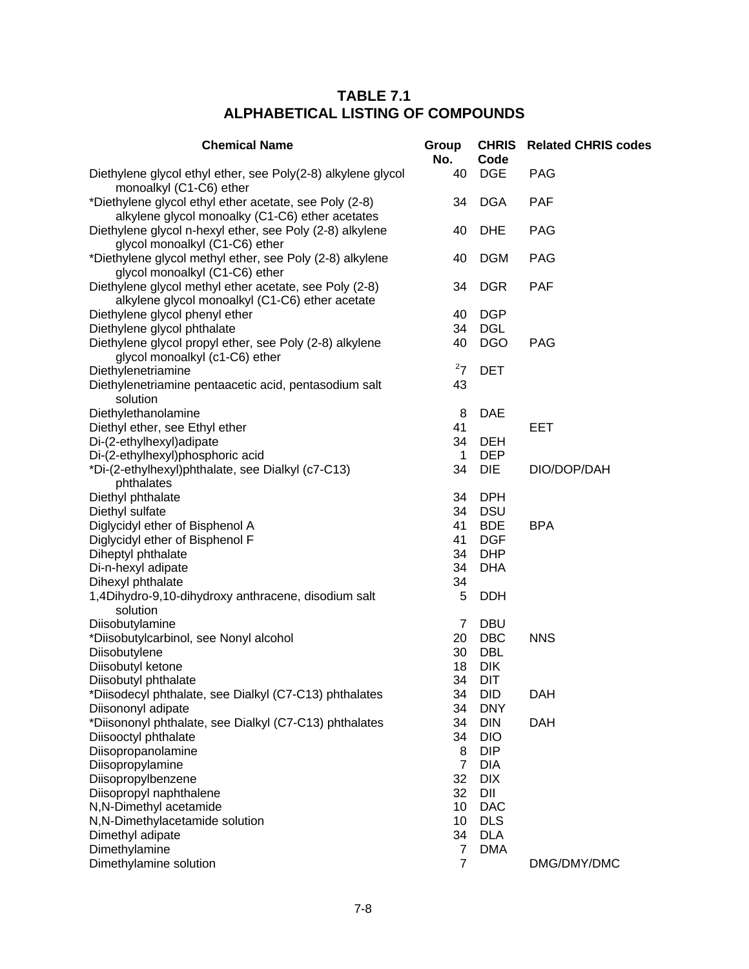| <b>Chemical Name</b>                                                                                      | Group<br>No.   | <b>CHRIS</b><br>Code | <b>Related CHRIS codes</b> |
|-----------------------------------------------------------------------------------------------------------|----------------|----------------------|----------------------------|
| Diethylene glycol ethyl ether, see Poly(2-8) alkylene glycol<br>monoalkyl (C1-C6) ether                   | 40             | <b>DGE</b>           | <b>PAG</b>                 |
| *Diethylene glycol ethyl ether acetate, see Poly (2-8)<br>alkylene glycol monoalky (C1-C6) ether acetates | 34             | <b>DGA</b>           | <b>PAF</b>                 |
| Diethylene glycol n-hexyl ether, see Poly (2-8) alkylene<br>glycol monoalkyl (C1-C6) ether                | 40             | <b>DHE</b>           | <b>PAG</b>                 |
| *Diethylene glycol methyl ether, see Poly (2-8) alkylene<br>glycol monoalkyl (C1-C6) ether                | 40             | <b>DGM</b>           | <b>PAG</b>                 |
| Diethylene glycol methyl ether acetate, see Poly (2-8)<br>alkylene glycol monoalkyl (C1-C6) ether acetate | 34             | <b>DGR</b>           | <b>PAF</b>                 |
| Diethylene glycol phenyl ether                                                                            | 40             | <b>DGP</b>           |                            |
| Diethylene glycol phthalate                                                                               | 34             | <b>DGL</b>           |                            |
| Diethylene glycol propyl ether, see Poly (2-8) alkylene<br>glycol monoalkyl (c1-C6) ether                 | 40             | <b>DGO</b>           | <b>PAG</b>                 |
| Diethylenetriamine                                                                                        | $^{2}7$        | <b>DET</b>           |                            |
| Diethylenetriamine pentaacetic acid, pentasodium salt<br>solution                                         | 43             |                      |                            |
| Diethylethanolamine                                                                                       | 8              | <b>DAE</b>           |                            |
| Diethyl ether, see Ethyl ether                                                                            | 41             |                      | <b>EET</b>                 |
| Di-(2-ethylhexyl)adipate                                                                                  | 34             | <b>DEH</b>           |                            |
| Di-(2-ethylhexyl)phosphoric acid                                                                          | $\mathbf{1}$   | <b>DEP</b>           |                            |
| *Di-(2-ethylhexyl)phthalate, see Dialkyl (c7-C13)                                                         | 34             | <b>DIE</b>           | DIO/DOP/DAH                |
| phthalates                                                                                                |                |                      |                            |
| Diethyl phthalate                                                                                         | 34             | <b>DPH</b>           |                            |
| Diethyl sulfate                                                                                           | 34             | <b>DSU</b>           |                            |
| Diglycidyl ether of Bisphenol A                                                                           | 41             | <b>BDE</b>           | <b>BPA</b>                 |
| Diglycidyl ether of Bisphenol F                                                                           | 41             | <b>DGF</b>           |                            |
| Diheptyl phthalate                                                                                        | 34             | <b>DHP</b>           |                            |
| Di-n-hexyl adipate                                                                                        | 34             | <b>DHA</b>           |                            |
| Dihexyl phthalate                                                                                         | 34             |                      |                            |
| 1,4Dihydro-9,10-dihydroxy anthracene, disodium salt                                                       | 5              | <b>DDH</b>           |                            |
| solution                                                                                                  |                |                      |                            |
| Diisobutylamine                                                                                           | 7              | <b>DBU</b>           |                            |
| *Diisobutylcarbinol, see Nonyl alcohol                                                                    | 20             | <b>DBC</b>           | <b>NNS</b>                 |
| Diisobutylene                                                                                             | 30             | <b>DBL</b>           |                            |
| Diisobutyl ketone                                                                                         | 18             | <b>DIK</b>           |                            |
| Diisobutyl phthalate                                                                                      | 34             | DIT                  |                            |
| *Diisodecyl phthalate, see Dialkyl (C7-C13) phthalates                                                    | 34             | <b>DID</b>           | <b>DAH</b>                 |
| Diisononyl adipate                                                                                        | 34             | <b>DNY</b>           |                            |
| *Diisononyl phthalate, see Dialkyl (C7-C13) phthalates                                                    | 34             | <b>DIN</b>           | <b>DAH</b>                 |
| Diisooctyl phthalate                                                                                      | 34             | <b>DIO</b>           |                            |
| Diisopropanolamine                                                                                        | 8              | <b>DIP</b>           |                            |
| Diisopropylamine                                                                                          | $\overline{7}$ | <b>DIA</b>           |                            |
| Diisopropylbenzene                                                                                        | 32             | <b>DIX</b>           |                            |
| Diisopropyl naphthalene                                                                                   | 32             | DII                  |                            |
| N, N-Dimethyl acetamide                                                                                   | 10             | <b>DAC</b>           |                            |
| N,N-Dimethylacetamide solution                                                                            | 10             | <b>DLS</b>           |                            |
| Dimethyl adipate                                                                                          | 34             | <b>DLA</b>           |                            |
| Dimethylamine                                                                                             | 7              | <b>DMA</b>           |                            |
| Dimethylamine solution                                                                                    | $\overline{7}$ |                      | DMG/DMY/DMC                |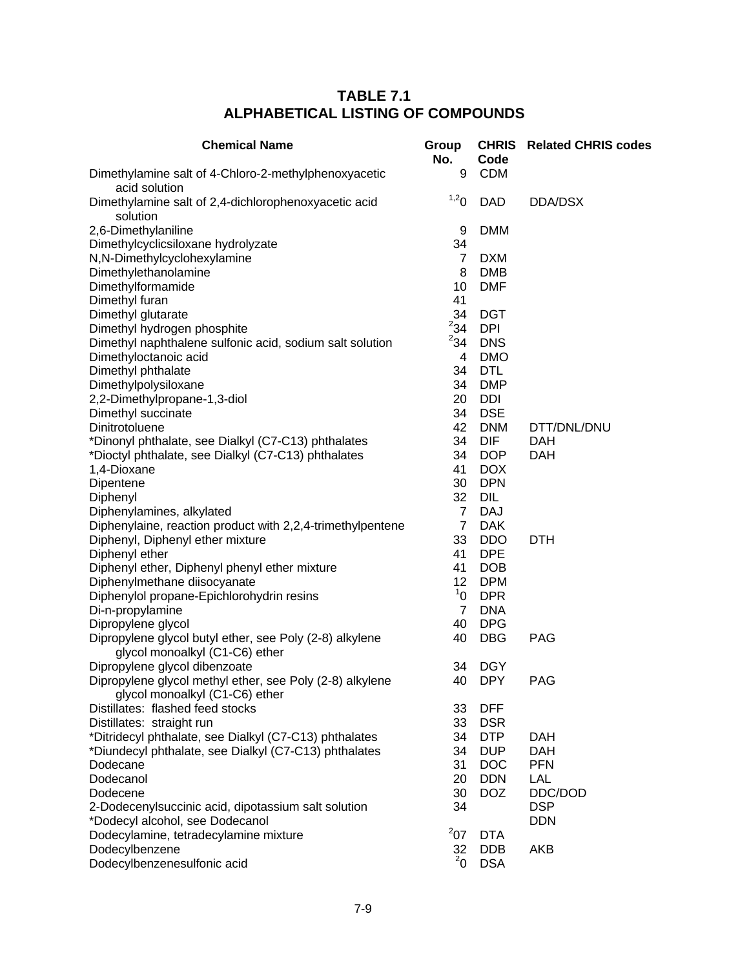| <b>Chemical Name</b>                                                                      | Group<br>No.    | Code       | <b>CHRIS</b> Related CHRIS codes |
|-------------------------------------------------------------------------------------------|-----------------|------------|----------------------------------|
| Dimethylamine salt of 4-Chloro-2-methylphenoxyacetic<br>acid solution                     | 9               | <b>CDM</b> |                                  |
| Dimethylamine salt of 2,4-dichlorophenoxyacetic acid<br>solution                          | 1,20            | <b>DAD</b> | DDA/DSX                          |
|                                                                                           |                 | <b>DMM</b> |                                  |
| 2,6-Dimethylaniline                                                                       | 9<br>34         |            |                                  |
| Dimethylcyclicsiloxane hydrolyzate                                                        |                 |            |                                  |
| N,N-Dimethylcyclohexylamine                                                               | $\overline{7}$  | <b>DXM</b> |                                  |
| Dimethylethanolamine                                                                      | 8               | <b>DMB</b> |                                  |
| Dimethylformamide                                                                         | 10              | <b>DMF</b> |                                  |
| Dimethyl furan                                                                            | 41              |            |                                  |
| Dimethyl glutarate                                                                        | 34<br>$^{2}34$  | <b>DGT</b> |                                  |
| Dimethyl hydrogen phosphite                                                               | $^{2}34$        | <b>DPI</b> |                                  |
| Dimethyl naphthalene sulfonic acid, sodium salt solution                                  |                 | <b>DNS</b> |                                  |
| Dimethyloctanoic acid                                                                     | 4               | <b>DMO</b> |                                  |
| Dimethyl phthalate                                                                        | 34              | <b>DTL</b> |                                  |
| Dimethylpolysiloxane                                                                      | 34              | <b>DMP</b> |                                  |
| 2,2-Dimethylpropane-1,3-diol                                                              | 20              | <b>DDI</b> |                                  |
| Dimethyl succinate                                                                        | 34              | <b>DSE</b> |                                  |
| Dinitrotoluene                                                                            | 42              | <b>DNM</b> | DTT/DNL/DNU                      |
| *Dinonyl phthalate, see Dialkyl (C7-C13) phthalates                                       | 34              | <b>DIF</b> | <b>DAH</b>                       |
| *Dioctyl phthalate, see Dialkyl (C7-C13) phthalates                                       | 34              | <b>DOP</b> | <b>DAH</b>                       |
| 1,4-Dioxane                                                                               | 41              | <b>DOX</b> |                                  |
| Dipentene                                                                                 | 30              | <b>DPN</b> |                                  |
| Diphenyl                                                                                  | 32              | DIL        |                                  |
| Diphenylamines, alkylated                                                                 | $\overline{7}$  | <b>DAJ</b> |                                  |
| Diphenylaine, reaction product with 2,2,4-trimethylpentene                                | $\overline{7}$  | <b>DAK</b> |                                  |
| Diphenyl, Diphenyl ether mixture                                                          | 33              | <b>DDO</b> | <b>DTH</b>                       |
| Diphenyl ether                                                                            | 41              | <b>DPE</b> |                                  |
| Diphenyl ether, Diphenyl phenyl ether mixture                                             | 41              | <b>DOB</b> |                                  |
| Diphenylmethane diisocyanate                                                              | 12 <sub>2</sub> | <b>DPM</b> |                                  |
| Diphenylol propane-Epichlorohydrin resins                                                 | 1 <sup>1</sup>  | <b>DPR</b> |                                  |
| Di-n-propylamine                                                                          | $\overline{7}$  | <b>DNA</b> |                                  |
| Dipropylene glycol                                                                        | 40              | <b>DPG</b> |                                  |
| Dipropylene glycol butyl ether, see Poly (2-8) alkylene<br>glycol monoalkyl (C1-C6) ether | 40              | <b>DBG</b> | <b>PAG</b>                       |
| Dipropylene glycol dibenzoate                                                             | 34              | <b>DGY</b> |                                  |
| Dipropylene glycol methyl ether, see Poly (2-8) alkylene                                  | 40              | <b>DPY</b> | <b>PAG</b>                       |
| glycol monoalkyl (C1-C6) ether                                                            |                 |            |                                  |
| Distillates: flashed feed stocks                                                          | 33              | <b>DFF</b> |                                  |
| Distillates: straight run                                                                 | 33              | <b>DSR</b> |                                  |
| *Ditridecyl phthalate, see Dialkyl (C7-C13) phthalates                                    | 34              | <b>DTP</b> | <b>DAH</b>                       |
| *Diundecyl phthalate, see Dialkyl (C7-C13) phthalates                                     | 34              | <b>DUP</b> | <b>DAH</b>                       |
| Dodecane                                                                                  | 31              | <b>DOC</b> | <b>PFN</b>                       |
| Dodecanol                                                                                 | 20              | <b>DDN</b> | <b>LAL</b>                       |
| Dodecene                                                                                  | 30              | <b>DOZ</b> | DDC/DOD                          |
| 2-Dodecenylsuccinic acid, dipotassium salt solution                                       | 34              |            | <b>DSP</b>                       |
| *Dodecyl alcohol, see Dodecanol                                                           |                 |            | <b>DDN</b>                       |
| Dodecylamine, tetradecylamine mixture                                                     | 207             | <b>DTA</b> |                                  |
| Dodecylbenzene                                                                            | 32              | <b>DDB</b> | <b>AKB</b>                       |
| Dodecylbenzenesulfonic acid                                                               | $^{2}$ 0        | <b>DSA</b> |                                  |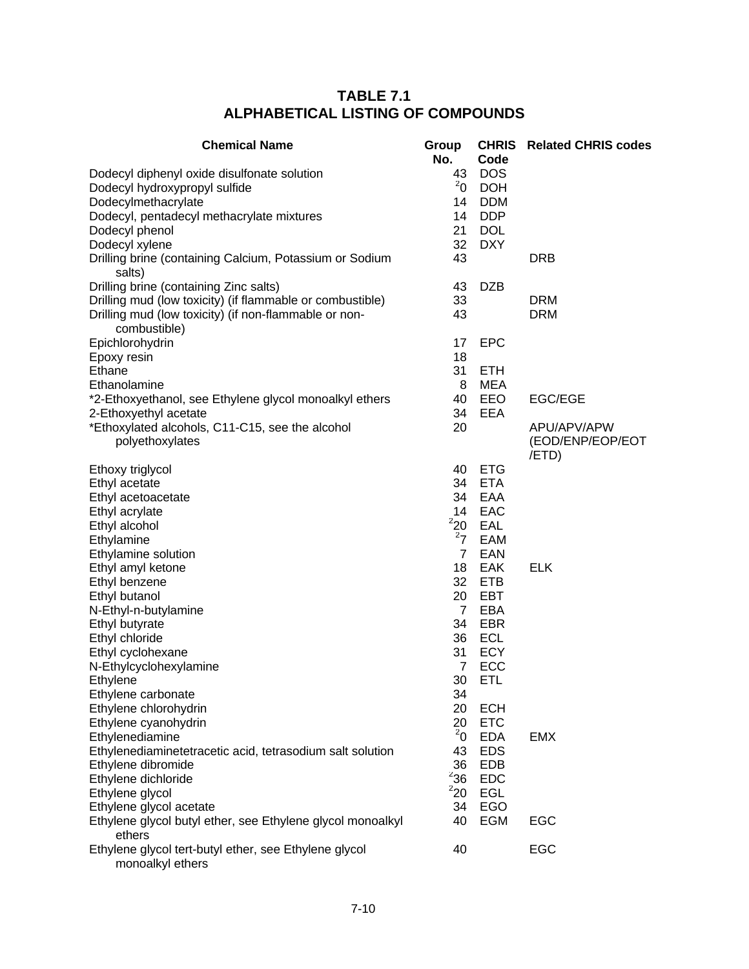| <b>Chemical Name</b>                                                      | Group<br>No.   | Code       | <b>CHRIS</b> Related CHRIS codes |
|---------------------------------------------------------------------------|----------------|------------|----------------------------------|
| Dodecyl diphenyl oxide disulfonate solution                               | 43             | <b>DOS</b> |                                  |
| Dodecyl hydroxypropyl sulfide                                             | $^{2}$ 0       | <b>DOH</b> |                                  |
| Dodecylmethacrylate                                                       | 14             | <b>DDM</b> |                                  |
| Dodecyl, pentadecyl methacrylate mixtures                                 | 14             | <b>DDP</b> |                                  |
| Dodecyl phenol                                                            | 21             | <b>DOL</b> |                                  |
| Dodecyl xylene                                                            | 32             | <b>DXY</b> |                                  |
| Drilling brine (containing Calcium, Potassium or Sodium                   | 43             |            | <b>DRB</b>                       |
| salts)                                                                    |                |            |                                  |
| Drilling brine (containing Zinc salts)                                    | 43             | <b>DZB</b> |                                  |
| Drilling mud (low toxicity) (if flammable or combustible)                 | 33             |            | <b>DRM</b>                       |
| Drilling mud (low toxicity) (if non-flammable or non-                     | 43             |            | <b>DRM</b>                       |
| combustible)                                                              |                |            |                                  |
| Epichlorohydrin                                                           | 17             | <b>EPC</b> |                                  |
| Epoxy resin                                                               | 18             |            |                                  |
| Ethane                                                                    | 31             | <b>ETH</b> |                                  |
| Ethanolamine                                                              | 8              | <b>MEA</b> |                                  |
| *2-Ethoxyethanol, see Ethylene glycol monoalkyl ethers                    | 40             | EEO        | <b>EGC/EGE</b>                   |
| 2-Ethoxyethyl acetate                                                     | 34             | EEA        |                                  |
| *Ethoxylated alcohols, C11-C15, see the alcohol                           | 20             |            | APU/APV/APW                      |
| polyethoxylates                                                           |                |            | (EOD/ENP/EOP/EOT<br>/ETD)        |
| Ethoxy triglycol                                                          | 40             | <b>ETG</b> |                                  |
| Ethyl acetate                                                             | 34             | <b>ETA</b> |                                  |
| Ethyl acetoacetate                                                        | 34             | EAA        |                                  |
| Ethyl acrylate                                                            | 14             | EAC        |                                  |
| Ethyl alcohol                                                             | 220            | EAL        |                                  |
| Ethylamine                                                                | 27             | EAM        |                                  |
| Ethylamine solution                                                       | $\overline{7}$ | EAN        |                                  |
| Ethyl amyl ketone                                                         | 18             | EAK        | <b>ELK</b>                       |
| Ethyl benzene                                                             | 32             | <b>ETB</b> |                                  |
| Ethyl butanol                                                             | 20             | EBT        |                                  |
| N-Ethyl-n-butylamine                                                      | 7              | EBA        |                                  |
| Ethyl butyrate                                                            | 34             | EBR        |                                  |
| Ethyl chloride                                                            | 36             | ECL        |                                  |
| Ethyl cyclohexane                                                         | 31             | <b>ECY</b> |                                  |
| N-Ethylcyclohexylamine                                                    | $\overline{7}$ | ECC        |                                  |
| Ethylene                                                                  | 30             | <b>ETL</b> |                                  |
| Ethylene carbonate                                                        | 34             |            |                                  |
| Ethylene chlorohydrin                                                     | 20             | <b>ECH</b> |                                  |
| Ethylene cyanohydrin                                                      | 20             | <b>ETC</b> |                                  |
| Ethylenediamine                                                           | $^{2}$ 0       | <b>EDA</b> | <b>EMX</b>                       |
| Ethylenediaminetetracetic acid, tetrasodium salt solution                 | 43             | <b>EDS</b> |                                  |
| Ethylene dibromide                                                        | 36             | <b>EDB</b> |                                  |
| Ethylene dichloride                                                       | $2$ 36         | <b>EDC</b> |                                  |
| Ethylene glycol                                                           | 220            | EGL        |                                  |
| Ethylene glycol acetate                                                   | 34             | EGO        |                                  |
| Ethylene glycol butyl ether, see Ethylene glycol monoalkyl<br>ethers      | 40             | EGM        | EGC                              |
| Ethylene glycol tert-butyl ether, see Ethylene glycol<br>monoalkyl ethers | 40             |            | EGC                              |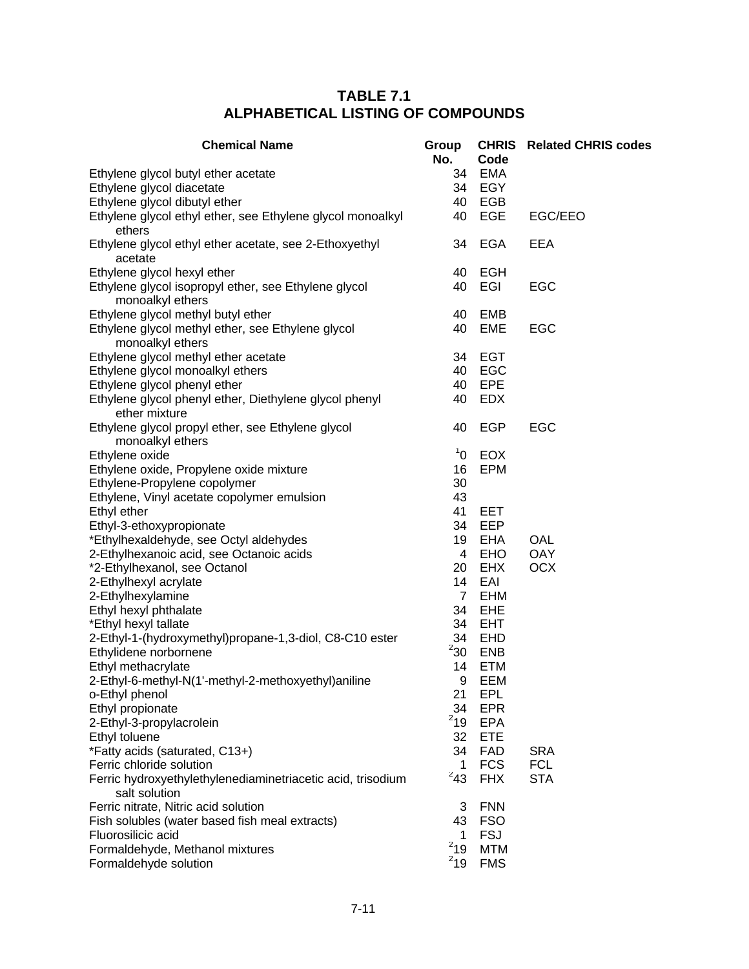| <b>Chemical Name</b>                                                     | Group<br>No.   | Code              | <b>CHRIS</b> Related CHRIS codes |
|--------------------------------------------------------------------------|----------------|-------------------|----------------------------------|
| Ethylene glycol butyl ether acetate<br>Ethylene glycol diacetate         | 34<br>34       | <b>EMA</b><br>EGY |                                  |
| Ethylene glycol dibutyl ether                                            | 40             | EGB               |                                  |
| Ethylene glycol ethyl ether, see Ethylene glycol monoalkyl<br>ethers     | 40             | EGE               | EGC/EEO                          |
| Ethylene glycol ethyl ether acetate, see 2-Ethoxyethyl<br>acetate        | 34             | <b>EGA</b>        | <b>EEA</b>                       |
| Ethylene glycol hexyl ether                                              | 40             | <b>EGH</b>        |                                  |
| Ethylene glycol isopropyl ether, see Ethylene glycol<br>monoalkyl ethers | 40             | EGI               | EGC                              |
| Ethylene glycol methyl butyl ether                                       | 40             | EMB               |                                  |
| Ethylene glycol methyl ether, see Ethylene glycol<br>monoalkyl ethers    | 40             | <b>EME</b>        | EGC                              |
| Ethylene glycol methyl ether acetate                                     | 34             | <b>EGT</b>        |                                  |
| Ethylene glycol monoalkyl ethers                                         | 40             | EGC               |                                  |
| Ethylene glycol phenyl ether                                             | 40             | EPE               |                                  |
| Ethylene glycol phenyl ether, Diethylene glycol phenyl<br>ether mixture  | 40             | <b>EDX</b>        |                                  |
| Ethylene glycol propyl ether, see Ethylene glycol                        | 40             | <b>EGP</b>        | EGC                              |
| monoalkyl ethers                                                         |                |                   |                                  |
| Ethylene oxide                                                           | $\rm ^1O$      | <b>EOX</b>        |                                  |
| Ethylene oxide, Propylene oxide mixture                                  | 16             | <b>EPM</b>        |                                  |
| Ethylene-Propylene copolymer                                             | 30             |                   |                                  |
| Ethylene, Vinyl acetate copolymer emulsion                               | 43             |                   |                                  |
| Ethyl ether                                                              | 41             | EET               |                                  |
| Ethyl-3-ethoxypropionate                                                 | 34             | EEP               |                                  |
| *Ethylhexaldehyde, see Octyl aldehydes                                   | 19             | <b>EHA</b>        | OAL                              |
| 2-Ethylhexanoic acid, see Octanoic acids                                 | 4              | <b>EHO</b>        | <b>OAY</b>                       |
| *2-Ethylhexanol, see Octanol                                             | 20             | <b>EHX</b>        | <b>OCX</b>                       |
| 2-Ethylhexyl acrylate                                                    | 14             | EAI               |                                  |
| 2-Ethylhexylamine                                                        | $\overline{7}$ | <b>EHM</b>        |                                  |
| Ethyl hexyl phthalate                                                    | 34             | EHE               |                                  |
| *Ethyl hexyl tallate                                                     | 34<br>34       | <b>EHT</b>        |                                  |
| 2-Ethyl-1-(hydroxymethyl)propane-1,3-diol, C8-C10 ester                  | $^{2}30$       | EHD<br><b>ENB</b> |                                  |
| Ethylidene norbornene<br>Ethyl methacrylate                              | 14             | <b>ETM</b>        |                                  |
| 2-Ethyl-6-methyl-N(1'-methyl-2-methoxyethyl)aniline                      | 9              | EEM               |                                  |
| o-Ethyl phenol                                                           | 21             | EPL               |                                  |
| Ethyl propionate                                                         | 34             | <b>EPR</b>        |                                  |
| 2-Ethyl-3-propylacrolein                                                 | $2$ 19         | <b>EPA</b>        |                                  |
| Ethyl toluene                                                            | 32             | <b>ETE</b>        |                                  |
| *Fatty acids (saturated, C13+)                                           | 34             | <b>FAD</b>        | <b>SRA</b>                       |
| Ferric chloride solution                                                 | 1              | <b>FCS</b>        | <b>FCL</b>                       |
| Ferric hydroxyethylethylenediaminetriacetic acid, trisodium              | $^{2}43$       | <b>FHX</b>        | <b>STA</b>                       |
| salt solution                                                            |                |                   |                                  |
| Ferric nitrate, Nitric acid solution                                     | 3              | <b>FNN</b>        |                                  |
| Fish solubles (water based fish meal extracts)                           | 43             | <b>FSO</b>        |                                  |
| Fluorosilicic acid                                                       | 1              | <b>FSJ</b>        |                                  |
| Formaldehyde, Methanol mixtures                                          | $2$ 19         | <b>MTM</b>        |                                  |
| Formaldehyde solution                                                    | $^{2}19$       | <b>FMS</b>        |                                  |
|                                                                          |                |                   |                                  |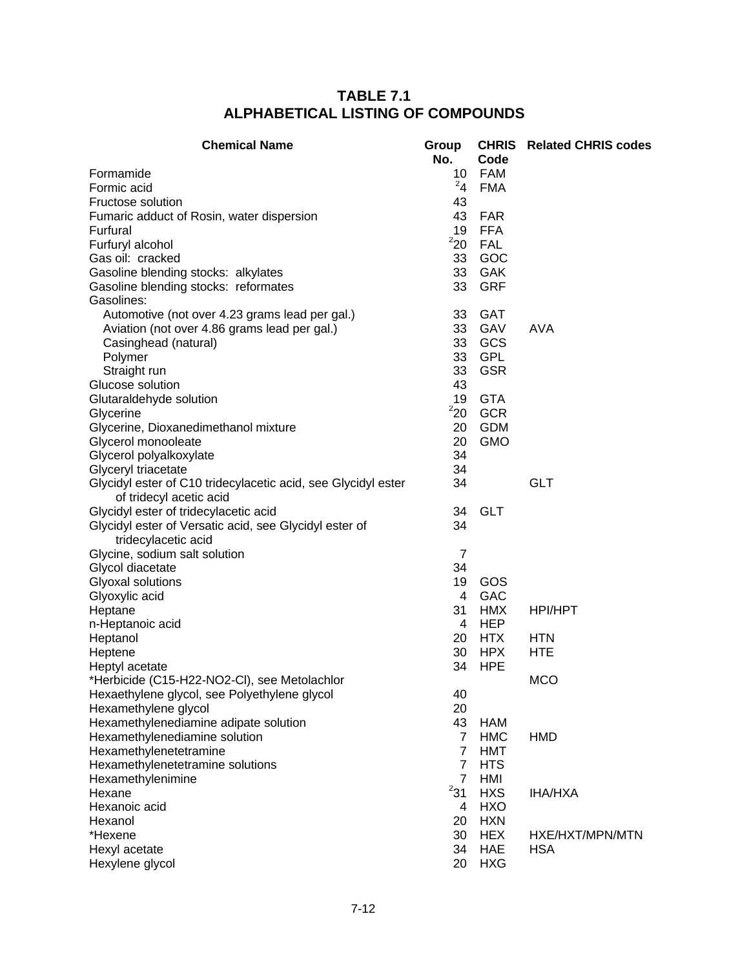| <b>Chemical Name</b>                                                                     | Group<br>No.    | Code       | <b>CHRIS</b> Related CHRIS codes |
|------------------------------------------------------------------------------------------|-----------------|------------|----------------------------------|
| Formamide                                                                                | 10 <sub>1</sub> | <b>FAM</b> |                                  |
| Formic acid                                                                              | 24              | <b>FMA</b> |                                  |
| Fructose solution                                                                        | 43              |            |                                  |
| Fumaric adduct of Rosin, water dispersion                                                | 43              | <b>FAR</b> |                                  |
| Furfural                                                                                 | 19              | <b>FFA</b> |                                  |
| Furfuryl alcohol                                                                         | 220             | <b>FAL</b> |                                  |
| Gas oil: cracked                                                                         | 33              | GOC        |                                  |
| Gasoline blending stocks: alkylates                                                      | 33              | <b>GAK</b> |                                  |
| Gasoline blending stocks: reformates                                                     | 33              | <b>GRF</b> |                                  |
| Gasolines:                                                                               |                 |            |                                  |
| Automotive (not over 4.23 grams lead per gal.)                                           | 33              | <b>GAT</b> |                                  |
| Aviation (not over 4.86 grams lead per gal.)                                             | 33              | GAV        | <b>AVA</b>                       |
|                                                                                          | 33              | GCS        |                                  |
| Casinghead (natural)                                                                     | 33              | <b>GPL</b> |                                  |
| Polymer                                                                                  |                 |            |                                  |
| Straight run                                                                             | 33              | <b>GSR</b> |                                  |
| Glucose solution                                                                         | 43              |            |                                  |
| Glutaraldehyde solution                                                                  | 19              | <b>GTA</b> |                                  |
| Glycerine                                                                                | 220             | <b>GCR</b> |                                  |
| Glycerine, Dioxanedimethanol mixture                                                     | 20              | <b>GDM</b> |                                  |
| Glycerol monooleate                                                                      | 20              | <b>GMO</b> |                                  |
| Glycerol polyalkoxylate                                                                  | 34              |            |                                  |
| Glyceryl triacetate                                                                      | 34              |            |                                  |
| Glycidyl ester of C10 tridecylacetic acid, see Glycidyl ester<br>of tridecyl acetic acid | 34              |            | <b>GLT</b>                       |
| Glycidyl ester of tridecylacetic acid                                                    | 34              | <b>GLT</b> |                                  |
| Glycidyl ester of Versatic acid, see Glycidyl ester of                                   | 34              |            |                                  |
| tridecylacetic acid                                                                      |                 |            |                                  |
| Glycine, sodium salt solution                                                            | $\overline{7}$  |            |                                  |
| Glycol diacetate                                                                         | 34              |            |                                  |
| Glyoxal solutions                                                                        | 19              | GOS        |                                  |
| Glyoxylic acid                                                                           | 4               | <b>GAC</b> |                                  |
| Heptane                                                                                  | 31              | <b>HMX</b> | HPI/HPT                          |
| n-Heptanoic acid                                                                         | 4               | <b>HEP</b> |                                  |
| Heptanol                                                                                 | 20              | <b>HTX</b> | <b>HTN</b>                       |
| Heptene                                                                                  | 30              | <b>HPX</b> | <b>HTE</b>                       |
| Heptyl acetate                                                                           | 34              | <b>HPE</b> |                                  |
| *Herbicide (C15-H22-NO2-CI), see Metolachlor                                             |                 |            | <b>MCO</b>                       |
| Hexaethylene glycol, see Polyethylene glycol                                             | 40              |            |                                  |
| Hexamethylene glycol                                                                     | 20              |            |                                  |
| Hexamethylenediamine adipate solution                                                    | 43              | <b>HAM</b> |                                  |
| Hexamethylenediamine solution                                                            | $\overline{7}$  | <b>HMC</b> | <b>HMD</b>                       |
| Hexamethylenetetramine                                                                   | $\overline{7}$  | <b>HMT</b> |                                  |
| Hexamethylenetetramine solutions                                                         | 7               | <b>HTS</b> |                                  |
| Hexamethylenimine                                                                        | $\overline{7}$  | HMI        |                                  |
| Hexane                                                                                   | 231             | <b>HXS</b> | <b>IHA/HXA</b>                   |
| Hexanoic acid                                                                            | 4               | <b>HXO</b> |                                  |
| Hexanol                                                                                  | 20              | <b>HXN</b> |                                  |
| *Hexene                                                                                  | 30              | <b>HEX</b> | HXE/HXT/MPN/MTN                  |
| Hexyl acetate                                                                            | 34              | <b>HAE</b> | <b>HSA</b>                       |
| Hexylene glycol                                                                          | 20              | <b>HXG</b> |                                  |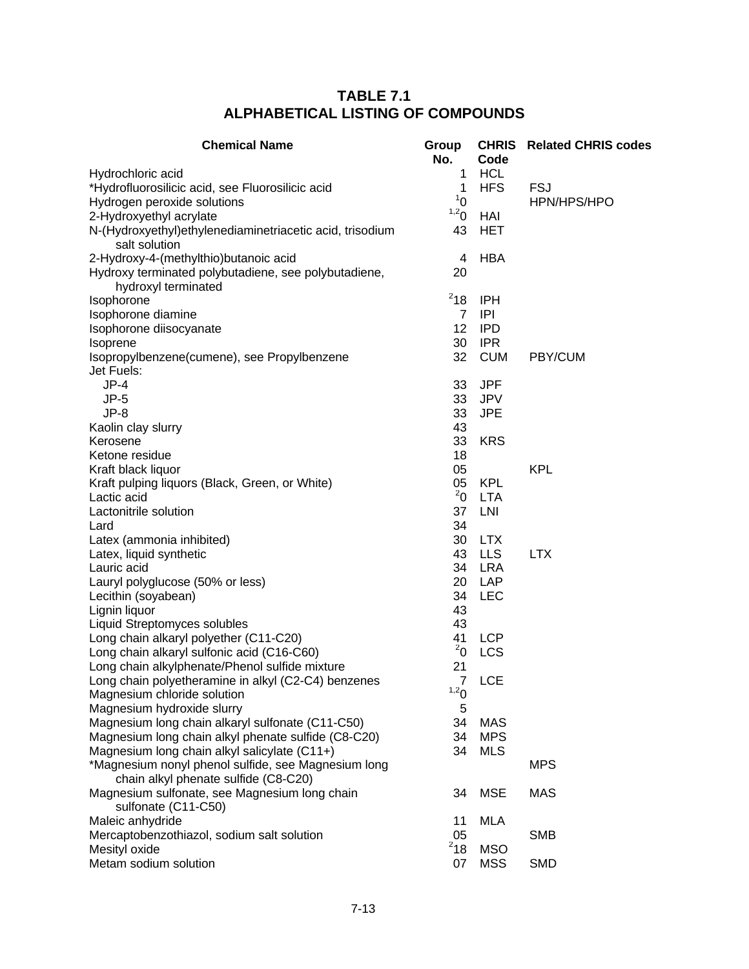| <b>Chemical Name</b>                                      | Group<br>No.      | Code       | <b>CHRIS</b> Related CHRIS codes |
|-----------------------------------------------------------|-------------------|------------|----------------------------------|
| Hydrochloric acid                                         | 1                 | <b>HCL</b> |                                  |
| *Hydrofluorosilicic acid, see Fluorosilicic acid          | $\mathbf{1}$      | <b>HFS</b> | <b>FSJ</b>                       |
| Hydrogen peroxide solutions                               | 1 <sup>1</sup>    |            | HPN/HPS/HPO                      |
| 2-Hydroxyethyl acrylate                                   | 1,20              | <b>HAI</b> |                                  |
| N-(Hydroxyethyl) ethylenediaminetriacetic acid, trisodium | 43                | <b>HET</b> |                                  |
| salt solution                                             |                   |            |                                  |
| 2-Hydroxy-4-(methylthio)butanoic acid                     | 4                 | <b>HBA</b> |                                  |
| Hydroxy terminated polybutadiene, see polybutadiene,      | 20                |            |                                  |
| hydroxyl terminated                                       |                   |            |                                  |
| Isophorone                                                | $^{2}18$          | <b>IPH</b> |                                  |
| Isophorone diamine                                        | $\overline{7}$    | IPI        |                                  |
| Isophorone diisocyanate                                   | $12 \overline{ }$ | <b>IPD</b> |                                  |
| Isoprene                                                  | 30                | <b>IPR</b> |                                  |
| Isopropylbenzene(cumene), see Propylbenzene               | 32                | <b>CUM</b> | PBY/CUM                          |
| Jet Fuels:                                                |                   |            |                                  |
| $JP-4$                                                    | 33                | <b>JPF</b> |                                  |
| $JP-5$                                                    | 33                | <b>JPV</b> |                                  |
| $JP-8$                                                    | 33                | <b>JPE</b> |                                  |
| Kaolin clay slurry                                        | 43                |            |                                  |
| Kerosene                                                  | 33                | <b>KRS</b> |                                  |
| Ketone residue                                            | 18                |            |                                  |
| Kraft black liquor                                        | 05                |            | <b>KPL</b>                       |
| Kraft pulping liquors (Black, Green, or White)            | 05                | <b>KPL</b> |                                  |
| Lactic acid                                               | $^{2}$ 0          | <b>LTA</b> |                                  |
| Lactonitrile solution                                     | 37                | LNI        |                                  |
| Lard                                                      | 34                |            |                                  |
| Latex (ammonia inhibited)                                 | 30                | <b>LTX</b> |                                  |
| Latex, liquid synthetic                                   | 43                | <b>LLS</b> | <b>LTX</b>                       |
| Lauric acid                                               | 34                | <b>LRA</b> |                                  |
| Lauryl polyglucose (50% or less)                          | 20                | LAP        |                                  |
| Lecithin (soyabean)                                       | 34                | <b>LEC</b> |                                  |
| Lignin liquor                                             | 43                |            |                                  |
| Liquid Streptomyces solubles                              | 43                |            |                                  |
| Long chain alkaryl polyether (C11-C20)                    | 41                | <b>LCP</b> |                                  |
| Long chain alkaryl sulfonic acid (C16-C60)                | $^{2}$ 0          | <b>LCS</b> |                                  |
| Long chain alkylphenate/Phenol sulfide mixture            | 21                |            |                                  |
| Long chain polyetheramine in alkyl (C2-C4) benzenes       | $\overline{7}$    | <b>LCE</b> |                                  |
| Magnesium chloride solution                               | 1,20              |            |                                  |
| Magnesium hydroxide slurry                                | 5                 |            |                                  |
| Magnesium long chain alkaryl sulfonate (C11-C50)          | 34                | <b>MAS</b> |                                  |
| Magnesium long chain alkyl phenate sulfide (C8-C20)       | 34                | <b>MPS</b> |                                  |
| Magnesium long chain alkyl salicylate (C11+)              | 34                | <b>MLS</b> |                                  |
| *Magnesium nonyl phenol sulfide, see Magnesium long       |                   |            | <b>MPS</b>                       |
| chain alkyl phenate sulfide (C8-C20)                      |                   |            |                                  |
| Magnesium sulfonate, see Magnesium long chain             | 34                | <b>MSE</b> | <b>MAS</b>                       |
| sulfonate (C11-C50)                                       |                   |            |                                  |
| Maleic anhydride                                          | 11                | <b>MLA</b> |                                  |
| Mercaptobenzothiazol, sodium salt solution                | 05                |            | <b>SMB</b>                       |
| Mesityl oxide                                             | $2$ 18            | <b>MSO</b> |                                  |
| Metam sodium solution                                     | 07                | <b>MSS</b> | <b>SMD</b>                       |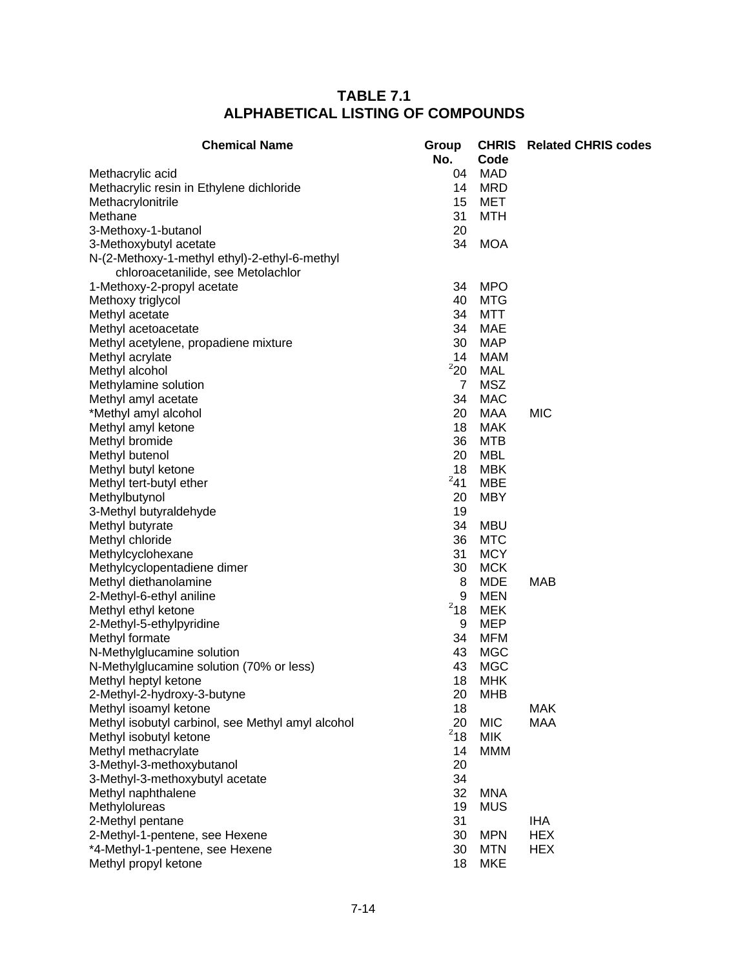| <b>Chemical Name</b>                              | Group<br>No.       | Code       | <b>CHRIS</b> Related CHRIS codes |
|---------------------------------------------------|--------------------|------------|----------------------------------|
| Methacrylic acid                                  | 04                 | <b>MAD</b> |                                  |
| Methacrylic resin in Ethylene dichloride          | 14                 | <b>MRD</b> |                                  |
| Methacrylonitrile                                 | 15                 | MET        |                                  |
| Methane                                           | 31                 | <b>MTH</b> |                                  |
| 3-Methoxy-1-butanol                               | 20                 |            |                                  |
| 3-Methoxybutyl acetate                            | 34                 | <b>MOA</b> |                                  |
| N-(2-Methoxy-1-methyl ethyl)-2-ethyl-6-methyl     |                    |            |                                  |
| chloroacetanilide, see Metolachlor                |                    |            |                                  |
| 1-Methoxy-2-propyl acetate                        | 34                 | <b>MPO</b> |                                  |
| Methoxy triglycol                                 | 40                 | <b>MTG</b> |                                  |
| Methyl acetate                                    | 34                 | <b>MTT</b> |                                  |
| Methyl acetoacetate                               | 34                 | MAE        |                                  |
| Methyl acetylene, propadiene mixture              | 30                 | <b>MAP</b> |                                  |
| Methyl acrylate                                   | 14                 | <b>MAM</b> |                                  |
| Methyl alcohol                                    | 220                | <b>MAL</b> |                                  |
| Methylamine solution                              | $\overline{7}$     | <b>MSZ</b> |                                  |
| Methyl amyl acetate                               | 34                 | <b>MAC</b> |                                  |
| *Methyl amyl alcohol                              | 20                 | MAA        | <b>MIC</b>                       |
| Methyl amyl ketone                                | 18                 | <b>MAK</b> |                                  |
| Methyl bromide                                    | 36                 | MTB        |                                  |
| Methyl butenol                                    | 20                 | MBL        |                                  |
| Methyl butyl ketone                               | 18                 | <b>MBK</b> |                                  |
| Methyl tert-butyl ether                           | $^{2}41$           | <b>MBE</b> |                                  |
| Methylbutynol                                     | 20                 | <b>MBY</b> |                                  |
|                                                   | 19                 |            |                                  |
| 3-Methyl butyraldehyde                            |                    |            |                                  |
| Methyl butyrate                                   | 34                 | <b>MBU</b> |                                  |
| Methyl chloride                                   | 36                 | <b>MTC</b> |                                  |
| Methylcyclohexane                                 | 31                 | <b>MCY</b> |                                  |
| Methylcyclopentadiene dimer                       | 30                 | <b>MCK</b> |                                  |
| Methyl diethanolamine                             | 8                  | <b>MDE</b> | MAB                              |
| 2-Methyl-6-ethyl aniline                          | 9                  | <b>MEN</b> |                                  |
| Methyl ethyl ketone                               | $^{\mathrm{2}}$ 18 | <b>MEK</b> |                                  |
| 2-Methyl-5-ethylpyridine                          | 9                  | <b>MEP</b> |                                  |
| Methyl formate                                    | 34                 | <b>MFM</b> |                                  |
| N-Methylglucamine solution                        | 43                 | <b>MGC</b> |                                  |
| N-Methylglucamine solution (70% or less)          | 43                 | <b>MGC</b> |                                  |
| Methyl heptyl ketone                              | 18                 | <b>MHK</b> |                                  |
| 2-Methyl-2-hydroxy-3-butyne                       | 20                 | <b>MHB</b> |                                  |
| Methyl isoamyl ketone                             | 18                 |            | <b>MAK</b>                       |
| Methyl isobutyl carbinol, see Methyl amyl alcohol | 20                 | <b>MIC</b> | <b>MAA</b>                       |
| Methyl isobutyl ketone                            | $^{2}18$           | <b>MIK</b> |                                  |
| Methyl methacrylate                               | 14                 | <b>MMM</b> |                                  |
| 3-Methyl-3-methoxybutanol                         | 20                 |            |                                  |
| 3-Methyl-3-methoxybutyl acetate                   | 34                 |            |                                  |
| Methyl naphthalene                                | 32                 | <b>MNA</b> |                                  |
| Methylolureas                                     | 19                 | <b>MUS</b> |                                  |
| 2-Methyl pentane                                  | 31                 |            | <b>IHA</b>                       |
| 2-Methyl-1-pentene, see Hexene                    | 30                 | <b>MPN</b> | <b>HEX</b>                       |
| *4-Methyl-1-pentene, see Hexene                   | 30                 | <b>MTN</b> | <b>HEX</b>                       |
| Methyl propyl ketone                              | 18                 | <b>MKE</b> |                                  |
|                                                   |                    |            |                                  |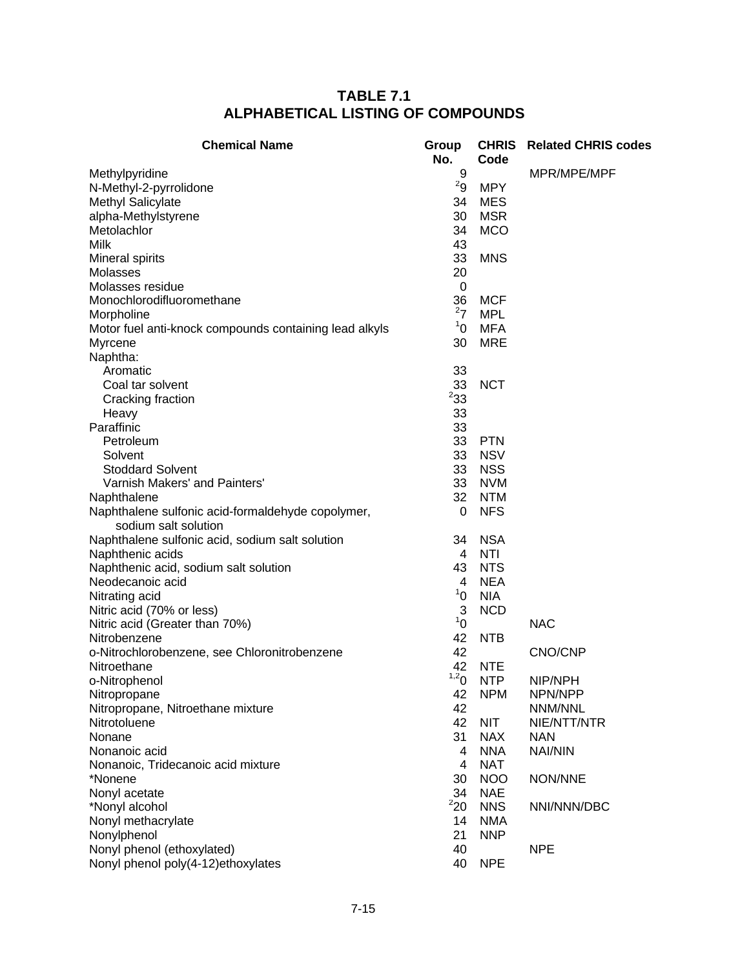| <b>Chemical Name</b>                                                      | Group<br>No.     | Code       | <b>CHRIS</b> Related CHRIS codes |
|---------------------------------------------------------------------------|------------------|------------|----------------------------------|
| Methylpyridine                                                            | 9                |            | MPR/MPE/MPF                      |
| N-Methyl-2-pyrrolidone                                                    | 2g               | <b>MPY</b> |                                  |
| Methyl Salicylate                                                         | 34               | <b>MES</b> |                                  |
| alpha-Methylstyrene                                                       | 30               | <b>MSR</b> |                                  |
| Metolachlor                                                               | 34               | <b>MCO</b> |                                  |
| <b>Milk</b>                                                               | 43               |            |                                  |
| Mineral spirits                                                           | 33               | <b>MNS</b> |                                  |
| Molasses                                                                  | 20               |            |                                  |
| Molasses residue                                                          | 0                |            |                                  |
| Monochlorodifluoromethane                                                 | 36               | <b>MCF</b> |                                  |
| Morpholine                                                                | $^{2}7$          | <b>MPL</b> |                                  |
| Motor fuel anti-knock compounds containing lead alkyls                    | 1 <sup>1</sup>   | <b>MFA</b> |                                  |
| Myrcene                                                                   | 30               | <b>MRE</b> |                                  |
| Naphtha:                                                                  |                  |            |                                  |
| Aromatic                                                                  | 33               |            |                                  |
| Coal tar solvent                                                          | 33               | <b>NCT</b> |                                  |
| Cracking fraction                                                         | 233              |            |                                  |
| Heavy                                                                     | 33               |            |                                  |
| Paraffinic                                                                | 33               |            |                                  |
| Petroleum                                                                 | 33               | <b>PTN</b> |                                  |
| Solvent                                                                   | 33               | <b>NSV</b> |                                  |
| <b>Stoddard Solvent</b>                                                   | 33               | <b>NSS</b> |                                  |
| Varnish Makers' and Painters'                                             | 33               | <b>NVM</b> |                                  |
| Naphthalene                                                               | 32               | <b>NTM</b> |                                  |
| Naphthalene sulfonic acid-formaldehyde copolymer,<br>sodium salt solution | 0                | <b>NFS</b> |                                  |
| Naphthalene sulfonic acid, sodium salt solution                           | 34               | <b>NSA</b> |                                  |
| Naphthenic acids                                                          | 4                | NTI        |                                  |
| Naphthenic acid, sodium salt solution                                     | 43               | <b>NTS</b> |                                  |
| Neodecanoic acid                                                          | 4                | <b>NEA</b> |                                  |
| Nitrating acid                                                            | 1 <sup>1</sup>   | <b>NIA</b> |                                  |
| Nitric acid (70% or less)                                                 | 3                | <b>NCD</b> |                                  |
| Nitric acid (Greater than 70%)                                            | 1 <sup>1</sup>   |            | <b>NAC</b>                       |
| Nitrobenzene                                                              | 42               | <b>NTB</b> |                                  |
| o-Nitrochlorobenzene, see Chloronitrobenzene                              | 42               |            | CNO/CNP                          |
| Nitroethane                                                               | 42               | <b>NTE</b> |                                  |
| o-Nitrophenol                                                             | 1,2 <sub>0</sub> | <b>NTP</b> | NIP/NPH                          |
| Nitropropane                                                              | 42               | <b>NPM</b> | NPN/NPP                          |
| Nitropropane, Nitroethane mixture                                         | 42               |            | NNM/NNL                          |
| Nitrotoluene                                                              | 42               | <b>NIT</b> | NIE/NTT/NTR                      |
| Nonane                                                                    | 31               | <b>NAX</b> | <b>NAN</b>                       |
| Nonanoic acid                                                             | 4                | <b>NNA</b> | <b>NAI/NIN</b>                   |
| Nonanoic, Tridecanoic acid mixture                                        | 4                | <b>NAT</b> |                                  |
| *Nonene                                                                   | 30               | <b>NOO</b> | NON/NNE                          |
| Nonyl acetate                                                             | 34               | <b>NAE</b> |                                  |
| *Nonyl alcohol                                                            | 220              | <b>NNS</b> | NNI/NNN/DBC                      |
| Nonyl methacrylate                                                        | 14               | <b>NMA</b> |                                  |
| Nonylphenol                                                               | 21               | <b>NNP</b> |                                  |
| Nonyl phenol (ethoxylated)                                                | 40               |            | <b>NPE</b>                       |
| Nonyl phenol poly(4-12)ethoxylates                                        | 40               | <b>NPE</b> |                                  |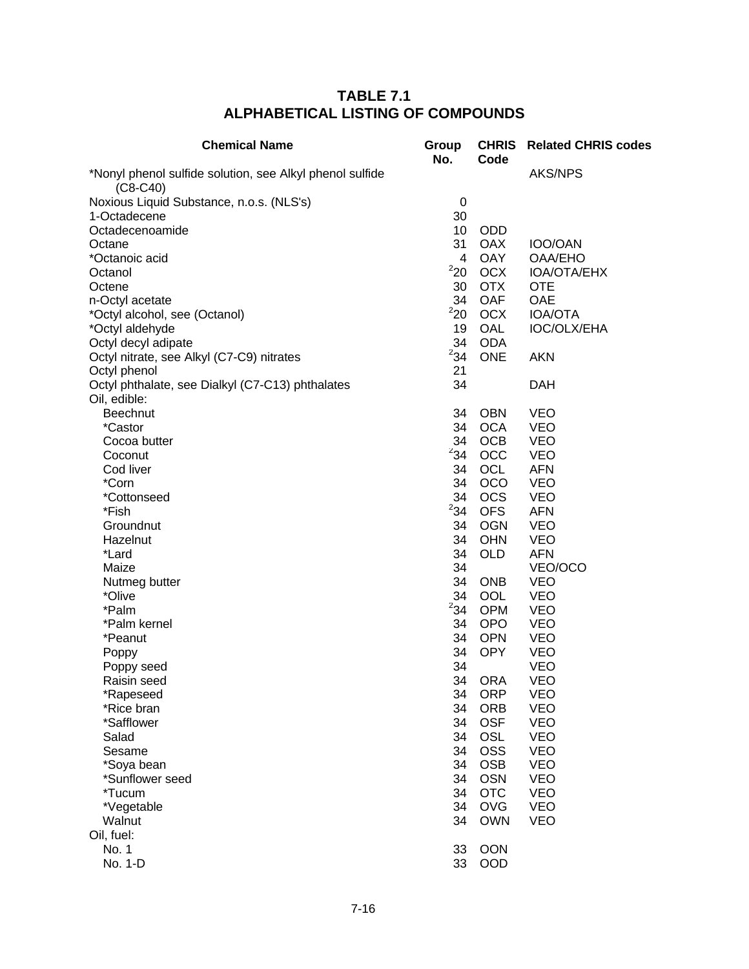| <b>Chemical Name</b>                                                   | Group<br>No. | <b>CHRIS</b><br>Code | <b>Related CHRIS codes</b> |
|------------------------------------------------------------------------|--------------|----------------------|----------------------------|
| *Nonyl phenol sulfide solution, see Alkyl phenol sulfide<br>$(C8-C40)$ |              |                      | <b>AKS/NPS</b>             |
| Noxious Liquid Substance, n.o.s. (NLS's)                               | $\mathbf 0$  |                      |                            |
| 1-Octadecene                                                           | 30           |                      |                            |
| Octadecenoamide                                                        | 10           | <b>ODD</b>           |                            |
| Octane                                                                 | 31           | <b>OAX</b>           | IOO/OAN                    |
| *Octanoic acid                                                         | 4            | <b>OAY</b>           | <b>OAA/EHO</b>             |
| Octanol                                                                | $^2$ 20 $\,$ | <b>OCX</b>           | IOA/OTA/EHX                |
| Octene                                                                 | 30           | <b>OTX</b>           | <b>OTE</b>                 |
| n-Octyl acetate                                                        | 34           | <b>OAF</b>           | OAE                        |
| *Octyl alcohol, see (Octanol)                                          | 220          | <b>OCX</b>           | <b>IOA/OTA</b>             |
| *Octyl aldehyde                                                        | 19           | OAL                  | IOC/OLX/EHA                |
| Octyl decyl adipate                                                    | 34           | <b>ODA</b>           |                            |
| Octyl nitrate, see Alkyl (C7-C9) nitrates                              | $^{2}34$     | <b>ONE</b>           | <b>AKN</b>                 |
| Octyl phenol                                                           | 21           |                      |                            |
| Octyl phthalate, see Dialkyl (C7-C13) phthalates                       | 34           |                      | <b>DAH</b>                 |
| Oil, edible:                                                           |              |                      |                            |
| Beechnut                                                               | 34           | <b>OBN</b>           | <b>VEO</b>                 |
| *Castor                                                                | 34           | <b>OCA</b>           | <b>VEO</b>                 |
| Cocoa butter                                                           | 34           | <b>OCB</b>           | <b>VEO</b>                 |
| Coconut                                                                | $^{2}34$     | OCC                  | <b>VEO</b>                 |
| Cod liver                                                              | 34           | <b>OCL</b>           | <b>AFN</b>                 |
| *Corn                                                                  | 34           | <b>OCO</b>           | <b>VEO</b>                 |
| *Cottonseed                                                            | 34           | <b>OCS</b>           | <b>VEO</b>                 |
| *Fish                                                                  | $^{2}34$     | <b>OFS</b>           | <b>AFN</b>                 |
| Groundnut                                                              | 34           | <b>OGN</b>           | <b>VEO</b>                 |
| Hazelnut                                                               | 34           | <b>OHN</b>           | <b>VEO</b>                 |
| *Lard                                                                  | 34           | <b>OLD</b>           | <b>AFN</b>                 |
| Maize                                                                  | 34           |                      | VEO/OCO                    |
| Nutmeg butter                                                          | 34           | <b>ONB</b>           | <b>VEO</b>                 |
| *Olive                                                                 | 34           | <b>OOL</b>           | <b>VEO</b>                 |
| *Palm                                                                  | $^{2}34$     | <b>OPM</b>           | <b>VEO</b>                 |
| *Palm kernel                                                           | 34           | <b>OPO</b>           | <b>VEO</b>                 |
| *Peanut                                                                | 34           | <b>OPN</b>           | <b>VEO</b>                 |
| Poppy                                                                  | 34           | <b>OPY</b>           | <b>VEO</b>                 |
| Poppy seed<br>Raisin seed                                              | 34<br>34     | <b>ORA</b>           | <b>VEO</b><br><b>VEO</b>   |
| *Rapeseed                                                              | 34           | <b>ORP</b>           | <b>VEO</b>                 |
| *Rice bran                                                             | 34           | <b>ORB</b>           | <b>VEO</b>                 |
| *Safflower                                                             | 34           | <b>OSF</b>           | <b>VEO</b>                 |
| Salad                                                                  | 34           | OSL                  | <b>VEO</b>                 |
| Sesame                                                                 | 34           | <b>OSS</b>           | <b>VEO</b>                 |
| *Soya bean                                                             | 34           | <b>OSB</b>           | <b>VEO</b>                 |
| *Sunflower seed                                                        | 34           | <b>OSN</b>           | <b>VEO</b>                 |
| *Tucum                                                                 | 34           | <b>OTC</b>           | <b>VEO</b>                 |
| *Vegetable                                                             | 34           | <b>OVG</b>           | <b>VEO</b>                 |
| Walnut                                                                 | 34           | <b>OWN</b>           | <b>VEO</b>                 |
| Oil, fuel:                                                             |              |                      |                            |
| No. 1                                                                  | 33           | <b>OON</b>           |                            |
| No. 1-D                                                                | 33           | <b>OOD</b>           |                            |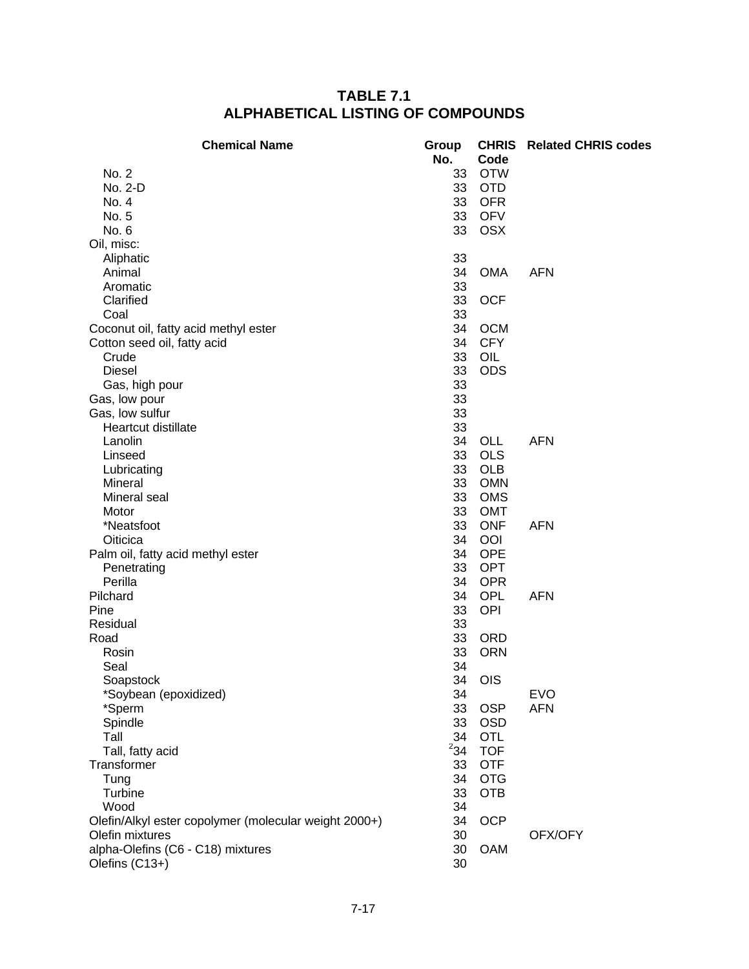| <b>Chemical Name</b>                                  | Group<br>No. | <b>CHRIS</b><br>Code | <b>Related CHRIS codes</b> |
|-------------------------------------------------------|--------------|----------------------|----------------------------|
| No. 2                                                 | 33           | <b>OTW</b>           |                            |
| No. 2-D                                               | 33           | <b>OTD</b>           |                            |
| No. 4                                                 | 33           | <b>OFR</b>           |                            |
| No. 5                                                 | 33           | <b>OFV</b>           |                            |
| No. 6                                                 | 33           | <b>OSX</b>           |                            |
| Oil, misc:                                            |              |                      |                            |
| Aliphatic                                             | 33           |                      |                            |
| Animal                                                | 34           | <b>OMA</b>           | <b>AFN</b>                 |
| Aromatic                                              | 33           |                      |                            |
| Clarified                                             | 33           | <b>OCF</b>           |                            |
| Coal                                                  | 33           |                      |                            |
| Coconut oil, fatty acid methyl ester                  | 34           | <b>OCM</b>           |                            |
| Cotton seed oil, fatty acid                           | 34           | <b>CFY</b>           |                            |
| Crude                                                 | 33           | OIL                  |                            |
| <b>Diesel</b>                                         | 33           | <b>ODS</b>           |                            |
| Gas, high pour                                        | 33           |                      |                            |
| Gas, low pour                                         | 33           |                      |                            |
| Gas, low sulfur                                       | 33           |                      |                            |
| Heartcut distillate                                   | 33           |                      |                            |
| Lanolin                                               | 34           | OLL                  | <b>AFN</b>                 |
| Linseed                                               | 33           | <b>OLS</b>           |                            |
| Lubricating                                           | 33           | <b>OLB</b>           |                            |
| Mineral                                               | 33           | <b>OMN</b>           |                            |
| Mineral seal                                          | 33           | <b>OMS</b>           |                            |
| Motor                                                 | 33           | <b>OMT</b>           |                            |
| *Neatsfoot                                            | 33           | <b>ONF</b>           | <b>AFN</b>                 |
| Oiticica                                              | 34           | OOI                  |                            |
| Palm oil, fatty acid methyl ester                     | 34           | <b>OPE</b>           |                            |
| Penetrating                                           | 33           | <b>OPT</b>           |                            |
| Perilla                                               | 34           | <b>OPR</b>           |                            |
| Pilchard                                              | 34           | <b>OPL</b>           | <b>AFN</b>                 |
| Pine                                                  | 33           | OPI                  |                            |
| Residual                                              | 33           |                      |                            |
| Road                                                  | 33           | <b>ORD</b>           |                            |
| Rosin                                                 | 33           | <b>ORN</b>           |                            |
| Seal                                                  | 34           |                      |                            |
| Soapstock                                             | 34           | <b>OIS</b>           |                            |
| *Soybean (epoxidized)                                 | 34           |                      | <b>EVO</b>                 |
| *Sperm                                                | 33           | <b>OSP</b>           | <b>AFN</b>                 |
| Spindle                                               | 33           | <b>OSD</b>           |                            |
| Tall                                                  | 34           | OTL                  |                            |
| Tall, fatty acid                                      | $^{2}34$     | <b>TOF</b>           |                            |
| Transformer                                           | 33           | <b>OTF</b>           |                            |
| Tung                                                  | 34           | <b>OTG</b>           |                            |
| Turbine                                               | 33           | <b>OTB</b>           |                            |
| Wood                                                  | 34           |                      |                            |
| Olefin/Alkyl ester copolymer (molecular weight 2000+) | 34           | <b>OCP</b>           |                            |
| Olefin mixtures                                       | 30           |                      | OFX/OFY                    |
| alpha-Olefins (C6 - C18) mixtures                     | 30           | <b>OAM</b>           |                            |
| Olefins (C13+)                                        | 30           |                      |                            |
|                                                       |              |                      |                            |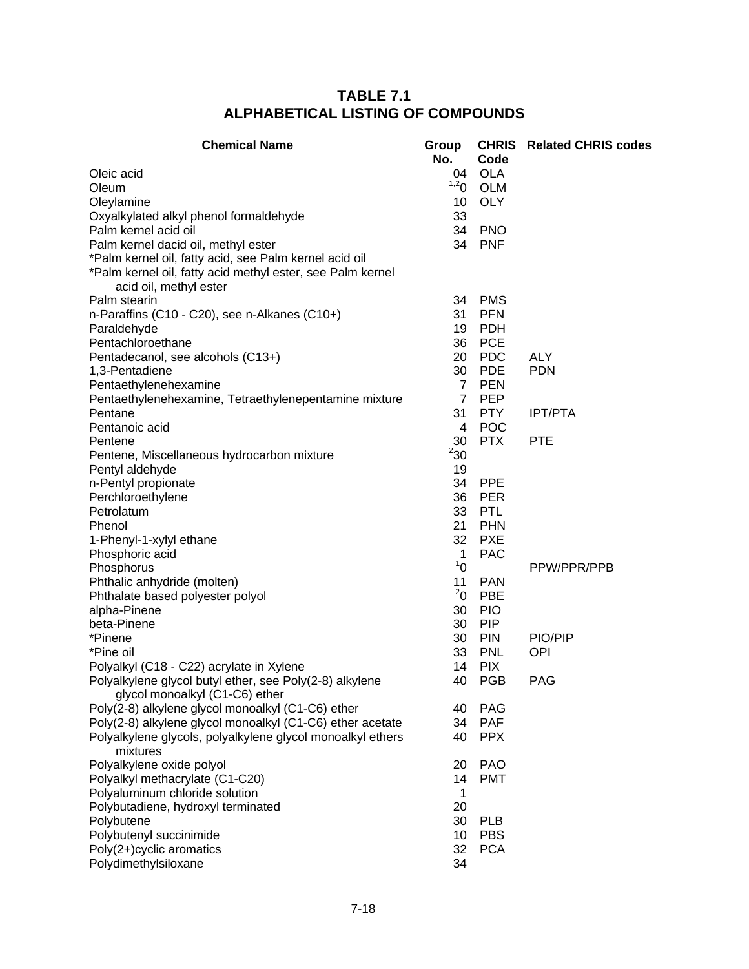| <b>Chemical Name</b>                                                                 | Group<br>No.   | Code                     | <b>CHRIS</b> Related CHRIS codes |
|--------------------------------------------------------------------------------------|----------------|--------------------------|----------------------------------|
| Oleic acid                                                                           | 04             | <b>OLA</b>               |                                  |
| Oleum                                                                                | 1,20           | <b>OLM</b>               |                                  |
| Oleylamine                                                                           | 10             | <b>OLY</b>               |                                  |
| Oxyalkylated alkyl phenol formaldehyde                                               | 33             |                          |                                  |
| Palm kernel acid oil                                                                 | 34             | <b>PNO</b>               |                                  |
| Palm kernel dacid oil, methyl ester                                                  | 34             | <b>PNF</b>               |                                  |
| *Palm kernel oil, fatty acid, see Palm kernel acid oil                               |                |                          |                                  |
| *Palm kernel oil, fatty acid methyl ester, see Palm kernel<br>acid oil, methyl ester |                |                          |                                  |
| Palm stearin                                                                         | 34             | <b>PMS</b>               |                                  |
| n-Paraffins (C10 - C20), see n-Alkanes (C10+)                                        | 31             | <b>PFN</b>               |                                  |
| Paraldehyde                                                                          | 19             | <b>PDH</b>               |                                  |
| Pentachloroethane                                                                    | 36             | <b>PCE</b>               |                                  |
| Pentadecanol, see alcohols (C13+)                                                    | 20             | <b>PDC</b>               | <b>ALY</b>                       |
| 1,3-Pentadiene                                                                       | 30             | <b>PDE</b>               | <b>PDN</b>                       |
| Pentaethylenehexamine                                                                | $\overline{7}$ | <b>PEN</b>               |                                  |
| Pentaethylenehexamine, Tetraethylenepentamine mixture                                | $\overline{7}$ | <b>PEP</b>               |                                  |
| Pentane                                                                              | 31             | <b>PTY</b>               | <b>IPT/PTA</b>                   |
| Pentanoic acid                                                                       | 4              | <b>POC</b>               |                                  |
| Pentene                                                                              | 30             | <b>PTX</b>               | <b>PTE</b>                       |
| Pentene, Miscellaneous hydrocarbon mixture                                           | 230            |                          |                                  |
| Pentyl aldehyde                                                                      | 19             |                          |                                  |
| n-Pentyl propionate                                                                  | 34             | <b>PPE</b>               |                                  |
| Perchloroethylene                                                                    | 36             | <b>PER</b>               |                                  |
| Petrolatum                                                                           | 33             | PTL                      |                                  |
| Phenol                                                                               | 21             | <b>PHN</b>               |                                  |
| 1-Phenyl-1-xylyl ethane                                                              | 32             | <b>PXE</b>               |                                  |
| Phosphoric acid                                                                      | $\mathbf{1}$   | <b>PAC</b>               |                                  |
| Phosphorus                                                                           | 1 <sup>1</sup> |                          | PPW/PPR/PPB                      |
| Phthalic anhydride (molten)                                                          | 11             | <b>PAN</b>               |                                  |
| Phthalate based polyester polyol                                                     | $^{2}$ 0       | <b>PBE</b>               |                                  |
| alpha-Pinene                                                                         | 30             | <b>PIO</b>               |                                  |
| beta-Pinene                                                                          | 30             | <b>PIP</b>               |                                  |
| *Pinene                                                                              | 30             | <b>PIN</b>               | PIO/PIP                          |
| *Pine oil                                                                            | 33             | <b>PNL</b>               | <b>OPI</b>                       |
| Polyalkyl (C18 - C22) acrylate in Xylene                                             | 14             | <b>PIX</b>               |                                  |
| Polyalkylene glycol butyl ether, see Poly(2-8) alkylene                              | 40             | <b>PGB</b>               | <b>PAG</b>                       |
| glycol monoalkyl (C1-C6) ether                                                       |                |                          |                                  |
| Poly(2-8) alkylene glycol monoalkyl (C1-C6) ether                                    | 40             | <b>PAG</b>               |                                  |
| Poly(2-8) alkylene glycol monoalkyl (C1-C6) ether acetate                            | 34             | <b>PAF</b>               |                                  |
| Polyalkylene glycols, polyalkylene glycol monoalkyl ethers                           | 40             | <b>PPX</b>               |                                  |
| mixtures                                                                             |                |                          |                                  |
| Polyalkylene oxide polyol                                                            | 20<br>14       | <b>PAO</b><br><b>PMT</b> |                                  |
| Polyalkyl methacrylate (C1-C20)<br>Polyaluminum chloride solution                    | 1              |                          |                                  |
| Polybutadiene, hydroxyl terminated                                                   | 20             |                          |                                  |
| Polybutene                                                                           | 30             | <b>PLB</b>               |                                  |
| Polybutenyl succinimide                                                              | 10             | <b>PBS</b>               |                                  |
| Poly(2+)cyclic aromatics                                                             | 32             | <b>PCA</b>               |                                  |
| Polydimethylsiloxane                                                                 | 34             |                          |                                  |
|                                                                                      |                |                          |                                  |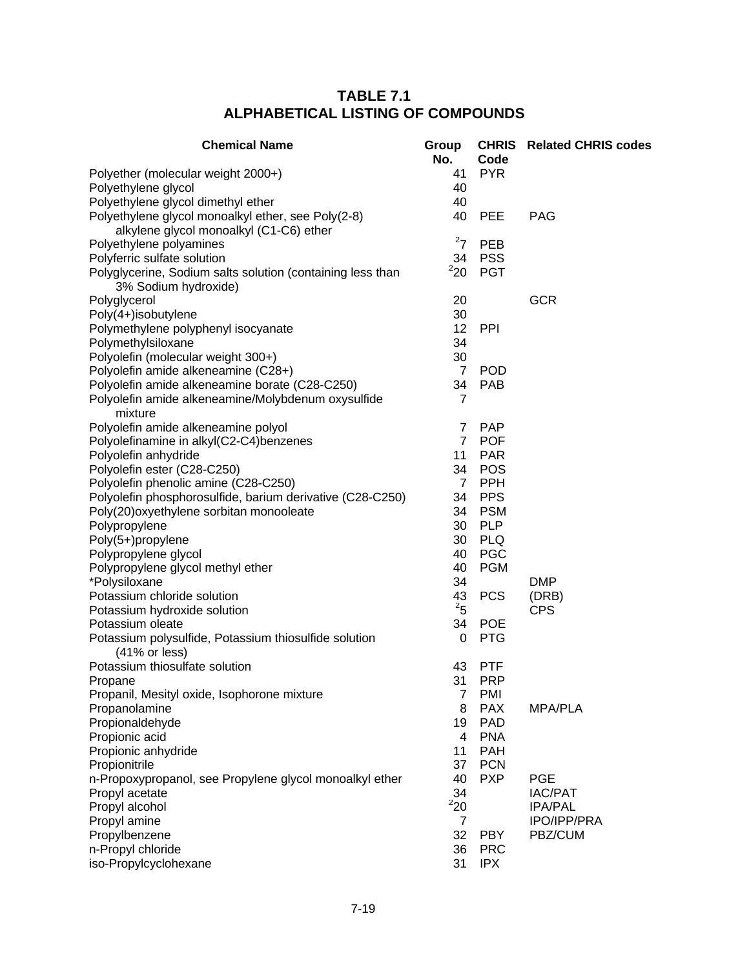| <b>Chemical Name</b>                                                                          | Group<br>No.   | Code       | <b>CHRIS</b> Related CHRIS codes |
|-----------------------------------------------------------------------------------------------|----------------|------------|----------------------------------|
| Polyether (molecular weight 2000+)                                                            | 41             | <b>PYR</b> |                                  |
| Polyethylene glycol                                                                           | 40             |            |                                  |
| Polyethylene glycol dimethyl ether                                                            | 40             |            |                                  |
| Polyethylene glycol monoalkyl ether, see Poly(2-8)<br>alkylene glycol monoalkyl (C1-C6) ether | 40             | <b>PEE</b> | <b>PAG</b>                       |
| Polyethylene polyamines                                                                       | $^{2}7$        | <b>PEB</b> |                                  |
| Polyferric sulfate solution                                                                   | 34             | <b>PSS</b> |                                  |
| Polyglycerine, Sodium salts solution (containing less than<br>3% Sodium hydroxide)            | 220            | <b>PGT</b> |                                  |
| Polyglycerol                                                                                  | 20             |            | <b>GCR</b>                       |
| Poly(4+)isobutylene                                                                           | 30             |            |                                  |
| Polymethylene polyphenyl isocyanate                                                           | 12             | <b>PPI</b> |                                  |
| Polymethylsiloxane                                                                            | 34             |            |                                  |
| Polyolefin (molecular weight 300+)                                                            | 30             |            |                                  |
| Polyolefin amide alkeneamine (C28+)                                                           | $\overline{7}$ | <b>POD</b> |                                  |
| Polyolefin amide alkeneamine borate (C28-C250)                                                | 34             | <b>PAB</b> |                                  |
| Polyolefin amide alkeneamine/Molybdenum oxysulfide<br>mixture                                 | 7              |            |                                  |
| Polyolefin amide alkeneamine polyol                                                           | 7              | <b>PAP</b> |                                  |
| Polyolefinamine in alkyl(C2-C4)benzenes                                                       | $\overline{7}$ | <b>POF</b> |                                  |
| Polyolefin anhydride                                                                          | 11             | <b>PAR</b> |                                  |
| Polyolefin ester (C28-C250)                                                                   | 34             | <b>POS</b> |                                  |
| Polyolefin phenolic amine (C28-C250)                                                          | $\overline{7}$ | <b>PPH</b> |                                  |
| Polyolefin phosphorosulfide, barium derivative (C28-C250)                                     | 34             | <b>PPS</b> |                                  |
| Poly(20) oxyethylene sorbitan monooleate                                                      | 34             | <b>PSM</b> |                                  |
| Polypropylene                                                                                 | 30             | <b>PLP</b> |                                  |
| Poly(5+)propylene                                                                             | 30             | <b>PLQ</b> |                                  |
| Polypropylene glycol                                                                          | 40             | <b>PGC</b> |                                  |
| Polypropylene glycol methyl ether                                                             | 40             | <b>PGM</b> |                                  |
| *Polysiloxane                                                                                 | 34             |            | <b>DMP</b>                       |
| Potassium chloride solution                                                                   | 43             | <b>PCS</b> | (DRB)                            |
| Potassium hydroxide solution                                                                  | $^{2}$ 5       |            | <b>CPS</b>                       |
| Potassium oleate                                                                              | 34             | <b>POE</b> |                                  |
| Potassium polysulfide, Potassium thiosulfide solution<br>(41% or less)                        | 0              | <b>PTG</b> |                                  |
| Potassium thiosulfate solution                                                                | 43             | <b>PTF</b> |                                  |
| Propane                                                                                       | 31             | <b>PRP</b> |                                  |
| Propanil, Mesityl oxide, Isophorone mixture                                                   | 7              | <b>PMI</b> |                                  |
| Propanolamine                                                                                 | 8              | <b>PAX</b> | <b>MPA/PLA</b>                   |
| Propionaldehyde                                                                               | 19             | <b>PAD</b> |                                  |
| Propionic acid                                                                                | 4              | <b>PNA</b> |                                  |
| Propionic anhydride                                                                           | 11             | <b>PAH</b> |                                  |
| Propionitrile                                                                                 | 37             | <b>PCN</b> |                                  |
| n-Propoxypropanol, see Propylene glycol monoalkyl ether                                       | 40             | <b>PXP</b> | <b>PGE</b>                       |
| Propyl acetate                                                                                | 34             |            | <b>IAC/PAT</b>                   |
| Propyl alcohol                                                                                | 220            |            | <b>IPA/PAL</b>                   |
| Propyl amine                                                                                  | 7              |            | <b>IPO/IPP/PRA</b>               |
| Propylbenzene                                                                                 | 32             | <b>PBY</b> | PBZ/CUM                          |
| n-Propyl chloride                                                                             | 36             | <b>PRC</b> |                                  |
| iso-Propylcyclohexane                                                                         | 31             | <b>IPX</b> |                                  |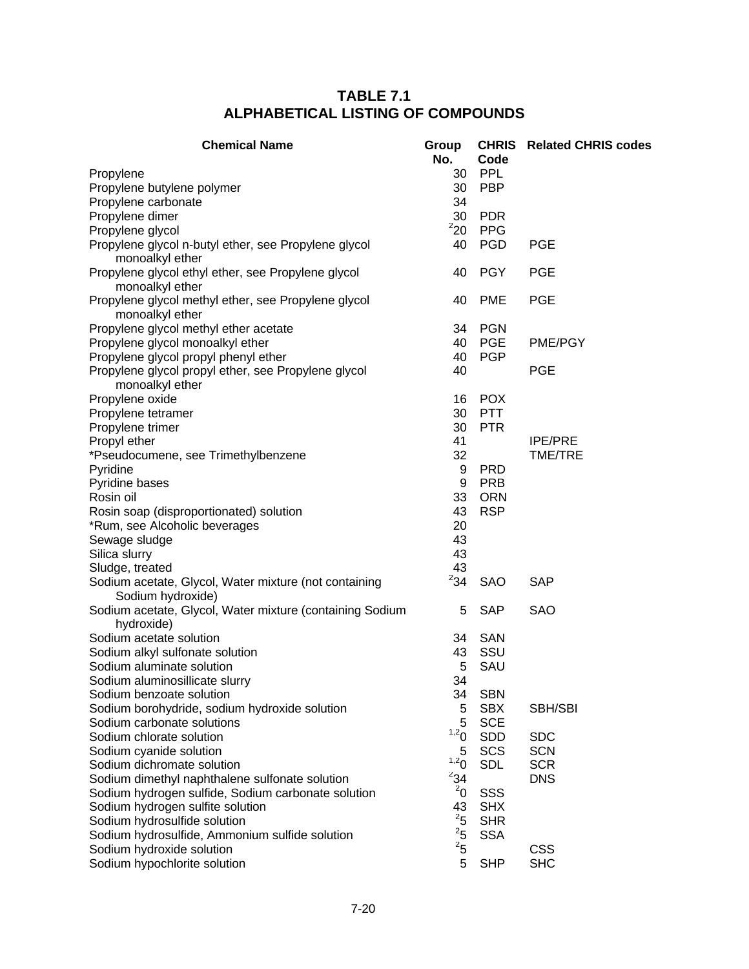| <b>Chemical Name</b>                                     | Group<br>No.   | Code       | <b>CHRIS</b> Related CHRIS codes |
|----------------------------------------------------------|----------------|------------|----------------------------------|
| Propylene                                                | 30             | PPL        |                                  |
| Propylene butylene polymer                               | 30             | <b>PBP</b> |                                  |
| Propylene carbonate                                      | 34             |            |                                  |
| Propylene dimer                                          | 30             | <b>PDR</b> |                                  |
| Propylene glycol                                         | 220            | <b>PPG</b> |                                  |
| Propylene glycol n-butyl ether, see Propylene glycol     | 40             | <b>PGD</b> | <b>PGE</b>                       |
| monoalkyl ether                                          |                |            |                                  |
| Propylene glycol ethyl ether, see Propylene glycol       | 40             | <b>PGY</b> | <b>PGE</b>                       |
| monoalkyl ether                                          |                |            |                                  |
| Propylene glycol methyl ether, see Propylene glycol      | 40             | <b>PME</b> | <b>PGE</b>                       |
| monoalkyl ether                                          |                |            |                                  |
| Propylene glycol methyl ether acetate                    | 34             | <b>PGN</b> |                                  |
| Propylene glycol monoalkyl ether                         | 40             | <b>PGE</b> | <b>PME/PGY</b>                   |
| Propylene glycol propyl phenyl ether                     | 40             | <b>PGP</b> |                                  |
| Propylene glycol propyl ether, see Propylene glycol      | 40             |            | <b>PGE</b>                       |
| monoalkyl ether                                          |                |            |                                  |
| Propylene oxide                                          | 16             | <b>POX</b> |                                  |
| Propylene tetramer                                       | 30             | <b>PTT</b> |                                  |
| Propylene trimer                                         | 30             | <b>PTR</b> |                                  |
| Propyl ether                                             | 41             |            | <b>IPE/PRE</b>                   |
| *Pseudocumene, see Trimethylbenzene                      | 32             |            | <b>TME/TRE</b>                   |
| Pyridine                                                 | 9              | <b>PRD</b> |                                  |
| Pyridine bases                                           | 9              | <b>PRB</b> |                                  |
| Rosin oil                                                | 33             | <b>ORN</b> |                                  |
| Rosin soap (disproportionated) solution                  | 43             | <b>RSP</b> |                                  |
| *Rum, see Alcoholic beverages                            | 20             |            |                                  |
| Sewage sludge                                            | 43             |            |                                  |
| Silica slurry                                            | 43             |            |                                  |
| Sludge, treated                                          | 43             |            |                                  |
| Sodium acetate, Glycol, Water mixture (not containing    | $^{2}34$       | SAO        | <b>SAP</b>                       |
| Sodium hydroxide)                                        |                |            |                                  |
| Sodium acetate, Glycol, Water mixture (containing Sodium | 5              | <b>SAP</b> | <b>SAO</b>                       |
| hydroxide)                                               |                |            |                                  |
| Sodium acetate solution                                  | 34             | SAN        |                                  |
| Sodium alkyl sulfonate solution                          | 43             | SSU        |                                  |
| Sodium aluminate solution                                | 5              | SAU        |                                  |
| Sodium aluminosillicate slurry                           | 34             |            |                                  |
| Sodium benzoate solution                                 | 34             | <b>SBN</b> |                                  |
| Sodium borohydride, sodium hydroxide solution            | 5              | <b>SBX</b> | SBH/SBI                          |
| Sodium carbonate solutions                               | 5              | <b>SCE</b> |                                  |
| Sodium chlorate solution                                 | 1,20           | <b>SDD</b> | <b>SDC</b>                       |
| Sodium cyanide solution                                  | 5              | SCS        | <b>SCN</b>                       |
| Sodium dichromate solution                               | 1,20           | <b>SDL</b> | <b>SCR</b>                       |
| Sodium dimethyl naphthalene sulfonate solution           | $^{2}34$       |            | <b>DNS</b>                       |
| Sodium hydrogen sulfide, Sodium carbonate solution       | $^{2}$ 0       | SSS        |                                  |
| Sodium hydrogen sulfite solution                         | 43             | <b>SHX</b> |                                  |
| Sodium hydrosulfide solution                             | $\overline{5}$ | <b>SHR</b> |                                  |
| Sodium hydrosulfide, Ammonium sulfide solution           | $\overline{5}$ | <b>SSA</b> |                                  |
| Sodium hydroxide solution                                | $\overline{5}$ |            | <b>CSS</b>                       |
| Sodium hypochlorite solution                             | 5              | <b>SHP</b> | <b>SHC</b>                       |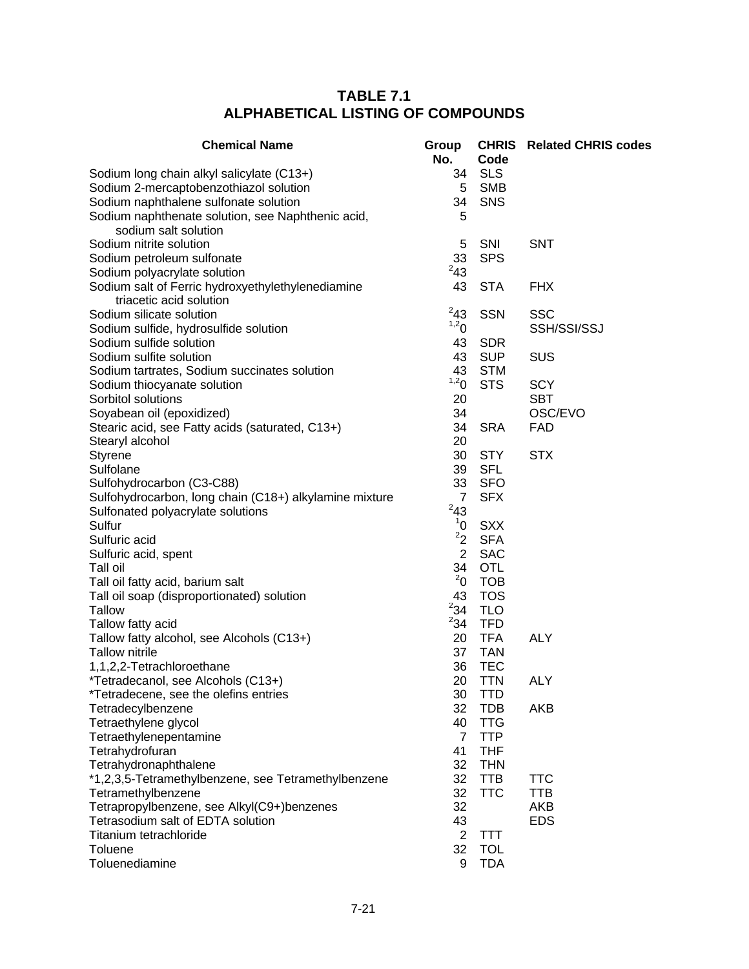| <b>Chemical Name</b>                                                         | Group<br>No.     | Code       | <b>CHRIS</b> Related CHRIS codes |
|------------------------------------------------------------------------------|------------------|------------|----------------------------------|
| Sodium long chain alkyl salicylate (C13+)                                    | 34               | <b>SLS</b> |                                  |
| Sodium 2-mercaptobenzothiazol solution                                       | 5                | <b>SMB</b> |                                  |
| Sodium naphthalene sulfonate solution                                        | 34               | SNS        |                                  |
| Sodium naphthenate solution, see Naphthenic acid,<br>sodium salt solution    | 5                |            |                                  |
| Sodium nitrite solution                                                      | 5                | SNI        | <b>SNT</b>                       |
| Sodium petroleum sulfonate                                                   | 33               | <b>SPS</b> |                                  |
| Sodium polyacrylate solution                                                 | $^{2}43$         |            |                                  |
| Sodium salt of Ferric hydroxyethylethylenediamine<br>triacetic acid solution | 43               | <b>STA</b> | <b>FHX</b>                       |
| Sodium silicate solution                                                     | $^{2}43$         | <b>SSN</b> | <b>SSC</b>                       |
| Sodium sulfide, hydrosulfide solution                                        | 1,20             |            | SSH/SSI/SSJ                      |
| Sodium sulfide solution                                                      | 43               | <b>SDR</b> |                                  |
| Sodium sulfite solution                                                      | 43               | <b>SUP</b> | <b>SUS</b>                       |
| Sodium tartrates, Sodium succinates solution                                 | 43               | <b>STM</b> |                                  |
| Sodium thiocyanate solution                                                  | 1,2 <sub>0</sub> | <b>STS</b> | <b>SCY</b>                       |
| Sorbitol solutions                                                           | 20               |            | <b>SBT</b>                       |
| Soyabean oil (epoxidized)                                                    | 34               |            | OSC/EVO                          |
| Stearic acid, see Fatty acids (saturated, C13+)                              | 34               | <b>SRA</b> | <b>FAD</b>                       |
| Stearyl alcohol                                                              | 20               |            |                                  |
| Styrene                                                                      | 30               | <b>STY</b> | <b>STX</b>                       |
| Sulfolane                                                                    | 39               | <b>SFL</b> |                                  |
| Sulfohydrocarbon (C3-C88)                                                    | 33               | <b>SFO</b> |                                  |
| Sulfohydrocarbon, long chain (C18+) alkylamine mixture                       | $\overline{7}$   | <b>SFX</b> |                                  |
| Sulfonated polyacrylate solutions                                            | $^{2}43$         |            |                                  |
| Sulfur                                                                       | 1 <sup>1</sup>   | <b>SXX</b> |                                  |
| Sulfuric acid                                                                | $2^2$            | <b>SFA</b> |                                  |
| Sulfuric acid, spent                                                         | $\overline{2}$   | <b>SAC</b> |                                  |
| Tall oil                                                                     | 34               | <b>OTL</b> |                                  |
| Tall oil fatty acid, barium salt                                             | $^{2}$ 0         | <b>TOB</b> |                                  |
| Tall oil soap (disproportionated) solution                                   | 43               | <b>TOS</b> |                                  |
| <b>Tallow</b>                                                                | $^{2}34$         | <b>TLO</b> |                                  |
| Tallow fatty acid                                                            | $^{2}34$         | <b>TFD</b> |                                  |
| Tallow fatty alcohol, see Alcohols (C13+)                                    | 20               | <b>TFA</b> | <b>ALY</b>                       |
| <b>Tallow nitrile</b>                                                        | 37               | <b>TAN</b> |                                  |
| 1,1,2,2-Tetrachloroethane                                                    | 36               | <b>TEC</b> |                                  |
| *Tetradecanol, see Alcohols (C13+)                                           | 20               | <b>TTN</b> | <b>ALY</b>                       |
| *Tetradecene, see the olefins entries                                        | 30               | <b>TTD</b> |                                  |
| Tetradecylbenzene                                                            | 32               | <b>TDB</b> | <b>AKB</b>                       |
| Tetraethylene glycol                                                         | 40               | <b>TTG</b> |                                  |
| Tetraethylenepentamine                                                       | $\overline{7}$   | <b>TTP</b> |                                  |
| Tetrahydrofuran                                                              | 41               | <b>THF</b> |                                  |
| Tetrahydronaphthalene                                                        | 32               | <b>THN</b> |                                  |
| *1,2,3,5-Tetramethylbenzene, see Tetramethylbenzene                          | 32               | <b>TTB</b> | <b>TTC</b>                       |
| Tetramethylbenzene                                                           | 32               | <b>TTC</b> | <b>TTB</b>                       |
| Tetrapropylbenzene, see Alkyl(C9+)benzenes                                   | 32               |            | AKB                              |
| Tetrasodium salt of EDTA solution                                            | 43               |            | <b>EDS</b>                       |
| Titanium tetrachloride                                                       | $\overline{2}$   | <b>TTT</b> |                                  |
| Toluene                                                                      | 32               | <b>TOL</b> |                                  |
| Toluenediamine                                                               | 9                | <b>TDA</b> |                                  |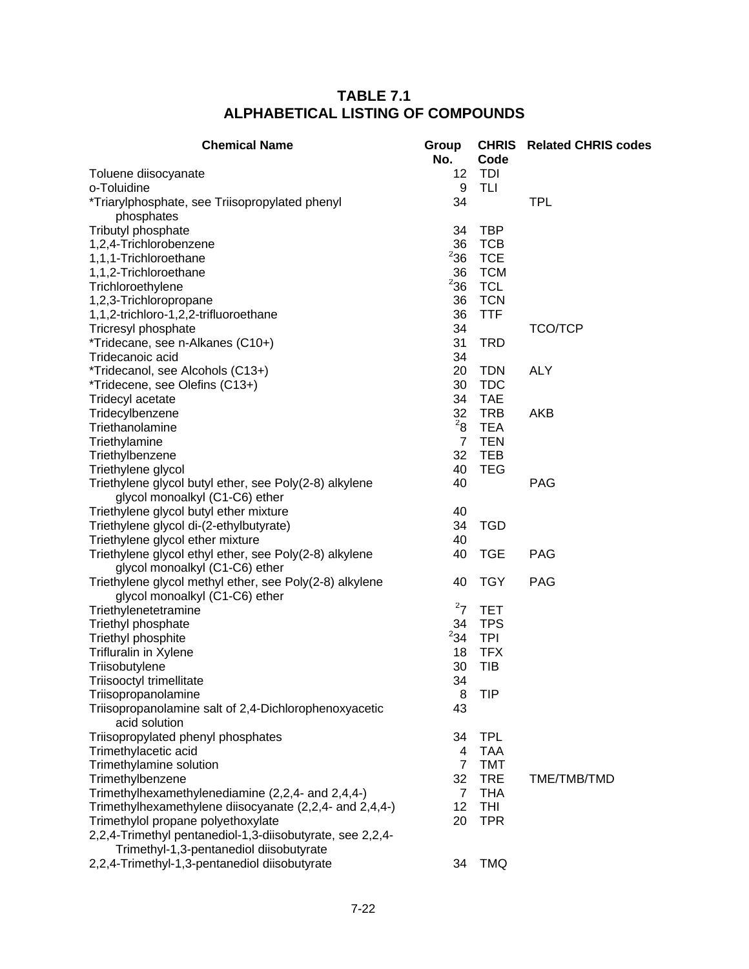| <b>Chemical Name</b>                                                                                 | Group<br>No.   | <b>CHRIS</b><br>Code | <b>Related CHRIS codes</b> |
|------------------------------------------------------------------------------------------------------|----------------|----------------------|----------------------------|
| Toluene diisocyanate                                                                                 | 12             | TDI                  |                            |
| o-Toluidine                                                                                          | 9              | TLI                  |                            |
| *Triarylphosphate, see Triisopropylated phenyl<br>phosphates                                         | 34             |                      | <b>TPL</b>                 |
| Tributyl phosphate                                                                                   | 34             | <b>TBP</b>           |                            |
| 1,2,4-Trichlorobenzene                                                                               | 36             | <b>TCB</b>           |                            |
| 1,1,1-Trichloroethane                                                                                | $2$ 36         | <b>TCE</b>           |                            |
| 1,1,2-Trichloroethane                                                                                | 36             | <b>TCM</b>           |                            |
| Trichloroethylene                                                                                    | $2$ 36         | <b>TCL</b>           |                            |
| 1,2,3-Trichloropropane                                                                               | 36             | <b>TCN</b>           |                            |
| 1,1,2-trichloro-1,2,2-trifluoroethane                                                                | 36             | <b>TTF</b>           |                            |
| Tricresyl phosphate                                                                                  | 34             |                      | <b>TCO/TCP</b>             |
| *Tridecane, see n-Alkanes (C10+)                                                                     | 31             | <b>TRD</b>           |                            |
| Tridecanoic acid                                                                                     | 34             |                      |                            |
| *Tridecanol, see Alcohols (C13+)                                                                     | 20             | <b>TDN</b>           | <b>ALY</b>                 |
| *Tridecene, see Olefins (C13+)                                                                       | 30             | <b>TDC</b>           |                            |
| Tridecyl acetate                                                                                     | 34             | <b>TAE</b>           |                            |
| Tridecylbenzene                                                                                      | 32             | <b>TRB</b>           | AKB                        |
| Triethanolamine                                                                                      | $^{2}8$        | <b>TEA</b>           |                            |
| Triethylamine                                                                                        | $\overline{7}$ | <b>TEN</b>           |                            |
| Triethylbenzene                                                                                      | 32             | <b>TEB</b>           |                            |
| Triethylene glycol                                                                                   | 40             | <b>TEG</b>           |                            |
| Triethylene glycol butyl ether, see Poly(2-8) alkylene<br>glycol monoalkyl (C1-C6) ether             | 40             |                      | <b>PAG</b>                 |
| Triethylene glycol butyl ether mixture                                                               | 40             |                      |                            |
| Triethylene glycol di-(2-ethylbutyrate)                                                              | 34             | <b>TGD</b>           |                            |
| Triethylene glycol ether mixture                                                                     | 40             |                      |                            |
| Triethylene glycol ethyl ether, see Poly(2-8) alkylene                                               | 40             | <b>TGE</b>           | <b>PAG</b>                 |
| glycol monoalkyl (C1-C6) ether                                                                       |                |                      |                            |
| Triethylene glycol methyl ether, see Poly(2-8) alkylene                                              | 40             | <b>TGY</b>           | <b>PAG</b>                 |
| glycol monoalkyl (C1-C6) ether                                                                       |                |                      |                            |
| Triethylenetetramine                                                                                 | $^{2}7$        | <b>TET</b>           |                            |
| Triethyl phosphate                                                                                   | 34             | <b>TPS</b>           |                            |
| Triethyl phosphite                                                                                   | $^{2}34$       | <b>TPI</b>           |                            |
| Trifluralin in Xylene                                                                                | 18             | <b>TFX</b>           |                            |
| Triisobutylene                                                                                       | 30             | <b>TIB</b>           |                            |
| Triisooctyl trimellitate                                                                             | 34             |                      |                            |
| Triisopropanolamine                                                                                  | 8              | <b>TIP</b>           |                            |
| Triisopropanolamine salt of 2,4-Dichlorophenoxyacetic<br>acid solution                               | 43             |                      |                            |
| Triisopropylated phenyl phosphates                                                                   | 34             | <b>TPL</b>           |                            |
| Trimethylacetic acid                                                                                 | 4              | <b>TAA</b>           |                            |
| Trimethylamine solution                                                                              | $\overline{7}$ | <b>TMT</b>           |                            |
| Trimethylbenzene                                                                                     | 32             | <b>TRE</b>           | TME/TMB/TMD                |
| Trimethylhexamethylenediamine (2,2,4- and 2,4,4-)                                                    | $\overline{7}$ | <b>THA</b>           |                            |
| Trimethylhexamethylene diisocyanate (2,2,4- and 2,4,4-)                                              | 12             | THI                  |                            |
| Trimethylol propane polyethoxylate                                                                   | 20             | <b>TPR</b>           |                            |
| 2,2,4-Trimethyl pentanediol-1,3-diisobutyrate, see 2,2,4-<br>Trimethyl-1,3-pentanediol diisobutyrate |                |                      |                            |
| 2,2,4-Trimethyl-1,3-pentanediol diisobutyrate                                                        | 34             | <b>TMQ</b>           |                            |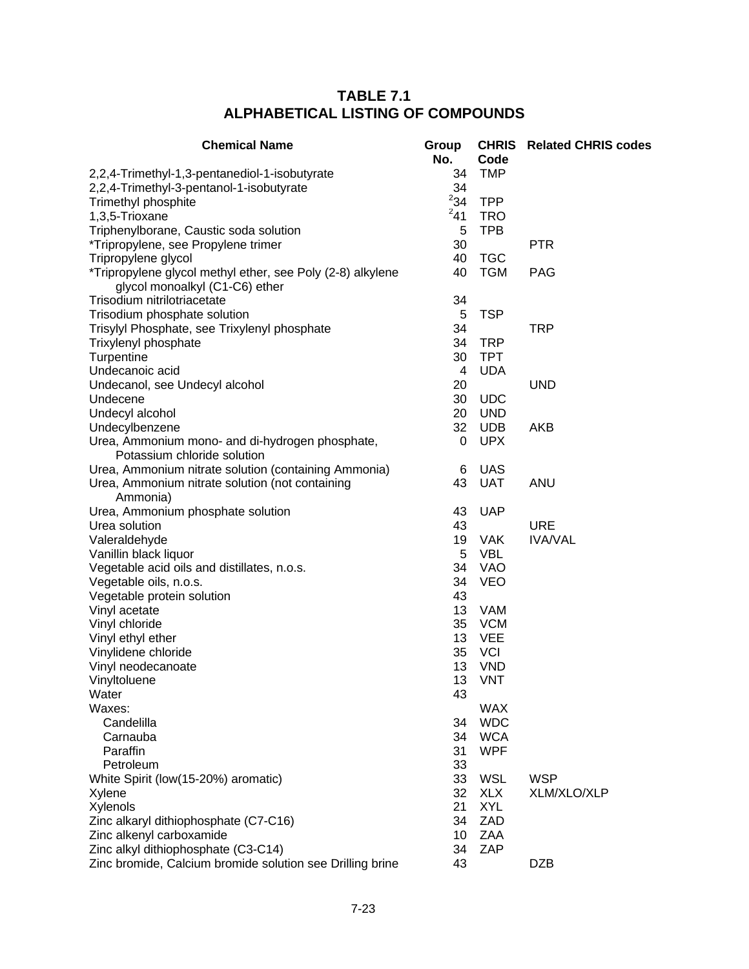| <b>Chemical Name</b>                                                                         | Group<br>No. | Code       | <b>CHRIS</b> Related CHRIS codes |
|----------------------------------------------------------------------------------------------|--------------|------------|----------------------------------|
| 2,2,4-Trimethyl-1,3-pentanediol-1-isobutyrate                                                | 34           | <b>TMP</b> |                                  |
| 2,2,4-Trimethyl-3-pentanol-1-isobutyrate                                                     | 34           |            |                                  |
| Trimethyl phosphite                                                                          | $^{2}34$     | <b>TPP</b> |                                  |
| 1,3,5-Trioxane                                                                               | $^{2}41$     | <b>TRO</b> |                                  |
| Triphenylborane, Caustic soda solution                                                       | 5            | <b>TPB</b> |                                  |
| *Tripropylene, see Propylene trimer                                                          | 30           |            | <b>PTR</b>                       |
| Tripropylene glycol                                                                          | 40           | <b>TGC</b> |                                  |
| *Tripropylene glycol methyl ether, see Poly (2-8) alkylene<br>glycol monoalkyl (C1-C6) ether | 40           | <b>TGM</b> | <b>PAG</b>                       |
| Trisodium nitrilotriacetate                                                                  | 34           |            |                                  |
| Trisodium phosphate solution                                                                 | 5            | <b>TSP</b> |                                  |
| Trisylyl Phosphate, see Trixylenyl phosphate                                                 | 34           |            | <b>TRP</b>                       |
| Trixylenyl phosphate                                                                         | 34           | <b>TRP</b> |                                  |
| Turpentine                                                                                   | 30           | <b>TPT</b> |                                  |
| Undecanoic acid                                                                              | 4            | <b>UDA</b> |                                  |
| Undecanol, see Undecyl alcohol                                                               | 20           |            | <b>UND</b>                       |
| Undecene                                                                                     | 30           | <b>UDC</b> |                                  |
| Undecyl alcohol                                                                              | 20           | <b>UND</b> |                                  |
| Undecylbenzene                                                                               | 32           | <b>UDB</b> | AKB                              |
| Urea, Ammonium mono- and di-hydrogen phosphate,<br>Potassium chloride solution               | 0            | <b>UPX</b> |                                  |
| Urea, Ammonium nitrate solution (containing Ammonia)                                         | 6            | <b>UAS</b> |                                  |
| Urea, Ammonium nitrate solution (not containing<br>Ammonia)                                  | 43           | <b>UAT</b> | <b>ANU</b>                       |
| Urea, Ammonium phosphate solution                                                            | 43           | <b>UAP</b> |                                  |
| Urea solution                                                                                | 43           |            | <b>URE</b>                       |
| Valeraldehyde                                                                                | 19           | <b>VAK</b> | <b>IVA/VAL</b>                   |
| Vanillin black liquor                                                                        | 5            | VBL        |                                  |
| Vegetable acid oils and distillates, n.o.s.                                                  | 34           | <b>VAO</b> |                                  |
| Vegetable oils, n.o.s.                                                                       | 34           | <b>VEO</b> |                                  |
| Vegetable protein solution                                                                   | 43           |            |                                  |
| Vinyl acetate                                                                                | 13           | <b>VAM</b> |                                  |
| Vinyl chloride                                                                               | 35           | <b>VCM</b> |                                  |
| Vinyl ethyl ether                                                                            | 13           | <b>VEE</b> |                                  |
| Vinylidene chloride                                                                          | 35           | <b>VCI</b> |                                  |
| Vinyl neodecanoate                                                                           | 13           | <b>VND</b> |                                  |
| Vinyltoluene                                                                                 | 13           | <b>VNT</b> |                                  |
| Water                                                                                        | 43           |            |                                  |
| Waxes:                                                                                       |              | <b>WAX</b> |                                  |
| Candelilla                                                                                   | 34           | <b>WDC</b> |                                  |
| Carnauba                                                                                     | 34           | <b>WCA</b> |                                  |
| Paraffin                                                                                     | 31           | <b>WPF</b> |                                  |
| Petroleum                                                                                    | 33           |            |                                  |
| White Spirit (low(15-20%) aromatic)                                                          | 33           | <b>WSL</b> | <b>WSP</b>                       |
| Xylene                                                                                       | 32           | <b>XLX</b> | XLM/XLO/XLP                      |
| Xylenols                                                                                     | 21           | <b>XYL</b> |                                  |
| Zinc alkaryl dithiophosphate (C7-C16)                                                        | 34           | ZAD        |                                  |
| Zinc alkenyl carboxamide                                                                     | 10           | <b>ZAA</b> |                                  |
| Zinc alkyl dithiophosphate (C3-C14)                                                          | 34           | ZAP        |                                  |
| Zinc bromide, Calcium bromide solution see Drilling brine                                    | 43           |            | <b>DZB</b>                       |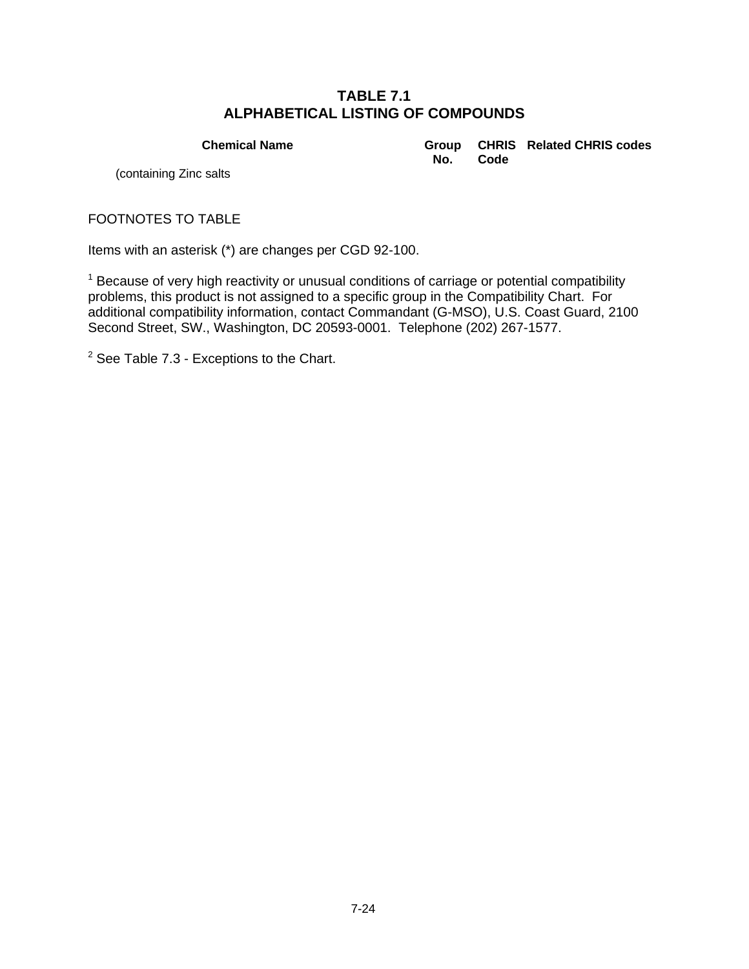**Chemical Name Group** 

**No. CHRIS Related CHRIS codes Code**

(containing Zinc salts

FOOTNOTES TO TABLE

Items with an asterisk (\*) are changes per CGD 92-100.

<sup>1</sup> Because of very high reactivity or unusual conditions of carriage or potential compatibility problems, this product is not assigned to a specific group in the Compatibility Chart. For additional compatibility information, contact Commandant (G-MSO), U.S. Coast Guard, 2100 Second Street, SW., Washington, DC 20593-0001. Telephone (202) 267-1577.

 $2$  See Table 7.3 - Exceptions to the Chart.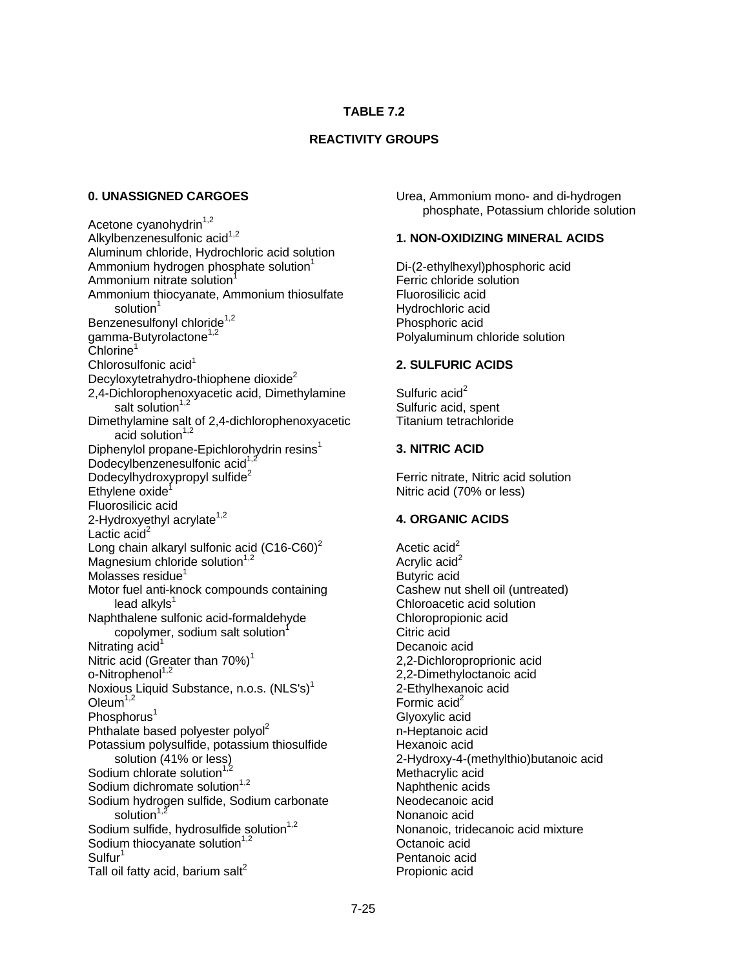## **TABLE 7.2**

### **REACTIVITY GROUPS**

### **0. UNASSIGNED CARGOES**

Acetone cyanohydrin $1,2$ Alkylbenzenesulfonic acid<sup>1,2</sup> Aluminum chloride, Hydrochloric acid solution Ammonium hydrogen phosphate solution<sup>1</sup> Ammonium nitrate solution<sup>1</sup> Ammonium thiocyanate, Ammonium thiosulfate solution<sup>1</sup> Benzenesulfonyl chloride<sup>1,2</sup> gamma-Butyrolactone<sup>1,2</sup> Chlorine<sup>1</sup> Chlorosulfonic acid<sup>1</sup> Decyloxytetrahydro-thiophene dioxide $2$ 2,4-Dichlorophenoxyacetic acid, Dimethylamine salt solution $1,2$ Dimethylamine salt of 2,4-dichlorophenoxyacetic acid solution<sup>1,2</sup> Diphenylol propane-Epichlorohydrin resins<sup>1</sup> Dodecylbenzenesulfonic acid<sup>1,2</sup> Dodecylhydroxypropyl sulfide<sup>2</sup> Ethylene oxide<sup>1</sup> Fluorosilicic acid 2-Hydroxyethyl acrylate<sup>1,2</sup> Lactic  $\text{acid}^2$ Long chain alkaryl sulfonic acid  $(C16-C60)^2$ Magnesium chloride solution $1,2$ Molasses residue<sup>1</sup> Motor fuel anti-knock compounds containing  $lead$  alkyls $1$ Naphthalene sulfonic acid-formaldehyde copolymer, sodium salt solution<sup>1</sup> Nitrating  $acid<sup>1</sup>$ Nitric acid (Greater than  $70\%)$ <sup>1</sup> o-Nitrophenol<sup>1,2</sup> Noxious Liquid Substance, n.o.s. (NLS's)<sup>1</sup> Oleum $1,2$ Phosphorus<sup>1</sup> Phthalate based polyester polyol<sup>2</sup> Potassium polysulfide, potassium thiosulfide solution (41% or less) Sodium chlorate solution<sup>1</sup> Sodium dichromate solution $1,2$ Sodium hydrogen sulfide, Sodium carbonate solution<sup>1</sup> Sodium sulfide, hydrosulfide solution $1,2$ Sodium thiocyanate solution $1,2$  $S$ ulfur<sup>1</sup> Tall oil fatty acid, barium salt $^2$ 

Urea, Ammonium mono- and di-hydrogen phosphate, Potassium chloride solution

#### **1. NON-OXIDIZING MINERAL ACIDS**

Di-(2-ethylhexyl)phosphoric acid Ferric chloride solution Fluorosilicic acid Hydrochloric acid Phosphoric acid Polyaluminum chloride solution

#### **2. SULFURIC ACIDS**

Sulfuric  $\text{acid}^2$ Sulfuric acid, spent Titanium tetrachloride

#### **3. NITRIC ACID**

Ferric nitrate, Nitric acid solution Nitric acid (70% or less)

### **4. ORGANIC ACIDS**

Acetic  $acid<sup>2</sup>$ Acrylic  $\text{acid}^2$ Butyric acid Cashew nut shell oil (untreated) Chloroacetic acid solution Chloropropionic acid Citric acid Decanoic acid 2,2-Dichloroproprionic acid 2,2-Dimethyloctanoic acid 2-Ethylhexanoic acid Formic  $acid<sup>2</sup>$ Glyoxylic acid n-Heptanoic acid Hexanoic acid 2-Hydroxy-4-(methylthio)butanoic acid Methacrylic acid Naphthenic acids Neodecanoic acid Nonanoic acid Nonanoic, tridecanoic acid mixture Octanoic acid Pentanoic acid Propionic acid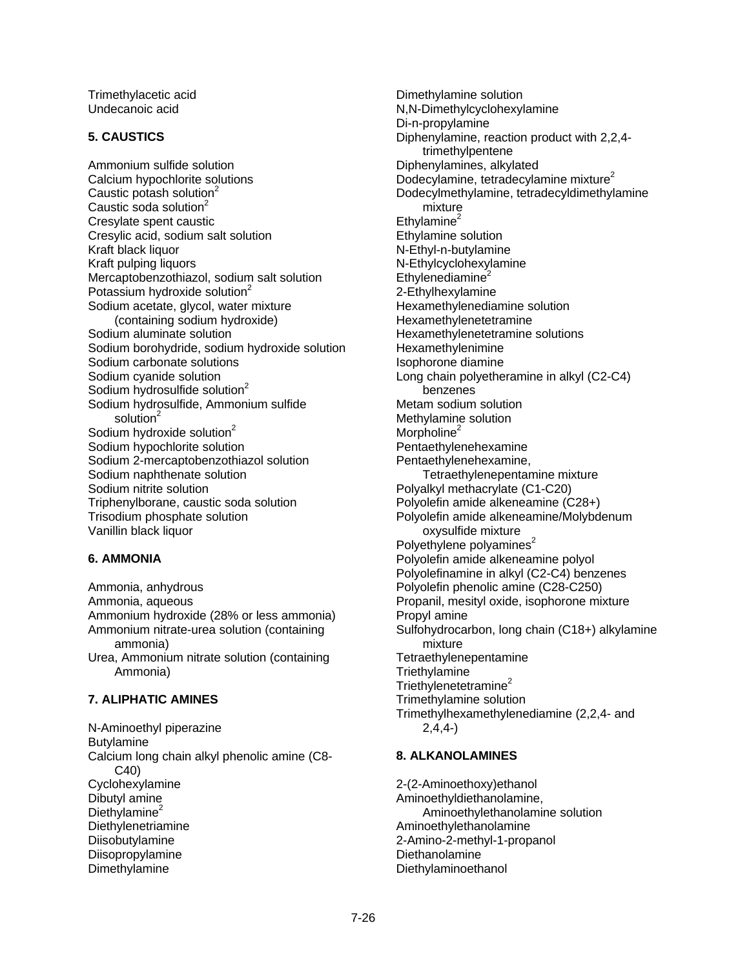Trimethylacetic acid Undecanoic acid

#### **5. CAUSTICS**

Ammonium sulfide solution Calcium hypochlorite solutions Caustic potash solution $2$ Caustic soda solution<sup>2</sup> Cresylate spent caustic Cresylic acid, sodium salt solution Kraft black liquor Kraft pulping liquors Mercaptobenzothiazol, sodium salt solution Potassium hydroxide solution<sup>2</sup> Sodium acetate, glycol, water mixture (containing sodium hydroxide) Sodium aluminate solution Sodium borohydride, sodium hydroxide solution Sodium carbonate solutions Sodium cyanide solution Sodium hydrosulfide solution<sup>2</sup> Sodium hydrosulfide, Ammonium sulfide solution<sup>2</sup> Sodium hydroxide solution<sup>2</sup> Sodium hypochlorite solution Sodium 2-mercaptobenzothiazol solution Sodium naphthenate solution Sodium nitrite solution Triphenylborane, caustic soda solution Trisodium phosphate solution Vanillin black liquor

### **6. AMMONIA**

Ammonia, anhydrous Ammonia, aqueous Ammonium hydroxide (28% or less ammonia) Ammonium nitrate-urea solution (containing ammonia) Urea, Ammonium nitrate solution (containing Ammonia)

### **7. ALIPHATIC AMINES**

N-Aminoethyl piperazine Butylamine Calcium long chain alkyl phenolic amine (C8- C40) Cyclohexylamine Dibutyl amine Diethylamine $2$ **Diethylenetriamine** Diisobutylamine Diisopropylamine Dimethylamine

Dimethylamine solution N,N-Dimethylcyclohexylamine Di-n-propylamine Diphenylamine, reaction product with 2,2,4 trimethylpentene Diphenylamines, alkylated Dodecylamine, tetradecylamine mixture<sup>2</sup> Dodecylmethylamine, tetradecyldimethylamine mixture Ethylamine $2$ Ethylamine solution N-Ethyl-n-butylamine N-Ethylcyclohexylamine  $Ethvlenediamine<sup>2</sup>$ 2-Ethylhexylamine Hexamethylenediamine solution Hexamethylenetetramine Hexamethylenetetramine solutions Hexamethylenimine Isophorone diamine Long chain polyetheramine in alkyl (C2-C4) benzenes Metam sodium solution Methylamine solution Morpholine<sup>2</sup> Pentaethylenehexamine Pentaethylenehexamine, Tetraethylenepentamine mixture Polyalkyl methacrylate (C1-C20) Polyolefin amide alkeneamine (C28+) Polyolefin amide alkeneamine/Molybdenum oxysulfide mixture Polyethylene polyamines<sup>2</sup> Polyolefin amide alkeneamine polyol Polyolefinamine in alkyl (C2-C4) benzenes Polyolefin phenolic amine (C28-C250) Propanil, mesityl oxide, isophorone mixture Propyl amine Sulfohydrocarbon, long chain (C18+) alkylamine mixture Tetraethylenepentamine **Triethylamine** Triethylenetetramine<sup>2</sup> Trimethylamine solution Trimethylhexamethylenediamine (2,2,4- and 2,4,4-)

### **8. ALKANOLAMINES**

2-(2-Aminoethoxy)ethanol Aminoethyldiethanolamine, Aminoethylethanolamine solution Aminoethylethanolamine 2-Amino-2-methyl-1-propanol Diethanolamine Diethylaminoethanol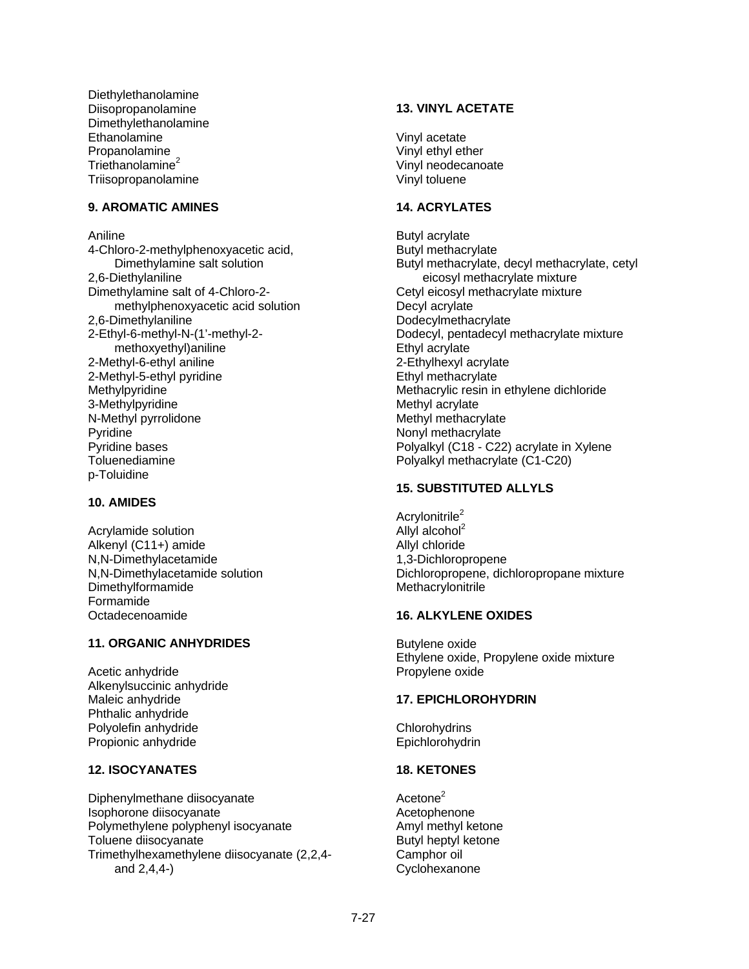Diethylethanolamine Diisopropanolamine Dimethylethanolamine **Ethanolamine** Propanolamine Triethanolamine<sup>2</sup> Triisopropanolamine

### **9. AROMATIC AMINES**

Aniline 4-Chloro-2-methylphenoxyacetic acid, Dimethylamine salt solution 2,6-Diethylaniline Dimethylamine salt of 4-Chloro-2 methylphenoxyacetic acid solution 2,6-Dimethylaniline 2-Ethyl-6-methyl-N-(1'-methyl-2 methoxyethyl)aniline 2-Methyl-6-ethyl aniline 2-Methyl-5-ethyl pyridine Methylpyridine 3-Methylpyridine N-Methyl pyrrolidone Pyridine Pyridine bases Toluenediamine p-Toluidine

#### **10. AMIDES**

Acrylamide solution Alkenyl (C11+) amide N,N-Dimethylacetamide N,N-Dimethylacetamide solution Dimethylformamide Formamide Octadecenoamide

### **11. ORGANIC ANHYDRIDES**

Acetic anhydride Alkenylsuccinic anhydride Maleic anhydride Phthalic anhydride Polyolefin anhydride Propionic anhydride

## **12. ISOCYANATES**

Diphenylmethane diisocyanate Isophorone diisocyanate Polymethylene polyphenyl isocyanate Toluene diisocyanate Trimethylhexamethylene diisocyanate (2,2,4 and 2,4,4-)

#### **13. VINYL ACETATE**

Vinyl acetate Vinyl ethyl ether Vinyl neodecanoate Vinyl toluene

#### **14. ACRYLATES**

Butyl acrylate Butyl methacrylate Butyl methacrylate, decyl methacrylate, cetyl eicosyl methacrylate mixture Cetyl eicosyl methacrylate mixture Decyl acrylate **Dodecylmethacrylate** Dodecyl, pentadecyl methacrylate mixture Ethyl acrylate 2-Ethylhexyl acrylate Ethyl methacrylate Methacrylic resin in ethylene dichloride Methyl acrylate Methyl methacrylate Nonyl methacrylate Polyalkyl (C18 - C22) acrylate in Xylene Polyalkyl methacrylate (C1-C20)

### **15. SUBSTITUTED ALLYLS**

Acrylonitrile<sup>2</sup> Allyl alcohol $<sup>2</sup>$ </sup> Allyl chloride 1,3-Dichloropropene Dichloropropene, dichloropropane mixture **Methacrylonitrile** 

#### **16. ALKYLENE OXIDES**

Butylene oxide Ethylene oxide, Propylene oxide mixture Propylene oxide

### **17. EPICHLOROHYDRIN**

**Chlorohydrins** Epichlorohydrin

### **18. KETONES**

Acetone<sup>2</sup> Acetophenone Amyl methyl ketone Butyl heptyl ketone Camphor oil **Cyclohexanone**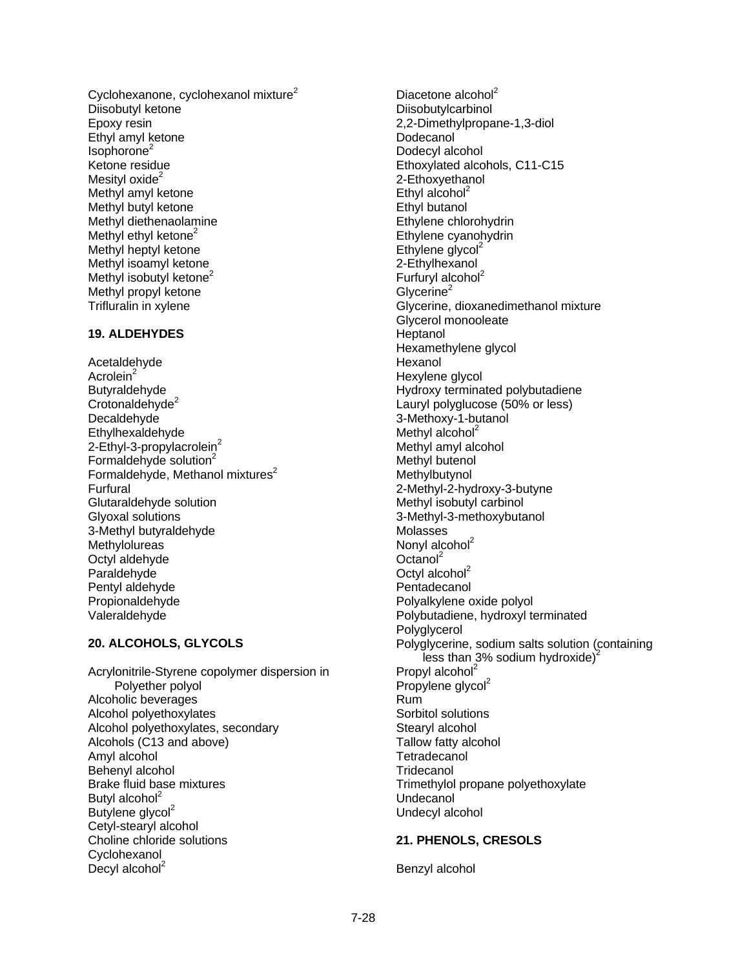Cyclohexanone, cyclohexanol mixture<sup>2</sup> Diisobutyl ketone Epoxy resin Ethyl amyl ketone  $Isophorone<sup>2</sup>$ Ketone residue Mesityl oxide $2$ Methyl amyl ketone Methyl butyl ketone Methyl diethenaolamine Methyl ethyl ketone $2$ Methyl heptyl ketone Methyl isoamyl ketone Methyl isobutyl ketone<sup>2</sup> Methyl propyl ketone Trifluralin in xylene

## **19. ALDEHYDES**

Acetaldehyde Acrolein<sup>2</sup> Butyraldehyde Crotonaldehyde<sup>2</sup> Decaldehyde Ethylhexaldehyde 2-Ethyl-3-propylacrolein<sup>2</sup> Formaldehyde solution<sup>2</sup> Formaldehyde, Methanol mixtures $2$ Furfural Glutaraldehyde solution Glyoxal solutions 3-Methyl butyraldehyde Methylolureas Octyl aldehyde Paraldehyde Pentyl aldehyde Propionaldehyde Valeraldehyde

## **20. ALCOHOLS, GLYCOLS**

Acrylonitrile-Styrene copolymer dispersion in Polyether polyol Alcoholic beverages Alcohol polyethoxylates Alcohol polyethoxylates, secondary Alcohols (C13 and above) Amyl alcohol Behenyl alcohol Brake fluid base mixtures Butyl alcohol $2$ Butylene glycol<sup>2</sup> Cetyl-stearyl alcohol Choline chloride solutions Cyclohexanol Decyl alcohol $2$ 

Diacetone alcohol<sup>2</sup> Diisobutylcarbinol 2,2-Dimethylpropane-1,3-diol Dodecanol Dodecyl alcohol Ethoxylated alcohols, C11-C15 2-Ethoxyethanol Ethyl alcohol $2$ Ethyl butanol Ethylene chlorohydrin Ethylene cyanohydrin Ethylene glycol $2$ 2-Ethylhexanol Furfuryl alcohol $2$ Glycerine $2$ Glycerine, dioxanedimethanol mixture Glycerol monooleate Heptanol Hexamethylene glycol Hexanol Hexylene glycol Hydroxy terminated polybutadiene Lauryl polyglucose (50% or less) 3-Methoxy-1-butanol Methyl alcohol $2$ Methyl amyl alcohol Methyl butenol **Methylbutynol** 2-Methyl-2-hydroxy-3-butyne Methyl isobutyl carbinol 3-Methyl-3-methoxybutanol Molasses Nonyl alcohol<sup>2</sup> Octanol<sup>2</sup> Octyl alcohol $2$ Pentadecanol Polyalkylene oxide polyol Polybutadiene, hydroxyl terminated **Polvalvcerol** Polyglycerine, sodium salts solution (containing less than 3% sodium hydroxide)<sup>2</sup> Propyl alcohol<sup>2</sup> Propylene glycol<sup>2</sup> Rum Sorbitol solutions Stearyl alcohol Tallow fatty alcohol **Tetradecanol Tridecanol** Trimethylol propane polyethoxylate Undecanol Undecyl alcohol

## **21. PHENOLS, CRESOLS**

Benzyl alcohol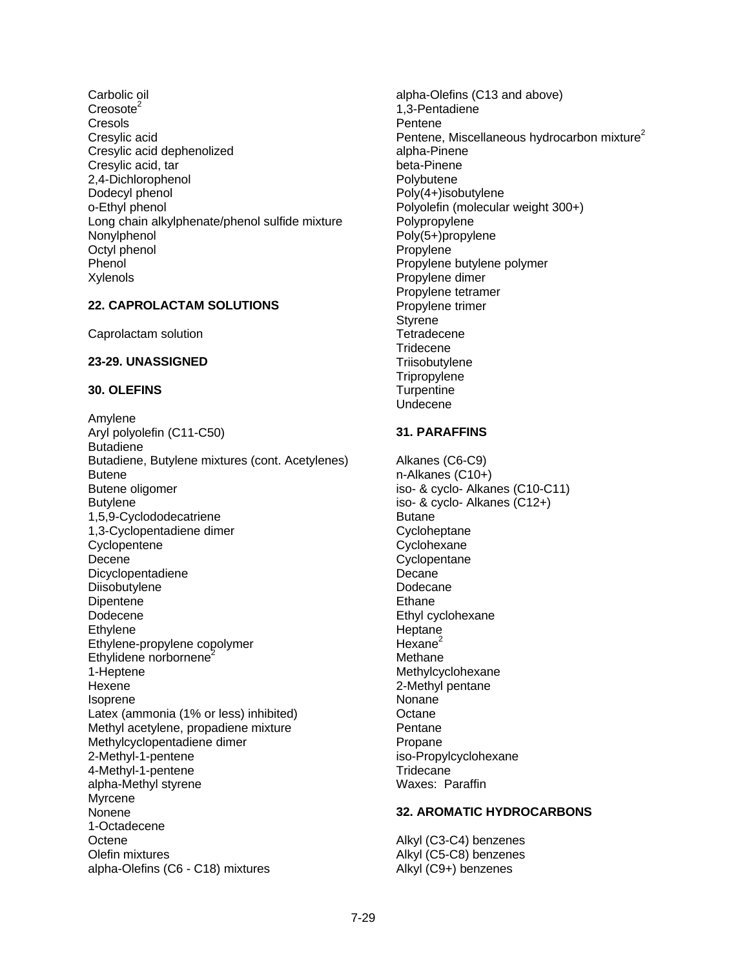Carbolic oil  $Creosote<sup>2</sup>$ Cresols Cresylic acid Cresylic acid dephenolized Cresylic acid, tar 2,4-Dichlorophenol Dodecyl phenol o-Ethyl phenol Long chain alkylphenate/phenol sulfide mixture Nonylphenol Octyl phenol **Phenol** Xylenols

#### **22. CAPROLACTAM SOLUTIONS**

Caprolactam solution

#### **23-29. UNASSIGNED**

#### **30. OLEFINS**

Amylene Aryl polyolefin (C11-C50) Butadiene Butadiene, Butylene mixtures (cont. Acetylenes) **Butene** Butene oligomer Butylene 1,5,9-Cyclododecatriene 1,3-Cyclopentadiene dimer **Cyclopentene** Decene Dicyclopentadiene **Diisobutylene Dipentene** Dodecene Ethylene Ethylene-propylene copolymer Ethylidene norbornene<sup>2</sup> 1-Heptene **Hexene** Isoprene Latex (ammonia (1% or less) inhibited) Methyl acetylene, propadiene mixture Methylcyclopentadiene dimer 2-Methyl-1-pentene 4-Methyl-1-pentene alpha-Methyl styrene Myrcene Nonene 1-Octadecene **Octene** Olefin mixtures alpha-Olefins (C6 - C18) mixtures

alpha-Olefins (C13 and above) 1,3-Pentadiene Pentene Pentene, Miscellaneous hydrocarbon mixture<sup>2</sup> alpha-Pinene beta-Pinene Polybutene Poly(4+)isobutylene Polyolefin (molecular weight 300+) Polypropylene Poly(5+)propylene Propylene Propylene butylene polymer Propylene dimer Propylene tetramer Propylene trimer **Styrene Tetradecene Tridecene Triisobutylene Tripropylene Turpentine** Undecene

#### **31. PARAFFINS**

Alkanes (C6-C9) n-Alkanes (C10+) iso- & cyclo- Alkanes (C10-C11) iso- & cyclo- Alkanes (C12+) Butane **Cycloheptane Cyclohexane Cyclopentane** Decane Dodecane **Ethane** Ethyl cyclohexane Heptane Hexane $2$ Methane Methylcyclohexane 2-Methyl pentane Nonane **Octane** Pentane Propane iso-Propylcyclohexane **Tridecane** Waxes: Paraffin

#### **32. AROMATIC HYDROCARBONS**

Alkyl (C3-C4) benzenes Alkyl (C5-C8) benzenes Alkyl (C9+) benzenes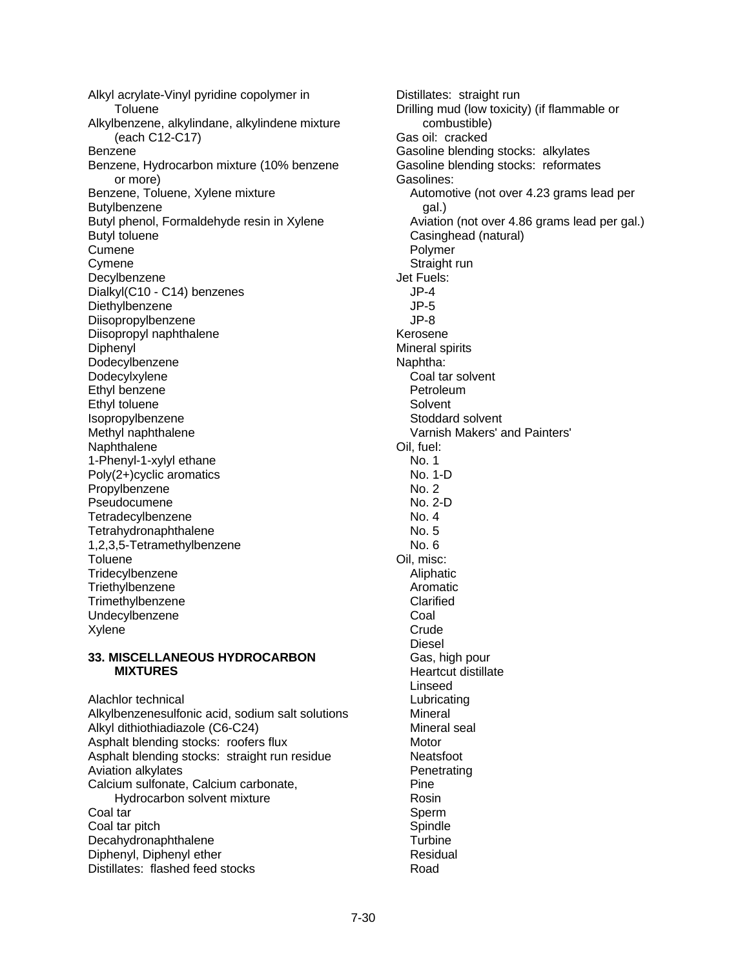Alkyl acrylate-Vinyl pyridine copolymer in **Toluene** Alkylbenzene, alkylindane, alkylindene mixture (each C12-C17) Benzene Benzene, Hydrocarbon mixture (10% benzene or more) Benzene, Toluene, Xylene mixture Butylbenzene Butyl phenol, Formaldehyde resin in Xylene Butyl toluene Cumene Cymene Decylbenzene Dialkyl(C10 - C14) benzenes Diethylbenzene Diisopropylbenzene Diisopropyl naphthalene Diphenyl Dodecylbenzene Dodecylxylene Ethyl benzene Ethyl toluene Isopropylbenzene Methyl naphthalene Naphthalene 1-Phenyl-1-xylyl ethane Poly(2+)cyclic aromatics Propylbenzene Pseudocumene **Tetradecylbenzene** Tetrahydronaphthalene 1,2,3,5-Tetramethylbenzene **Toluene Tridecylbenzene Triethvlbenzene Trimethylbenzene** Undecylbenzene Xylene

#### **33. MISCELLANEOUS HYDROCARBON MIXTURES**

Alachlor technical Alkylbenzenesulfonic acid, sodium salt solutions Alkyl dithiothiadiazole (C6-C24) Asphalt blending stocks: roofers flux Asphalt blending stocks: straight run residue Aviation alkylates Calcium sulfonate, Calcium carbonate, Hydrocarbon solvent mixture Coal tar Coal tar pitch Decahydronaphthalene Diphenyl, Diphenyl ether Distillates: flashed feed stocks

Distillates: straight run Drilling mud (low toxicity) (if flammable or combustible) Gas oil: cracked Gasoline blending stocks: alkylates Gasoline blending stocks: reformates Gasolines: Automotive (not over 4.23 grams lead per gal.) Aviation (not over 4.86 grams lead per gal.) Casinghead (natural) Polymer Straight run Jet Fuels: JP-4 JP-5 JP-8 Kerosene Mineral spirits Naphtha: Coal tar solvent Petroleum Solvent Stoddard solvent Varnish Makers' and Painters' Oil, fuel: No. 1 No. 1-D No. 2 No. 2-D No. 4 No. 5 No. 6 Oil, misc: Aliphatic Aromatic **Clarified**  Coal **Crude**  Diesel Gas, high pour Heartcut distillate Linseed Lubricating Mineral Mineral seal Motor Neatsfoot **Penetrating**  Pine Rosin Sperm Spindle **Turbine**  Residual Road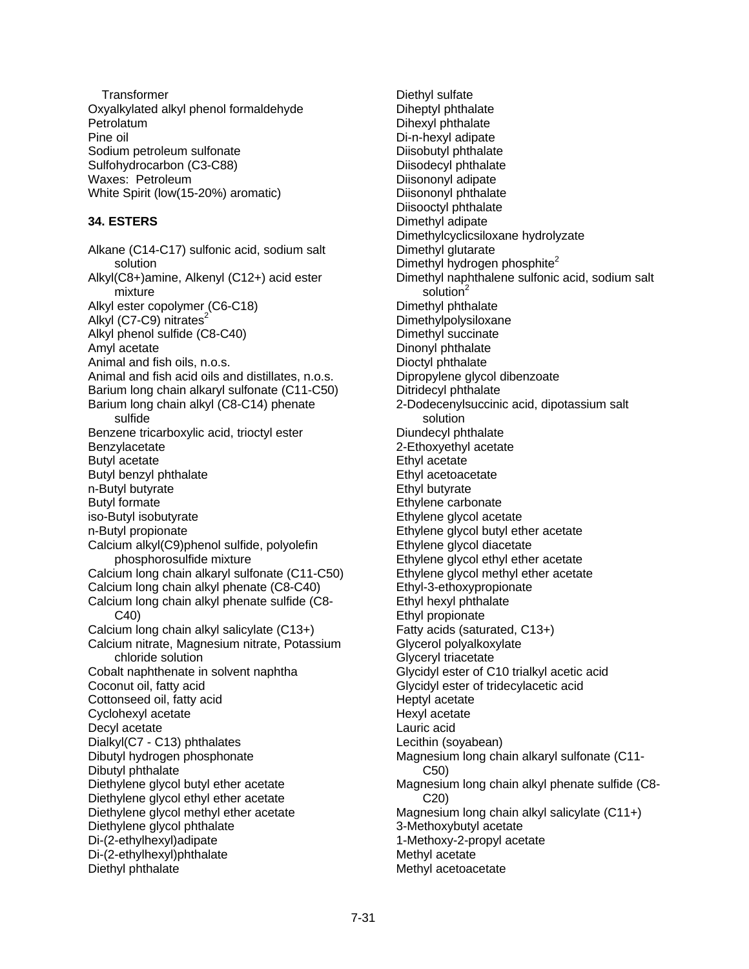**Transformer** Oxyalkylated alkyl phenol formaldehyde Petrolatum Pine oil Sodium petroleum sulfonate Sulfohydrocarbon (C3-C88) Waxes: Petroleum White Spirit (low(15-20%) aromatic)

## **34. ESTERS**

Alkane (C14-C17) sulfonic acid, sodium salt solution Alkyl(C8+)amine, Alkenyl (C12+) acid ester mixture Alkyl ester copolymer (C6-C18) Alkyl (C7-C9) nitrates $2$ Alkyl phenol sulfide (C8-C40) Amyl acetate Animal and fish oils, n.o.s. Animal and fish acid oils and distillates, n.o.s. Barium long chain alkaryl sulfonate (C11-C50) Barium long chain alkyl (C8-C14) phenate sulfide Benzene tricarboxylic acid, trioctyl ester Benzylacetate Butyl acetate Butyl benzyl phthalate n-Butyl butyrate Butyl formate iso-Butyl isobutyrate n-Butyl propionate Calcium alkyl(C9)phenol sulfide, polyolefin phosphorosulfide mixture Calcium long chain alkaryl sulfonate (C11-C50) Calcium long chain alkyl phenate (C8-C40) Calcium long chain alkyl phenate sulfide (C8- C40) Calcium long chain alkyl salicylate (C13+) Calcium nitrate, Magnesium nitrate, Potassium chloride solution Cobalt naphthenate in solvent naphtha Coconut oil, fatty acid Cottonseed oil, fatty acid Cyclohexyl acetate Decyl acetate Dialkyl(C7 - C13) phthalates Dibutyl hydrogen phosphonate Dibutyl phthalate Diethylene glycol butyl ether acetate Diethylene glycol ethyl ether acetate Diethylene glycol methyl ether acetate Diethylene glycol phthalate Di-(2-ethylhexyl)adipate Di-(2-ethylhexyl)phthalate Diethyl phthalate

Diethyl sulfate Diheptyl phthalate Dihexyl phthalate Di-n-hexyl adipate Diisobutyl phthalate Diisodecyl phthalate Diisononyl adipate Diisononyl phthalate Diisooctyl phthalate Dimethyl adipate Dimethylcyclicsiloxane hydrolyzate Dimethyl glutarate Dimethyl hydrogen phosphite<sup>2</sup> Dimethyl naphthalene sulfonic acid, sodium salt solution<sup>2</sup> Dimethyl phthalate Dimethylpolysiloxane Dimethyl succinate Dinonyl phthalate Dioctyl phthalate Dipropylene glycol dibenzoate Ditridecyl phthalate 2-Dodecenylsuccinic acid, dipotassium salt solution Diundecyl phthalate 2-Ethoxyethyl acetate Ethyl acetate Ethyl acetoacetate Ethyl butyrate Ethylene carbonate Ethylene glycol acetate Ethylene glycol butyl ether acetate Ethylene glycol diacetate Ethylene glycol ethyl ether acetate Ethylene glycol methyl ether acetate Ethyl-3-ethoxypropionate Ethyl hexyl phthalate Ethyl propionate Fatty acids (saturated, C13+) Glycerol polyalkoxylate Glyceryl triacetate Glycidyl ester of C10 trialkyl acetic acid Glycidyl ester of tridecylacetic acid Heptyl acetate Hexyl acetate Lauric acid Lecithin (soyabean) Magnesium long chain alkaryl sulfonate (C11- C50) Magnesium long chain alkyl phenate sulfide (C8- C20) Magnesium long chain alkyl salicylate (C11+) 3-Methoxybutyl acetate 1-Methoxy-2-propyl acetate Methyl acetate Methyl acetoacetate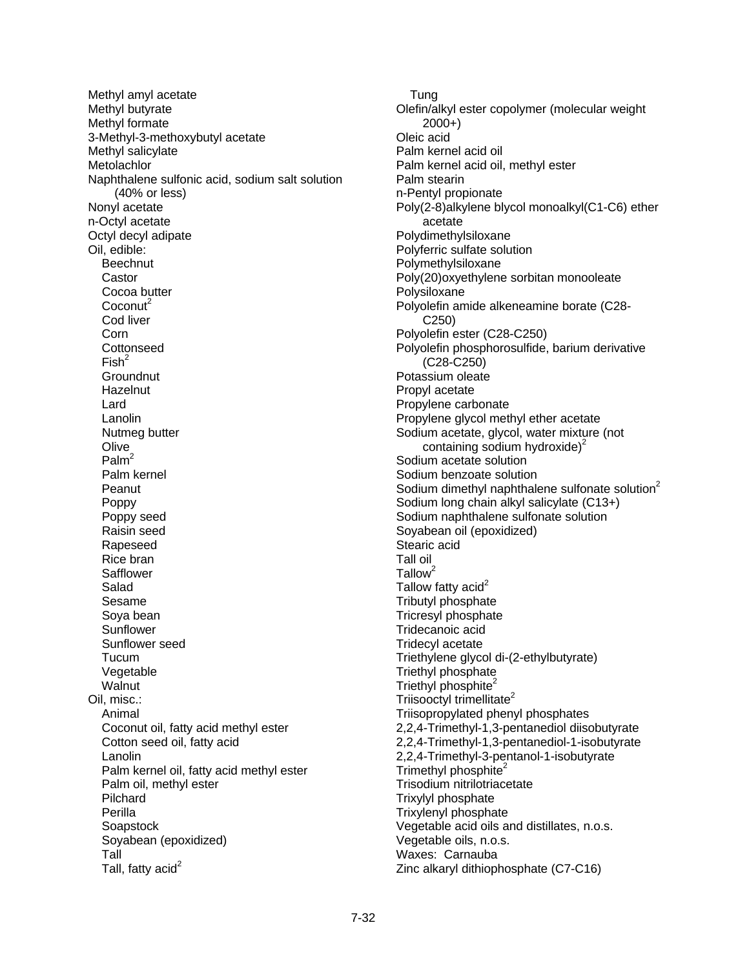Methyl amyl acetate Methyl butyrate Methyl formate 3-Methyl-3-methoxybutyl acetate Methyl salicylate **Metolachlor** Naphthalene sulfonic acid, sodium salt solution (40% or less) Nonyl acetate n-Octyl acetate Octyl decyl adipate Oil, edible: **Beechnut**  Castor Cocoa butter  $Coconut<sup>2</sup>$  Cod liver Corn **Cottonseed**  $Fish<sup>2</sup>$ **Groundnut Hazelnut**  Lard Lanolin Nutmeg butter Olive Palm $<sup>2</sup>$ </sup> Palm kernel **Peanut**  Poppy Poppy seed Raisin seed Rapeseed Rice bran **Safflower**  Salad Sesame Soya bean **Sunflower**  Sunflower seed Tucum Vegetable Walnut Oil, misc.: Animal Coconut oil, fatty acid methyl ester Cotton seed oil, fatty acid Lanolin Palm kernel oil, fatty acid methyl ester Palm oil, methyl ester Pilchard Perilla **Soapstock**  Soyabean (epoxidized) Tall Tall, fatty acid $2$ 

**Tung** Olefin/alkyl ester copolymer (molecular weight 2000+) Oleic acid Palm kernel acid oil Palm kernel acid oil, methyl ester Palm stearin n-Pentyl propionate Poly(2-8)alkylene blycol monoalkyl(C1-C6) ether acetate Polydimethylsiloxane Polyferric sulfate solution Polymethylsiloxane Poly(20)oxyethylene sorbitan monooleate Polysiloxane Polyolefin amide alkeneamine borate (C28- C250) Polyolefin ester (C28-C250) Polyolefin phosphorosulfide, barium derivative (C28-C250) Potassium oleate Propyl acetate Propylene carbonate Propylene glycol methyl ether acetate Sodium acetate, glycol, water mixture (not containing sodium hydroxide) $2$ Sodium acetate solution Sodium benzoate solution Sodium dimethyl naphthalene sulfonate solution $2$ Sodium long chain alkyl salicylate (C13+) Sodium naphthalene sulfonate solution Soyabean oil (epoxidized) Stearic acid Tall oil  $T$ allow<sup>2</sup> Tallow fatty acid<sup>2</sup> Tributyl phosphate Tricresyl phosphate Tridecanoic acid Tridecyl acetate Triethylene glycol di-(2-ethylbutyrate) Triethyl phosphate Triethyl phosphite<sup>2</sup> Triisooctyl trimellitate<sup>2</sup> Triisopropylated phenyl phosphates 2,2,4-Trimethyl-1,3-pentanediol diisobutyrate 2,2,4-Trimethyl-1,3-pentanediol-1-isobutyrate 2,2,4-Trimethyl-3-pentanol-1-isobutyrate Trimethyl phosphite<sup>2</sup> Trisodium nitrilotriacetate Trixylyl phosphate Trixylenyl phosphate Vegetable acid oils and distillates, n.o.s. Vegetable oils, n.o.s. Waxes: Carnauba Zinc alkaryl dithiophosphate (C7-C16)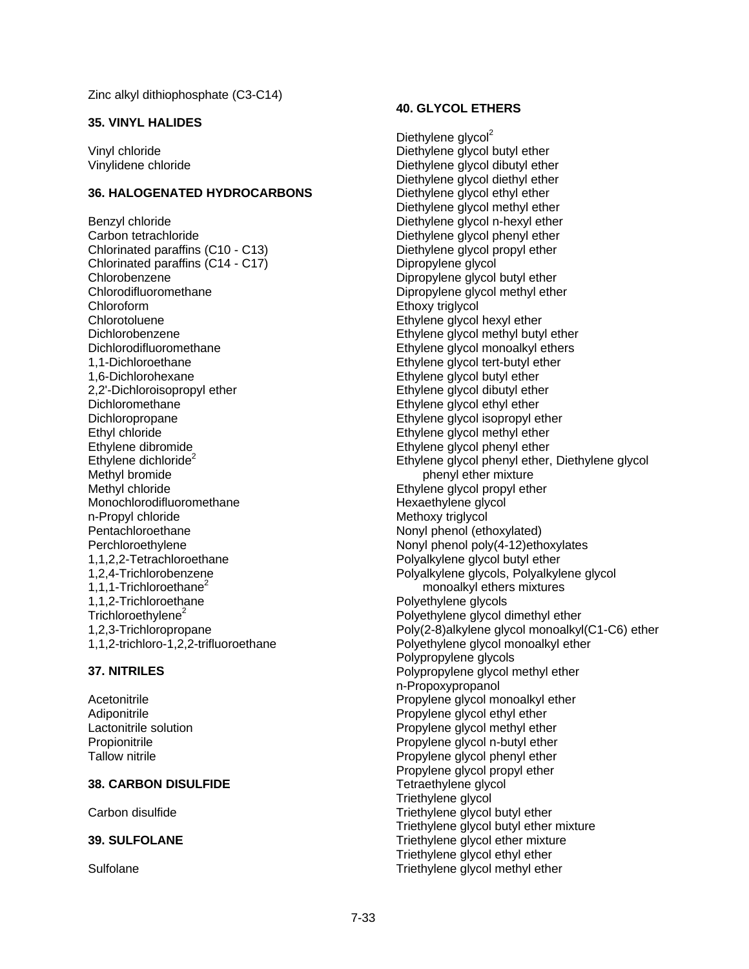#### **35. VINYL HALIDES**

Vinyl chloride Vinylidene chloride

#### **36. HALOGENATED HYDROCARBONS**

Benzyl chloride Carbon tetrachloride Chlorinated paraffins (C10 - C13) Chlorinated paraffins (C14 - C17) Chlorobenzene Chlorodifluoromethane Chloroform Chlorotoluene Dichlorobenzene Dichlorodifluoromethane 1,1-Dichloroethane 1,6-Dichlorohexane 2,2'-Dichloroisopropyl ether Dichloromethane Dichloropropane Ethyl chloride Ethylene dibromide Ethylene dichloride $2$ Methyl bromide Methyl chloride Monochlorodifluoromethane n-Propyl chloride Pentachloroethane Perchloroethylene 1,1,2,2-Tetrachloroethane 1,2,4-Trichlorobenzene 1.1.1-Trichloroethane<sup>2</sup> 1,1,2-Trichloroethane Trichloroethylene<sup>2</sup> 1,2,3-Trichloropropane 1,1,2-trichloro-1,2,2-trifluoroethane

#### **37. NITRILES**

Acetonitrile Adiponitrile Lactonitrile solution Propionitrile Tallow nitrile

### **38. CARBON DISULFIDE**

Carbon disulfide

### **39. SULFOLANE**

**Sulfolane** 

#### **40. GLYCOL ETHERS**

Diethylene glycol<sup>2</sup> Diethylene glycol butyl ether Diethylene glycol dibutyl ether Diethylene glycol diethyl ether Diethylene glycol ethyl ether Diethylene glycol methyl ether Diethylene glycol n-hexyl ether Diethylene glycol phenyl ether Diethylene glycol propyl ether Dipropylene glycol Dipropylene glycol butyl ether Dipropylene glycol methyl ether Ethoxy triglycol Ethylene glycol hexyl ether Ethylene glycol methyl butyl ether Ethylene glycol monoalkyl ethers Ethylene glycol tert-butyl ether Ethylene glycol butyl ether Ethylene glycol dibutyl ether Ethylene glycol ethyl ether Ethylene glycol isopropyl ether Ethylene glycol methyl ether Ethylene glycol phenyl ether Ethylene glycol phenyl ether, Diethylene glycol phenyl ether mixture Ethylene glycol propyl ether Hexaethylene glycol Methoxy trialvcol Nonyl phenol (ethoxylated) Nonyl phenol poly(4-12)ethoxylates Polyalkylene glycol butyl ether Polyalkylene glycols, Polyalkylene glycol monoalkyl ethers mixtures Polyethylene glycols Polyethylene glycol dimethyl ether Poly(2-8)alkylene glycol monoalkyl(C1-C6) ether Polyethylene glycol monoalkyl ether Polypropylene glycols Polypropylene glycol methyl ether n-Propoxypropanol Propylene glycol monoalkyl ether Propylene glycol ethyl ether Propylene glycol methyl ether Propylene glycol n-butyl ether Propylene glycol phenyl ether Propylene glycol propyl ether Tetraethylene glycol Triethylene glycol Triethylene glycol butyl ether Triethylene glycol butyl ether mixture Triethylene glycol ether mixture Triethylene glycol ethyl ether Triethylene glycol methyl ether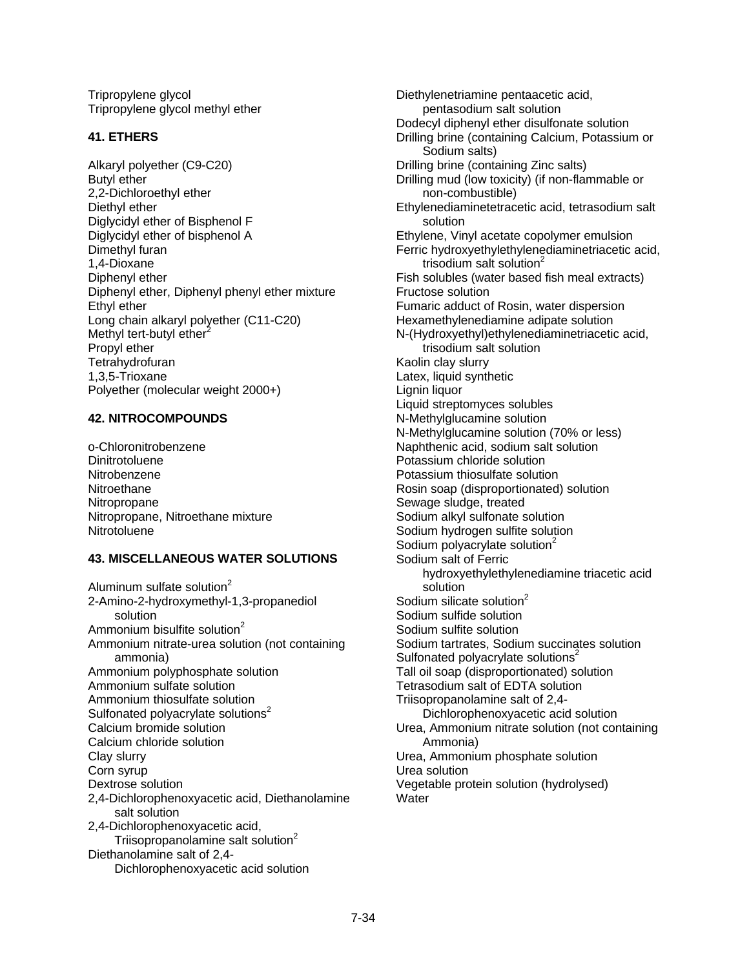Tripropylene glycol Tripropylene glycol methyl ether

### **41. ETHERS**

Alkaryl polyether (C9-C20) Butyl ether 2,2-Dichloroethyl ether Diethyl ether Diglycidyl ether of Bisphenol F Diglycidyl ether of bisphenol A Dimethyl furan 1,4-Dioxane Diphenyl ether Diphenyl ether, Diphenyl phenyl ether mixture Ethyl ether Long chain alkaryl polyether (C11-C20) Methyl tert-butyl ether $2$ Propyl ether **Tetrahydrofuran** 1,3,5-Trioxane Polyether (molecular weight 2000+)

## **42. NITROCOMPOUNDS**

o-Chloronitrobenzene **Dinitrotoluene** Nitrobenzene **Nitroethane** Nitropropane Nitropropane, Nitroethane mixture **Nitrotoluene** 

## **43. MISCELLANEOUS WATER SOLUTIONS**

Aluminum sulfate solution<sup>2</sup> 2-Amino-2-hydroxymethyl-1,3-propanediol solution Ammonium bisulfite solution $2$ Ammonium nitrate-urea solution (not containing ammonia) Ammonium polyphosphate solution Ammonium sulfate solution Ammonium thiosulfate solution Sulfonated polyacrylate solutions<sup>2</sup> Calcium bromide solution Calcium chloride solution Clay slurry Corn syrup Dextrose solution 2,4-Dichlorophenoxyacetic acid, Diethanolamine salt solution 2,4-Dichlorophenoxyacetic acid, Triisopropanolamine salt solution<sup>2</sup> Diethanolamine salt of 2,4- Dichlorophenoxyacetic acid solution

Diethylenetriamine pentaacetic acid, pentasodium salt solution Dodecyl diphenyl ether disulfonate solution Drilling brine (containing Calcium, Potassium or Sodium salts) Drilling brine (containing Zinc salts) Drilling mud (low toxicity) (if non-flammable or non-combustible) Ethylenediaminetetracetic acid, tetrasodium salt solution Ethylene, Vinyl acetate copolymer emulsion Ferric hydroxyethylethylenediaminetriacetic acid, trisodium salt solution<sup>2</sup> Fish solubles (water based fish meal extracts) Fructose solution Fumaric adduct of Rosin, water dispersion Hexamethylenediamine adipate solution N-(Hydroxyethyl)ethylenediaminetriacetic acid, trisodium salt solution Kaolin clay slurry Latex, liquid synthetic Lignin liquor Liquid streptomyces solubles N-Methylglucamine solution N-Methylglucamine solution (70% or less) Naphthenic acid, sodium salt solution Potassium chloride solution Potassium thiosulfate solution Rosin soap (disproportionated) solution Sewage sludge, treated Sodium alkyl sulfonate solution Sodium hydrogen sulfite solution Sodium polyacrylate solution<sup>2</sup> Sodium salt of Ferric hydroxyethylethylenediamine triacetic acid solution Sodium silicate solution $2$ Sodium sulfide solution Sodium sulfite solution Sodium tartrates, Sodium succinates solution Sulfonated polyacrylate solutions $2$ Tall oil soap (disproportionated) solution Tetrasodium salt of EDTA solution Triisopropanolamine salt of 2,4- Dichlorophenoxyacetic acid solution Urea, Ammonium nitrate solution (not containing Ammonia) Urea, Ammonium phosphate solution Urea solution Vegetable protein solution (hydrolysed) **Water**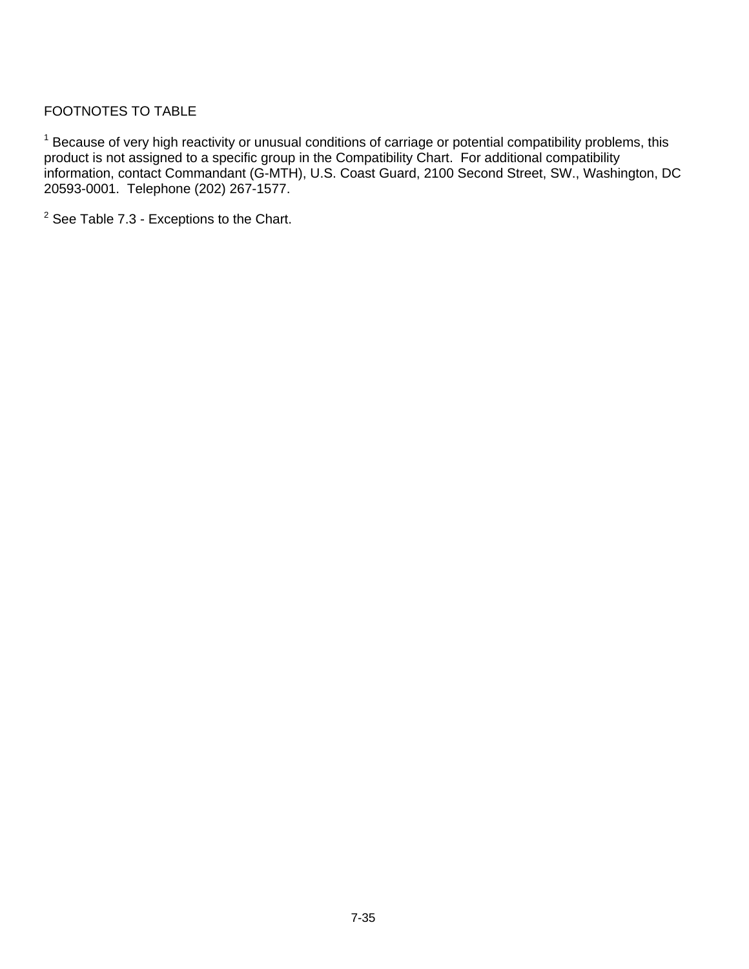## FOOTNOTES TO TABLE

<sup>1</sup> Because of very high reactivity or unusual conditions of carriage or potential compatibility problems, this product is not assigned to a specific group in the Compatibility Chart. For additional compatibility information, contact Commandant (G-MTH), U.S. Coast Guard, 2100 Second Street, SW., Washington, DC 20593-0001. Telephone (202) 267-1577.

 $2$  See Table 7.3 - Exceptions to the Chart.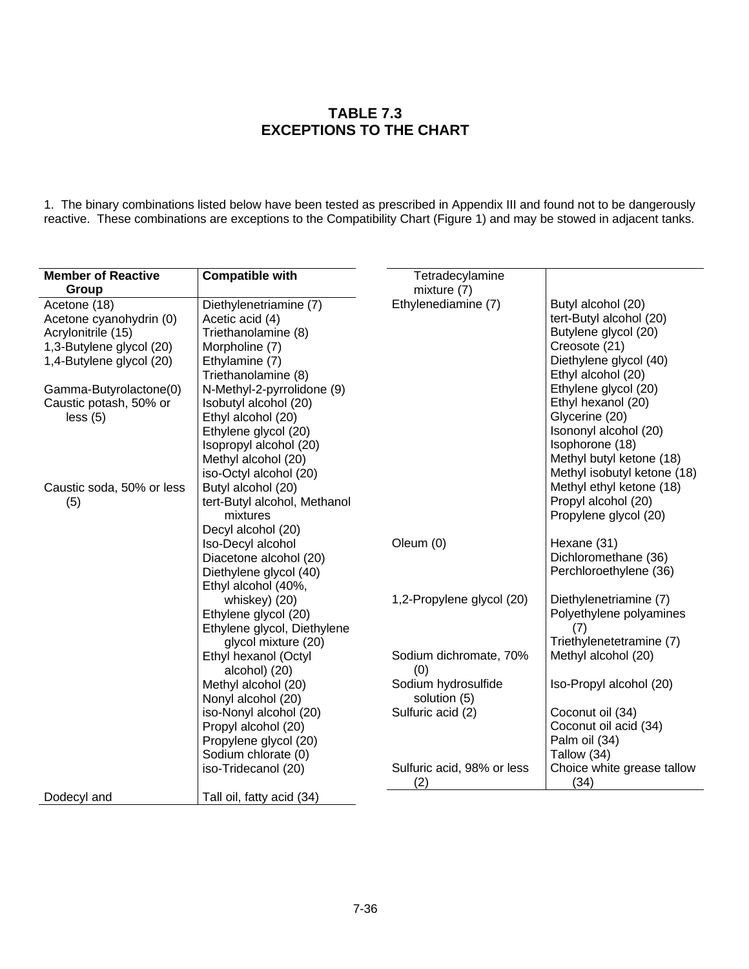## **TABLE 7.3 EXCEPTIONS TO THE CHART**

1. The binary combinations listed below have been tested as prescribed in Appendix III and found not to be dangerously reactive. These combinations are exceptions to the Compatibility Chart (Figure 1) and may be stowed in adjacent tanks.

| <b>Member of Reactive</b> | <b>Compatible with</b>       | Tetradecylamine            |                             |
|---------------------------|------------------------------|----------------------------|-----------------------------|
| Group                     |                              | mixture (7)                |                             |
| Acetone (18)              | Diethylenetriamine (7)       | Ethylenediamine (7)        | Butyl alcohol (20)          |
| Acetone cyanohydrin (0)   | Acetic acid (4)              |                            | tert-Butyl alcohol (20)     |
| Acrylonitrile (15)        | Triethanolamine (8)          |                            | Butylene glycol (20)        |
| 1,3-Butylene glycol (20)  | Morpholine (7)               |                            | Creosote (21)               |
| 1,4-Butylene glycol (20)  | Ethylamine (7)               |                            | Diethylene glycol (40)      |
|                           | Triethanolamine (8)          |                            | Ethyl alcohol (20)          |
| Gamma-Butyrolactone(0)    | N-Methyl-2-pyrrolidone (9)   |                            | Ethylene glycol (20)        |
| Caustic potash, 50% or    | Isobutyl alcohol (20)        |                            | Ethyl hexanol (20)          |
| less (5)                  | Ethyl alcohol (20)           |                            | Glycerine (20)              |
|                           | Ethylene glycol (20)         |                            | Isononyl alcohol (20)       |
|                           | Isopropyl alcohol (20)       |                            | Isophorone (18)             |
|                           | Methyl alcohol (20)          |                            | Methyl butyl ketone (18)    |
|                           | iso-Octyl alcohol (20)       |                            | Methyl isobutyl ketone (18) |
| Caustic soda, 50% or less | Butyl alcohol (20)           |                            | Methyl ethyl ketone (18)    |
| (5)                       | tert-Butyl alcohol, Methanol |                            | Propyl alcohol (20)         |
|                           | mixtures                     |                            | Propylene glycol (20)       |
|                           | Decyl alcohol (20)           |                            |                             |
|                           | Iso-Decyl alcohol            | Oleum (0)                  | Hexane (31)                 |
|                           | Diacetone alcohol (20)       |                            | Dichloromethane (36)        |
|                           | Diethylene glycol (40)       |                            | Perchloroethylene (36)      |
|                           | Ethyl alcohol (40%,          |                            |                             |
|                           | whiskey) (20)                | 1,2-Propylene glycol (20)  | Diethylenetriamine (7)      |
|                           | Ethylene glycol (20)         |                            | Polyethylene polyamines     |
|                           | Ethylene glycol, Diethylene  |                            | (7)                         |
|                           | glycol mixture (20)          |                            | Triethylenetetramine (7)    |
|                           | Ethyl hexanol (Octyl         | Sodium dichromate, 70%     | Methyl alcohol (20)         |
|                           | alcohol) (20)                | (0)                        |                             |
|                           | Methyl alcohol (20)          | Sodium hydrosulfide        | Iso-Propyl alcohol (20)     |
|                           | Nonyl alcohol (20)           | solution (5)               |                             |
|                           | iso-Nonyl alcohol (20)       | Sulfuric acid (2)          | Coconut oil (34)            |
|                           | Propyl alcohol (20)          |                            | Coconut oil acid (34)       |
|                           | Propylene glycol (20)        |                            | Palm oil (34)               |
|                           | Sodium chlorate (0)          |                            | Tallow (34)                 |
|                           | iso-Tridecanol (20)          | Sulfuric acid, 98% or less | Choice white grease tallow  |
|                           |                              | (2)                        | (34)                        |
| Dodecyl and               | Tall oil, fatty acid (34)    |                            |                             |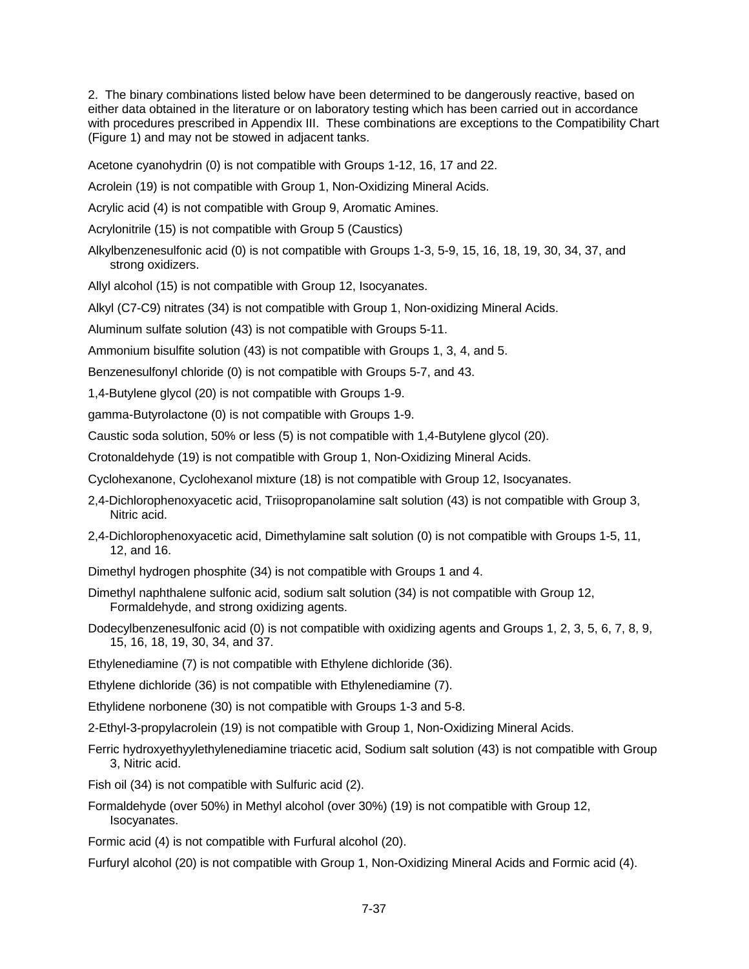2. The binary combinations listed below have been determined to be dangerously reactive, based on either data obtained in the literature or on laboratory testing which has been carried out in accordance with procedures prescribed in Appendix III. These combinations are exceptions to the Compatibility Chart (Figure 1) and may not be stowed in adjacent tanks.

Acetone cyanohydrin (0) is not compatible with Groups 1-12, 16, 17 and 22.

Acrolein (19) is not compatible with Group 1, Non-Oxidizing Mineral Acids.

Acrylic acid (4) is not compatible with Group 9, Aromatic Amines.

Acrylonitrile (15) is not compatible with Group 5 (Caustics)

Alkylbenzenesulfonic acid (0) is not compatible with Groups 1-3, 5-9, 15, 16, 18, 19, 30, 34, 37, and strong oxidizers.

Allyl alcohol (15) is not compatible with Group 12, Isocyanates.

Alkyl (C7-C9) nitrates (34) is not compatible with Group 1, Non-oxidizing Mineral Acids.

Aluminum sulfate solution (43) is not compatible with Groups 5-11.

Ammonium bisulfite solution (43) is not compatible with Groups 1, 3, 4, and 5.

Benzenesulfonyl chloride (0) is not compatible with Groups 5-7, and 43.

1,4-Butylene glycol (20) is not compatible with Groups 1-9.

gamma-Butyrolactone (0) is not compatible with Groups 1-9.

Caustic soda solution, 50% or less (5) is not compatible with 1,4-Butylene glycol (20).

Crotonaldehyde (19) is not compatible with Group 1, Non-Oxidizing Mineral Acids.

Cyclohexanone, Cyclohexanol mixture (18) is not compatible with Group 12, Isocyanates.

- 2,4-Dichlorophenoxyacetic acid, Triisopropanolamine salt solution (43) is not compatible with Group 3, Nitric acid.
- 2,4-Dichlorophenoxyacetic acid, Dimethylamine salt solution (0) is not compatible with Groups 1-5, 11, 12, and 16.

Dimethyl hydrogen phosphite (34) is not compatible with Groups 1 and 4.

- Dimethyl naphthalene sulfonic acid, sodium salt solution (34) is not compatible with Group 12, Formaldehyde, and strong oxidizing agents.
- Dodecylbenzenesulfonic acid (0) is not compatible with oxidizing agents and Groups 1, 2, 3, 5, 6, 7, 8, 9, 15, 16, 18, 19, 30, 34, and 37.

Ethylenediamine (7) is not compatible with Ethylene dichloride (36).

Ethylene dichloride (36) is not compatible with Ethylenediamine (7).

Ethylidene norbonene (30) is not compatible with Groups 1-3 and 5-8.

2-Ethyl-3-propylacrolein (19) is not compatible with Group 1, Non-Oxidizing Mineral Acids.

- Ferric hydroxyethyylethylenediamine triacetic acid, Sodium salt solution (43) is not compatible with Group 3, Nitric acid.
- Fish oil (34) is not compatible with Sulfuric acid (2).
- Formaldehyde (over 50%) in Methyl alcohol (over 30%) (19) is not compatible with Group 12, Isocyanates.

Formic acid (4) is not compatible with Furfural alcohol (20).

Furfuryl alcohol (20) is not compatible with Group 1, Non-Oxidizing Mineral Acids and Formic acid (4).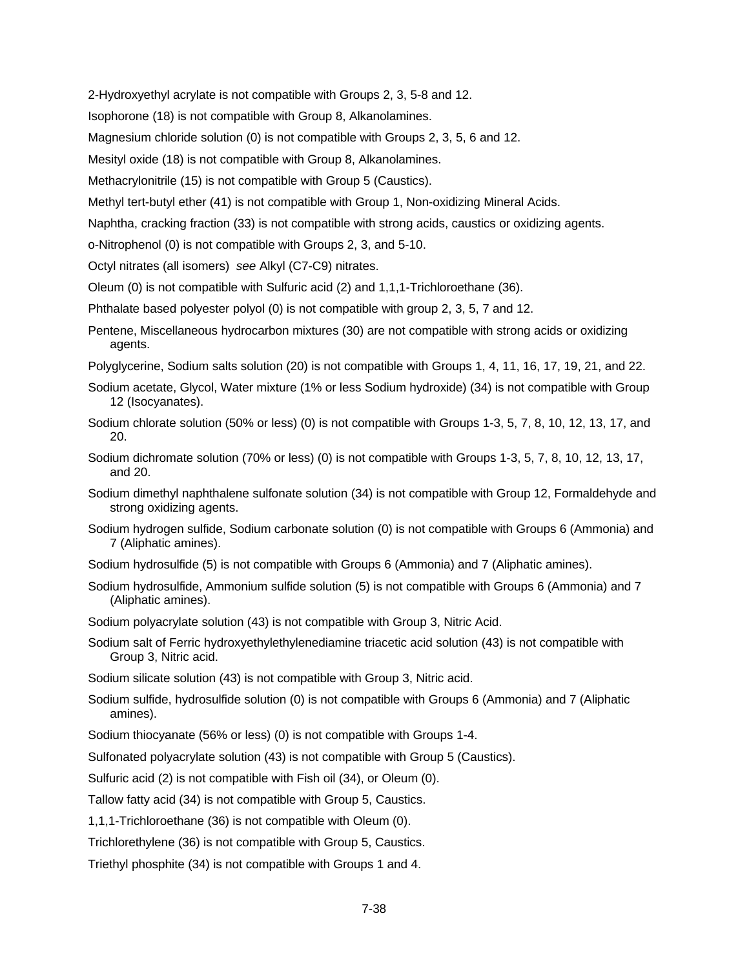2-Hydroxyethyl acrylate is not compatible with Groups 2, 3, 5-8 and 12.

Isophorone (18) is not compatible with Group 8, Alkanolamines.

Magnesium chloride solution (0) is not compatible with Groups 2, 3, 5, 6 and 12.

Mesityl oxide (18) is not compatible with Group 8, Alkanolamines.

Methacrylonitrile (15) is not compatible with Group 5 (Caustics).

Methyl tert-butyl ether (41) is not compatible with Group 1, Non-oxidizing Mineral Acids.

Naphtha, cracking fraction (33) is not compatible with strong acids, caustics or oxidizing agents.

o-Nitrophenol (0) is not compatible with Groups 2, 3, and 5-10.

Octyl nitrates (all isomers) *see* Alkyl (C7-C9) nitrates.

Oleum (0) is not compatible with Sulfuric acid (2) and 1,1,1-Trichloroethane (36).

Phthalate based polyester polyol (0) is not compatible with group 2, 3, 5, 7 and 12.

- Pentene, Miscellaneous hydrocarbon mixtures (30) are not compatible with strong acids or oxidizing agents.
- Polyglycerine, Sodium salts solution (20) is not compatible with Groups 1, 4, 11, 16, 17, 19, 21, and 22.
- Sodium acetate, Glycol, Water mixture (1% or less Sodium hydroxide) (34) is not compatible with Group 12 (Isocyanates).
- Sodium chlorate solution (50% or less) (0) is not compatible with Groups 1-3, 5, 7, 8, 10, 12, 13, 17, and 20.
- Sodium dichromate solution (70% or less) (0) is not compatible with Groups 1-3, 5, 7, 8, 10, 12, 13, 17, and 20.
- Sodium dimethyl naphthalene sulfonate solution (34) is not compatible with Group 12, Formaldehyde and strong oxidizing agents.
- Sodium hydrogen sulfide, Sodium carbonate solution (0) is not compatible with Groups 6 (Ammonia) and 7 (Aliphatic amines).
- Sodium hydrosulfide (5) is not compatible with Groups 6 (Ammonia) and 7 (Aliphatic amines).
- Sodium hydrosulfide, Ammonium sulfide solution (5) is not compatible with Groups 6 (Ammonia) and 7 (Aliphatic amines).

Sodium polyacrylate solution (43) is not compatible with Group 3, Nitric Acid.

Sodium salt of Ferric hydroxyethylethylenediamine triacetic acid solution (43) is not compatible with Group 3, Nitric acid.

Sodium silicate solution (43) is not compatible with Group 3, Nitric acid.

Sodium sulfide, hydrosulfide solution (0) is not compatible with Groups 6 (Ammonia) and 7 (Aliphatic amines).

Sodium thiocyanate (56% or less) (0) is not compatible with Groups 1-4.

Sulfonated polyacrylate solution (43) is not compatible with Group 5 (Caustics).

Sulfuric acid (2) is not compatible with Fish oil (34), or Oleum (0).

Tallow fatty acid (34) is not compatible with Group 5, Caustics.

1,1,1-Trichloroethane (36) is not compatible with Oleum (0).

Trichlorethylene (36) is not compatible with Group 5, Caustics.

Triethyl phosphite (34) is not compatible with Groups 1 and 4.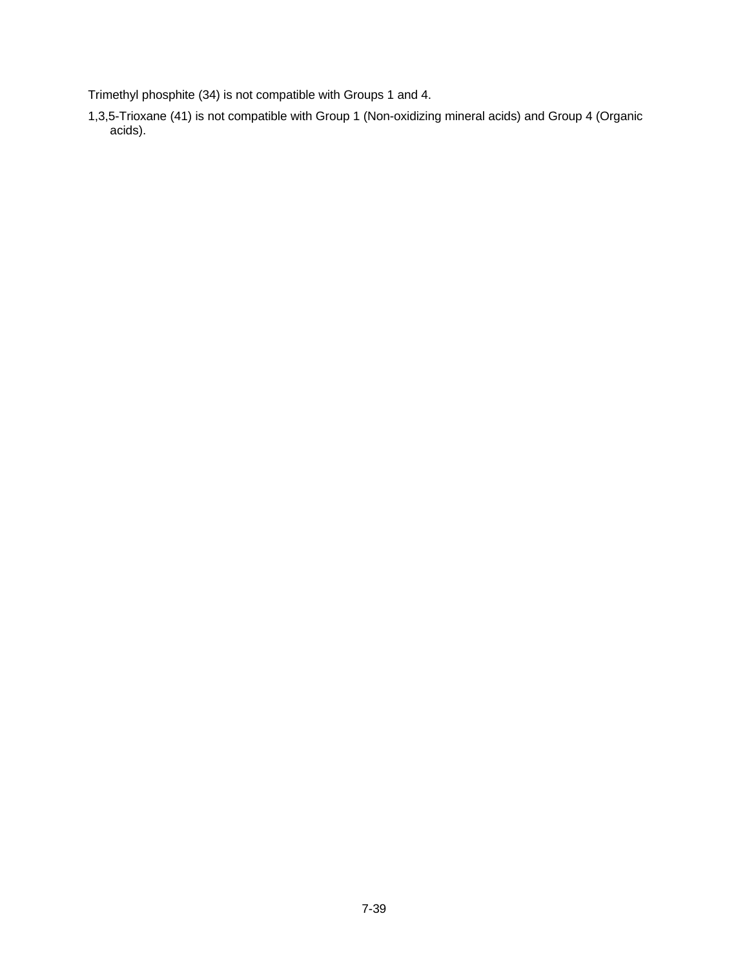Trimethyl phosphite (34) is not compatible with Groups 1 and 4.

1,3,5-Trioxane (41) is not compatible with Group 1 (Non-oxidizing mineral acids) and Group 4 (Organic acids).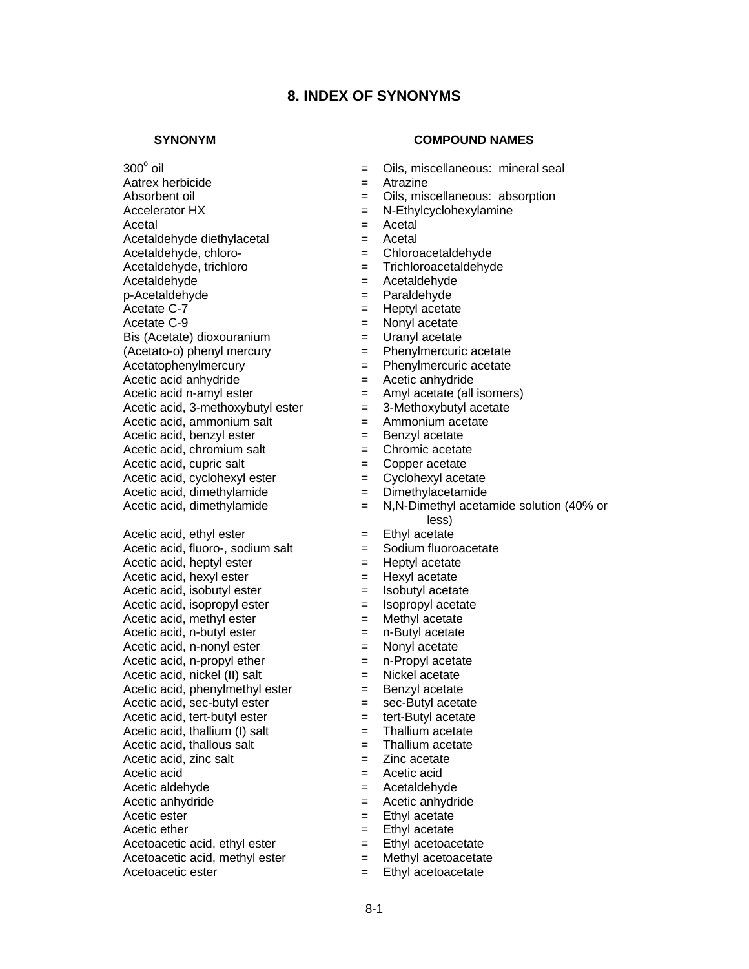## **8. INDEX OF SYNONYMS**

 $300^\circ$  oil

#### **SYNONYM COMPOUND NAMES**

- Oils, miscellaneous: mineral seal
- Aatrex herbicide  $=$  Atrazine
- Absorbent oil **Absorbent** oil **E** Oils, miscellaneous: absorption
- Accelerator HX = N-Ethylcyclohexylamine
- Acetal = Acetal
- Acetaldehyde diethylacetal = Acetal
- Acetaldehyde, chloro- = Chloroacetaldehyde
- Acetaldehyde, trichloro = Trichloroacetaldehyde
- Acetaldehyde = Acetaldehyde
- p-Acetaldehyde = Paraldehyde
- Acetate C-7 = Heptyl acetate
- Acetate C-9  $\qquad \qquad = \quad$  Nonyl acetate
- $Bis$  (Acetate) dioxouranium  $=$  Uranyl acetate
- (Acetato-o) phenyl mercury = Phenylmercuric acetate
- Acetatophenylmercury = Phenylmercuric acetate
- Acetic acid anhydride  $=$  Acetic anhydride
- $A$ cetic acid n-amyl ester  $=$  Amyl acetate (all isomers)
- Acetic acid, 3-methoxybutyl ester  $= 3$ -Methoxybutyl acetate
- Acetic acid, ammonium salt  $=$  Ammonium acetate
- Acetic acid, benzyl ester  $=$  Benzyl acetate
- Acetic acid, chromium salt  $=$  Chromic acetate
- Acetic acid, cupric salt  $\qquad \qquad = \qquad$  Copper acetate
	-
- Acetic acid, cyclohexyl ester = Cyclohexyl acetate<br>Acetic acid, dimethylamide = Dimethylacetamide
- Acetic acid, dimethylamide  $=$  Acetic acid, dimethylamide  $=$  $=$  N,N-Dimethyl acetamide solution (40% or less)
- Acetic acid, ethyl ester  $=$  Ethyl acetate
- Acetic acid, fluoro-, sodium salt  $=$  Sodium fluoroacetate
- Acetic acid, heptyl ester  $=$  Heptyl acetate
- Acetic acid, hexyl ester  $=$  Hexyl acetate
- $A$ cetic acid, isobutyl ester  $\qquad \qquad =$  Isobutyl acetate
- Acetic acid, isopropyl ester  $=$  Isopropyl acetate
	-
- Acetic acid, methyl ester  $\begin{aligned}\n &= \text{Methyl acetate} \\
 &= \text{n-Butyl acetate}\n \end{aligned}$ Acetic acid, n-butyl ester  $=$ 
	-
- Acetic acid, n-nonyl ester  $\begin{array}{rcl} = & \text{Nonyl acetate} \\ \text{Acetic acid, n-propyl ether} & = & n-Propyl acetate \end{array}$ 
	-
	-
	-
	-
	-
- Acetic acid, thallous salt  $=$  Thallium acetate
	-
- $Accetic acid$  =  $Accetic acid$
- Acetic aldehyde  $=$  Acetaldehyde
- Acetic anhydride  $\qquad \qquad = \qquad$  Acetic anhydride
- Acetic ester  $=$  Ethyl acetate
- $A$ cetic ether  $A$  = Ethyl acetate
	-
	-
- Acetoacetic ester  $=$  Ethyl acetoacetate
- Acetic acid, n-propyl ether  $=$ Acetic acid, nickel (II) salt  $=$  Nickel acetate Acetic acid, phenylmethyl ester  $=$  Benzyl acetate
- $A$ cetic acid, sec-butyl ester  $=$  sec-Butyl acetate Acetic acid, tert-butyl ester  $=$  tert-Butyl acetate
- Acetic acid, thallium (I) salt  $=$  Thallium acetate
	-
- Acetic acid, zinc salt  $\qquad \qquad = \qquad \text{Zinc acetate}$
- 
- 
- 
- 
- 
- Acetoacetic acid, ethyl ester  $=$  Ethyl acetoacetate
- $A$ cetoacetic acid, methyl ester  $=$  Methyl acetoacetate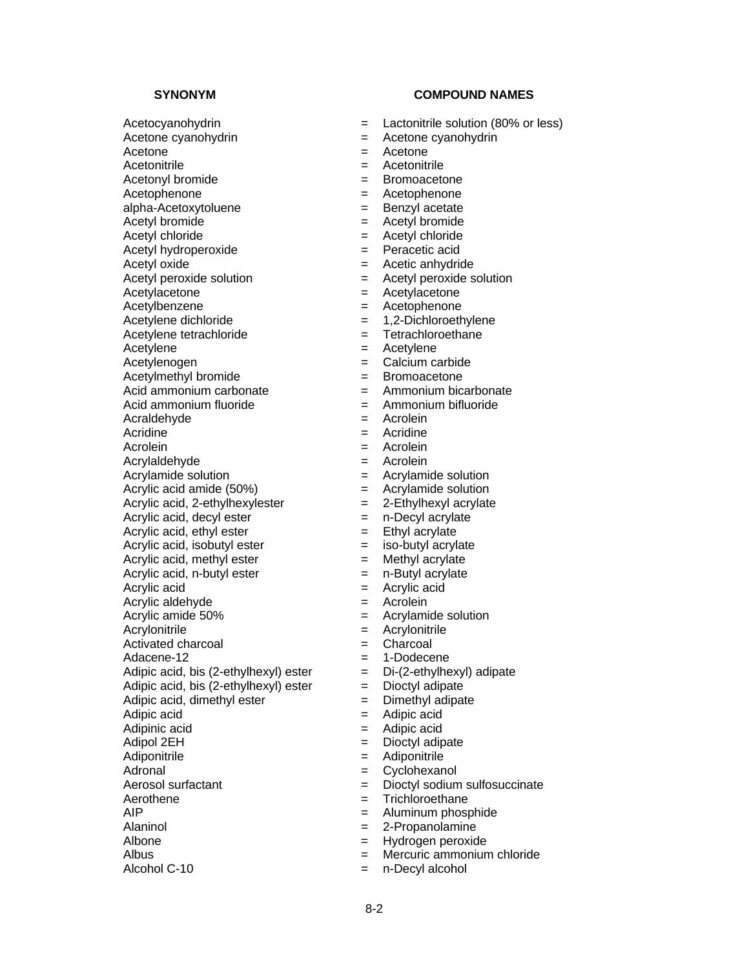$A$ cetyl hydroperoxide  $=$ 

Acetylacetone = Acetylacetone

Acetylbenzene = Acetophenone

Acetylene dichloride  $= 1,2$ -Dichloroethylene

 $A$ cetylmethyl bromide  $=$ 

Acid ammonium carbonate  $\qquad \qquad = \qquad$  Ammonium bicarbonate

Acraldehyde<br>Acridine

Acrolein  $=$  Acrolein

Acrylic acid, 2-ethylhexylester  $= 2$ -Ethylhexyl acrylate

Acrylic acid, decyl ester  $=$  n-Decyl acrylate

Acrylic acid, ethyl ester  $=$  Ethyl acrylate

Acrylic acid = Acrylic acid

Adipic acid, bis  $(2$ -ethylhexyl) ester  $=$ 

Alaninol = 2-Propanolamine<br>Albone = 2-Propanolamine

Albone = Hydrogen peroxide<br>Albus = Hydrogen peroxide<br>= Mercuric ammonium

Alcohol C-10 = n-Decyl alcohol

#### **SYNONYM COMPOUND NAMES**

- Acetocyanohydrin  $\qquad \qquad = \qquad$  Lactonitrile solution (80% or less)
- $A$ cetone cyanohydrin  $A$ cetone cyanohydrin
- Acetone = Acetone
- Acetonitrile  $\qquad \qquad = \qquad$ Acetonitrile
- Acetonyl bromide  $=$  Bromoacetone
- Acetophenone = Acetophenone
	-
- alpha-Acetoxytoluene = Benzyl acetate<br>Acetyl bromide = Acetyl bromide Acetyl bromide = Acetyl bromide
	-
- Acetyl chloride<br>
Acetyl hydroperoxide<br>  $\begin{array}{ccc} & \\ & \end{array}$  Peracetic acid
- Acetyl oxide  $\qquad \qquad = \qquad$  Acetic anhydride
- $A$ cetyl peroxide solution  $A$ cetyl peroxide solution
	-
	-
	-
- Acetylene tetrachloride  $=$  Tetrachloroethane
- Acetylene  $=$  Acetylene
	-
- Acetylenogen = Calcium carbide
	-
	-
- Acid ammonium fluoride = Ammonium bifluoride<br>Acraldehyde = Acrolein
	-
	- Acridine = Acridine
	-
- Acrylaldehyde = Acrolein
- Acrylamide solution  $\qquad \qquad = \qquad$  Acrylamide solution
- Acrylic acid amide (50%) = Acrylamide solution
	-
	-
	-
- $Acrvlic acid, isobutyl ester = iso-butyl acrylate$
- Acrylic acid, methyl ester  $=$  Methyl acrylate
- $Acrylic acid, n-butylester = n-Butyleacrylate$ 
	-
- Acrylic aldehyde = Acrolein
- Acrylic amide 50% = Acrylamide solution
- Acrylonitrile = Acrylonitrile
- Activated charcoal  $\qquad \qquad = \qquad$ Charcoal
- Adacene-12 = 1-Dodecene
- Adipic acid, bis (2-ethylhexyl) ester  $= Di-(2-ethylhexyl)$  adipate<br>Adipic acid, bis (2-ethylhexyl) ester  $= Dioctyl$  adipate
	-
- Adipic acid, dimethyl ester  $=$  Dimethyl adipate
- Adipic acid  $=$  Adipic acid
- Adipinic acid  $=$  Adipic acid
- Adipol 2EH = Dioctyl adipate
- Adiponitrile  $\qquad \qquad = \qquad$ Adiponitrile
- Adronal = Cyclohexanol
- Aerosol surfactant  $=$  Dioctyl sodium sulfosuccinate

 $=$  Mercuric ammonium chloride

Aerothene  $=$  Trichloroethane

8-2

AIP  $=$  Aluminum phosphide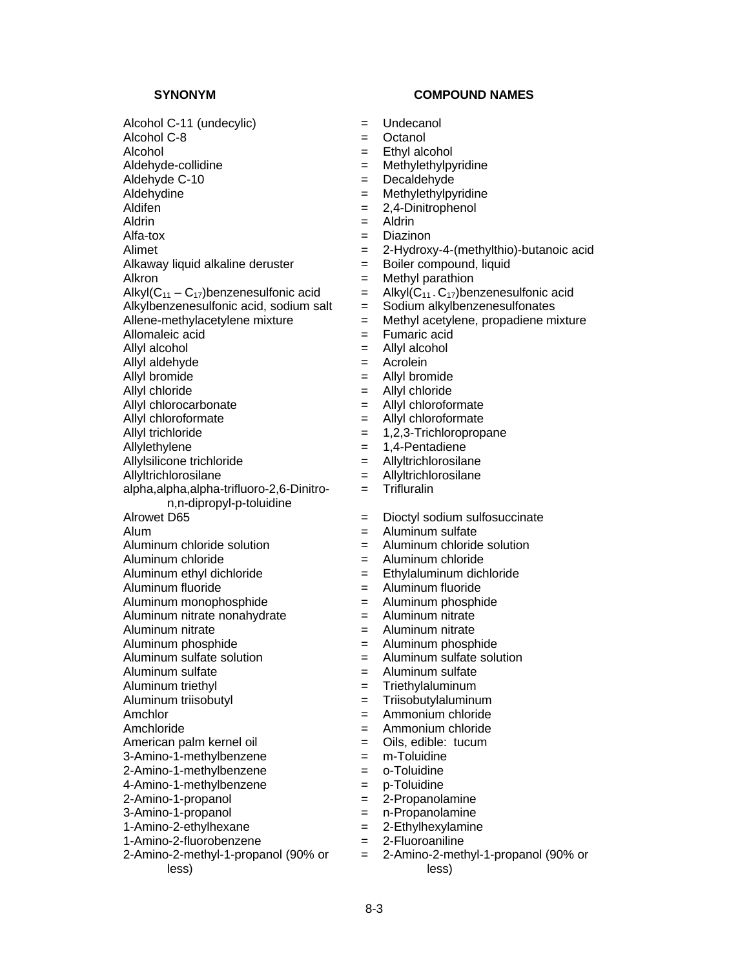Alcohol C-11 (undecylic) = Undecanol Alcohol C-8 = Octanol Alcohol = Ethyl alcohol Aldehyde-collidine  $=$  Methylethylpyridine Aldehyde C-10 = Decaldehyde Aldehydine = Methylethylpyridine Aldifen = 2,4-Dinitrophenol<br>Aldrin = 2,4-Dinitrophenol<br>= Aldrin Aldrin = Aldrin Alfa-tox = Diazinon Alimet = 2-Hydroxy-4-(methylthio)-butanoic acid<br>Alkaway liquid alkaline deruster = Boiler compound, liquid Alkaway liquid alkaline deruster  $=$ Alkron = Methyl parathion Alkyl $(C_{11} - C_{17})$ benzenesulfonic acid = Alkyl $(C_{11} \cdot C_{17})$ benzenesulfonic acid  $\Delta$ lkylbenzenesulfonic acid, sodium salt  $\equiv$  Sodium alkylbenzenesulfonates Allene-methylacetylene mixture  $=$  Methyl acetylene, propadiene mixture Allomaleic acid = Fumaric acid Allyl alcohol = Allyl alcohol Allyl aldehyde  $\begin{aligned}\n &= \quad \text{Acrolein} \\
 &= \quad \text{Allyl bromide} \\
 \end{aligned}$ Allyl bromide  $=$ Allyl chloride = Allyl chloride Allyl chlorocarbonate  $\qquad \qquad =$  Allyl chloroformate Allyl chloroformate  $\qquad \qquad = \qquad$ Allyl chloroformate Allyl trichloride  $= 1.2.3$ -Trichloropropane Allylethylene  $= 1,4$ -Pentadiene Allylsilicone trichloride = Allyltrichlorosilane Allyltrichlorosilane = Allyltrichlorosilane alpha,alpha,alpha-trifluoro-2,6-Dinitron,n-dipropyl-p-toluidine Alrowet D65  $\qquad \qquad = \qquad \text{Dioctyl sodium sulfosuccinate}$ Alum  $=$  Aluminum sulfate  $\Delta$ luminum chloride solution  $\Delta$  = Aluminum chloride solution Aluminum chloride = Aluminum chloride Aluminum ethyl dichloride = Ethylaluminum dichloride Aluminum fluoride  $\qquad \qquad = \qquad$ Aluminum fluoride Aluminum monophosphide  $\qquad \qquad = \qquad$ Aluminum phosphide Aluminum nitrate nonahydrate = Aluminum nitrate Aluminum nitrate  $\qquad \qquad = \qquad$ Aluminum nitrate Aluminum phosphide  $=$  Aluminum phosphide Aluminum sulfate solution = Aluminum sulfate solution Aluminum sulfate  $\qquad \qquad = \qquad$ Aluminum sulfate Aluminum triethyl = Triethylaluminum Aluminum triisobutyl = Triisobutylaluminum Amchlor = Ammonium chloride Amchloride = Ammonium chloride American palm kernel oil  $=$  Oils, edible: tucum 3-Amino-1-methylbenzene = m-Toluidine 2-Amino-1-methylbenzene = o-Toluidine 4-Amino-1-methylbenzene = p-Toluidine 2-Amino-1-propanol = 2-Propanolamine 3-Amino-1-propanol = n-Propanolamine 1-Amino-2-ethylhexane = 2-Ethylhexylamine<br>1-Amino-2-fluorobenzene = 2-Fluoroaniline 1-Amino-2-fluorobenzene = 2000 2-Amino-2-methyl-1-propanol (90% or less)

- 
- 
- 
- 
- 
- 
- 
- 
- 
- 
- 
- 
- 
- 
- 
- 
- -
- 
- 
- 
- 
- 
- 
- 
- 
- = Trifluralin
- 
- 
- 
- 
- 
- 
- 
- 
- 
- 
- 
- 
- 
- 
- 
- 
- 
- 
- 
- 
- 
- 
- 
- 
- = 2-Amino-2-methyl-1-propanol (90% or less)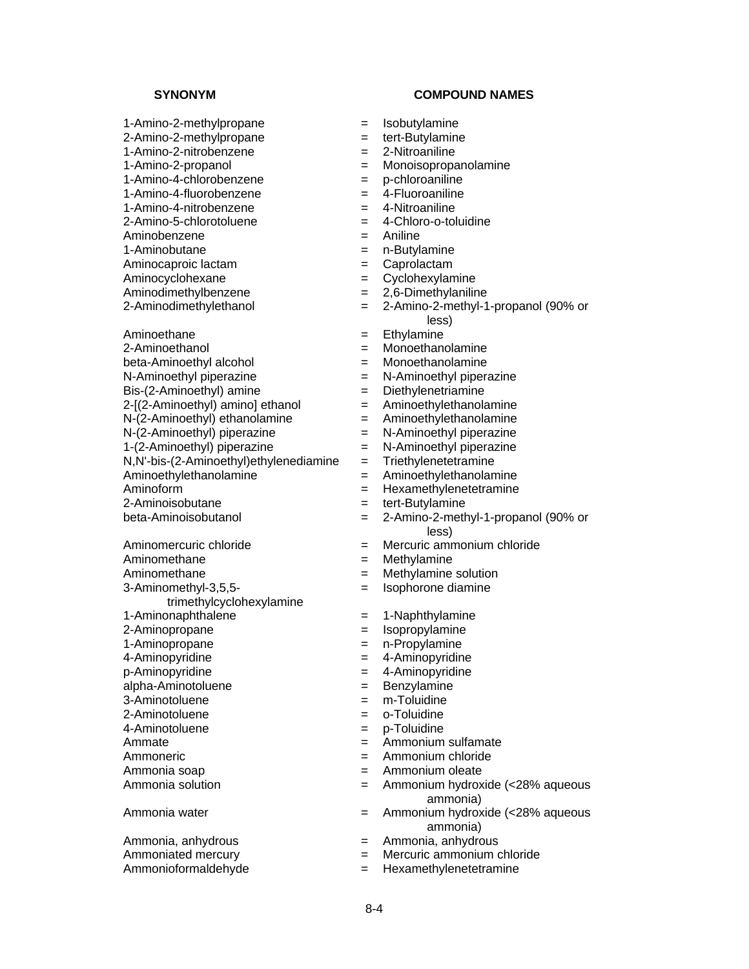1-Amino-2-methylpropane = Isobutylamine 2-Amino-2-methylpropane = tert-Butylamine 1-Amino-2-nitrobenzene = 2-Nitroaniline

- 1-Amino-4-chlorobenzene = p-chloroaniline
- 1-Amino-4-fluorobenzene = 4-Fluoroaniline
- 1-Amino-4-nitrobenzene = 1-Nitroaniline<br>2-Amino-5-chlorotoluene = 4-Chloro-o-toluidine
- 2-Amino-5-chlorotoluene =  $4-2$
- 
- 
- 
- 
- 
- Aminoethane  $=$  Ethylamine
- 2-Aminoethanol = Monoethanolamine beta-Aminoethyl alcohol  $\begin{aligned}\n &= \quad \text{Monoethanolamine} \\
 N\text{-Aminoethyl piperazine} \\
 &= \quad N\text{-Aminoethyl piperazine}\n \end{aligned}$  $N-Aminoethyl$  piperazine  $=$ Bis-(2-Aminoethyl) amine = Diethylenetriamine  $2-[2-Aminoethy])$  amino] ethanol  $=$  Aminoethylethanolamine<br>N-(2-Aminoethyl) ethanolamine  $=$  Aminoethylethanolamine  $N-(2-Aminoethyl)$  ethanolamine  $N-(2-Aminoethyl)$  potential in the  $N-(2-Aminoethyl)$  piperazine  $N-(2-Aminoethyl)$  $N-(2-Aminoethyl)$  piperazine  $N-(2-Aminoethyl)$  piperazine  $N-(2-Aminoethyl)$  piperazine  $N-Aminoethyl$  piperazine  $1-(2-Aminoethyl)$  piperazine  $=$  $N$ , $N$ '-bis-(2-Aminoethyl)ethylenediamine = Triethylenetetramine Aminoethylethanolamine = Aminoethylethanolamine Aminoform = Hexamethylenetetramine 2-Aminoisobutane = tert-Butylamine

- 
- 
- 3-Aminomethyl-3,5,5-
- trimethylcyclohexylamine
- 
- 
- 
- 
- p-Aminopyridine = 4-Aminopyridine = 4-Aminopyridine = 4-Aminopyridine
- $alpha$ -Aminotoluene  $\qquad \qquad \qquad =$
- 
- 
- 
- 
- 
- 

Ammonia, anhydrous = Ammonia, anhydrous

- **SYNONYM COMPOUND NAMES** 
	-
	-
	-
- 1-Amino-2-propanol = Monoisopropanolamine
	-
	-
	-
	-
- Aminobenzene  $=$  Aniline
- 1-Aminobutane = n-Butylamine
- Aminocaproic lactam  $=$  Caprolactam
- Aminocyclohexane  $=$  Cyclohexylamine
- Aminodimethylbenzene = 2,6-Dimethylaniline
- 2-Aminodimethylethanol = 2-Amino-2-methyl-1-propanol (90% or less)
	-
	-
	-
	-
	-
	-
	-
	-
	-
	-
	-
	-
	-
- beta-Aminoisobutanol = 2-Amino-2-methyl-1-propanol (90% or less)
- Aminomercuric chloride  $\qquad \qquad = \qquad$  Mercuric ammonium chloride
- Aminomethane  $=$  Methylamine
- Aminomethane  $=$  Methylamine solution
	- = Isophorone diamine
- 1-Aminonaphthalene = 1-Naphthylamine
- 2-Aminopropane = Isopropylamine
- 1-Aminopropane = n-Propylamine
- 4-Aminopyridine  $\qquad \qquad = \qquad 4$ -Aminopyridine
	-
	-
- 3-Aminotoluene = m-Toluidine
- 2-Aminotoluene = o-Toluidine
- 4-Aminotoluene = p-Toluidine
- Ammate **Ammonium** sulfamate
- Ammoneric = Ammonium chloride
- Ammonia soap extensive and the solution of the Ammonium oleate
- Ammonia solution  $=$  Ammonium hydroxide (<28% aqueous ammonia)
- Ammonia water  $=$  Ammonium hydroxide (<28% aqueous ammonia)<br>Ammonia, anhydrous
	-
- Ammoniated mercury example and the Mercuric ammonium chloride
- Ammonioformaldehyde = Hexamethylenetetramine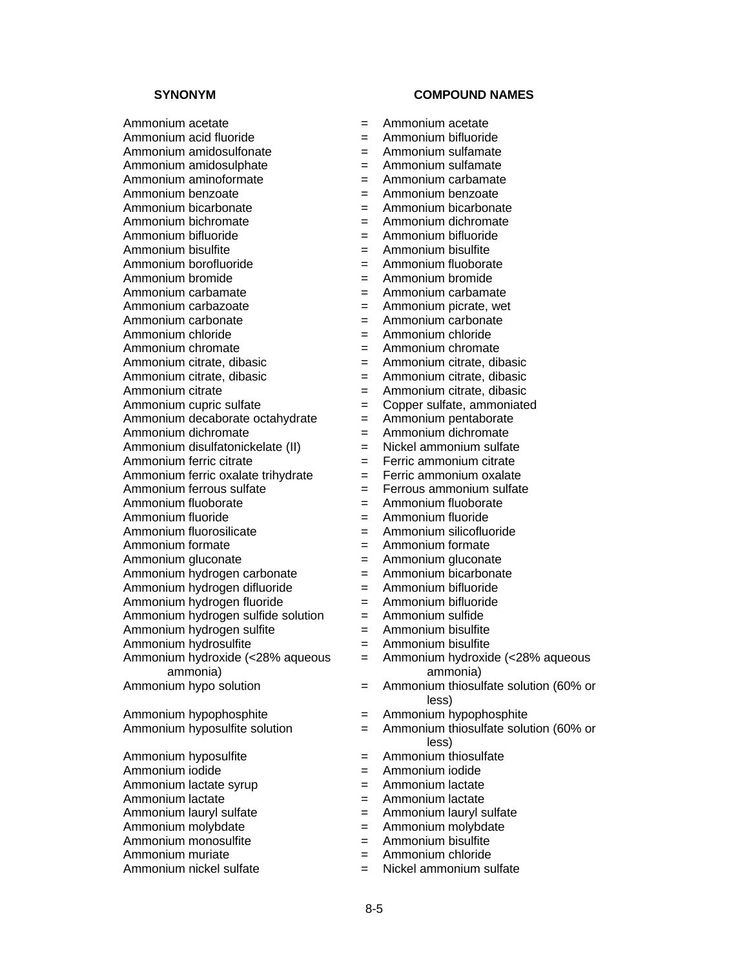Ammonium acetate  $\blacksquare$ Ammonium acid fluoride  $\qquad \qquad = \qquad$ Ammonium bifluoride Ammonium amidosulfonate  $\qquad \qquad = \qquad$ Ammonium sulfamate Ammonium amidosulphate  $\qquad \qquad = \qquad$ Ammonium sulfamate Ammonium aminoformate = Ammonium carbamate Ammonium benzoate  $=$  Ammonium benzoate Ammonium bicarbonate  $\begin{array}{rcl}\n & = & \text{Ammonium bicarbonate} \\
\text{Ammonium biohromate} & = & \text{Ammonium dichromate}\n\end{array}$ Ammonium bichromate =  $\blacksquare$ Ammonium bifluoride = Ammonium bifluoride Ammonium bisulfite<br>
Ammonium borofluoride<br>  $=$  Ammonium fluoborate<br>  $=$  Ammonium fluoborate Ammonium borofluoride  $=$ Ammonium bromide example = Ammonium bromide Ammonium carbamate = Ammonium carbamate Ammonium carbazoate  $\qquad \qquad = \qquad$ Ammonium picrate, wet Ammonium carbonate  $\qquad \qquad = \qquad$ Ammonium carbonate Ammonium chloride = Ammonium chloride Ammonium chromate  $=$  Ammonium chromate Ammonium citrate, dibasic  $\begin{aligned}\n &= \text{Ammonium citrate, dibasic} \\
 &= \text{Ammonium citrate, dibasic}\n \end{aligned}$ Ammonium citrate, dibasic =  $\blacksquare$ Ammonium citrate  $\qquad \qquad = \qquad \qquad$ Ammonium citrate, dibasic Ammonium cupric sulfate = Copper sulfate, ammoniated<br>Ammonium decaborate octahydrate = Ammonium pentaborate Ammonium decaborate octahydrate  $=$ Ammonium dichromate  $=$  Ammonium dichromate Ammonium disulfatonickelate (II) = Nickel ammonium sulfate Ammonium ferric citrate  $=$  Ferric ammonium citrate Ammonium ferric oxalate trihydrate  $=$  Ferric ammonium oxalate Ammonium ferrous sulfate  $\qquad \qquad = \qquad$  Ferrous ammonium sulfate Ammonium fluoborate  $\qquad \qquad = \qquad$ Ammonium fluoborate Ammonium fluoride  $=$  Ammonium fluoride Ammonium fluorosilicate = Ammonium silicofluoride Ammonium formate  $\qquad \qquad = \qquad$ Ammonium formate Ammonium gluconate = Ammonium gluconate Ammonium hydrogen carbonate  $\begin{array}{rcl} = & \text{Ammonium bicarbonate} \\ \text{Ammonium hydrogen diffuse} & = & \text{Ammonium bifluoride} \end{array}$  $Ammonium hvdrogen difluoride =  $+$$ Ammonium hydrogen fluoride  $\begin{array}{rcl} = & \text{Ammonium bifuoride} \\ \text{Ammonium hydrogen suitable solution} & = & \text{Ammonium sulfide} \end{array}$ Ammonium hydrogen sulfide solution  $=$ Ammonium hydrogen sulfite = Ammonium bisulfite Ammonium hydrosulfite = Ammonium bisulfite Ammonium hydroxide (<28% aqueous ammonia)<br>Ammonium hypo solution Ammonium hypophosphite = Ammonium hypophosphite<br>Ammonium hyposulfite solution = Ammonium thiosulfate solu Ammonium hyposulfite  $=$ 

- Ammonium iodide = Ammonium iodide
- Ammonium lactate syrup  $\qquad \qquad = \qquad$ Ammonium lactate
- Ammonium lactate  $=$  Ammonium lactate
- 
- 
- Ammonium monosulfite =  $\frac{1}{2}$  =  $\frac{1}{2}$  =  $\frac{1}{2}$
- 
- 

- 
- 
- 
- 
- 
- 
- 
- 
- 
- 
- 
- 
- 
- 
- 
- 
- 
- 
- 
- 
- 
- 
- 
- 
- 
- 
- 
- 
- 
- 
- 
- 
- 
- 
- 
- 
- 
- 
- = Ammonium hydroxide (<28% aqueous ammonia)
- $=$  Ammonium thiosulfate solution (60% or less)
- 
- $=$  Ammonium thiosulfate solution (60% or less)<br>Ammonium thiosulfate
- 
- 
- 
- 
- Ammonium lauryl sulfate = Ammonium lauryl sulfate = Ammonium lauryl sulfate
- Ammonium molybdate  $\begin{array}{rcl} \text{Ammonium molybdate} \\ \text{Ammonium bisydate} \\ \text{Bmm:} \end{array}$ 
	-
	- $=$  Ammonium chloride
- Ammonium nickel sulfate  $\qquad \qquad = \qquad$  Nickel ammonium sulfate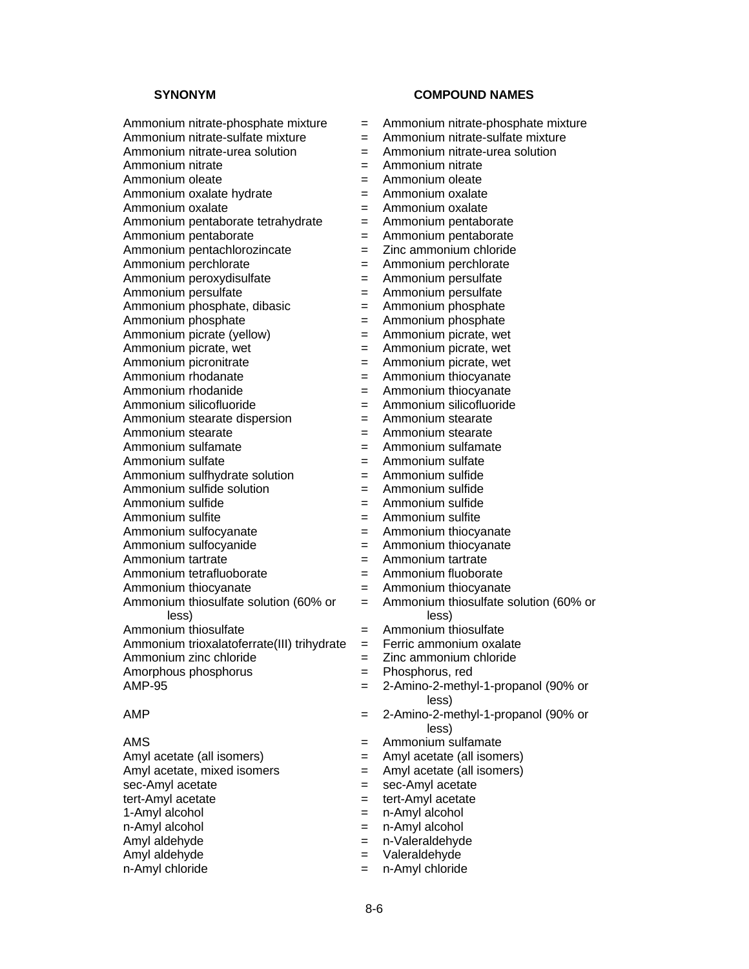- Ammonium nitrate-phosphate mixture = Ammonium nitrate-phosphate mixture Ammonium nitrate-sulfate mixture  $\qquad \qquad = \qquad$  Ammonium nitrate-sulfate mixture Ammonium nitrate-urea solution Ammonium nitrate-urea solution  $=$ Ammonium nitrate = Ammonium nitrate Ammonium oleate = Ammonium oleate Ammonium oxalate hydrate  $\qquad \qquad = \qquad$ Ammonium oxalate Ammonium oxalate  $\blacksquare$  Ammonium oxalate Ammonium pentaborate tetrahydrate  $=$  Ammonium pentaborate Ammonium pentaborate<br>
Ammonium pentachlorozincate<br>  $=$  Zinc ammonium chloride<br>  $=$  Zinc ammonium chloride Ammonium pentachlorozincate =  $\frac{1}{2}$  = Ammonium perchlorate = Ammonium perchlorate Ammonium peroxydisulfate  $\qquad \qquad = \qquad$ Ammonium persulfate Ammonium persulfate = Ammonium persulfate Ammonium phosphate, dibasic  $=$  Ammonium phosphate Ammonium phosphate  $=$  Ammonium phosphate Ammonium picrate (yellow) = Ammonium picrate, wet Ammonium picrate, wet = Ammonium picrate, wet Ammonium picronitrate  $\begin{array}{rcl}\n & = & \text{Ammonium picture} \\
\text{Ammonium rhodanate} & = & \text{Ammonium thiocyanate}\n\end{array}$ = Ammonium thiocyanate Ammonium rhodanide = Ammonium thiocyanate Ammonium silicofluoride = Ammonium silicofluoride = Ammonium silicofluoride = Ammonium stearate Ammonium stearate dispersion Ammonium stearate = Ammonium stearate Ammonium sulfamate = Ammonium sulfamate Ammonium sulfate  $\blacksquare$  Ammonium sulfate Ammonium sulfhydrate solution = Ammonium sulfide Ammonium sulfide solution = Ammonium sulfide Ammonium sulfide  $\blacksquare$ Ammonium sulfite = Ammonium sulfite Ammonium sulfocyanate  $\begin{array}{ccc} 1 & -1 \\ - & \end{array}$  Ammonium thiocyanate<br>Ammonium sulfocyanide  $\begin{array}{ccc} - & -1 \\ - & \end{array}$  Ammonium thiocyanate Ammonium sulfocyanide  $=$ Ammonium tartrate = Ammonium tartrate Ammonium tetrafluoborate  $\qquad \qquad = \qquad$ Ammonium fluoborate Ammonium thiocyanate  $\qquad \qquad = \qquad$ Ammonium thiocyanate Ammonium thiosulfate solution (60% or less) = Ammonium thiosulfate solution (60% or less) Ammonium thiosulfate  $\qquad \qquad = \qquad$ Ammonium thiosulfate Ammonium trioxalatoferrate(III) trihydrate  $=$  Ferric ammonium oxalate Ammonium zinc chloride  $\qquad \qquad = \qquad \text{Zinc } \text{ammonium } \text{chloride}$ Amorphous phosphorus  $\begin{array}{ccc} \hbox{A} & = & \hbox{Phosphorus, red} \\ \hbox{AMP-95} & = & 2-Amin-2-meth \end{array}$ = 2-Amino-2-methyl-1-propanol (90% or less) AMP  $= 2$ -Amino-2-methyl-1-propanol (90% or less) AMS = Ammonium sulfamate Amyl acetate (all isomers) = Amyl acetate (all isomers) Amyl acetate, mixed isomers  $=$  Amyl acetate (all isomers)
- sec-Amyl acetate  $=$  sec-Amyl acetate tert-Amyl acetate  $=$  tert-Amyl acetate 1-Amyl alcohol = n-Amyl alcohol n-Amyl alcohol = n-Amyl alcohol<br>Amyl aldehyde = n-Valeraldehyd Amyl aldehyde = Valeraldehyde n-Amyl chloride  $=$  n-Amyl chloride
	- = n-Valeraldehyde
	- -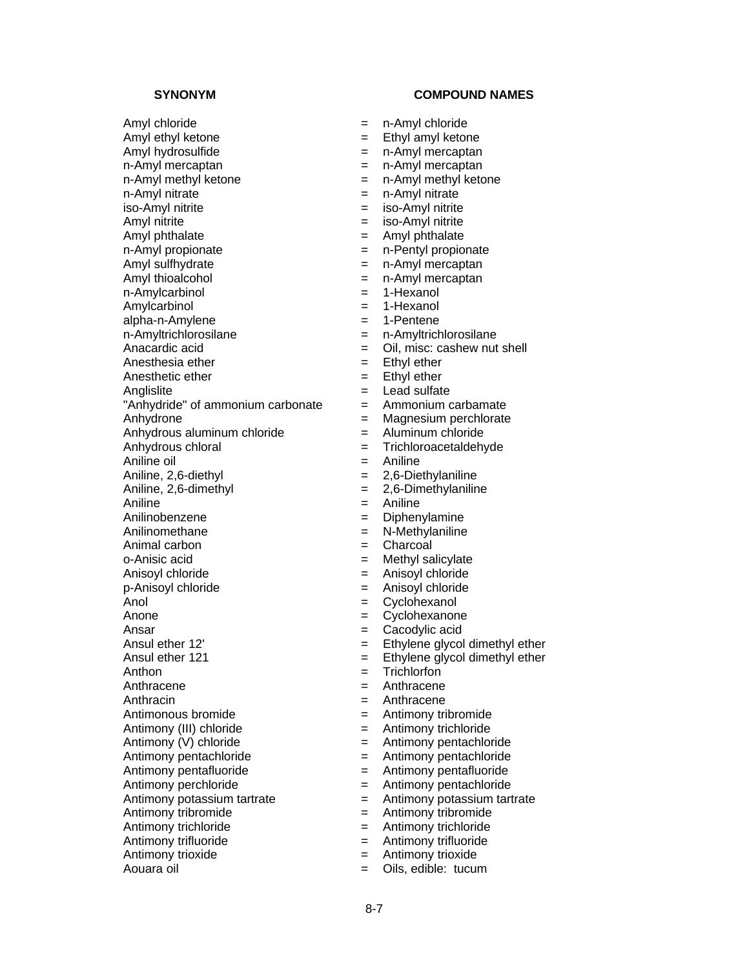Amyl chloride = n-Amyl chloride Amyl ethyl ketone  $=$  Ethyl amyl ketone Amyl hydrosulfide  $=$  n-Amyl mercaptan n-Amyl mercaptan = n-Amyl mercaptan  $n$ -Amyl methyl ketone  $n-1$  = n-Amyl methyl ketone n-Amyl nitrate  $=$  n-Amyl nitrate iso-Amyl nitrite  $\begin{aligned}\n &= \quad \text{iso-Amyl nitrite} \\
 &= \quad \text{iso-Amyl nitrite} \\
 &= \quad \text{iso-Amyl nitrite}\n\end{aligned}$ Amyl phthalate = Amyl phthalate = Amyl phthalate = amyl phthalate = amyl phthalate n-Amyl propionate  $\begin{array}{rcl}\n - & - & - \\
 - & - & - \\
 \end{array}$  and  $\begin{array}{rcl}\n - & - \\
 - & - \\
 \end{array}$  and  $\begin{array}{rcl}\n - & - \\
 - & - \\
 \end{array}$  and  $\begin{array}{rcl}\n - & - \\
 - & - \\
 \end{array}$  and  $\begin{array}{rcl}\n - & - \\
 - & - \\
 \end{array}$  and  $\begin{array}{rcl}\n - & - \\
 \end{array}$  and  $\begin{array}{rcl}\n - & - \\
 \end{array}$  and  $\begin{array$ Amyl thioalcohol  $=$  n-Amyl mercaptan n-Amylcarbinol = 1-Hexanol Amylcarbinol = 1-Hexanol alpha-n-Amylene = 1-Pentene n-Amyltrichlorosilane = n-Amyltrichlorosilane Anacardic acid  $=$  Oil, misc: cashew nut shell Anesthesia ether  $=$  Ethyl ether  $=$  Ethyl ether  $=$  Ethyl ether Anesthetic ether  $=$ Anglislite  $\qquad \qquad = \qquad$  Lead sulfate "Anhydride" of ammonium carbonate  $=$  Ammonium carbamate Anhydrone = Magnesium perchlorate Anhydrous aluminum chloride = Aluminum chloride<br>Anhydrous chloral = Trichloroacetaldeh Aniline oil **Aniline** oil **Aniline** Aniline, 2,6-diethyl = 2,6-Diethylaniline Aniline, 2,6-dimethyl = 2,6-Dimethylaniline Aniline = Aniline = Aniline Anilinobenzene = Diphenylamine Anilinomethane  $-$  N-Methylaniline Animal carbon  $=$  Charcoal o-Anisic acid  $\qquad \qquad = \qquad$  Methyl salicylate Anisovl chloride  $=$  Anisovl chloride p-Anisoyl chloride = Anisoyl chloride Anol = Cyclohexanol Anone  $=$  Cyclohexanone Ansar  $=$  Cacodylic acid Ansul ether  $12'$   $=$  Ethylene glycol dimethyl ether Ansul ether 121 **Ethylene** glycol dimethyl ether Anthon = Trichlorfon Anthracene  $=$ Anthracin  $=$  Anthracene Antimonous bromide  $=$  Antimony tribromide Antimony (III) chloride  $=$  Antimony trichloride  $Antimony (V) chloride$  = Antimony pentachloride Antimony pentachloride  $=$  Antimony pentachloride Antimony pentafluoride  $\qquad \qquad = \qquad$ Antimony pentafluoride Antimony perchloride = Antimony pentachloride Antimony potassium tartrate  $=$  Antimony potassium tartrate Antimony tribromide  $=$  Antimony tribromide Antimony trichloride<br>
Antimony trifluoride<br>  $\begin{array}{ccc} 4 & = & \text{Antimony trichloride} \\ - & \text{Antimony trifluoride} \end{array}$ Antimony trifluoride =  $\qquad \qquad =$ <br>Antimony trioxide =  $\qquad \qquad =$ 

- 
- 
- 
- 
- 
- 
- 
- $=$  iso-Amyl nitrite
- 
- 
- $=$  n-Amyl mercaptan
- 
- 
- 
- 
- 
- 
- 
- 
- 
- 
- 
- 
- $=$  Trichloroacetaldehyde
- 
- 
- 
- 
- 
- 
- 
- 
- 
- 
- 
- 
- 
- 
- 
- 
- 
- 
- 
- 
- 
- 
- 
- 
- 
- 
- 
- 
- Antimony trioxide = Antimony trioxide
- Aouara oil  $\qquad \qquad = \qquad$  Oils, edible: tucum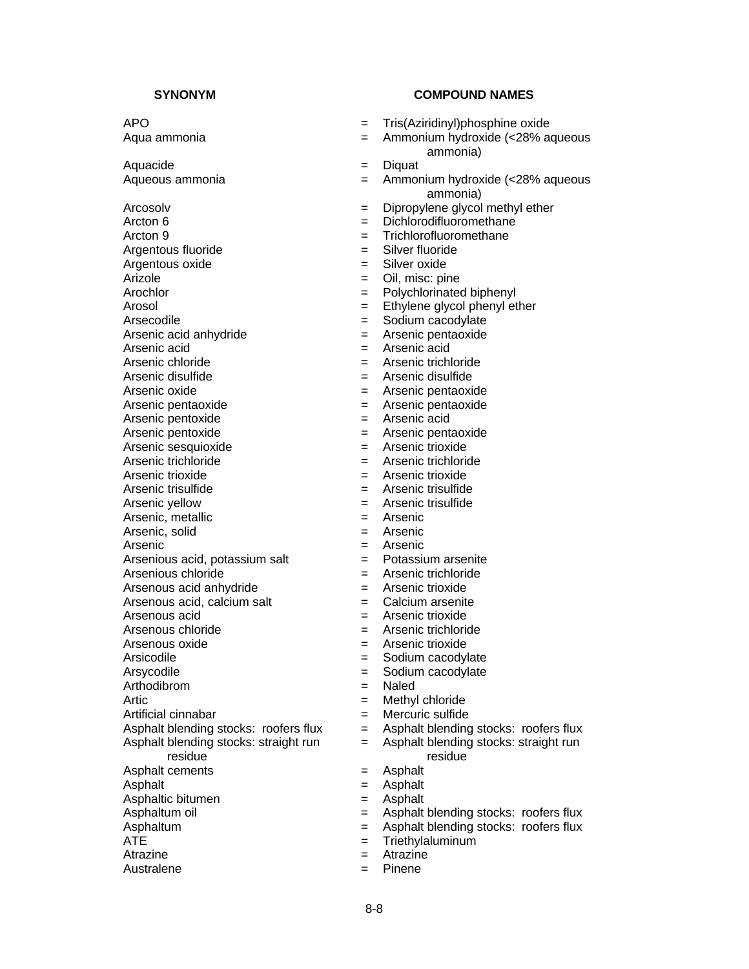Aquacide  $=$  Diquat

Arcosolv = Dipropylene glycol methyl ether<br>Arcton 6 = Dichlorodifluoromethane Arcton 9 = Trichlorofluoromethane<br>Argentous fluoride = Silver fluoride = Silver fluoride Argentous fluoride  $=$ Argentous oxide = Silver oxide Arizole  $\qquad \qquad = \qquad$  Oil, misc: pine Arochlor  $=$  Polychlorinated biphenyl Arosol **Ethylene** glycol phenyl ether Arsecodile  $\qquad \qquad = \qquad$  Sodium cacodylate Arsenic acid anhydride  $=$  Arsenic pentaoxide Arsenic acid = Arsenic acid Arsenic chloride<br>
Arsenic disulfide<br>
Arsenic disulfide<br>  $\begin{array}{ccc} - & - \\ - & - \end{array}$ <br>
Arsenic disulfide Arsenic oxide  $=$  Arsenic pentaoxide Arsenic pentaoxide<br>
Arsenic pentoxide<br>  $\begin{array}{ccc} - & \text{A} \text{resenic pentoxide} \\ - & \text{A} \text{resenic acid} \end{array}$ Arsenic pentoxide Arsenic pentoxide  $=$  Arsenic pentaoxide Arsenic sesquioxide  $=$  Arsenic trioxide Arsenic trichloride  $\qquad \qquad = \qquad$ Arsenic trichloride Arsenic trioxide  $=$  Arsenic trioxide Arsenic trisulfide  $=$  Arsenic trisulfide Arsenic yellow  $=$  Arsenic trisulfide Arsenic, metallic  $=$  Arsenic Arsenic, solid  $=$  Arsenic Arsenic  $=$  Arsenic Arsenious acid, potassium salt  $=$  Potassium arsenite Arsenious chloride  $=$  Arsenic trichloride Arsenous acid anhydride  $\qquad \qquad = \qquad$ Arsenic trioxide Arsenous acid, calcium salt  $=$  Calcium arsenite Arsenous acid<br>
Arsenous chloride<br>  $\begin{array}{ccc} 2 & -1 & -1 \\ - & -1 & -1 \end{array}$ <br>  $\begin{array}{ccc} 3 & -1 & -1 \\ - & -1 & -1 \end{array}$ <br>
Arsenic trichloride Arsenous oxide  $=$  Arsenic trioxide Arsicodile  $\qquad \qquad = \qquad$ Sodium cacodylate Arsycodile  $\qquad \qquad = \qquad$ Sodium cacodylate Arthodibrom = Naled Artic  $=$  Methyl chloride Artificial cinnabar<br>Asphalt blending stocks: roofers flux = Asphalt blending stocks: roofers flux Asphalt blending stocks: roofers flux  $=$ Asphalt blending stocks: straight run residue Asphalt cements = Asphalt Asphalt  $=$  Asphalt Asphaltic bitumen  $=$  Asphalt Asphaltum  $=$  Asphalt blending stocks: roofers flux<br>ATE  $=$  Triethylaluminum Atrazine  $\qquad \qquad = \qquad$ Atrazine

Australene  $=$  Pinene

- APO = Tris(Aziridinyl)phosphine oxide
- Aqua ammonia = Ammonium hydroxide (<28% aqueous ammonia)
	-
- Aqueous ammonia = Ammonium hydroxide (<28% aqueous ammonia)
	-
	- $=$  Dichlorodifluoromethane
	-
	-
	-
	-
	-
	-
	-
	-
	-
	-
	- Arsenic disulfide = Arsenic disulfide
	-
	-
	-
	-
	-
	-
	-
	-
	-
	-
	-
	-
	-
	-
	-
	-
	-
	- $=$  Arsenic trichloride
	-
	-
	-
	-
	-
	-
	-
	- = Asphalt blending stocks: straight run residue
	-
	-
	-
- Asphaltum oil **Example 2** Asphalt blending stocks: roofers flux
	-
	- = Triethylaluminum
	-
	-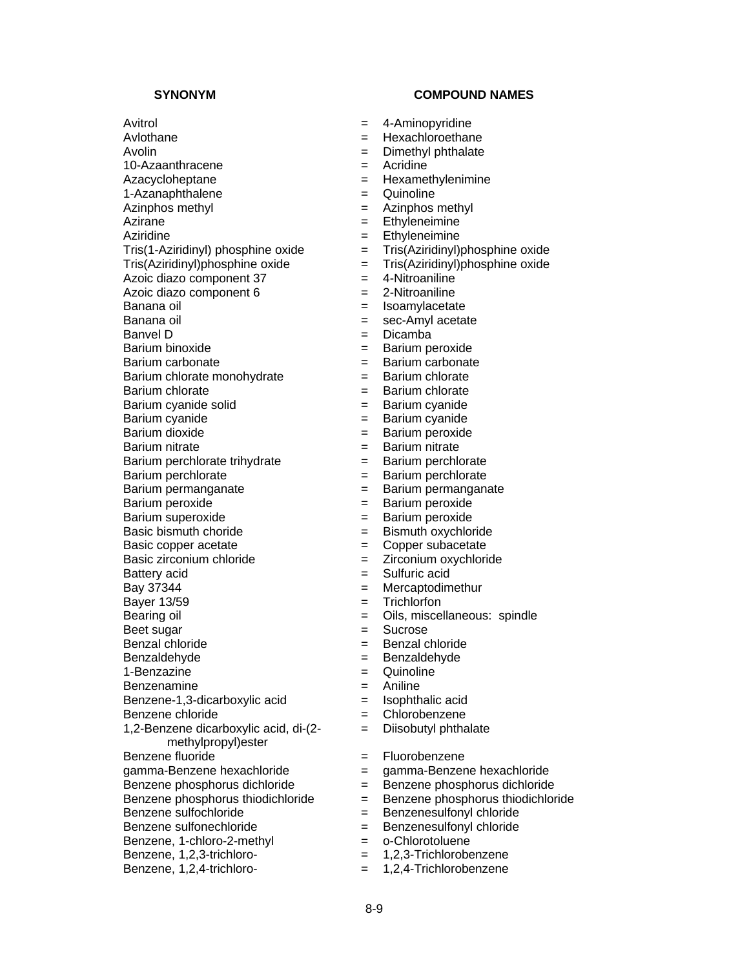Avitrol **Avitrol Example 2018 EXAMPLE 2018 EXAMPLE 2018 EXAMPLE 2018 EXAMPLE 2018 EXAMPLE 2019 EXAMPLE 2019 EXAMPLE 2019 EXAMPLE 2019 EXAMPLE 2019 EXAMPLE 2019 CONVICTI** Avlothane = Hexachloroethane Avolin **Avolin** = Dimethyl phthalate 10-Azaanthracene = Acridine Azacycloheptane  $\qquad \qquad = \qquad$  Hexamethylenimine 1-Azanaphthalene =  $\qquad \qquad$  = Quinoline Azinphos methyl  $\begin{array}{ccc} 1 & -1 & -1 \\ - & -1 & -1 \\ - & -1 & -1 \end{array}$  Azinphos methyl = Azinphos methyl Aziridine<br>Tris(1-Aziridinyl) phosphine oxide = Tris(Aziridinyl)phosphine oxide Tris(1-Aziridinyl) phosphine oxide  $=$  Tris(Aziridinyl)phosphine oxide  $=$  Tris(Aziridinyl)phosphine oxide  $=$  Tris(Aziridinyl)phosphine oxide  $Tris(Aziridinyl)phosphine oxide$  = Azoic diazo component  $37 = 4$ -Nitroaniline Azoic diazo component  $6 = 2-Nitroaniline$ Banana oil expression of the set of the Isoamylacetate Banana oil **Banana** oil **Exercise Exec-Amyl** acetate Banvel D  $=$  Dicamba Barium binoxide  $=$  Barium peroxide Barium carbonate = Barium carbonate  $Barium$  chlorate monohydrate  $=$ Barium chlorate  $=$  Barium chlorate Barium cyanide solid = Barium cyanide<br>Barium cyanide = Barium cyanide = Barium cyanide Barium cyanide = Barium cyanide Barium nitrate<br>Barium perchlorate trihydrate = = Barium perchlorate Barium perchlorate trihydrate  $=$ Barium perchlorate  $=$  Barium perchlorate Barium permanganate = Barium permanganate Barium peroxide  $=$  Barium peroxide Barium superoxide = Barium peroxide Basic bismuth choride  $=$  Bismuth oxychloride Basic copper acetate  $\qquad \qquad = \qquad \qquad$  Copper subacetate Basic zirconium chloride = Zirconium oxychloride Battery acid  $=$  Sulfuric acid  $Bav 37344$   $=$  Mercaptodimethur Bayer 13/59 = Trichlorfon Bearing oil **Example 2** Cils, miscellaneous: spindle Beet sugar  $=$  Sucrose Benzal chloride = Benzal chloride Benzaldehyde = Benzaldehyde 1-Benzazine  $\qquad \qquad = \qquad$  Quinoline Benzenamine = Aniline Benzene-1,3-dicarboxylic acid = Isophthalic acid Benzene chloride  $=$  Chlorobenzene 1,2-Benzene dicarboxylic acid, di-(2 methylpropyl)ester Benzene fluoride = Fluorobenzene gamma-Benzene hexachloride = gamma-Benzene hexachloride Benzene phosphorus dichloride = Benzene phosphorus dichloride Benzene phosphorus thiodichloride  $=$  Benzene phosphorus thiodichloride Benzene sulfochloride  $=$  Benzenesulfonyl chloride Benzene sulfonechloride = Benzenesulfonyl chloride<br>Benzene. 1-chloro-2-methyl = o-Chlorotoluene Benzene, 1-chloro-2-methyl  $=$ Benzene, 1,2,3-trichloro- = 1,2,3-Trichlorobenzene

- 
- 
- 
- 
- 
- 
- 
- $=$  Ethyleneimine
- 
- 
- 
- 
- 
- 
- 
- 
- 
- 
- 
- 
- 
- 
- $=$  Barium peroxide
- 
- 
- 
- 
- 
- 
- 
- 
- 
- 
- 
- 
- 
- 
- 
- 
- 
- 
- 
- 
- = Diisobutyl phthalate
- 
- 
- 
- 
- 
- 
- 
- 
- Benzene, 1,2,4-trichloro- = 1,2,4-Trichlorobenzene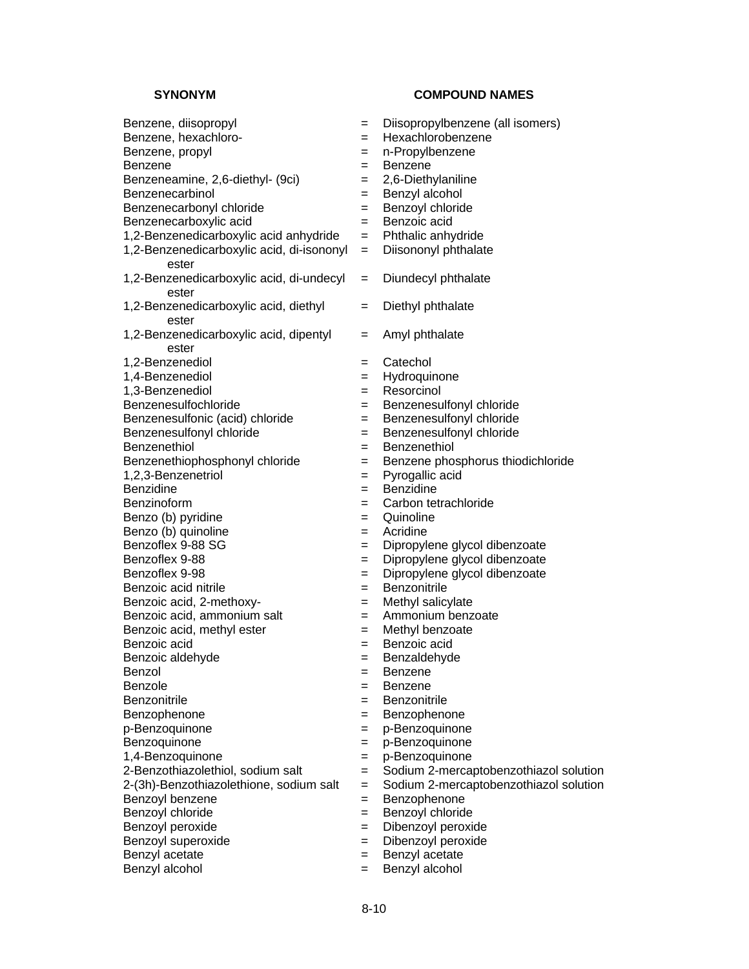- Benzene, diisopropyl = Diisopropylbenzene (all isomers) Benzene, hexachloro- <br> = Hexachlorobenzene Benzene, propyl and the set of the n-Propylbenzene Benzene = Benzene Benzeneamine, 2,6-diethyl- (9ci) = 2,6-Diethylaniline Benzenecarbinol = Benzyl alcohol Benzenecarbonyl chloride  $\begin{array}{ccc} \hline = & \hline = & \hline = & \hline \end{array}$ Benzoyl chloride  $\begin{array}{ccc} = & \hline = & \hline \end{array}$ Benzoic acid Benzenecarboxylic acid  $=$ 1,2-Benzenedicarboxylic acid anhydride  $=$  Phthalic anhydride 1,2-Benzenedicarboxylic acid, di-isononyl ester 1,2-Benzenedicarboxylic acid, di-undecyl ester 1,2-Benzenedicarboxylic acid, diethyl ester 1,2-Benzenedicarboxylic acid, dipentyl ester 1,2-Benzenediol = Catechol<br>1,4-Benzenediol = Hydroguinone 1.4-Benzenediol =  $\qquad \qquad =$ 1,3-Benzenediol = Resorcinol Benzenesulfochloride = Benzenesulfonyl chloride Benzenesulfonic (acid) chloride = Benzenesulfonyl chloride Benzenesulfonyl chloride = Benzenesulfonyl chloride Benzenethiol = Benzenethiol Benzenethiophosphonyl chloride = Benzene phosphorus thiodichloride 1,2,3-Benzenetriol = Pyrogallic acid Benzidine = Benzidine Benzinoform = Carbon tetrachloride Benzo (b) pyridine  $\begin{array}{ccc} \hline \text{Benzo} & \text{b} \\ \hline \end{array}$  = Quinoline  $\begin{array}{ccc} \hline \text{Benzo} & \text{c} \end{array}$ Benzo (b) quinoline =  $\qquad \qquad$  = Benzoflex 9-88 SG =  $\qquad \qquad$  = Benzoflex 9-88 = Dipropylene glycol dibenzoate Benzoflex 9-98 = Dipropylene glycol dibenzoate Benzoic acid nitrile  $\qquad \qquad = \qquad$  Benzonitrile Benzoic acid,  $2$ -methoxy-<br>  $=$  Methyl salicylate Benzoic acid, ammonium salt  $=$  Ammonium benzoate Benzoic acid, methyl ester  $=$  Methyl benzoate Benzoic acid = Benzoic acid Benzoic aldehyde  $=$  Benzaldehyde Benzol = Benzene Benzole = Benzene Benzonitrile **Exercise Exercise** Exercise **Benzonitrile** Benzophenone = Benzophenone p-Benzoquinone = p-Benzoquinone Benzoquinone = p-Benzoquinone 1,4-Benzoquinone = p-Benzoquinone 2-Benzothiazolethiol, sodium salt = Sodium 2-mercaptobenzothiazol solution 2-(3h)-Benzothiazolethione, sodium salt = Sodium 2-mercaptobenzothiazol solution Benzoyl benzene  $=$  Benzophenone Benzoyl chloride  $=$  Benzoyl chloride Benzoyl peroxide  $\begin{array}{ccc} \text{Benzoyl} & \text{peroxide} \\ \text{Benzoyl } & \text{superoxide} \end{array}$  = Dibenzoyl peroxide Benzoyl superoxide  $=$ Benzyl acetate  $\qquad \qquad = \qquad$  Benzyl acetate Benzyl alcohol  $=$  Benzyl alcohol
	-
	-
	-
	-
	-
	-
	-
	-
	-
	- = Diisononyl phthalate
	- = Diundecyl phthalate
	- = Diethyl phthalate
	- = Amyl phthalate
	-
	-
	-
	-
	-
	-
	-
	-
	-
	-
	-
	-
	-
	- $=$  Dipropylene glycol dibenzoate
	-
	-
	-
	-
	-
	-
	-
	-
	-
	-
	-
	-
	-
	-
	-
	-
	-
	-
	-
	-
	-
	-
	-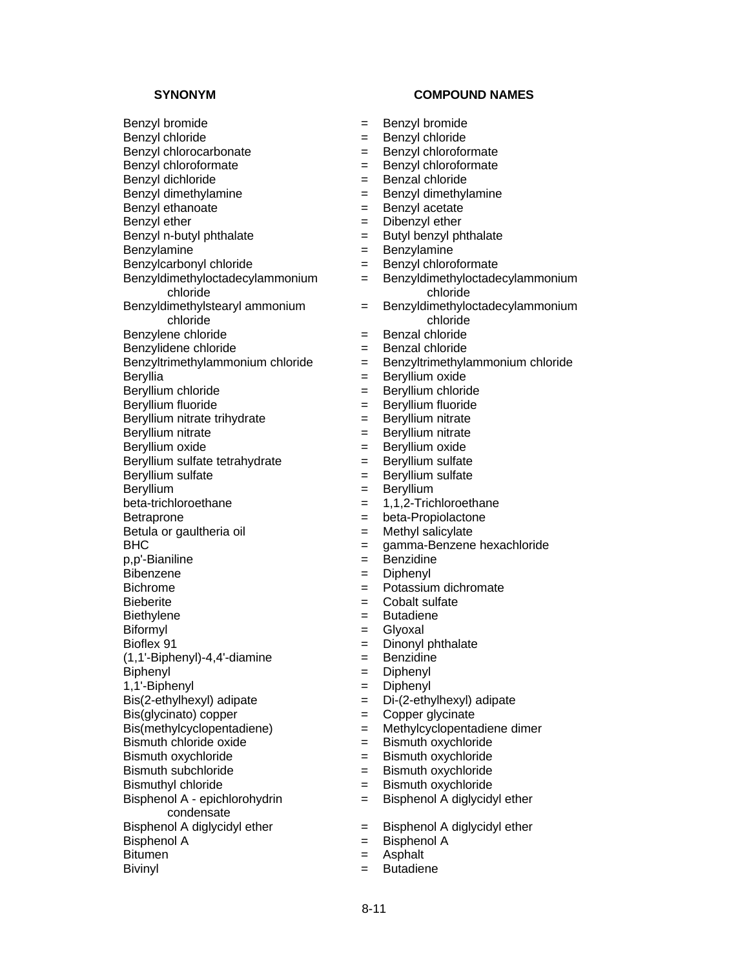Benzyl bromide = Benzyl bromide Benzyl chloride = Benzyl chloride Benzyl chlorocarbonate  $=$  Benzyl chloroformate Benzyl chloroformate  $=$  Benzyl chloroformate Benzyl dichloride = Benzal chloride Benzyl dimethylamine  $\qquad \qquad = \qquad$  Benzyl dimethylamine Benzyl ethanoate  $\begin{array}{ccc} \text{Benzyl acetate} \\ \text{Benzyl echer} \end{array}$  = Benzyl acetate Benzyl n-butyl phthalate  $=$  Butyl benzyl phthalate Benzylamine = Benzylamine Benzylcarbonyl chloride = Benzyl chloroformate Benzyldimethyloctadecylammonium chloride Benzyldimethylstearyl ammonium chloride Benzylene chloride = Benzal chloride Benzylidene chloride = Benzal chloride Benzyltrimethylammonium chloride = Benzyltrimethylammonium chloride Beryllia = Beryllium oxide Beryllium chloride = Beryllium chloride Beryllium fluoride = Beryllium fluoride Beryllium nitrate trihydrate = Beryllium nitrate Beryllium nitrate = Beryllium nitrate Beryllium oxide  $=$  Beryllium oxide Beryllium sulfate tetrahydrate  $=$  Beryllium sulfate Beryllium sulfate  $\qquad \qquad =$  Beryllium sulfate Beryllium = Beryllium = Beryllium  $beta-trichloroethane = 1,1,2-Trichloroethane$ Betraprone  $=$  beta-Propiolactone Betula or gaultheria oil  $=$  Methyl salicylate p,p'-Bianiline = Benzidine Bibenzene = Diphenyl Bichrome = Potassium dichromate Bieberite = Cobalt sulfate Biethylene = Butadiene Biformyl **Exercise Exercise Exercise Solution** and Exercise Exercise Exercise Allen Exercise Exercise Allen Exercise Bioflex 91 = Dinonyl phthalate  $(1,1'-Biphenyl)-4,4'-diamine$  = Benzidine Biphenyl = Diphenyl 1,1'-Biphenyl = Diphenyl  $Bis(2-ethylhexyl)$  adipate  $= Di-(2-ethylhexyl)$  adipate  $\text{Bis}(\text{glycinato})$  copper  $\qquad \qquad \text{Copper}$  glycinate Bis(methylcyclopentadiene) = Methylcyclopentadiene dimer  $B$ ismuth chloride oxide  $\qquad \qquad =$  Bismuth oxychloride Bismuth oxychloride = Bismuth oxychloride Bismuth subchloride = Bismuth oxychloride Bismuthyl chloride = Bismuth oxychloride Bisphenol A - epichlorohydrin condensate Bisphenol A diglycidyl ether = Bisphenol A diglycidyl ether<br>Bisphenol A diglycidyl ether = Bisphenol A  $B$ isphenol A  $=$ Bitumen = Asphalt

- **SYNONYM COMPOUND NAMES** 
	-
	-
	-
	-
	-
	-
	-
	- $=$  Dibenzyl ether
	-
	-
	-
	- = Benzyldimethyloctadecylammonium chloride
	- = Benzyldimethyloctadecylammonium chloride
	-
	-
	-
	-
	-
	-
	-
	-
	-
	-
	-
	-
	-
	-
	-
- BHC = gamma-Benzene hexachloride
	-
	-
	-
	-
	-
	-
	-
	-
	-
	-
	-
	-
	-
	-
	-
	-
	-
	- = Bisphenol A diglycidyl ether
	-
	-
	-
- Bivinyl **Biving Executive Executive Executive Executive Executive Executive Executive Executive Executive Executive**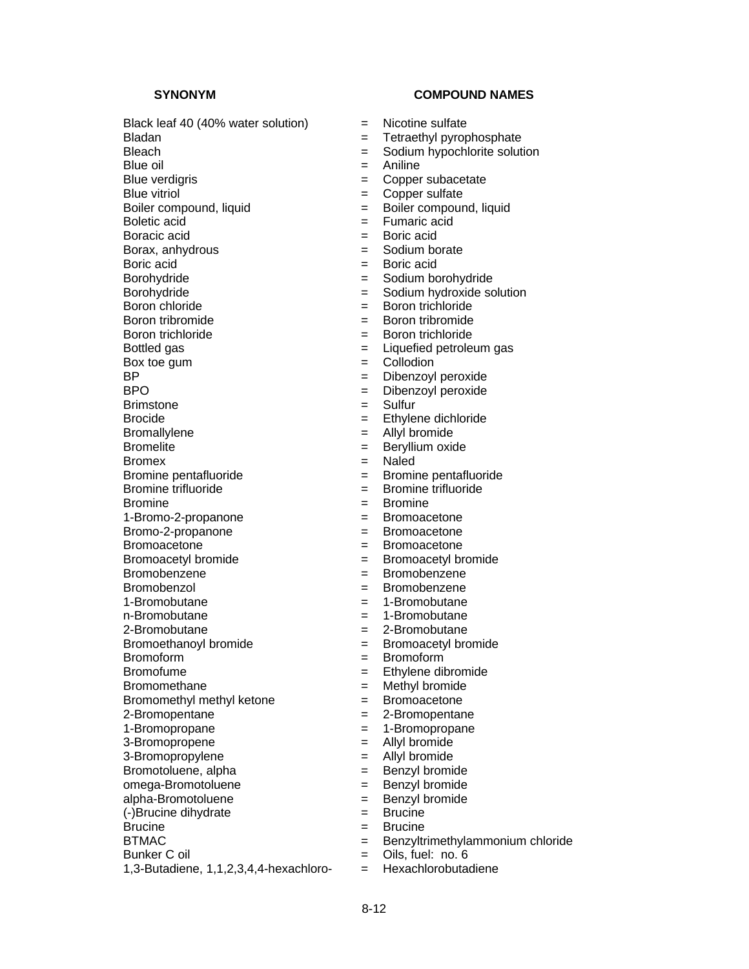Black leaf 40 (40% water solution)  $=$  Nicotine sulfate Bladan = Tetraethyl pyrophosphate Bleach = Sodium hypochlorite solution  $Blue\ oil$   $=$  Aniline Blue verdigris extension of the Copper subacetate Blue vitriol  $=$  Copper sulfate Boiler compound, liquid<br>Boletic acid<br>Boletic acid<br>Boletic acid Boracic acid<br>Borax, anhydrous<br>Borax, anhydrous<br> $=$  Sodium borate Borax, anhydrous =  $\qquad \qquad =$ Boric acid Boric acid  $=$  Boric acid Borohydride = Sodium borohydride Borohydride = Sodium hydroxide solution Boron chloride  $=$  Boron trichloride Boron tribromide = Boron tribromide Boron trichloride  $=$  Boron trichloride Bottled gas  $=$  Liquefied petroleum gas  $Box$  toe gum  $=$  Collodion BP = Dibenzoyl peroxide<br>BPO = Dibenzoyl peroxide<br>BPO = Dibenzoyl peroxide Brimstone  $=$  Sulfur Brocide  $=$  Ethylene dichloride Bromallylene = Allyl bromide Bromelite = Beryllium oxide Bromex = Naled Bromine pentafluoride  $\qquad \qquad = \qquad$ Bromine pentafluoride Bromine trifluoride = Bromine trifluoride Bromine = Bromine 1-Bromo-2-propanone = Bromoacetone Bromo-2-propanone = Bromoacetone Bromoacetone  $=$  Bromoacetone Bromoacetyl bromide = Bromoacetyl bromide Bromobenzene = Bromobenzene Bromobenzol = Bromobenzene 1-Bromobutane = 1-Bromobutane n-Bromobutane = 1-Bromobutane 2-Bromobutane = 2-Bromobutane Bromoethanoyl bromide = Bromoacetyl bromide Bromoform = Bromoform Bromofume  $=$  Ethylene dibromide Bromomethane = Methyl bromide Bromomethyl methyl ketone = Bromoacetone 2-Bromopentane = 2-Bromopentane 1-Bromopropane  $\qquad \qquad = \qquad 1$ -Bromopropane 3-Bromopropene = Allyl bromide 3-Bromopropylene = Allyl bromide Bromotoluene, alpha = Benzyl bromide omega-Bromotoluene = example = Benzyl bromide alpha-Bromotoluene = Benzyl bromide (-)Brucine dihydrate = Brucine Brucine = Brucine = Brucine = Brucine = Brucine = Brucine = Brucine = Brucine = Brucine = Brucine = Brucine = BTMAC = Benzyltrimethylammonium chloride<br>Bunker Coil = Cils. fuel: no. 6 1,3-Butadiene, 1,1,2,3,4,4-hexachloro- = Hexachlorobutadiene

- 
- 
- 
- 
- 
- 
- 
- $=$  Fumaric acid
- 
- 
- 
- 
- 
- 
- 
- 
- 
- 
- 
- = Dibenzoyl peroxide
	-
- 
- 
- 
- 
- 
- 
- 
- 
- 
- 
- 
- 
- 
- 
- 
- 
- 
- 
- 
- 
- 
- 
- 
- 
- 
- 
- 
- 
- 
- 
- 
- $=$  Oils, fuel: no. 6
-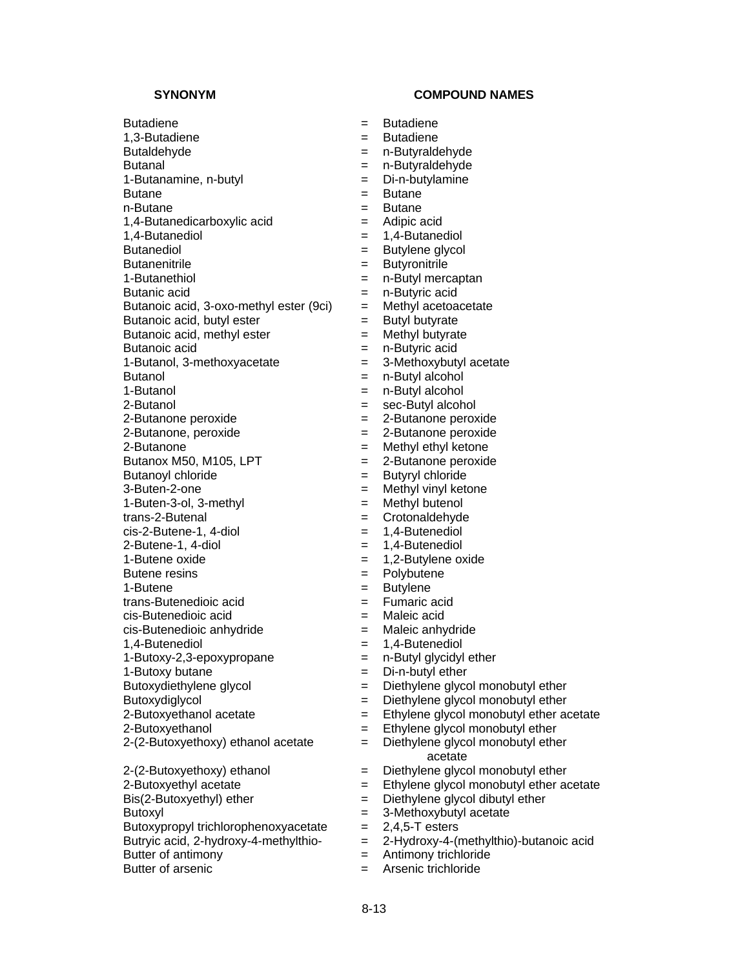Butadiene = Butadiene 1,3-Butadiene = Butadiene Butaldehyde = n-Butyraldehyde Butanal = n-Butyraldehyde 1-Butanamine, n-butyl = Di-n-butylamine Butane = Butane = Butane n-Butane = Butane 1,4-Butanedicarboxylic acid = Adipic acid 1,4-Butanediol = 1,4-Butanediol Butanediol  $=$  Butylene glycol Butanenitrile = Butyronitrile = Butyronitrile 1-Butanethiol **Exercise Exercise Exercise 2** m-Butyl mercaptan Butanic acid  $=$  n-Butyric acid Butanoic acid,  $3$ -oxo-methyl ester (9ci)  $=$  Methyl acetoacetate Butanoic acid, butyl ester  $=$  Butyl butyrate Butanoic acid, methyl ester  $=$  Methyl butyrate Butanoic acid  $\qquad \qquad = \qquad n$ -Butyric acid 1-Butanol, 3-methoxyacetate = 3-Methoxybutyl acetate Butanol = n-Butyl alcohol 1-Butanol = n-Butyl alcohol 2-Butanol = sec-Butyl alcohol 2-Butanone peroxide  $= 2$ -Butanone peroxide 2-Butanone, peroxide = 2-Butanone peroxide 2-Butanone = Methyl ethyl ketone Butanox M50, M105, LPT  $= 2$ -Butanone peroxide Butanoyl chloride  $=$  Butyryl chloride 3-Buten-2-one = Methyl vinyl ketone 1-Buten-3-ol, 3-methyl = Methyl butenol trans-2-Butenal = Crotonaldehyde  $cis-2-Butene-1$ , 4-diol  $= 1,4-Butene$ diol  $2-\text{Butene-1}$ ,  $4-\text{diol}$  = 1,  $4-\text{Butenediol}$ 1-Butene oxide  $= 1.2$ -Butylene oxide Butene resins = Polybutene 1-Butene = Butylene trans-Butenedioic acid = Fumaric acid cis-Butenedioic acid = Maleic acid  $cis$ -Butenedioic anhydride  $=$  Maleic anhydride 1,4-Butenediol = 1,4-Butenediol  $1-Butoxy-2,3-epoxypropane = n-Butyl glycidyl ether$ 1-Butoxy butane  $\qquad \qquad = \qquad$  Di-n-butyl ether Butoxydiethylene glycol  $=$  Diethylene glycol monobutyl ether Butoxydiglycol = Diethylene glycol monobutyl ether<br>
2-Butoxyethanol acetate = Ethylene glycol monobutyl ether a

 $\text{Bis}(2-\text{Butoxyethyl})$  ether  $\qquad \qquad = \qquad \text{Diethylene glycol dibuty}$  ether Butoxyl **Butoxyl Butoxyl E** 3-Methoxybutyl acetate Butoxypropyl trichlorophenoxyacetate  $= 2,4,5$ -T esters<br>Butryic acid, 2-hydroxy-4-methylthio- $= 2$ -Hydroxy-4-(r Butter of antimony  $\qquad \qquad = \qquad$  Antimony trichloride Butter of arsenic **EXACCLUSE EXACCLUSE EXACCLUSE** Arsenic trichloride

- 
- 
- 
- 
- 
- 
- 
- 
- 
- 
- 
- 
- 
- 
- 
- 
- 
- 
- 
- 
- 
- 
- 
- 
- 
- 
- 
- 
- 
- 
- 
- 
- 
- 
- 
- 
- 
- 
- 
- 
- 
- 
- $=$  Ethylene glycol monobutyl ether acetate
- 2-Butoxyethanol **Ethylene glycol monobutyl ether** = Ethylene glycol monobutyl ether
- $2-(2-Butoxyethoxy)$  ethanol acetate  $=$  Diethylene glycol monobutyl ether acetate
- $2-(2-Butoxyethoxy)$  ethanol  $=$  Diethylene glycol monobutyl ether
- 2-Butoxyethyl acetate = Ethylene glycol monobutyl ether acetate
	-
	-
	-
	- = 2-Hydroxy-4-(methylthio)-butanoic acid
	-
	-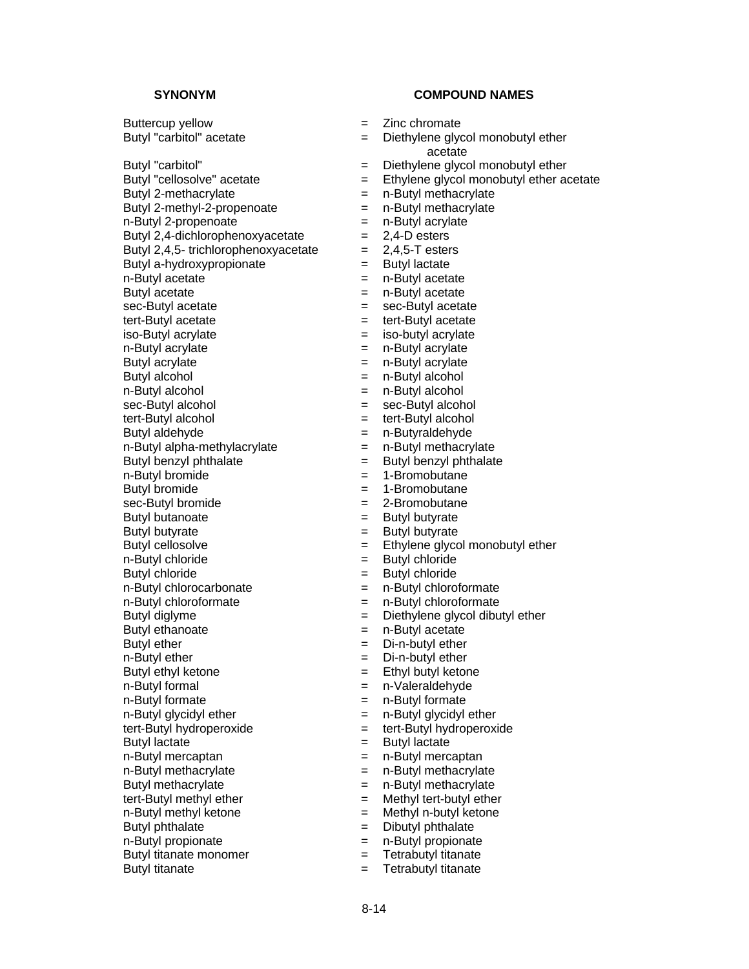Butyl "carbitol" acetate  $=$  Diethylene glycol monobutyl ether Butyl "carbitol" = Diethylene glycol monobutyl ether Butyl 2-methacrylate = n-Butyl methacrylate Butyl 2-methyl-2-propenoate = n-Butyl methacrylate  $n-Butyl 2-propenoate$  =  $n-Butyl 2-propenoate$ Butyl 2,4-dichlorophenoxyacetate  $= 2,4$ -D esters Butyl 2,4,5- trichlorophenoxyacetate  $= 2,4,5$ -T esters Butyl a-hydroxypropionate  $=$  Butyl lactate  $n-Butv1$  acetate  $n-Butv1$  acetate Butyl acetate  $=$  n-Butyl acetate sec-Butyl acetate  $=$  sec-Butyl acetate tert-Butyl acetate  $=$  tert-Butyl acetate iso-Butyl acrylate  $=$  iso-butyl acrylate n-Butyl acrylate  $\qquad \qquad = \qquad n$ -Butyl acrylate Butyl acrylate  $\begin{aligned}\n&= \quad n\text{-Butyl acrylate} \\
&= \quad n\text{-Butyl acrohol}\n\end{aligned}$ n-Butyl alcohol  $=$  n-Butyl alcohol sec-Butyl alcohol = sec-Butyl alcohol tert-Butyl alcohol  $=$  tert-Butyl alcohol Butyl aldehyde = n-Butyraldehyde  $n$ -Butyl alpha-methylacrylate  $n -$  n-Butyl methacrylate Butyl benzyl phthalate  $=$  Butyl benzyl phthalate n-Butyl bromide  $= 1$ -Bromobutane Butyl bromide  $= 1$ -Bromobutane sec-Butyl bromide  $= 2$ -Bromobutane Butyl butanoate  $=$  Butyl butyrate Butyl butyrate  $=$  Butyl butyrate Butyl cellosolve  $=$  Ethylene glycol monobutyl ether n-Butyl chloride  $=$  Butyl chloride Butyl chloride = Butyl chloride n-Butyl chlorocarbonate  $\qquad \qquad = \qquad n$ -Butyl chloroformate n-Butyl chloroformate<br>
Butyl diglyme<br>
Butyl diglyme<br>  $\begin{aligned}\n &= \quad n\text{-Butyl chloride} \\
 &= \quad \text{Diethylene glycol dibu}\n \end{aligned}$ Butyl ethanoate  $=$  n-Butyl acetate Butyl ether  $=$  Di-n-butyl ether n-Butyl ether  $=$  Di-n-butyl ether Butyl ethyl ketone = Ethyl butyl ketone n-Butyl formal example and the n-Valeraldehyde n-Butyl formate  $\qquad \qquad = \qquad n$ -Butyl formate n-Butyl glycidyl ether = n-Butyl glycidyl ether<br>tert-Butyl hydroperoxide = tert-Butyl hydroperoxide tert-Butyl hydroperoxide = tert-Butyl hydroperoxide Butyl lactate  $=$  Butyl lactate n-Butyl mercaptan = n-Butyl mercaptan = n-Butyl mercaptan  $n-Butv1$  methacrylate  $n-Butv1$  methacrylate Butyl methacrylate = n-Butyl methacrylate tert-Butyl methyl ether  $=$  Methyl tert-butyl ether n-Butyl methyl ketone = Methyl n-butyl ketone Butyl phthalate  $=$  Dibutyl phthalate n-Butyl propionate  $\qquad \qquad = \qquad n$ -Butyl propionate Butyl titanate monomer = Tetrabutyl titanate

- Buttercup yellow  $=$  Zinc chromate
	- acetate
	-
- Butyl "cellosolve" acetate  $=$  Ethylene glycol monobutyl ether acetate
	-
	-
	-
	-
	-
	-
	-
	-
	-
	-
	-
	-
	-
	- $=$  n-Butyl alcohol
	-
	-
	-
	-
	-
	-
	-
	-
	-
	-
	-
	-
	-
	-
	-
	-
	- $=$  Diethylene glycol dibutyl ether
	-
	-
	-
	-
	-
	-
	-
	-
	-
	-
	-
	-
	-
	-
	-
	-
	-
- Butyl titanate  $=$  Tetrabutyl titanate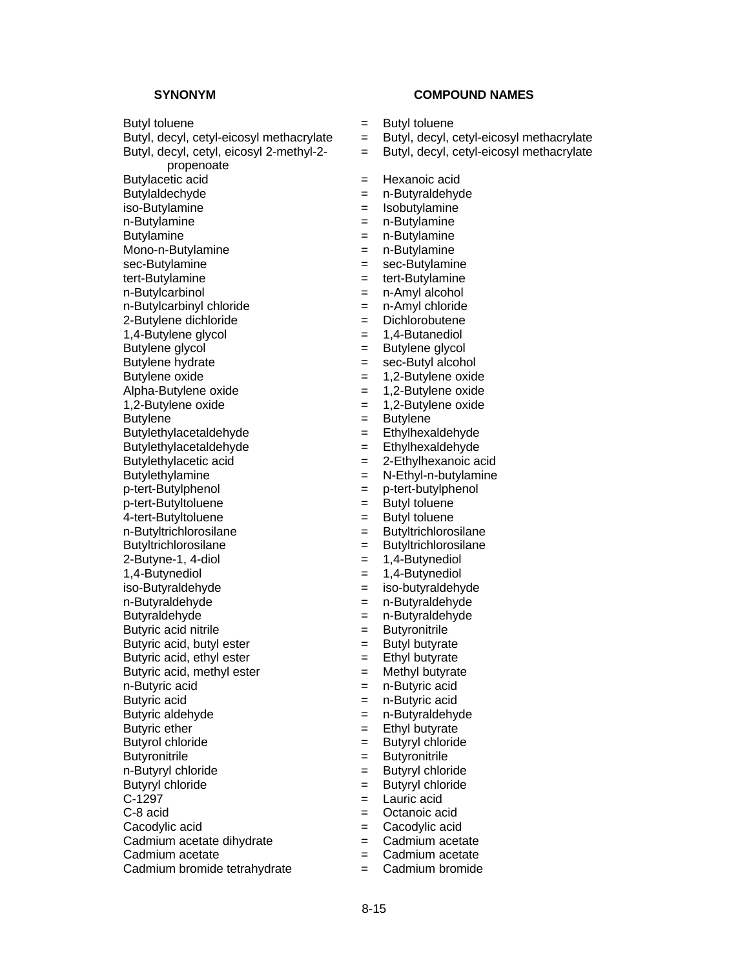Butyl, decyl, cetyl, eicosyl 2-methyl-2-

propenoate

n-Butylamine = n-Butylamine = n-Butylamine = n-Butylamine = n-Butylamine = n-Butylamine = n-Butylamine = n-Butylamine = n-Butylamine = n-Butylamine = n-Butylamine = n-Butylamine = n-Butylamine = n-Butylamine = n-Butylamine

Mono-n-Butylamine = n-Butylamine

- tert-Butylamine  $=$  tert-Butylamine
- n-Butylcarbinol = n-Amyl alcohol
- 
- 
- 
- 
- 
- 

Butylethylacetaldehyde = Ethylexaldehyde = Ethyl

Butylethylacetaldehyde = Ethylhexaldehyde

Butylethylamine = N-Ethyl-n-butylamine

p-tert-Butylphenol = p-tert-butylphenol

4-tert-Butyltoluene = Butyl toluene

n-Butyltrichlorosilane = Butyltrichlorosilane

1,4-Butynediol = 1,4-Butynediol

iso-Butyraldehyde = iso-butyraldehyde

n-Butyraldehyde = n-Butyraldehyde

Butyraldehyde = n-Butyraldehyde

Butyric acid nitrile  $\qquad \qquad = \qquad$  Butyronitrile

Butyric acid, ethyl ester  $=$  Ethyl butyrate

Butyric acid, methyl ester  $=$  Methyl butyrate

n-Butyric acid  $\qquad \qquad = \qquad n$ -Butyric acid

Butyric acid  $=$  n-Butyric acid

Butyric ether  $=$  Ethyl butyrate

Butyrol chloride = Butyryl chloride

- 
- 
- 

Cadmium bromide tetrahydrate = Cadmium bromide

# **SYNONYM COMPOUND NAMES**

- Butyl toluene  $\qquad \qquad = \qquad$  Butyl toluene
- Butyl, decyl, cetyl-eicosyl methacrylate  $=$  Butyl, decyl, cetyl-eicosyl methacrylate
	- = Butyl, decyl, cetyl-eicosyl methacrylate
- Butylacetic acid = Hexanoic acid
- Butylaldechyde = n-Butyraldehyde
	-
- iso-Butylamine = Isobutylamine = isobutylamine = Isobutylamine = Isobutylamine
- Butylamine = n-Butylamine
	-
	-
- sec-Butylamine = sec-Butylamine
	-
	-
- $n-Buty|c$ chloride  $n-Buty|c$ hloride  $n-Buty|c$ hloride
- 2-Butylene dichloride = Dichlorobutene
- 1,4-Butylene glycol = 1,4-Butanediol
- Butylene glycol  $=$  Butylene glycol
	-
- Butylene hydrate  $=$  sec-Butyl alcohol<br>Butylene oxide  $=$  1,2-Butylene oxide  $= 1,2$ -Butylene oxide
- Alpha-Butylene oxide = 1,2-Butylene oxide
- 1,2-Butylene oxide  $= 1,2$ -Butylene oxide
	-
- Butylene = Butylene = Butylene<br>Butylethylacetaldehyde = = Ethylhexaldehyde
	-
	-
- Butylethylacetic acid  $= 2$ -Ethylhexanoic acid
	-
- p-tert-Butyltoluene = Butyl toluene
	-
	-
- Butyltrichlorosilane = Butyltrichlorosilane
- $2$ -Butyne-1, 4-diol  $= 1,4$ -Butynediol
	-
	-
	-
	-
	-
	-
- Butyric acid, butyl ester  $=$  Butyl butyrate
	-
	-
	-
- Butyric aldehyde  $=$  n-Butyraldehyde
	-
	-
- Butyronitrile **Executes Butyronitrile Butyronitrile**
- n-Butyryl chloride  $=$  Butyryl chloride
- Butyryl chloride = Butyryl chloride
- $C-1297$   $=$  Lauric acid
- C-8 acid = Octanoic acid
- Cacodylic acid = Cacodylic acid

8-15

- Cadmium acetate dihydrate = cadmium acetate
- Cadmium acetate  $\qquad \qquad = \qquad$ Cadmium acetate
	-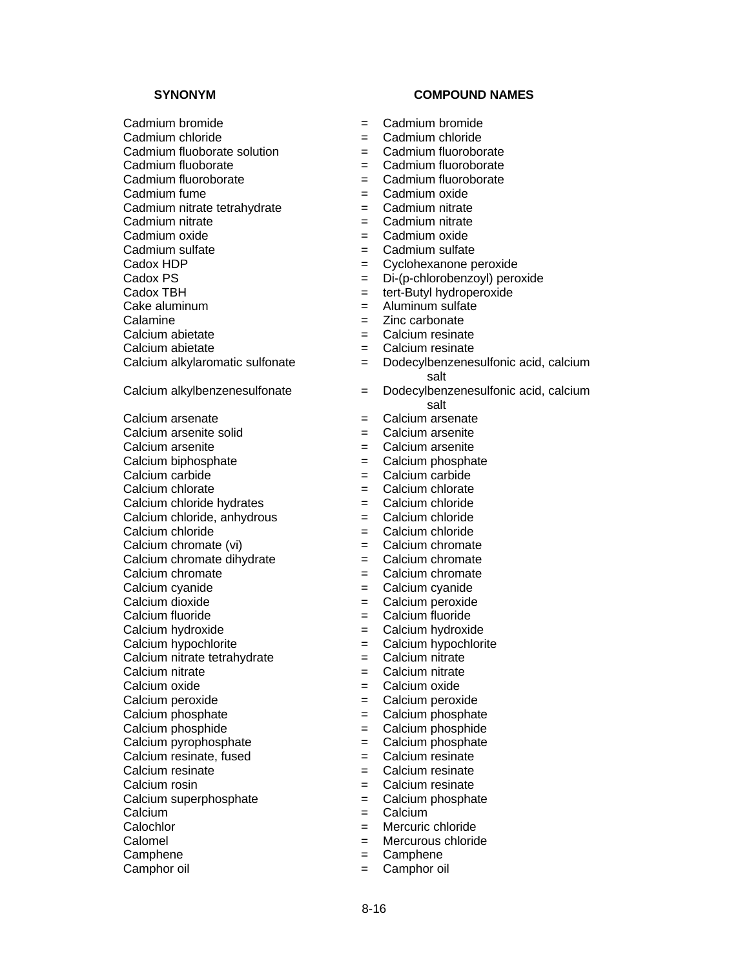- 
- 
- 
- 
- 
- 
- Cadmium nitrate tetrahydrate = Cadmium nitrate<br>Cadmium nitrate = Cadmium nitrate Cadmium nitrate = Cadmium nitrate
- 
- 
- 
- 
- 
- 
- 
- 
- 
- 
- 
- Calcium arsenate = Calcium arsenate
- 
- 
- 
- 
- 
- 
- 
- 
- Calcium chromate dihydrate  $=$  Calcium chromate
- 
- 
- 
- 
- 
- 
- Calcium nitrate tetrahydrate = Calcium nitrate
- Calcium nitrate  $\qquad \qquad = \qquad$ Calcium nitrate
- Calcium oxide = Calcium oxide
- 
- 
- Calcium phosphide  $\qquad \qquad = \qquad$ Calcium phosphide
- Calcium pyrophosphate  $=$  Calcium phosphate
- Calcium resinate, fused  $=$  Calcium resinate
- $Calcium resistance = Calcium resistance$
- Calcium rosin  $\qquad \qquad = \qquad$ Calcium resinate
- Calcium superphosphate  $\qquad \qquad = \qquad$ Calcium phosphate
- Calcium  $=$  Calcium
- Calochlor = Mercuric chloride
- Calomel = Mercurous chloride
- Camphene  $=$  Camphene
- Camphor oil  $\qquad \qquad = \qquad$  Camphor oil

# **SYNONYM COMPOUND NAMES**

- Cadmium bromide  $\qquad \qquad = \qquad$ Cadmium bromide
- Cadmium chloride  $=$  Cadmium chloride
- Cadmium fluoborate solution  $\qquad \qquad = \qquad$ Cadmium fluoroborate
- Cadmium fluoborate = Cadmium fluoroborate
- Cadmium fluoroborate = Cadmium fluoroborate
- Cadmium fume  $=$  Cadmium oxide
	-
	-
- Cadmium oxide  $=$  Cadmium oxide
	-
- Cadmium sulfate  $\begin{array}{ccc} \text{Cadmium sulfate} & = & \text{Cadmium sulfate} \\ \text{Cadox HDF} & = & \text{Cyclohexanone o} \end{array}$  $=$  Cyclohexanone peroxide
- Cadox PS = Di-(p-chlorobenzoyl) peroxide
- Cadox TBH  $=$  tert-Butyl hydroperoxide
- Cake aluminum  $\qquad \qquad = \qquad$  Aluminum sulfate
- Calamine  $\qquad \qquad = \qquad \text{Zinc}$  carbonate
- Calcium abietate  $\qquad \qquad = \qquad$ Calcium resinate
- Calcium abietate  $\qquad \qquad = \qquad$ Calcium resinate
- Calcium alkylaromatic sulfonate = Dodecylbenzenesulfonic acid, calcium salt
- Calcium alkylbenzenesulfonate = Dodecylbenzenesulfonic acid, calcium salt<br>Calcium arsenate
	-
- Calcium arsenite solid = Calcium arsenite
- Calcium arsenite  $\qquad \qquad = \qquad$ Calcium arsenite
- Calcium biphosphate  $\qquad \qquad = \qquad$ Calcium phosphate
- Calcium carbide  $=$  Calcium carbide
- Calcium chlorate  $\qquad \qquad = \qquad$ Calcium chlorate
- Calcium chloride hydrates = Calcium chloride
- Calcium chloride, anhydrous  $=$  Calcium chloride
- Calcium chloride  $=$  Calcium chloride
- Calcium chromate (vi)  $=$  Calcium chromate
	-
- Calcium chromate  $\qquad \qquad = \qquad$ Calcium chromate
- Calcium cyanide  $\qquad \qquad = \qquad$ Calcium cyanide
- Calcium dioxide  $=$  Calcium peroxide
- Calcium fluoride  $\qquad \qquad = \qquad$ Calcium fluoride
- Calcium hydroxide = Calcium hydroxide
	-
- Calcium hypochlorite  $\qquad \qquad = \qquad$ Calcium hypochlorite
	-
	-
	-
- Calcium peroxide  $=$  Calcium peroxide
- Calcium phosphate  $\qquad \qquad = \qquad$ Calcium phosphate
	-
	-
	-
	-
	-
	-

8-16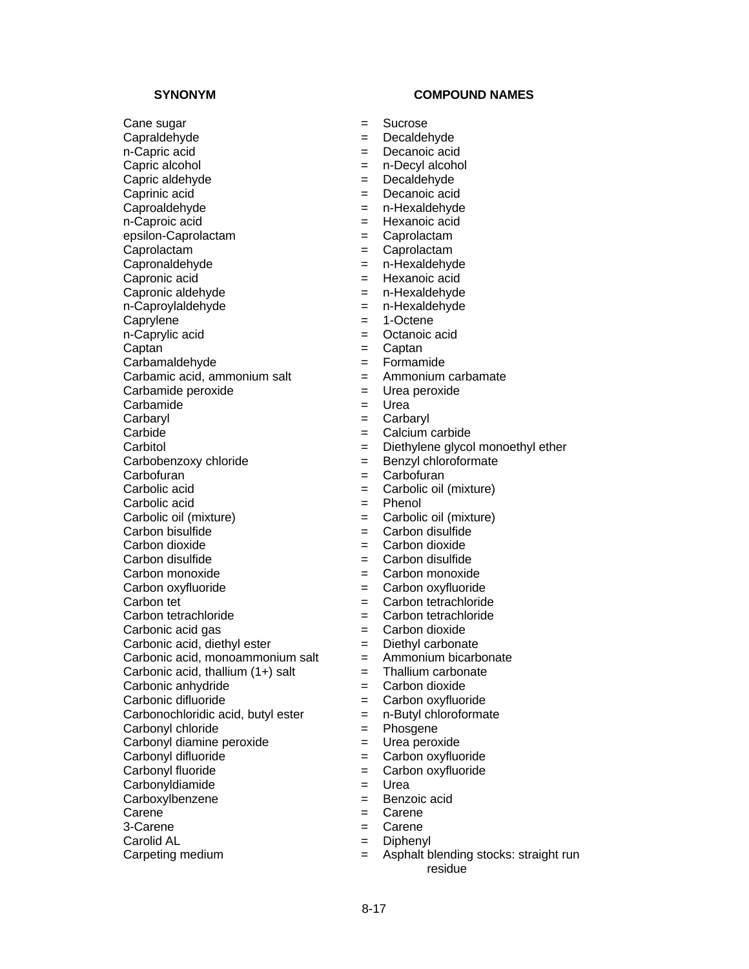Caprolactam  $\qquad \qquad =$  Caprolactam

Capronaldehyde = n-Hexaldehyde

Capronic acid = Hexanoic acid

Capronic aldehyde = n-Hexaldehyde

Captan = Captan = Captan

Carbamic acid, ammonium salt  $=$ 

Carbamide  $=$  Urea

Carbonic acid, thallium  $(1+)$  salt  $=$  Thallium carbonate

Carbonochloridic acid, butyl ester  $=$  n-Butyl chloroformate

Carbonyl chloride  $=$  Phosgene

Carbonyl diamine peroxide = Urea peroxide

Carpeting medium  $\qquad \qquad = \qquad$  Asphalt blending stocks: straight run

# **SYNONYM COMPOUND NAMES**

- Cane sugar  $=$  Sucrose
- Capraldehyde = Decaldehyde
- n-Capric acid = Decanoic acid
- Capric alcohol  $=$  n-Decyl alcohol
- Capric aldehyde = Decaldehyde
- Caprinic acid = Decanoic acid
- Caproaldehyde = n-Hexaldehyde
- n-Caproic acid  $=$  Hexanoic acid
- epsilon-Caprolactam = Caprolactam
	-
	-
	-
	-
	-
- n-Caproylaldehyde = n-Hexaldehyde
- Caprylene  $= 1$ -Octene
- n-Caprylic acid  $\qquad \qquad = \qquad$  Octanoic acid
	-
	-
- Carbamaldehyde = Formamide
- Carbamide peroxide  $=$  Urea peroxide
	-
- Carbaryl = Carbaryl
- Carbide = Calcium carbide
- Carbitol = Diethylene glycol monoethyl ether
- Carbobenzoxy chloride = Benzyl chloroformate
- Carbofuran = Carbofuran = Carbofuran = Carbofuran = Carbofuran = Carbofuran = Carbofuran = Carbofuran = Carbofuran = Carbofuran = Carbofuran = Carbofuran = Carbofuran = Carbofuran = Carbofuran = Carbofuran = Carbofuran = C
- Carbolic acid  $\qquad \qquad = \qquad$  Carbolic oil (mixture)
- Carbolic acid = Phenol
- Carbolic oil (mixture) = Carbolic oil (mixture)
- Carbon bisulfide  $=$  Carbon disulfide
- Carbon dioxide = Carbon dioxide
- $\Box$ Carbon disulfide  $\Box$  = Carbon disulfide
- Carbon monoxide = Carbon monoxide
- Carbon oxyfluoride = Carbon oxyfluoride
- Carbon tet  $\qquad \qquad = \qquad$ Carbon tetrachloride
- Carbon tetrachloride = Carbon tetrachloride
- Carbonic acid gas  $\qquad \qquad = \qquad$ Carbon dioxide
- Carbonic acid, diethyl ester = Diethyl carbonate
- Carbonic acid, monoammonium salt  $=$  Ammonium bicarbonate
	-
- Carbonic anhydride  $=$  Carbon dioxide
- Carbonic difluoride = Carbon oxyfluoride
	-
	-
	-
- Carbonyl difluoride = Carbon oxyfluoride
- Carbonyl fluoride  $=$  Carbon oxyfluoride

residue

- Carbonyldiamide = Urea
- Carboxylbenzene = Benzoic acid
- Carene  $=$  Carene
- 3-Carene  $=$  Carene

8-17

Carolid AL  $=$  Diphenyl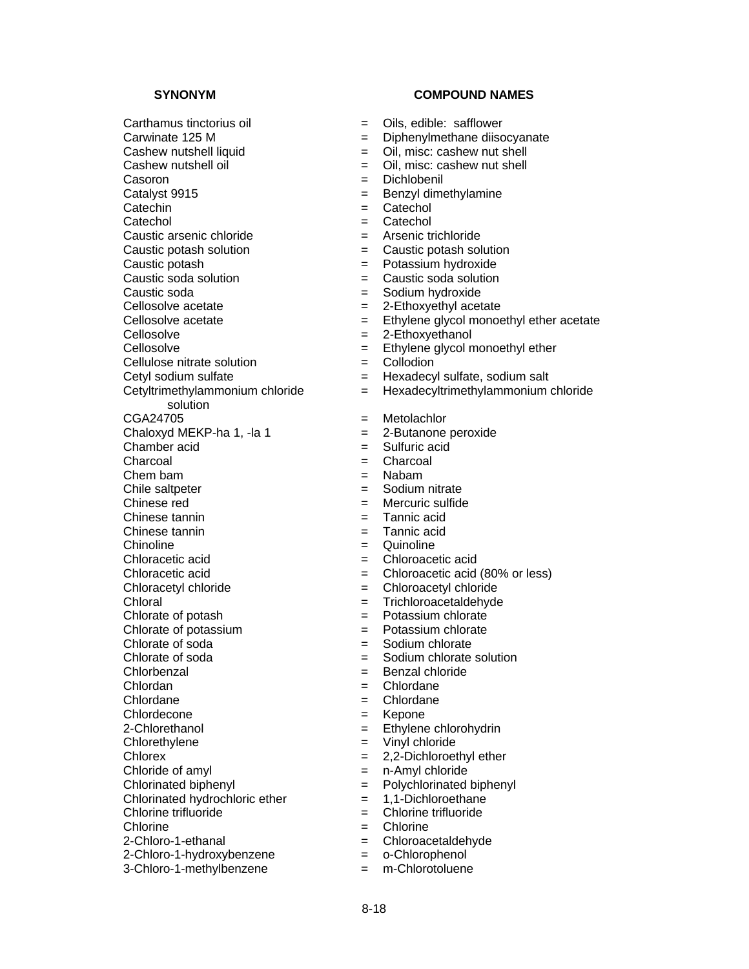$Carthamus$  tinctorius oil  $\qquad \qquad = \qquad \text{Oils.}$  edible: safflower Carwinate 125 M = Diphenylmethane diisocyanate Cashew nutshell oil  $=$  Oil, misc: cashew nut shell Casoron = Dichlobenil Catalyst 9915 = Benzyl dimethylamine Catechin = Catechol<br>Catechol = Catechol = Catechol Caustic arsenic chloride = Arsenic trichloride Caustic potash solution<br>
Caustic potash solution<br>  $=$  Potassium hydroxide<br>  $=$  Potassium hydroxide Caustic potash = Potassium hydroxide Caustic soda solution  $\qquad \qquad = \qquad$  Caustic soda solution Caustic soda = Sodium hydroxide Cellosolve acetate  $= 2$ -Ethoxyethyl acetate Cellosolve = 2-Ethoxyethanol Cellulose nitrate solution  $\begin{array}{rcl} \text{Cell} & = & \text{Coliodion} \\ \text{Cetyl sodium sulfate} & = & \text{Hexadecy} \end{array}$ Cetyltrimethylammonium chloride solution<br>CGA24705 Chaloxyd MEKP-ha 1, -la 1  $=$  2-Butanone peroxide Chamber acid = Sulfuric acid Charcoal = Charcoal Chem bam = Nabam Chile saltpeter  $=$  Sodium nitrate Chinese red  $=$  Mercuric sulfide Chinese tannin = Tannic acid Chinese tannin = Tannic acid Chinoline  $=$  Quinoline  $=$  Quinoline Chloracetic acid = Chloroacetic acid Chloracetic acid  $=$  Chloroacetic acid (80% or less) Chloracetyl chloride = Chloroacetyl chloride Chloral = Trichloroacetaldehyde<br>
Chlorate of potash = Potassium chlorate  $Chlorate of potash$   $=$ Chlorate of potassium = Potassium chlorate Chlorate of soda  $=$  Sodium chlorate Chlorate of soda = Sodium chlorate solution Chlorbenzal = Benzal chloride Chlordan = Chlordane Chlordane = Chlordane = Chlordane Chlordecone  $=$  Kepone 2-Chlorethanol = Ethylene chlorohydrin Chlorethylene = Vinyl chloride Chlorex = 2,2-Dichloroethyl ether Chloride of amyl  $=$  n-Amyl chloride Chlorinated biphenyl = Polychlorinated biphenyl Chlorinated hydrochloric ether  $= 1,1$ -Dichloroethane Chlorine trifluoride = Chlorine trifluoride Chlorine = Chlorine<br>
2-Chloro-1-ethanal = Chloroac

- 2-Chloro-1-hydroxybenzene = o-Chlorophenol
- 3-Chloro-1-methylbenzene = m-Chlorotoluene

- 
- 
- Cashew nutshell liquid  $=$  Oil, misc: cashew nut shell
	-
	-
	-
	-
	- Catechol = Catechol
	-
	-
	-
	-
	-
	-
- Cellosolve acetate  $=$  Ethylene glycol monoethyl ether acetate
	-
- Cellosolve = Ethylene glycol monoethyl ether
	-
	- $=$  Hexadecyl sulfate, sodium salt
	- = Hexadecyltrimethylammonium chloride
	- $=$  Metolachlor
	-
	-
	-
	-
	-
	-
	-
	-
	-
	-
	-
	-
	-
	-
	-
	-
	-
	-
	-
	-
	-
	-
	-
	-
	-
	-
	-
	-
	-
	- = Chloroacetaldehyde
	-
	-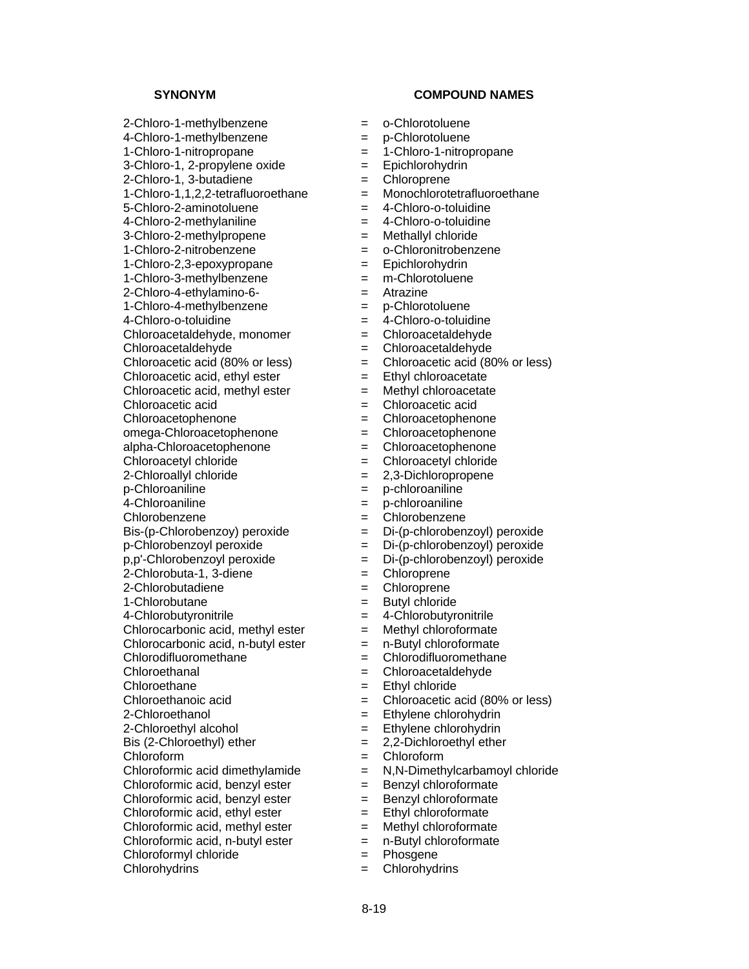2-Chloro-1-methylbenzene = o-Chlorotoluene 4-Chloro-1-methylbenzene = p-Chlorotoluene 1-Chloro-1-nitropropane = 1-Chloro-1-nitropropane  $3$ -Chloro-1, 2-propylene oxide  $=$  Epichlorohydrin 2-Chloro-1, 3-butadiene = Chloroprene 1-Chloro-1,1,2,2-tetrafluoroethane = Monochlorotetrafluoroethane 5-Chloro-2-aminotoluene = 4-Chloro-o-toluidine 4-Chloro-2-methylaniline = 4-Chloro-o-toluidine 3-Chloro-2-methylpropene = Methallyl chloride 1-Chloro-2-nitrobenzene = o-Chloronitrobenzene 1-Chloro-2,3-epoxypropane = Epichlorohydrin 1-Chloro-3-methylbenzene = m-Chlorotoluene 2-Chloro-4-ethylamino-6- = Atrazine 1-Chloro-4-methylbenzene = p-Chlorotoluene 4-Chloro-o-toluidine = 4-Chloro-o-toluidine Chloroacetaldehyde, monomer = Chloroacetaldehyde Chloroacetaldehyde = Chloroacetaldehyde Chloroacetic acid (80% or less)  $=$  Chloroacetic acid (80% or less)<br>Chloroacetic acid, ethyl ester  $=$  Ethyl chloroacetate  $Chloroacetic acid, ethyl ester =$ Chloroacetic acid, methyl ester  $=$  Methyl chloroacetate Chloroacetic acid = Chloroacetic acid Chloroacetophenone = Chloroacetophenone omega-Chloroacetophenone = Chloroacetophenone alpha-Chloroacetophenone = challengers = Chloroacetyl chloride = Chloroacetyl chloride 2-Chloroallyl chloride = 2,3-Dichloropropene p-Chloroaniline = p-chloroaniline 4-Chloroaniline = p-chloroaniline Chlorobenzene = Chlorobenzene  $\text{Bis-(p-Chlorobenzoy)}$  peroxide  $\qquad \qquad \text{Di-(p-chlorobenzoyl)}$  peroxide p-Chlorobenzoyl peroxide = Di-(p-chlorobenzoyl) peroxide p,p'-Chlorobenzoyl peroxide = Di-(p-chlorobenzoyl) peroxide  $2$ -Chlorobuta-1, 3-diene  $\qquad \qquad = \qquad$ Chloroprene 2-Chlorobutadiene = Chloroprene 1-Chlorobutane = Butyl chloride 4-Chlorobutyronitrile  $\qquad \qquad = \qquad$  4-Chlorobutyronitrile Chlorocarbonic acid, methyl ester  $=$  Methyl chloroformate Chlorocarbonic acid, n-butyl ester  $=$  n-Butyl chloroformate Chlorodifluoromethane = Chlorodifluoromethane Chloroethanal = Chloroacetaldehyde Chloroethane = Ethyl chloride Chloroethanoic acid = Chloroacetic acid (80% or less) 2-Chloroethanol = Ethylene chlorohydrin 2-Chloroethyl alcohol  $=$  Ethylene chlorohydrin Bis (2-Chloroethyl) ether  $= 2.2$ -Dichloroethyl ether Chloroform = Chloroform Chloroformic acid, benzyl ester  $=$  Benzyl chloroformate Chloroformic acid, benzyl ester  $=$  Benzyl chloroformate Chloroformic acid, ethyl ester  $=$  Ethyl chloroformate Chloroformic acid, methyl ester = Methyl chloroformate<br>Chloroformic acid, n-butyl ester = n-Butyl chloroformate Chloroformic acid, n-butyl ester  $=$ Chloroformyl chloride = Phosgene Chlorohydrins = Chlorohydrins

- 
- 
- 
- 
- 
- 
- 
- 
- 
- 
- 
- 
- 
- 
- 
- 
- 
- 
- 
- 
- 
- 
- 
- 
- 
- 
- 
- 
- 
- 
- 
- 
- 
- 
- 
- 
- 
- 
- 
- 
- 
- 
- 
- 
- 
- 
- Chloroformic acid dimethylamide  $\qquad \qquad = \qquad N.N-Dimethylcarbamovl$  chloride
	-
	-
	-
	-
	-
	-
	-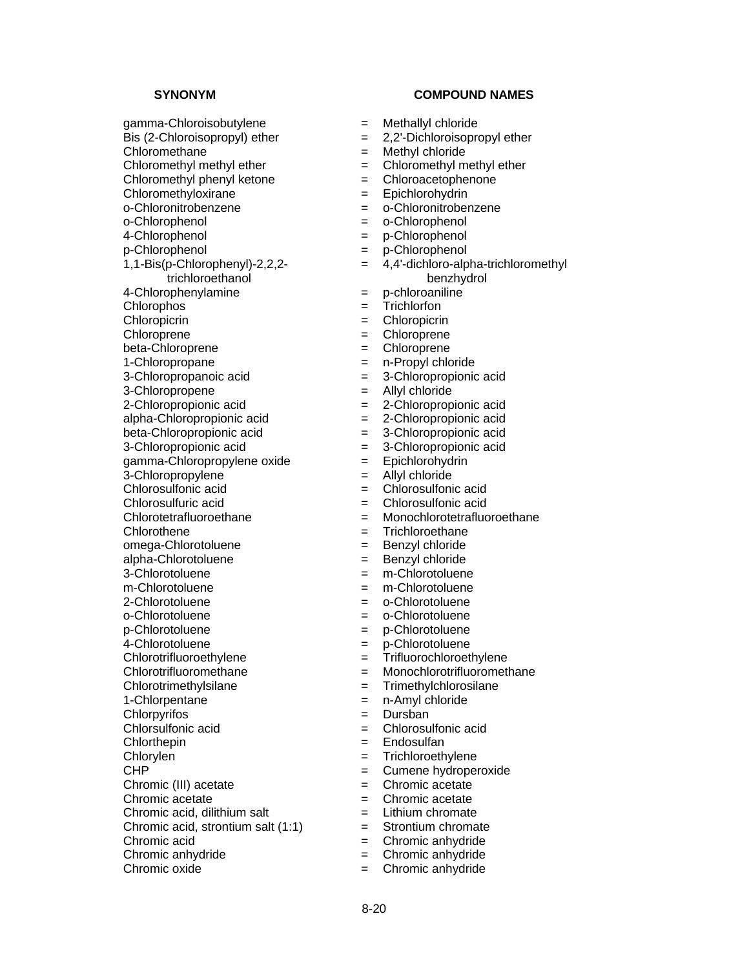gamma-Chloroisobutylene = Methallyl chloride Bis (2-Chloroisopropyl) ether  $= 2,2$ '-Dichloroisopropyl ether Chloromethane = Methyl chloride Chloromethyl methyl ether  $=$  Chloromethyl methyl ether Chloromethyl phenyl ketone = Chloroacetophenone Chloromethyloxirane = Epichlorohydrin o-Chloronitrobenzene = o-Chloronitrobenzene<br>
o-Chlorophenol = o-Chlorophenol<br>
= o-Chlorophenol 4-Chlorophenol = p-Chlorophenol p-Chlorophenol = p-Chlorophenol 1,1-Bis(p-Chlorophenyl)-2,2,2 trichloroethanol 4-Chlorophenylamine = p-chloroaniline Chlorophos = Trichlorfon Chloropicrin = Chloropicrin Chloroprene  $=$  Chloroprene beta-Chloroprene  $=$  Chloroprene 1-Chloropropane = n-Propyl chloride<br>3-Chloropropanoic acid = 3-Chloropropionic acid 3-Chloropropanoic acid = 3-Chloropropionic acid 3-Chloropropene = Allyl chloride 2-Chloropropionic acid<br>
alpha-Chloropropionic acid<br>  $=$  2-Chloropropionic acid<br>  $=$  2-Chloropropionic acid alpha-Chloropropionic acid = 2000 = 2000 = 2000 = 2000 = 2000 = 2000 = 2010 = 2010 = 2010 = 2010 = 2010 = 2010  $beta$ -Chloropropionic acid  $\qquad \qquad = \qquad 3$ -Chloropropionic acid 3-Chloropropionic acid  $=$  3-Chloropropionic acid gamma-Chloropropylene oxide = Epichlorohydrin 3-Chloropropylene = Allyl chloride Chlorosulfonic acid = Chlorosulfonic acid Chlorosulfuric acid = Chlorosulfonic acid Chlorotetrafluoroethane = Monochlorotetrafluoroethane Chlorothene  $=$  Trichloroethane omega-Chlorotoluene = Benzyl chloride alpha-Chlorotoluene = Benzyl chloride 3-Chlorotoluene = m-Chlorotoluene m-Chlorotoluene = m-Chlorotoluene 2-Chlorotoluene = o-Chlorotoluene o-Chlorotoluene = o-Chlorotoluene p-Chlorotoluene = p-Chlorotoluene 4-Chlorotoluene = p-Chlorotoluene<br>
Chlorotrifluoroethylene = Trifluorochloroet Chlorotrifluoromethane = Monochlorotrifluoromethane Chlorotrimethylsilane = Trimethylchlorosilane 1-Chlorpentane = n-Amyl chloride Chlorpyrifos = Dursban Chlorthepin = Endosulfan Chlorylen = Trichloroethylene = Trichloroethylene = Trichloroethylene = Trichloroethylene = Cumene hydronei Chromic (III) acetate  $\qquad \qquad = \qquad$ Chromic acetate Chromic acetate = Chromic acetate Chromic acid, dilithium salt  $=$  Lithium chromate Chromic acid, strontium salt  $(1:1)$  = Strontium chromate Chromic acid = Chromic anhydride Chromic anhydride  $\qquad \qquad = \qquad$ Chromic anhydride

- 
- 
- 
- 
- 
- 
- 
- o-Chlorophenol = o-Chlorophenol
- 
- 
- = 4,4'-dichloro-alpha-trichloromethyl
- benzhydrol
- 
- 
- 
- 
- 
- 
- 
- 
- 
- 
- 
- 
- 
- 
- 
- 
- 
- 
- 
- 
- 
- 
- 
- 
- 
- 
- = Trifluorochloroethylene
- 
- 
- 
- 
- $=$  Chlorosulfonic acid
- 
- 
- $=$  Cumene hydroperoxide
- 
- 
- 
- 
- 
- 
- Chromic oxide  $\qquad \qquad = \qquad$ Chromic anhydride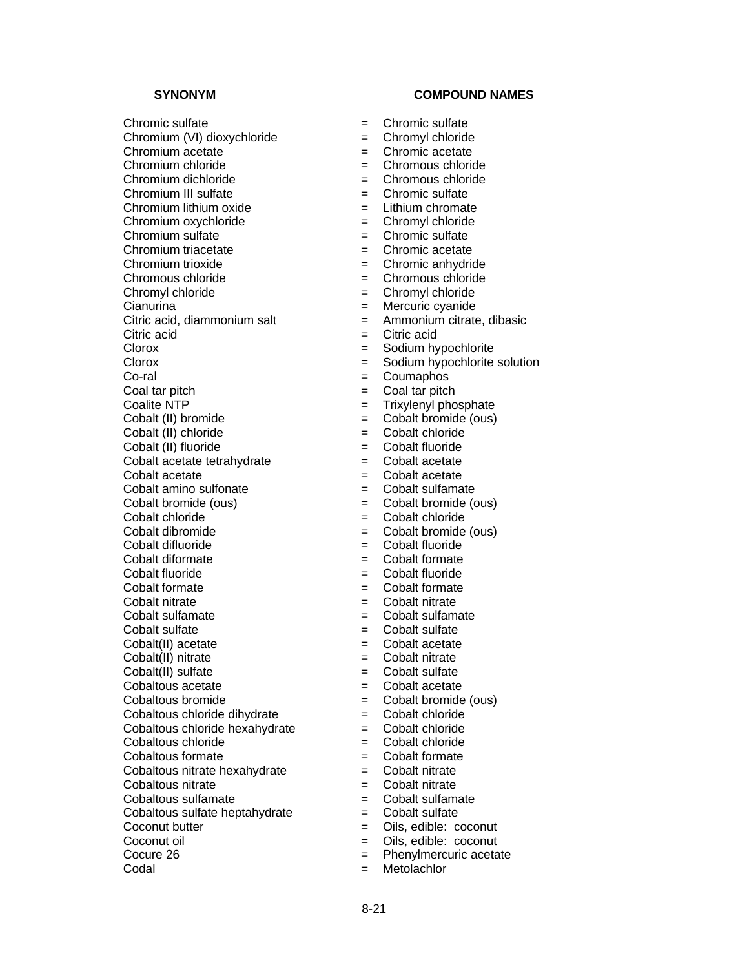Chromic sulfate  $\qquad \qquad = \qquad$ Chromic sulfate Chromium (VI) dioxychloride = Chromyl chloride Chromium acetate  $\qquad \qquad = \qquad$ Chromic acetate Chromium chloride = Chromous chloride Chromium dichloride = Chromous chloride Chromium III sulfate  $\qquad \qquad \qquad = \qquad$ Chromic sulfate Chromium lithium oxide  $=$  Lithium chromate Chromium oxychloride = Chromyl chloride  $Chromium$  sulfate  $=$  Chromic sulfate Chromium triacetate  $\qquad \qquad = \qquad$ Chromic acetate Chromium trioxide  $\qquad \qquad = \qquad$ Chromic anhydride Chromous chloride = Chromous chloride Chromyl chloride  $=$  Chromyl chloride Cianurina = Mercuric cyanide Citric acid, diammonium salt  $=$  Ammonium citrate, dibasic Citric acid = Citric acid Clorox = Sodium hypochlorite Clorox = Sodium hypochlorite solution Co-ral = Coumaphos  $Coal tar pitch$   $= Coal tar pitch$ Coalite NTP = Trixylenyl phosphate<br>
Cobalt (II) bromide = Cobalt bromide (ous) Cobalt (II) chloride = Cobalt chloride Cobalt (II) fluoride = Cobalt fluoride Cobalt acetate tetrahydrate = Cobalt acetate Cobalt acetate  $\qquad \qquad = \qquad$  Cobalt acetate Cobalt amino sulfonate  $\qquad \qquad = \qquad$  Cobalt sulfamate Cobalt bromide (ous) = Cobalt bromide (ous) Cobalt chloride = Cobalt chloride Cobalt dibromide = Cobalt bromide (ous) Cobalt difluoride = Cobalt fluoride Cobalt diformate  $\qquad \qquad = \qquad$ Cobalt formate Cobalt fluoride = Cobalt fluoride Cobalt formate  $\qquad \qquad = \qquad$  Cobalt formate Cobalt nitrate = Cobalt nitrate  $\text{Cobalt}\text{ sulfamate}$  =  $\text{Cobalt}\text{ sulfamate}$ Cobalt sulfate = Cobalt sulfate Cobalt(II) acetate  $=$  Cobalt acetate Cobalt(II) nitrate  $=$  Cobalt nitrate Cobalt(II) sulfate  $\qquad \qquad =$  Cobalt sulfate Cobaltous acetate  $\qquad \qquad = \qquad \text{Cobalt acetate}$ Cobaltous bromide = Cobalt bromide (ous) Cobaltous chloride dihydrate = Cobalt chloride Cobaltous chloride hexahydrate  $=$  Cobalt chloride Cobaltous chloride = Cobalt chloride  $\text{Cobaltous formate}$   $=$   $\text{Cobalt formate}$ Cobaltous nitrate hexahydrate  $\qquad \qquad = \qquad$ Cobalt nitrate Cobaltous nitrate  $\qquad \qquad = \qquad$ Cobalt nitrate  $Cobaltous sulfamate$   $=$   $Cobalt sulfamate$  $Cobaltous$  sulfate heptahydrate  $=$   $Cobalt$  sulfate Coconut butter  $\begin{array}{ccc} \text{Cocomut} & \text{Dius}, \text{edible: cocomut} \\ \text{Cocomut oil} & = & \text{Oils}, \text{edible: cocomut} \end{array}$ Coconut oil = Oils, edible: coconut Codal = Metolachlor

- 
- 
- 
- 
- 
- 
- 
- 
- 
- 
- 
- 
- 
- 
- 
- 
- 
- 
- 
- 
- 
- $=$  Cobalt bromide (ous)
- 
- 
- 
- 
- 
- 
- 
- 
- 
- 
- 
- 
- 
- 
- 
- 
- 
- 
- 
- 
- 
- 
- 
- 
- 
- 
- 
- 
- 
- 
- $=$  Phenylmercuric acetate
-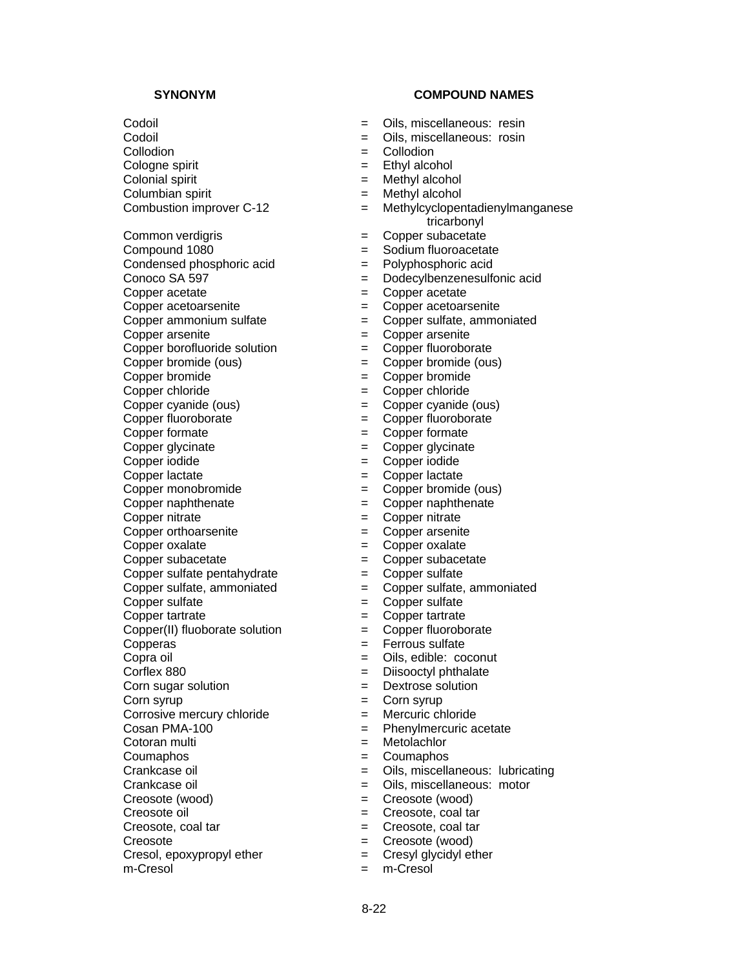$\text{Colonial spirit}$  = Methyl alcohol

Copper arsenite  $\qquad \qquad = \qquad \text{Copper}$ 

Copper fluoroborate = Copper fluoroborate

Copper formate  $\qquad \qquad = \qquad \qquad$  Copper formate

Copper glycinate  $\qquad \qquad = \qquad \qquad$  Copper glycinate

Copper iodide = Copper iodide

Copper lactate  $\qquad \qquad = \qquad \text{Copper lactate}$ 

Copper monobromide  $\qquad \qquad = \qquad \qquad$  Copper bromide (ous)

Copper orthoarsenite = Copper arsenite

Copper sulfate, ammoniated  $=$ 

Corrosive mercury chloride = Mercuric chloride<br>
Cosan PMA-100 = Phenvlmercuric a

Creosote  $=$  Creosote (wood)

 $C$ resol, epoxypropyl ether  $=$  Cresyl glycidyl ether

m-Cresol = m-Cresol

# **SYNONYM COMPOUND NAMES**

- Codoil = Oils, miscellaneous: resin
- Codoil = Oils, miscellaneous: rosin
- Collodion = Collodion
- Cologne spirit  $=$  Ethyl alcohol
	-
- $\text{Column}$  spirit  $\text{Column}$  = Methyl alcohol
- Combustion improver C-12 = Methylcyclopentadienylmanganese tricarbonyl
	-
- Common verdigris  $\begin{array}{ccc} \text{Common verdigris} & = & \text{Copper subacetate} \\ \text{Compound 1080} & = & \text{Sodium fluorocecta} \end{array}$ = Sodium fluoroacetate
- Condensed phosphoric acid  $=$  Polyphosphoric acid
- Conoco SA 597 = Dodecylbenzenesulfonic acid
- Copper acetate  $\qquad \qquad = \qquad \qquad$  Copper acetate
- Copper acetoarsenite = Copper acetoarsenite
- Copper ammonium sulfate  $\qquad \qquad = \qquad \qquad$  Copper sulfate, ammoniated
	-
- Copper borofluoride solution = Copper fluoroborate
- Copper bromide (ous) = Copper bromide (ous)
- Copper bromide  $\qquad \qquad = \qquad \text{Copper bromide}$
- Copper chloride = Copper chloride
	-
- Copper cyanide (ous)  $\begin{array}{rcl} \text{Copper cyanide (ous)} \\ \text{Copper fluoroborate} \end{array} = \begin{array}{rcl} \text{Copper gluoroborate} \end{array}$ 
	-
	-
	-
	-
	-
- Copper naphthenate  $\qquad \qquad = \qquad \qquad$  Copper naphthenate
- Copper nitrate  $\qquad \qquad = \qquad \qquad$  Copper nitrate
	-
- Copper oxalate  $\qquad \qquad =$  Copper oxalate
- Copper subacetate  $\qquad \qquad = \qquad \qquad$  Copper subacetate
	-
- Copper sulfate pentahydrate  $\begin{array}{rcl} \text{Copper sulfate} \\ \text{Copper sulfate.}\end{array}$
- Copper sulfate  $\qquad \qquad = \qquad \qquad$  Copper sulfate
- Copper tartrate  $\qquad \qquad = \qquad \text{Copper tartrate}$
- Copper(II) fluoborate solution = Copper fluoroborate
- Copperas = Ferrous sulfate
- Copra oil  $\qquad \qquad = \qquad$  Oils, edible: coconut
- Corflex 880 = Diisooctyl phthalate
- Corn sugar solution  $=$  Dextrose solution
- Corn syrup  $=$  Corn syrup
	-
	- $=$  Phenylmercuric acetate
- Cotoran multi = Metolachlor
- Coumaphos = Coumaphos
- Crankcase oil = Oils, miscellaneous: lubricating
- Crankcase oil **Exercise Serverse Communist Crankcase oil**  $=$  Oils, miscellaneous: motor
- Creosote (wood) = Creosote (wood)
- Creosote oil  $\qquad \qquad = \qquad$  Creosote, coal tar
- Creosote, coal tar  $=$  Creosote, coal tar

8-22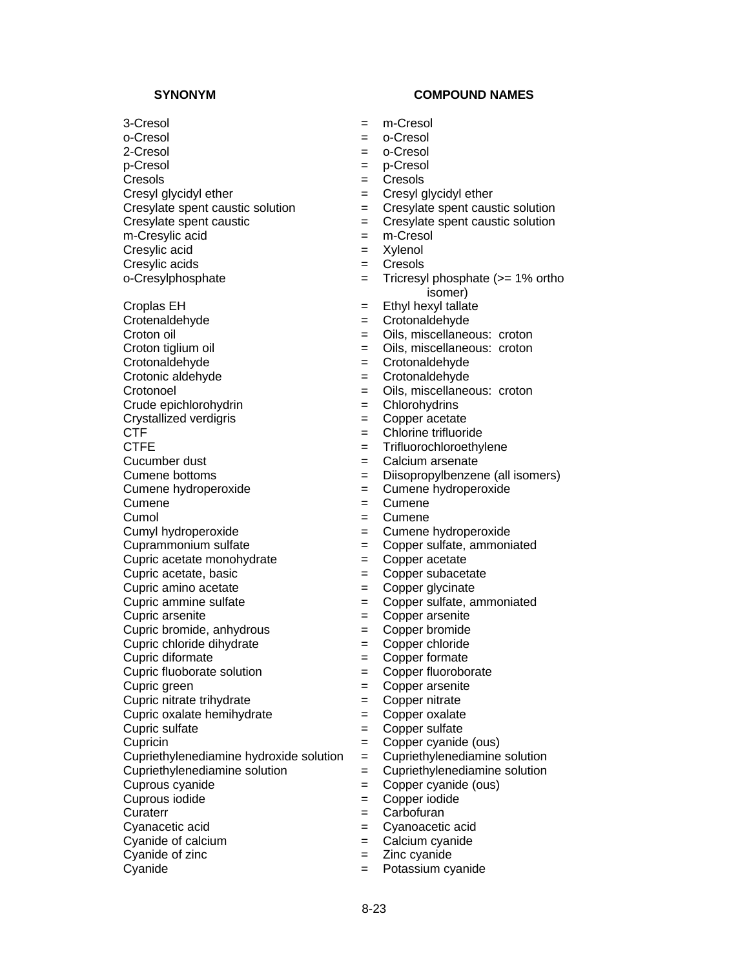m-Cresylic acid  $=$  m-Cresol

Cresylic acid = Xylenol

Crotenaldehyde = Crotonaldehyde

Crude epichlorohydrin = Chlorohydrins

Crystallized verdigris = Copper acetate

 $C$ upric acetate monohydrate  $=$ 

Cupric chloride dihydrate = Copper chloride

Cupric diformate  $\qquad \qquad = \qquad \qquad$  Copper formate

Cupric fluoborate solution = Copper fluoroborate

Cupric nitrate trihydrate  $\qquad \qquad = \qquad$  Copper nitrate

Cupric oxalate hemihydrate  $\qquad \qquad = \qquad$  Copper oxalate

Cyanide of calcium  $\qquad \qquad = \qquad$  Calcium cyanide

Cyanide of zinc  $=$  Zinc cyanide

Cyanide = Potassium cyanide

## **SYNONYM COMPOUND NAMES**

- 3-Cresol = m-Cresol
- o-Cresol = o-Cresol
- 2-Cresol = o-Cresol
- p-Cresol = p-Cresol
- Cresols = Cresols
- Cresyl glycidyl ether  $=$  Cresyl glycidyl ether
	-
- Cresylate spent caustic solution  $\begin{aligned} \text{C} \text{resylate spent caustic} \\ \text{C} \text{resylate spent caustic} \\ \text{S} \text{S} \text{S} \text{S} \end{aligned}$  $=$  Cresylate spent caustic solution
	-
	-
- Cresylic acids = Cresols
- o-Cresylphosphate = Tricresyl phosphate (>= 1% ortho isomer)
	-
- Croplas EH  $=$  Ethyl hexyl tallate<br>Crotenaldehyde  $=$  Crotonaldehyde
- Croton oil  $=$  Oils, miscellaneous: croton
- Croton tiglium oil **Exercise Exercise Servers** Croton = Oils, miscellaneous: croton
- Crotonaldehyde = Crotonaldehyde
- Crotonic aldehyde = Crotonaldehyde
- Crotonoel = Oils, miscellaneous: croton
	-
	-
- CTF = Chlorine trifluoride
- CTFE = Trifluorochloroethylene
- Cucumber dust  $\qquad \qquad = \qquad$  Calcium arsenate
- Cumene bottoms = Diisopropylbenzene (all isomers)
- Cumene hydroperoxide = Cumene hydroperoxide
- Cumene  $=$  Cumene
- Cumol = Cumene
- Cumyl hydroperoxide = Cumene hydroperoxide
- Cuprammonium sulfate<br>
Cupric acetate monohydrate<br>  $\begin{array}{rcl} = & \text{Copper} \text{ sulfate}, \text{ammoniated} \\ = & \text{Copper} \text{ acetate} \end{array}$ 
	-
- Cupric acetate, basic  $\overline{z}$  = Copper subacetate
- Cupric amino acetate  $\qquad \qquad = \qquad$  Copper glycinate
- Cupric ammine sulfate  $\qquad \qquad = \qquad \qquad$  Copper sulfate, ammoniated
- Cupric arsenite  $\qquad \qquad = \qquad \qquad \text{Copper}$  arsenite
- Cupric bromide, anhydrous = Copper bromide
	-
	-
	-
- Cupric green  $\qquad \qquad =$  Copper arsenite
	-
	-
- Cupric sulfate = Copper sulfate
- Cupricin = Copper cyanide (ous)
- Cupriethylenediamine hydroxide solution  $=$  Cupriethylenediamine solution
- Cupriethylenediamine solution = Cupriethylenediamine solution
- Cuprous cyanide = Copper cyanide (ous)
- Cuprous iodide = Copper iodide
- Curaterr = Carbofuran

8-23

Cyanacetic acid = Cyanoacetic acid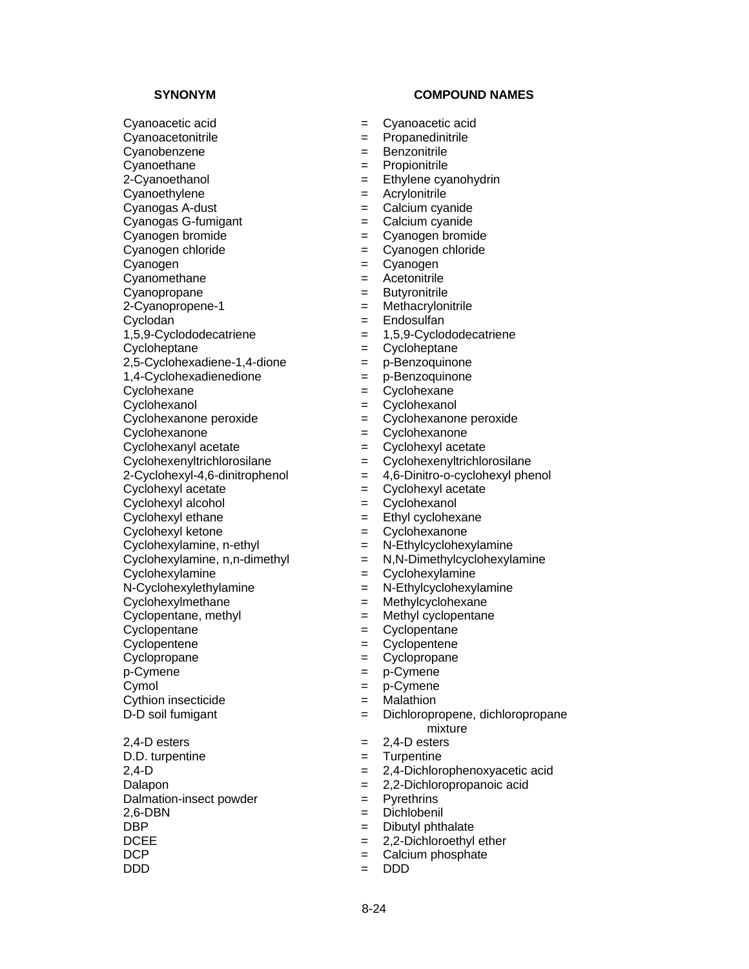**SYNONYM COMPOUND NAMES** Cyanoacetic acid = Cyanoacetic acid Cyanoacetonitrile  $\qquad \qquad \qquad = \qquad$ Propanedinitrile Cyanobenzene = Benzonitrile Cyanoethane = Propionitrile<br>2-Cyanoethanol = Ethylene cya Cyanoethylene = Acrylonitrile  $Cyanogas A-dust$   $=$   $Calcium cyanide$ Cyanogas G-fumigant = Calcium cyanide Cyanogen bromide  $\qquad \qquad = \qquad$ Cyanogen bromide Cyanogen chloride = Cyanogen chloride Cyanogen = Cyanogen = Cyanogen Cyanomethane = Acetonitrile Cyanopropane = Butyronitrile 2-Cyanopropene-1 = Methacrylonitrile Cyclodan = Endosulfan 1,5,9-Cyclododecatriene = 1,5,9-Cyclododecatriene Cycloheptane = Cycloheptane 2,5-Cyclohexadiene-1,4-dione = p-Benzoquinone<br>1,4-Cyclohexadienedione = p-Benzoquinone  $1,4$ -Cyclohexadienedione  $=$ Cyclohexane = Cyclohexane Cyclohexanol = Cyclohexanol<br>Cyclohexanone peroxide = cyclohexanone peroxide = cyclohexanone peroxide Cyclohexanone peroxide = Cyclohexanone peroxide Cyclohexanone = Cyclohexanone Cyclohexanyl acetate  $\qquad \qquad = \qquad \qquad$  Cyclohexyl acetate Cyclohexenyltrichlorosilane = Cyclohexenyltrichlorosilane Cyclohexyl acetate  $\qquad \qquad = \qquad \qquad$  Cyclohexyl acetate Cyclohexyl alcohol = Cyclohexanol Cyclohexyl ethane  $\qquad \qquad =$  Ethyl cyclohexane Cyclohexyl ketone = Cyclohexanone  $Cyclohexylamine, n-ethyl$   $=$  N-Ethylcyclohexylamine  $Cycloheylamine, n,n-dimethyl$  =  $N,N-Dimethylcyclohexylamine$ Cyclohexylamine = Cyclohexylamine N-Cyclohexylethylamine = N-Ethylcyclohexylamine Cyclohexylmethane = Methylcyclohexane  $Cyclopentane$ , methyl  $=$  Methyl cyclopentane Cyclopentane = Cyclopentane Cyclopentene = Cyclopentene Cyclopropane = Cyclopropane p-Cymene = p-Cymene Cymol = p-Cymene Cythion insecticide  $=$  Malathion

 $2.4-D$  esters  $= 2.4-D$  esters D.D. turpentine  $=$  Turpentine Dalmation-insect powder = Pyrethrins 2,6-DBN = Dichlobenil DBP = Dibutyl phthalate<br>DCEE = 2,2-Dichloroethyl DCEE = 2,2-Dichloroethyl ether<br>DCP = 2,2-Dichloroethyl ether<br>
= Calcium phosphate DDD = DDD

- 
- 
- 
- 
- $=$  Ethylene cyanohydrin
- 
- 
- 
- 
- 
- 
- 
- 
- 
- 
- 
- 
- 
- 
- 
- 
- 
- 
- 
- 
- 2-Cyclohexyl-4,6-dinitrophenol = 4,6-Dinitro-o-cyclohexyl phenol
	-
	-
	-
	-
	-
	-
	-
	-
	-
	-
	-
	-
	-
	-
	-
	-
- D-D soil fumigant  $=$  Dichloropropene, dichloropropane mixture
	-
	-
- 2,4-D = 2,4-Dichlorophenoxyacetic acid
- Dalapon = 2,2-Dichloropropanoic acid
	-
	-
	-
	-
	- $=$  Calcium phosphate
	-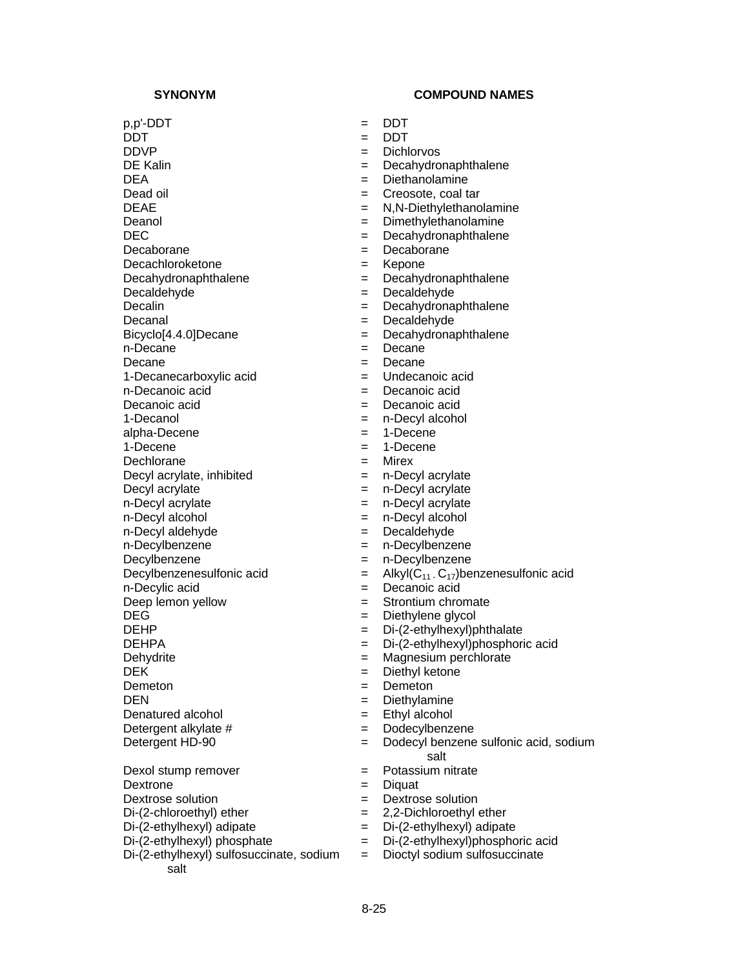$p, p'$ -DDT  $=$  DDT DDT = DDT DDVP = Dichlorvos DE Kalin = Decahydronaphthalene DEA = Diethanolamine Dead oil  $=$  Creosote, coal tar DEAE = N,N-Diethylethanolamine Deanol = Dimethylethanolamine DEC = Decahydronaphthalene Decaborane = Decaborane Decachloroketone = Kepone Decahydronaphthalene = Decahydronaphthalene Decaldehyde = Decaldehyde Decalin = Decahydronaphthalene Decanal = Decaldehyde Bicyclo[4.4.0]Decane = Decahydronaphthalene n-Decane  $=$  Decane Decane = Decane 1-Decanecarboxylic acid  $=$ n-Decanoic acid  $\qquad \qquad = \qquad$  Decanoic acid Decanoic acid = Decanoic acid 1-Decanol = n-Decyl alcohol alpha-Decene = 1-Decene  $1$ -Decene  $= 1$ -Decene Dechlorane = Mirex Decyl acrylate, inhibited  $=$  n-Decyl acrylate Decyl acrylate  $\qquad \qquad = \qquad n\text{-Decyl acrylate}$ n-Decyl acrylate  $\qquad \qquad = \qquad n$ -Decyl acrylate n-Decyl alcohol = n-Decyl alcohol n-Decyl aldehyde = Decaldehyde n-Decylbenzene = n-Decylbenzene Decylbenzene = n-Decylbenzene n-Decylic acid = Decanoic acid Deep lemon yellow  $=$  Strontium chromate DEG = Diethylene glycol DEHP = Di-(2-ethylhexyl)phthalate DEHPA = Di-(2-ethylhexyl)phosphoric acid Dehydrite  $\qquad \qquad = \qquad$ Magnesium perchlorate DEK = Diethyl ketone Demeton = Demeton DEN = Diethylamine Denatured alcohol  $=$  Ethyl alcohol Detergent alkylate  $#$   $=$  Dodecylbenzene Dexol stump remover  $=$  Potassium nitrate

Dextrone = Diquat Dextrose solution  $=$  Dextrose solution  $Di-(2-chloroethyl)$  ether  $= 2,2-Dichloroethyl$  ether Di-(2-ethylhexyl) adipate = Di-(2-ethylhexyl) adipate<br>Di-(2-ethylhexyl) phosphate = Di-(2-ethylhexyl)phospho Di-(2-ethylhexyl) sulfosuccinate, sodium salt

- 
- 
- 
- 
- 
- 
- 
- 
- 
- 
- 
- 
- 
- 
- 
- 
- 
- 
- 
- 
- 
- 
- 
- 
- 
- 
- 
- 
- 
- Decylbenzenesulfonic acid  $=$  Alkyl $(C_{11} \cdot C_{17})$ benzenesulfonic acid
	-
	-
	-
	-
	-
	-
	-
	-
	-
	-
	-
- Detergent HD-90 = Dodecyl benzene sulfonic acid, sodium salt
	-
	-
	-
	-
	-
	- = Di-(2-ethylhexyl) phosphoric acid
	- = Dioctyl sodium sulfosuccinate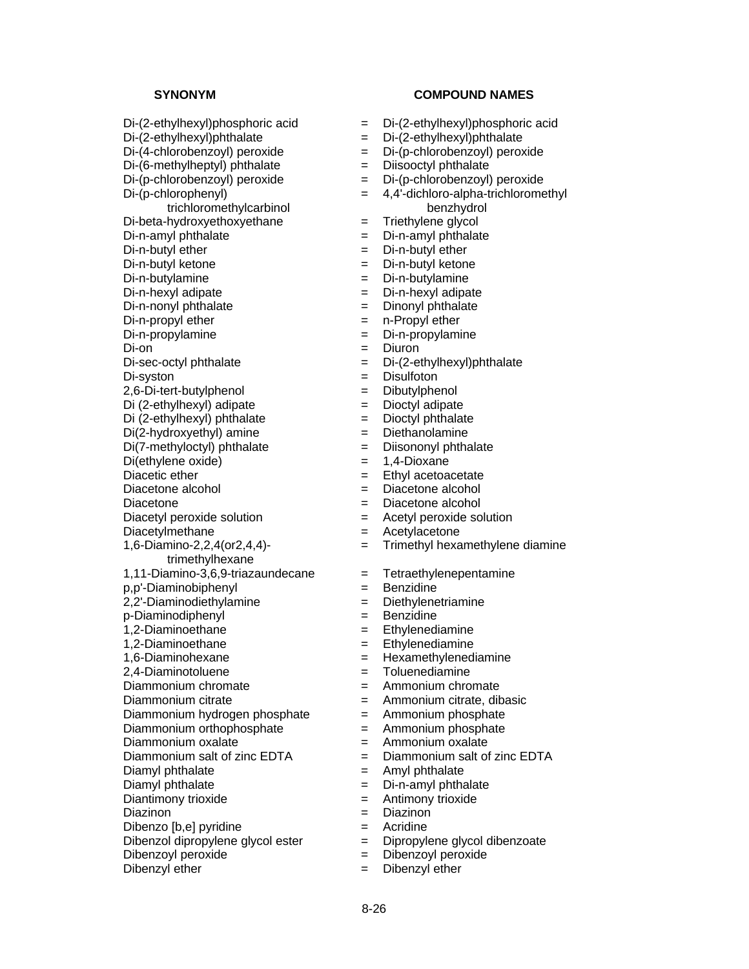Di-(2-ethylhexyl)phosphoric acid = Di-(2-ethylhexyl)phosphoric acid  $Di-(2-ethylhexyl)phthalate$  =  $Di-(2-ethylhexyl)phthalate$ Di-(4-chlorobenzoyl) peroxide = Di-(p-chlorobenzoyl) peroxide  $Di-(6-methylheptyl)$  phthalate  $\qquad \qquad = \qquad \text{Disocetyl}$  phthalate Di-(p-chlorobenzoyl) peroxide = Di-(p-chlorobenzoyl) peroxide Di-(p-chlorophenyl) trichloromethylcarbinol  $Di-beta-hydroxyethoxyethane$  = Di-n-amyl phthalate  $\begin{array}{rcl} \text{Di}-\text{n-amyl} \text{ phthalate} \\ \text{Di}-\text{n-butyl} \text{ ether} \end{array} = \begin{array}{rcl} \text{Di}-\text{n-amyl} \text{ phthalate} \\ = \text{Di}-\text{n-butyl} \text{ ether} \end{array}$ Di-n-butyl ketone  $=$  Di-n-butyl ketone Di-n-butylamine = Di-n-butylamine  $D_i$ -n-hexyl adipate  $D_i$ -n-hexyl adipate  $Di-n-nonyl$  phthalate  $I = Di nonvl$  phthalate  $Di-n$ -propyl ether  $\qquad \qquad = \qquad n$ -Propyl ether Di-n-propylamine  $\qquad \qquad = \qquad$ Di-n-propylamine  $D_i$ -on  $=$  Diuron  $Di-sec-octyl$  phthalate  $Di-(2-ethylhexyl)$ phthalate Di-syston = Disulfoton 2,6-Di-tert-butylphenol = Dibutylphenol Di (2-ethylhexyl) adipate = Dioctyl adipate  $Di (2-ethylhexyl)$  phthalate  $=$  $Di(2-hydroxyethyl)$  amine  $= Diethanolamine$  $Di(7-methylootyl)$  phthalate  $\qquad \qquad = \qquad \text{Disononyl}$  phthalate Di(ethylene oxide)  $= 1,4$ -Dioxane Diacetic ether  $=$  Ethyl acetoacetate Diacetone alcohol  $=$  Diacetone alcohol Diacetone  $\qquad \qquad = \qquad$ Diacetone alcohol Diacetyl peroxide solution = Acetyl peroxide solution Diacetylmethane = Acetylacetone 1,6-Diamino-2,2,4(or2,4,4) trimethylhexane  $1,11$ -Diamino-3,6,9-triazaundecane = Tetraethylenepentamine p,p'-Diaminobiphenyl = Benzidine 2,2'-Diaminodiethylamine = Diethylenetriamine p-Diaminodiphenyl = Benzidine 1,2-Diaminoethane = Ethylenediamine 1,2-Diaminoethane = Ethylenediamine 1,6-Diaminohexane = Hexamethylenediamine 2,4-Diaminotoluene = Toluenediamine Diammonium chromate  $=$  Ammonium chromate Diammonium citrate  $\qquad \qquad = \qquad$ Ammonium citrate, dibasic Diammonium hydrogen phosphate  $=$  Ammonium phosphate Diammonium orthophosphate  $=$  Ammonium phosphate Diammonium oxalate  $\qquad \qquad = \qquad \text{Ammonium oxalate}$ Diammonium salt of zinc  $EDTA$   $=$  Diammonium salt of zinc  $EDTA$ Diamyl phthalate  $\qquad \qquad = \qquad \text{Amyl}$  phthalate Diamyl phthalate  $\qquad \qquad \qquad = \qquad$  Di-n-amyl phthalate Diantimony trioxide  $=$  Antimony trioxide Diazinon = Diazinon Dibenzo [b,e] pyridine  $=$  Acridine Dibenzol dipropylene glycol ester = Dipropylene glycol dibenzoate Dibenzoyl peroxide  $=$  Dibenzoyl peroxide Dibenzyl ether  $=$  Dibenzyl ether

- 
- 
- -
	-
- = 4,4'-dichloro-alpha-trichloromethyl benzhydrol<br>Triethylene glycol
- 
- 
- $=$  Di-n-butyl ether
- 
- 
- 
- 
- 
- 
- 
- 
- 
- 
- 
- 
- 
- 
- 
- 
- 
- 
- 
- 
- = Trimethyl hexamethylene diamine
- 
- 
- 
- 
- 
- 
- 
- 
- 
- 
- 
- 
- 
- 
- 
- 
- 
- 
- 
- 
- 
-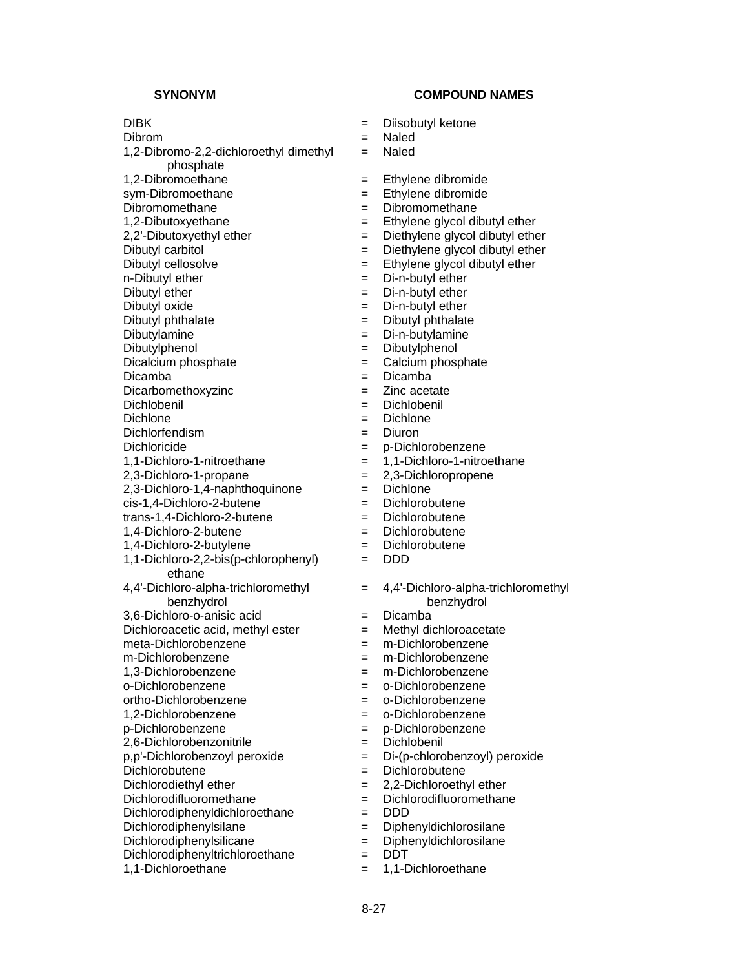phosphate

1,2-Dibromo-2,2-dichloroethyl dimethyl

# **SYNONYM COMPOUND NAMES**

- DIBK = Diisobutyl ketone
- Dibrom = Naled
	- = Naled
- 1,2-Dibromoethane = Ethylene dibromide
- sym-Dibromoethane = Ethylene dibromide
- Dibromomethane = Dibromomethane
- 1,2-Dibutoxyethane  $\qquad \qquad =$  Ethylene glycol dibutyl ether
- 2,2'-Dibutoxyethyl ether  $\qquad \qquad = \qquad$  Diethylene glycol dibutyl ether
	-
- Dibutyl carbitol  $\begin{aligned}\n&= \text{Diethylene glycol dibutyl ether} \\
&= \text{Ethylene glycol dibutyl ether} \\
&= \text{Ethylene glycol dibutyl ether}\n\end{aligned}$  $=$  Ethylene glycol dibutyl ether
- n-Dibutyl ether  $=$  Di-n-butyl ether
- Dibutyl ether  $=$  Di-n-butyl ether
- Dibutyl oxide = Di-n-butyl ether
- Dibutyl phthalate  $\qquad \qquad = \qquad$ Dibutyl phthalate
- Dibutylamine = Di-n-butylamine
	-
- Dibutylphenol = Dibutylphenol
- Dicalcium phosphate  $\begin{array}{ccc} \hline \end{array}$  = Calcium phosphate  $\begin{array}{ccc} \hline \end{array}$  = Dicamba
- Dicamba = Dicamba
- Dicarbomethoxyzinc = Zinc acetate
- Dichlobenil = Dichlobenil
	- Dichlone = Dichlone
- Dichlorfendism = Diuron
- Dichloricide = p-Dichlorobenzene
- 1,1-Dichloro-1-nitroethane = 1,1-Dichloro-1-nitroethane
- 2,3-Dichloro-1-propane = 2,3-Dichloropropene
- $2,3$ -Dichloro-1,4-naphthoquinone  $=$  Dichlone
- cis-1,4-Dichloro-2-butene = Dichlorobutene
- trans-1,4-Dichloro-2-butene = Dichlorobutene
- 1,4-Dichloro-2-butene = Dichlorobutene
- 1,4-Dichloro-2-butylene = Dichlorobutene
	- = DDD
	- = 4,4'-Dichloro-alpha-trichloromethyl benzhydrol
- 3,6-Dichloro-o-anisic acid = Dicamba
- Dichloroacetic acid, methyl ester  $=$  Methyl dichloroacetate
- meta-Dichlorobenzene = m-Dichlorobenzene
- m-Dichlorobenzene = m-Dichlorobenzene
- 1,3-Dichlorobenzene = m-Dichlorobenzene
- o-Dichlorobenzene = o-Dichlorobenzene
- ortho-Dichlorobenzene = o-Dichlorobenzene
- 1,2-Dichlorobenzene = o-Dichlorobenzene
- p-Dichlorobenzene = p-Dichlorobenzene
- 2,6-Dichlorobenzonitrile = Dichlobenil
- p,p'-Dichlorobenzoyl peroxide = Di-(p-chlorobenzoyl) peroxide
- Dichlorobutene = Dichlorobutene
- Dichlorodiethyl ether  $= 2.2$ -Dichloroethyl ether
- Dichlorodifluoromethane  $=$  Dichlorodifluoromethane
- Dichlorodiphenyldichloroethane = DDD
- Dichlorodiphenylsilane = Diphenyldichlorosilane<br>Dichlorodiphenylsilicane = Diphenyldichlorosilane
- Dichlorodiphenylsilicane = =
- Dichlorodiphenyltrichloroethane = DDT
- 1,1-Dichloroethane = 1,1-Dichloroethane

1,1-Dichloro-2,2-bis(p-chlorophenyl)

4,4'-Dichloro-alpha-trichloromethyl benzhydrol

ethane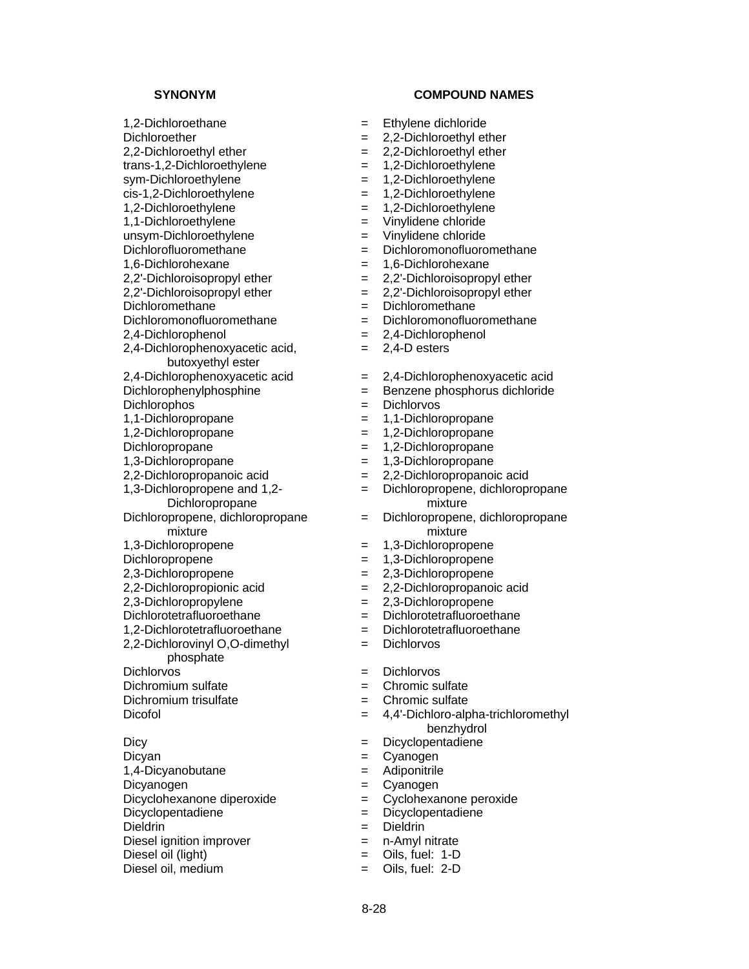unsym-Dichloroethylene = Vinylidene chloride<br>Dichlorofluoromethane = = Dichloromonofluoro

2,4-Dichlorophenoxyacetic acid,

butoxyethyl ester<br>2,4-Dichlorophenoxyacetic acid

1,3-Dichloropropene and 1,2-

Dichloropropane

Dichloropropene, dichloropropane mixture<br>1,3-Dichloropropene

2,2-Dichlorovinyl O,O-dimethyl phosphate

Dieldrin = Dieldrin = Dieldrin

- 1,2-Dichloroethane = Ethylene dichloride
- Dichloroether  $= 2,2$ -Dichloroethyl ether
- 2.2-Dichloroethyl ether  $= 2.2$ -Dichloroethyl ether
- trans-1,2-Dichloroethylene = 1,2-Dichloroethylene
- sym-Dichloroethylene = 1,2-Dichloroethylene
- cis-1,2-Dichloroethylene = 1,2-Dichloroethylene
- 1,2-Dichloroethylene = 1,2-Dichloroethylene
- 1,1-Dichloroethylene = Vinylidene chloride
	-
	- Dichlorofluoromethane = Dichloromonofluoromethane
- 1,6-Dichlorohexane = 1,6-Dichlorohexane
- $2.2'$ -Dichloroisopropyl ether  $= 2.2'$ -Dichloroisopropyl ether
- $2,2'$ -Dichloroisopropyl ether  $= 2,2'$ -Dichloroisopropyl ether
- Dichloromethane = Dichloromethane
- $Dichloromon of luorome thane$   $= Dichloromon ofluorome thane$
- 2,4-Dichlorophenol = 2,4-Dichlorophenol
	- = 2,4-D esters
	- $= 2,4$ -Dichlorophenoxyacetic acid
- Dichlorophenylphosphine = Benzene phosphorus dichloride
- Dichlorophos = Dichlorvos
- 1,1-Dichloropropane = 1,1-Dichloropropane
- 1,2-Dichloropropane = 1,2-Dichloropropane
- Dichloropropane = 1,2-Dichloropropane
- 1,3-Dichloropropane = 1,3-Dichloropropane
- 2,2-Dichloropropanoic acid = 2,2-Dichloropropanoic acid
	- = Dichloropropene, dichloropropane mixture
	- = Dichloropropene, dichloropropane mixture
	- 1,3-Dichloropropene = 1,3-Dichloropropene
- Dichloropropene = 1,3-Dichloropropene
- 2,3-Dichloropropene = 2,3-Dichloropropene
- 2,2-Dichloropropionic acid = 2,2-Dichloropropanoic acid
- 2,3-Dichloropropylene = 2,3-Dichloropropene
- Dichlorotetrafluoroethane = Dichlorotetrafluoroethane
- 1,2-Dichlorotetrafluoroethane = Dichlorotetrafluoroethane
	- = Dichlorvos
- Dichlorvos = Dichlorvos
- Dichromium sulfate  $\qquad \qquad = \qquad$ Chromic sulfate
- Dichromium trisulfate  $\qquad \qquad = \qquad$ Chromic sulfate
- Dicofol = 4,4'-Dichloro-alpha-trichloromethyl benzhydrol
- Dicy **Directle Example 2018** Encyclopentadiene
- Dicyan = Cyanogen = Cyanogen
- 1,4-Dicyanobutane = Adiponitrile
- Dicyanogen = Cyanogen = Cyanogen
- Dicyclohexanone diperoxide  $\qquad \qquad = \qquad \qquad$ Cyclohexanone peroxide
- Dicyclopentadiene = Dicyclopentadiene
	-
- Diesel ignition improver = n-Amyl nitrate
- Diesel oil (light)  $=$  Oils, fuel: 1-D
- Diesel oil, medium  $=$  Oils, fuel: 2-D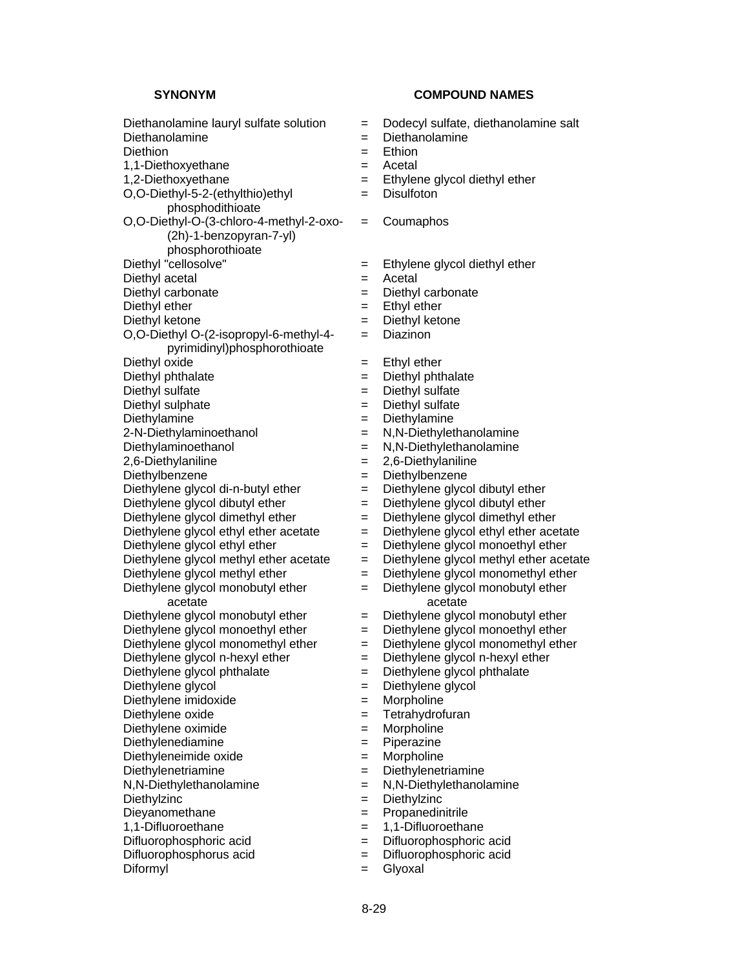Diethanolamine lauryl sulfate solution = Dodecyl sulfate, diethanolamine salt Diethanolamine = Diethanolamine Diethion = Ethion 1,1-Diethoxyethane = Acetal 1,2-Diethoxyethane  $\qquad \qquad =$  Ethylene glycol diethyl ether O,O-Diethyl-5-2-(ethylthio)ethyl phosphodithioate O,O-Diethyl-O-(3-chloro-4-methyl-2-oxo- (2h)-1-benzopyran-7-yl) phosphorothioate<br>Diethyl "cellosolve" Diethyl acetal  $=$  Acetal Diethyl carbonate  $=$  Diethyl carbonate Diethyl ether  $=$  Ethyl ether Diethyl ketone = Diethyl ketone O,O-Diethyl O-(2-isopropyl-6-methyl-4 pyrimidinyl)phosphorothioate Diethyl oxide  $\begin{aligned}\n&=$  Ethyl ether<br>  $\begin{aligned}\n&=$  Diethyl phthalate  $\end{aligned}$  = Diethyl phthalate Diethyl phthalate  $=$ Diethyl sulfate  $\qquad \qquad = \qquad$  Diethyl sulfate Diethyl sulphate  $\begin{array}{rcl}\n\text{Diethyl sulfate} \\
\text{Diethylamine} \\
\end{array}$ 2-N-Diethylaminoethanol = N,N-Diethylethanolamine Diethylaminoethanol = N,N-Diethylethanolamine 2,6-Diethylaniline = 2,6-Diethylaniline Diethylbenzene = Diethylbenzene Diethylene glycol di-n-butyl ether  $=$  Diethylene glycol dibutyl ether Diethylene glycol dibutyl ether  $=$  Diethylene glycol dibutyl ether Diethylene glycol dimethyl ether  $=$  Diethylene glycol dimethyl ether Diethylene glycol ethyl ether acetate  $=$  Diethylene glycol ethyl ether acetate  $D$ iethylene glycol ethyl ether  $=$  Diethylene glycol monoethyl ether Diethylene glycol methyl ether acetate  $\qquad = \qquad$  Diethylene glycol methyl ether acetate Diethylene glycol monomethyl ether Diethylene glycol monobutyl ether acetate Diethylene glycol monobutyl ether  $=$  Diethylene glycol monobutyl ether Diethylene glycol monoethyl ether  $=$  Diethylene glycol monoethyl ether Diethylene glycol monomethyl ether  $=$  Diethylene glycol monomethyl ether Diethylene glycol n-hexyl ether = Diethylene glycol n-hexyl ether Diethylene glycol phthalate = Diethylene glycol phthalate Diethylene glycol  $=$  Diethylene glycol Diethylene imidoxide  $=$  Morpholine Diethylene oxide  $=$  Tetrahydrofuran Diethylene oximide  $=$  Morpholine Diethylenediamine = Piperazine Diethyleneimide oxide = Morpholine Diethylenetriamine = Diethylenetriamine N,N-Diethylethanolamine = N,N-Diethylethanolamine Diethylzinc = Diethylzinc Dieyanomethane = Propanedinitrile 1,1-Difluoroethane = 1,1-Difluoroethane Difluorophosphoric acid  $=$  Difluorophosphoric acid Difluorophosphorus acid = Difluorophosphoric acid Diformyl = Glyoxal

- 
- 
- -
- 
- = Disulfoton
- = Coumaphos
- $=$  Ethylene glycol diethyl ether
- 
- 
- 
- 
- = Diazinon
- 
- 
- 
- 
- Diethylamine = Diethylamine
- 
- 
- 
- 
- 
- 
- 
- 
- 
- 
- $=$  Diethylene glycol monomethyl ether
- = Diethylene glycol monobutyl ether acetate
- 
- 
- 
- 
- 
- 
- 
- 
- 
- 
- 
- 
- 
- 
- 
- 
- 
- 
-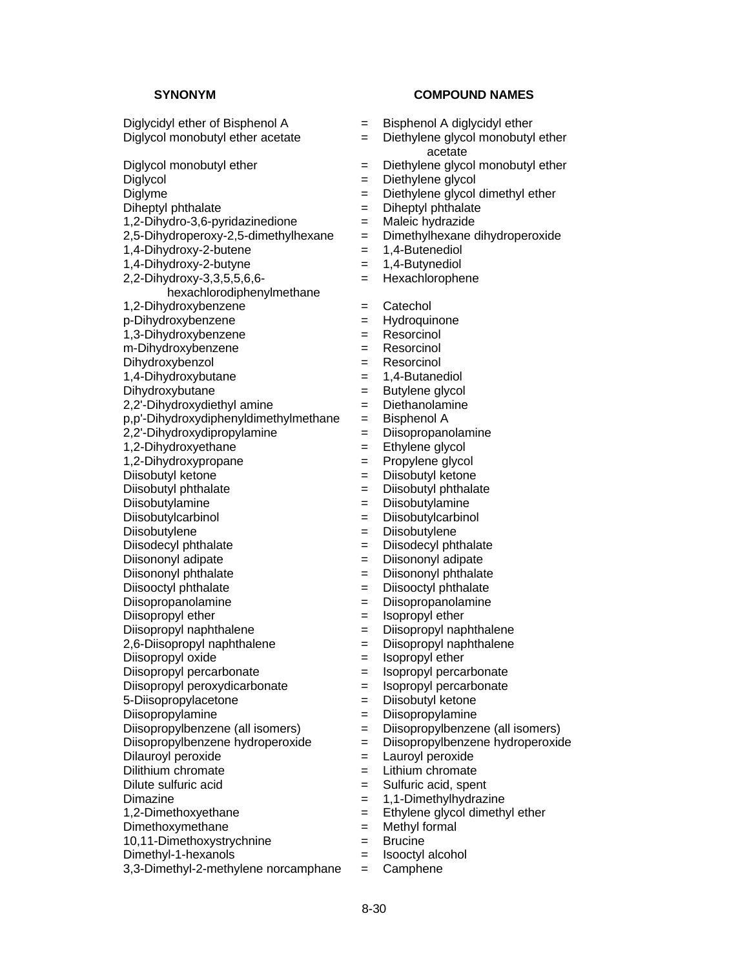Diglycidyl ether of Bisphenol A  $=$  Bisphenol A diglycidyl ether Diglycol monobutyl ether acetate  $\qquad \qquad = \qquad$  Diethylene glycol monobutyl ether Diglycol monobutyl ether  $=$  Diethylene glycol monobutyl ether Diglycol = Diethylene glycol Diglyme = Diethylene glycol dimethyl ether Diheptyl phthalate  $\qquad \qquad \qquad = \qquad$ Diheptyl phthalate  $1,2$ -Dihydro-3,6-pyridazinedione  $=$  Maleic hydrazide 2,5-Dihydroperoxy-2,5-dimethylhexane = Dimethylhexane dihydroperoxide  $1,4$ -Dihydroxy-2-butene  $= 1,4$ -Butenediol 1,4-Dihydroxy-2-butyne = 1,4-Butynediol 2,2-Dihydroxy-3,3,5,5,6,6 hexachlorodiphenylmethane 1,2-Dihydroxybenzene = Catechol p-Dihydroxybenzene = Hydroquinone 1,3-Dihydroxybenzene = Resorcing = m-Dihydroxybenzene = Resorcinol Dihydroxybenzol = Resorcinol 1,4-Dihydroxybutane = 1,4-Butanediol Dihydroxybutane = Butylene glycol  $2.2'$ -Dihydroxydiethyl amine  $=$  Diethanolamine p,p'-Dihydroxydiphenyldimethylmethane = Bisphenol A 2,2'-Dihydroxydipropylamine = Diisopropanolamine 1,2-Dihydroxyethane = Ethylene glycol 1,2-Dihydroxypropane = Propylene glycol Diisobutyl ketone = Diisobutyl ketone Diisobutyl phthalate  $\qquad \qquad = \qquad$  Diisobutyl phthalate Diisobutylamine = Diisobutylamine Diisobutylcarbinol = Diisobutylcarbinol Diisobutylene = Diisobutylene = Diisobutylene Diisodecyl phthalate  $=$  Diisodecyl phthalate Diisononyl adipate  $\qquad \qquad \qquad = \qquad$ Diisononyl adipate Diisononyl phthalate  $\qquad \qquad \qquad = \qquad$  Diisononyl phthalate Diisooctyl phthalate  $\qquad \qquad \qquad = \qquad$  Diisooctyl phthalate Diisopropanolamine = Diisopropanolamine Diisopropyl ether  $=$  Isopropyl ether Diisopropyl naphthalene =  $\qquad$  = Diisopropyl naphthalene  $2,6$ -Diisopropyl naphthalene  $\qquad \qquad = \qquad$ Diisopropyl naphthalene Diisopropyl oxide  $=$  Isopropyl ether Diisopropyl percarbonate  $\qquad \qquad = \qquad$  Isopropyl percarbonate Diisopropyl peroxydicarbonate = Isopropyl percarbonate 5-Diisopropylacetone = Diisobutyl ketone Diisopropylamine = Diisopropylamine Diisopropylbenzene (all isomers) = Diisopropylbenzene (all isomers) Diisopropylbenzene hydroperoxide = Diisopropylbenzene hydroperoxide Dilauroyl peroxide  $=$  Lauroyl peroxide Dilithium chromate  $=$  Lithium chromate Dilute sulfuric acid  $\qquad \qquad =$  Sulfuric acid, spent Dimazine  $= 1,1$ -Dimethylhydrazine 1,2-Dimethoxyethane = Ethylene glycol dimethyl ether  $Dimethoxymethane$  = Methyl formal 10,11-Dimethoxystrychnine = Brucine Dimethyl-1-hexanols = Isooctyl alcohol  $3,3$ -Dimethyl-2-methylene norcamphane  $=$  Camphene

- 
- acetate
- 
- 
- 
- 
- 
- 
- 
- 
- = Hexachlorophene
- 
- 
- 
- 
- 
- 
- 
- 
- 
- 
- 
- 
- 
- 
- 
- 
- 
- 
- 
- 
- 
- 
- 
- 
- 
- 
- 
- 
- 
- 
- 
- 
- 
- 
- 
- 
- 
- 
- -
	-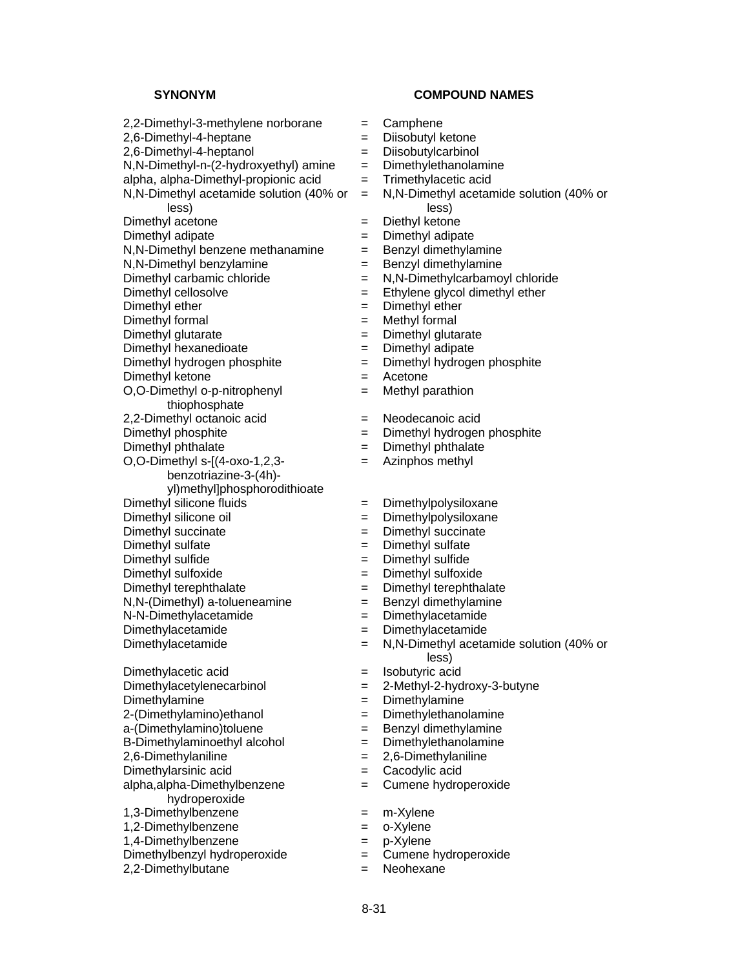$2,2$ -Dimethyl-3-methylene norborane  $=$  Camphene 2,6-Dimethyl-4-heptane = Diisobutyl ketone 2,6-Dimethyl-4-heptanol = Diisobutylcarbinol  $N,N$ -Dimethyl-n-(2-hydroxyethyl) amine  $=$  Dimethylethanolamine alpha, alpha-Dimethyl-propionic acid  $=$  Trimethylacetic acid N,N-Dimethyl acetamide solution (40% or less)  $Dimethyl$  acetone  $=$ Dimethyl adipate<br>N.N-Dimethyl benzene methanamine  $=$  Benzyl dimethylamine<br>N.N-Dimethyl benzene methanamine  $=$  Benzyl dimethylamine  $N$ ,  $N$ -Dimethyl benzene methanamine  $=$  $N.N$ -Dimethyl benzylamine  $\qquad \qquad = \qquad$ Benzyl dimethylamine Dimethyl carbamic chloride  $= N.N-Dimethylcarbamovl$  chloride Dimethyl cellosolve  $=$  Ethylene glycol dimethyl ether Dimethyl ether  $=$  Dimethyl ether Dimethyl formal  $=$  Methyl formal Dimethyl glutarate  $\qquad \qquad = \qquad$  Dimethyl glutarate Dimethyl hexanedioate  $=$  Dimethyl adipate Dimethyl hydrogen phosphite = Dimethyl hydrogen phosphite Dimethyl ketone = Acetone O,O-Dimethyl o-p-nitrophenyl thiophosphate 2,2-Dimethyl octanoic acid = Neodecanoic acid Dimethyl phosphite = Dimethyl hydrogen phosphite Dimethyl phthalate  $=$  Dimethyl phthalate O,O-Dimethyl s-[(4-oxo-1,2,3 benzotriazine-3-(4h) yl)methyl]phosphorodithioate Dimethyl silicone fluids = Dimethylpolysiloxane Dimethyl silicone oil  $=$  Dimethylpolysiloxane Dimethyl succinate  $\qquad \qquad = \qquad$  Dimethyl succinate Dimethyl sulfate  $\qquad \qquad = \qquad$  Dimethyl sulfate Dimethyl sulfide  $=$  Dimethyl sulfide Dimethyl sulfoxide = Dimethyl sulfoxide Dimethyl terephthalate  $\qquad \qquad = \qquad$  Dimethyl terephthalate  $N.N$ -(Dimethyl) a-tolueneamine  $\qquad \qquad = \qquad$  Benzyl dimethylamine N-N-Dimethylacetamide = Dimethylacetamide Dimethylacetamide = Dimethylacetamide Dimethylacetic acid  $=$  Isobutyric acid Dimethylacetylenecarbinol = 2-Methyl-2-hydroxy-3-butyne Dimethylamine = Dimethylamine<br>2-(Dimethylamino)ethanol = Dimethylethanolamine  $2$ -(Dimethylamino)ethanol  $=$ a-(Dimethylamino)toluene = Benzyl dimethylamine  $B$ -Dimethylaminoethyl alcohol  $\qquad \qquad = \qquad$ Dimethylethanolamine 2,6-Dimethylaniline = 2,6-Dimethylaniline Dimethylarsinic acid = Cacodylic acid alpha,alpha-Dimethylbenzene hydroperoxide 1,3-Dimethylbenzene = m-Xylene 1,2-Dimethylbenzene = o-Xylene

- 
- 
- $Dimethylbenzyl hydroperoxide =$
- 

- 
- 
- 
- 
- 
- = N,N-Dimethyl acetamide solution (40% or less)<br>Diethyl ketone
- 
- 
- 
- 
- 
- 
- 
- 
- 
- 
- 
- 
- = Methyl parathion
- 
- 
- 
- = Azinphos methyl
- 
- 
- 
- 
- 
- 
- 
- 
- 
- 
- Dimethylacetamide = N,N-Dimethyl acetamide solution (40% or less)
	-
	-
	-
	-
	-
	-
	-
	-
	- = Cumene hydroperoxide
	-
	-
	-
- 1,4-Dimethylbenzene = p-Xylene<br>Dimethylbenzyl hydroperoxide = Cumene hydroperoxide
- 2,2-Dimethylbutane = Neohexane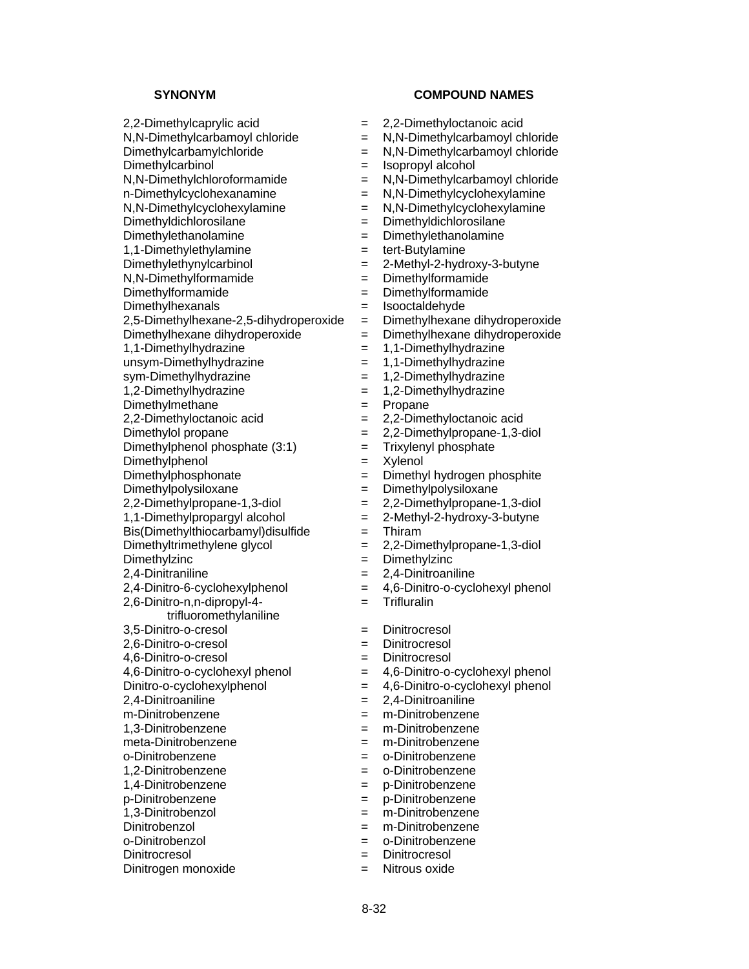2,2-Dimethylcaprylic acid = 2,2-Dimethyloctanoic acid  $N,N$ -Dimethylcarbamoyl chloride  $N,N$ -Dimethylcarbamoyl chloride Dimethylcarbamylchloride = N,N-Dimethylcarbamoyl chloride Dimethylcarbinol = Isopropyl alcohol N,N-Dimethylchloroformamide = N,N-Dimethylcarbamoyl chloride n-Dimethylcyclohexanamine = N,N-Dimethylcyclohexylamine N,N-Dimethylcyclohexylamine = N,N-Dimethylcyclohexylamine<br>Dimethyldichlorosilane = Dimethyldichlorosilane Dimethyldichlorosilane = Dimethyldichlorosilane Dimethylethanolamine = Dimethylethanolamine 1,1-Dimethylethylamine = tert-Butylamine Dimethylethynylcarbinol = 2-Methyl-2-hydroxy-3-butyne N,N-Dimethylformamide = Dimethylformamide Dimethylformamide  $=$  Dimethylformamide Dimethylhexanals = Isooctaldehyde 2,5-Dimethylhexane-2,5-dihydroperoxide = Dimethylhexane dihydroperoxide Dimethylhexane dihydroperoxide = Dimethylhexane dihydroperoxide 1,1-Dimethylhydrazine = 1,1-Dimethylhydrazine unsym-Dimethylhydrazine = 1,1-Dimethylhydrazine<br>sym-Dimethylhydrazine = 1,2-Dimethylhydrazine 1,2-Dimethylhydrazine = 1,2-Dimethylhydrazine Dimethylmethane  $=$  Propane 2,2-Dimethyloctanoic acid = 2,2-Dimethyloctanoic acid Dimethylol propane  $= 2.2$ -Dimethylpropane-1,3-diol Dimethylphenol phosphate (3:1) = Trixylenyl phosphate Dimethylphenol = Xylenol Dimethylphosphonate  $=$  Dimethyl hydrogen phosphite Dimethylpolysiloxane = Dimethylpolysiloxane 2,2-Dimethylpropane-1,3-diol = 2,2-Dimethylpropane-1,3-diol 1,1-Dimethylpropargyl alcohol  $= 2$ -Methyl-2-hydroxy-3-butyne Bis(Dimethylthiocarbamyl)disulfide = Thiram Dimethyltrimethylene glycol = 2,2-Dimethylpropane-1,3-diol Dimethylzinc = Dimethylzinc 2,4-Dinitraniline = 2,4-Dinitroaniline  $2,4$ -Dinitro-6-cyclohexylphenol  $= 4,6$ -Dinitro-o-cyclohexylphenol 2,6-Dinitro-n,n-dipropyl-4 trifluoromethylaniline 3,5-Dinitro-o-cresol = Dinitrocresol 2,6-Dinitro-o-cresol = Dinitrocresol 4,6-Dinitro-o-cresol = Dinitrocresol  $4,6$ -Dinitro-o-cyclohexyl phenol  $= 4,6$ -Dinitro-o-cyclohexyl phenol Dinitro-o-cyclohexylphenol = 4,6-Dinitro-o-cyclohexyl phenol 2,4-Dinitroaniline = 2,4-Dinitroaniline m-Dinitrobenzene = m-Dinitrobenzene 1,3-Dinitrobenzene = m-Dinitrobenzene meta-Dinitrobenzene = m-Dinitrobenzene o-Dinitrobenzene = o-Dinitrobenzene 1,2-Dinitrobenzene = o-Dinitrobenzene 1,4-Dinitrobenzene = p-Dinitrobenzene p-Dinitrobenzene = p-Dinitrobenzene 1,3-Dinitrobenzol = m-Dinitrobenzene Dinitrobenzol = m-Dinitrobenzene Dinitrocresol = Dinitrocresol

- 
- 
- -
	-
	-
	-
	-
	-
	-
	-
	-
	-
	-
	-
	-
	-
	-
	- sym-Dimethylhydrazine = 1,2-Dimethylhydrazine
	-
	-
	-
	-
	-
	-
	-
	-
	-
	-
	-
	-
	-
	-
	-
	- = Trifluralin
	-
- 
- 
- 
- 
- 
- 
- 
- 
- 
- 
- 
- 
- 
- 
- = o-Dinitrobenzene
- 
- Dinitrogen monoxide  $=$  Nitrous oxide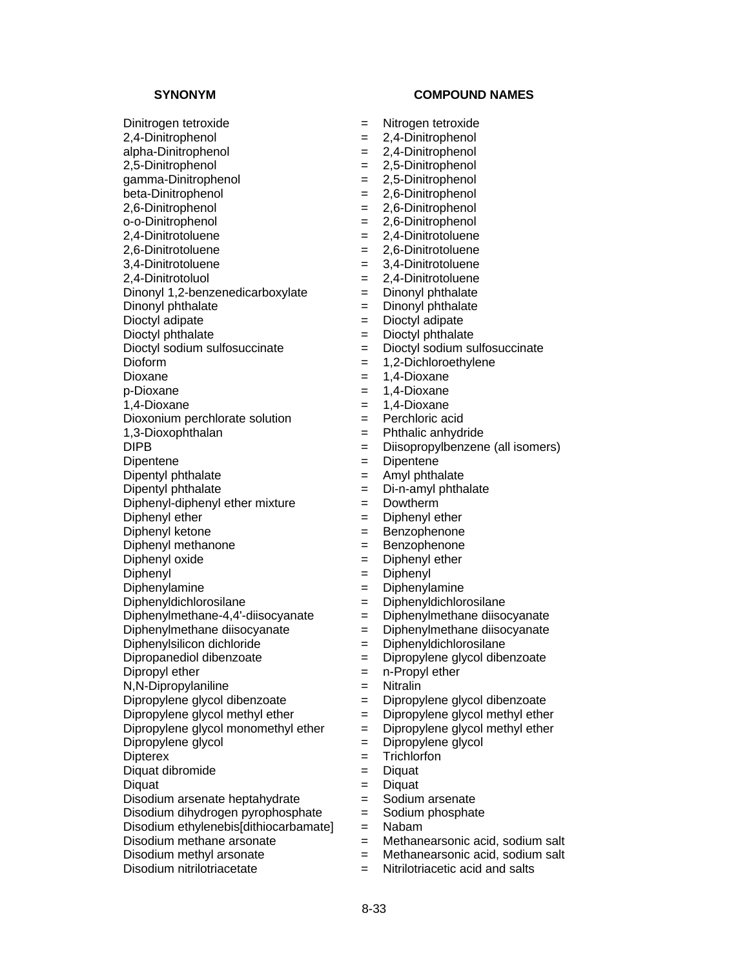**SYNONYM COMPOUND NAMES** 

Dinitrogen tetroxide = Nitrogen tetroxide

2,4-Dinitrophenol = 2,4-Dinitrophenol

- 
- 2,6-Dinitrophenol = 2,6-Dinitrophenol
- o-o-Dinitrophenol = 2,6-Dinitrophenol
- 2,4-Dinitrotoluene = 2,4-Dinitrotoluene
- 2,6-Dinitrotoluene = 2,6-Dinitrotoluene
- 3,4-Dinitrotoluene = 3,4-Dinitrotoluene
- 
- 
- 
- 
- 
- 
- 
- 
- 
- 
- 

Dioxonium perchlorate solution = Perchloric acid

- 
- 
- 
- 
- 
- $Diphenyl-diphenyl$  ether mixture  $\qquad \qquad = \quad Dowtherm$
- 
- 
- 
- 
- 
- 
- 
- Diphenylmethane-4,4'-diisocyanate = Diphenylmethane diisocyanate
- 
- 
- 
- 
- N,N-Dipropylaniline = Nitralin
- 
- 
- 
- 
- 
- Diquat dibromide  $=$  Diquat
- Diquat  $=$  Diquat
- Disodium arsenate heptahydrate  $=$  Sodium arsenate
- Disodium dihydrogen pyrophosphate = Sodium phosphate
- Disodium ethylenebis[dithiocarbamate] = Nabam
- 
- $Disodium$  methyl arsonate  $=$  Methanearsonic acid, sodium salt
- Disodium nitrilotriacetate  $=$  Nitrilotriacetic acid and salts
- alpha-Dinitrophenol = 2,4-Dinitrophenol 2,5-Dinitrophenol = 2,5-Dinitrophenol gamma-Dinitrophenol = 2,5-Dinitrophenol
- beta-Dinitrophenol  $= 2.6$ -Dinitrophenol
	-
	-
	-
	-
	-
	-
- 2,4-Dinitrotoluol = 2,4-Dinitrotoluene
- Dinonyl 1,2-benzenedicarboxylate = Dinonyl phthalate
- Dinonyl phthalate  $\qquad \qquad = \qquad$  Dinonyl phthalate
- Dioctyl adipate  $\qquad \qquad = \qquad \text{Dioctyl adipate}$
- Dioctyl phthalate  $\qquad \qquad = \qquad \text{Dioctyl}$  phthalate
- Dioctyl sodium sulfosuccinate = Dioctyl sodium sulfosuccinate
- Dioform = 1,2-Dichloroethylene
	- $= 1,4$ -Dioxane
- $p-Dioxane$  = 1,4-Dioxane
- 1,4-Dioxane = 1,4-Dioxane
	-
	-
- 1,3-Dioxophthalan = Phthalic anhydride<br>DIPB = Diisopropylbenzen = Diisopropylbenzene (all isomers)
- Dipentene = Dipentene
- Dipentyl phthalate  $\qquad \qquad =$  Amyl phthalate
- Dipentyl phthalate  $\qquad \qquad = \qquad$ Di-n-amyl phthalate
	-
- Diphenyl ether  $=$  Diphenyl ether
- Diphenyl ketone = Benzophenone
- Diphenyl methanone  $=$  Benzophenone
- Diphenyl oxide  $=$  Diphenyl ether
- Diphenyl = Diphenyl
- Diphenylamine = Diphenylamine
- Diphenyldichlorosilane = Diphenyldichlorosilane
	-
- Diphenylmethane diisocyanate = Diphenylmethane diisocyanate
- Diphenylsilicon dichloride  $=$  Diphenyldichlorosilane
- Dipropanediol dibenzoate  $\qquad \qquad = \qquad$ Dipropylene glycol dibenzoate
- Dipropyl ether  $=$  n-Propyl ether
	-
- Dipropylene glycol dibenzoate = Dipropylene glycol dibenzoate
- Dipropylene glycol methyl ether  $=$  Dipropylene glycol methyl ether
- Dipropylene glycol monomethyl ether  $=$  Dipropylene glycol methyl ether

= Methanearsonic acid, sodium salt

- Dipropylene glycol  $=$  Dipropylene glycol
- Dipterex = Trichlorfon
	-

8-33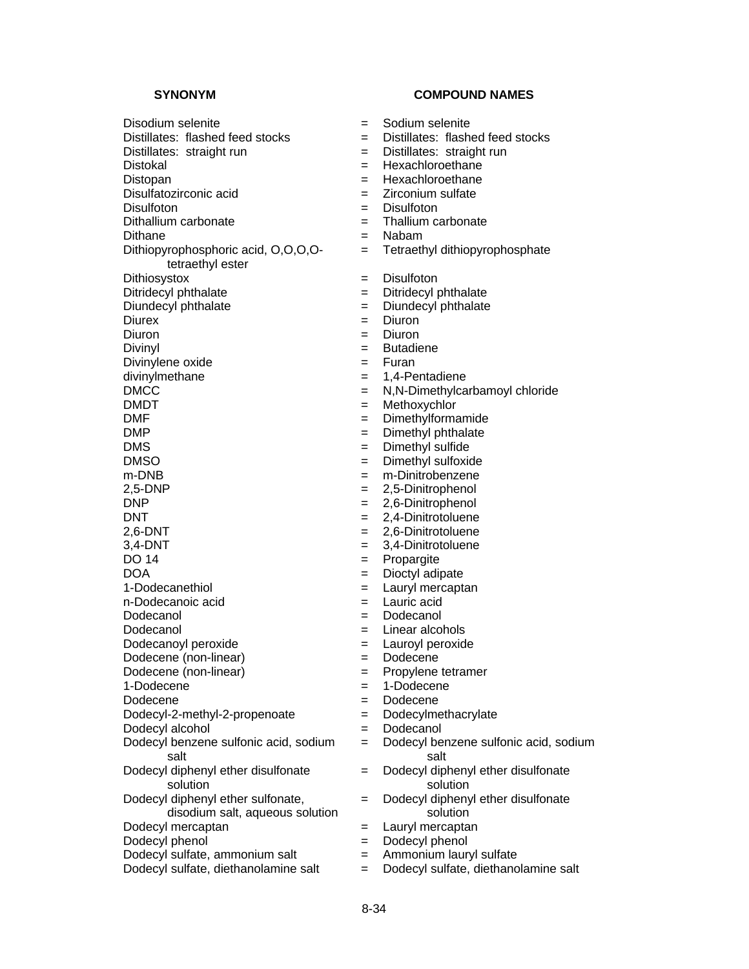Disodium selenite = Sodium selenite Distillates: flashed feed stocks = Thistillates: flashed feed stocks Distillates: straight run = Distillates: straight run Distokal = Hexachloroethane Distopan = Hexachloroethane Disulfatozirconic acid  $\qquad \qquad = \qquad \text{Zirconium sulfate}$ Disulfoton = Disulfoton<br>Dithallium carbonate = Thallium carbonate = Thallium carbonate Dithallium carbonate  $=$ Dithane = Nabam Dithiopyrophosphoric acid, O,O,O,Otetraethyl ester Dithiosystox = Disulfoton Ditridecyl phthalate  $=$  Ditridecyl phthalate Diundecyl phthalate  $\qquad \qquad = \qquad$ Diundecyl phthalate Diurex = Diuron Diuron = Diuron Divinyl **Diving the Contract Contract Contract Contract Contract Contract Contract Contract Contract Contract Contract Contract Contract Contract Contract Contract Contract Contract Contract Contract Contract Contract Cont** Divinylene oxide  $=$  Furan divinylmethane  $=$  1,4-Pe DMCC = N,N-Dimethylcarbamoyl chloride DMDT = Methoxychlor<br>DMF = Dimethylforma DMF = Dimethylformamide<br>
DMP = Dimethyl phthalate DMS = Dimethyl sulfide DMSO = Dimethyl sulfoxide m-DNB = m-Dinitrobenzene  $2,5-DNP$  = 2,5-Dinitrophenol DNP = 2,6-Dinitrophenol DNT = 2,4-Dinitrotoluene<br>
2.6-DNT = 2,6-Dinitrotoluene 3,4-DNT = 3,4-Dinitrotoluene  $DO 14$   $=$  Propargite DOA = Dioctyl adipate<br>1-Dodecanethiol = Lauryl mercapt n-Dodecanoic acid  $=$  Lauric acid Dodecanol = Dodecanol Dodecanol  $=$  Linear alcohols Dodecanoyl peroxide  $=$  Lauroyl peroxide Dodecene (non-linear) = Dodecene Dodecene (non-linear)  $=$  Propylene tetramer<br>1-Dodecene = 1-Dodecene Dodecene = Dodecene  $Dodecyl-2-methyl-2-propenoate$  =  $Dodecylmethacrylate$ Dodecyl alcohol  $=$  Dodecanol Dodecyl benzene sulfonic acid, sodium salt Dodecyl diphenyl ether disulfonate solution Dodecyl diphenyl ether sulfonate, disodium salt, aqueous solution Dodecyl mercaptan  $\begin{aligned}\n\text{Dodecyl} \text{hench} &= \text{Lauryl} \text{mercaptan} \\
\text{Dodecyl} \text{phenol} &= \text{Dodecyl} \text{phenol}\n\end{aligned}$ Dodecyl sulfate, ammonium salt  $=$  Ammonium lauryl sulfate

**SYNONYM COMPOUND NAMES** 

= Tetraethyl dithiopyrophosphate  $= 1,4$ -Pentadiene  $=$  Dimethyl phthalate  $= 2,6$ -Dinitrotoluene  $=$  Lauryl mercaptan  $=$  1-Dodecene = Dodecyl benzene sulfonic acid, sodium salt = Dodecyl diphenyl ether disulfonate solution = Dodecyl diphenyl ether disulfonate solution Dodecyl phenol = Dodecyl phenol

Dodecyl sulfate, diethanolamine salt = Dodecyl sulfate, diethanolamine salt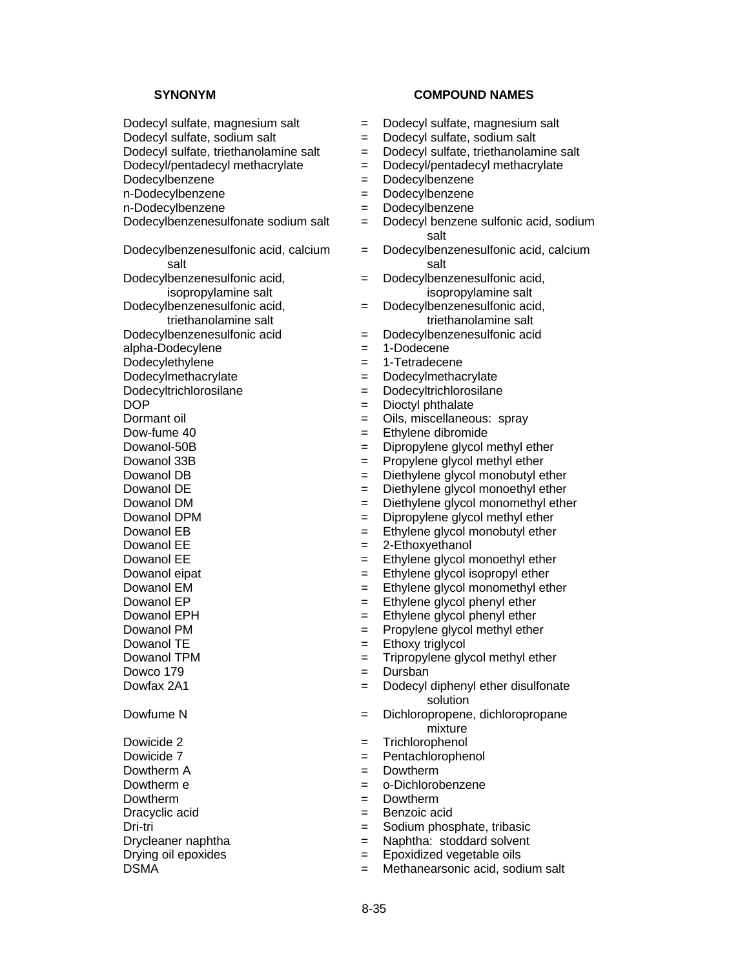**SYNONYM COMPOUND NAMES** Dodecyl sulfate, magnesium salt = Dodecyl sulfate, magnesium salt Dodecyl sulfate, sodium salt = Dodecyl sulfate, sodium salt Dodecyl/pentadecyl methacrylate  $=$  Dodecyl/pentadecyl methacrylate Dodecylbenzene = Dodecylbenzene n-Dodecylbenzene = Dodecylbenzene n-Dodecylbenzene = Dodecylbenzene<br>Dodecylbenzenesulfonate sodium salt = Dodecyl benzene Dodecylbenzenesulfonic acid, calcium salt Dodecylbenzenesulfonic acid, isopropylamine salt Dodecylbenzenesulfonic acid, triethanolamine salt Dodecylbenzenesulfonic acid = Dodecylbenzenesulfonic acid alpha-Dodecylene = 1-Dodecene Dodecylethylene = 1-Tetradecene Dodecylmethacrylate = Dodecylmethacrylate Dodecyltrichlorosilane = Dodecyltrichlorosilane DOP = Dioctyl phthalate<br>
Dormant oil = Oils, miscellaneo  $Down$ -fume 40  $=$  Ethylene dibromide Dowanol-50B = Dipropylene glycol methyl ether Dowanol 33B  $=$  Propylene glycol methyl ether Dowanol DE  $=$  Diethylene glycol monoethyl ether Dowanol DM  $=$  Diethylene glycol monomethyl ether Dowanol DPM  $=$  Dipropylene glycol methyl ether Dowanol EB = Ethylene glycol monobutyl ether Dowanol EE  $= 2$ -Ethoxyethanol Dowanol EE = Ethylene glycol monoethyl ether<br>Dowanol eipat = Ethylene glycol isopropyl ether Dowanol EM = Ethylene glycol monomethyl ether Dowanol  $EP$   $=$  Ethylene glycol phenyl ether Dowanol EPH  $=$  Ethylene glycol phenyl ether Dowanol PM  $=$  Propylene glycol methyl ether Dowanol TE = Ethoxy triglycol Dowanol TPM  $=$  Tripropylene glycol methyl ether Dowco 179 = Dursban Dowfax 2A1 = Dodecyl diphenyl ether disulfonate Dowicide 2 = Trichlorophenol Dowicide 7 = Pentachlorophenol  $Dowtherm A$   $=$   $Dowtherm A$ Dowtherm e  $=$   $o-Dichlorobenzene$ Dowtherm  $=$  Dowtherm Dracyclic acid  $=$  Benzoic acid

- 
- 
- Dodecyl sulfate, triethanolamine salt  $=$  Dodecyl sulfate, triethanolamine salt
	-
	-
	-
	-
	- $=$  Dodecyl benzene sulfonic acid, sodium salt
	- = Dodecylbenzenesulfonic acid, calcium salt
	- = Dodecylbenzenesulfonic acid, isopropylamine salt
	- = Dodecylbenzenesulfonic acid, triethanolamine salt
	-
	-
	-
	-
	-
	-
	- $=$  Oils, miscellaneous: spray
	-
	-
	-
- Dowanol DB  $=$  Diethylene glycol monobutyl ether
	-
	-
	-
	-
	-
	-
	- $=$  Ethylene glycol isopropyl ether
	-
	-
	-
	-
	-
	-
	-
	- solution
- Dowfume N  $=$  Dichloropropene, dichloropropane mixture
	-
	-
	-
	-
	-
	-
- Dri-tri = Sodium phosphate, tribasic
- Drycleaner naphtha = Naphtha: stoddard solvent
- Drying oil epoxides = Epoxidized vegetable oils
- DSMA  $=$  Methanearsonic acid, sodium salt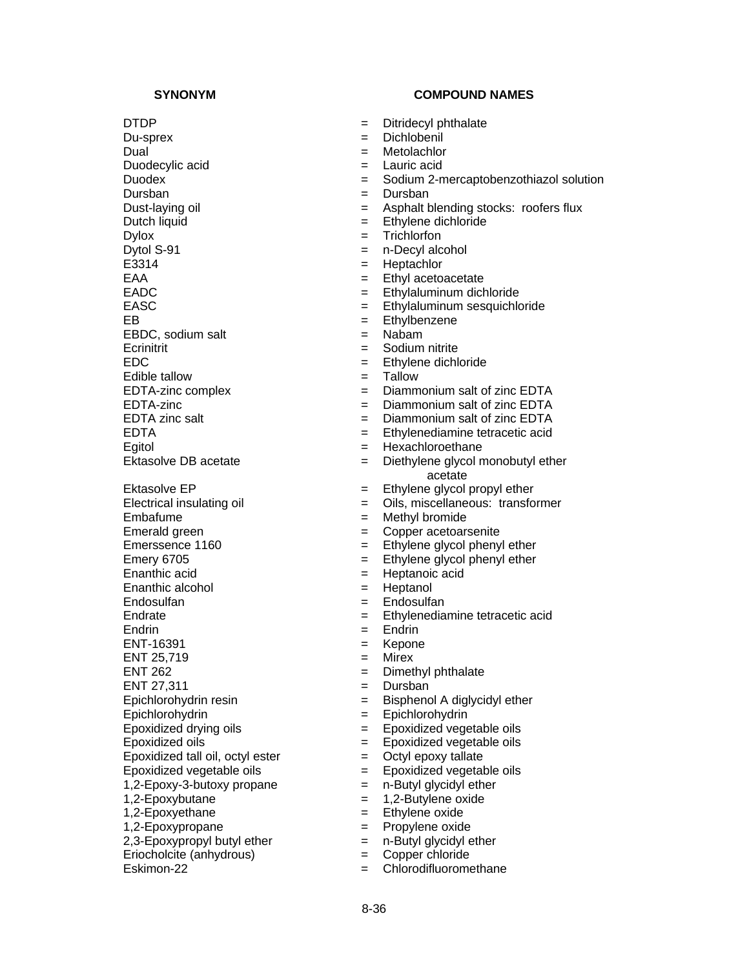$Dy$ tol S-91  $=$  n-Decyl alcohol<br>E3314  $=$  Heotachlor

EBDC, sodium salt = Nabam

 $E$ dible tallow  $=$ 

Embafume = Methyl bromide Emerald green  $\qquad \qquad =$  Copper acetoarsenite Emery 6705 = Ethylene glycol phenyl ether<br>Enanthic acid = Heptanoic acid Enanthic alcohol  $=$  Heptanol Endosulfan = Endosulfan Endrin = Endrin = Endrin ENT-16391 = Kepone  $ENT 25,719$   $=$  Mirex ENT 262 = Dimethyl phthalate ENT 27,311 = Dursban Epichlorohydrin = Epichlorohydrin Epoxidized tall oil, octyl ester  $=$  Octyl epoxy tallate Epoxidized vegetable oils<br>  $1,2$ -Epoxy-3-butoxy propane  $\qquad \qquad = \qquad$  n-Butyl glycidyl ether 1,2-Epoxy-3-butoxy propane  $=$ 1,2-Epoxybutane = 1,2-Butylene oxide 1,2-Epoxyethane = Ethylene oxide 1,2-Epoxypropane = Propylene oxide<br>2,3-Epoxypropyl butyl ether = n-Butyl glycidyl ether  $2,3$ -Epoxypropyl butyl ether  $=$ Eriocholcite (anhydrous) = Copper chloride

- DTDP = Ditridecyl phthalate
- Du-sprex = Dichlobenil
- Dual = Metolachlor
- Duodecylic acid  $=$  Lauric acid
- Duodex = Sodium 2-mercaptobenzothiazol solution
- Dursban = Dursban = Dursban
- Dust-laying oil  $=$  Asphalt blending stocks: roofers flux
- Dutch liquid  $=$  Ethylene dichloride
- Dylox = Trichlorfon
	-
	- = Heptachlor
- EAA  $=$  Ethyl acetoacetate
- EADC = Ethylaluminum dichloride
- EASC = Ethylaluminum sesquichloride
- EB = Ethylbenzene
	-
- Ecrinitrit  $=$  Sodium nitrite
- EDC = Ethylene dichloride<br>
Edible tallow = Tallow = Tallow
	-
- EDTA-zinc complex = Diammonium salt of zinc EDTA
	-
- EDTA-zinc = Diammonium salt of zinc EDTA<br>EDTA zinc salt = Diammonium salt of zinc EDTA  $=$  Diammonium salt of zinc EDTA
- EDTA = Ethylenediamine tetracetic acid
- Egitol = Hexachloroethane
- Ektasolve DB acetate  $=$  Diethylene glycol monobutyl ether acetate
- $Ektasolve EP$   $=$  Ethylene glycol propyl ether
- Electrical insulating oil  $=$  Oils, miscellaneous: transformer
	-
	-
- $Emersence 1160$   $=$  Ethylene glycol phenyl ether
	-
	- $=$  Heptanoic acid
	-
	-
- Endrate = Ethylenediamine tetracetic acid
	-
	-
	-
	-
	-
- Epichlorohydrin resin = Bisphenol A diglycidyl ether
	-
- $E$ poxidized drying oils  $\qquad \qquad = \qquad E$ poxidized vegetable oils
- Epoxidized oils = Epoxidized vegetable oils
	-
	-
	-
	-
	-
	-
	-
	-
- Eskimon-22 = Chlorodifluoromethane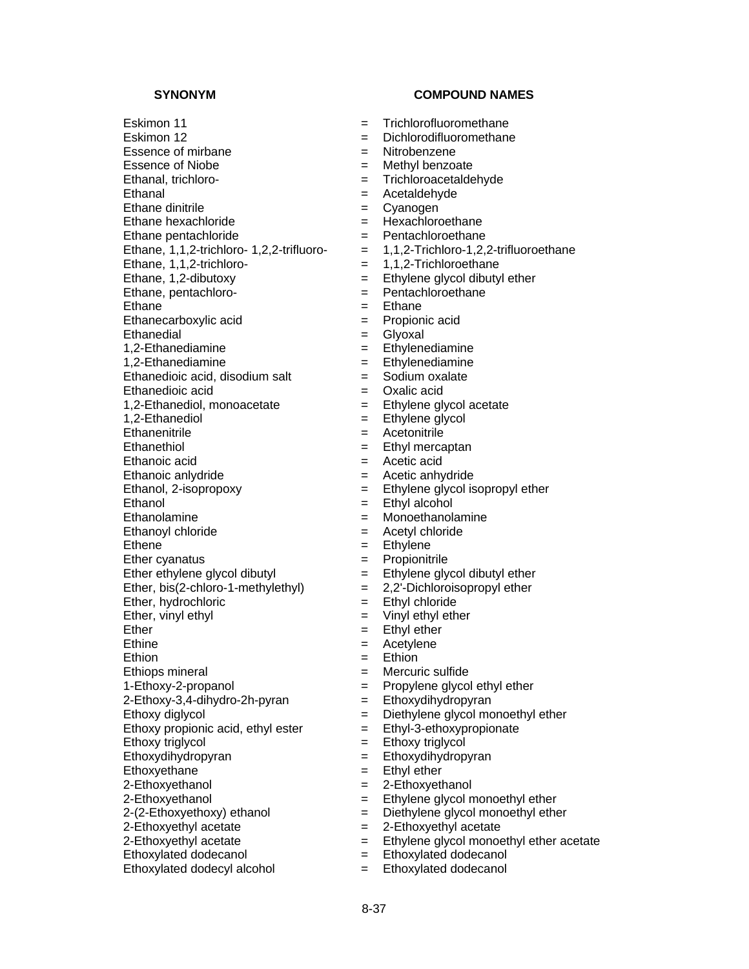# Eskimon 11 **Example 20** Frichlorofluoromethane Eskimon 12 **Example 2** = Dichlorodifluoromethane Essence of mirbane  $=$  Nitrobenzene Essence of Niobe  $=$  Methyl benzoate Ethanal, trichloro- <br>  $=$  Trichloroacetaldehyde Ethanal = Acetaldehyde Ethane dinitrile<br>
Ethane hexachloride<br>
Ethane hexachloride<br>  $=$  Hexachloroethane  $E$ thane hexachloride  $=$ Ethane pentachloride = Pentachloroethane<br>Ethane, 1,1,2-trichloro- 1,2,2-trifluoro- = 1,1,2-Trichloro-1,2, Ethane,  $1,1,2$ -trichloro-<br>=  $1,1,2$ -Trichloroethane Ethane, 1,2-dibutoxy  $\begin{array}{ccc} \text{Ethane} & = & \text{Ethylene glycol dibutyl ether} \\ \text{Ethane. pentachloroe,} & = & \text{Pentachloroe,} \\ \end{array}$ Ethane, pentachloro-  $=$ Ethane  $=$  Ethane Ethanecarboxylic acid  $=$  Propionic acid Ethanedial = Glyoxal  $1,2$ -Ethanediamine  $=$  Ethylenediamine 1,2-Ethanediamine = Ethylenediamine Ethanedioic acid, disodium salt  $=$ Ethanedioic acid = Oxalic acid 1,2-Ethanediol, monoacetate  $\begin{array}{rcl} 1,2-\text{Ethained} & = & \text{Ethylene glycol acetate} \\ 1.2-\text{Ethanediol} & = & \text{Ethylene alvcol} \end{array}$ Ethanenitrile = Acetonitrile Ethanethiol **Ethanethiol Ethanethiol Ethyl mercaptan** Ethanoic acid = Acetic acid Ethanoic anlydride  $=$  Acetic anhydride Ethanol, 2-isopropoxy = Ethylene glycol isopropyl ether Ethanol = Ethyl alcohol Ethanolamine = Monoethanolamine Ethanoyl chloride  $=$  Acetyl chloride Ethene  $=$  Ethylene Ether cyanatus = Propionitrile Ether ethylene glycol dibutyl  $=$  Ethylene glycol dibutyl ether Ether, bis(2-chloro-1-methylethyl)  $= 2,2$ '-Dichloroisopropyl ether Ether, hydrochloric  $=$  Ethyl chloride Ether, vinyl ethyl  $=$  Vinyl ethyl ether Ether  $=$  Ethyl ether Ethine  $=$  Acetylene Ethion  $=$  Ethion Ethiops mineral  $=$  Mercuric sulfide 1-Ethoxy-2-propanol = Propylene glycol ethyl ether  $2$ -Ethoxy-3,4-dihydro-2h-pyran  $=$  Ethoxydihydropyran Ethoxy diglycol  $=$  Diethylene glycol monoethyl ether Ethoxy propionic acid, ethyl ester  $=$  Ethyl-3-ethoxypropionate Ethoxy triglycol = Ethoxy triglycol Ethoxydihydropyran = Ethoxydihydropyran Ethoxyethane  $=$  Ethyl ether  $2$ -Ethoxyethanol  $=$   $2$ -Ethoxyethanol 2-Ethoxyethanol = Ethylene glycol monoethyl ether  $2-(2-Ethoxyethoxy)$  ethanol  $=$  Diethylene glycol monoethyl ether 2-Ethoxyethyl acetate  $=$  2-Ethoxyethyl acetate  $=$  2-Ethoxyethyl acetate  $=$  Ethylene glycol monoe Ethoxylated dodecanol = Ethoxylated dodecanol

Ethoxylated dodecyl alcohol = Ethoxylated dodecanol

- $= 1,1,2$ -Trichloro-1,2,2-trifluoroethane  $=$  Ethylene glycol
	-
	-
	-
	-
	-
	-
	-
- 
- 
- = Ethylene glycol monoethyl ether acetate
- 
-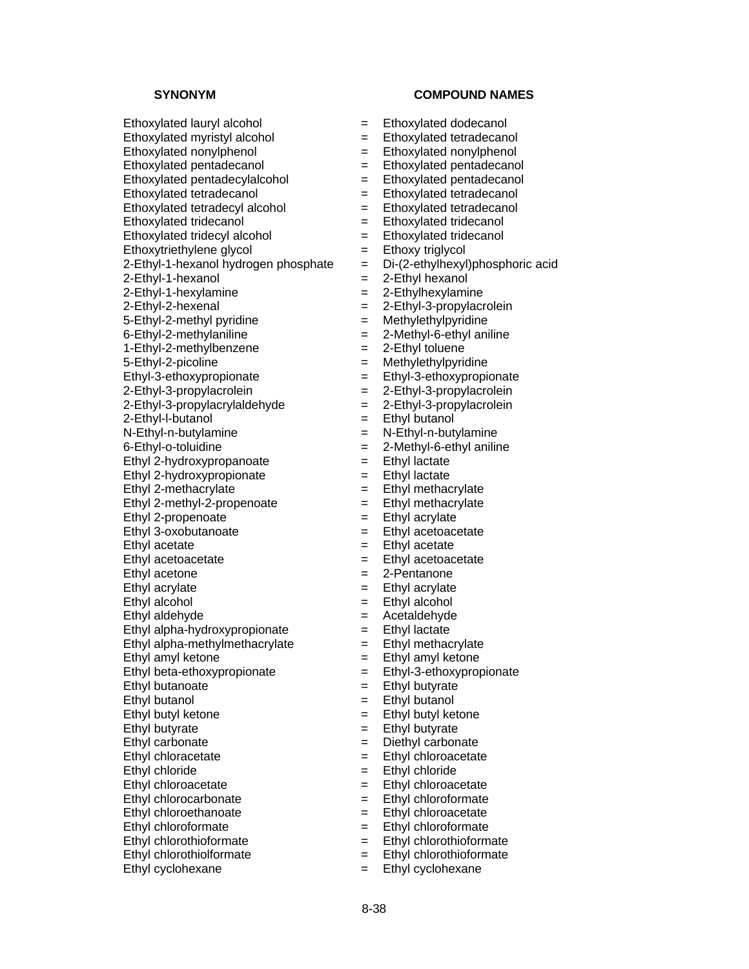Ethoxylated lauryl alcohol = Ethoxylated dodecanol  $Ethoxylated$  myristyl alcohol  $=$   $Ethoxylated$  tetradecanol  $Ethoxylated nonvlphenol = Ethoxvlated nonvlphenol$ Ethoxylated pentadecanol = Ethoxylated pentadecanol Ethoxylated pentadecylalcohol = Ethoxylated pentadecanol Ethoxylated tetradecanol = Ethoxylated tetradecanol Ethoxylated tetradecyl alcohol = Ethoxylated tetradecanol Ethoxylated tridecanol  $=$  Ethoxylated tridecanol  $Ethoxylated tridecyl alcohol$  =  $Ethoxylated tridecanol$  $Ethoxytriethylene glycol = Ethoxy triglycol$  $2$ -Ethyl-1-hexanol hydrogen phosphate  $=$  Di-(2-ethylhexyl)phosphoric acid  $2$ -Ethyl-1-hexanol  $=$  2-Ethyl hexanol  $2$ -Ethyl-1-hexylamine  $=$   $2$ -Ethylhexylamine  $2$ -Ethyl-2-hexenal  $=$   $2$ -Ethyl-3-propylacrolein 5-Ethyl-2-methyl pyridine  $=$  Methylethylpyridine  $6$ -Ethyl-2-methylaniline  $= 2$ -Methyl-6-ethyl aniline  $1-Ethyl-2-methylbenzene$  = 2-Ethyl toluene 5-Ethyl-2-picoline = Methylethylpyridine Ethyl-3-ethoxypropionate = Ethyl-3-ethoxypropionate  $2$ -Ethyl-3-propylacrolein  $=$   $2$ -Ethyl-3-propylacrolein  $2$ -Ethyl-3-propylacrylaldehyde  $= 2$ -Ethyl-3-propylacrolein  $2$ -Ethyl-l-butanol  $=$  Ethyl butanol  $N-Ethyl-n-butvlamine$  =  $N-Ethvl-n-butvlamine$  $6$ -Ethyl-o-toluidine  $\qquad \qquad = \qquad 2$ -Methyl-6-ethyl aniline Ethyl 2-hydroxypropanoate  $=$  Ethyl lactate Ethyl 2-hydroxypropionate  $=$  Ethyl lactate Ethyl 2-methacrylate  $=$  Ethyl methacrylate Ethyl 2-methyl-2-propenoate  $=$  Ethyl methacrylate Ethyl 2-propenoate  $=$  Ethyl acrylate  $E<sub>th</sub>$  and  $E<sub>th</sub>$  and  $E<sub>th</sub>$  are  $E<sub>th</sub>$  are  $E<sub>th</sub>$  are  $E<sub>th</sub>$  are  $E<sub>th</sub>$  are  $E<sub>th</sub>$  are  $E<sub>th</sub>$  are  $E<sub>th</sub>$  are  $E<sub>th</sub>$  are  $E<sub>th</sub>$  are  $E<sub>th</sub>$  are  $E<sub>th</sub>$  are  $E<sub>th</sub>$  Ethyl acetate = Ethyl acetate Ethyl acetoacetate  $=$  Ethyl acetoacetate Ethyl acetone  $= 2$ -Pentanone Ethyl acrylate = Ethyl acrylate  $E<sub>th</sub>$  alcohol  $=$   $E<sub>th</sub>$  alcohol Ethyl aldehyde = Acetaldehyde Ethyl alpha-hydroxypropionate  $=$  Ethyl lactate Ethyl alpha-methylmethacrylate  $=$  Ethyl methacrylate Ethyl amyl ketone  $=$  Ethyl amyl ketone Ethyl beta-ethoxypropionate = Ethyl-3-ethoxypropionate Ethyl butanoate = Ethyl butyrate  $E<sub>thy</sub>$  butanol  $=$  Ethyl butanol Ethyl butyl ketone  $=$  Ethyl butyl ketone Ethyl butyrate = Ethyl butyrate Ethyl carbonate = Diethyl carbonate Ethyl chloracetate = Ethyl chloroacetate Ethyl chloride = Ethyl chloride Ethyl chloroacetate = Ethyl chloroacetate Ethyl chlorocarbonate = Ethyl chloroformate Ethyl chloroethanoate = Ethyl chloroacetate Ethyl chloroformate = Ethyl chloroformate Ethyl chlorothioformate  $=$  Ethyl chlorothioformate Ethyl chlorothiolformate  $=$  Ethyl chlorothioformate

- 
- 
- 
- 
- 
- 
- 
- 
- 
- 
- 
- 
- 
- 
- 
- 
- 
- 
- 
- 
- 
- 
- 
- 
- 
- 
- 
- 
- 
- 
- 
- 
- 
- 
- 
- 
- 
- 
- 
- 
- 
- 
- 
- 
- 
- 
- 
- 
- 
- 
- 
- 
- 
- Ethyl cyclohexane  $=$  Ethyl cyclohexane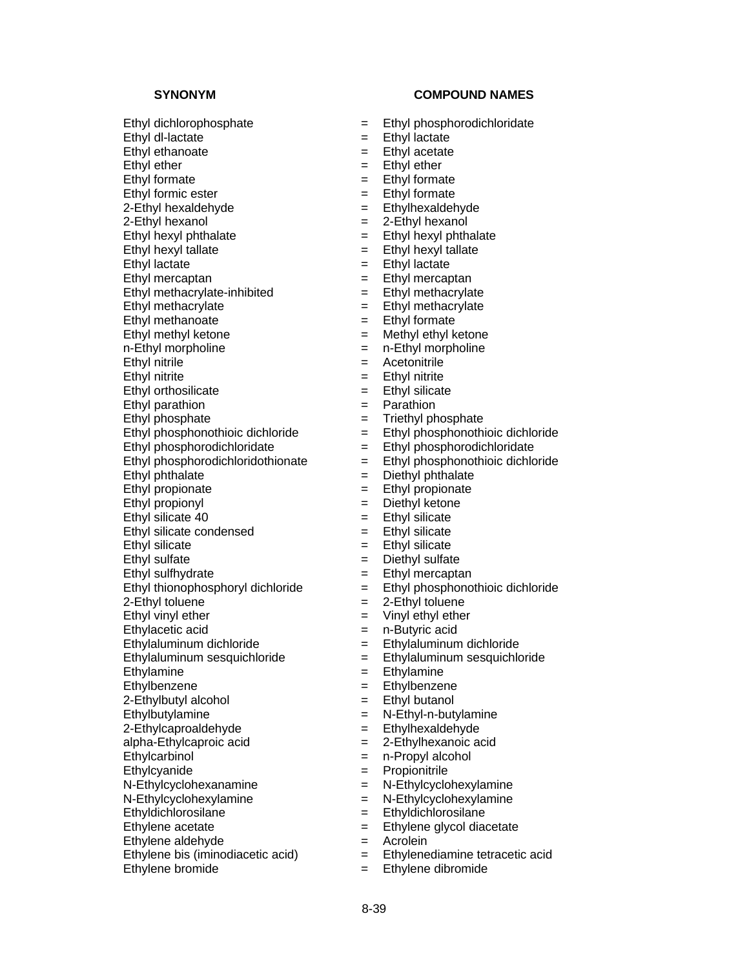Ethyl dl-lactate = Ethyl lactate Ethyl ethanoate = Ethyl acetate

2-Ethyl hexaldehyde = Ethyl hexaldehyde

 $2$ -Ethyl hexanol  $=$   $2$ -Ethyl hexanol

Ethyl methacrylate-inhibited  $=$  Ethyl methacrylate

Ethyl methacrylate = Ethyl methacrylate

Ethyl methanoate = Ethyl formate

Ethyl thionophosphoryl dichloride  $=$ 

Ethylacetic acid  $=$  n-Butyric acid

Ethylaluminum sesquichloride = Ethylaluminum sesquichloride

Ethylamine  $=$  Ethylamine

 $2$ -Ethylbutyl alcohol  $=$  Ethyl butanol

Ethyldichlorosilane = Ethyldichlorosilane

Ethylene acetate  $=$  Ethylene glycol diacetate

Ethylene aldehyde<br>
Ethylene bis (iminodiacetic acid)  $=$  Ethylenediamine tetracetic acid<br>  $=$  Ethylenediamine tetracetic acid Ethylene bis (iminodiacetic acid)  $=$ 

Ethylene bromide  $=$  Ethylene dibromide

### SYNONYM COMPOUND NAMES

- Ethyl dichlorophosphate = Ethyl phosphorodichloridate
	-
	-
- Ethyl ether  $=$  Ethyl ether  $=$  Ethyl ether
- Ethyl formate = Ethyl formate
	-
- Ethyl formic ester<br>
2-Ethyl hexaldehyde<br>  $=$  Ethylhexaldehyde<br>  $=$  Ethylhexaldehyde
	-
- Ethyl hexyl phthalate  $=$  Ethyl hexyl phthalate
- Ethyl hexyl tallate  $=$  Ethyl hexyl tallate
- Ethyl lactate = Ethyl lactate
- $E$ thyl mercaptan  $=$  Ethyl mercaptan
	-
	-
	-
	-
- Ethyl methyl ketone = Methyl ethyl ketone
- n-Ethyl morpholine  $=$  n-Ethyl morpholine
- Ethyl nitrile  $\begin{array}{rcl} \text{Ethy} & \text{interl} & = & \text{Acctonitrile} \\ \text{Ethy} & \text{interl} & = & \text{Ethy} & \text{interl} \\ \end{array}$ 
	- Ethyl nitrite = Ethyl nitrite
- Ethyl orthosilicate  $=$  Ethyl silicate
- Ethyl parathion  $=$  Parathion
- Ethyl phosphate  $=$  Triethyl phosphate
- $E$ thyl phosphonothioic dichloride  $=$   $E$ thyl phosphonothioic dichloride
- Ethyl phosphorodichloridate  $=$  Ethyl phosphorodichloridate
- Ethyl phosphorodichloridothionate  $=$  Ethyl phosphonothioic dichloride
- Ethyl phthalate  $=$  Diethyl phthalate
- Ethyl propionate  $=$  Ethyl propionate
- Ethyl propionyl = Diethyl ketone
- Ethyl silicate  $40$  = Ethyl silicate
- Ethyl silicate condensed  $=$  Ethyl silicate
- Ethyl silicate = Ethyl silicate
- Ethyl sulfate = Diethyl sulfate
	-
- Ethyl sulfhydrate<br>
Ethyl thionophosphoryl dichloride<br>  $E$ thyl phosphonothioic dichloride<br>  $E$ thyl phosphonothioic dichloride
- $2$ -Ethyl toluene  $=$   $2$ -Ethyl toluene
- Ethyl vinyl ether  $=$  Vinyl ethyl ether
	-
- Ethylaluminum dichloride = Ethylaluminum dichloride
	-
	-
- Ethylbenzene **Ethylbenzene** = Ethylbenzene
	-
- Ethylbutylamine = N-Ethyl-n-butylamine
- $2$ -Ethylcaproaldehyde  $=$  Ethylhexaldehyde
- alpha-Ethylcaproic acid = 2-Ethylhexanoic acid
- Ethylcarbinol = n-Propyl alcohol
- Ethylcyanide = Propionitrile

- N-Ethylcyclohexanamine = N-Ethylcyclohexylamine
- N-Ethylcyclohexylamine = N-Ethylcyclohexylamine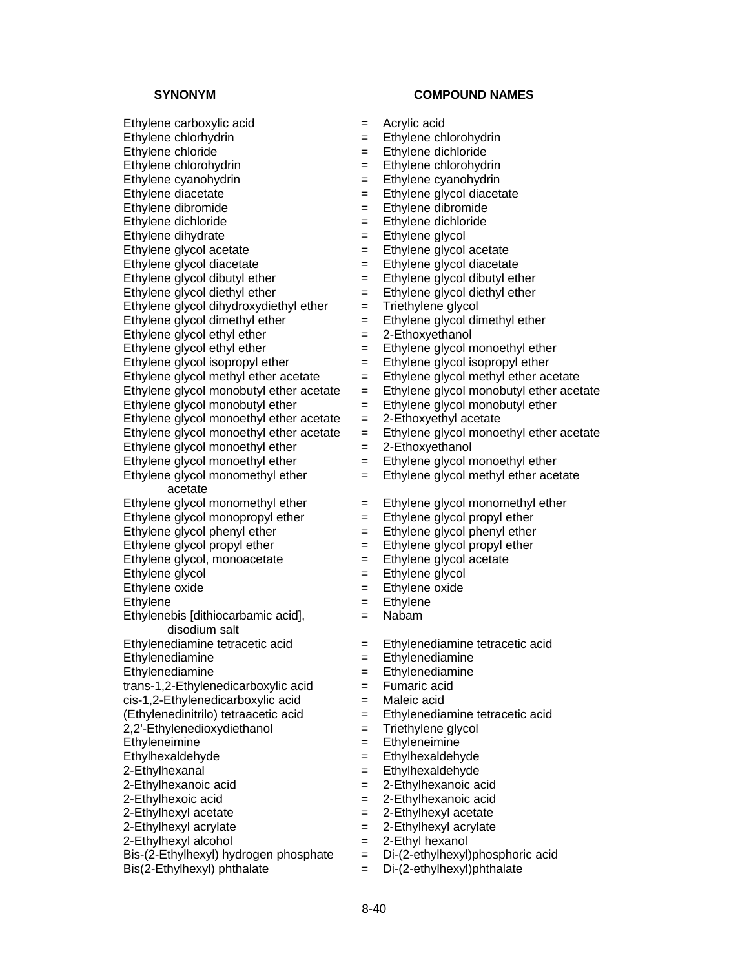$Eth$ ylene carboxylic acid  $=$  Acrylic acid

Ethylene glycol dihydroxydiethyl ether  $=$  Triethylene glycol

Ethylene glycol dimethyl ether  $=$  Ethylene glycol dimethyl ether

Ethylene glycol ethyl ether  $= 2$ -Ethoxyethanol

 $Eth$ ylene glycol methyl ether acetate  $=$ 

Ethylene glycol monoethyl ether acetate

Ethylene glycol monoethyl ether  $= 2$ -Ethoxyethanol

Ethylene glycol monomethyl ether acetate

Ethylene glycol, monoacetate  $=$  Ethylene glycol acetate

Ethylenebis [dithiocarbamic acid], disodium salt

trans-1,2-Ethylenedicarboxylic acid = Fumaric acid  $cis-1$ , 2-Ethylenedicarboxylic acid  $=$  Maleic acid

 $2.2'$ -Ethylenedioxydiethanol  $=$  Triethylene glycol

 $2$ -Ethylhexyl alcohol  $= 2$ -Ethyl hexanol

Bis-(2-Ethylhexyl) hydrogen phosphate  $=$  Di-(2-ethylhexyl)phosphoric acid

 $\text{Bis}(2-\text{Ethylhexyl})$  phthalate  $\qquad \qquad = \qquad \text{Di}-(2-\text{ethylhexyl})$ phthalate

## **SYNONYM COMPOUND NAMES**

- 
- Ethylene chlorhydrin = Ethylene chlorohydrin
- Ethylene chloride = Ethylene dichloride
- Ethylene chlorohydrin = Ethylene chlorohydrin
- $Eth$ ylene cyanohydrin  $=$  Ethylene cyanohydrin
- Ethylene diacetate = Ethylene glycol diacetate
- Ethylene dibromide = Ethylene dibromide
- Ethylene dichloride = Ethylene dichloride
- Ethylene dihydrate  $=$  Ethylene glycol
- Ethylene glycol acetate  $=$  Ethylene glycol acetate
- Ethylene glycol diacetate  $=$  Ethylene glycol diacetate
- Ethylene glycol dibutyl ether  $=$  Ethylene glycol dibutyl ether
- Ethylene glycol diethyl ether  $=$  Ethylene glycol diethyl ether
	-
	-
	-
- Ethylene glycol ethyl ether  $=$  Ethylene glycol monoethyl ether
	-
- Ethylene glycol isopropyl ether  $=$  Ethylene glycol isopropyl ether<br>Ethylene glycol methyl ether acetate  $=$  Ethylene glycol methyl ether acetate
	-
- Ethylene glycol monobutyl ether acetate  $=$  Ethylene glycol monobutyl ether acetate Ethylene glycol monobutyl ether  $=$  Ethylene glycol monobutyl ether
	- = Ethylene glycol monobutyl ether<br>= 2-Ethoxyethyl acetate
- Ethylene glycol monoethyl ether acetate  $= 2$ -Ethoxyethyl acetate<br>Ethylene glycol monoethyl ether acetate  $=$  Ethylene glycol monoethyl ether acetate
	-
- Ethylene glycol monoethyl ether  $=$  Ethylene glycol monoethyl ether
	- = Ethylene glycol methyl ether acetate
- Ethylene glycol monomethyl ether  $=$  Ethylene glycol monomethyl ether
- Ethylene glycol monopropyl ether  $=$  Ethylene glycol propyl ether
- Ethylene glycol phenyl ether  $=$  Ethylene glycol phenyl ether
- Ethylene glycol propyl ether  $=$  Ethylene glycol propyl ether
	-
- Ethylene glycol  $=$  Ethylene glycol
- Ethylene oxide = Ethylene oxide
- Ethylene  $=$  Ethylene
	- = Nabam
- Ethylenediamine tetracetic acid = Ethylenediamine tetracetic acid
- Ethylenediamine = Ethylenediamine
- Ethylenediamine = Ethylenediamine
	-
	-
- (Ethylenedinitrilo) tetraacetic acid = Ethylenediamine tetracetic acid
	-
- Ethyleneimine = Ethyleneimine
- Ethylhexaldehyde = Ethylhexaldehyde
- $2$ -Ethylhexanal  $=$  Ethylhexaldehyde
- $2$ -Ethylhexanoic acid  $=$   $2$ -Ethylhexanoic acid
- $2$ -Ethylhexoic acid  $= 2$ -Ethylhexanoic acid
- 2-Ethylhexyl acetate  $= 2$ -Ethylhexyl acetate
- 2-Ethylhexyl acrylate  $\qquad \qquad = \qquad$  2-Ethylhexyl acrylate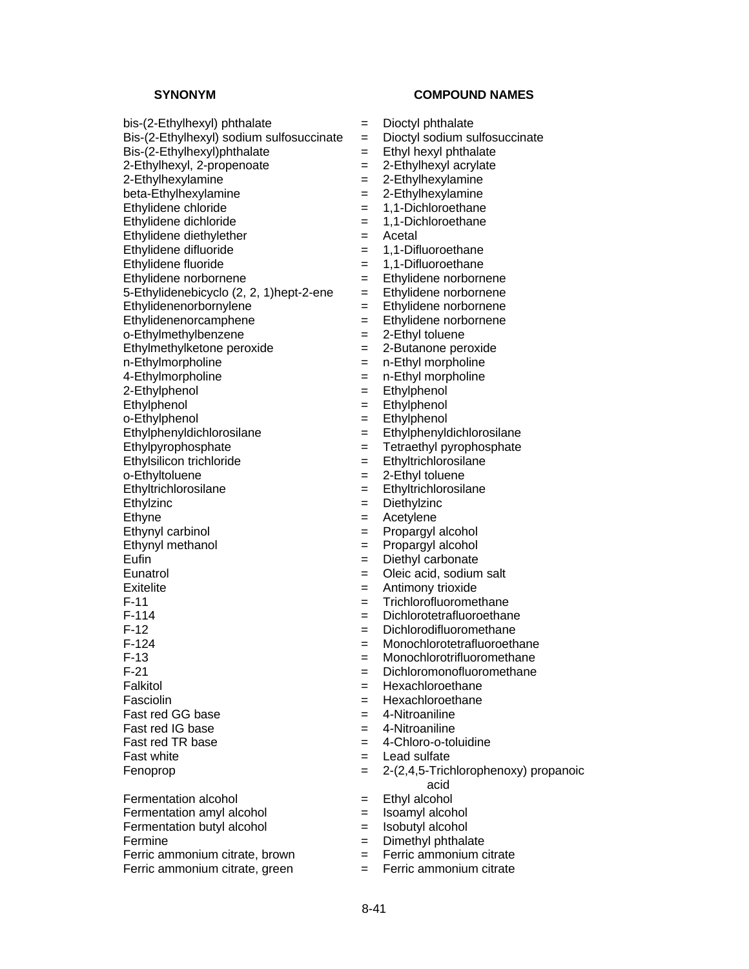- $bis-(2-Ethylhexyl)$  phthalate  $= Dioctyl$  phthalate
- $Bis-(2-Ethylhev)$  sodium sulfosuccinate  $=$  Dioctyl sodium sulfosuccinate
- 
- 
- 
- 
- 
- Ethylidene dichloride = 1,1-Dichloroethane
- 
- Ethylidene difluoride = 1,1-1-Difference = 1,1-Difference = 1,1-Difference = 1,1-Difference = 1,1-Difference = 1,1-Difference = 1,1-Difference = 1,1-Difference = 1,1-Difference = 1,1-Difference = 1,1-Difference = 1,1-Diffe
- 
- 
- 5-Ethylidenebicyclo  $(2, 2, 1)$ hept-2-ene = Ethylidene norbornene
- Ethylidenenorbornylene = Ethylidene norbornene
- Ethylidenenorcamphene = Ethylidene norbornene
- o-Ethylmethylbenzene = 2-Ethyl toluene
- $Ethylmethylketone peroxide = 2-Butanone peroxide$
- 
- 
- 
- 
- 
- o-Ethylphenol = Ethylphenol = Ethylphenol = Ethylphenol = Ethylphenol = Ethylphenol = Ethylphenol = Ethylphenol
- 
- 
- 
- 
- Ethylzinc = Diethylzinc
- 
- 
- 
- 
- 
- 
- 
- 
- 
- 
- 
- 
- 
- 
- 
- 
- 

Fermentation alcohol  $=$  Ethyl alcohol Fermentation amyl alcohol = Isoamyl alcohol Fermentation butyl alcohol = Isobutyl alcohol Fermine = Dimethyl phthalate Ferric ammonium citrate, brown  $=$  Ferric ammonium citrate Ferric ammonium citrate, green  $=$  Ferric ammonium citrate

- **SYNONYM COMPOUND NAMES** 
	-
	-
- $Bis-(2-Ethylhevl)$ phthalate  $=$  Ethyl hexyl phthalate
- $2$ -Ethylhexyl,  $2$ -propenoate  $= 2$ -Ethylhexyl acrylate
- $2$ -Ethylhexylamine  $= 2$ -Ethylhexylamine
- $beta$ -Ethylhexylamine  $=$  2-Ethylhexylamine
	-
- Ethylidene chloride  $= 1,1$ -Dichloroethane<br>Ethylidene dichloride  $= 1.1$ -Dichloroethane
	-
- Ethylidene diethylether  $=$  Acetal<br>Ethylidene difluoride  $=$  1.1-Difluoroethane
- Ethylidene fluoride = 1,1-Difluoroethane
- Ethylidene norbornene = Ethylidene norbornene
	-
	-
	-
	-
	-
	-
- n-Ethylmorpholine = n-Ethyl morpholine<br>4-Ethylmorpholine = n-Ethyl morpholine
	- 4-Ethylmorpholine = n-Ethyl morpholine
- 2-Ethylphenol = Ethylphenol
- Ethylphenol = Ethylphenol<br>
o-Ethylphenol = Ethylphenol<br>
= Ethylphenol
	-
- Ethylphenyldichlorosilane = Ethylphenyldichlorosilane
- Ethylpyrophosphate  $=$  Tetraethyl pyrophosphate
- Ethylsilicon trichloride = Ethyltrichlorosilane
- o-Ethyltoluene  $=$  2-Ethyl toluene
- Ethyltrichlorosilane = Ethyltrichlorosilane
	-
- Ethyne  $=$  Acetylene
- Ethynyl carbinol  $=$  Propargyl alcohol
- Ethynyl methanol  $=$  Propargyl alcohol
- Eufin = Diethyl carbonate
- Eunatrol = Oleic acid, sodium salt
- Exitelite  $\qquad \qquad = \qquad$  Antimony trioxide
- F-11 = Trichlorofluoromethane
- F-114 = Dichlorotetrafluoroethane
- F-12 = Dichlorodifluoromethane
	-
- F-124 = Monochlorotetrafluoroethane<br>F-13 = Monochlorotrifluoromethane  $=$  Monochlorotrifluoromethane
- F-21 = Dichloromonofluoromethane
- Falkitol **Example 1** Hexachloroethane
- Fasciolin = Hexachloroethane
- Fast red GG base  $=$  4-Nitroaniline
- $Fast red IG base$   $=$  4-Nitroaniline
- Fast red TR base  $=$  4-Chloro-o-toluidine
- $\begin{array}{ccc} \text{Fast white} \\ \text{Fast white} \end{array}$  = Lead sulfate
- Fenoprop = 2-(2,4,5-Trichlorophenoxy) propanoic
	- acid
	-
	-
	-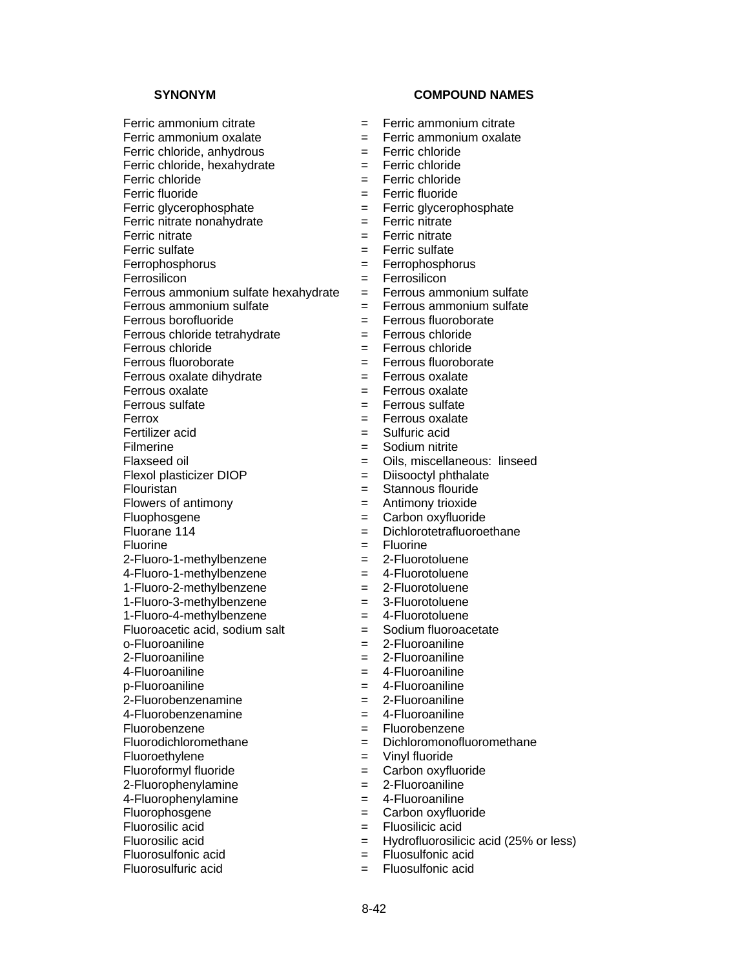$F$ erric nitrate nonahydrate  $=$ 

Ferrous ammonium sulfate hexahydrate  $=$  Ferrous ammonium sulfate

 $F$ errous oxalate dihydrate  $=$ 

2-Fluoro-1-methylbenzene = 2-Fluorotoluene

4-Fluoro-1-methylbenzene = 4-Fluorotoluene<br>1-Fluoro-2-methylbenzene = 2-Fluorotoluene

 $1-Fluoro-2-methvlbenzene$  =

1-Fluoro-3-methylbenzene = 3-Fluorotoluene

1-Fluoro-4-methylbenzene = 4-Fluorotoluene

 $p$ -Fluoroaniline  $=$ 

Fluoroethylene = Vinyl fluoride

Fluorophosgene  $=$  Carbon oxyfluoride

Fluorosilic acid<br>
Fluorosilic acid<br>
Fluorosilic acid<br>  $=$  Hydrofluorosilic

Fluorosulfonic acid = Fluorosulfonic acid Fluorosulfuric acid = Fluosulfonic acid

### **SYNONYM COMPOUND NAMES**

- Ferric ammonium citrate  $=$  Ferric ammonium citrate
- Ferric ammonium oxalate  $=$  Ferric ammonium oxalate
- Ferric chloride, anhydrous = Ferric chloride
- Ferric chloride, hexahydrate = Ferric chloride
- Ferric chloride = Ferric chloride
- Ferric fluoride = Ferric fluoride
- Ferric glycerophosphate<br>
Ferric nitrate nonahydrate<br>  $=$  Ferric nitrate<br>  $=$  Ferric nitrate
	-
- Ferric nitrate  $=$  Ferric nitrate
- Ferric sulfate  $=$  Ferric sulfate
- Ferrophosphorus = Ferrophosphorus
- Ferrosilicon = Ferrosilicon = Ferrosilicon
	-
- Ferrous ammonium sulfate  $=$  Ferrous ammonium sulfate
- Ferrous borofluoride = Ferrous fluoroborate
- Ferrous chloride tetrahydrate = Ferrous chloride
- Ferrous chloride  $=$  Ferrous chloride
- Ferrous fluoroborate<br>
Ferrous oxalate dihydrate<br>
Ferrous oxalate dihydrate<br>  $=$  Ferrous oxalate
	-
- Ferrous oxalate  $=$  Ferrous oxalate
	-
- Ferrous sulfate  $=$  Ferrous sulfate  $=$  Ferrous sulfate  $=$  Ferrous oxalate  $=$  Ferrous oxalate
- Fertilizer acid  $=$  Sulfuric acid
- Filmerine = Sodium nitrite
- Flaxseed oil **Example 2** = Oils, miscellaneous: linseed
	-
- Flexol plasticizer DIOP = = Diisooctyl phthalate<br>Flouristan = Stannous flouride  $=$  Stannous flouride
- Flowers of antimony **Example 2** and The Antimony trioxide
- Fluophosgene  $=$  Carbon oxyfluoride
- Fluorane 114 = Dichlorotetrafluoroethane
- Fluorine  $=$  Fluorine  $=$  Fluorine
	-
	-
	-
	-
	-
- $Fluoroacetic acid. sodium salt$   $=$  Sodium fluoroacetate
- o-Fluoroaniline = 2-Fluoroaniline
- 2-Fluoroaniline = 2-Fluoroaniline
- 4-Fluoroaniline = 4-Fluoroaniline = 4-Fluoroaniline = 4-Fluoroaniline
	-
- $2$ -Fluorobenzenamine  $= 2$ -Fluoroaniline
- $4$ -Fluorobenzenamine  $\qquad \qquad = \qquad 4$ -Fluoroaniline
- Fluorobenzene = Fluorobenzene
- Fluorodichloromethane = Dichloromonofluoromethane

 $=$  Hydrofluorosilicic acid (25% or less)<br>= Fluosulfonic acid

- 
- Fluoroformyl fluoride = Carbon oxyfluoride
- $2$ -Fluorophenylamine  $= 2$ -Fluoroaniline
- 4-Fluorophenylamine = 4-Fluoroaniline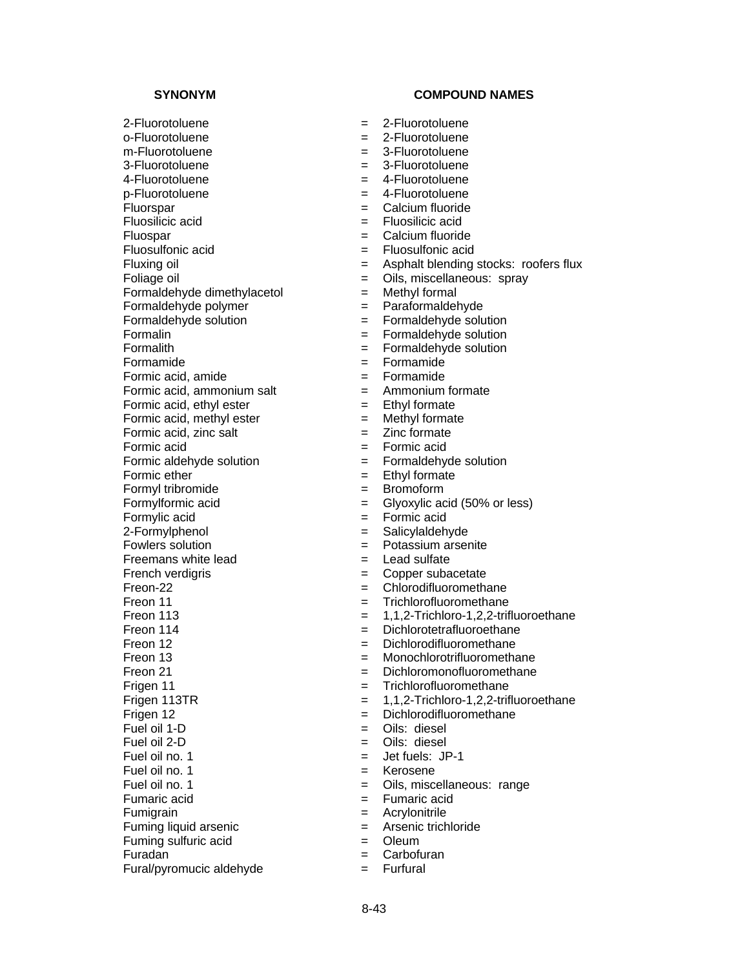2-Fluorotoluene = 2-Fluorotoluene o-Fluorotoluene = 2-Fluorotoluene  $m-F$ luorotoluene  $m-F$ luorotoluene 3-Fluorotoluene = 3-Fluorotoluene 4-Fluorotoluene = 4-Fluorotoluene p-Fluorotoluene  $= 4$ -Fluorotoluene Fluorspar = Calcium fluoride Fluosilicic acid = Fluosilicic acid Fluospar = Calcium fluoride Fluosulfonic acid  $=$  Fluosulfonic acid Formaldehyde dimethylacetol = Methyl formal Formaldehyde polymer = Paraformaldehyde Formaldehyde solution = Formaldehyde solution Formalin  $=$  Formaldehyde solution Formalith = Formaldehyde solution Formamide = Formamide  $\blacksquare$ Formic acid, amide  $\blacksquare$ Formic acid, ammonium salt  $=$  Ammonium formate Formic acid, ethyl ester  $=$  Ethyl formate<br>Formic acid, methyl ester  $=$  Methyl formate Formic acid, methyl ester  $=$ Formic acid, zinc salt  $=$  Zinc formate Formic acid = Formic acid Formic aldehyde solution = Formaldehyde solution Formic ether  $=$  Ethyl formate Formyl tribromide  $=$  Bromoform Formylformic acid  $=$  Glyoxylic acid (50% or less) Formylic acid = Formic acid 2-Formylphenol = Salicylaldehyde Freemans white lead  $=$  Lead sulfate French verdigris = Copper subacetate Freon-22 = Chlorodifluoromethane Freon 11 = Trichlorofluoromethane Freon 114 **Example 2** = Dichlorotetrafluoroethane Freon 12 **Example 2** = Dichlorodifluoromethane Frigen 11 **Example 2** = Trichlorofluoromethane Frigen 12 **Frigen 12** = Dichlorodifluoromethane<br>
Fuel oil 1-D = Cils: diesel Fuel oil 2-D = Oils: diesel Fuel oil no. 1  $=$  Jet fuels: JP-1 Fuel oil no. 1 = Kerosene Fumaric acid = Fumaric acid Fumigrain = Acrylonitrile Fuming liquid arsenic  $=$  Arsenic trichloride Fuming sulfuric acid  $=$  Oleum  $Furadan$   $=$   $Carbofuran$ Fural/pyromucic aldehyde = Furfural

- 
- 
- 
- 
- 
- 
- 
- 
- 
- 
- Fluxing oil **Example 2** = Asphalt blending stocks: roofers flux
- Foliage oil = Oils, miscellaneous: spray
	-
	-
	-
	-
	-
	-
	-
	-
	-
	-
	-
	-
	-
	-
	-
	-
	-
	-
	- $=$  Potassium arsenite
	-
	-
	-
	-
- Freon 113 = 1,1,2-Trichloro-1,2,2-trifluoroethane
	-
	-
- Freon 13 **Example 2** = Monochlorotrifluoromethane
- Freon 21 **Example 21** = Dichloromonofluoromethane
	-
- Frigen 113TR  $= 1,1,2$ -Trichloro-1,2,2-trifluoroethane
	-
	- $=$  Oils: diesel
	-
	-
	-
- Fuel oil no. 1 = Oils, miscellaneous: range
	-
	-
	-
	-
	-
	-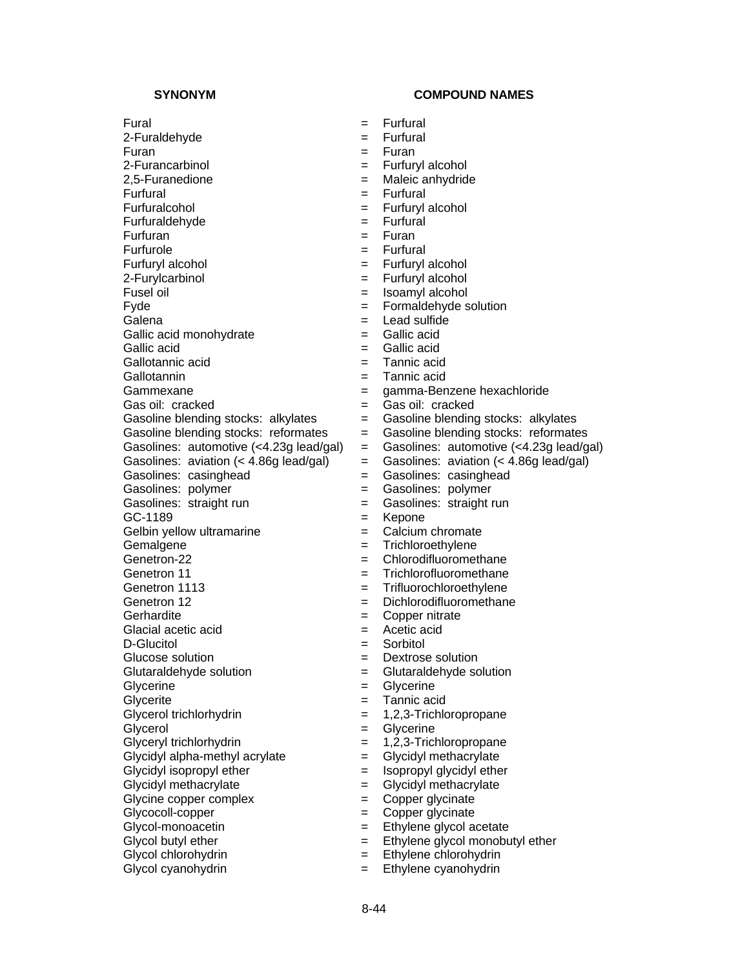Fural  $=$  Furfural  $=$  Furfural 2-Furaldehyde = Furfural Furan = Furan 2-Furancarbinol = Furfuryl alcohol 2,5-Furanedione = Maleic anhydride Furfural  $=$  Furfural  $=$  Furfural Furfuralcohol = Furfuryl alcohol **Furfuraldehyde** Furfuran = Furan = Furan = Furan = Furan = Furan = Furan = Furan = Furan = Furan = Furan = Furan = Furan = Furan = Furan = Furan = Furan = Furan = Furan = Furan = Furan = Furan = Furan = Furan = Furan = Furan = Furan = Fur Furfurole = Furfural = Furfural = Furfural = Furfural = Furfural = Furfural = Furfural = Furfural = Furfural = Furfural = Furfural = Furfural = Furfural = Furfural = Furfural = Furfural = Furfural = Furfural = Furfural = F Furfuryl alcohol = Furfuryl alcohol 2-Furylcarbinol = Furfuryl alcohol Fusel oil  $=$  Isoamyl alcohol Fyde = Formaldehyde solution Galena  $=$  Lead sulfide Gallic acid monohydrate = Gallic acid Gallic acid  $=$  Gallic acid Gallotannic acid = Tannic acid Gammexane et al. et al. et al. et al. et al. et al. et al. et al. et al. et al. et al. et al. et al. et al. et a Gasoline blending stocks: alkylates =  $=$ Gasolines: casinghead = Gasolines: casinghead Gasolines: polymer = Gasolines: polymer Gasolines: straight run = Gasolines: straight run GC-1189 = Kepone Gelbin yellow ultramarine  $\qquad \qquad = \qquad$ Calcium chromate Gemalgene  $=$  Trichloroethylene Genetron-22 = Chlorodifluoromethane Genetron 11 **6** = Trichlorofluoromethane Genetron 1113 **Example 20** Frifluorochloroethylene Genetron 12 = Dichlorodifluoromethane<br>Gerhardite = Copper nitrate Glacial acetic acid  $=$  Acetic acid D-Glucitol = Sorbitol Glucose solution  $=$  Dextrose solution Glutaraldehyde solution = Glutaraldehyde solution Glycerine  $=$  Glycerine Glycerite = Tannic acid<br>Glycerol trichlorhydrin = 1,2,3-Trichlo Glycerol = Glycerine Glyceryl trichlorhydrin  $= 1.2.3$ -Trichloropropane Glycidyl alpha-methyl acrylate  $=$  Glycidyl methacrylate Glycidyl isopropyl ether  $=$  Isopropyl glycidyl ether Glycidyl methacrylate  $\qquad \qquad = \qquad$  Glycidyl methacrylate Glycine copper complex  $=$  Copper glycinate Glycocoll-copper  $\qquad \qquad =$  Copper glycinate Glycol-monoacetin  $\begin{aligned}\n\text{Glycol monotone} &= \text{Ethylene glycol acetate} \\
\text{Glycol butyl ether} &= \text{Ethylene glycol monobu}\n\end{aligned}$ Glycol butyl ether  $\begin{aligned}\n&= \quad \text{Ethylene glycol monobutyl ether} \\
&= \quad \text{Ethylene glycol monobutyl ether}\n\end{aligned}$ 

- $=$  Tannic acid Gas oil: cracked = Gas oil: cracked<br>Gasoline blending stocks: alkylates = Gasoline blending stocks: alkylates Gasoline blending stocks: reformates = Gasoline blending stocks: reformates Gasolines: automotive  $\left\langle \langle 4.23g \rangle \right\rangle$  lead/gal) = Gasolines: automotive  $\left\langle \langle 4.23g \rangle \right\rangle$  lead/gal) Gasolines: aviation  $\left($  < 4.86g lead/gal)  $=$  Gasolines: aviation  $\left($  < 4.86g lead/gal)  $=$  Copper nitrate  $= 1,2,3$ -Trichloropropane
	-
	- = Ethylene chlorohydrin
- Glycol cyanohydrin = Ethylene cyanohydrin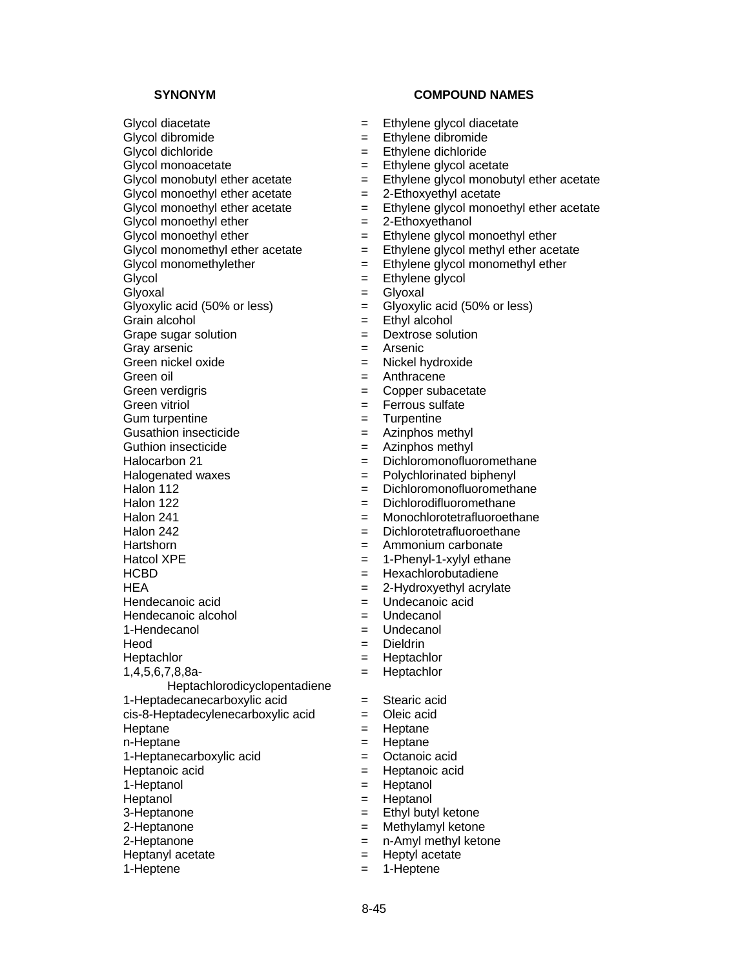Glycol diacetate  $=$  Ethylene glycol diacetate Glycol dibromide  $=$  Ethylene dibromide Glycol dichloride = Ethylene dichloride  $Glycol$  monoacetate  $=$  Ethylene glycol acetate Glycol monobutyl ether acetate  $=$  Ethylene glycol monobutyl ether acetate Glycol monoethyl ether acetate  $= 2$ -Ethoxyethyl acetate Glycol monoethyl ether acetate  $\begin{aligned}\n&= Eth$ ylene glycol monoethyl ether acetate<br>  $\begin{aligned}\n&= 2\text{-Eth} \times \text{Eth} \times \text{Eth} \times \text{Eth} \times \text{Eth} \times \text{Eth} \times \text{Eth} \times \text{Eth} \times \text{Eth} \times \text{Eth} \times \text{Eth} \times \text{Eth} \times \text{Eth} \times \text{Eth} \times \text{Eth} \times \text{Eth} \$  $Glycol$  monoethyl ether  $=$ Glycol monoethyl ether  $=$  Ethylene glycol monoethyl ether<br>Glycol monomethyl ether acetate  $=$  Ethylene glycol methyl ether ace  $G$  Glycol monomethylether  $=$  Ethylene glycol monomethyl ether Glycol  $=$  Ethylene glycol Glyoxal = Glyoxal Glyoxylic acid  $(50\% \text{ or less})$  = Glyoxylic acid  $(50\% \text{ or less})$ Grain alcohol  $=$  Ethyl alcohol Grape sugar solution  $=$  Dextrose solution Gray arsenic  $=$  Arsenic Green nickel oxide = Nickel hydroxide Green oil and the state of the state of the Series of the Series and the Series of the Series of the Series of the Series of the Series of the Series of the Series of the Series of the Series of the Series of the Series of Green verdigris entertainment and the Copper subacetate Green vitriol  $=$  Ferrous sulfate Gum turpentine  $=$  Turpentine Gusathion insecticide  $=$  Azinphos methyl Guthion insecticide  $=$  Azinphos methyl Halocarbon 21 = Dichloromonofluoromethane Halogenated waxes  $\qquad \qquad = \qquad$  Polychlorinated biphenyl Halon 112 = Dichloromonofluoromethane Halon 122 **Example 22** = Dichlorodifluoromethane Halon 241 **Example 241** = Monochlorotetrafluoroethane Halon 242 = Dichlorotetrafluoroethane Hartshorn = Ammonium carbonate  $Hatcol XPE$  = 1-Phenyl-1-xylyl ethane HCBD = Hexachlorobutadiene  $HEA$  = 2-Hydroxyethyl acrylate Hendecanoic acid  $=$  Undecanoic acid Hendecanoic alcohol  $=$  Undecanol 1-Hendecanol = Undecanol Heod = Dieldrin Heptachlor = Heptachlor 1,4,5,6,7,8,8a-Heptachlorodicyclopentadiene 1-Heptadecanecarboxylic acid = Stearic acid  $cis-8$ -Heptadecylenecarboxylic acid  $=$  Oleic acid Heptane  $=$  Heptane n-Heptane = Heptane = Heptane 1-Heptanecarboxylic acid = Octanoic acid Heptanoic acid  $=$  Heptanoic acid 1-Heptanol = Heptanol Heptanol = Heptanol 3-Heptanone = Ethyl butyl ketone 2-Heptanone = Methylamyl ketone 2-Heptanone = n-Amyl methyl ketone

- 
- 
- 
- 
- 
- 
- 
- 
- 
- $=$  Ethylene glycol methyl ether acetate
- 
- 
- 
- 
- 
- 
- 
- 
- 
- 
- 
- 
- 
- 
- 
- 
- 
- 
- 
- 
- 
- 
- 
- 
- 
- 
- 
- 
- 
- = Heptachlor
- 
- 
- 
- 
- 
- 
- 
- 
- 
- 
- 
- Heptanyl acetate  $=$  Heptyl acetate
- 1-Heptene  $=$  1-Heptene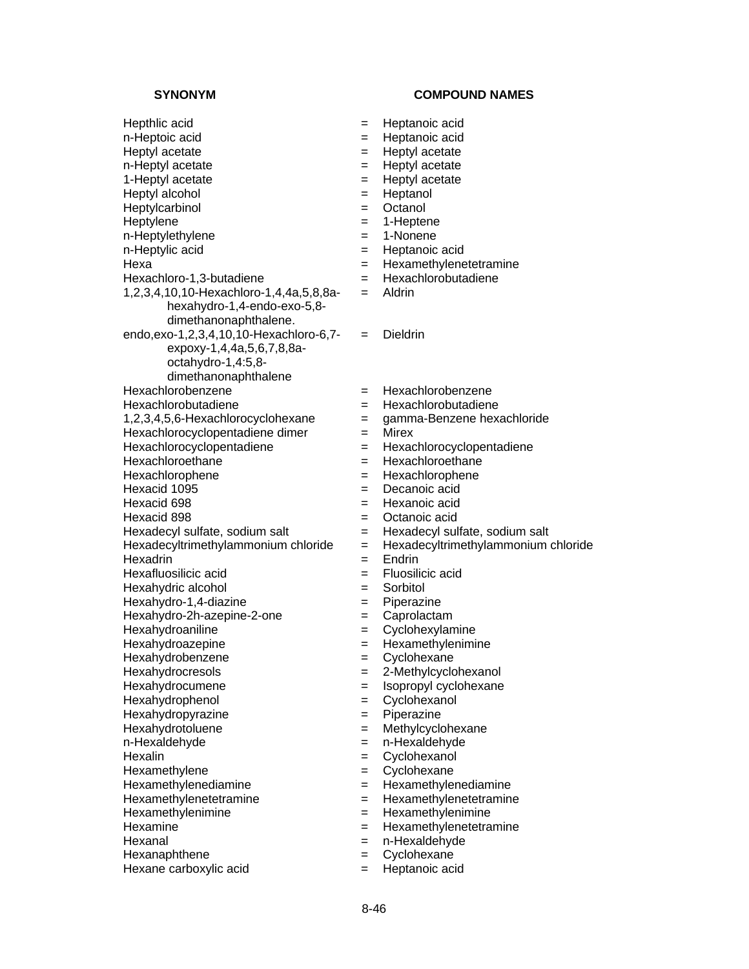### **SYNONYM COMPOUND NAMES**

Hepthlic acid = Heptanoic acid n-Heptoic acid  $=$  Heptanoic acid Heptyl acetate  $=$  Heptyl acetate n-Heptyl acetate  $=$  Heptyl acetate 1-Heptyl acetate  $=$  Heptyl acetate Heptyl alcohol  $=$  Heptanol Heptylcarbinol = Octanol<br>
Heptylene = 1-Heptene Heptylene  $=$ n-Heptylethylene = 1-Nonene<br>
n-Heptylic acid = Heptanoic  $Hexa$  = Hexamethylenetetramine Hexachloro-1,3-butadiene = Hexachlorobutadiene 1,2,3,4,10,10-Hexachloro-1,4,4a,5,8,8ahexahydro-1,4-endo-exo-5,8 dimethanonaphthalene. endo,exo-1,2,3,4,10,10-Hexachloro-6,7 expoxy-1,4,4a,5,6,7,8,8aoctahydro-1,4:5,8 dimethanonaphthalene Hexachlorobenzene = Hexachlorobenzene Hexachlorobutadiene = Hexachlorobutadiene 1,2,3,4,5,6-Hexachlorocyclohexane = gamma-Benzene hexachloride Hexachlorocyclopentadiene dimer = Mirex<br>Hexachlorocyclopentadiene = Hexac Hexachloroethane = Hexachloroethane Hexachlorophene = Hexachlorophene Hexacid 1095 = Decanoic acid Hexacid 698 = Hexanoic acid Hexacid 898 = Octanoic acid Hexadecyl sulfate, sodium salt  $=$  Hexadecyl sulfate, sodium salt Hexadecyltrimethylammonium chloride = Hexadecyltrimethylammonium chloride Hexadrin = Endrin = Endrin Hexafluosilicic acid = Fluosilicic acid Hexahydric alcohol  $=$  Sorbitol Hexahydro-1,4-diazine = Piperazine Hexahydro-2h-azepine-2-one = Caprolactam Hexahydroaniline  $-$  Cyclohexylamine Hexahydroazepine  $=$  Hexamethylenimine Hexahydrobenzene = Cyclohexane Hexahydrocresols = 2-Methylcyclohexanol Hexahydrocumene = Isopropyl cyclohexane Hexahydrophenol = Cyclohexanol Hexahydropyrazine = Piperazine Hexahydrotoluene = Methylcyclohexane n-Hexaldehyde = n-Hexaldehyde Hexalin = Cyclohexanol Hexamethylene  $=$  Cyclohexane Hexamethylenediamine = Hexamethylenediamine Hexamethylenetetramine = Hexamethylenetetramine Hexamethylenimine = Hexamethylenimine Hexamine = Hexamethylenetetramine Hexanal = n-Hexaldehyde Hexanaphthene  $=$  Cyclohexane Hexane carboxylic acid  $=$  Heptanoic acid

= Heptanoic acid  $=$  Aldrin = Dieldrin

- 
- 
- Hexachlorocyclopentadiene = Hexachlorocyclopentadiene
- 
- 
- 
- 
- 
- 
- 
- 
- 
- 
- 
- 
- 
- 
- 
- 
- 
- 
- 
- 
- 
- 
- 
- 
- 
- 
- 
- 
- 
-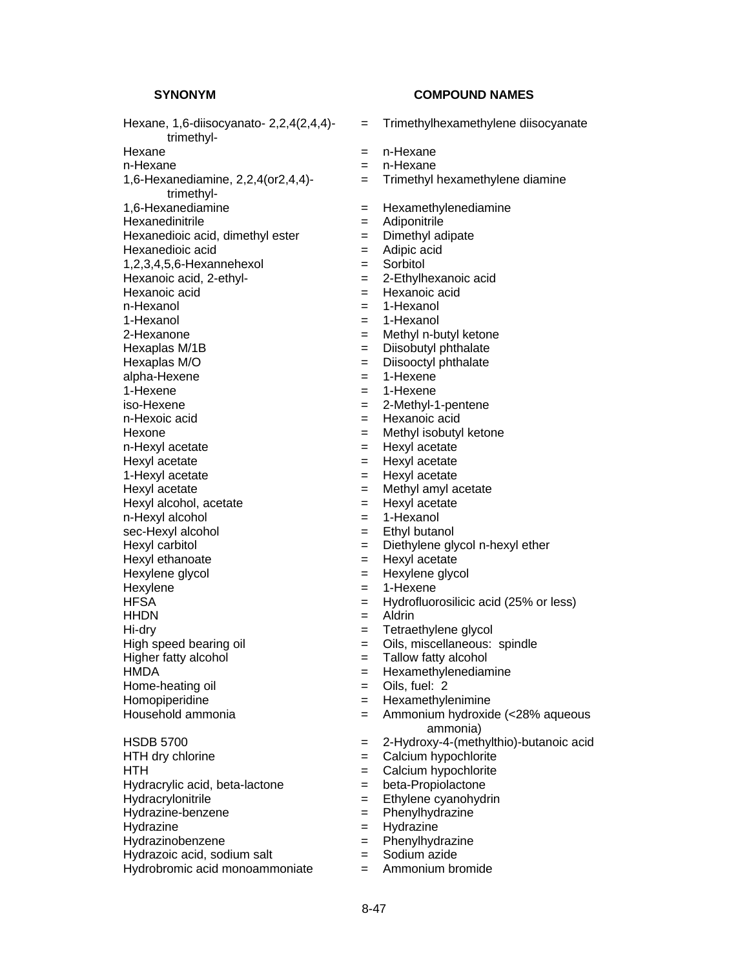Hexane, 1,6-diisocyanato- 2,2,4(2,4,4) trimethyl- Hexane  $=$  n-Hexane n-Hexane  $=$  n-Hexane 1,6-Hexanediamine, 2,2,4(or2,4,4) trimethyl- 1,6-Hexanediamine = Hexamethylenediamine<br>
Hexanedinitrile = Adiponitrile = Adiponitrile Hexanedinitrile = Adiponitrile = Adiponitrile = Adiponitrile = Adiponitrile = Adiponitrile = Adiponitride = Adiponitride = Adiponitride = Adiponitride = Adiponitride = Adiponitride = Adiponitride = Adiponitride = Adiponitr Hexanedioic acid, dimethyl ester  $=$  Dimethyl adipate Hexanedioic acid  $=$  Adipic acid 1,2,3,4,5,6-Hexannehexol = Sorbitol Hexanoic acid, 2-ethyl- = 2-Ethylhexanoic acid Hexanoic acid = Hexanoic acid n-Hexanol = 1-Hexanol 1-Hexanol = 1-Hexanol 2-Hexanone = Methyl n-butyl ketone Hexaplas M/1B = Diisobutyl phthalate Hexaplas M/O  $=$  Diisooctyl phthalate<br>alpha-Hexene  $=$  1-Hexene  $=$  1-Hexene alpha-Hexene = 1-Hexene = 1-Hexene = 1-Hexene = 1-Hexene = 1-Hexene = 1-Hexene = 1-Hexene = 1-Hexene = 1-Hexene = 1-Hexene = 1-Hexene = 1-Hexene = 1-Hexene = 1-Hexene = 1-Hexene = 1-Hexene = 1-Hexene = 1-Hexene = 1-Hexene  $1-Hexene$  = 1-Hexene iso-Hexene = 2-Methyl-1-pentene<br>
n-Hexoic acid = 2-Methyl-1-pentene<br>
= Hexanoic acid Hexone  $=$  Methyl isobutyl ketone n-Hexyl acetate  $=$  Hexyl acetate Hexyl acetate  $=$  Hexyl acetate 1-Hexyl acetate  $=$  Hexyl acetate Hexyl acetate  $=$  Methyl amyl acetate Hexyl alcohol, acetate  $=$  Hexyl acetate n-Hexyl alcohol  $= 1$ -Hexanol sec-Hexyl alcohol  $=$  Ethyl butanol Hexyl carbitol **Example 20** and  $\overline{a}$  Diethylene glycol n-hexyl ether Hexyl ethanoate  $=$  Hexyl acetate Hexylene glycol  $=$  Hexylene glycol Hexylene  $= 1$ -Hexene HFSA = Hydrofluorosilicic acid (25% or less) HHDN = Aldrin Hi-dry  $=$  Tetraethylene glycol High speed bearing oil **Exercise Series Exercise Series**  $\blacksquare$  Oils, miscellaneous: spindle Higher fatty alcohol  $=$  Tallow fatty alcohol HMDA = Hexamethylenediamine<br>
Home-heating oil = Oils, fuel: 2  $Home-heating oil$   $=$ Homopiperidine  $=$  Hexamethylenimine Household ammonia = Ammonium hydroxide (<28% aqueous HSDB 5700 = 2-Hydroxy-4-(methylthio)-butanoic acid  $HTH$  dry chlorine  $=$  Calcium hypochlorite HTH  $=$  Calcium hypochlorite Hydracrylic acid, beta-lactone = beta-Propiolactone Hydracrylonitrile = Ethylene cyanohydrin Hydrazine-benzene = Phenylhydrazine Hydrazine = Hydrazine = Hydrazine<br>Hydrazinobenzene = = = = = = = Phenylhydrazine Hydrazinobenzene = Phenylhydrazine Hydrazoic acid, sodium salt  $=$ Hydrobromic acid monoammoniate  $=$  Ammonium bromide

- = Trimethylhexamethylene diisocyanate
- 
- 
- $=$  Trimethyl hexamethylene diamine
- 
- 
- 
- 
- 
- 
- 
- 
- 
- 
- 
- 
- 
- 
- 
- $=$  Hexanoic acid
- 
- 
- 
- 
- 
- 
- 
- 
- 
- 
- 
- 
- 
- 
- 
- 
- 
- 
- 
- 
- ammonia)
- 
- 
- 
- 
- 
- 
- 
- 
- 
-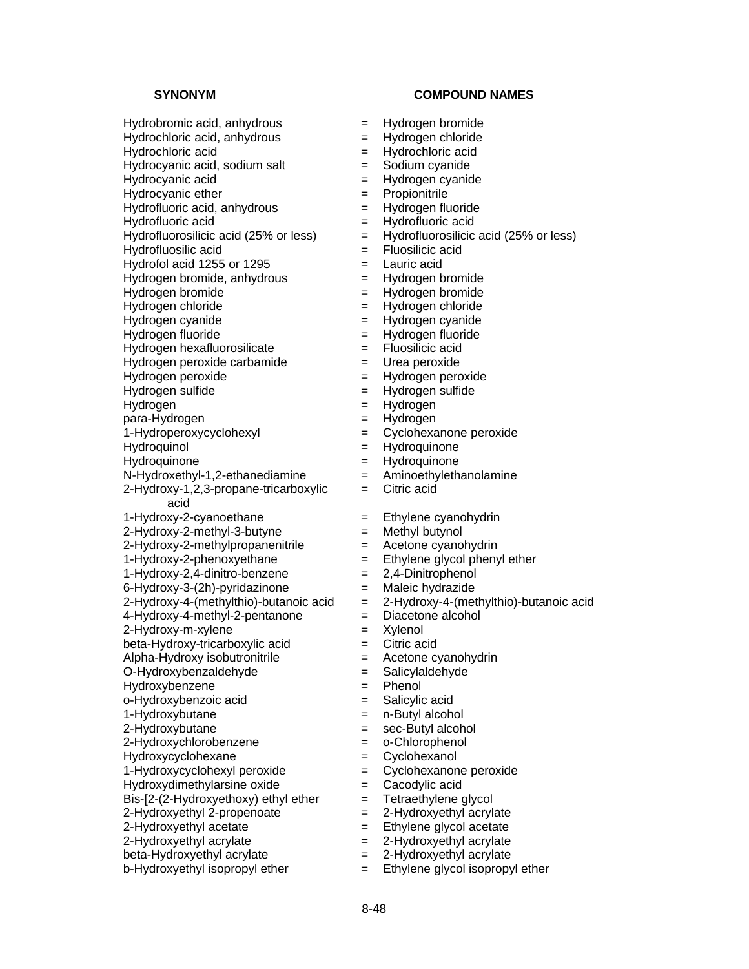Hydrobromic acid, anhydrous  $=$  Hydrogen bromide

Hydrofluorosilicic acid (25% or less)  $=$  Hydrofluorosilicic acid (25% or less)<br>Hydrofluosilic acid Hydrofluosilic acid

Hydrofol acid 1255 or 1295  $=$  Lauric acid

Hydrogen bromide, anhydrous  $=$  Hydrogen bromide

Hydrogen hexafluorosilicate = Fluosilicic acid

 $Hydrogen$  peroxide carbamide  $=$  Urea peroxide

para-Hydrogen =  $\qquad$  =

 $N-Hydroxethyl-1,2-ethanediamine$  = Aminoethylethanolamine

2-Hydroxy-1,2,3-propane-tricarboxylic acid

2-Hydroxy-2-methyl-3-butyne = Methyl butynol

 $2-Hydroxy-2-methylpropanenitrile$  = Acetone cyanohydrin

 $4-Hydroxy-4-methyl-2-pentanone$  = Diacetone alcohol

 $2-Hy$ droxy-m-xylene  $=$  Xylenol

 $beta-Hydroxy-tricarboxylic acid$  = Citric acid

 $Alpha-Hydroxy$  isobutronitrile  $\qquad \qquad = \qquad$  Acetone cyanohydrin

O-Hydroxybenzaldehyde = Salicylaldehyde

Hydroxybenzene = Phenol

o-Hydroxybenzoic acid = Salicylic acid

Hydroxydimethylarsine oxide  $=$  Cacodylic acid

Bis-[2-(2-Hydroxyethoxy) ethyl ether  $=$  Tetraethylene glycol 2-Hydroxyethyl 2-propenoate  $=$  2-Hydroxyethyl acryl 2-Hydroxyethyl 2-propenoate  $= 2$ -Hydroxyethyl acrylate

2-Hydroxyethyl acetate  $\begin{aligned} 2-\text{Hydroxyethy} &= -\text{Hydroxyethy} &= -\text{Hydroxyethy} &= -\text{Hydroxyethy} &= -\text{Hydroxyethy} &= -\text{Hydroxyethy} &= -\text{Hydroxyethy} &= -\text{lydroxyethy} &= -\text{lydroxyethy} &= -\text{lydroxyethy} &= -\text{lydroxyethy} &= -\text{lydroxyethy} &= -\text{lydroxyethy}$ 

beta-Hydroxyethyl acrylate  $= 2$ -Hydroxyethyl acrylate

 $b$ -Hydroxyethyl isopropyl ether  $=$  Ethylene glycol isopropyl ether

# **SYNONYM COMPOUND NAMES**

- 
- Hydrochloric acid, anhydrous = Hydrogen chloride
- Hydrochloric acid = Hydrochloric acid
- Hydrocyanic acid, sodium salt  $=$  Sodium cyanide
- Hydrocyanic acid = Hydrogen cyanide
- Hydrocyanic ether  $=$  Propionitrile
- Hydrofluoric acid, anhydrous = Hydrogen fluoride
- $Hydrofluoric acid = Hydrofluoric acid$ 
	-
	-
	-
	-
- Hydrogen bromide = Hydrogen bromide
- Hydrogen chloride = Hydrogen chloride
- Hydrogen cyanide  $=$  Hydrogen cyanide
- Hydrogen fluoride = Hydrogen fluoride
	-
	-
- Hydrogen peroxide  $=$  Hydrogen peroxide
- Hydrogen sulfide = Hydrogen sulfide
	-
- Hydrogen = Hydrogen<br>
para-Hydrogen = Hydrogen = Hydrogen
	-
- 1-Hydroperoxycyclohexyl = Cyclohexanone peroxide
- Hydroquinol = Hydroquinone
- Hydroquinone = Hydroquinone
	-
	- = Citric acid
- 1-Hydroxy-2-cyanoethane = Ethylene cyanohydrin
	-
	-
- 1-Hydroxy-2-phenoxyethane  $=$  Ethylene glycol phenyl ether
- 1-Hydroxy-2,4-dinitro-benzene = 2,4-Dinitrophenol
- 6-Hydroxy-3-(2h)-pyridazinone = Maleic hydrazide
- $2-Hy$ droxy-4-(methylthio)-butanoic acid  $= 2-Hy$ droxy-4-(methylthio)-butanoic acid
	-
	-
	-
	-
	-
	-
	-
- 1-Hydroxybutane = n-Butyl alcohol
- 2-Hydroxybutane = sec-Butyl alcohol
- 2-Hydroxychlorobenzene = o-Chlorophenol
- Hydroxycyclohexane = Cyclohexanol
- 1-Hydroxycyclohexyl peroxide = Cyclohexanone peroxide

 $= 2$ -Hydroxyethyl acrylate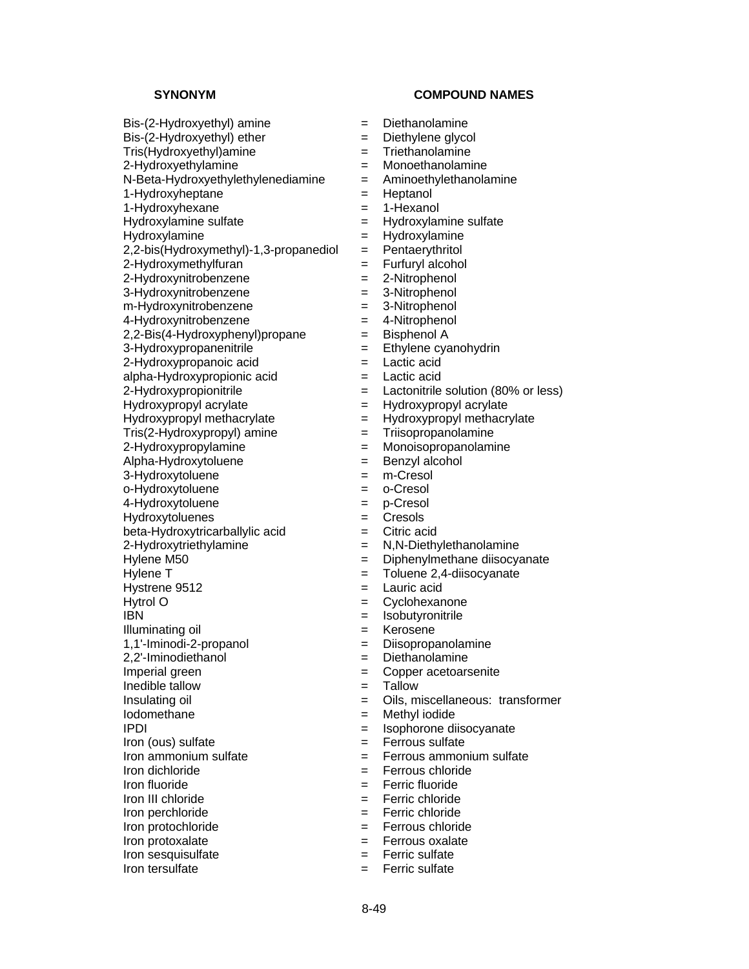$Bis-(2-Hydroxyethyl)$  amine  $=$  Diethanolamine  $Bis-(2-Hydroxyethyl)$  ether  $=$  Diethylene glycol Tris(Hydroxyethyl)amine = Triethanolamine 2-Hydroxyethylamine = Monoethanolamine N-Beta-Hydroxyethylethylenediamine = Aminoethylethanolamine 1-Hydroxyheptane = Heptanol 1-Hydroxyhexane = 1-Hexanol Hydroxylamine sulfate = Hydroxylamine sulfate Hydroxylamine = Hydroxylamine<br>2,2-bis(Hydroxymethyl)-1,3-propanediol = Pentaerythritol  $2,2-bis(Hydroxymethyl)-1,3-propanediol = Pentaerythritol  
2-Hydroxymethylfuran = Furtheryl alcohol$  $2$ -Hydroxymethylfuran  $=$ 2-Hydroxynitrobenzene = 2-Nitrophenol 3-Hydroxynitrobenzene = 3-Nitrophenol m-Hydroxynitrobenzene = 3-Nitrophenol 4-Hydroxynitrobenzene = 4-Nitrophenol  $2,2$ -Bis(4-Hydroxyphenyl)propane  $=$  Bisphenol A  $3-Hydroxypropanenitrile$   $=$  Ethylene cyanohydrin

- 2-Hydroxypropanoic acid = Lactic acid alpha-Hydroxypropionic acid
- Hydroxypropyl acrylate<br>
Hydroxypropyl methacrylate = Hydroxypropyl methacrylate<br>
= Hydroxypropyl methacrylate = Hydroxypropyl methacrylate  $Hydroxypropyl$  methacrylate  $=$
- $Tris(2-Hydroxypropyl)$  amine  $=$   $Trisopropanolamine$
- 
- Alpha-Hydroxytoluene = Benzyl alcohol
- 3-Hydroxytoluene = m-Cresol
- o-Hydroxytoluene = o-Cresol
- 4-Hydroxytoluene = p-Cresol
- Hydroxytoluenes = Cresols
- $beta$ -Hydroxytricarballylic acid  $=$  Citric acid
- 
- 
- 
- 
- 
- 
- 
- 
- 
- Inedible tallow = Tallow
- 
- 
- 
- $Iron (ous) sulfate = Ferrous sulfate$
- 
- 
- 
- 
- 
- 
- 
- 
- 
- **SYNONYM COMPOUND NAMES** 
	-
	-
	-
	-
	-
	-
	-
	-
	-
	-
	-
	-
	-
	-
	-
	-
	-
	-
	-
	-
- 2-Hydroxypropionitrile  $\qquad \qquad = \qquad$  Lactonitrile solution (80% or less)
	-
	-
	-
- 2-Hydroxypropylamine = Monoisopropanolamine
	-
	-
	-
	-
	-
	-
- 2-Hydroxytriethylamine = N,N-Diethylethanolamine
- Hylene M50 **Example 20** = Diphenylmethane diisocyanate
- Hylene T = Toluene 2,4-diisocyanate
- Hystrene 9512 = Lauric acid
- Hytrol O  $=$  Cyclohexanone
- IBN = Isobutyronitrile
- Illuminating oil  $=$  Kerosene
- 1,1'-Iminodi-2-propanol = Diisopropanolamine
- 2,2'-Iminodiethanol = Diethanolamine
- Imperial green  $\qquad \qquad = \qquad \qquad$  Copper acetoarsenite
	-
- Insulating oil **Exercise 2** Cils, miscellaneous: transformer
- Iodomethane = Methyl iodide
- IPDI = Isophorone diisocyanate
	-
- $Iron$  ammonium sulfate  $Iern$   $=$   $Fernous$  ammonium sulfate
- Iron dichloride = Ferrous chloride
- Iron fluoride = Ferric fluoride
- Iron III chloride = Ferric chloride
- Iron perchloride  $=$  Ferric chloride
- Iron protochloride = Ferrous chloride
- Iron protoxalate  $=$  Ferrous oxalate
- Iron sesquisulfate  $=$  Ferric sulfate
- Iron tersulfate  $=$  Ferric sulfate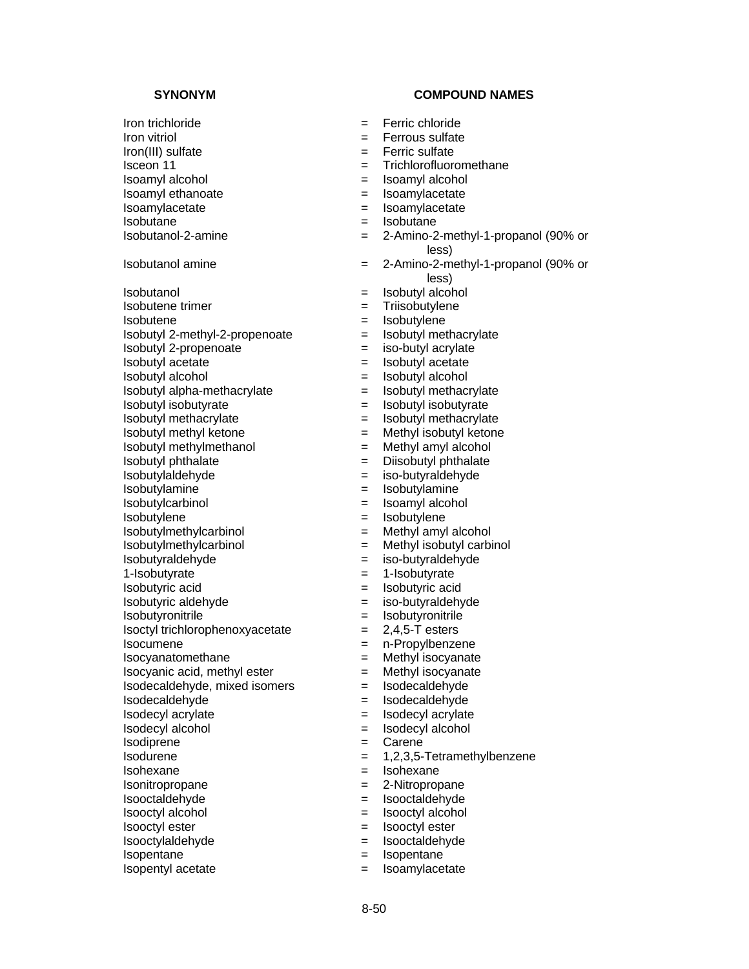Isobutanol = Isobutyl alcohol Isobutene trimer  $=$  Triisobutylene Isobutene = Isobutylene  $Isobutyl 2-methyl-2-propenoate = Isobutyl methacrylate$  $Isobutvl 2-propenoate = iso-butvl 2ervlate$ Isobutyl acetate<br>
Isobutyl alcohol = Isobutyl alcohol<br>
= Isobutyl alcohol  $Isobutyl$  alpha-methacrylate  $\qquad \qquad = \qquad Isobutvl$  methacrylate Isobutyl isobutyrate = Isobutyl isobutyrate Isobutyl methacrylate = Isobutyl methacrylate Isobutyl methyl ketone = Methyl isobutyl ketone Isobutyl methylmethanol = Methyl amyl alcohol Isobutyl phthalate = Diisobutyl phthalate Isobutylaldehyde = iso-butyraldehyde Isobutylamine = Isobutylamine Isobutylcarbinol = Isoamyl alcohol Isobutylene = Isobutylene Isobutylmethylcarbinol = Methyl amyl alcohol Isobutylmethylcarbinol = Methyl isobutyl carbinol Isobutyraldehyde = iso-butyraldehyde 1-Isobutyrate = 1-Isobutyrate Isobutyric acid = Isobutyric acid Isobutyric aldehyde = iso-butyraldehyde Isobutyronitrile  $=$  Isobutyronitrile  $IsoctyI trichlorophenoxyacetate =  $2,4,5$ -T esters$ Isocumene  $=$  n-Propylbenzene Isocyanatomethane = Methyl isocyanate  $Isocyanic acid, methyl ester = Methyl isocyanate$ Isodecaldehyde, mixed isomers = Isodecaldehyde Isodecaldehyde = Isodecaldehyde Isodecyl acrylate = Isodecyl acrylate Isodecyl alcohol = Isodecyl alcohol Isodiprene  $=$  Carene  $=$  1.2.3.5-Isohexane = Isohexane Isonitropropane = 2-Nitropropane Isooctaldehyde = Isooctaldehyde Isooctyl alcohol = Isooctyl alcohol Isooctyl ester = Isooctyl ester Isooctylaldehyde = Isooctaldehyde

- Iron trichloride = Ferric chloride
- Iron vitriol  $=$  Ferrous sulfate
- Iron(III) sulfate = Ferric sulfate
- Isceon 11 **Example 2** = Trichlorofluoromethane
- Isoamyl alcohol = Isoamyl alcohol
- Isoamyl ethanoate  $\qquad \qquad = \qquad$ Isoamylacetate
- Isoamylacetate = Isoamylacetate = Isoamylacetate = Isobutane = Isobutane = Isobutane = Isobutane = Isobutane = Isobutane = Isobutane = Isobutane = Isobutane = Isobutane = Isobutane = Isobutane = Isobutane = Isobutane = Iso
	- $=$  Isobutane
- Isobutanol-2-amine = 2-Amino-2-methyl-1-propanol (90% or less)
- Isobutanol amine = 2-Amino-2-methyl-1-propanol (90% or less)
	-
	-
	-
	-
	-
	-
	- Isobutyl alcohol = Isobutyl alcohol
	-
	-
	-
	-
	-
	-
	-
	-
	-
	-
	-
	-
	-
	-
	-
	-
	-
	-
	-
	-
	-
	-
	-
	-
	-
	-
	-
	- $= 1,2,3,5$ -Tetramethylbenzene
	-
	-
	-
	-
	-
	-
- Isopentane = Isopentane
- Isopentyl acetate  $=$  Isoamylacetate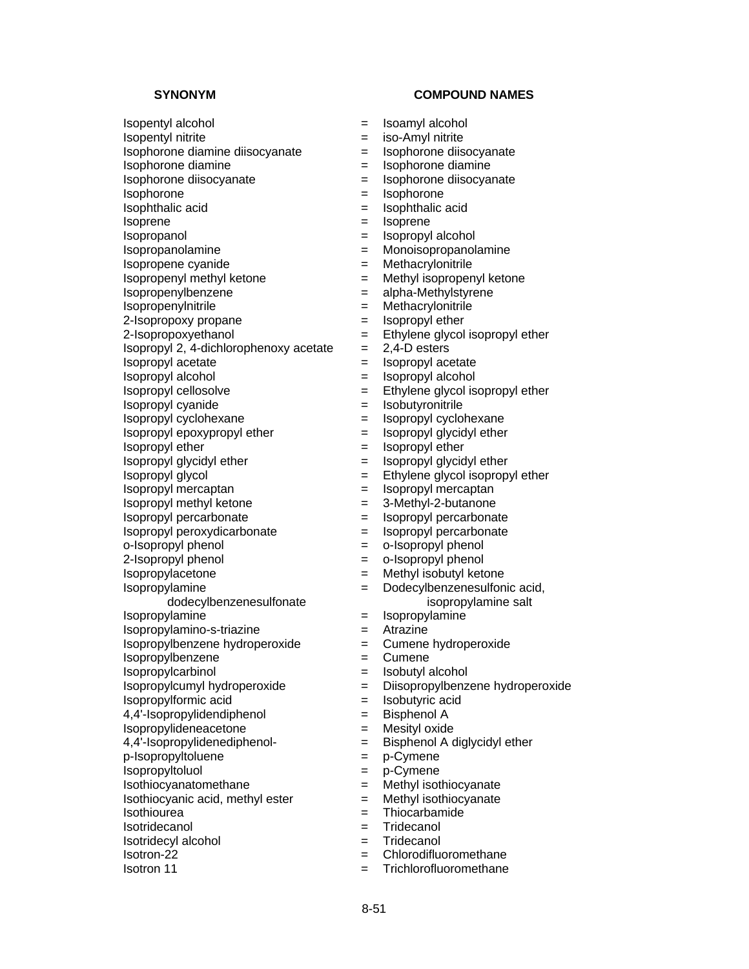2-Isopropoxy propane  $\qquad \qquad =$  Isopropyl ether

 $Isopropyl 2, 4-dichlorophenoxy acetate =  $2,4-D$  esters$ 

Isopropyl cellosolve = Ethylene glycol isopropyl ether

Isopropyl cyanide = Isobutyronitrile

Isopropyl cyclohexane = Isopropyl cyclohexane

 $Isopropyl$  epoxypropyl ether  $=$  Isopropyl glycidyl ether

Isopropyl ether  $=$  Isopropyl ether

Isopropyl glycidyl ether  $=$  Isopropyl glycidyl ether

Isopropylamine

dodecylbenzenesulfonate

Isopropylamino-s-triazine = Atrazine

Isopropylbenzene hydroperoxide = Cumene hydroperoxide

Isopropylbenzene = Cumene

Isopropylcarbinol = Isobutyl alcohol<br>Isopropylcumyl hydroperoxide = Diisopropylbenz

4,4'-Isopropylidendiphenol = Bisphenol A

Isothiocyanatomethane = Methyl isothiocyanate  $Isothiocyani$ c acid, methyl ester  $=$  Methyl isothiocyanate

Isothiourea = Thiocarbamide

Isotridecanol = Tridecanol

Isotridecyl alcohol = Tridecanol<br>Isotron-22 = Chlorodiflu

Isotron 11 = Trichlorofluoromethane

# **SYNONYM COMPOUND NAMES**

- Isopentyl alcohol = Isoamyl alcohol
- Isopentyl nitrite  $=$  iso-Amyl nitrite
- $Isophorone$  diamine diisocyanate  $\qquad \qquad = \qquad Isophorone$  diisocyanate
- Isophorone diamine  $\qquad \qquad = \qquad$  Isophorone diamine
- Isophorone diisocyanate  $\qquad \qquad = \qquad$ Isophorone diisocyanate
- Isophorone = Isophorone
- Isophthalic acid<br>Isoprene  $\qquad \qquad = \qquad$ Isoprene  $\qquad \qquad = \qquad$ Isoprene
	- Isoprene = Isoprene
- Isopropanol = Isopropyl alcohol
- Isopropanolamine = Monoisopropanolamine
- Isopropene cyanide = Methacrylonitrile
- Isopropenyl methyl ketone = Methyl isopropenyl ketone
- Isopropenylbenzene = alpha-Methylstyrene
- Isopropenylnitrile = Methacrylonitrile
	-
- $2$ -Isopropoxyethanol  $=$  Ethylene glycol isopropyl ether
	-
	-
- Isopropyl acetate  $\begin{array}{rcl} & = & \text{Isopropyl acetate} \\ \text{Isopropyl alcohol} & = & \text{Isopropyl alcohol} \end{array}$ Isopropyl alcohol = Isopropyl alcohol
	-
	-
	-
	-
	-
	-
- Isopropyl glycol = Ethylene glycol isopropyl ether
- Isopropyl mercaptan = Isopropyl mercaptan
- Isopropyl methyl ketone = 3-Methyl-2-butanone
- Isopropyl percarbonate  $\qquad \qquad = \qquad$  Isopropyl percarbonate
- Isopropyl peroxydicarbonate  $=$  Isopropyl percarbonate
- o-Isopropyl phenol  $\qquad \qquad = \qquad$ o-Isopropyl phenol
- 2-Isopropyl phenol  $=$  0-Isopropyl phenol
	-
- Isopropylacetone = Methyl isobutyl ketone
	- = Dodecylbenzenesulfonic acid, isopropylamine salt
- Isopropylamine  $=$  Isopropylamine
	-
	-
	-
	-
	- = Diisopropylbenzene hydroperoxide
- Isopropylformic acid  $=$  Isobutyric acid
	-
- Isopropylideneacetone = Mesityl oxide
- 4,4'-Isopropylidenediphenol- = Bisphenol A diglycidyl ether

 $=$  Chlorodifluoromethane

- p-Isopropyltoluene = p-Cymene
- Isopropyltoluol = p-Cymene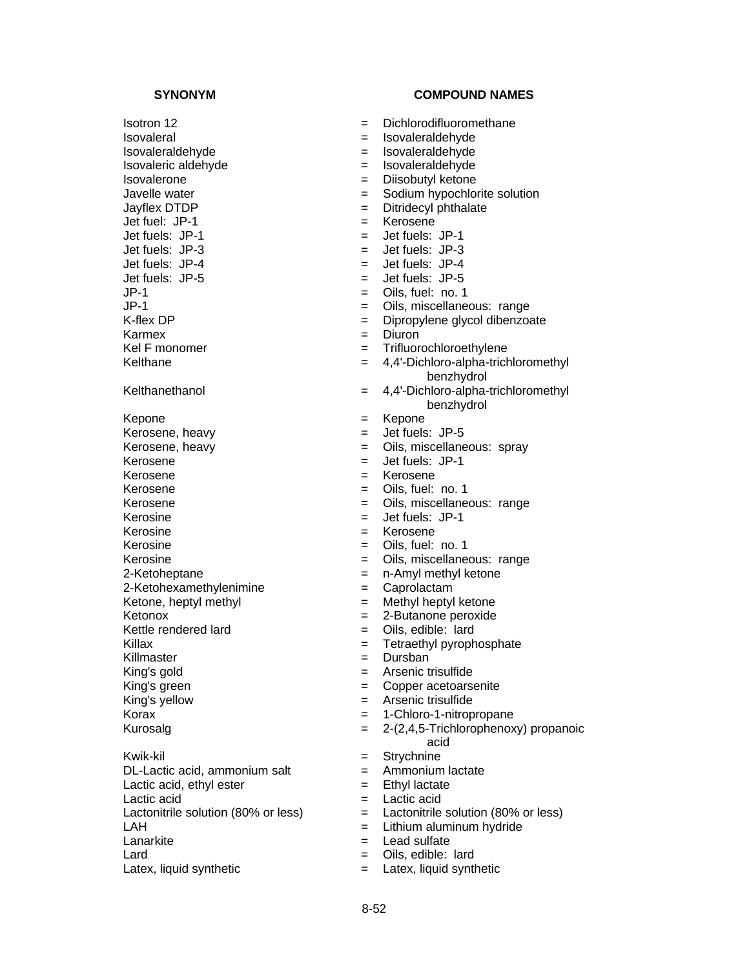Isovaleral = Isovaleraldehyde Isovaleraldehyde = Isovaleraldehyde Isovaleric aldehyde = Isovaleraldehyde Isovalerone = Diisobutyl ketone Jayflex DTDP  $\qquad \qquad = \qquad$  Ditridecyl phthalate<br>Jet fuel: JP-1  $\qquad \qquad = \qquad$  Kerosene  $\text{Jet fuel: } JP-1$   $=$  $J$ et fuels:  $J$ P-1  $=$  Jet fuels:  $J$ P-1 Jet fuels: JP-3 = Jet fuels: JP-3  $J$ et fuels:  $JP-5$   $=$  Jet fuels:  $JP-5$  $JP-1$  = Oils, fuel: no. 1 Karmex = Diuron  $Kepone$  =  $Kepone$ <br> $Keposene$  heavy =  $JP-5$ Kerosene, heavy  $=$  $K$ erosene  $=$  Jet fuels: JP-1 Kerosene  $=$  Kerosene Kerosene  $=$  Oils, fuel: no. 1  $Kerosine = Jet fuel. JP-1$ Kerosine = Kerosene Kerosine = Oils, fuel: no. 1 2-Ketoheptane = n-Amyl methyl ketone 2-Ketohexamethylenimine = Caprolactam Ketone, heptyl methyl  $=$  Methyl heptyl ketone Ketonox = 2-Butanone peroxide Kettle rendered lard  $=$  Oils, edible: lard Killax = Tetraethyl pyrophosphate<br>
Killmaster = Dursban<br>
= Dursban Killmaster = Dursban King's gold  $=$  Arsenic trisulfide King's green  $\qquad \qquad =$  Copper acetoarsenite King's yellow = Arsenic trisulfide Kwik-kil = Strychnine  $DL-Lactic acid$ , ammonium salt  $=$  Ammonium lactate Lactic acid, ethyl ester  $=$  Ethyl lactate Lactic acid = Lactic acid LAH  $=$  Lithium aluminum hydride

- 
- 
- 

- Isotron 12 **Exercise 2** = Dichlorodifluoromethane
	-
	-
	-
	-
- Javelle water  $\qquad \qquad = \qquad$  Sodium hypochlorite solution
	-
	-
	-
	-
	- $=$  Jet fuels: JP-4
	-
	-
- JP-1 = Oils, miscellaneous: range
- K-flex DP  $=$  Dipropylene glycol dibenzoate
	-
- Kel F monomer  $=$  Trifluorochloroethylene
- Kelthane  $= 4,4$ -Dichloro-alpha-trichloromethyl benzhydrol
- Kelthanethanol = 4,4'-Dichloro-alpha-trichloromethyl benzhydrol
	-
	-
- Kerosene, heavy  $=$  Oils, miscellaneous: spray
	-
	-
	-
- Kerosene = Oils, miscellaneous: range
	-
	-
	-
- Kerosine  $\qquad \qquad = \qquad$  Oils, miscellaneous: range
	-
	-
	-
	-
	-
	-
	-
	-
	-
	-
- Korax = 1-Chloro-1-nitropropane
- Kurosalg = 2-(2,4,5-Trichlorophenoxy) propanoic
	- acid
	-
	-
	-
	-
- Lactonitrile solution  $(80\% \text{ or } \text{less})$  = Lactonitrile solution  $(80\% \text{ or } \text{less})$ 
	-
- Lanarkite  $\qquad \qquad = \qquad$  Lead sulfate
- $Lard$   $=$  Oils, edible: lard
- Latex, liquid synthetic  $\qquad \qquad = \qquad$  Latex, liquid synthetic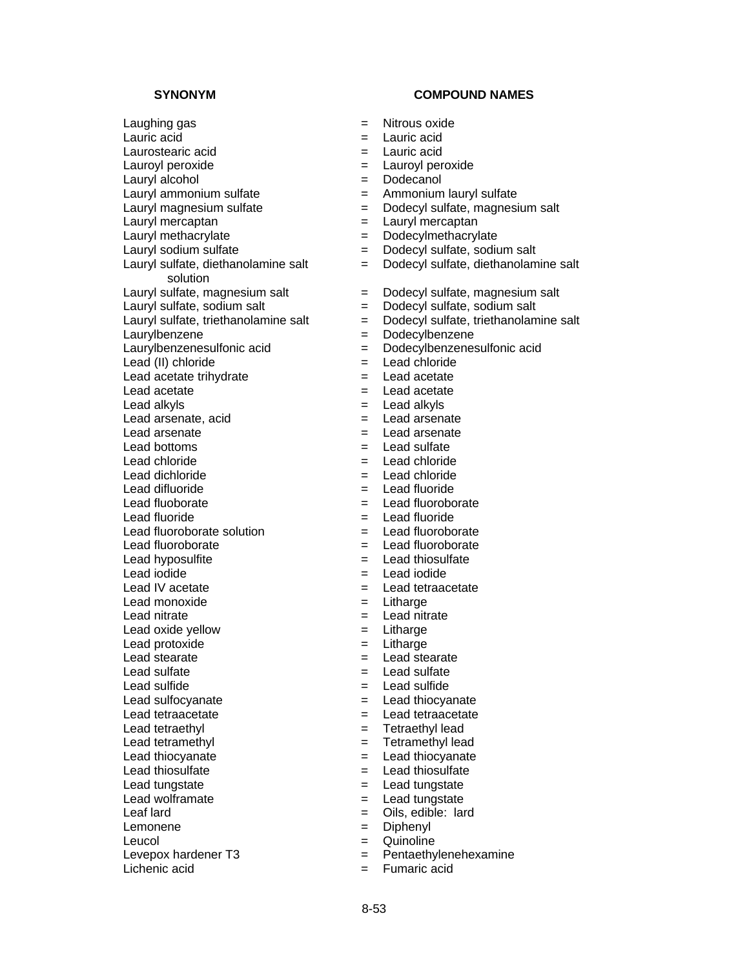Laughing gas  $=$  Nitrous oxide Lauric acid  $\qquad \qquad = \qquad$  Lauric acid Laurostearic acid  $=$  Lauric acid Lauroyl peroxide  $=$  Lauroyl peroxide Lauryl alcohol  $=$  Dodecanol Lauryl ammonium sulfate  $\qquad \qquad = \qquad$  Ammonium lauryl sulfate Lauryl magnesium sulfate  $\begin{array}{rcl} \text{Lauryl} & = & \text{Dodecyl} \text{ sulfate}, \text{magnesium salt} \\ \text{Lauryl} & = & \text{Lauryl} \text{mercaptan} \end{array}$ Lauryl methacrylate  $\begin{aligned} \text{Lauryl methacry} &= \text{Dodecylmethacry} \\ \text{Lauryl sodium sulfate} &= \text{Dodecyl sulfate} \end{aligned}$ Lauryl sulfate, diethanolamine salt solution Lauryl sulfate, sodium salt  $=$  Dodecyl sulfate, sodium salt Laurylbenzene = Dodecylbenzene Lead (II) chloride = Lead chloride Lead acetate trihydrate  $=$  $\text{Leader}$   $\qquad \qquad \text{Leader}$ Lead alkyls<br>
Lead arsenate, acid<br>
Lead arsenate, acid Lead arsenate,  $acid =$ Lead arsenate  $\qquad \qquad = \qquad$  Lead arsenate Lead bottoms  $\qquad \qquad = \qquad$  Lead sulfate Lead chloride  $=$  Lead chloride Lead dichloride = Lead chloride Lead difluoride  $=$  Lead fluoride Lead fluoborate  $\qquad \qquad = \qquad$  Lead fluoroborate Lead fluoride  $\qquad \qquad = \qquad$  Lead fluoride Lead fluoroborate solution<br>
Lead fluoroborate<br>  $=$  Lead fluoroborate<br>  $=$  Lead fluoroborate Lead fluoroborate  $=$ Lead hyposulfite  $\qquad \qquad = \qquad$  Lead thiosulfate Lead iodide<br>
Lead IV acetate<br>
Lead IV acetate<br>  $\begin{array}{ccc} \hline \text{Lend} & = & \text{Lead tetraac} \end{array}$ Lead monoxide  $=$  Litharge Lead nitrate  $\qquad \qquad = \qquad$  Lead nitrate Lead oxide yellow  $=$  Litharge Lead protoxide  $=$  Litharge Lead stearate  $\qquad \qquad = \qquad$  Lead stearate Lead sulfate  $\qquad \qquad = \qquad$  Lead sulfate Lead sulfide  $\qquad \qquad = \qquad$  Lead sulfide Lead sulfocyanate  $\qquad \qquad = \qquad$  Lead thiocyanate Lead tetraacetate  $\qquad \qquad = \qquad$  Lead tetraacetate Lead tetraethyl example and the Tetraethyl lead Lead tetramethyl  $=$  Tetramethyl lead Lead thiocyanate  $\qquad \qquad = \qquad$  Lead thiocyanate Lead thiosulfate  $\qquad \qquad = \qquad$  Lead thiosulfate Lead tungstate  $\qquad \qquad = \qquad$  Lead tungstate Lead wolframate  $\qquad \qquad = \qquad$  Lead tungstate Leaf lard  $=$  Oils, edible: lard Lemonene  $=$  Diphenyl Leucol = Quinoline Levepox hardener  $T3$  = Pentaethylenehexamine Lichenic acid = Fumaric acid

- 
- 
- 
- 
- 
- 
- 
- Lauryl mercaptan = Lauryl mercaptan
- 
- $=$  Dodecyl sulfate, sodium salt
- = Dodecyl sulfate, diethanolamine salt
- Lauryl sulfate, magnesium salt  $=$  Dodecyl sulfate, magnesium salt
	-
- Lauryl sulfate, triethanolamine salt  $=$  Dodecyl sulfate, triethanolamine salt
	-
- Laurylbenzenesulfonic acid = Dodecylbenzenesulfonic acid
	-
	-
	-
	-
	-
	-
	-
	-
	-
	-
	-
	-
	-
	-
	-
	-
	- $=$  Lead tetraacetate
	-
	-
	-
	-
	-
	-
	-
	-
	-
	-
	-
	-
	-
	-
	-
	-
	-
	-
	-
	-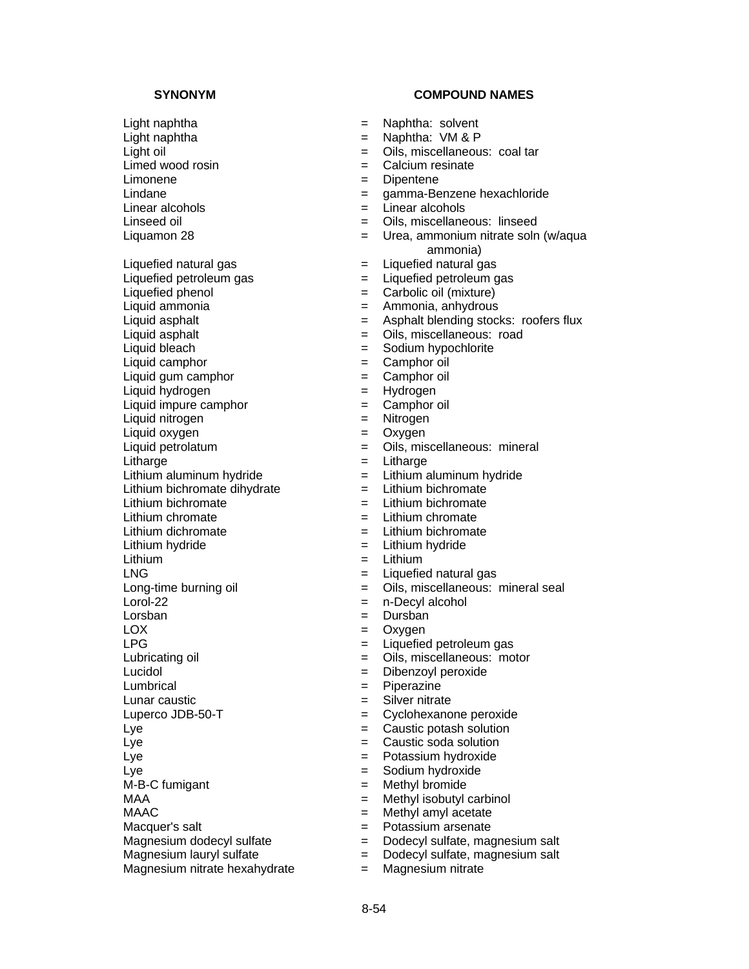Limonene  $\qquad \qquad = \qquad$ Dipentene

Liquefied natural gas  $\qquad \qquad = \qquad$  Liquefied natural gas

Liquid bleach  $=$  Sodium hypochlorite

Liquid camphor<br>
Liquid gum camphor<br>  $=$  Camphor  $=$  Camphor oil

Liquid gum camphor  $=$ 

Liquid hydrogen = Hydrogen Liquid impure camphor  $=$  Camphor oil

Liquid nitrogen = Nitrogen

Liquid oxygen = Oxygen

Lumbrical = Piperazine

- Light naphtha = Naphtha: solvent
- Light naphtha  $\qquad \qquad =$  Naphtha: VM & P
- Light oil = Oils, miscellaneous: coal tar
- Limed wood rosin  $=$  Calcium resinate
	-
- Lindane = gamma-Benzene hexachloride
- $Linear \, alcohols$   $=$  Linear alcohols
- Linseed oil **Linseed oil Example 2** Cils, miscellaneous: linseed
- Liquamon 28 **Example 28** = Urea, ammonium nitrate soln (w/aqua ammonia)
	-
- $Liauefied$  petroleum gas  $\qquad \qquad = \qquad Liauefied$  petroleum gas
- Liquefied phenol  $=$  Carbolic oil (mixture)
- Liquid ammonia = Ammonia, anhydrous
- Liquid asphalt  $=$  Asphalt blending stocks: roofers flux
- Liquid asphalt  $=$  Oils, miscellaneous: road
	-
	-
	-
	-
	-
	-
	-
	- = Oils, miscellaneous: mineral
- Litharge  $=$  Litharge  $=$  Litharge
- Lithium aluminum hydride  $=$  Lithium aluminum hydride
- Lithium bichromate dihydrate  $=$  Lithium bichromate
- Lithium bichromate  $=$  Lithium bichromate
- Lithium chromate  $=$  Lithium chromate
- Lithium dichromate  $=$  Lithium bichromate
- Lithium hydride  $=$  Lithium hydride
- Lithium = Lithium
- LNG  $=$  Liquefied natural gas
- Long-time burning oil  $\qquad \qquad = \qquad$  Oils, miscellaneous: mineral seal
- Lorol-22 = n-Decyl alcohol
- Lorsban = Dursban = Dursban
- LOX  $=$  Oxygen
- LPG  $\qquad \qquad = \qquad$  Liquefied petroleum gas
- Lubricating oil  $\qquad \qquad = \qquad$  Oils, miscellaneous: motor
- Lucidol = Dibenzoyl peroxide
	-
- Lunar caustic  $\qquad \qquad = \qquad$ Silver nitrate
- Luperco JDB-50-T = Cyclohexanone peroxide
- $Lye$   $=$   $Caustic$  potash solution
- Lye **Latter Caustic soda solution**
- Lye **Example 2** Potassium hydroxide
- Lye **Example 2018** Sodium hydroxide
- $M-B-C$  fumigant  $=$  Methyl bromide
- MAA = Methyl isobutyl carbinol
- $MAAC$   $=$  Methyl amyl acetate
	-
- Macquer's salt = Potassium arsenate = Dodecyl sulfate, magnesium salt
- Magnesium lauryl sulfate  $\qquad \qquad = \qquad$  Dodecyl sulfate, magnesium salt
- Magnesium nitrate hexahydrate  $=$  Magnesium nitrate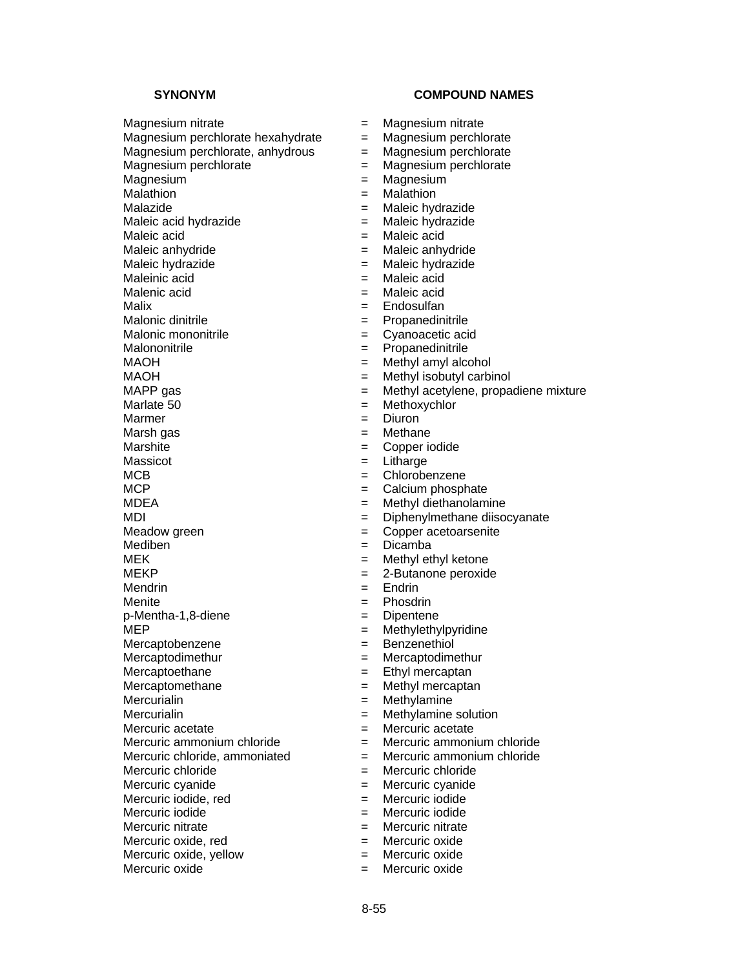Magnesium nitrate = Magnesium nitrate Magnesium perchlorate hexahydrate  $=$  Magnesium perchlorate Magnesium perchlorate, anhydrous  $\equiv$  Magnesium perchlorate Magnesium perchlorate = Magnesium perchlorate Magnesium  $\blacksquare$  Magnesium Malathion  $=$  Malathion Malazide = Maleic hydrazide = Maleic hydrazide = Maleic hydrazide = Maleic hydrazide Maleic acid hydrazide  $=$ Maleic acid  $=$  Maleic acid Maleic anhydride  $\begin{array}{ccc} \text{Maleic anhydride} \\ \text{Maleic hydrazide} \end{array}$  = Maleic hydrazide Maleic hydrazide  $=$ Maleinic acid  $=$  Maleic acid Malenic acid = Maleic acid

Malix  $=$  Endosulfan Malonic dinitrile  $\blacksquare$ Malonic mononitrile  $\qquad \qquad = \qquad$ Cyanoacetic acid Malononitrile  $\qquad \qquad \qquad = \qquad$ Propanedinitrile MAOH = Methyl amyl alcohol<br>MAOH = Methyl isobutyl carbi MAOH = Methyl isobutyl carbinol<br>MAPP gas = Methyl acetylene, propa MAPP gas<br>  $M =$ Methyl acetylene, propadiene mixture<br>  $M = M$ ethoxychlor  $M$ armer  $=$ Marsh gas  $=$  Methane Marshite = Copper iodide Massicot = Litharge MCB = Chlorobenzene  $MCP$   $=$  Calcium phosphate

Mediben = Dicamba MEK = Methyl ethyl ketone Mendrin = Endrin = Endrin

p-Mentha-1,8-diene = Dipentene

Mercuric iodide, red  $=$  Mercuric iodide

Mercuric oxide, red = Mercuric oxide

Mercuric oxide, yellow  $=$  Mercuric oxide

- 
- 
- 
- 
- 
- 
- 
- 
- 
- 
- 
- 
- 
- 
- 
- 
- 
- 
- 
- 
- 
- $=$  Methoxychlor<br> $=$  Diuron
- 
- 
- 
- 
- 
- MDEA = Methyl diethanolamine
- MDI = Diphenylmethane diisocyanate
- Meadow green  $\qquad \qquad = \qquad \text{Copper acceleration}$ 
	-
	-
- MEKP = 2-Butanone peroxide
	-
- Menite = Phosdrin
	-
- $MEP$  = Methylethylpyridine
- Mercaptobenzene = Benzenethiol
- Mercaptodimethur = Mercaptodimethur
	-
- Mercaptoethane = Ethyl mercaptan<br>
Mercaptomethane = Methyl mercapta  $=$  Methyl mercaptan
- Mercurialin = Methylamine
- Mercurialin = Methylamine solution
- Mercuric acetate  $=$  Mercuric acetate
- Mercuric ammonium chloride  $=$  Mercuric ammonium chloride
- Mercuric chloride, ammoniated  $\qquad \qquad = \qquad$  Mercuric ammonium chloride
- Mercuric chloride  $=$  Mercuric chloride
- Mercuric cyanide  $\qquad \qquad = \qquad$  Mercuric cyanide
	-
- Mercuric iodide = Mercuric iodide
- Mercuric nitrate  $\qquad \qquad = \qquad$  Mercuric nitrate
	-
	-
- Mercuric oxide  $=$  Mercuric oxide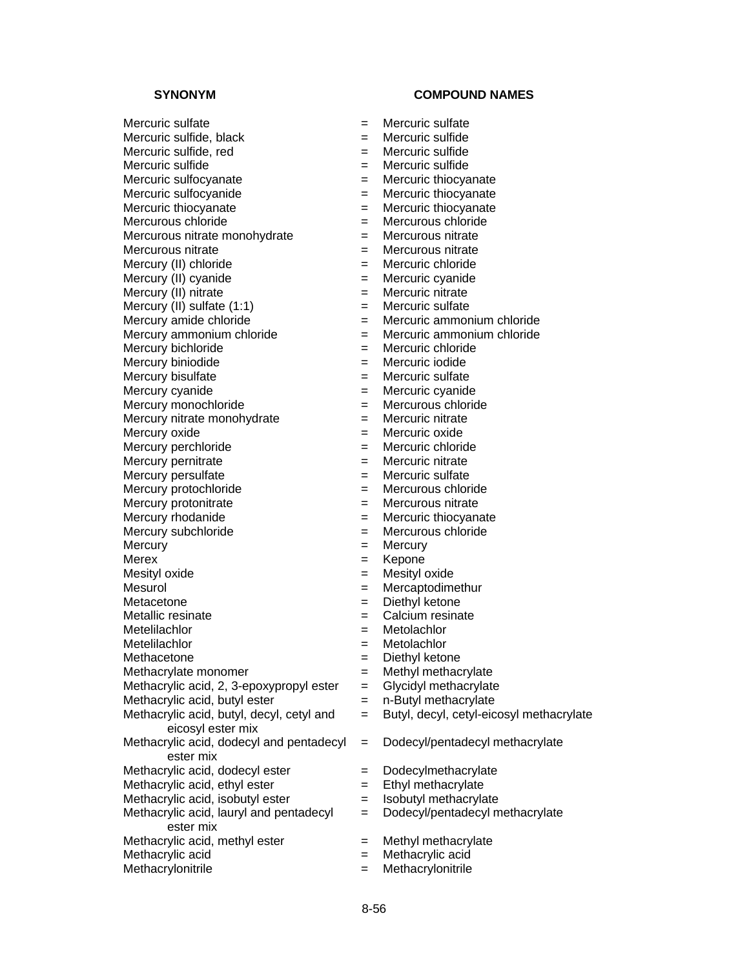| $=$ | Mercuric sulfate                                                                                                                                                                                                                                      |
|-----|-------------------------------------------------------------------------------------------------------------------------------------------------------------------------------------------------------------------------------------------------------|
| $=$ | Mercuric sulfide                                                                                                                                                                                                                                      |
| $=$ | Mercuric sulfide                                                                                                                                                                                                                                      |
| $=$ | Mercuric sulfide                                                                                                                                                                                                                                      |
| $=$ | Mercuric thiocyanate                                                                                                                                                                                                                                  |
|     | Mercuric thiocyanate                                                                                                                                                                                                                                  |
|     | Mercuric thiocyanate                                                                                                                                                                                                                                  |
|     | Mercurous chloride                                                                                                                                                                                                                                    |
|     | Mercurous nitrate                                                                                                                                                                                                                                     |
|     | Mercurous nitrate                                                                                                                                                                                                                                     |
|     | Mercuric chloride                                                                                                                                                                                                                                     |
|     | Mercuric cyanide                                                                                                                                                                                                                                      |
|     | Mercuric nitrate                                                                                                                                                                                                                                      |
|     | Mercuric sulfate                                                                                                                                                                                                                                      |
|     | Mercuric ammonium                                                                                                                                                                                                                                     |
|     | Mercuric ammonium                                                                                                                                                                                                                                     |
|     | Mercuric chloride                                                                                                                                                                                                                                     |
|     | Mercuric iodide                                                                                                                                                                                                                                       |
|     | Mercuric sulfate                                                                                                                                                                                                                                      |
|     | Mercuric cyanide                                                                                                                                                                                                                                      |
|     | Mercurous chloride                                                                                                                                                                                                                                    |
|     | Mercuric nitrate                                                                                                                                                                                                                                      |
|     | Mercuric oxide                                                                                                                                                                                                                                        |
|     | Mercuric chloride                                                                                                                                                                                                                                     |
|     | Mercuric nitrate                                                                                                                                                                                                                                      |
|     | Mercuric sulfate                                                                                                                                                                                                                                      |
|     | Mercurous chloride                                                                                                                                                                                                                                    |
|     | Mercurous nitrate                                                                                                                                                                                                                                     |
|     |                                                                                                                                                                                                                                                       |
|     | Mercuric thiocyanate<br>Mercurous chloride                                                                                                                                                                                                            |
|     |                                                                                                                                                                                                                                                       |
|     | Mercury                                                                                                                                                                                                                                               |
|     | Kepone                                                                                                                                                                                                                                                |
|     | Mesityl oxide                                                                                                                                                                                                                                         |
|     | Mercaptodimethur                                                                                                                                                                                                                                      |
|     | Diethyl ketone                                                                                                                                                                                                                                        |
|     | Calcium resinate                                                                                                                                                                                                                                      |
|     | Metolachlor                                                                                                                                                                                                                                           |
|     | Metolachlor                                                                                                                                                                                                                                           |
|     | Diethyl ketone                                                                                                                                                                                                                                        |
|     | Methyl methacrylate                                                                                                                                                                                                                                   |
|     | Glycidyl methacrylate                                                                                                                                                                                                                                 |
|     | n-Butyl methacrylate                                                                                                                                                                                                                                  |
|     | Butyl, decyl, cetyl-eic                                                                                                                                                                                                                               |
|     |                                                                                                                                                                                                                                                       |
| $=$ | Dodecyl/pentadecyl n                                                                                                                                                                                                                                  |
| $=$ | Dodecylmethacrylate                                                                                                                                                                                                                                   |
| Ξ   | Ethyl methacrylate                                                                                                                                                                                                                                    |
| $=$ | Isobutyl methacrylate                                                                                                                                                                                                                                 |
| $=$ | Dodecyl/pentadecyl n                                                                                                                                                                                                                                  |
|     |                                                                                                                                                                                                                                                       |
|     |                                                                                                                                                                                                                                                       |
| $=$ | Methyl methacrylate                                                                                                                                                                                                                                   |
| $=$ | Methacrylic acid                                                                                                                                                                                                                                      |
|     | $=$<br>$=$<br>=<br>$=$<br>$=$<br>$=$<br>$=$<br>$=$<br>$=$<br>$=$<br>$=$<br>$=$<br>$=$<br>$=$<br>Ξ<br>$=$<br>$=$<br>$=$<br>$=$<br>$=$<br>$=$<br>$=$<br>$=$<br>$=$<br>$=$<br>$=$<br>=<br>$=$<br>$=$<br>$=$<br>$=$<br>$=$<br>$=$<br>$=$<br>$=$<br>=<br>= |

- 
- 
- 
- 
- um chloride
- um chloride
- 
- 
- 
- 
- 
- 
- 
- 
- 
- eicosyl methacrylate
- cyl methacrylate
- 
- 
- 
- cyl methacrylate
- 
-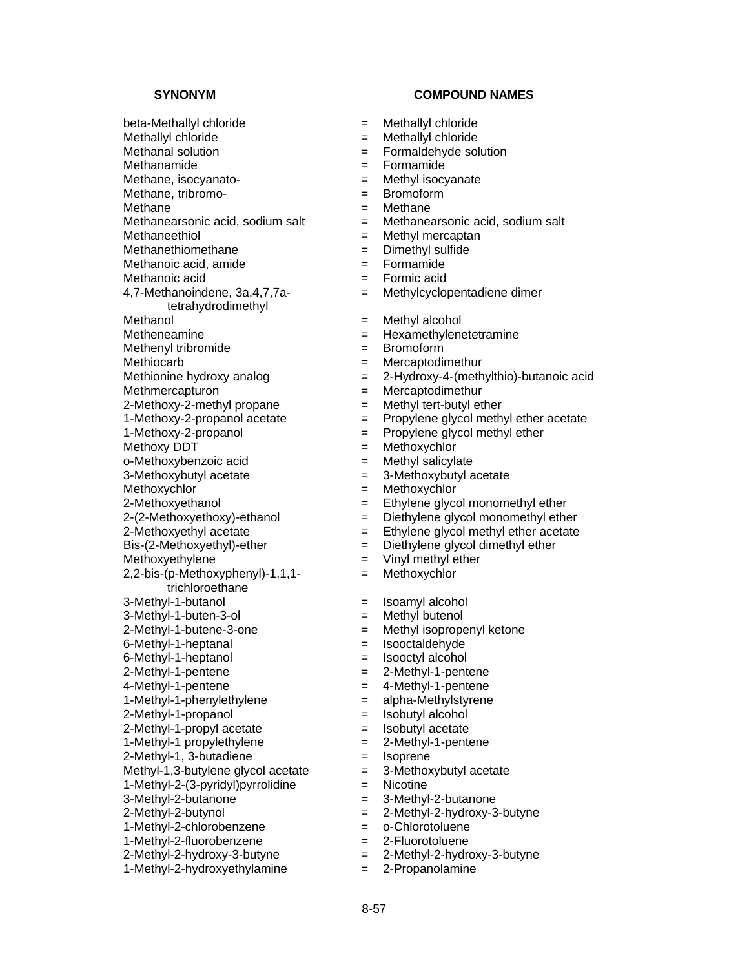beta-Methallyl chloride = Methallyl chloride

Methanamide  $=$  Formamide

Methane, isocyanato-<br>  $=$  Methyl isocyanate

Methane  $=$  Methane<br>Methanearsonic acid. sodium salt  $=$  Methanearsonic acid.

Methaneethiol = Methyl mercaptan<br>
Methanethiomethane = Dimethyl sulfide

Methanethiomethane  $\begin{array}{ccc} \text{Method 1:} & \text{Method 2:} \\ \text{Method 3:} & \text{Method 3:} \\ \text{Method 4:} & \text{Method 5:} \\ \end{array}$ 

Methanoic acid, amide

4,7-Methanoindene, 3a,4,7,7atetrahydrodimethyl

Methiocarb = Mercaptodimethur<br>Methionine hydroxy analog = 2-Hydroxy-4-(meth

Methmercapturon = Mercaptodimethur

2-Methoxy-2-methyl propane  $\begin{aligned}\n &= \text{Methyl tert}-\text{butyl ether} \\
 &= \text{Propylene glycol meth}\n\end{aligned}$ 

Methoxy DDT = Methoxychlor

2,2-bis-(p-Methoxyphenyl)-1,1,1-

trichloroethane

1-Methyl-1-phenylethylene = alpha-Methylstyrene

2-Methyl-1-propanol = Isobutyl alcohol

 $2-Methyl-1-propvl acetate$  = Isobutyl acetate

2-Methyl-1, 3-butadiene = Isoprene

Methyl-1,3-butylene glycol acetate  $=$ 

1-Methyl-2-(3-pyridyl)pyrrolidine = Nicotine

2-Methyl-2-hydroxy-3-butyne = 2-Methyl-2-hydroxy-3-butyne

1-Methyl-2-hydroxyethylamine  $= 2$ -Propanolamine

**SYNONYM COMPOUND NAMES** 

- 
- Methallyl chloride  $=$  Methallyl chloride
- Methanal solution  $=$  Formaldehyde solution

- 
- Methane, tribromo-<br>  $=$  Bromoform
	-
	- Methanearsonic acid, sodium salt = Methanearsonic acid, sodium salt
	-
	-
	-
- Methanoic acid  $=$  Formic acid
	- = Methylcyclopentadiene dimer
	-
- Methanol = Methyl alcohol<br>Metheneamine = Mexamethylene  $=$  Hexamethylenetetramine
- Methenyl tribromide  $=$  Bromoform
	-
	- $= 2-Hydroxy-4-(methylthio)-butanoic acid$
	-
	-
	- Propylene glycol methyl ether acetate
- 1-Methoxy-2-propanol = Propylene glycol methyl ether
	-
- $o$ -Methoxybenzoic acid  $\qquad \qquad = \qquad$  Methyl salicylate
- 3-Methoxybutyl acetate  $\qquad \qquad = \qquad 3$ -Methoxybutyl acetate
- Methoxychlor = Methoxychlor
- $2$ -Methoxyethanol  $=$  Ethylene glycol monomethyl ether
- $2-(2-Methoxyethoxy)-ethanol$  = Diethylene glycol monomethyl ether
- $2$ -Methoxyethyl acetate  $=$  Ethylene glycol methyl ether acetate
- Bis-(2-Methoxyethyl)-ether = Diethylene glycol dimethyl ether
- Methoxyethylene  $=$  Vinyl methyl ether
	- = Methoxychlor
- 3-Methyl-1-butanol = Isoamyl alcohol
- 3-Methyl-1-buten-3-ol = Methyl butenol
- 2-Methyl-1-butene-3-one = Methyl isopropenyl ketone
- 6-Methyl-1-heptanal = Isooctaldehyde
- 6-Methyl-1-heptanol = Isooctyl alcohol
- 2-Methyl-1-pentene = 2-Methyl-1-pentene<br>4-Methyl-1-pentene = 4-Methyl-1-pentene
	- 4-Methyl-1-pentene = 4-Methyl-1-pentene
	-
	-
	-
- $1-Methyl-1$  propylethylene  $= 2-Methyl-1-pentene$ 
	-
	-
	-

- 3-Methyl-2-butanone = 3-Methyl-2-butanone
- 2-Methyl-2-butynol = 2-Methyl-2-hydroxy-3-butyne
- 1-Methyl-2-chlorobenzene = o-Chlorotoluene
- 1-Methyl-2-fluorobenzene = 2-Fluorotoluene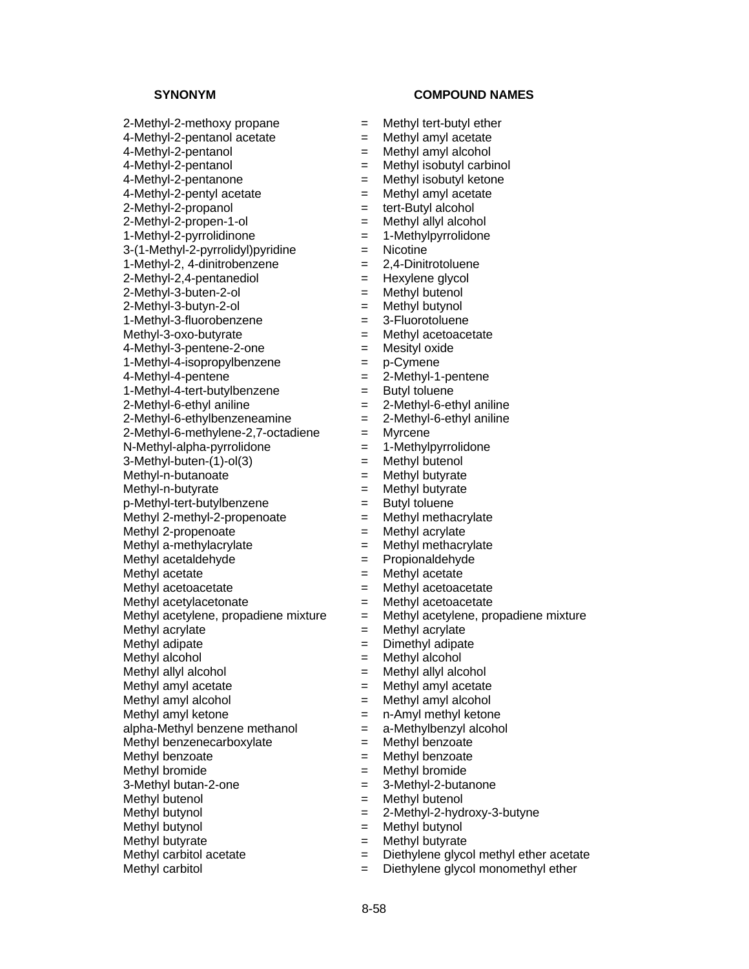$2$ -Methyl-2-methoxy propane  $=$  Methyl tert-butyl ether  $4$ -Methyl-2-pentanol acetate  $=$  Methyl amyl acetate 4-Methyl-2-pentanol = Methyl amyl alcohol 4-Methyl-2-pentanol = Methyl isobutyl carbinol 4-Methyl-2-pentanone = Methyl isobutyl ketone  $4-Methyl-2-pentyl acetate$  = Methyl amyl acetate 2-Methyl-2-propanol = tert-Butyl alcohol  $2$ -Methyl-2-propen-1-ol  $=$  Methyl allyl alcohol 1-Methyl-2-pyrrolidinone = 1-Methylpyrrolidone<br>3-(1-Methyl-2-pyrrolidyl)pyridine = = Nicotine  $3-(1-Methyl-2-pyrrolidyl)pyridine$  = Nicotine<br>1-Methvl-2, 4-dinitrobenzene = 2,4-Dinitrotoluene  $1-Methyl-2, 4-dinitrobenzene$  $2-Methyl-2,4-pentanediol$  = Hexylene glycol 2-Methyl-3-buten-2-ol = Methyl butenol 2-Methyl-3-butyn-2-ol = Methyl butynol 1-Methyl-3-fluorobenzene = 3-Fluorotoluene Methyl-3-oxo-butyrate  $=$  Methyl acetoacetate 4-Methyl-3-pentene-2-one = Mesityl oxide 1-Methyl-4-isopropylbenzene = p-Cymene<br>4-Methyl-4-pentene = 2-Methyl-1 1-Methyl-4-tert-butylbenzene = Butyl toluene 2-Methyl-6-ethyl aniline  $\begin{array}{rcl} 2\text{-Methyl-6-ethyl antline} \\ \text{-Methyl-6-ethylbenzeneamine} & = & 2\text{-Methyl-6-ethyl antline} \end{array}$  $2$ -Methyl-6-ethylbenzeneamine  $=$  $2-Methyl-6-methylene-2.7-octadiene = Myrcene$ N-Methyl-alpha-pyrrolidone = 1-Methylpyrrolidone 3-Methyl-buten-(1)-ol(3) = Methyl butenol  $Methyl-n-butanoate$  = Methyl butyrate  $M$ ethyl-n-butyrate  $M$  = Methyl butyrate p-Methyl-tert-butylbenzene = Butyl toluene Methyl 2-methyl-2-propenoate  $=$  Methyl methacrylate Methyl 2-propenoate  $=$  Methyl acrylate Methyl a-methylacrylate  $=$  Methyl methacrylate Methyl acetaldehyde = Propionaldehyde Methyl acetate  $=$  Methyl acetate Methyl acetoacetate  $\qquad \qquad = \qquad$  Methyl acetoacetate Methyl acetylacetonate  $=$  Methyl acetoacetate<br>Methyl acetylene, propadiene mixture  $=$  Methyl acetylene, propadiene mixture Methyl acetylene, propadiene mixture  $=$ Methyl acrylate  $=$  Methyl acrylate Methyl adipate  $=$  Dimethyl adipate Methyl alcohol  $=$  Methyl alcohol Methyl allyl alcohol  $=$  Methyl allyl alcohol Methyl amyl acetate  $=$  Methyl amyl acetate Methyl amyl alcohol  $=$  Methyl amyl alcohol Methyl amyl ketone  $=$  n-Amyl methyl ketone alpha-Methyl benzene methanol  $=$  a-Methylbenzyl alcohol Methyl benzenecarboxylate  $=$  Methyl benzoate Methyl benzoate  $=$  Methyl benzoate Methyl bromide  $=$  Methyl bromide 3-Methyl butan-2-one = 3-Methyl-2-butanone Methyl butenol  $=$  Methyl butenol Methyl butynol  $= 2$ -Methyl-2-hydroxy-3-butyne Methyl butynol = Methyl butynol Methyl butyrate  $=$  Methyl butyrate

- 
- 
- 
- 
- 
- 
- 
- 
- 
- 
- 
- 
- 
- 
- 
- 
- 
- 
- 4-Methyl-4-pentene = 2-Methyl-1-pentene
- 
- 
- 
- 
- 
- 
- 
- 
- 
- 
- 
- 
- 
- 
- 
- 
- 
- 
- 
- 
- 
- 
- 
- 
- 
- 
- 
- 
- 
- 
- 
- 
- 
- Methyl carbitol acetate  $=$  Diethylene glycol methyl ether acetate
- Methyl carbitol  $=$  Diethylene glycol monomethyl ether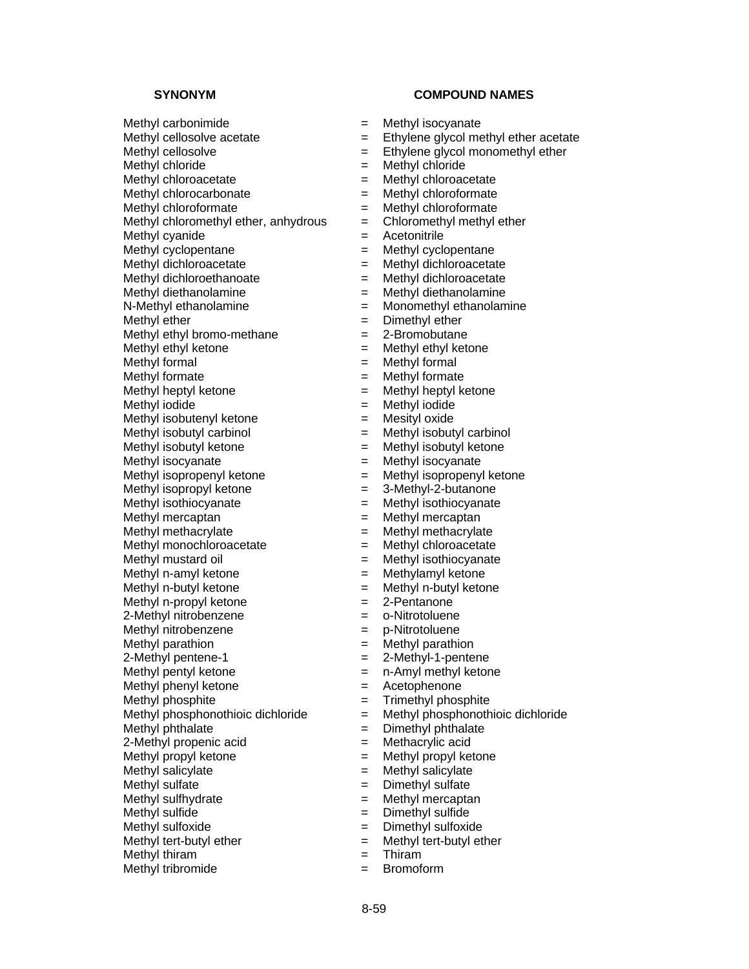- 
- 
- 
- 
- 
- 
- 
- 
- Methyl cyanide  $=$  Acetonitrile
- 
- 
- Methyl dichloroethanoate = Methyl dichloroacetate
- Methyl diethanolamine  $=$  Methyl diethanolamine
- N-Methyl ethanolamine = Monomethyl ethanolamine
- Methyl ether  $=$  Dimethyl ether
- Methyl ethyl bromo-methane  $= 2$ -Bromobutane
- Methyl ethyl ketone  $=$  Methyl ethyl ketone
- 
- 
- Methyl heptyl ketone = Methyl heptyl ketone
- Methyl iodide  $=$  Methyl iodide
- Methyl isobutenyl ketone  $\qquad \qquad = \qquad$  Mesityl oxide
- 
- 
- 
- 
- 
- 
- 
- 
- 
- 
- 
- 
- Methyl n-propyl ketone  $= 2$ -Pentanone
- 2-Methyl nitrobenzene = o-Nitrotoluene
- Methyl nitrobenzene  $\qquad \qquad = \qquad$  p-Nitrotoluene
- Methyl parathion  $=$  Methyl parathion
- 
- 
- 
- 
- 
- Methyl phthalate  $=$  Dimethyl phthalate
- 2-Methyl propenic acid = Methacrylic acid
- $M$ ethyl propyl ketone  $M$  = Methyl propyl ketone
- Methyl salicylate  $=$  Methyl salicylate
- Methyl sulfate  $\qquad \qquad = \qquad$  Dimethyl sulfate
- Methyl sulfhydrate  $=$  Methyl mercaptan
- Methyl sulfide = Dimethyl sulfide
- Methyl sulfoxide  $=$  Dimethyl sulfoxide
- Methyl tert-butyl ether  $=$  Methyl tert-butyl ether
- Methyl thiram  $=$  Thiram
- Methyl tribromide  $=$  Bromoform

# **SYNONYM COMPOUND NAMES**

- Methyl carbonimide  $=$  Methyl isocyanate
- Methyl cellosolve acetate  $=$  Ethylene glycol methyl ether acetate
- Methyl cellosolve  $=$  Ethylene glycol monomethyl ether
- Methyl chloride  $=$  Methyl chloride
- Methyl chloroacetate  $=$  Methyl chloroacetate
- Methyl chlorocarbonate  $=$  Methyl chloroformate
- Methyl chloroformate  $=$  Methyl chloroformate
- Methyl chloromethyl ether, anhydrous  $=$  Chloromethyl methyl ether
	-
- Methyl cyclopentane  $=$  Methyl cyclopentane
- Methyl dichloroacetate  $=$  Methyl dichloroacetate
	-
	-
	-
	-
	-
	-
	-
- Methyl formal  $=$  Methyl formal  $=$  Methyl formate  $=$  Methyl formate Methyl formate = Methyl formate
	-
	-
	-
	-
- Methyl isobutyl carbinol  $=$  Methyl isobutyl carbinol
- Methyl isobutyl ketone  $=$  Methyl isobutyl ketone
- Methyl isocyanate  $=$  Methyl isocyanate
- Methyl isopropenyl ketone  $=$  Methyl isopropenyl ketone
- Methyl isopropyl ketone  $=$  3-Methyl-2-butanone
- Methyl isothiocyanate  $=$  Methyl isothiocyanate
- Methyl mercaptan  $=$  Methyl mercaptan
- Methyl methacrylate  $=$  Methyl methacrylate
- Methyl monochloroacetate = Methyl chloroacetate
- Methyl mustard oil  $=$  Methyl isothiocyanate
- Methyl n-amyl ketone  $=$  Methylamyl ketone
- Methyl n-butyl ketone  $=$  Methyl n-butyl ketone
	-
	-
	-
	-
- 2-Methyl pentene-1 = 2-Methyl-1-pentene
- Methyl pentyl ketone  $\qquad \qquad = \qquad n$ -Amyl methyl ketone
- Methyl phenyl ketone = Acetophenone

- Methyl phosphite  $=$  Trimethyl phosphite
- Methyl phosphonothioic dichloride = Methyl phosphonothioic dichloride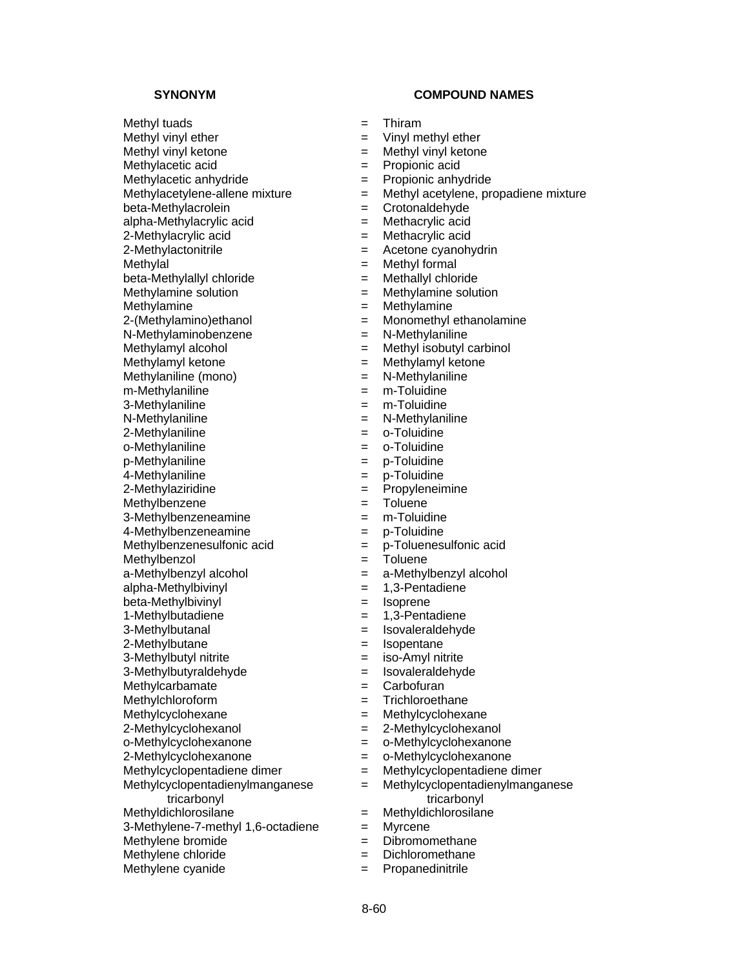Methylacetic acid  $=$  Propionic acid

beta-Methylallyl chloride = Methallyl chloride

N-Methylaminobenzene = N-Methylaniline

Methylaniline (mono) = N-Methylaniline =

 $m$ -Methylaniline  $m - M$ ethylaniline  $m - M$ ethylaniline

3-Methylaniline = m-Toluidine

N-Methylaniline = N-Methylaniline

2-Methylaniline = o-Toluidine

4-Methylaniline = p-Toluidine

2-Methylaziridine = Propyleneimine

Methylbenzene  $=$  Toluene

 $3-Methylbenzeneamine$  = m-Toluidine

4-Methylbenzeneamine = p-Toluidine

Methylbenzol = Toluene

alpha-Methylbivinyl = 1,3-Pentadiene

beta-Methylbivinyl = Isoprene

Methylcyclopentadienylmanganese tricarbonyl

3-Methylene-7-methyl 1,6-octadiene = Myrcene<br>Methylene bromide = Dibromomethane

Methylene bromide  $=$ 

# **SYNONYM COMPOUND NAMES**

Methyl tuads  $=$  Thiram

Methyl vinyl ether  $=$  Vinyl methyl ether

Methyl vinyl ketone = Methyl vinyl ketone

- Methylacetic anhydride  $=$  Propionic anhydride
- Methylacetylene-allene mixture  $=$  Methyl acetylene, propadiene mixture
- beta-Methylacrolein = Crotonaldehyde
- alpha-Methylacrylic acid = Methacrylic acid
- 2-Methylacrylic acid = Methacrylic acid
- 2-Methylactonitrile  $\qquad \qquad = \qquad$ Acetone cyanohydrin
- $M$ ethylal  $=$  Methyl formal
	-
- Methylamine solution  $=$  Methylamine solution
- Methylamine  $=$  Methylamine
- 2-(Methylamino)ethanol = Monomethyl ethanolamine
	-
- Methylamyl alcohol  $=$  Methyl isobutyl carbinol
	-
- Methylamyl ketone<br>
Methylaniline (mono)<br>  $\begin{aligned}\n&= \quad \text{Methylaniline} \\
&= \quad \text{N-Methylaniline}\n\end{aligned}$

- 
- 
- 
- o-Methylaniline  $-$  o-Toluidine
	-
- p-Methylaniline = p-Toluidine
	-
	-
	-
	-
	-
- Methylbenzenesulfonic acid  $=$  p-Toluenesulfonic acid
	-
- a-Methylbenzyl alcohol = a-Methylbenzyl alcohol
	-
	-
- 1-Methylbutadiene = 1,3-Pentadiene
- 3-Methylbutanal = Isovaleraldehyde
- 2-Methylbutane = Isopentane
- 3-Methylbutyl nitrite  $=$  iso-Amyl nitrite
- 3-Methylbutyraldehyde = Isovaleraldehyde
- Methylcarbamate = Carbofuran
- Methylchloroform  $=$  Trichloroethane
- Methylcyclohexane = Methylcyclohexane
- 2-Methylcyclohexanol = 2-Methylcyclohexanol
- o-Methylcyclohexanone = o-Methylcyclohexanone
- 2-Methylcyclohexanone = o-Methylcyclohexanone
- Methylcyclopentadiene dimer = Methylcyclopentadiene dimer
	- = Methylcyclopentadienylmanganese tricarbonyl
- Methyldichlorosilane = Methyldichlorosilane
	-

- 
- Methylene chloride  $=$  Dichloromethane
- Methylene cyanide  $=$  Propanedinitrile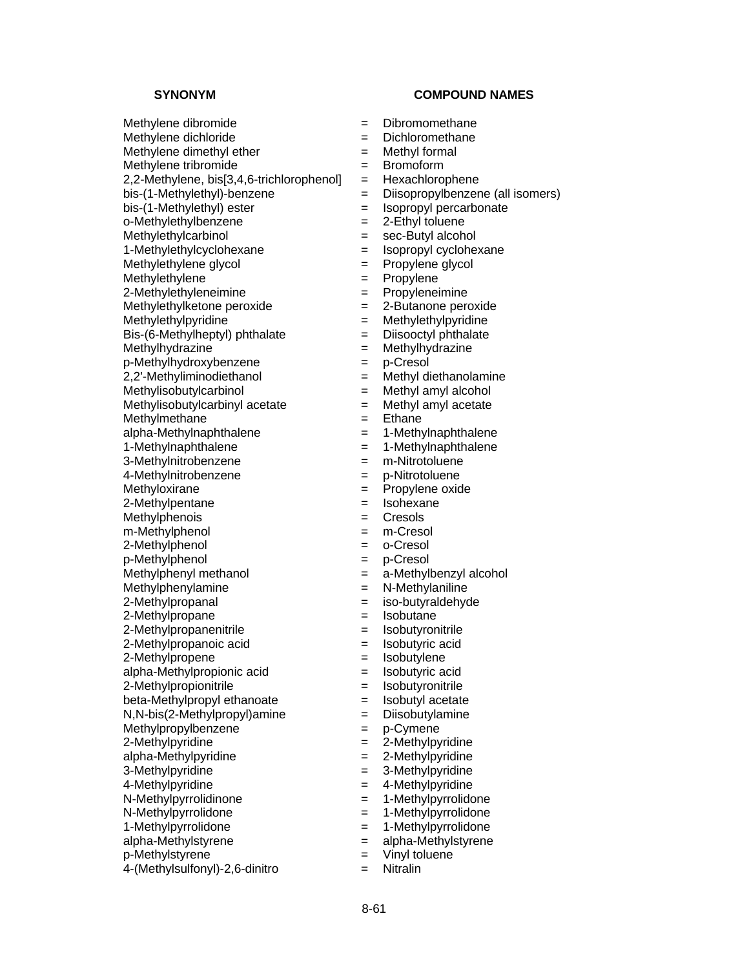Methylene tribromide  $=$  Bromoform

o-Methylethylbenzene = 2000 = 2000 = 2000 = 2000 = 2000 = 2010 = 2010 = 2010 = 2010 = 2010 = 2010 = 2010 = 201

Methylethylene = Propylene

2-Methylethyleneimine = Propyleneimine

Methylethylketone peroxide  $= 2$ -Butanone peroxide

Methylethylpyridine  $=$  Methylethylpyridine

 $Bis-(6-Methylheptyl)$  phthalate  $=$  Diisooctyl phthalate

- Methylhydrazine = Methylhydrazine
- p-Methylhydroxybenzene = p-Cresol

 $2,2'$ -Methyliminodiethanol  $=$ 

Methylisobutylcarbinol = Methyl amyl alcohol

Methylisobutylcarbinyl acetate  $=$  Methyl amyl acetate

Methylmethane  $=$  Ethane

Methylphenois = Cresols

m-Methylphenol = m-Cresol

2-Methylphenol = o-Cresol

p-Methylphenol = p-Cresol

2-Methylpropane  $=$  Isobutane

2-Methylpropene  $=$  Isobutylene

 $beta-Methylpropyl ethanoate$  = Isobutyl acetate

 $N,N-bis(2-Methylpropyl)$ amine  $= Diisobuty$ lamine

Methylpropylbenzene = p-Cymene

N-Methylpyrrolidinone = 1-Methylpyrrolidone N-Methylpyrrolidone = 1-Methylpyrrolidone

1-Methylpyrrolidone = 1-Methylpyrrolidone

alpha-Methylstyrene = alpha-Methylstyrene

p-Methylstyrene  $=$  Vinyl toluene

4-(Methylsulfonyl)-2,6-dinitro = Nitralin

# **SYNONYM COMPOUND NAMES**

Methylene dibromide  $\qquad \qquad \qquad = \qquad$  Dibromomethane

- Methylene dichloride  $=$  Dichloromethane
- Methylene dimethyl ether  $=$  Methyl formal

- 2,2-Methylene, bis[3,4,6-trichlorophenol] = Hexachlorophene
- bis-(1-Methylethyl)-benzene = Diisopropylbenzene (all isomers)
- bis-(1-Methylethyl) ester = Isopropyl percarbonate<br>
o-Methylethylbenzene = 2-Ethyl toluene
	-
- Methylethylcarbinol = sec-Butyl alcohol
- 1-Methylethylcyclohexane = Isopropyl cyclohexane
- Methylethylene glycol  $=$  Propylene glycol
	-
	-
	-
	-
	-
	-
	-
	-
	-
	-
	-
- $alpha-MethyInaphthalene$  = 1-Methylnaphthalene
- 1-Methylnaphthalene = 1-Methylnaphthalene
- 3-Methylnitrobenzene = m-Nitrotoluene
- 4-Methylnitrobenzene = p-Nitrotoluene
- Methyloxirane  $=$  Propylene oxide
- 2-Methylpentane  $=$  Isohexane
	-
	-
	-
	-
- Methylphenyl methanol  $=$  a-Methylbenzyl alcohol
- Methylphenylamine = N-Methylaniline
- 2-Methylpropanal = iso-butyraldehyde
	-
- 2-Methylpropanenitrile = sobutyronitrile = lsobutyronitrile
- 2-Methylpropanoic acid = Isobutyric acid
	-
- alpha-Methylpropionic acid = Isobutyric acid
- 2-Methylpropionitrile = sobutyronitrile = lsobutyronitrile
	-
	-
	-

- $2-Methv$  =  $2-Methv$  =  $2-Methv$
- alpha-Methylpyridine = 2-Methylpyridine
- $3-Methylpyridine$   $=$   $3-Methylpyridine$
- 4-Methylpyridine = 4-Methylpyridine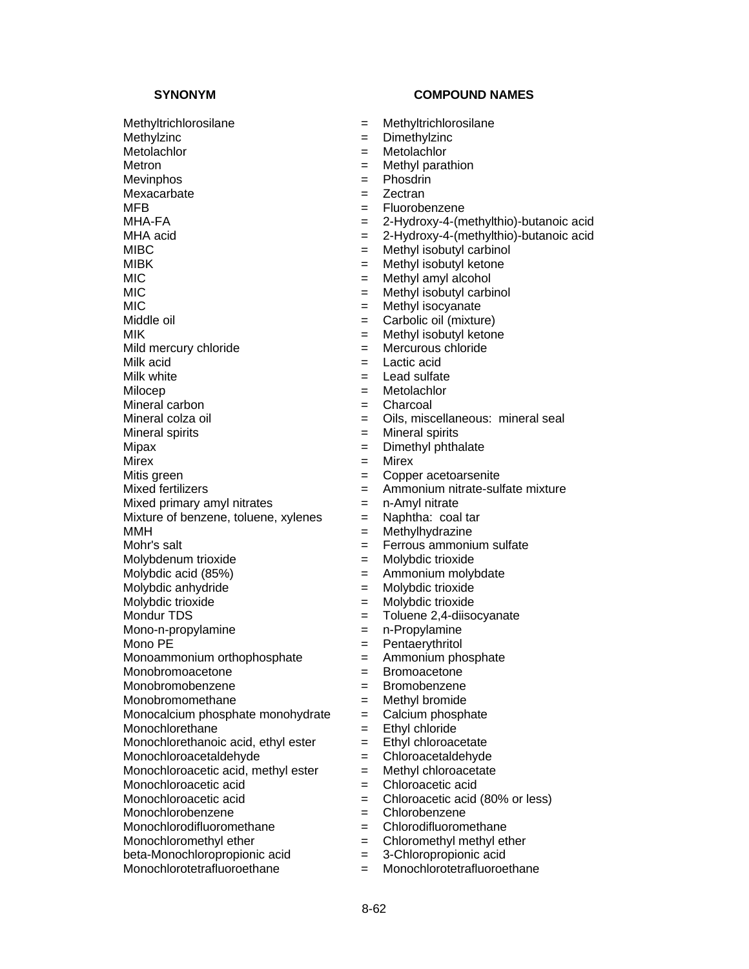Methyltrichlorosilane = Methyltrichlorosilane Methylzinc = Dimethylzinc Metolachlor = Metolachlor Metron = Methyl parathion Mevinphos = Phosdrin Mexacarbate  $=$  Zectran  $MFB$  = Fluorobenzene<br> $MHA-FA$  = 2-Hvdroxv-4-(m MIBC = Methyl isobutyl carbinol<br>
MIBK = Methyl isobutyl ketone  $MIC$  = Methyl amyl alcohol MIC = Methyl isobutyl carbinol MIC = Methyl isocyanate Middle oil  $=$  Carbolic oil (mixture) MIK = Methyl isobutyl ketone Mild mercury chloride  $=$  Mercurous chloride  $M$ ilk acid<br> $M$ ilk white  $M$  and  $M$  and  $M$  and  $M$  actic acid Milocep = Metolachlor Mineral carbon  $\blacksquare$  Charcoal  $\blacksquare$  Charcoal  $\blacksquare$  Oils. misc Mineral spirits  $\qquad \qquad \qquad = \qquad$ Mineral spirits Mipax = Dimethyl phthalate<br>Mirex = Mirex = Mirex Mirex = Mirex Mitis green  $\qquad \qquad = \qquad \qquad \text{Copper acetoarsenite}$ Mixed fertilizers  $=$  Ammonium nitrate-sulfate mixture Mixed primary amyl nitrates  $=$  n-Amyl nitrate Mixture of benzene, toluene, xylenes  $=$  Naphtha: coal tar MMH = Methylhydrazine Mohr's salt  $\qquad \qquad = \qquad$  Ferrous ammonium sulfate Molybdenum trioxide = Molybdic trioxide Molybdic acid  $(85%)$   $=$  Ammonium molybdate Molybdic anhydride  $=$  Molybdic trioxide Molybdic trioxide  $=$  Molybdic trioxide Mondur TDS  $=$  Toluene 2,4-diisocyanate Mono-n-propylamine  $\blacksquare$  n-Propylamine Mono PE = Pentaerythritol Monoammonium orthophosphate = Ammonium phosphate Monobromoacetone = Bromoacetone Monobromobenzene = Bromobenzene Monobromomethane = Methyl bromide Monocalcium phosphate monohydrate  $=$  Calcium phosphate Monochlorethane  $=$  Ethyl chloride Monochlorethanoic acid, ethyl ester  $=$  Ethyl chloroacetate Monochloroacetaldehyde = Chloroacetaldehyde Monochloroacetic acid, methyl ester  $=$  Methyl chloroacetate Monochloroacetic acid = Chloroacetic acid Monochloroacetic acid  $=$  Chloroacetic acid (80% or less) Monochlorobenzene = Chlorobenzene Monochlorodifluoromethane = Chlorodifluoromethane Monochloromethyl ether  $=$  Chloromethyl methyl ether beta-Monochloropropionic acid = 3-Chloropropionic acid Monochlorotetrafluoroethane = Monochlorotetrafluoroethane

- 
- 
- 
- 
- 
- 
- 
- $=$  2-Hydroxy-4-(methylthio)-butanoic acid
- MHA acid  $= 2$ -Hydroxy-4-(methylthio)-butanoic acid
	-
	- $=$  Methyl isobutyl ketone
	-
	-
	-
	-
	-
	-
	-
	- $=$  Lead sulfate
	-
	-
	- = Oils, miscellaneous: mineral seal
	-
	-
	-
	-
	-
	-
	-
	-
	-
	-
	-
	-
	-
	-
	-
	-
	-
	-
	-
	-
	-
	-
	-
	-
	-
	-
	-
	-
	-
	-
	-
	-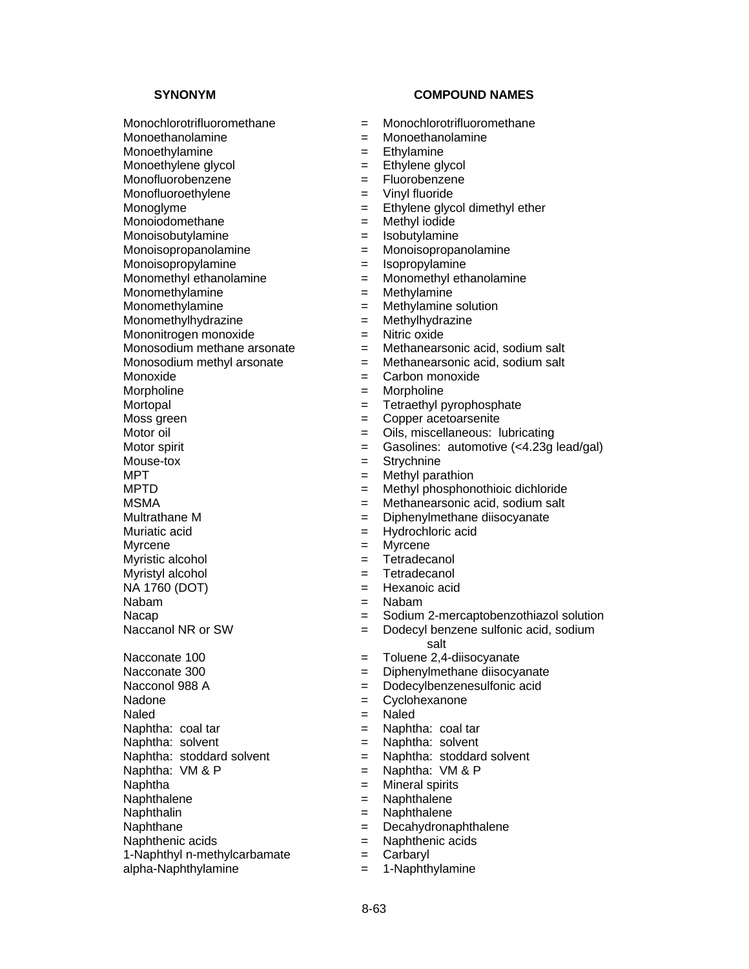Monoiodomethane =  $\blacksquare$ 

Monoisobutylamine  $\qquad \qquad \qquad = \qquad$ Isobutylamine

Monoisopropylamine = lsopropylamine

Mononitrogen monoxide = Nitric oxide

Nadone = Cyclohexanone

Naled = Naled

Naphthenic acids = Naphthenic acids = Naphthenic acids = Naphthenic acids = Naphthenic acids = Naphthenic acids = Naphthenic acids = Naphthenic acids = Naphthenic acids = Naphthenic acids = Naphthenic acids = Naphthenic ac

- Monochlorotrifluoromethane = Monochlorotrifluoromethane
- Monoethanolamine = Monoethanolamine
- Monoethylamine  $=$  Ethylamine
- Monoethylene glycol  $=$  Ethylene glycol
- Monofluorobenzene = Fluorobenzene
- Monofluoroethylene = Vinyl fluoride
- Monoglyme = Ethylene glycol dimethyl ether<br>
Monoiodomethane = ethyl iodide = Methyl iodide
	-
	-
- Monoisopropanolamine = Monoisopropanolamine
	-
- Monomethyl ethanolamine = Monomethyl ethanolamine
- Monomethylamine = Methylamine
- Monomethylamine = Methylamine solution
- Monomethylhydrazine = Methylhydrazine
	-
- Monosodium methane arsonate  $=$  Methanearsonic acid, sodium salt
- Monosodium methyl arsonate  $=$  Methanearsonic acid, sodium salt
- Monoxide  $=$  Carbon monoxide
- Morpholine = Morpholine
- Mortopal = Tetraethyl pyrophosphate
- $M$ oss green  $=$  Copper acetoarsenite
- Motor oil **Example 2** Oils, miscellaneous: lubricating
- Motor spirit  $=$  Gasolines: automotive  $\left\langle \langle 4.23g \rangle \right\rangle$  lead/gal)
- Mouse-tox = Strychnine
- $MPT$  = Methyl parathion
- MPTD  $=$  Methyl phosphonothioic dichloride
- MSMA = Methanearsonic acid, sodium salt
- Multrathane M = Diphenylmethane diisocyanate
- Muriatic acid  $=$  Hydrochloric acid
- Myrcene = Myrcene
- Myristic alcohol  $=$  Tetradecanol
- Myristyl alcohol  $=$  Tetradecanol
- NA 1760 (DOT) = Hexanoic acid
- Nabam = Nabam
- Nacap = Sodium 2-mercaptobenzothiazol solution
- Naccanol NR or SW  $=$  Dodecyl benzene sulfonic acid, sodium salt
- Nacconate 100 = Toluene 2,4-diisocyanate
- Nacconate 300 = Diphenylmethane diisocyanate
- Nacconol 988 A = Dodecylbenzenesulfonic acid
	-
	-
- Naphtha: coal tar  $=$  Naphtha: coal tar
- Naphtha: solvent  $=$  Naphtha: solvent
- Naphtha: stoddard solvent = Naphtha: stoddard solvent
- Naphtha:  $VM & P$  = Naphtha:  $VM & P$
- Naphtha  $=$  Mineral spirits
- Naphthalene = Naphthalene
- Naphthalin = Naphthalene
- Naphthane = Decahydronaphthalene<br>Naphthenic acids = Naphthenic acids
	-
- 1-Naphthyl n-methylcarbamate  $=$  Carbaryl
- alpha-Naphthylamine = 1-Naphthylamine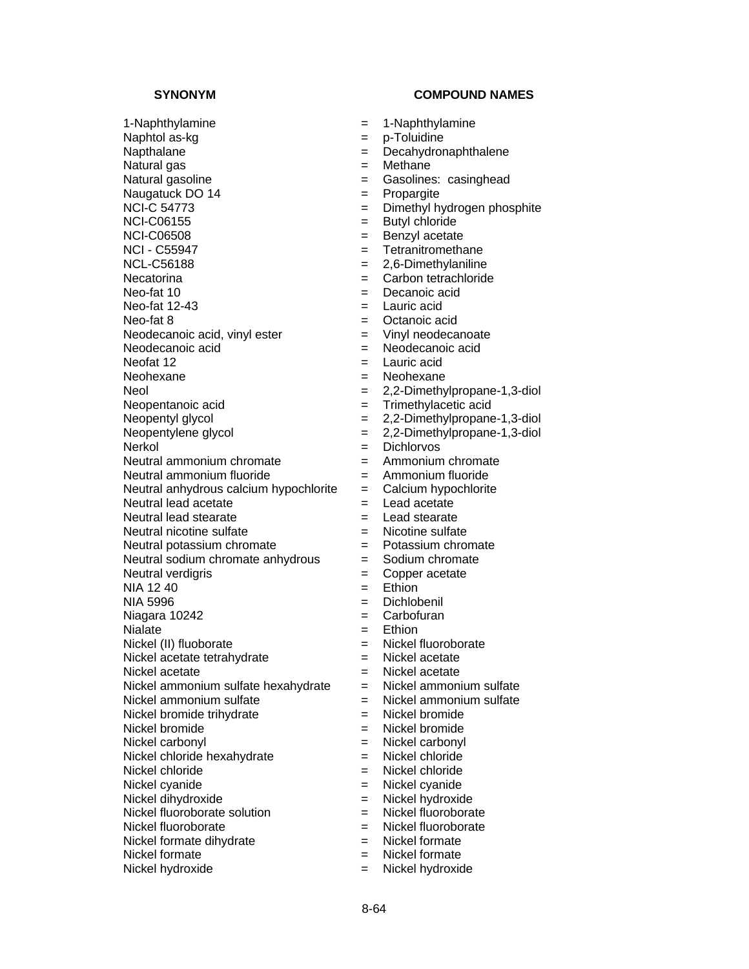- 1-Naphthylamine = 1-Naphthylamine Naphtol as-kg  $=$  p-Toluidine Napthalane  $=$  Decahydronaphthalene Natural gas  $=$  Methane Natural gasoline = Gasolines: casinghead Naugatuck DO 14 = Propargite NCI-C 54773 = Dimethyl hydrogen phosphite NCI-C06155 = Butyl chloride NCI-C06508 = Benzyl acetate NCI - C55947 = Tetranitromethane<br>NCL-C56188 = 2.6-Dimethylaniline Necatorina  $=$  Carbon tetrachloride  $N$ eo-fat 10  $N$ eo-fat 10  $N$  $N$ eo-fat 12-43  $\qquad \qquad = \qquad$  Lauric acid  $N$ eo-fat 8  $\qquad \qquad \qquad =$  Octanoic acid Neodecanoic acid, vinyl ester  $=$  Vinyl neodecanoate Neodecanoic acid  $\qquad \qquad = \qquad$  Neodecanoic acid Neofat 12  $=$  Lauric acid<br>Neohexane  $=$  Neohexane Neol = 2,2-Dimethylpropane-1,3-diol Neopentanoic acid  $=$  Trimethylacetic acid Neopentyl glycol  $= 2,2$ -Dimethylpropane-1,3-diol Neopentylene glycol  $= 2,2$ -Dimethylpropane-1,3-diol<br>Nerkol  $=$  Dichlorvos Neutral ammonium chromate  $=$ Neutral ammonium fluoride  $\qquad \qquad = \qquad$ Ammonium fluoride Neutral anhydrous calcium hypochlorite  $=$  Calcium hypochlorite Neutral lead acetate  $\qquad \qquad = \qquad$  Lead acetate Neutral lead stearate = Lead stearate Neutral nicotine sulfate  $\qquad \qquad = \qquad$  Nicotine sulfate Neutral potassium chromate = Potassium chromate Neutral sodium chromate anhydrous  $=$  Sodium chromate Neutral verdigris extension of the Copper acetate  $NIA$  12.40  $=$  Ethion  $NIA$  5996  $\qquad \qquad \qquad =$  Dichlobenil<br>Niagara 10242  $\qquad \qquad =$  Carbofuran Niagara 10242  $=$ Nialate  $=$  Ethion Nickel (II) fluoborate = Nickel fluoroborate<br>Nickel acetate tetrahydrate = Nickel acetate Nickel acetate tetrahydrate =  $=$ Nickel acetate  $=$  Nickel acetate<br>Nickel ammonium sulfate hexahydrate  $=$  Nickel ammonium sulfate Nickel ammonium sulfate hexahydrate  $=$ Nickel ammonium sulfate  $\qquad \qquad = \qquad$  Nickel ammonium sulfate Nickel bromide trihydrate = Nickel bromide Nickel bromide  $=$  Nickel bromide Nickel carbonyl  $=$  Nickel carbonyl Nickel chloride hexahydrate = Nickel chloride Nickel chloride  $=$  Nickel chloride Nickel cyanide  $=$  Nickel cyanide Nickel dihydroxide  $=$  Nickel hydroxide Nickel fluoroborate solution = Nickel fluoroborate Nickel fluoroborate<br>Nickel formate dihydrate<br>
= Nickel formate<br>
= Nickel formate Nickel formate dihydrate  $=$ Nickel formate  $\qquad \qquad = \qquad$  Nickel formate
- 
- 
- 
- 
- 
- 
- 
- 
- 
- 
- 
- $= 2.6$ -Dimethylaniline
- 
- 
- 
- 
- 
- 
- 
- Neohexane = Neohexane
- -
- 
- 
- 
- = Dichlorvos<br>= Ammonium chromate
- 
- 
- 
- 
- 
- 
- 
- 
- 
- 
- 
- 
- 
- 
- 
- 
- 
- 
- 
- 
- 
- 
- 
- 
- 
- 
- 
- 
- Nickel hydroxide  $=$  Nickel hydroxide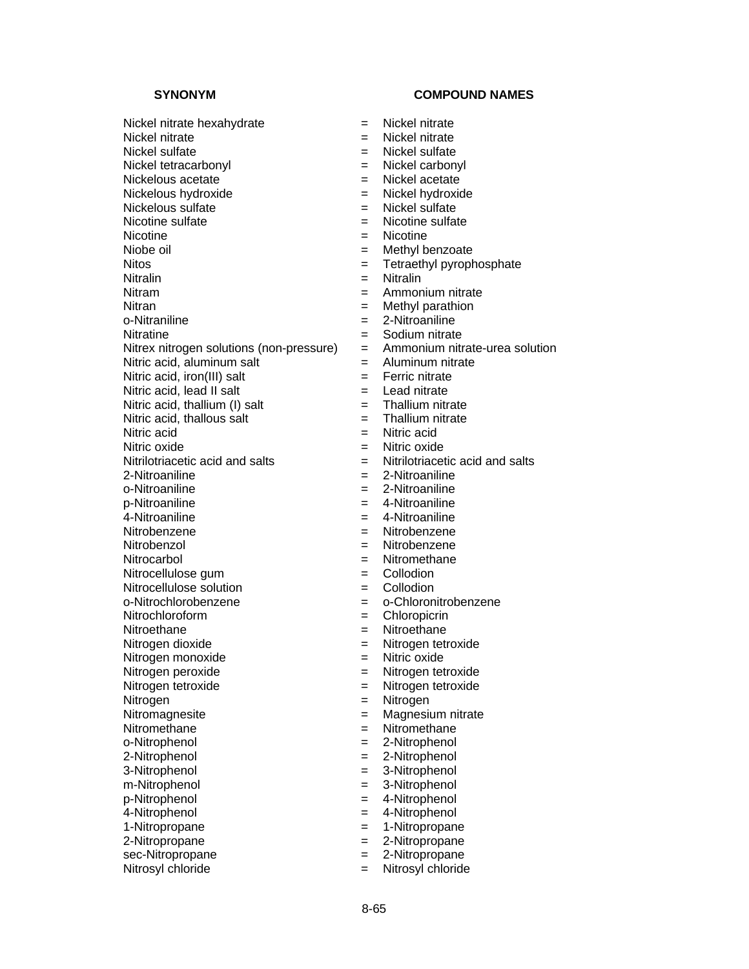Nickel nitrate hexahydrate = Nickel nitrate Nickel nitrate  $\qquad \qquad = \qquad$  Nickel nitrate Nickel sulfate  $\qquad \qquad = \qquad$  Nickel sulfate Nickel tetracarbonyl  $=$  Nickel carbonyl Nickelous acetate  $\qquad \qquad = \qquad$  Nickel acetate Nickelous hydroxide  $=$  Nickel hydroxide  $Nic$ kelous sulfate  $\begin{array}{ccc} \text{Nic} & = & \text{Nic} & \text{Nic} \\ \text{Nic} & \text{Nic} & = & \text{Nic} & \text{Nic} \\ \end{array}$  $Nicotine$ <br> $Niobe oil$   $=$   $Nethvl$ Niobe oil  $\begin{array}{ccc} \text{Niobe} & = & \text{Methyl benzoate} \\ \text{Nitos} & = & \text{Tetraethvl vyroob} \end{array}$ Nitralin = Nitralin = Nitralin Nitram  $=$  Ammonium nitrate Nitran = Methyl parathion o-Nitraniline = 2-Nitroaniline Nitratine = Sodium nitrate Nitrex nitrogen solutions (non-pressure) = Ammonium nitrate-urea solution Nitric acid, aluminum salt  $\begin{aligned}\n&= \text{Aluminum nitrate} \\
&= \text{Ferric nitrate}\n\end{aligned}$ Nitric acid, iron(III) salt  $=$ Nitric acid, lead II salt  $=$  Lead nitrate Nitric acid, thallium (I) salt  $=$  Thallium nitrate<br>Nitric acid. thallous salt  $=$  Thallium nitrate Nitric acid, thallous salt  $=$ Nitric acid  $=$  Nitric acid Nitric oxide<br>
Nitrilotriacetic acid and salts  $\begin{array}{ccc} \hline = & \hline \\ \hline \end{array}$ Nitrilotriacetic acid and salts  $\begin{array}{ccc} \hline \end{array}$ 2-Nitroaniline = 2-Nitroaniline o-Nitroaniline  $-$  2-Nitroaniline  $-$  2-Nitroaniline p-Nitroaniline = 4-Nitroaniline 4-Nitroaniline = 4-Nitroaniline Nitrobenzene = Nitrobenzene Nitrobenzol = Nitrobenzene Nitrocarbol = Nitromethane Nitrocellulose gum  $=$  Collodion  $Nitrocellulose solution$  = Collodion o-Nitrochlorobenzene = o-Chloronitrobenzene Nitrochloroform = Chloropicrin Nitroethane = Nitroethane Nitrogen dioxide  $=$  Nitrogen tetroxide Nitrogen monoxide  $=$  Nitric oxide Nitrogen peroxide  $\begin{aligned}\n&= \text{Nitrogen tetroxide} \\
&= \text{Nitrogen tetroxide}\n\end{aligned}$ Nitrogen = Nitrogen<br>Nitromagnesite = Magnesiu Nitromagnesite = Magnesium nitrate<br>Nitromethane = Nitromethane = Nitromethane o-Nitrophenol = 2-Nitrophenol 2-Nitrophenol = 2-Nitrophenol 3-Nitrophenol = 3-Nitrophenol m-Nitrophenol = 3-Nitrophenol p-Nitrophenol = 4-Nitrophenol 4-Nitrophenol = 4-Nitrophenol 1-Nitropropane = 1-Nitropropane<br>2-Nitropropane = 2-Nitropropane

- 
- 
- 
- 
- 
- 
- 
- $=$  Nicotine sulfate
- 
- 
- $=$  Tetraethyl pyrophosphate
- 
- 
- 
- 
- 
- 
- 
- 
- 
- 
- 
- 
- 
- $=$  Nitrilotriacetic acid and salts
- 
- 
- 
- 
- 
- 
- 
- 
- 
- 
- 
- 
- 
- 
- 
- Nitrogen tetroxide = Nitrogen tetroxide
- 
- 
- Nitromethane = Nitromethane
- 
- 
- 
- 
- 
- 
- 
- 2-Nitropropane = 2-Nitropropane
- sec-Nitropropane  $= 2$ -Nitropropane
- Nitrosyl chloride  $=$  Nitrosyl chloride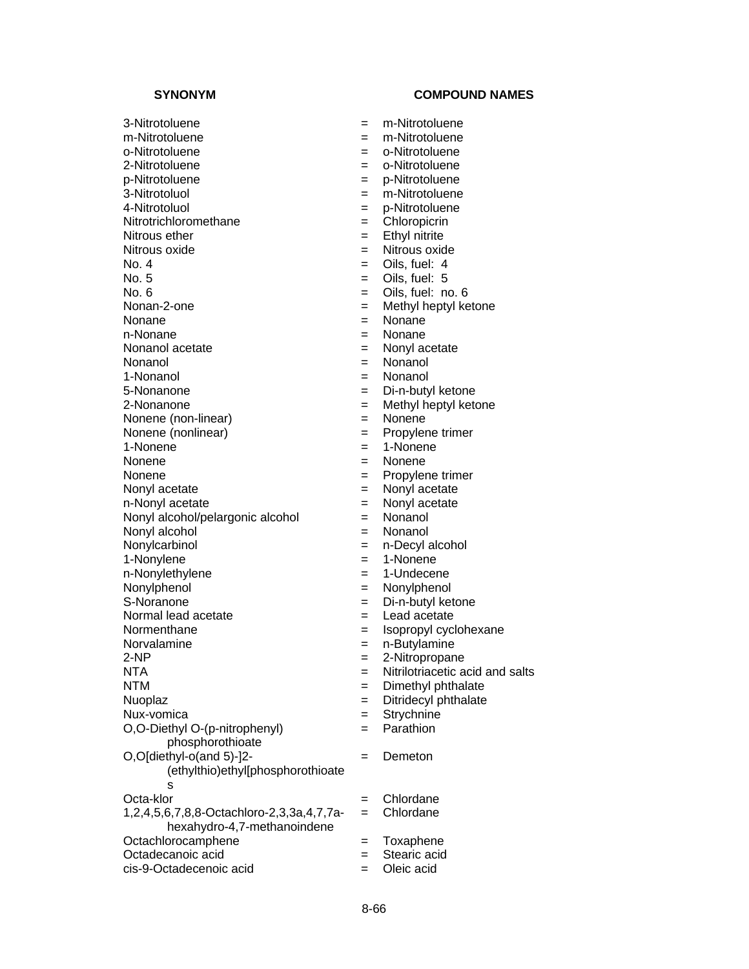3-Nitrotoluene = m-Nitrotoluene m-Nitrotoluene = m-Nitrotoluene o-Nitrotoluene = o-Nitrotoluene 2-Nitrotoluene = 0-Nitrotoluene p-Nitrotoluene = p-Nitrotoluene 3-Nitrotoluol = m-Nitrotoluene 4-Nitrotoluol = p-Nitrotoluene Nitrotrichloromethane = Chalorophical =  $N$ itrous ether  $=$  Ethyl nitrite Nitrous oxide  $=$  Nitrous oxide<br>
No. 4  $=$  Oils. fuel: 4  $\overline{a}$  No. 5  $\overline{b}$  No. 5  $\overline{b}$  No. 5  $\overline{b}$   $\overline{c}$  No. 5  $\overline{c}$  $N_o. 6$  = Oils, fuel: no. 6 Nonan-2-one  $\qquad \qquad = \qquad$  Methyl heptyl ketone Nonane = Nonane = Nonane n-Nonane = Nonane = Nonane Nonanol acetate  $\qquad \qquad = \qquad$  Nonyl acetate Nonanol = Nonanol 1-Nonanol = Nonanol 5-Nonanone = Di-n-butyl ketone 2-Nonanone = Methyl heptyl ketone Nonene (non-linear) = Nonene Nonene (nonlinear)  $=$  Propylene trimer 1-Nonene = 1-Nonene Nonene  $=$  Nonene Nonene  $=$  Propylene trimer Nonyl acetate  $\qquad \qquad = \qquad$  Nonyl acetate n-Nonyl acetate  $\qquad \qquad = \qquad$  Nonyl acetate Nonyl alcohol/pelargonic alcohol = Nonanol Nonyl alcohol = Nonanol Nonylcarbinol = n-Decyl alcohol 1-Nonylene = 1-Nonene n-Nonylethylene = 1-Undecene Nonylphenol = Nonylphenol S-Noranone = Di-n-butyl ketone Normal lead acetate  $\qquad \qquad = \qquad$  Lead acetate Normenthane  $=$  Isopropyl cyclohexane Norvalamine = n-Butylamine 2-NP = 2-Nitropropane NTA = Nitrilotriacetic acid and salts NTM = Dimethyl phthalate Nuoplaz = Ditridecyl phthalate Nux-vomica = Strychnine O,O-Diethyl O-(p-nitrophenyl) phosphorothioate O,O[diethyl-o(and 5)-]2- (ethylthio)ethyl[phosphorothioate s Octa-klor = Chlordane 1,2,4,5,6,7,8,8-Octachloro-2,3,3a,4,7,7ahexahydro-4,7-methanoindene Octachlorocamphene = Toxaphene<br>Octadecanoic acid = Stearic acid Octadecanoic acid = Stearing = Stearing action cis-9-Octadecenoic acid = Oleic acid

- $=$  Oils, fuel: 4  $=$  Parathion = Demeton = Chlordane
-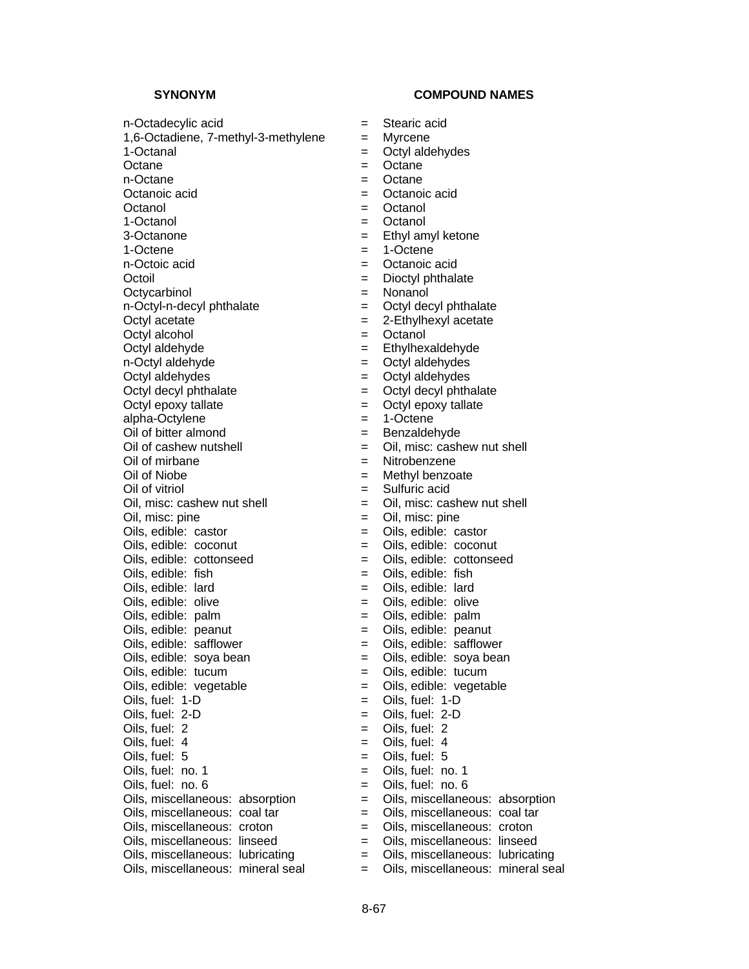### SYNONYM COMPOUND NAMES

n-Octadecylic acid = Stearic acid

1,6-Octadiene, 7-methyl-3-methylene = Myrcene

n-Octoic acid  $\qquad \qquad = \qquad$  Octanoic acid Octycarbinol = Nonanol

Octyl acetate  $= 2$ -Ethylhexyl acetate

Octyl aldehydes = Octyl aldehydes

alpha-Octylene = 1-Octene

Oil of bitter almond  $=$  Benzaldehyde

Oil of mirbane  $=$  Nitrobenzene Oil of Niobe  $=$  Methyl benzoate

Oils, edible: peanut = Oils, edible: peanut

 $Oils, edible:$  safflower  $=$   $Oils, edible:$  safflower

- 
- 
- 1-Octanal = Octyl aldehydes
- Octane  $=$  Octane
- n-Octane  $=$  Octane
- Octanoic acid  $\qquad \qquad = \qquad$  Octanoic acid
- Octanol = Octanol
- 1-Octanol = Octanol
- 3-Octanone  $=$  Ethyl amyl ketone
- 1-Octene  $=$  1-Octene
	-
- Octoil **Dioctyl** phthalate **Dioctyl** phthalate
	-
- $n$ -Octyl-n-decyl phthalate  $\qquad \qquad = \qquad$  Octyl decyl phthalate
	-
- Octyl alcohol = Octanol
- Octyl aldehyde = Ethylhexaldehyde
	-
- n-Octyl aldehyde<br>
Octyl aldehydes<br>
Octyl aldehydes<br>  $=$  Octyl aldehydes<br>  $=$  Octyl aldehydes
- $Octyl$  decyl phthalate  $=$   $Octyl$  decyl phthalate
- Octyl epoxy tallate  $=$  Octyl epoxy tallate
	-
	-
- $Oil$  of cashew nutshell  $=$   $Oil$ , misc: cashew nut shell
	-
	-
- Oil of vitriol = Sulfuric acid
- Oil, misc: cashew nut shell  $=$  Oil, misc: cashew nut shell
- Oil, misc: pine  $=$  Oil, misc: pine
- Oils, edible: castor = Oils, edible: castor
- Oils, edible: coconut = Oils, edible: coconut
- Oils, edible: cottonseed = Oils, edible: cottonseed
- $Oils.$  edible: fish  $=$   $Oils.$  edible: fish
- Oils, edible: lard = Oils, edible: lard
- $Oils.$  edible:  $olive$   $=$   $Oils.$  edible:  $olive$
- Oils, edible: palm  $=$  Oils, edible: palm
	-
	-
- Oils, edible: soya bean  $=$  Oils, edible: soya bean
- Oils, edible: tucum = Oils, edible: tucum
- Oils, edible: vegetable =  $\qquad \qquad$  = Oils, edible: vegetable
- $Oils, fuel: 1-D$   $= Oils, fuel: 1-D$
- $Oils, fuel: 2-D$   $= Oils, fuel: 2-D$
- Oils, fuel: 2 = Oils, fuel: 2
- $Oils.$  fuel:  $4$   $=$   $Oils.$  fuel:  $4$
- Oils, fuel: 5 = Oils, fuel: 5
- Oils, fuel:  $no. 1$  = Oils, fuel:  $no. 1$
- $Oils. fuel: no. 6 = Oils. fuel: no. 6$
- Oils, miscellaneous: absorption = Oils, miscellaneous: absorption
- Oils, miscellaneous: coal tar  $=$  Oils, miscellaneous: coal tar
- Oils, miscellaneous: croton = Oils, miscellaneous: croton
- Oils, miscellaneous: linseed = Oils, miscellaneous: linseed
- Oils, miscellaneous: lubricating = Oils, miscellaneous: lubricating
- Oils, miscellaneous: mineral seal = Oils, miscellaneous: mineral seal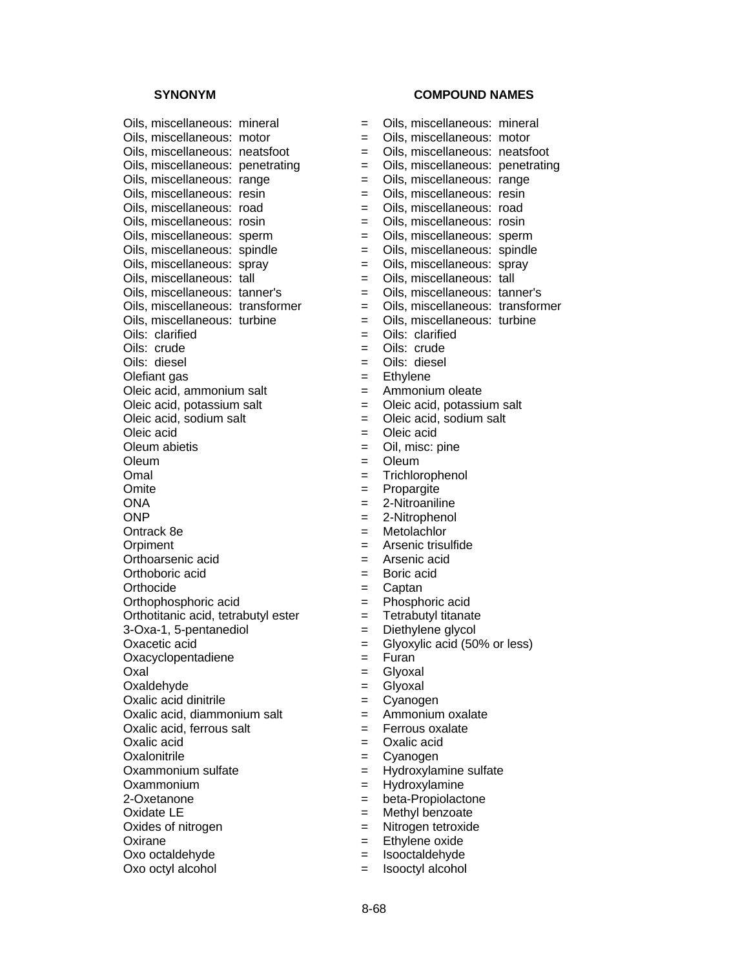Oils, miscellaneous: mineral Oils, miscellaneous: motor Oils, miscellaneous: neatsfoot Oils, miscellaneous: penetrating Oils, miscellaneous: range Oils, miscellaneous: resin Oils, miscellaneous: road Oils, miscellaneous: rosin Oils, miscellaneous: sperm Oils, miscellaneous: spindle Oils, miscellaneous: spray Oils, miscellaneous: tall Oils, miscellaneous: tanner's Oils, miscellaneous: transformer Oils, miscellaneous: turbine Oils: clarified Oils: crude Oils: diesel Olefiant gas Oleic acid, ammonium salt Oleic acid, potassium salt Oleic acid, sodium salt Oleic acid Oleum abietis Oleum Omal  $=$  Trichlorophenol Omite **Definition EXECUTE:** Propargite ONA = 2-Nitroaniline ONP = 2-Nitrophenol Ontrack 8e Orpiment Orthoarsenic acid Orthoboric acid Orthocide Orthophosphoric acid Orthotitanic acid, tetrabutyl ester 3-Oxa-1, 5-pentanediol Oxacetic acid Oxacyclopentadiene Oxal = Glyoxal Oxaldehyde Oxalic acid dinitrile Oxalic acid, diammonium salt Oxalic acid, ferrous salt Oxalic acid Oxalonitrile Oxammonium sulfate Oxammonium 2-Oxetanone Oxidate LE Oxides of nitrogen Oxirane = Ethylene oxide<br>
Oxo octaldehyde = lsooctaldehyde<br>
= lsooctaldehyde Oxo octaldehyde  $=$ 

| <b>SYNONYM</b>                 |         | <b>COMPOUND NAMES</b>            |  |  |
|--------------------------------|---------|----------------------------------|--|--|
| miscellaneous: mineral         | $=$     | Oils, miscellaneous: mineral     |  |  |
| miscellaneous: motor           | $=$     | Oils, miscellaneous: motor       |  |  |
| miscellaneous: neatsfoot       | $=$     | Oils, miscellaneous: neatsfoot   |  |  |
| miscellaneous: penetrating     | $=$     | Oils, miscellaneous: penetrating |  |  |
| miscellaneous: range           | $=$     | Oils, miscellaneous: range       |  |  |
| miscellaneous: resin           | $=$     | Oils, miscellaneous: resin       |  |  |
| miscellaneous: road            | $=$     | Oils, miscellaneous: road        |  |  |
| miscellaneous: rosin           | $=$     | Oils, miscellaneous: rosin       |  |  |
| miscellaneous: sperm           | $=$     | Oils, miscellaneous: sperm       |  |  |
| miscellaneous: spindle         | $=$     | Oils, miscellaneous: spindle     |  |  |
| miscellaneous: spray           | $=$     | Oils, miscellaneous: spray       |  |  |
| miscellaneous: tall            | $=$     | Oils, miscellaneous: tall        |  |  |
| miscellaneous: tanner's        | $=$     | Oils, miscellaneous: tanner's    |  |  |
| miscellaneous: transformer     | $=$     | Oils, miscellaneous: transformer |  |  |
| miscellaneous: turbine         | $=$     | Oils, miscellaneous: turbine     |  |  |
| clarified                      | $=$     | Oils: clarified                  |  |  |
| crude                          | $=$     | Oils: crude                      |  |  |
| diesel                         | $=$     | Oils: diesel                     |  |  |
| ant gas                        | $=$     | Ethylene                         |  |  |
| acid, ammonium salt            | $=$     | Ammonium oleate                  |  |  |
| acid, potassium salt           | $=$     | Oleic acid, potassium salt       |  |  |
| acid, sodium salt              | $=$     | Oleic acid, sodium salt          |  |  |
| acid                           | $=$     | Oleic acid                       |  |  |
| n abietis                      | $=$     | Oil, misc: pine                  |  |  |
| η                              | $=$     | Oleum                            |  |  |
|                                | $=$     | Trichlorophenol                  |  |  |
| э                              | $=$     | Propargite                       |  |  |
|                                | $=$     | 2-Nitroaniline                   |  |  |
|                                | $=$ $-$ | 2-Nitrophenol                    |  |  |
| ıck 8e                         | $=$     | Metolachlor                      |  |  |
| nent                           | $=$     | Arsenic trisulfide               |  |  |
| parsenic acid                  |         | $=$ Arsenic acid                 |  |  |
| boric acid                     | $=$     | Boric acid                       |  |  |
| ocide                          | $=$     | Captan                           |  |  |
| phosphoric acid                | $=$     | Phosphoric acid                  |  |  |
| titanic acid, tetrabutyl ester | $=$     | Tetrabutyl titanate              |  |  |
| a-1, 5-pentanediol             | $=$     | Diethylene glycol                |  |  |
| etic acid                      | =       | Glyoxylic acid (50% or less)     |  |  |
| yclopentadiene                 | $=$     | Furan                            |  |  |
|                                | $=$     | Glyoxal                          |  |  |
| dehyde                         | $=$     | Glyoxal                          |  |  |
| c acid dinitrile               | $=$     | Cyanogen                         |  |  |
| c acid, diammonium salt        | $=$     | Ammonium oxalate                 |  |  |
| c acid, ferrous salt           | $=$     | Ferrous oxalate                  |  |  |
| c acid                         | $=$     | Oxalic acid                      |  |  |
| onitrile                       | $=$     | Cyanogen                         |  |  |
| nmonium sulfate                | $=$     | Hydroxylamine sulfate            |  |  |
| nmonium                        | $=$     | Hydroxylamine                    |  |  |
| etanone                        | $=$     | beta-Propiolactone               |  |  |
| ate LE                         | $=$     | Methyl benzoate                  |  |  |
| es of nitrogen                 | $=$     | Nitrogen tetroxide               |  |  |
|                                |         |                                  |  |  |

- 
- 
- Oxo octyl alcohol = Isooctyl alcohol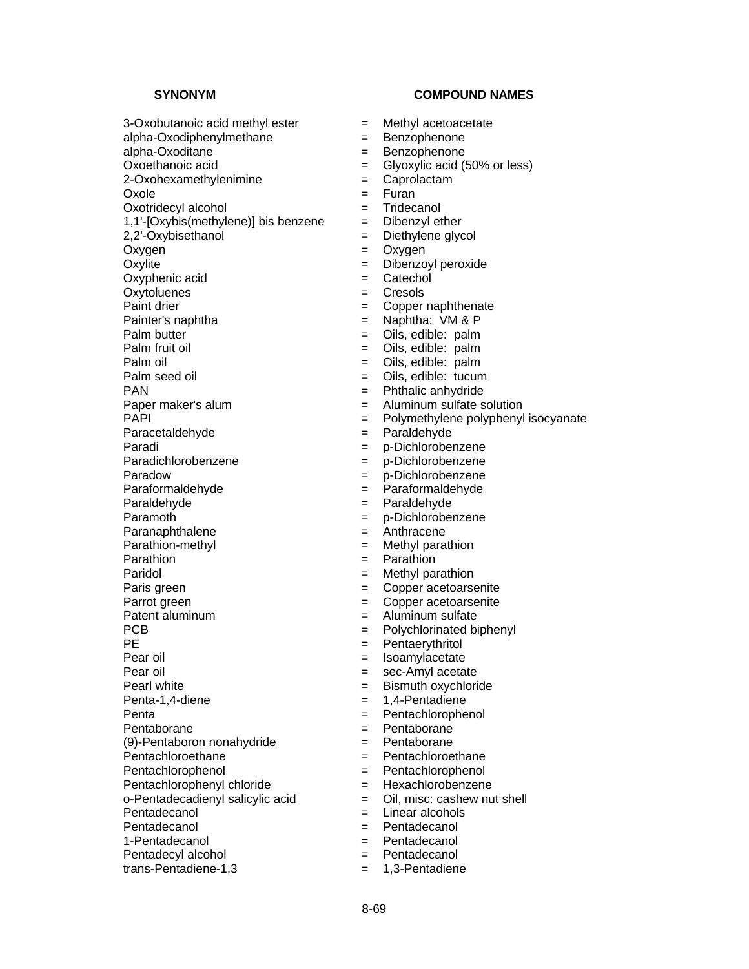$3$ -Oxobutanoic acid methyl ester  $=$  Methyl acetoacetate

alpha-Oxodiphenylmethane = Benzophenone

Oxole = Furan

1,1'- $[Oxybis(methylene)]$  bis benzene  $=$  Dibenzyl ether

Oxyphenic acid  $=$  Catechol

Oxytoluenes = Cresols

Paracetaldehyde = Paraldehyde

Pentachlorophenyl chloride = Hexachlorobenzene

1-Pentadecanol = Pentadecanol

Pentadecyl alcohol = Pentadecanol

trans-Pentadiene-1,3 = 1,3-Pentadiene

# **SYNONYM COMPOUND NAMES**

- 
- 
- alpha-Oxoditane = Benzophenone
- Oxoethanoic acid  $=$  Glyoxylic acid (50% or less)
- 2-Oxohexamethylenimine = Caprolactam
	-
- Oxotridecyl alcohol = Tridecanol
	-
- 2,2'-Oxybisethanol = Diethylene glycol
- Oxygen = Oxygen
- Oxylite = Dibenzoyl peroxide
	-
	-
- Paint drier = Copper naphthenate
- Painter's naphtha  $=$  Naphtha: VM & P
- Palm butter  $=$  Oils, edible: palm
- Palm fruit oil  $=$  Oils, edible: palm
	-
- Palm oil = Oils, edible: palm = Oils, edible: tucum
- PAN = Phthalic anhydride
	-
- Paper maker's alum  $\begin{array}{rcl}\n\text{PAPI} \\
\text{PAPI} \\
\text{PAPI} \\
\end{array}$  = Aluminum sulfate solution
	- $=$  Polymethylene polyphenyl isocyanate
	-
- Paradi = p-Dichlorobenzene
- Paradichlorobenzene = p-Dichlorobenzene
- Paradow  $=$  p-Dichlorobenzene
- Paraformaldehyde = Paraformaldehyde
- Paraldehyde = Paraldehyde
- Paramoth  $=$  p-Dichlorobenzene
- Paranaphthalene = Anthracene
- Parathion-methyl example and the Methyl parathion
- Parathion  $=$  Parathion
- Paridol **Example 2** Methyl parathion
- Paris green  $\qquad \qquad =$  Copper acetoarsenite
- Parrot green = Copper acetoarsenite
- Patent aluminum = Aluminum sulfate
- PCB  $=$  Polychlorinated biphenyl
	-
- PE = Pentaerythritol  $=$  Isoamylacetate
	-
- Pear oil  $=$  sec-Amyl acetate<br>Pearl white  $=$  Bismuth oxychlori  $=$  Bismuth oxychloride
- Penta-1,4-diene = 1,4-Pentadiene
- Penta = Pentachlorophenol
- Pentaborane = Pentaborane
- (9)-Pentaboron nonahydride = Pentaborane
- Pentachloroethane = Pentachloroethane
- Pentachlorophenol = Pentachlorophenol
	-
- o-Pentadecadienyl salicylic acid = Oil, misc: cashew nut shell
- Pentadecanol = Linear alcohols
- Pentadecanol **Exercise Exercise Exercise A** Pentadecanol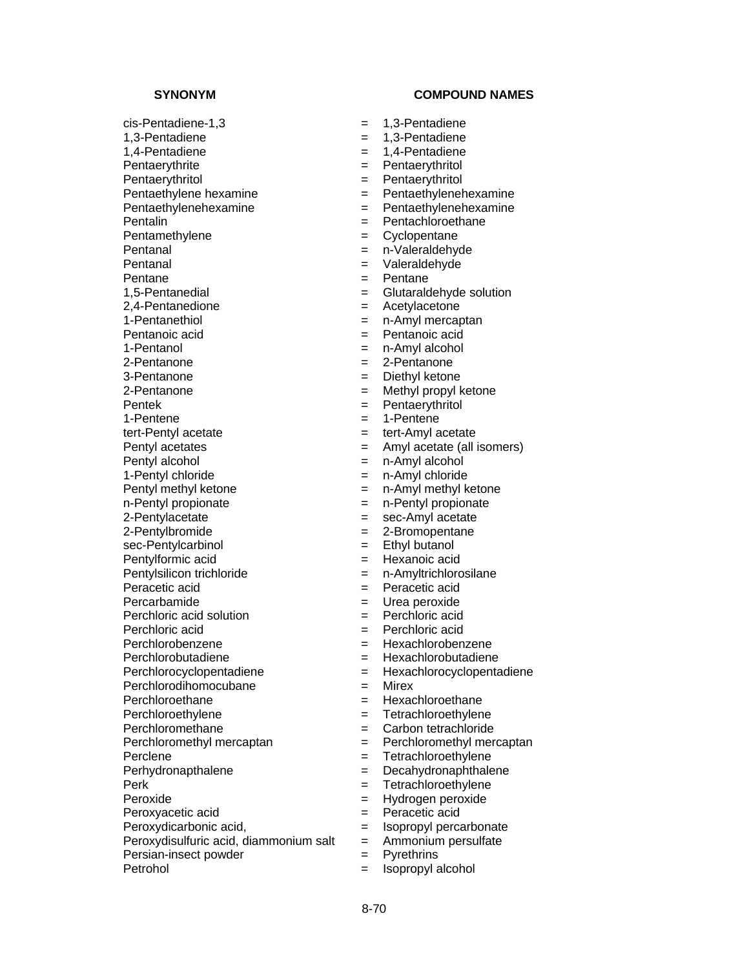$cis$ -Pentadiene-1,3  $=$  1,3-Pentadiene 1,3-Pentadiene = 1,3-Pentadiene 1,4-Pentadiene = 1,4-Pentadiene Pentaerythrite = Pentaerythritol Pentaerythritol **Exercise Exercise Exercise A** Pentaerythritol Pentaethylenehexamine = Pentaethylenehexamine<br>Pentalin<br>Pentachloroethane Pentamethylene = Cyclopentane<br>
Pentanal = n-Valeraldehv Pentanal = n-Valeraldehyde<br>
Pentanal = Valeraldehyde<br>
= Valeraldehyde Pentane = Pentane = Pentane 2,4-Pentanedione = Acetylacetone 1-Pentanethiol **Exercise Exercise Exercise 2** in-Amyl mercaptan Pentanoic acid = Pentanoic acid 1-Pentanol = n-Amyl alcohol 2-Pentanone = 2-Pentanone 2-Pentanone = Methyl propyl ketone Pentek = Pentaerythritol<br>1-Pentene = 1-Pentene = 1-Pentene 1-Pentene = 1-Pentene tert-Pentyl acetate  $=$  tert-Amyl acetate Pentyl alcohol = n-Amyl alcohol 1-Pentyl chloride  $=$  n-Amyl chloride n-Pentyl propionate  $\qquad \qquad = \qquad$ n-Pentyl propionate 2-Pentylacetate  $=$  sec-Amyl acetate 2-Pentylbromide = 2-Bromopentane<br>sec-Pentylcarbinol = Ethyl butanol sec-Pentylcarbinol = Ethyl butanol Pentylformic acid = Hexanoic acid Pentylsilicon trichloride = n-Amyltrichlorosilane Peracetic acid  $=$  Peracetic acid Percarbamide = Urea peroxide Perchloric acid solution = Perchloric acid solution Perchloric acid = Perchloric acid Perchlorodihomocubane = Mirex Perchloroethane = Hexachloroethane Perclene  $=$  Tetrachloroethylene Perk = Tetrachloroethylene Peroxide = Hydrogen peroxide Peroxyacetic acid  $=$  Peracetic acid

- 
- Peroxydicarbonic acid,<br>
Peroxydisulfuric acid, diammonium salt = Ammonium persulfate Peroxydisulfuric acid, diammonium salt  $=$
- Persian-insect powder = Pyrethrins
- 

- 
- 
- 
- 
- 
- Pentaethylene hexamine  $=$  Pentaethylenehexamine
	-
	- $=$  Pentachloroethane
	-
	-
	- $=$  Valeraldehyde
	-
- 1,5-Pentanedial = Glutaraldehyde solution
	-
	-
	-
	-
	-
	- = Diethyl ketone
	-
	-
	-
	-
- Pentyl acetates = Amyl acetate (all isomers)
	-
	-
- Pentyl methyl ketone = n-Amyl methyl ketone
	-
	-
	-
	-
	-
	-
	-
	-
	-
	-
- Perchlorobenzene =  $\qquad$  = Hexachlorobenzene
- Perchlorobutadiene = Hexachlorobutadiene
- Perchlorocyclopentadiene = Hexachlorocyclopentadiene
	-
	-
- Perchloroethylene = Tetrachloroethylene
- Perchloromethane = Carbon tetrachloride
- $Perchloromethvl$  mercaptan  $=$  Perchloromethyl mercaptan
	-
- Perhydronapthalene = Decahydronaphthalene
	-
	-
	-
	-
	-
	-
- Petrohol = Isopropyl alcohol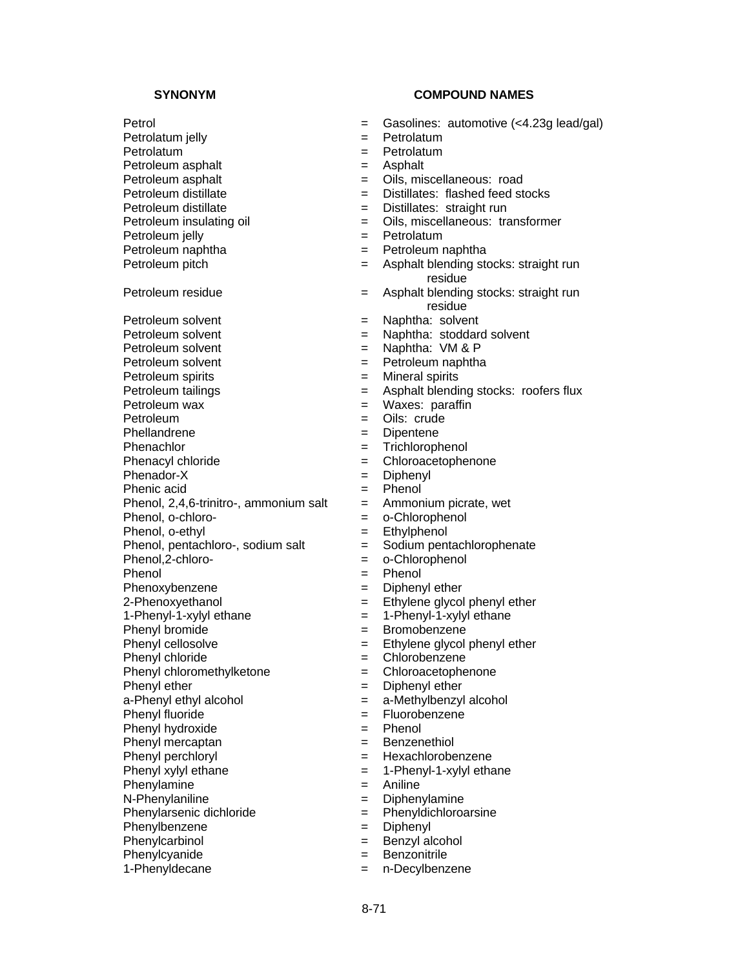Petrolatum jelly  $=$  Petrolatum Petrolatum = Petrolatum Petroleum asphalt  $=$  Asphalt Petroleum asphalt  $=$  Oils, miscellaneous: road Petroleum distillate  $\qquad \qquad = \qquad$  Distillates: flashed feed stocks Petroleum distillate  $=$  Distillates: straight run  $Pet$ roleum insulating oil  $\qquad \qquad = \qquad$  Oils, miscellaneous: transformer Petroleum jelly  $=$  Petrolatum Petroleum naphtha  $=$  Petroleum naphtha  $=$  Asphalt blending strategy  $=$  Asphalt blending strategy extending strategy and  $=$  Asphalt blending strategy and the extending strategy and the extending strategy and the extendi Petroleum residue = Asphalt blending stocks: straight run Petroleum solvent = Naphtha: solvent Petroleum solvent = Naphtha: stoddard solvent Petroleum solvent = Naphtha: VM & P Petroleum solvent = Petroleum naphtha<br>
Petroleum spirits = Mineral spirits<br>
= Mineral spirits Petroleum spirits  $=$ Petroleum wax  $\begin{array}{ccc} \text{Petroleum} & \text{max} \\ \text{Petroleum} & \text{max} \\ \text{Petroleum} & \text{max} \\ \end{array}$ Phellandrene  $=$  Dipentene Phenachlor  $=$  Trichlorophenol Phenacyl chloride  $=$  Chloroacetophenone Phenador-X = Diphenyl Phenic acid  $=$  Phenol Phenol,  $2,4,6$ -trinitro-, ammonium salt  $=$  Ammonium picrate, wet Phenol, o-chloro-  $=$  o-Chlorophenol Phenol, o-ethyl<br>
Phenol, pentachloro-, sodium salt = Sodium pentachlorophenate Phenol, pentachloro-, sodium salt  $=$  Phenol.2-chloro-Phenol = Phenol = Phenol Phenoxybenzene = Diphenyl ether 2-Phenoxyethanol  $=$  Ethylene glycol phenyl ether<br>1-Phenyl-1-xylyl ethane  $=$  1-Phenyl-1-xylyl ethane Phenyl bromide  $=$  Bromobenzene Phenyl cellosolve  $=$  Ethylene glycol phenyl ether Phenyl chloride  $=$  Chlorobenzene Phenyl chloromethylketone = Chloroacetophenone<br>
Phenyl ether = Diphenyl ether  $a-Phenyl$  ethyl alcohol  $a-Phenyl$  alcohol  $a-Phenyl$  alcohol Phenyl fluoride = Fluorobenzene<br>
Phenyl hydroxide = Fluorobenzene Phenyl hydroxide Phenyl mercaptan = Benzenethiol Phenyl perchloryl  $=$  Hexachlorobenzene Phenyl xylyl ethane  $= 1-P$ henyl-1-xylyl ethane Phenylamine  $=$  Aniline N-Phenylaniline = Diphenylamine Phenylarsenic dichloride  $=$  Phenyldichloroarsine Phenylbenzene = Diphenyl<br>Phenylcarbinol = Diphenyl = Benzyl alcohol  $Phenyl carbind$  =

- Petrol **Example 2018 EXECUTE:** Gasolines: automotive (<4.23g lead/gal)
	-
	-
	-
	-
	-
	-
	-
	-
	-
	- $=$  Asphalt blending stocks: straight run residue
	- residue
	-
	-
	-
	-
	-
- Petroleum tailings = Asphalt blending stocks: roofers flux
	-
	- Oils: crude
	-
	-
	-
	-
	-
	-
	-
	-
	-
	- = o-Chlorophenol
	-
	-
	-
	- $= 1$ -Phenyl-1-xylyl ethane
	-
	-
	-
	-
	- $=$  Diphenyl ether
	-
	-
	-
	-
	-
	-
	-
	-
	-
	-
	-
- Phenylcyanide = Benzonitrile
- 1-Phenyldecane = n-Decylbenzene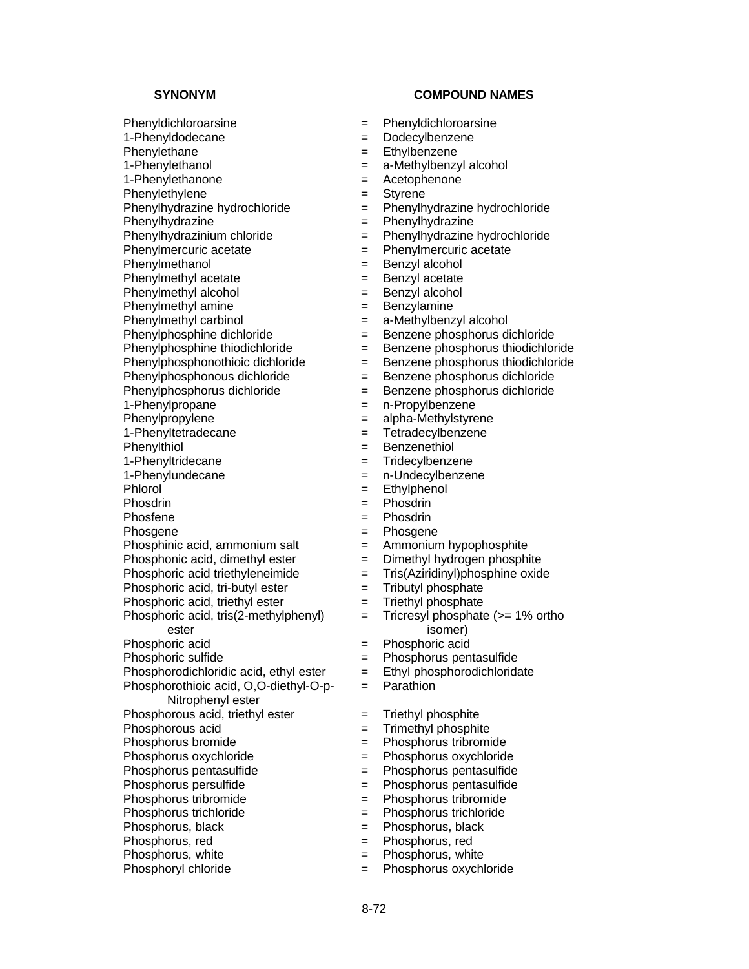Phenylhydrazine = Phenylhydrazine

Phenylmercuric acetate  $=$ 

Phenylmethyl acetate  $=$  Benzyl acetate

1-Phenyltetradecane = Tetradecylbenzene

1-Phenyltridecane = Tridecylbenzene

Phosdrin  $=$ 

Phosphinic acid, ammonium salt  $=$  Ammonium hypophosphite

Phosphonic acid, dimethyl ester  $=$  Dimethyl hydrogen phosphite

Phosphoric acid triethyleneimide  $=$  Tris(Aziridinyl)phosphine oxide

Phosphoric acid, tri-butyl ester  $=$  Tributyl phosphate

Phosphoric acid, triethyl ester  $=$  Triethyl phosphate

Phosphoric acid, tris(2-methylphenyl) ester

Phosphorodichloridic acid, ethyl ester  $=$  Ethyl phosphorodichloridate

Phosphorothioic acid, O,O-diethyl-O-p-

Nitrophenyl ester

Phosphorus, black = Phosphorus, black<br>Phosphorus, red = Phosphorus, red = Phosphorus, red

Phosphorus, white  $=$  Phosphorus, white

Phosphoryl chloride  $=$  Phosphorus oxychloride

# **SYNONYM COMPOUND NAMES**

- Phenyldichloroarsine = Phenyldichloroarsine
- 1-Phenyldodecane = Dodecylbenzene
- Phenylethane  $=$  Ethylbenzene
- 1-Phenylethanol = a-Methylbenzyl alcohol
- 1-Phenylethanone = Acetophenone
- Phenylethylene = Styrene
- Phenylhydrazine hydrochloride  $=$  Phenylhydrazine hydrochloride  $=$  Phenylhydrazine Phenylhydrazine
	-
- Phenylhydrazinium chloride  $=$  Phenylhydrazine hydrochloride<br>Phenylmercuric acetate  $=$  Phenylmercuric acetate
	-
- Phenylmethanol = Benzyl alcohol
	-
- Phenylmethyl alcohol = Benzyl alcohol
- Phenylmethyl amine  $=$  Benzylamine
- Phenylmethyl carbinol = a-Methylbenzyl alcohol
- Phenylphosphine dichloride = Benzene phosphorus dichloride
- Phenylphosphine thiodichloride = Benzene phosphorus thiodichloride
	-
- Phenylphosphonothioic dichloride = Benzene phosphorus thiodichloride<br>
Phenylphosphonous dichloride = Benzene phosphorus dichloride = Benzene phosphorus dichloride
- Phenylphosphorus dichloride = Benzene phosphorus dichloride
	-
- 1-Phenylpropane = n-Propylbenzene<br>
Phenylpropylene = alpha-Methylstyre  $=$  alpha-Methylstyrene
	-
- Phenylthiol **Example 2018 Example 2018 Example 2018 Example 2018 Example 2018 EXAMPLE 2018** 
	-
- 1-Phenylundecane = n-Undecylbenzene
	-
- Phlorol = Ethylphenol<br>Phosdrin = Phosdrin = Phosdrin
- Phosfene  $=$  Phosdrin
- Phosgene  $=$  Phosgene
	-
	-
	-
	-
	-
	-
	- = Tricresyl phosphate (>= 1% ortho isomer)
- Phosphoric acid<br>
Phosphoric sulfide<br>  $\begin{array}{ccc} 2 & & \\ & & \end{array}$  Phosphorus pen
	- = Phosphorus pentasulfide
	-
	- = Parathion

8-72

- Phosphorous acid, triethyl ester  $=$  Triethyl phosphite
- Phosphorous acid  $=$  Trimethyl phosphite
- Phosphorus bromide  $\qquad \qquad = \qquad$ Phosphorus tribromide
- Phosphorus oxychloride = Phosphorus oxychloride
- Phosphorus pentasulfide  $\qquad \qquad = \qquad$ Phosphorus pentasulfide
- Phosphorus persulfide = Phosphorus pentasulfide
- Phosphorus tribromide = Phosphorus tribromide
- Phosphorus trichloride  $=$  Phosphorus trichloride

Phosphorus, red = Phosphorus, red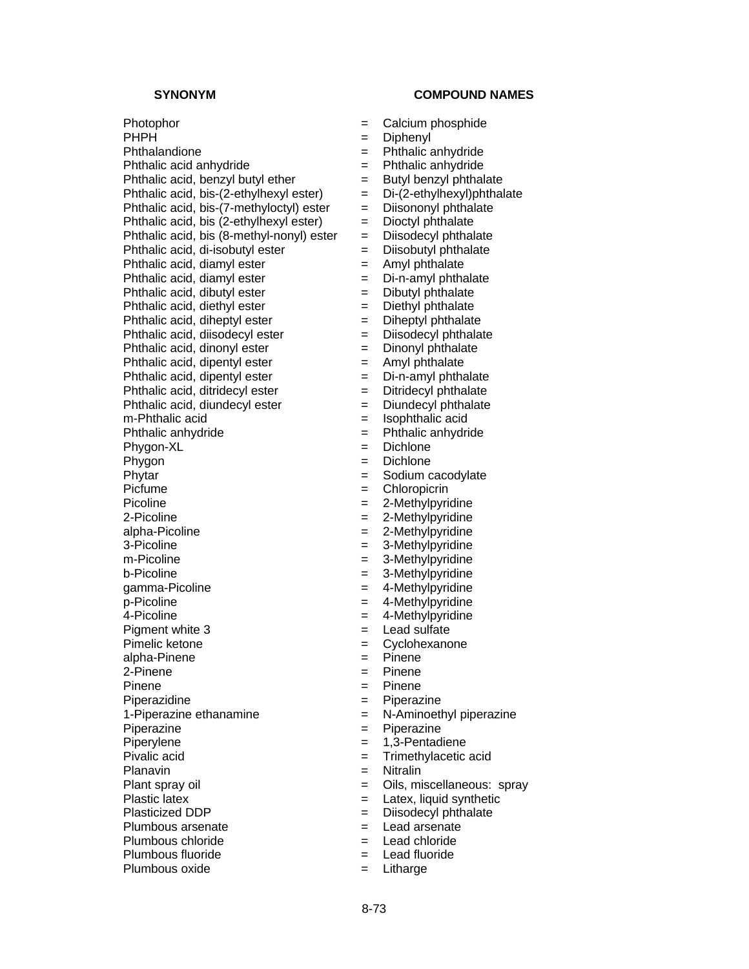# **SYNONYM COMPOUND NAMES**

Photophor  $=$  Calcium phosphide PHPH  $=$  Diphenyl Phthalandione = Phthalic anhydride Phthalic acid anhydride  $=$  Phthalic anhydride Phthalic acid, benzyl butyl ether  $=$  Butyl benzyl phthalate Phthalic acid, bis-(2-ethylhexyl ester)  $= Di-(2-ethylhexy1)$ phthalate Phthalic acid, bis-(7-methyloctyl) ester  $=$  Diisononyl phthalate<br>Phthalic acid, bis (2-ethylhexyl ester)  $=$  Dioctyl phthalate Phthalic acid, bis  $(2$ -ethylhexyl ester)  $=$ Phthalic acid, bis (8-methyl-nonyl) ester = Diisodecyl phthalate<br>Phthalic acid, di-isobutyl ester = Diisobutyl phthalate Phthalic acid, di-isobutyl ester  $\overline{\phantom{a}}$  = Phthalic acid, diamyl ester  $=$  Amyl phthalate Phthalic acid, diamyl ester  $=$  Di-n-amyl phthalate Phthalic acid, dibutyl ester  $=$  Dibutyl phthalate Phthalic acid, diethyl ester  $=$  Diethyl phthalate Phthalic acid, diheptyl ester  $=$  Diheptyl phthalate Phthalic acid, diisodecyl ester  $=$  Diisodecyl phthalate Phthalic acid, dinonyl ester  $=$  Dinonyl phthalate Phthalic acid, dipentyl ester  $=$  Amyl phthalate<br>Phthalic acid, dipentyl ester  $=$  Di-n-amyl phthalate Phthalic acid, dipentyl ester  $=$ Phthalic acid, ditridecyl ester  $=$  Ditridecyl phthalate Phthalic acid, diundecyl ester  $=$  Diundecyl phthalate m-Phthalic acid  $=$  Isophthalic acid Phthalic anhydride  $\begin{array}{rcl} \text{Phthalic anhydride} \\ \text{Phvann-XL} \end{array} = \begin{array}{rcl} \text{Phthalic anhydride} \\ \text{Phvenon-XL} \end{array}$  $Phygon-XL$   $=$ Phygon = Dichlone Phytar  $=$  Sodium cacodylate Picfume  $=$  Chloropicrin Picoline  $= 2$ -Methylpyridine  $2-Picoline$   $=$   $2-Methylpyridine$ alpha-Picoline = 2-Methylpyridine = 2-Methylpyridine = 2-Methylpyridine = 3-Methylpyridine m-Picoline  $-$  3-Methylpyridine b-Picoline  $\qquad \qquad = \qquad 3$ -Methylpyridine gamma-Picoline = 4-Methylpyridine  $p-Picoline$  = 4-Methylpyridine  $4$ -Picoline  $= 4$ -Methylpyridine Pigment white  $3 \qquad \qquad = \qquad$  Lead sulfate Pimelic ketone  $=$  Cyclohexanone alpha-Pinene = Pinene 2-Pinene = Pinene Pinene  $=$  Pinene Piperazidine  $=$  Piperazine 1-Piperazine ethanamine  $\qquad \qquad = \qquad N$ -Aminoethyl piperazine Piperazine  $=$  Piperazine Piperylene  $= 1,3$ -Pentadiene Pivalic acid = Trimethylacetic acid Planavin = Nitralin Plant spray oil  $\qquad \qquad = \qquad$  Oils, miscellaneous: spray Plastic latex  $=$  Latex, liquid synthetic Plasticized DDP = Diisodecyl phthalate Plumbous arsenate  $\begin{array}{ccc} \text{Plumbous} \\ \text{Plumbous chloride} \\ \text{Plumbous chloride} \end{array}$  = Lead chloride Plumbous chloride  $=$  Lead chloride  $=$  Lead fluoride  $=$  Lead fluoride  $Plumbous fluoride$   $=$ Plumbous oxide  $=$  Litharge

- 
- 
- 
- 
- 
- 
- 
- 
- 
- 
- 
- 
- 
- 
- 
- 
- 
- 
- 
- 
- $=$  Isophthalic acid
- 
- 
- 
- 
- 
- 
- 
- 
- $=$  3-Methylpyridine
- 
- 
- 
- 
- 
- 
- 
- 
- 
- 
- 
- 
- 
- 
- 
- 
- 
- 
- 
- 
- 
- 
-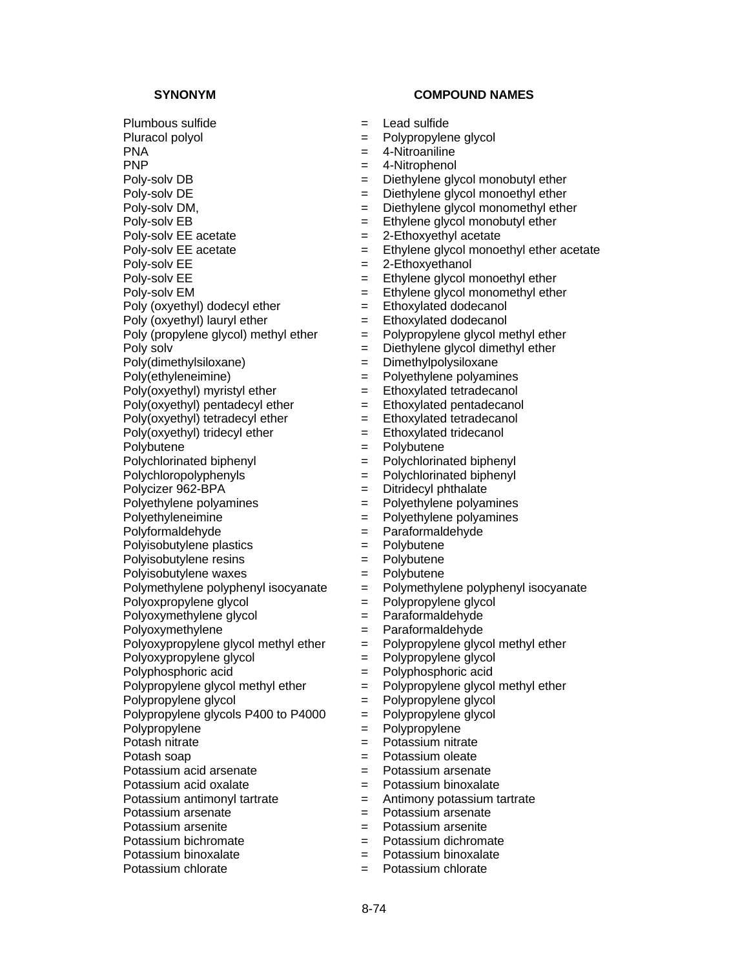Plumbous sulfide  $=$  Lead sulfide Pluracol polyol = Polypropylene glycol PNA = 4-Nitroaniline PNP = 4-Nitrophenol Poly-solv DB = Diethylene glycol monobutyl ether Poly-solv DE = Diethylene glycol monoethyl ether Poly-solv DM,  $=$  Diethylene glycol monomethyl ether<br>Poly-solv EB  $=$  Ethylene glycol monobutyl ether Poly-solv EE acetate  $= 2$ -Ethoxyethyl acetate Poly-solv  $EE$  = 2-Ethoxyethanol Poly-solv EE = Ethylene glycol monoethyl ether Poly-solv EM = Ethylene glycol monomethyl ether Poly (oxyethyl) dodecyl ether  $=$  Ethoxylated dodecanol Poly (oxyethyl) lauryl ether  $=$  Ethoxylated dodecanol Poly (propylene glycol) methyl ether  $=$  Polypropylene glycol methyl ether Poly(dimethylsiloxane) = Dimethylpolysiloxane<br>
Poly(ethyleneimine) = Polyethylene polyami  $Poly(oxyethyl)$  myristyl ether  $=$  Ethoxylated tetradecanol Poly(oxyethyl) pentadecyl ether  $=$  Ethoxylated pentadecanol<br>Poly(oxyethyl) tetradecyl ether  $=$  Ethoxylated tetradecanol  $Poly(oxyethyI)$  tetradecyl ether  $=$  $Poly(oxyethy)$  tridecyl ether  $=$  Ethoxylated tridecanol Polybutene  $=$  Polybutene Polychlorinated biphenyl = Polychlorinated biphenyl Polychloropolyphenyls = Polychlorinated biphenyl Polycizer 962-BPA = Ditridecyl phthalate Polyethylene polyamines = Polyethylene polyamines Polyethyleneimine  $\qquad \qquad = \qquad$  Polyethylene polyamines Polyformaldehyde = Paraformaldehyde Polyisobutylene plastics = Polybutene Polyisobutylene resins = Polybutene Polyisobutylene waxes  $\begin{array}{rcl} P \text{oly} \text{b} \text{u} \text{t} \text{c} \text{d} \text{u} \text{c} \text{d} \text{d} \text{d} \text{e} \text{d} \text{d} \text{e} \text{d} \text{d} \text{e} \text{d} \text{e} \text{d} \text{e} \text{d} \text{e} \text{d} \text{e} \text{d} \text{e} \text{d} \text{e} \text{d} \text{e} \text{d} \text{e} \text{d} \text{e} \text{d} \text{e$ Polyoxpropylene glycol = Polypropylene glycol Polyoxymethylene glycol  $=$  Paraformaldehyde Polyoxymethylene  $=$  Paraformaldehyde Polyoxypropylene glycol methyl ether  $=$  Polypropylene glycol methyl ether Polyoxypropylene glycol = Polypropylene glycol Polyphosphoric acid<br>
Polypropylene glycol methyl ether = Polypropylene glycol methyl ether<br>
= Polypropylene glycol methyl ether Polypropylene glycol methyl ether  $=$ Polypropylene glycol = Polypropylene glycol Polypropylene glycols P400 to P4000 = Polypropylene glycol Polypropylene  $=$  Polypropylene Potash nitrate  $=$  Potassium nitrate Potash soap = Potassium oleate Potassium acid arsenate = Potassium arsenate Potassium acid oxalate  $\qquad \qquad = \qquad$ Potassium binoxalate Potassium antimonyl tartrate = Antimony potassium tartrate Potassium arsenate = Potassium arsenate Potassium arsenite = Potassium arsenite Potassium bichromate  $=$  Potassium dichromate Potassium binoxalate  $=$  Potassium binoxalate Potassium chlorate  $=$  Potassium chlorate

- 
- 
- 
- 
- 
- 
- $=$  Ethylene glycol monobutyl ether
- 
- Poly-solv EE acetate  $=$  Ethylene glycol monoethyl ether acetate
	-
	-
	-
	-
	-
	-
- Poly solv = Diethylene glycol dimethyl ether
	-
	- = Polyethylene polyamines
	-
	-
	-
	-
	-
	-
	-
	-
	-
	-
	-
	-
	-
	-
	- Polymethylene polyphenyl isocyanate = Polymethylene polyphenyl isocyanate
	-
	-
	-
	-
	-
	-
	-
	-
	-
	-
	-
	-
	-
	-
	-
	-
	-
	-
	-
	-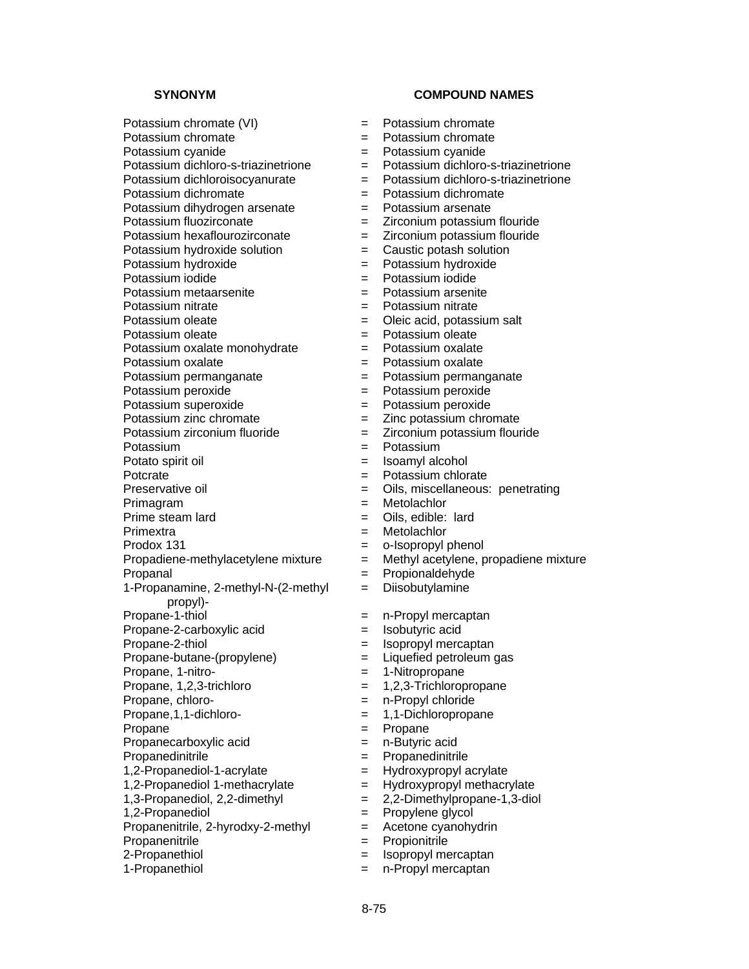Potassium dichromate<br>
Potassium dihydrogen arsenate = Potassium arsenate

Potassium dihydrogen arsenate<br>Potassium fluozirconate

Potassium oleate<br>
Potassium oxalate monohydrate  $=$  Potassium oxalate Potassium oxalate monohydrate

1-Propanamine, 2-methyl-N-(2-methyl

propyl)-

Propane-2-carboxylic acid = Isobutyric acid

Propanenitrile,  $2$ -hyrodxy- $2$ -methyl = Acetone cyanohydrin

Propanenitrile  $\qquad \qquad = \qquad$  Propionitrile

2-Propanethiol **Exercise Exercise Exercise 2-Propanethiol Exercise 2-Propanethiol** 

1-Propanethiol  $=$  n-Propyl mercaptan

# **SYNONYM COMPOUND NAMES**

Potassium chromate (VI)  $=$  Potassium chromate

Potassium chromate  $=$  Potassium chromate

Potassium cyanide = Potassium cyanide

- Potassium dichloro-s-triazinetrione = Potassium dichloro-s-triazinetrione
- Potassium dichloroisocyanurate  $=$  Potassium dichloro-s-triazinetrione
	-
	-
	- $=$  Zirconium potassium flouride
- Potassium hexaflourozirconate = Zirconium potassium flouride
- Potassium hydroxide solution  $=$  Caustic potash solution
- Potassium hydroxide = Potassium hydroxide
- Potassium iodide  $=$  Potassium iodide
- Potassium metaarsenite = Potassium arsenite
- Potassium nitrate  $=$  Potassium nitrate
- Potassium oleate =  $\qquad \qquad =$  Oleic acid, potassium salt
	-
	-
- Potassium oxalate  $=$  Potassium oxalate
- Potassium permanganate  $=$  Potassium permanganate
- Potassium peroxide = Potassium peroxide
- Potassium superoxide = Potassium peroxide
	-
- Potassium zinc chromate<br>
Potassium zirconium fluoride<br>  $=$  Zirconium potassium flour Potassium zirconium fluoride  $=$   $Zirconium$  potassium flouride
- Potassium  $=$  Potassium
- Potato spirit oil  $=$  Isoamyl alcohol
	-
- Potcrate = Potassium chlorate<br>Preservative oil = Oils, miscellaneous: = Oils, miscellaneous: penetrating
- Primagram = Metolachlor
- Prime steam lard  $=$  Oils, edible: lard
- Primextra  $=$  Metolachlor
- Prodox 131 = 0-Isopropyl phenol
- Propadiene-methylacetylene mixture = Methyl acetylene, propadiene mixture
- Propanal = Propionaldehyde
	- = Diisobutylamine
- Propane-1-thiol  $=$  n-Propyl mercaptan
	-
- Propane-2-thiol  $=$  Isopropyl mercaptan
- Propane-butane-(propylene) = Liquefied petroleum gas
- Propane, 1-nitro-<br>  $=$  1-Nitropropane
- Propane,  $1,2,3$ -trichloro  $= 1,2,3$ -Trichloropropane
- Propane, chloro-<br>  $=$  n-Propyl chloride
- Propane,1,1-dichloro- = 1,1-Dichloropropane
- Propane  $=$  Propane
- Propanecarboxylic acid = n-Butyric acid
- Propanedinitrile = Propanedinitrile
- 1,2-Propanediol-1-acrylate = Hydroxypropyl acrylate
- 1,2-Propanediol 1-methacrylate = Hydroxypropyl methacrylate
- 1,3-Propanediol, 2,2-dimethyl<br> $= 2,2$ -Dimethylpropane-1,3-diol
- 1,2-Propanediol = Propylene glycol

8-75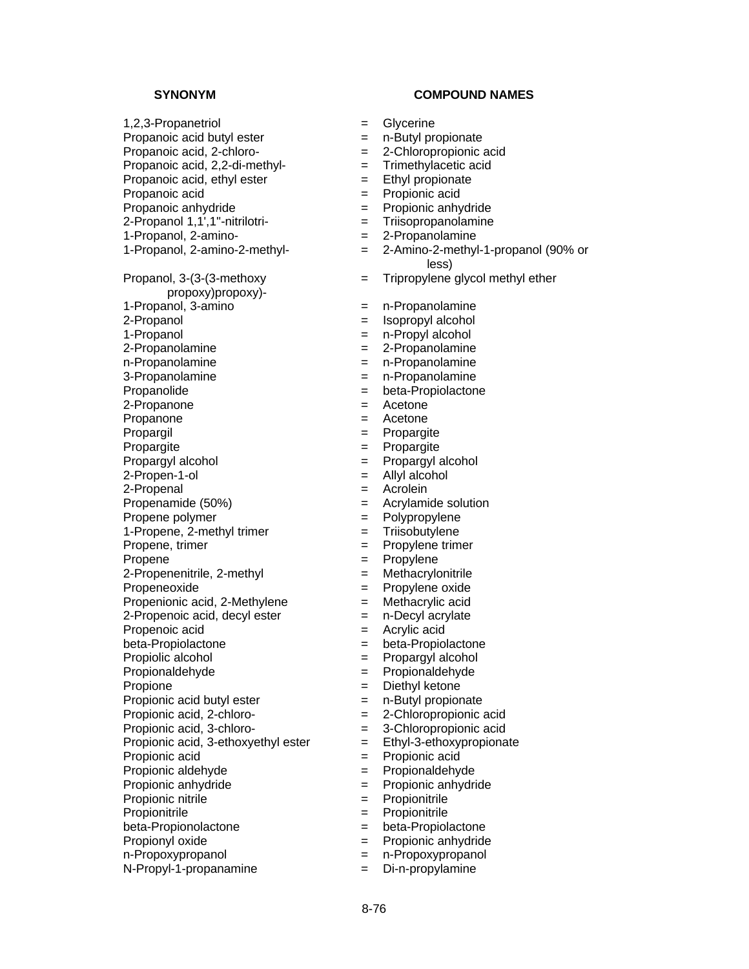Propanoic acid  $=$  Propionic acid Propanoic anhydride  $\qquad \qquad = \qquad$  Propionic anhydride 2-Propanol 1,1',1''-nitrilotri- = Triisopropanolamine 1-Propanol, 2-amino-<br>1-Propanol, 2-amino-2-methyl-<br>= 2-Amino-2-methyl<br>= 2-Amino-2-methyl Propanol, 3-(3-(3-methoxy propoxy)propoxy)- 1-Propanol, 3-amino = n-Propanolamine 2-Propanol = Isopropyl alcohol 1-Propanol = n-Propyl alcohol  $2$ -Propanolamine  $2 - P$ ropanolamine n-Propanolamine = n-Propanolamine 3-Propanolamine = n-Propanolamine Propanolide  $=$  beta-Propiolactone 2-Propanone = Acetone Propanone = Acetone Propargil  $=$  Propargite Propargite  $=$  Propargite Propargyl alcohol = Propargyl alcohol  $2-Propen-1-ol$   $=$  Allyl alcohol 2-Propenal = Acrolein Propenamide (50%) = Acrylamide solution Propene polymer = Polypropylene 1-Propene, 2-methyl trimer = Triisobutylene Propene, trimer = Propylene trimer Propene = Propylene<br>
2-Propenenitrile, 2-methyl = Methacrylonitrile  $2$ -Propenenitrile,  $2$ -methyl  $=$ Propeneoxide = Propylene oxide Propenionic acid,  $2$ -Methylene  $=$  Methacrylic acid  $2$ -Propenoic acid, decyl ester  $=$  n-Decyl acrylate Propenoic acid  $=$  Acrylic acid beta-Propiolactone = beta-Propiolactone Propiolic alcohol  $=$  Propargyl alcohol Propionaldehyde = Propionaldehyde Propione = Diethyl ketone Propionic acid butyl ester  $=$  n-Butyl propionate Propionic acid, 2-chloro-  $= 2$ -Chloropropionic acid Propionic acid, 3-chloro-<br>  $=$  3-Chloropropionic acid Propionic acid, 3-ethoxyethyl ester  $=$  Ethyl-3-ethoxypropionate Propionic acid = Propionic acid Propionic aldehyde = Propionaldehyde Propionic anhydride  $=$  Propionic anhydride Propionic nitrile  $\qquad \qquad = \qquad$  Propionitrile Propionitrile  $\qquad \qquad \qquad = \qquad$  Propionitrile beta-Propionolactone = beta-Propiolactone Propionyl oxide  $\qquad \qquad = \qquad$  Propionic anhydride n-Propoxypropanol = n-Propoxypropanol

- 1,2,3-Propanetriol = Glycerine
- Propanoic acid butyl ester  $=$  n-Butyl propionate
- Propanoic acid, 2-chloro- = 2-Chloropropionic acid
- Propanoic acid, 2,2-di-methyl- = Trimethylacetic acid
- Propanoic acid, ethyl ester  $=$  Ethyl propionate
	-
	-
	-
	-
	- $=$  2-Amino-2-methyl-1-propanol (90% or less)
	- = Tripropylene glycol methyl ether
	-
	-
	-
	-
	-
	-
	-
	-
	-
	-
	-
	-
	-
	-
	-
	-
	-
	-
	-
	-
	-
	-
	-
	-
	-
	-
	-
	-
	-
	-
	-
	-
	-
	-
	-
	-
	-
	-
	-
	-
- $N-$ Propyl-1-propanamine  $\qquad \qquad = \qquad$ Di-n-propylamine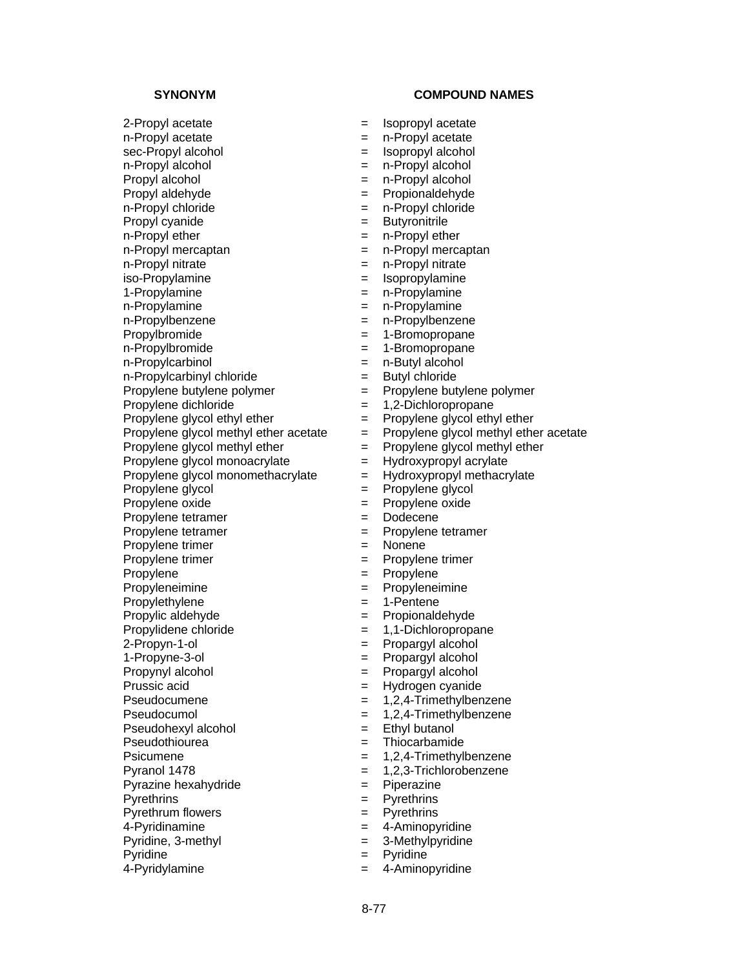2-Propyl acetate  $=$  Isopropyl acetate n-Propyl acetate  $\qquad \qquad = \qquad$ n-Propyl acetate sec-Propyl alcohol  $=$  Isopropyl alcohol  $n-Propyl$  alcohol  $n-Propyl$  alcohol Propyl alcohol = n-Propyl alcohol Propyl aldehyde = Propionaldehyde n-Propyl chloride = n-Propyl chloride<br>
Propyl cyanide = Heropyl chloride = Butyronitrile Propyl cyanide = Butyronic = Butyronic = Butyronic = Butyronic = Butyronic = Butyronic = Butyronic = Butyronic n-Propyl ether  $=$  n-Propyl ether n-Propyl mercaptan = n-Propyl mercaptan n-Propyl nitrate  $=$  n-Propyl nitrate iso-Propylamine  $=$  Isopropylamine 1-Propylamine = n-Propylamine n-Propylamine = n-Propylamine n-Propylbenzene  $-$  n-Propylbenzene Propylbromide  $= 1$ -Bromopropane n-Propylbromide  $= 1$ -Bromopropane n-Propylcarbinol = n-Butyl alcohol<br>
n-Propylcarbinyl chloride = Butyl chloride n-Propylcarbinyl chloride =  $\qquad \qquad =$ Propylene butylene polymer = Propylene butylene polymer Propylene dichloride  $= 1,2$ -Dichloropropane Propylene glycol ethyl ether  $=$  Propylene glycol ethyl ether Propylene glycol methyl ether  $=$  Propylene glycol methyl ether Propylene glycol monoacrylate  $=$  Hydroxypropyl acrylate Propylene glycol monomethacrylate  $=$  Hydroxypropyl methacrylate Propylene glycol  $=$  Propylene glycol Propylene oxide  $=$  Propylene oxide Propylene tetramer = Dodecene Propylene tetramer = Propylene tetramer Propylene trimer = Nonene Propylene trimer = Propylene trimer Propylene  $=$  Propylene Propyleneimine = Propyleneimine Propylethylene  $= 1$ -Pentene Propylic aldehyde  $=$  Propionaldehyde Propylidene chloride  $= 1,1$ -Dichloropropane 2-Propyn-1-ol = Propargyl alcohol 1-Propyne-3-ol = Propargyl alcohol Propynyl alcohol = Propargyl alcohol<br>Prussic acid = Hydrogen cyanide Pseudocumene  $= 1,2,4$ -Trimethylbenzene Pseudocumol = 1,2,4-Trimethylbenzene Pseudohexyl alcohol = Ethyl butanol Pseudothiourea = Thiocarbamide Psicumene  $= 1.2.4$ -Trimethylbenzene Pyranol 1478 = 1,2,3-Trichlorobenzene Pyrazine hexahydride  $=$  Piperazine Pyrethrins  $=$  Pyrethrins Pyrethrum flowers  $=$  Pyrethrins 4-Pyridinamine  $\qquad \qquad = \qquad 4$ -Aminopyridine Pyridine, 3-methyl  $=$  3-Methylpyridine Pyridine  $=$  Pyridine

- 
- 
- 
- 
- 
- 
- 
- 
- 
- 
- 
- 
- 
- 
- 
- 
- 
- 
- 
- 
- 
- 
- 
- Propylene glycol methyl ether acetate  $=$  Propylene glycol methyl ether acetate
	- -
	-
	-
	-
	-
	-
	-
	-
	-
	-
	-
	-
	-
	-
	-
	-
	- = Hydrogen cyanide
	-
	-
	-
	-
	-
	-
	-
	-
	-
	-
	-
	-
- 4-Pyridylamine = 4-Aminopyridine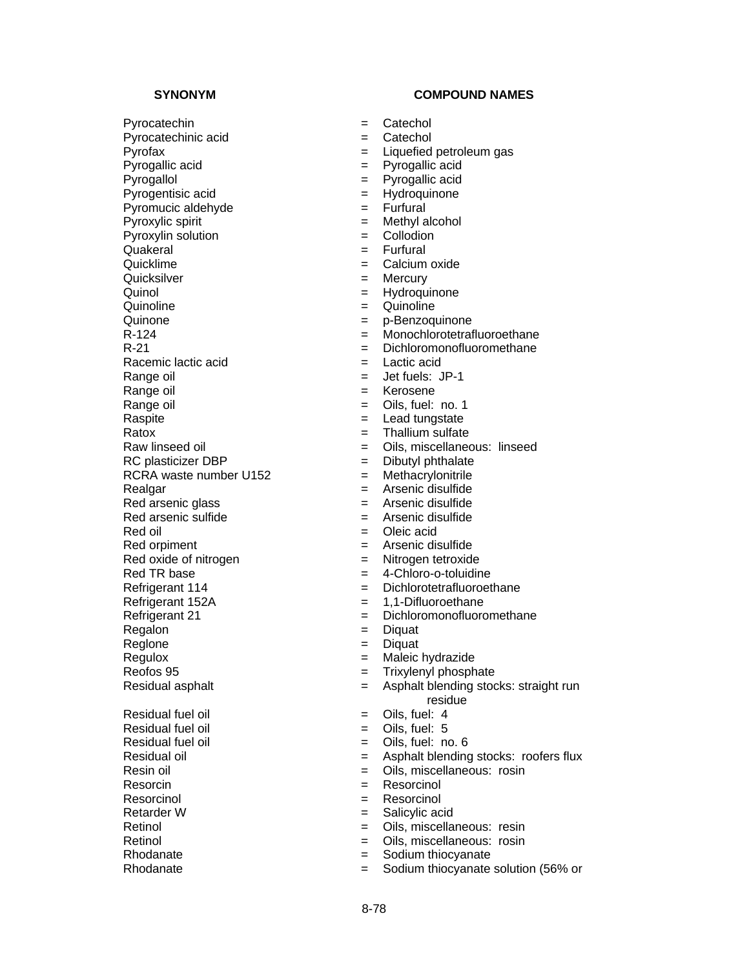Pyrocatechin  $=$  Catechol Pyrocatechinic acid  $=$  Catechol Pyrofax = Liquefied petroleum gas Pyrogallic acid = Pyrogallic acid Pyrogallol = Pyrogallic acid Pyrogentisic acid  $=$  Hydroquinone Pyromucic aldehyde  $\begin{array}{ccc} \text{Pyromucic} & \text{aldehyde} \\ \text{Pyroxulic} & \text{Spiri} \end{array}$  = Methyl alcohol  $Pyroxylic$  spirit  $=$ Pyroxylin solution = Collodion = Collodion = Collodion = Collodion = Collodion = Collodion = Collodion = Collo Quakeral = Furfural Quicksilver = Mercury Quinol = Hydroquinone Quinoline  $\qquad \qquad = \qquad$ Quinoline Quinone  $\qquad \qquad = \qquad p$ -Benzoquinone Racemic lactic acid = Lactic acid Range oil  $=$  Jet fuels: JP-1 Range oil and the set of the set of the Kerosene Range oil and the same of the Sange oil and the Sange of the Sange of the Sange of the Sange of the Sange of the S<br>  $\begin{array}{ccc} \hline \text{R} & = & \text{C} & \text{R} & \text{S} \\ \text{R} & = & \text{L} & \text{R} & \text{S} \\ \hline \end{array}$  $R$ atox  $=$  Thallium sulfate  $RC$  plasticizer DBP  $=$  Dibutyl phthalate RCRA waste number  $U152$  = Methacrylonitrile Realgar = Arsenic disulfide Red arsenic glass = Arsenic disulfide Red arsenic sulfide  $=$  Arsenic disulfide  $Red$  oil  $=$  Oleic acid Red orpiment  $=$  Arsenic disulfide Red oxide of nitrogen = Nitrogen tetroxide Red TR base  $=$  4-Chloro-o-toluidine Refrigerant 152A = 1,1-Difluoroethane Regalon = Diquat Regione = Diquat Regulox = Maleic hydrazide Reofos 95 = Trixylenyl phosphate  $Residual$  fuel oil  $S = \text{Oils}, \text{fuel}: 4$  $Residual$  fuel oil  $S = 0$ ils, fuel: 5 Residual fuel oil  $=$  Oils, fuel: no. 6 Resin oil  $\overline{ }$  = Oils, miscellaneous: rosin Resorcin  $=$  Resorcinol Resorcinol  $=$  Resorcinol Retarder W  $=$  Salicylic acid Retinol = Oils, miscellaneous: resin Retinol = Oils, miscellaneous: rosin<br>Rhodanate = The Sodium thiocyanate

- 
- 
- 
- 
- 
- 
- 
- 
- 
- 
- $=$  Calcium oxide
- 
- 
- 
- 
- R-124 = Monochlorotetrafluoroethane
- $R-21$   $=$  Dichloromonofluoromethane
	-
	-
	-
	-
	- $=$  Lead tungstate
	-
- Raw linseed oil **Example 2** Cils, miscellaneous: linseed
	-
	-
	-
	-
	-
	-
	-
	-
	-
- Refrigerant 114 **Exercise Exercise Exercise Following Exercise Properties** ED Dichlorotetrafluoroethane
	-
- Refrigerant 21 = Dichloromonofluoromethane
	-
	-
	-
	-
- Residual asphalt <br>= Asphalt blending stocks: straight run residue
	-
	-
	-
- Residual oil **Example 2** Asphalt blending stocks: roofers flux
	-
	-
	-
	-
	-
	-
	- = Sodium thiocyanate
- Rhodanate  $=$  Sodium thiocyanate solution (56% or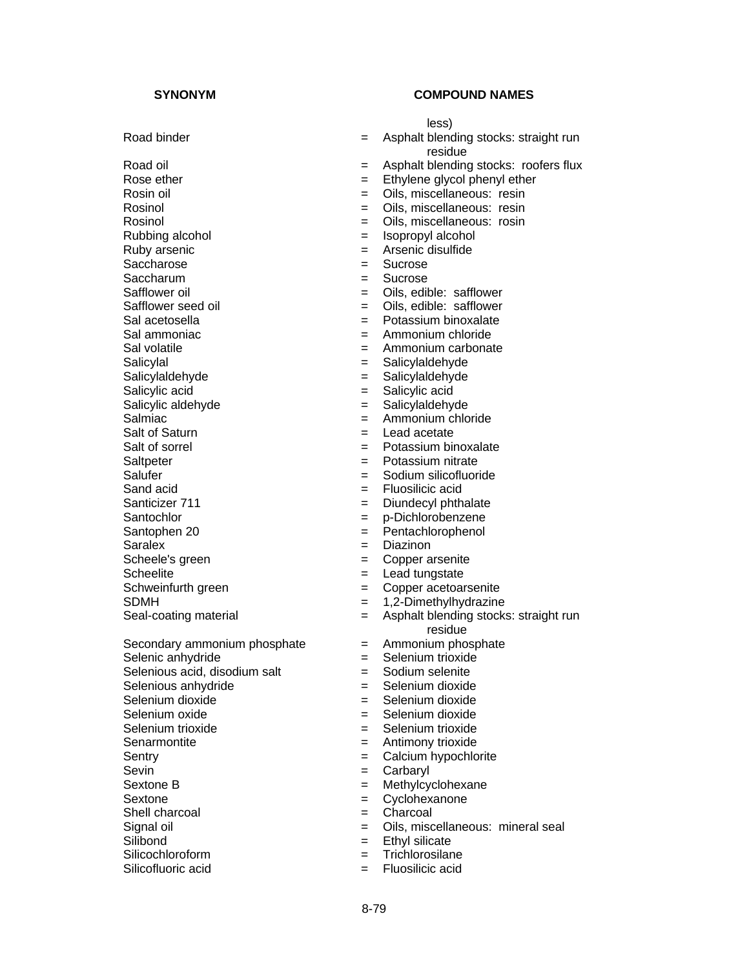Rosinol = Oils, miscellaneous: resin Rubbing alcohol  $\begin{array}{ccc} 1 & -1 & -1 \\ - & 1 & -1 \\ 0 & -1 & -1 \end{array}$  alcohol  $\begin{array}{ccc} 2 & -1 & -1 \\ - & -1 & -1 \end{array}$  and Ruby arsenic Saccharose =  $\blacksquare$ Saccharum = Sucrose Safflower oil **Safflower** oil **Safflower EXEC EXEC EXEC EXEC EXEC EXEC EXEC EXEC EXEC EXEC EXEC EXEC EXEC EXEC EXEC** Safflower seed oil **Safflower** = Oils, edible: safflower Sal acetosella = Potassium binoxalate Sal ammoniac  $=$  Ammonium chloride Sal volatile = Ammonium carbonate Salicylal = Salicylaldehyde = Salicylaldehyde = Salicylaldehyde<br>
Salicylaldehyde = Salicylaldehyde = Salicylaldehyde Salicylaldehyde = salicylaldehyde = salicylaldehyde = salicylaldehyde = salicylal Salicylic acid  $=$  Salicylic acid Salicylic aldehyde = Salicylaldehyde = Salicylaldehyde = Salicylaldehyde = Salicylaldehyde Salt of Saturn = Lead acetate Salt of sorrel example and the settlement of sorrel the Potassium binoxalate Saltpeter = Potassium nitrate Salufer = Sodium silicofluoride Sand acid  $=$  Fluosilicic acid Santicizer 711 = Diundecyl phthalate Santochlor = p-Dichlorobenzene Santophen 20 = Pentachlorophenol Saralex = Diazinon Scheele's green  $=$  Copper arsenite Scheelite<br>
Schweinfurth green<br>
Schweinfurth green<br>  $=$  Copper acetoar Selenic anhydride  $=$  Selenium trioxide Selenious acid, disodium salt  $=$  Sodium selenite Selenious anhydride  $=$  Selenium dioxide Selenium dioxide  $=$  Selenium dioxide Selenium oxide  $=$  Selenium dioxide Selenium trioxide = Selenium trioxide Senarmontite = Antimony trioxide Sentry = Calcium hypochlorite Sevin = Carbaryl Sextone B = Methylcyclohexane Sextone = Cyclohexanone<br>Shell charcoal = Charcoal = Charcoal Shell charcoal  $=$ 

- 
- 
- Silicochloroform = Trichlorosilane = Trichlorosilane = Trichlorosilane = Trichlorosilane = Trichlorosilane = T
- 

# **SYNONYM COMPOUND NAMES**

less)

- Road binder **Example 2** Conservative straight run and the Asphalt blending stocks: straight run residue
- Road oil **Example 2** Constant blending stocks: roofers flux
- Rose ether  $\qquad \qquad = \qquad$  Ethylene glycol phenyl ether
- Rosin oil **Example 2** Cils, miscellaneous: resin
	-
	- = Oils, miscellaneous: rosin
	-
	- $=$  Arsenic disulfide<br> $=$  Sucrose
	-
	-
	-
	-
	-
	-
	-
	-
	-
	-
	-
	- $=$  Ammonium chloride
	-
	-
	-
	-
	-
	-
	-
	-
	-
	-
	-
	- $=$  Copper acetoarsenite
- SDMH = 1,2-Dimethylhydrazine
- Seal-coating material  $=$  Asphalt blending stocks: straight run residue
- Secondary ammonium phosphate  $=$  Ammonium phosphate
	-
	-
	-
	-
	-
	-
	-
	-
	-
	-
	-
	-
- Signal oil  $\begin{array}{rcl} \text{Signal} & = & \text{Oils, miscellaneous: mineral seal} \\ \text{Silibond} & = & \text{Ethvl silicate} \end{array}$ 
	- $=$  Ethyl silicate<br> $=$  Trichlorosilane
	-
- Silicofluoric acid  $=$  Fluosilicic acid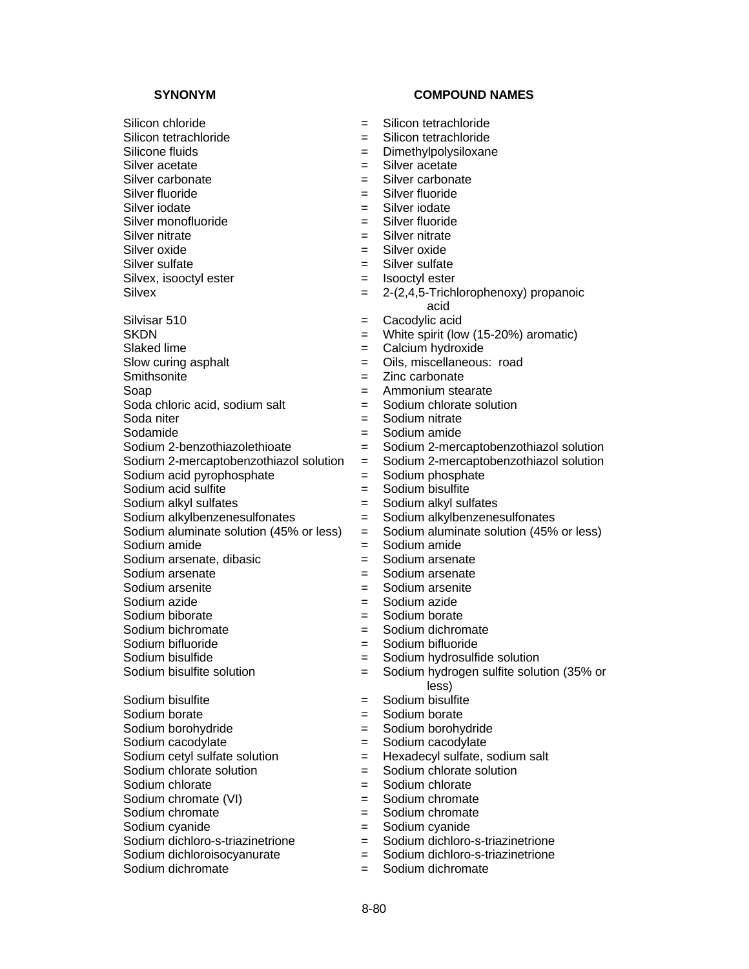Silicon chloride  $=$  Silicon tetrachloride Silicon tetrachloride  $=$  Silicon tetrachloride Silicone fluids  $\qquad \qquad = \qquad$ Dimethylpolysiloxane Silver acetate  $=$  Silver acetate Silver carbonate  $=$  Silver carbonate Silver fluoride  $=$  Silver fluoride Silver iodate<br>Silver monofluoride<br>Silver monofluoride<br> $=$  Silver fluoride Silver monofluoride  $=$ Silver nitrate  $=$  Silver nitrate Silver oxide = Silver oxide Silver sulfate  $\qquad \qquad \qquad =$  Silver sulfate Silvex, isooctyl ester  $=$  Isooctyl ester Silvisar 510 **Example 20** = Cacodylic acid SKDN = White spirit (low (15-20%) aromatic) Slaked lime  $=$  Calcium hydroxide Slow curing asphalt  $=$  Oils, miscellaneous: road<br>
Smithsonite  $=$  Zinc carbonate Soap = Ammonium stearate Soda chloric acid, sodium salt  $=$  Sodium chlorate solution<br>Soda niter  $=$  Sodium nitrate Sodamide  $=$  Sodium amide Sodium acid pyrophosphate  $=$  Sodium phosphate Sodium acid sulfite =  $\blacksquare$ Sodium alkyl sulfates<br>Sodium alkylbenzenesulfonates = sodium alkylbenzenesulfonates Sodium alkylbenzenesulfonates = Sodium alkylbenzenesulfonates Sodium aluminate solution (45% or less)  $=$  Sodium aluminate solution (45% or less)<br>Sodium amide  $=$  Sodium amide Sodium amide  $=$ Sodium arsenate, dibasic  $=$  Sodium arsenate Sodium arsenate  $=$  Sodium arsenate Sodium arsenite = Sodium arsenite Sodium azide = Sodium azide Sodium biborate  $=$  Sodium borate Sodium bichromate = Sodium dichromate Sodium bifluoride = Sodium bifluoride Sodium bisulfide  $=$  Sodium hydrosulfide solution Sodium bisulfite  $=$  Sodium bisulfite Sodium borate  $=$  Sodium borate Sodium borohydride  $=$  Sodium borohydride Sodium cacodylate  $=$  Sodium cacodylate Sodium cetyl sulfate solution  $=$  Hexadecyl sulfate, sodium salt Sodium chlorate solution  $=$  Sodium chlorate solution Sodium chlorate  $=$  Sodium chlorate Sodium chromate (VI)  $=$  Sodium chromate Sodium chromate  $=$  Sodium chromate

- 
- 
- Sodium dichloroisocyanurate =  $=$
- 

- 
- 
- 
- 
- 
- 
- 
- 
- 
- 
- 
- 
- Silvex  $= 2-(2,4,5-Trichlorophenoxy)$  propanoic acid
	-
	-
	-
	-
	- $=$  Zinc carbonate
	-
	-
	- $=$  Sodium nitrate
	-
- Sodium 2-benzothiazolethioate = Sodium 2-mercaptobenzothiazol solution
- Sodium 2-mercaptobenzothiazol solution = Sodium 2-mercaptobenzothiazol solution
	-
	-
	-
	-
	-
	-
	-
	-
	-
	-
	-
	-
	-
	-
- Sodium bisulfite solution  $=$  Sodium hydrogen sulfite solution (35% or less)
	-
	-
	-
	-
	-
	-
	-
	-
	-
	-
- Sodium cyanide = Sodium cyanide<br>Sodium dichloro-s-triazinetrione = Sodium dichloro-s-triazinetrione Sodium dichloro-s-triazinetrione  $\begin{array}{rcl} = & \text{Sodium dichloro-s-triazinetrione} \\ = & \text{Sodium dichloro-s-triazinetrione} \end{array}$ 
	-
- Sodium dichromate  $=$  Sodium dichromate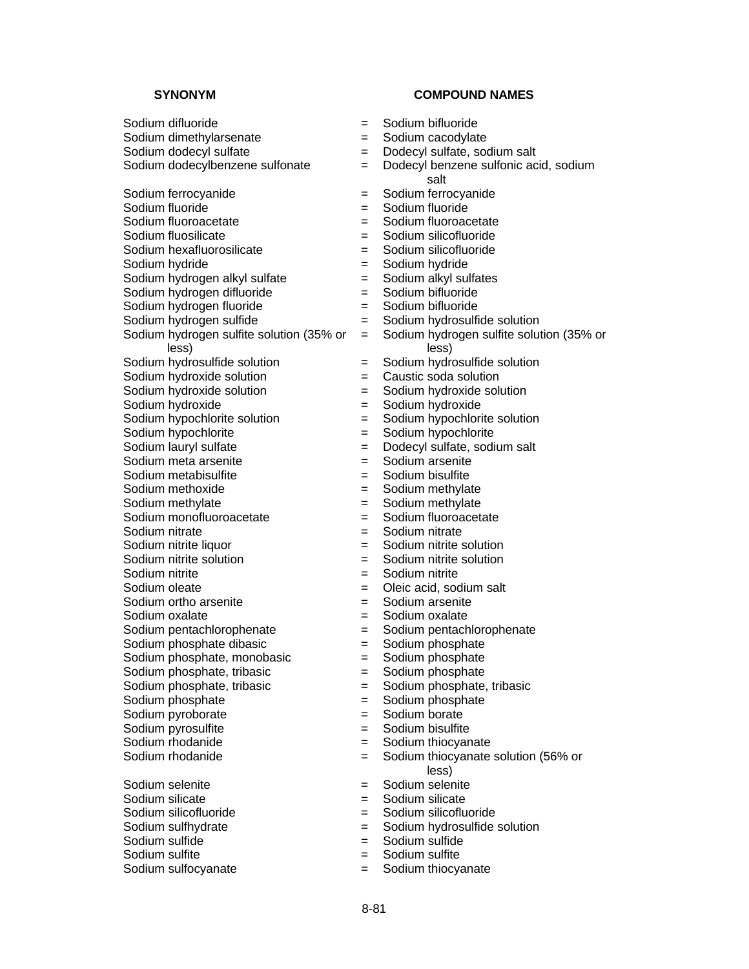Sodium difluoride = Sodium bifluoride Sodium dimethylarsenate = Sodium cacodylate Sodium dodecyl sulfate  $=$  Dodecyl sulfate, sodium salt Sodium ferrocyanide  $=$  Sodium ferrocyanide Sodium fluoride<br>
Sodium fluoroacetate<br>
Sodium fluoroacetate<br>  $=$  Sodium fluoroacetate Sodium fluoroacetate  $=$ Sodium fluosilicate  $=$  Sodium silicofluoride Sodium hexafluorosilicate = Sodium silicofluoride Sodium hydride  $=$  Sodium hydride Sodium hydrogen alkyl sulfate  $=$  Sodium alkyl sulfates<br>Sodium hydrogen difluoride  $=$  Sodium bifluoride  $S$ odium hydrogen difluoride  $=$ Sodium hydrogen fluoride = Sodium bifluoride Sodium hydrogen sulfide  $=$  Sodium hydrosulfide solution Sodium hydrogen sulfite solution (35% or less) Sodium hydrosulfide solution = Sodium hydrosulfide solution<br>Sodium hydroxide solution = Caustic soda solution  $S$ odium hydroxide solution  $=$ Sodium hydroxide solution  $=$  Sodium hydroxide solution Sodium hydroxide<br>
Sodium hypochlorite solution<br>  $=$  Sodium hypochlorite solution<br>  $=$  Sodium hypochlorite solution Sodium hypochlorite solution =  $=$ Sodium hypochlorite<br>
Sodium lauryl sulfate<br>  $=$  Dodecyl sulfate, sodi Sodium meta arsenite = Sodium arsenite Sodium metabisulfite  $=$  Sodium bisulfite Sodium methoxide  $=$  Sodium methylate Sodium methylate  $=$  Sodium methylate Sodium monofluoroacetate = Sodium fluoroacetate Sodium nitrate<br>
Sodium nitrite liquor<br>  $=$  Sodium nitrite liquor<br>  $=$  Sodium nitrite liquor Sodium nitrite solution = Sodium nitrite solution Sodium nitrite  $=$  Sodium nitrite Sodium oleate =  $\qquad \qquad$  = Oleic acid, sodium salt Sodium ortho arsenite = Sodium arsenite Sodium oxalate<br>Sodium pentachlorophenate<br>
= Sodium pentachlorophenate<br>
= Sodium pentachlorophenate Sodium pentachlorophenate =  $=$ Sodium phosphate dibasic  $=$  Sodium phosphate Sodium phosphate, monobasic = Sodium phosphate Sodium phosphate, tribasic  $=$  Sodium phosphate<br>Sodium phosphate, tribasic  $=$  Sodium phosphate, Sodium phosphate  $=$  Sodium phosphate Sodium pyroborate  $=$  Sodium borate Sodium pyrosulfite  $=$  Sodium bisulfite Sodium rhodanide = Sodium thiocyanate Sodium rhodanide  $=$  Sodium thiocyanate solution (56% or Sodium selenite = Sodium selenite Sodium silicate  $=$  Sodium silicate Sodium silicofluoride = Sodium silicofluoride

- 
- Sodium sulfite  $=$

- 
- 
- 
- Sodium dodecylbenzene sulfonate = Dodecyl benzene sulfonic acid, sodium salt
	-
	-
	-
	-
	- -
	-
	-
	-
	-
	- = Sodium hydrogen sulfite solution (35% or less)
	-
	-
	-
	-
	-
	-
	- = Dodecyl sulfate, sodium salt
	-
	-
	-
	-
	-
	-
	- $=$  Sodium nitrite solution
	-
	-
	-
	-
	-
	-
	-
	-
	-
	- Sodium phosphate, tribasic = Sodium phosphate, tribasic
	-
	-
	-
	-
	- less)
	-
	-
	-
- Sodium sulfhydrate  $=$  Sodium hydrosulfide solution<br>Sodium sulfide  $=$  Sodium sulfide
	- Sodium sulfide = Sodium sulfide
	-
- Sodium sulfocyanate  $=$  Sodium thiocyanate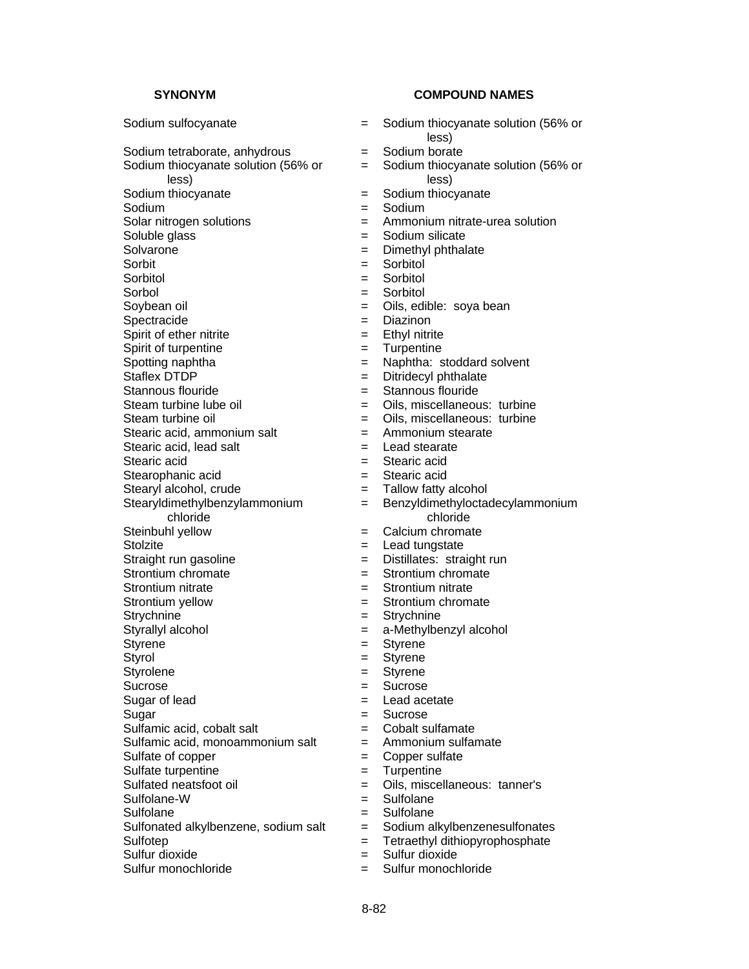Sodium tetraborate, anhydrous = Sodium borate Sodium thiocyanate solution (56% or less) Sodium thiocyanate  $=$  Sodium thiocyanate Sodium  $=$  Sodium Solar nitrogen solutions = Ammonium nitrate-urea solution Soluble glass  $=$  Sodium silicate<br>Solvarone  $=$  Dimethyl phthal Solvarone = Dimethyl phthalate<br>
Sorbit<br>
= Sorbitol<br>
= Sorbitol Sorbitol = Sorbitol Sorbol  $=$  Sorbitol Soybean oil **Southern Communist Example 2** Oils, edible: soya bean Spectracide  $=$  Diazinon Spirit of ether nitrite  $=$  Ethyl nitrite Spirit of turpentine  $=$  Turpentine Spotting naphtha  $=$  Naphtha: stoddard solvent<br>Staflex DTDP  $=$  Ditridecyl phthalate Stannous flouride = Stannous flouride Steam turbine lube oil  $\begin{array}{ccc} \text{Steam turbine} \\ \text{Steam turbine oil} \\ \text{Steam turbine oil} \end{array}$  = Oils, miscellaneous: turbine Stearic acid, ammonium salt  $=$  Ammonium stearate Stearic acid, lead salt  $\qquad \qquad = \qquad$  Lead stearate Stearic acid  $=$  Stearic acid Stearophanic acid = Stearic acid Stearyl alcohol, crude  $=$  Tallow fatty alcohol Stearyldimethylbenzylammonium chloride Steinbuhl yellow  $=$  Calcium chromate Stolzite = Lead tungstate Straight run gasoline  $=$  Distillates: straight run Strontium chromate  $\qquad \qquad = \qquad$ Strontium chromate Strontium nitrate  $=$  Strontium nitrate Strontium yellow  $=$  Strontium chromate Strychnine = Strychnine Styrallyl alcohol = a-Methylbenzyl alcohol Styrene = Styrene = Styrene = Styrene = Styrene = Styrene = Styrene = Styrene = Styrene = Styrene = Styrene = Styrene = Styrene = Styrene = Styrene = Styrene = Styrene = Styrene = Styrene = Styrene = Styrene = Styrene = St Styrolene = Styrene Sucrose = Sucrose = Sucrose Sugar of lead  $=$  Lead acetate Sugar = Sucrose Sulfamic acid, cobalt salt  $=$ Sulfamic acid, monoammonium salt  $=$  Ammonium sulfamate Sulfate of copper  $=$  Copper sulfate Sulfate turpentine  $=$  Turpentine Sulfated neatsfoot oil  $\qquad \qquad = \qquad$  Oils, miscellaneous: tanner's Sulfolane-W = Sulfolane Sulfolane = Sulfolane = Sulfolane Sulfonated alkylbenzene, sodium salt  $=$  Sodium alkylbenzenesulfonates Sulfotep = Tetraethyl dithiopyrophosphate<br>Sulfur dioxide = Sulfur dioxide = Sulfur dioxide Sulfur dioxide  $=$ Sulfur monochloride = Sulfur monochloride

- Sodium sulfocyanate  $=$  Sodium thiocyanate solution (56% or less)
	-
	- = Sodium thiocyanate solution (56% or less)
	-
	-
	-
	-
	-
	- $=$  Sorbitol<br> $=$  Sorbitol
	-
	-
	-
	-
	-
	-
	-
	- $=$  Ditridecyl phthalate
	-
	-
	- = Oils, miscellaneous: turbine
	-
	-
	-
	-
	-
	- = Benzyldimethyloctadecylammonium chloride
	-
	-
	-
	-
	-
	-
	-
	-
	-
	- = Styrene
	-
	-
	-
	-
	-
	-
	-
	-
	-
	-
	-
	-
	- -
		-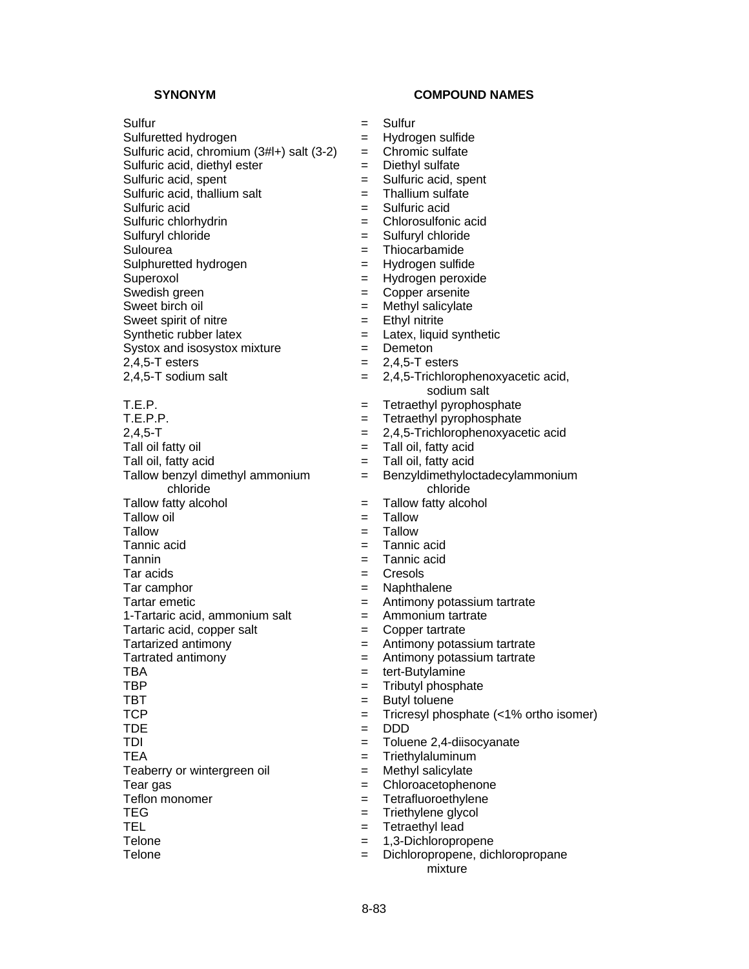Sulfuretted hydrogen = Hydrogen sulfide

Sulfuric acid, chromium  $(3#H+)$  salt  $(3-2)$  = Chromic sulfate

 $Systox$  and isosystox mixture  $=$  Demeton

2,4,5-T esters = 2,4,5-T esters<br>
2,4,5-T sodium salt = 2,4,5-Trichloro

Tall oil fatty oil  $=$  Tall oil, fatty acid Tall oil, fatty acid = Tall oil, fatty acid Tallow benzyl dimethyl ammonium chloride Tallow fatty alcohol  $=$  Tallow fatty alcohol Tallow oil  $=$  Tallow Tallow  $=$  Tallow

 $T$ artaric acid, copper salt  $\qquad \qquad =$  Copper tartrate

Teaberry or wintergreen oil  $=$  Methyl salicylate

- 
- 

- Sulfur = Sulfur
	-
	-
- Sulfuric acid, diethyl ester = Diethyl sulfate
- Sulfuric acid, spent  $=$  Sulfuric acid, spent
- Sulfuric acid, thallium salt  $=$  Thallium sulfate
- Sulfuric acid = Sulfuric acid
- Sulfuric chlorhydrin = Chlorosulfonic acid
- Sulfuryl chloride  $=$  Sulfuryl chloride
- Sulourea = Thiocarbamide<br>Sulphuretted hydrogen = = Hvdrogen = Hvdrogen = Hvdrogen
- Sulphuretted hydrogen = Hydrogen sulfide
- Superoxol = Hydrogen peroxide
- Swedish green  $\qquad \qquad = \qquad$  Copper arsenite
- Sweet birch oil  $=$  Methyl salicylate
- Sweet spirit of nitre  $=$  Ethyl nitrite
- Synthetic rubber latex  $=$  Latex, liquid synthetic
	-
	-
	-
	- $= 2,4,5$ -Trichlorophenoxyacetic acid, sodium salt
- T.E.P. = Tetraethyl pyrophosphate
	- $=$  Tetraethyl pyrophosphate
- 2,4,5-T = 2,4,5-Trichlorophenoxyacetic acid
	-
	-
	- = Benzyldimethyloctadecylammonium chloride
	-
	-
	-
- Tannic acid = Tannic acid
- Tannin = Tannic acid
- Tar acids  $=$  Cresols
- Tar camphor  $=$  Naphthalene
- Tartar emetic **EXALC EXALC EXACTLE EXAMPLE 2** Antimony potassium tartrate
- 1-Tartaric acid, ammonium salt  $=$  Ammonium tartrate
	-
- Tartarized antimony **Exercise 2** and  $\overline{a}$  and  $\overline{b}$  and  $\overline{c}$  and  $\overline{c}$  and  $\overline{a}$  and  $\overline{b}$  and  $\overline{a}$  and  $\overline{a}$  and  $\overline{a}$  and  $\overline{a}$  and  $\overline{a}$  and  $\overline{a}$  and  $\overline{a}$  and  $\overline{a}$  and  $\over$
- Tartrated antimony **Exercise 2** and the Antimony potassium tartrate
	-
- TBA = tert-Butylamine<br>
TBP = Tributyl phosph  $=$  Tributyl phosphate
- TBT  $=$  Butyl toluene
- TCP  $=$  Tricresyl phosphate (<1% ortho isomer)
- $\mathsf{TDE}$  = DDD
- TDI = Toluene 2,4-diisocyanate
- TEA = Triethylaluminum
	-
- Tear gas  $=$  Chloroacetophenone
- Teflon monomer = Tetrafluoroethylene
- TEG = Triethylene glycol
- TEL **TEL Example 2** Tetraethyl lead
- Telone  $= 1,3$ -Dichloropropene
- Telone = Dichloropropene, dichloropropane mixture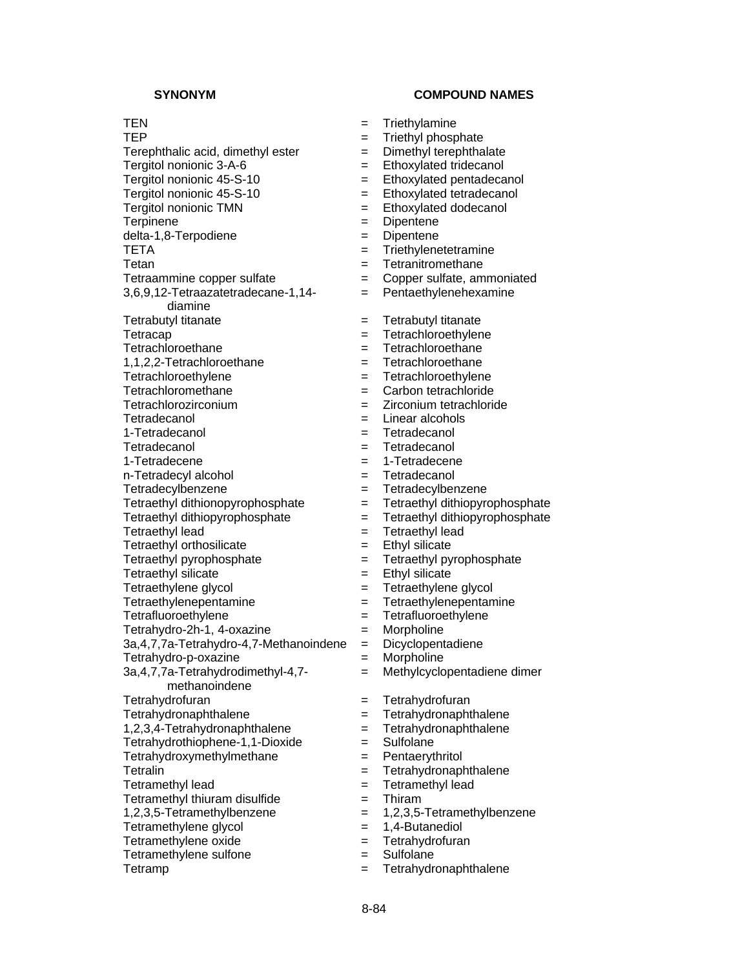TEP = Triethyl phosphate Terephthalic acid, dimethyl ester  $=$  Dimethyl terephthalate Tergitol nonionic 3-A-6 = Ethoxylated tridecanol Tergitol nonionic  $45-S-10$  = Ethoxylated pentadecanol Tergitol nonionic 45-S-10 = Ethoxylated tetradecanol Tergitol nonionic TMN = Ethoxylated dodecanol delta-1,8-Terpodiene = Dipentene TETA = Triethylenetetramine  $Tetan$   $=$   $Tetranitromethane$ Tetraammine copper sulfate = Copper sulfate, ammoniated 3,6,9,12-Tetraazatetradecane-1,14 diamine Tetrabutyl titanate  $=$  Tetrabutyl titanate Tetracap  $=$  Tetrachloroethylene Tetrachloroethane  $=$  Tetrachloroethane 1,1,2,2-Tetrachloroethane = Tetrachloroethane<br>Tetrachloroethylene = Tetrachloroethylen Tetrachloromethane = Carbon tetrachloride Tetrachlorozirconium = Zirconium = Zirconium tetrachloride<br>Tetradecanol = Linear alcohols 1-Tetradecanol = Tetradecanol Tetradecanol = Tetradecanol 1-Tetradecene = 1-Tetradecene n-Tetradecyl alcohol = Tetradecanol Tetradecylbenzene = Tetradecylbenzene Tetraethyl dithionopyrophosphate = Tetraethyl dithiopyrophosphate Tetraethyl dithiopyrophosphate = Tetraethyl dithiopyrophosphate Tetraethyl lead = Tetraethyl lead Tetraethyl orthosilicate  $=$  Ethyl silicate Tetraethyl pyrophosphate  $=$  Tetraethyl pyrophosphate  $Tetraethvl silicate$   $=$   $Ethvl silicate$ Tetraethylene glycol and the state of the Tetraethylene glycol Tetraethylenepentamine = Tetraethylenepentamine Tetrafluoroethylene = Tetrafluoroethylene Tetrahydro-2h-1, 4-oxazine = Morpholine 3a,4,7,7a-Tetrahydro-4,7-Methanoindene = Dicyclopentadiene Tetrahydro-p-oxazine = Morpholine 3a,4,7,7a-Tetrahydrodimethyl-4,7 methanoindene Tetrahydrofuran = Tetrahydrofuran = Tetrahydrofuran Tetrahydronaphthalene = Tetrahydronaphthalene  $1,2,3,4$ -Tetrahydronaphthalene  $=$  Tetrahydronaphthalene Tetrahydrothiophene-1,1-Dioxide = Sulfolane Tetrahydroxymethylmethane = Pentaerythritol Tetralin **Tetralin** = Tetrahydronaphthalene Tetramethyl lead  $=$  Tetramethyl lead Tetramethyl thiuram disulfide  $=$  Thiram  $1,2,3,5$ -Tetramethylbenzene  $= 1,2,3,5$ -Tetramethylbenzene Tetramethylene glycol  $= 1,4$ -Butanediol<br>Tetramethylene oxide  $= 1,4$ -Butanediol  $Tetramethylene oxide =$ Tetramethylene sulfone  $=$  Sulfolane

- TEN = Triethylamine
	-
	-
	-
	-
	-
	-
	- = Dipentene
	-
	-
	-
	-
	- = Pentaethylenehexamine
	-
	-
	-
	-
	- Tetrachloroethylene = Tetrachloroethylene
	-
	-
	- $=$  Linear alcohols
	-
	-
	-
	-
	-
	-
	-
	-
	-
	-
	-
	-
	-
	-
	-
	-
	- - = Methylcyclopentadiene dimer
		-
		-
		-
		-
		-
		-
		-
		-
		-
		-
		-
		-
- Tetramp  $=$  Tetrahydronaphthalene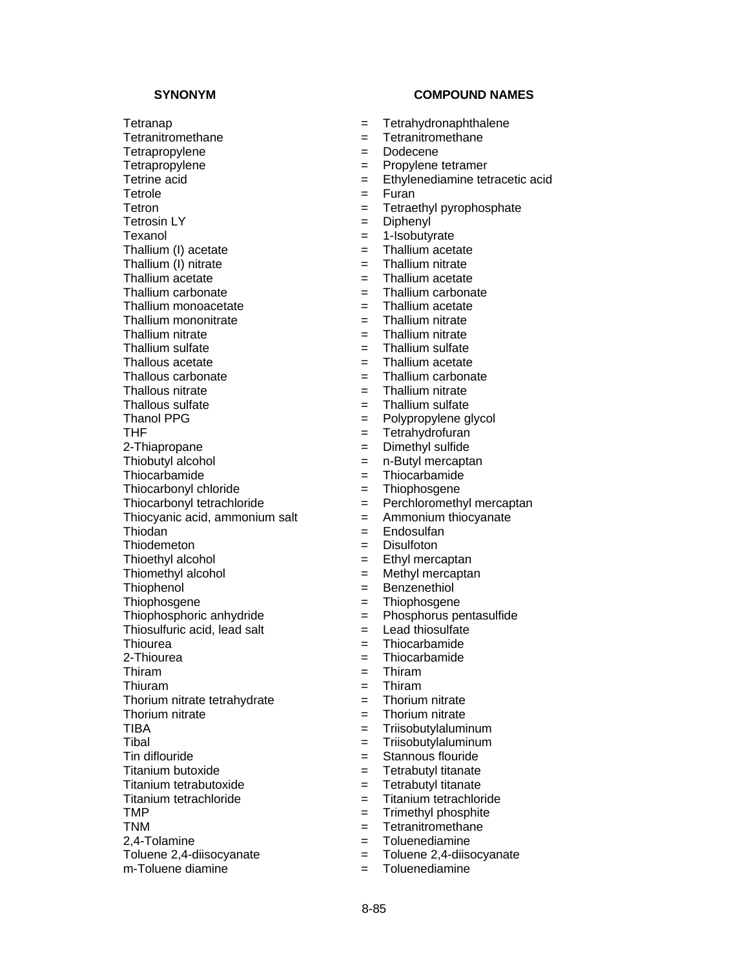Tetranap **Example 2018** Tetrahydronaphthalene Tetranitromethane = Tetranitromethane Tetrapropylene = Dodecene Tetrapropylene  $=$  Propylene tetramer Tetrole  $=$  Furan Tetron = Tetraethyl pyrophosphate Tetrosin LY = Diphenyl Texanol = 1-Isobutyrate<br>Thallium (I) acetate = 1 = 1-Isobutyrate = 1-Isobutyrate Thallium (I) acetate  $\begin{array}{rcl} \hline \end{array}$  = Thallium acetate  $\begin{array}{rcl} \hline \end{array}$  = Thallium nitrate  $\begin{array}{rcl} \hline \end{array}$  = Thallium nitrate Thallium  $(1)$  nitrate  $=$ Thallium acetate  $=$  Thallium acetate Thallium carbonate  $=$  Thallium carbonate Thallium monoacetate  $=$  Thallium acetate Thallium mononitrate  $=$  Thallium nitrate Thallium nitrate  $=$  Thallium nitrate Thallium sulfate  $=$  Thallium sulfate Thallous acetate  $\begin{array}{rcl} \text{Thall} & = & \text{Thallium acetate} \\ \text{Thallous carbonate} & = & \text{Thallium carbona} \end{array}$ Thallous nitrate  $=$  Thallium nitrate Thallous sulfate  $\begin{array}{ccc} \text{Thal} & = & \text{Thal} \\ \text{Thanol PPG} & = & \text{Polypropylene g} \end{array}$ Thanol PPG  $\begin{array}{ccc} \text{1} & \text{2} & \text{2} \\ \text{2} & \text{3} & \text{4} \\ \text{3} & \text{4} & \text{5} \\ \text{4} & \text{5} & \text{6} \\ \text{5} & \text{6} & \text{7} \\ \text{7} & \text{8} & \text{8} \\ \text{8} & \text{9} & \text{9} \\ \text{10} & \text{11} & \text{10} \\ \text{11} & \text{12} & \text{13} \\ \text{13} & \text{14} & \text{15} \\ \text{14} & \text{16} &$ 2-Thiapropane  $\qquad \qquad = \qquad$  Dimethyl sulfide Thiobutyl alcohol  $=$  n-Butyl mercaptan Thiocarbamide  $=$  Thiocarbamide Thiocarbonyl chloride  $=$  Thiophosgene Thiocarbonyl tetrachloride  $=$  Perchloromethyl mercaptan Thiocyanic acid, ammonium salt  $=$  Ammonium thiocyanate Thiodan = Endosulfan Thiodemeton = Disulfoton Thioethyl alcohol  $=$  Ethyl mercaptan Thiomethyl alcohol  $=$  Methyl mercaptan Thiophenol **Example 2** and the Benzenethiol Thiophosgene  $=$  Thiophosgene Thiophosphoric anhydride = Phosphorus pentasulfide Thiosulfuric acid, lead salt  $=$  Lead thiosulfate Thiourea = Thiocarbamide 2-Thiourea = Thiocarbamide Thiram = Thiram Thiuram = Thiram Thorium nitrate tetrahydrate = Thorium nitrate Thorium nitrate  $\begin{array}{ccc} \n\text{The equation} & \text{The equation} \\
\text{The equation} & \text{The equation} \\
\text{The equation} & \text{The equation} \\
\text{The equation} & \text{The equation} \\
\text{The equation} & \text{The equation} \\
\text{The equation} & \text{The equation} \\
\text{The equation} & \text{The equation} \\
\text{The equation} & \text{The equation} \\
\text{The equation} & \text{The equation} \\
\text{The equation} & \text{The equation} \\
\text{The equation} & \text{The equation} \\
\text{The equation} & \text{The equation} \\
\text{The$ Tibal = Triisobutylaluminum Tin diflouride = Stannous flouride Titanium butoxide = Tetrabutyl titanate Titanium tetrabutoxide  $=$  Tetrabutyl titanate Titanium tetrachloride  $=$  Titanium tetrachloride TMP = Trimethyl phosphite TNM = Tetranitromethane 2,4-Tolamine = Toluenediamine Toluene 2,4-diisocyanate = Toluene 2,4-diisocyanate m-Toluene diamine  $\blacksquare$ 

- 
- 
- 
- 
- Tetrine acid  $=$  Ethylenediamine tetracetic acid
	-
	-
	-
	-
	-
	-
	-
	-
	-
	-
	-
	-
	-
	- $=$  Thallium carbonate
	-
	-
	-
	- $=$  Tetrahydrofuran
	-
	-
	-
	-
	-
	-
	-
	-
	-
	-
	-
	-
	-
	-
	-
	-
	-
	-
	-
	-
	- $=$  Triisobutylaluminum
	-
	-
	-
	-
	-
	-
	-
	-
	-
	-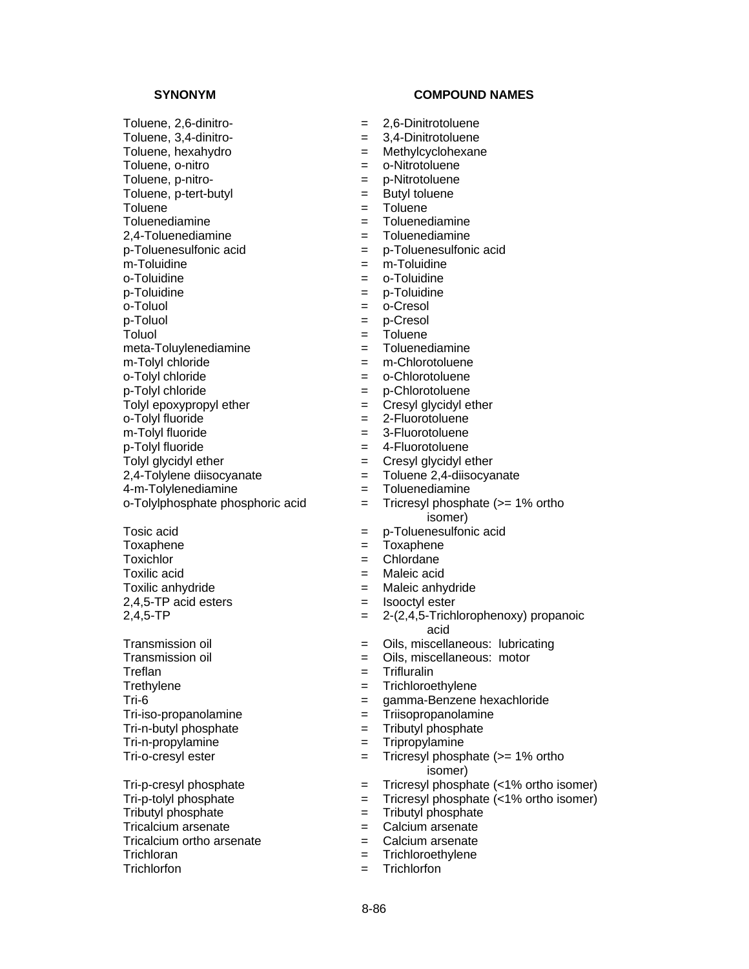Toluene = Toluene<br>Toluenediamine = Toluene

meta-Toluylenediamine = The Tolumber = Tolu

 $o-Tolyl$  fluoride  $=$ 

Tosic acid<br>
Toxaphene<br>
Toxaphene<br>  $=$  Toxaphene<br>
Toxaphene Toxichlor  $=$  Chlordane Toxilic acid = Maleic acid  $2,4,5$ -TP acid esters  $=$  Isooctyl ester

Treflan = Trifluralin = Trifluralin Trethylene  $=$  Trichloroethylene Tri-iso-propanolamine = Triisopropanolamine  $Tri-n-butvl$  phosphate  $=$ Tri-n-propylamine = Tripropylamine

Tributyl phosphate  $=$  Tributyl phosphate Tricalcium arsenate  $=$  Calcium arsenate Tricalcium ortho arsenate  $=$  Calcium arsenate  $=$  Trichloran  $=$  Trichloroethylene Trichlorfon = Trichlorfon

- Toluene, 2,6-dinitro- = 2,6-Dinitrotoluene
- Toluene, 3,4-dinitro-<br>  $= 3,4$ -Dinitrotoluene
- Toluene, hexahydro = Methylcyclohexane
- Toluene, o-nitro e e e e co-Nitrotoluene
- Toluene, p-nitro-<br>  $=$  p-Nitrotoluene
- Toluene, p-tert-butyl  $=$  Butyl toluene
	-
	- Toluenediamine = Toluenediamine
- 2,4-Toluenediamine = Toluenediamine
- p-Toluenesulfonic acid<br>
m-Toluidine<br>  $=$  m-Toluidine<br>  $=$  m-Toluidine
	- m-Toluidine = m-Toluidine
- o-Toluidine = o-Toluidine
- p-Toluidine = p-Toluidine
- o-Toluol = o-Cresol
- p-Toluol = p-Cresol
	-
- Toluol = Toluene<br>meta-Toluvlenediamine = = Toluenediamine
	-
- m-Tolyl chloride  $\begin{array}{ccc} m\text{-}T$ olyl chloride  $\end{array}$  = m-Chlorotoluene  $\begin{array}{ccc} & m\text{-}Chlorotoluene \\ & \text{-}Chlorotoluene \end{array}$ = o-Chlorotoluene
- p-Tolyl chloride = p-Chlorotoluene
	-
- Tolyl epoxypropyl ether  $\rho$  = Cresyl glycidyl ether = Cresyl glycidyl ether<br>
o-Tolyl fluoride = 2-Fluorotoluene
- m-Tolyl fluoride  $=$  3-Fluorotoluene
- p-Tolyl fluoride = 4-Fluorotoluene
- Tolyl glycidyl ether  $=$  Cresyl glycidyl ether
- $2,4$ -Tolylene diisocyanate  $\qquad \qquad = \qquad$ Toluene 2,4-diisocyanate
- 4-m-Tolylenediamine = Toluenediamine
- o-Tolylphosphate phosphoric acid = Tricresyl phosphate (>= 1% ortho isomer)
	-
	- Toxaphene = Toxaphene
	-
	-
- Toxilic anhydride = Maleic anhydride
	-
- $2,4,5$ -TP  $=$   $2-(2,4,5$ -Trichlorophenoxy) propanoic acid
- Transmission oil **Exercise Servers** 2015, miscellaneous: lubricating
- Transmission oil **Exercise Exercise Serverse Constructs** = Oils, miscellaneous: motor
	-
	-
- Tri-6 = gamma-Benzene hexachloride
	-
	-
	-
- Tri-o-cresyl ester  $\qquad \qquad \qquad = \qquad$  Tricresyl phosphate (>= 1% ortho isomer)
- Tri-p-cresyl phosphate  $\qquad \qquad = \qquad$  Tricresyl phosphate (<1% ortho isomer)
- Tri-p-tolyl phosphate = Tricresyl phosphate (<1% ortho isomer)
	-
	-
	-
	- = Trichloroethylene
	-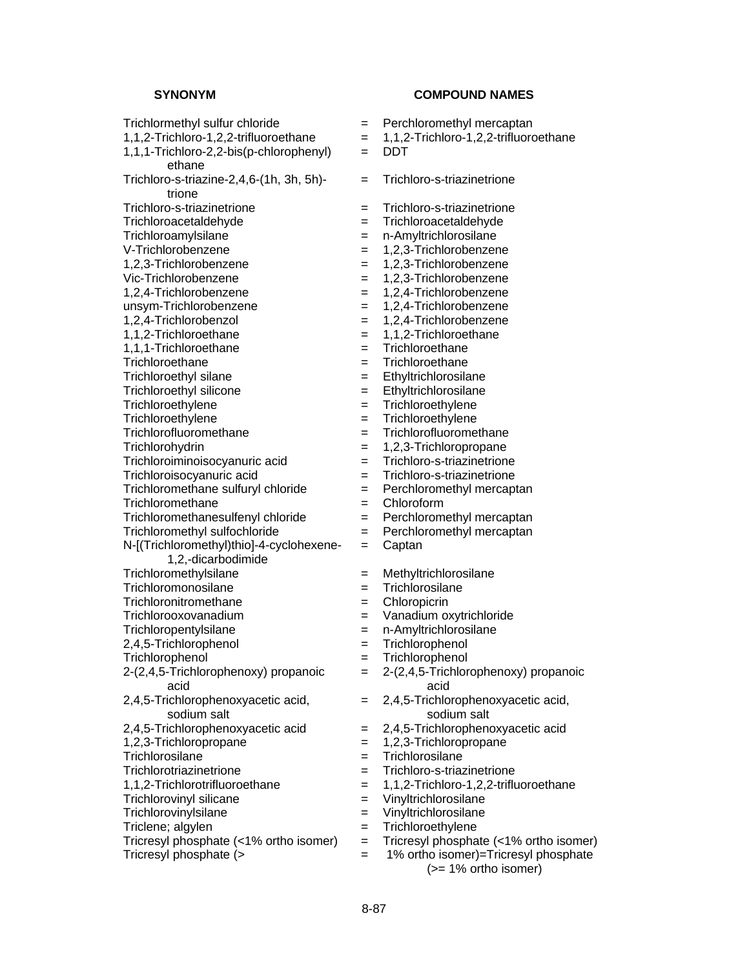Trichlormethyl sulfur chloride  $=$  Perchloromethyl mercaptan 1,1,2-Trichloro-1,2,2-trifluoroethane = 1,1,2-Trichloro-1,2,2-trifluoroethane 1,1,1-Trichloro-2,2-bis(p-chlorophenyl) ethane Trichloro-s-triazine-2,4,6-(1h, 3h, 5h) trione Trichloro-s-triazinetrione = Trichloro-s-triazinetrione Trichloroacetaldehyde = Trichloroacetaldehyde Trichloroamylsilane = n-Amyltrichlorosilane<br>V-Trichlorobenzene = 1.2.3-Trichlorobenzer 1,2,3-Trichlorobenzene = 1,2,3-Trichlorobenzene Vic-Trichlorobenzene = 1,2,3-Trichlorobenzene 1,2,4-Trichlorobenzene = 1,2,4-Trichlorobenzene unsym-Trichlorobenzene = 1,2,4-Trichlorobenzene 1,2,4-Trichlorobenzol = 1,2,4-Trichlorobenzene  $1,1,2$ -Trichloroethane  $= 1,1,2$ -Trichloroethane 1,1,1-Trichloroethane = Trichloroethane Trichloroethane = Trichloroethane<br>Trichloroethyl silane = Trichloroethane = Ethyltrichlorosilane  $Trichloroethyl$  silane  $=$ Trichloroethyl silicone = Ethyltrichlorosilane Trichloroethylene = Trichloroethylene = Trichloroethylene = Trichloroethylene = Trichloroethylene Trichloroethylene = Trichloroethylene Trichlorofluoromethane = Trichlorofluoromethane Trichlorohydrin = 1,2,3-Trichloropropane Trichloroiminoisocyanuric acid = Trichloro-s-triazinetrione Trichloroisocyanuric acid  $=$  Trichloro-s-triazinetrione Trichloromethane sulfuryl chloride = Perchloromethyl mercaptan Trichloromethane  $=$  Chloroform Trichloromethanesulfenyl chloride = Perchloromethyl mercaptan Trichloromethyl sulfochloride = Perchloromethyl mercaptan N-[(Trichloromethyl)thio]-4-cyclohexene-1,2,-dicarbodimide Trichloromethylsilane = Methyltrichlorosilane Trichloromonosilane = Trichlorosilane Trichloronitromethane = Chloropicrin Trichlorooxovanadium = Vanadium oxytrichloride Trichloropentylsilane = n-Amyltrichlorosilane 2,4,5-Trichlorophenol = Trichlorophenol Trichlorophenol = Trichlorophenol 2-(2,4,5-Trichlorophenoxy) propanoic acid 2,4,5-Trichlorophenoxyacetic acid, sodium salt 2,4,5-Trichlorophenoxyacetic acid = 2,4,5-Trichlorophenoxyacetic acid 1,2,3-Trichloropropane = 1,2,3-Trichloropropane<br>Trichlorosilane = Trichlorosilane Trichlorotriazinetrione = Trichloro-s-triazinetrione 1,1,2-Trichlorotrifluoroethane = 1,1,2-Trichloro-1,2,2-trifluoroethane Trichlorovinyl silicane  $\qquad \qquad = \qquad$  Vinyltrichlorosilane Trichlorovinylsilane = Vinyltrichlorosilane Triclene; algylen = Trichloroethylene<br>Tricresyl phosphate (<1% ortho isomer) = Tricresyl phospha Tricresyl phosphate (<1% ortho isomer) = Tricresyl phosphate (<1% ortho isomer)<br>Tricresyl phosphate (>  $\qquad = 1\%$  ortho isomer)=Tricresyl phosphate

### **SYNONYM COMPOUND NAMES**

- 
- 

 $=$  DDT

- = Trichloro-s-triazinetrione
- 
- 
- 
- $= 1,2,3$ -Trichlorobenzene
- 
- 
- 
- 
- 
- 
- 
- 
- 
- 
- 
- 
- 
- 
- 
- 
- 
- 
- 
- 
- = Captan
- 
- 
- 
- 
- 
- 
- 
- = 2-(2,4,5-Trichlorophenoxy) propanoic acid
- = 2,4,5-Trichlorophenoxyacetic acid, sodium salt
	-
- 
- $=$  Trichlorosilane
- 
- 
- 
- 
- 
- 
- $=$  1% ortho isomer)=Tricresyl phosphate (>= 1% ortho isomer)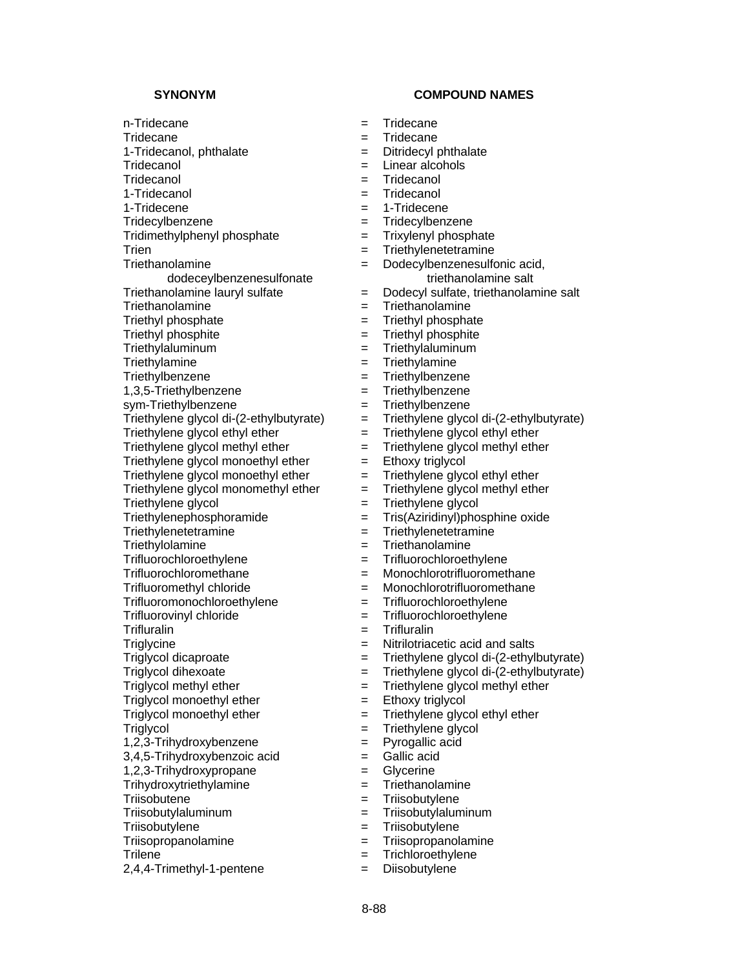- 
- n-Tridecane = Tridecane Tridecane  $=$  Tridecane 1-Tridecanol, phthalate  $\qquad \qquad = \qquad$  Ditridecyl phthalate Tridecanol **Exercise Exercise Exercise Exercise Construction**  $=$  Linear alcohols Tridecanol = Tridecanol 1-Tridecanol = Tridecanol 1-Tridecene = 1-Tridecene Tridecylbenzene = Tridecylbenzene Tridimethylphenyl phosphate = Trixylenyl phosphate Trien = Triethylenetetramine **Triethanolamine** dodeceylbenzenesulfonate Triethanolamine = Triethanolamine Triethyl phosphate  $=$  Triethyl phosphate Triethyl phosphite  $=$  Triethyl phosphite Triethylaluminum = Triethylaluminum Triethylamine = Triethylamine<br>Triethylbenzene = Triethylbenzene = Triethylbenzene 1,3,5-Triethylbenzene = Triethylbenzene sym-Triethylbenzene = Triethylbenzene<br>Triethylene glycol di-(2-ethylbutyrate) = Triethylene glyco Triethylene glycol ethyl ether  $=$  Triethylene glycol ethyl ether Triethylene glycol monoethyl ether  $=$  Ethoxy triglycol Triethylene glycol monoethyl ether  $=$  Triethylene glycol ethyl ether Triethylene glycol  $=$  Triethylene glycol Triethylenephosphoramide = Tris(Aziridinyl)phosphine oxide Triethylenetetramine = Triethylenetetramine Triethylolamine = Triethanolamine Trifluorochloroethylene = Trifluorochloroethylene Trifluorochloromethane = Monochlorotrifluoromethane Trifluoromethyl chloride = Monochlorotrifluoromethane Trifluoromonochloroethylene = Trifluorochloroethylene Trifluorovinyl chloride  $=$  Trifluorochloroethylene Trifluralin = Trifluralin Triglycine  $\qquad \qquad \qquad = \qquad$  Nitrilotriacetic acid and salts  $Triglycol$  methyl ether  $=$  Triethylene glycol methyl ether Triglycol monoethyl ether = Ethoxy triglycol Triglycol monoethyl ether  $=$  Triethylene glycol ethyl ether Triglycol = Triethylene glycol 1,2,3-Trihydroxybenzene = Pyrogallic acid  $3.4.5$ -Trihydroxybenzoic acid  $=$  Gallic acid 1,2,3-Trihydroxypropane = Glycerine Trihydroxytriethylamine = Triethanolamine Triisobutene = Triisobutylene Triisobutylaluminum = Triisobutylaluminum Triisobutylene = Triisobutylene
	-
- 
- 2,4,4-Trimethyl-1-pentene = Diisobutylene
- 
- 
- 
- 
- 
- 
- 
- 
- 
- 
- = Dodecylbenzenesulfonic acid, triethanolamine salt
- Triethanolamine lauryl sulfate = Dodecyl sulfate, triethanolamine salt
	-
	-
	-
	-
	-
	- Triethylbenzene = Triethylbenzene
	-
	-
	- Triethylene glycol di-(2-ethylbutyrate) = Triethylene glycol di-(2-ethylbutyrate)
	-
- Triethylene glycol methyl ether = Triethylene glycol methyl ether
	-
	-
- Triethylene glycol monomethyl ether  $=$  Triethylene glycol methyl ether
	-
	-
	-
	-
	-
	-
	-
	-
	-
	-
	-
- Triglycol dicaproate = Triethylene glycol di-(2-ethylbutyrate)
- Triglycol dihexoate = Triethylene glycol di-(2-ethylbutyrate)
	-
	-
	-
	-
	-
	-
	-
	-
	-
	-
	-
- Triisopropanolamine = Triisopropanolamine
- Trilene  $=$  Trichloroethylene
	-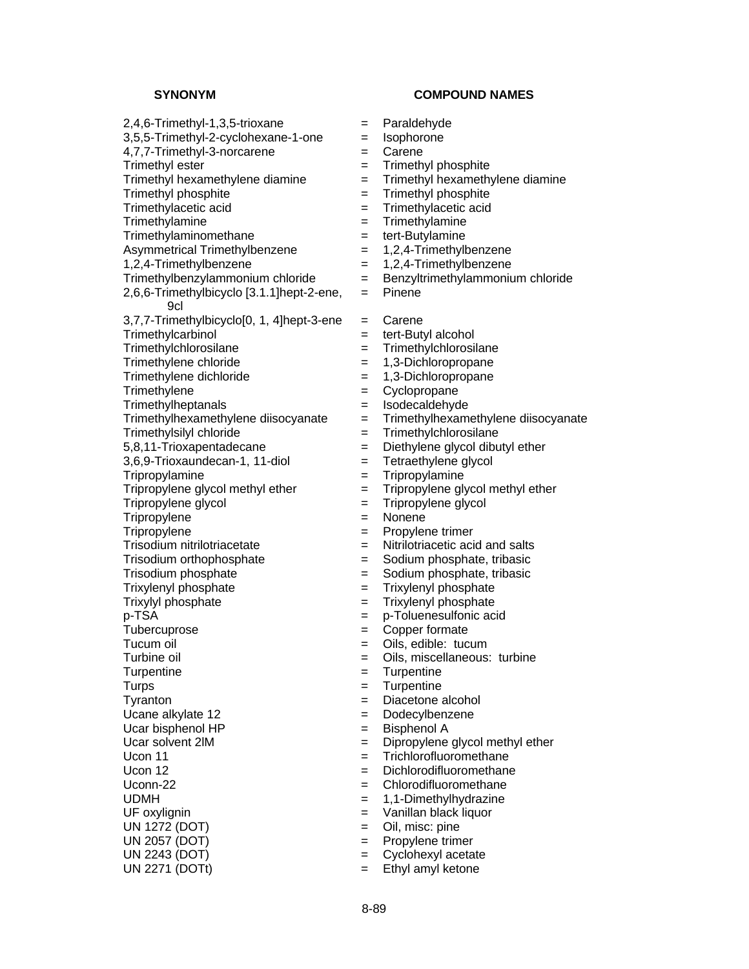$2.4.6$ -Trimethyl-1,3,5-trioxane  $=$  Paraldehyde  $3,5,5$ -Trimethyl-2-cyclohexane-1-one  $=$  Isophorone 4,7,7-Trimethyl-3-norcarene = Carene Trimethyl ester  $=$  Trimethyl phosphite Trimethyl hexamethylene diamine  $=$  Trimethyl hexamethylene diamine Trimethyl phosphite = Trimethyl phosphite Trimethylacetic acid<br>
Trimethylamine<br>  $=$  Trimethylamine<br>  $=$  Trimethylamine Trimethylaminomethane = tert-Butylamine<br>Asymmetrical Trimethylbenzene = 1,2,4-Trimethylbenzene Asymmetrical Trimethylbenzene =  $1,2,3,4$  $1,2,4$ -Trimethylbenzene  $1,2,4$ -Trimethylbenzene Trimethylbenzylammonium chloride = Benzyltrimethylammonium chloride 2,6,6-Trimethylbicyclo [3.1.1]hept-2-ene, 9cl  $3,7,7$ -Trimethylbicyclo $[0, 1, 4]$ hept-3-ene = Carene Trimethylcarbinol = tert-Butyl alcohol Trimethylchlorosilane = Trimethylchlorosilane Trimethylene chloride<br>
Trimethylene dichloride<br>
Trimethylene dichloride<br>  $= 1,3$ -Dichloropropane<br>  $= 1,3$ -Dichloropropane Trimethylene dichloride = 1,3-Dichloropropane = 1,3-Dichloropropane = 1,3-Dichloropropane = 1,3-Dichloropropane = 1,3-Dichloropropane = 1,3-Dichloropropane = 1,3-Dichloropropane = 1,3-Dichloropropane = 1,3-Dichloropropane Trimethylene  $=$  Cyclopropane Trimethylheptanals<br>
Trimethylhexamethylene diisocyanate = Trimethylhexamethylene diisocyanate = Trimethylhexam Trimethylsilyl chloride = Trimethylchlorosilane 5,8,11-Trioxapentadecane = Diethylene glycol dibutyl ether  $3,6,9$ -Trioxaundecan-1, 11-diol  $=$  Tetraethylene glycol Tripropylamine = Tripropylamine Tripropylene glycol methyl ether  $=$  Tripropylene glycol methyl ether Tripropylene glycol = Tripropylene glycol Tripropylene = Nonene Tripropylene  $\qquad \qquad \qquad = \qquad$  Propylene trimer Trisodium nitrilotriacetate  $=$  Nitrilotriacetic acid and salts Trisodium orthophosphate  $=$  Sodium phosphate, tribasic Trisodium phosphate  $=$  Sodium phosphate, tribasic Trixylenyl phosphate = Trixylenyl phosphate Trixylyl phosphate = Trixylenyl phosphate p-TSA = p-Toluenesulfonic acid Tubercuprose = Copper formate Tucum oil  $=$  Oils, edible: tucum Turbine oil  $=$  Oils, miscellaneous: turbine Turpentine  $=$  Turpentine Turps = Turpentine Tyranton = Diacetone alcohol Ucane alkylate 12 = Dodecylbenzene Ucar bisphenol  $HP$   $=$  Bisphenol A Ucar solvent  $2IM$   $=$  Dipropylene glycol methyl ether  $U_{\rm con}$  11  $=$  Trichlorofluoromethane Ucon 12  $\qquad \qquad = \qquad$  Dichlorodifluoromethane Uconn-22 = Chlorodifluoromethane UDMH = 1,1-Dimethylhydrazine UF oxylignin  $=$  Vanillan black liquor UN 1272 (DOT)  $=$  Oil, misc: pine UN 2057 (DOT) = Propylene trimer UN 2243 (DOT) = Cyclohexyl acetate UN 2271 (DOTt)  $=$  Ethyl amyl ketone

- 
- 
- 
- 
- 
- 
- 
- Trimethylamine = Trimethylamine
- 
- 
- 
- 
- = Pinene
- 
- 
- 
- 
- 
- 
- 
- Trimethylhexamethylene diisocyanate = Trimethylhexamethylene diisocyanate
- 
- 
- 
- 
- 
- 
- 
- 
- 
- 
- 
- 
- 
- 
- 
- 
- 
- 
- 
- 
- 
- 
- 
- 
- 
- 
- 
- 
- 
- 
- 
-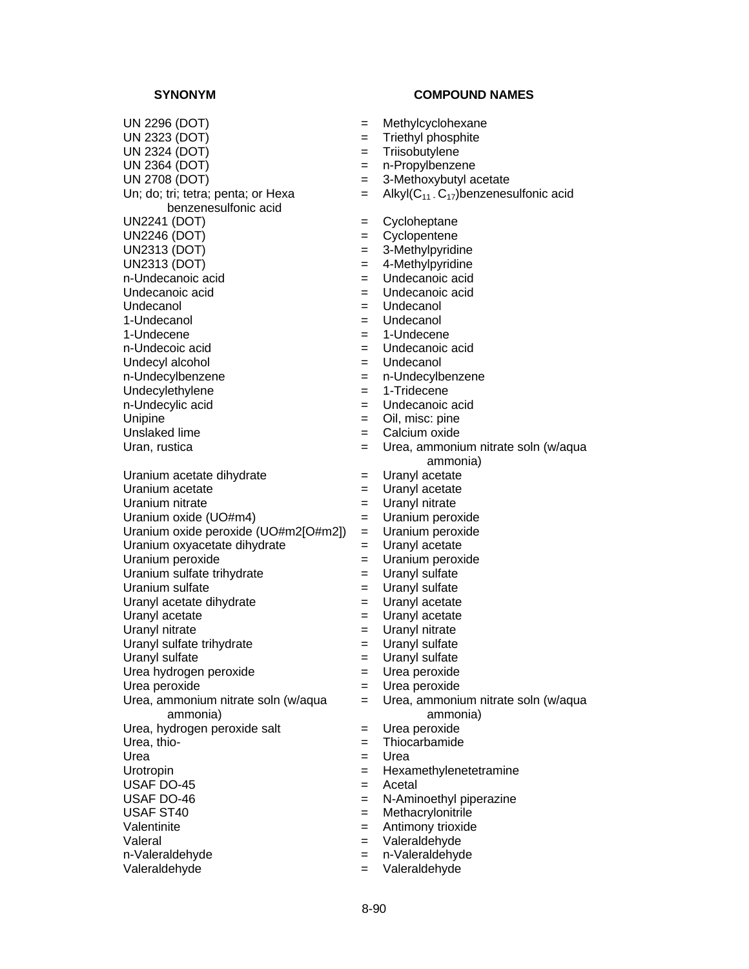UN 2296 (DOT) = Methylcyclohexane UN 2323 (DOT) = Triethyl phosphite UN 2324 (DOT) = Triisobutylene UN 2364 (DOT) = n-Propylbenzene UN 2708 (DOT)  $=$  3-Methoxybutyl acetate Un; do; tri; tetra; penta; or Hexa benzenesulfonic acid UN2241 (DOT) = Cycloheptane UN2246 (DOT) = Cyclopentene<br>UN2313 (DOT) = 3-Methylpyridi UN2313 (DOT) = 3-Methylpyridine<br>UN2313 (DOT) = 4-Methylpyridine n-Undecanoic acid  $\qquad \qquad = \qquad$ Undecanoic acid Undecanoic acid = Undecanoic acid Undecanol  $\qquad \qquad = \qquad$ Undecanol 1-Undecanol = Undecanol 1-Undecene = 1-Undecene n-Undecoic acid  $\qquad \qquad = \qquad$ Undecanoic acid Undecyl alcohol = Undecanol n-Undecylbenzene = n-Undecylbenzene Undecylethylene  $= 1$ -Tridecene n-Undecylic acid  $\qquad \qquad = \qquad$  Undecanoic acid Unipine  $=$  Oil, misc: pine Unslaked lime = Calcium oxide Uranium acetate dihydrate = Uranyl acetate Uranium acetate  $\qquad \qquad = \qquad$  Uranyl acetate Uranium nitrate  $=$  Uranyl nitrate Uranium oxide (UO#m4) = Uranium peroxide Uranium oxide peroxide (UO#m2[O#m2]) = Uranium peroxide Uranium oxyacetate dihydrate = Uranyl acetate Uranium peroxide  $\qquad \qquad = \qquad$ Uranium peroxide Uranium sulfate trihydrate  $\qquad \qquad = \qquad$ Uranyl sulfate Uranium sulfate  $\qquad \qquad = \qquad$ Uranyl sulfate Uranyl acetate dihydrate  $\qquad \qquad = \qquad$ Uranyl acetate Uranyl acetate  $\qquad \qquad = \qquad$  Uranyl acetate Uranyl nitrate  $=$  Uranyl nitrate Uranyl sulfate trihydrate  $\qquad \qquad = \qquad$ Uranyl sulfate Uranyl sulfate  $\qquad \qquad = \qquad$  Uranyl sulfate Urea hydrogen peroxide = Urea peroxide Urea peroxide  $=$  Urea peroxide Urea, ammonium nitrate soln (w/aqua ammonia) Urea, hydrogen peroxide salt  $=$  Urea peroxide Urea, thio- Thiocarbamide Urea = Urea Urotropin = Hexamethylenetetramine USAF DO-45  $=$  Acetal USAF DO-46 = N-Aminoethyl piperazine USAF ST40 = Methacrylonitrile Valentinite  $\qquad \qquad = \qquad$  Antimony trioxide Valeral = Valeraldehyde n-Valeraldehyde = n-Valeraldehyde

- 
- 
- 
- 
- 
- $=$  Alkyl(C<sub>11</sub>  $\cdot$  C<sub>17</sub>)benzenesulfonic acid
- 
- 
- 
- $=$  4-Methylpyridine
- 
- 
- 
- 
- 
- 
- 
- 
- 
- 
- 
- 
- Uran, rustica = Urea, ammonium nitrate soln (w/aqua ammonia)
	-
	-
	-
	-
	-
	-
	-
	-
	-
	-
	-
	-
	-
	-
	-
	-
	-
	- = Urea, ammonium nitrate soln (w/aqua ammonia)
	-
	-
	-
	-
	-
	-
	-
	-
	-
	-
- Valeraldehyde = Valeraldehyde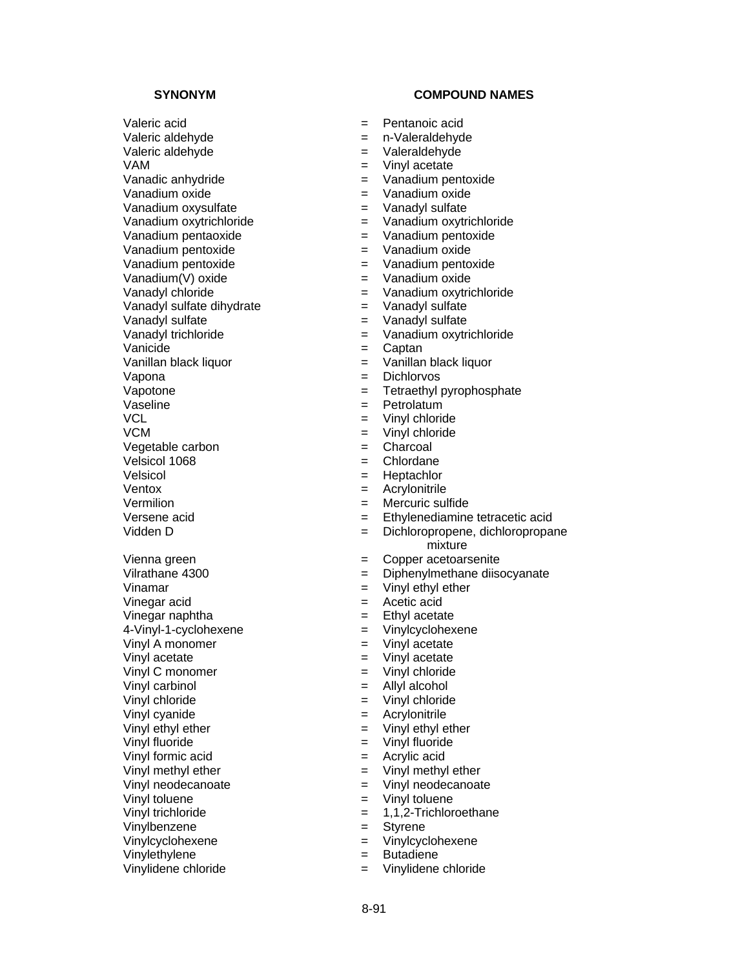Valeric acid  $=$  Pentanoic acid Valeric aldehyde  $=$  n-Valeraldehyde Valeric aldehyde  $=$  Valeraldehyde VAM  $=$  Vinyl acetate Vanadic anhydride  $=$  Vanadium pentoxide Vanadium oxide  $\blacksquare$ Vanadium oxysulfate<br>
Vanadium oxytrichloride<br>
Vanadium oxytrichloride<br>  $=$  Vanadium oxytrichloride<br>  $=$  Vanadium oxytri Vanadium pentaoxide = Vanadium pentoxide Vanadium pentoxide<br>
Vanadium pentoxide<br>
Vanadium pentoxide<br>  $=$  Vanadium pentoxide Vanadium pentoxide = Vanadium pentoxide Vanadium(V) oxide  $=$  Vanadium oxide Vanadyl sulfate dihydrate = Vanadyl sulfate Vanadyl sulfate  $=$  Vanadyl sulfate Vanicide  $\qquad \qquad = \qquad$ Captan Vanillan black liquor  $=$  Vanillan black liquor Vapona = Dichlorvos<br>Vapotone = Tetraethyl Vaseline = Petrolatum = Petrolatum = Petrolatum = Petrolatum = Petrolatum = Petrolatum = Petrolatum = Petrolatum = Petrolatum = Petrolatum = Petrolatum = Petrolatum = Petrolatum = Petrolatum = Petrolatum = Petrolatum = Pet VCM = Vinyl chloride<br>Vegetable carbon = Charcoal = Charcoal  $Vegetable carbon$  = Velsicol 1068 = Chlordane Velsicol = Heptachlor Ventox = Acrylonitrile Vermilion = Mercuric sulfide Vinamar  $=$  Vinyl ethyl ether Vinegar acid  $=$  Acetic acid Vinegar naphtha  $=$  Ethyl acetate 4-Vinyl-1-cyclohexene = Vinylcyclohexene Vinyl A monomer  $=$  Vinyl acetate Vinyl acetate  $\qquad \qquad \qquad = \qquad$  Vinyl acetate Vinyl C monomer  $=$  Vinyl chloride Vinyl carbinol = Allyl alcohol Vinyl chloride = Vinyl chloride Vinyl cyanide = Acrylonitrile Vinyl ethyl ether  $=$  Vinyl ethyl ether Vinyl fluoride = Vinyl fluoride Vinyl formic acid  $=$  Acrylic acid Vinyl methyl ether = Vinyl methyl ether Vinyl toluene = Vinyl toluene Vinyl trichloride = 1,1,2-Trichloroethane Vinylbenzene<br>
Vinylcyclohexene<br>
Vinylcyclohexene<br>
= Vinylcyclohexene<br>
= Vinylcyclohexene Vinylcyclohexene = Vinylcyclohexene

Vinylethylene = Butadiene = Butadiene = Butadiene = Butadiene = Butadiene = Butadiene = Butadiene = Butadiene

- 
- 
- 
- 
- 
- 
- 
- Vanadium oxytrichloride = Vanadium oxytrichloride
- 
- 
- 
- 
- Vanadyl chloride  $=$  Vanadium oxytrichloride
	-
	-
- Vanadyl trichloride = Vanadium oxytrichloride
	-
	-
	-
	- $=$  Tetraethyl pyrophosphate
	-
	- $=$  Vinyl chloride
	-
	-
	-
	-
	-
	-
- Versene acid  $=$  Ethylenediamine tetracetic acid
- Vidden D = Dichloropropene, dichloropropane mixture
- Vienna green entitle vienna green entitle vienna vienna vienna vienna vienna vienna vienna vienna vienna vienn
- Vilrathane 4300 = Diphenylmethane diisocyanate
	-
	-
	-
	-
	-
	-
	-
	-
	-
	-
	-
	-
	-
	-
	- Vinyl neodecanoate = Vinyl neodecanoate
	-
	-
	-
	-
	-
- Vinylidene chloride = Vinylidene chloride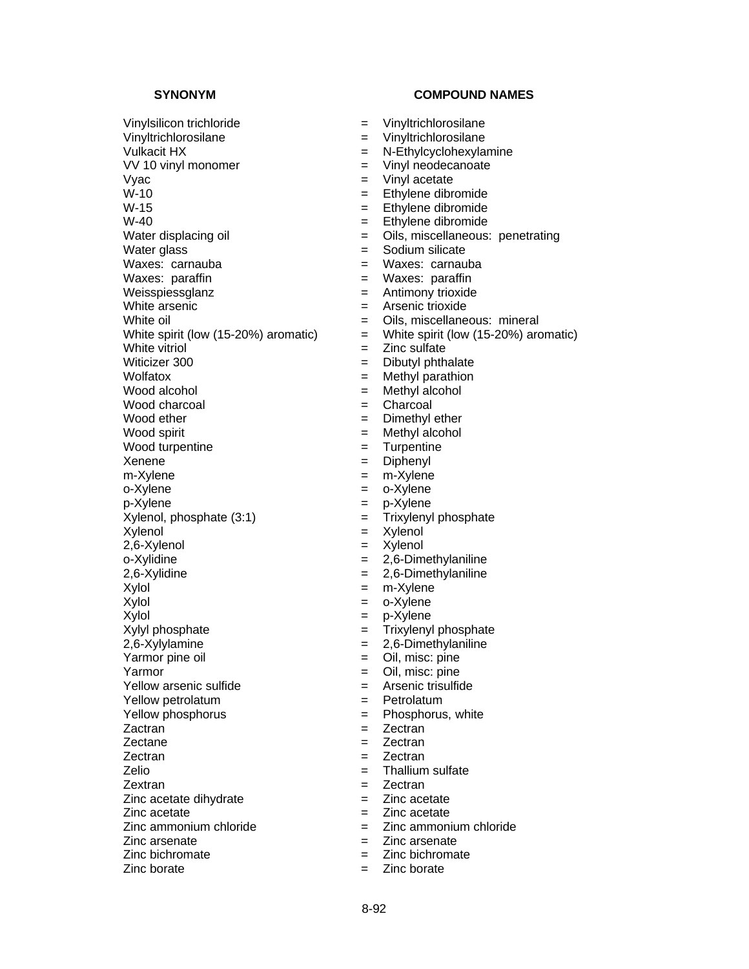# Vinylsilicon trichloride = Vinyltrichlorosilane Vinyltrichlorosilane = Vinyltrichlorosilane Vulkacit HX  $=$  N-Ethylcyclohexylamine VV 10 vinyl monomer  $=$  Vinyl neodecanoate Vyac  $V = V$ inyl acetate  $W-10$   $=$  Ethylene dibromide  $W-15$   $=$  Ethylene dibromide<br> $W-40$   $=$  Ethylene dibromide Water displacing oil **Water displacing oil**  $=$  Oils, miscellaneous: penetrating Water glass  $\overline{\phantom{a}}$  = Sodium silicate<br>Waxes: carnauba = Waxes: carnau Waxes: paraffin  $W$ axes: paraffin Weisspiessglanz = Antimony trioxide White arsenic  $\blacksquare$ White oil **Example 2** Cils, miscellaneous: mineral White spirit (low  $(15-20%)$  aromatic)  $=$  White spirit (low  $(15-20%)$  aromatic) White vitriol  $\qquad \qquad = \qquad \text{Zinc}\text{ sulfate}$ Witicizer 300  $\qquad \qquad =$  Dibutyl phthalate<br>Wolfatox  $\qquad \qquad =$  Methyl parathion Wood alcohol = Methyl alcohol Wood charcoal  $\qquad \qquad = \qquad$ Charcoal Wood ether  $=$  Dimethyl ether  $Wood$  spirit  $Wood$  = Methyl alcohol Wood turpentine  $\qquad \qquad = \qquad$  Turpentine Xenene = Diphenyl m-Xylene = m-Xylene o-Xylene = 0-Xylene  $p-X$ ylene  $= p-X$ ylene  $X$ ylenol, phosphate  $(3:1)$   $=$  Trixylenyl phosphate  $Xy$ lenol  $=$   $Xy$ lenol  $=$   $Xy$ lenol 2,6-Xylenol = Xylenol  $o-Xy$ lidine  $= 2,6-D$ imethylaniline 2,6-Xylidine = 2,6-Dimethylaniline Xylol = m-Xylene  $Xy$ lol  $=$  0-Xylene  $Xy$ lol  $= p-Xy$ lene Xylyl phosphate  $=$  Trixylenyl phosphate 2,6-Xylylamine = 2,6-Dimethylaniline Yarmor pine oil  $=$  Oil, misc: pine Yarmor = Oil, misc: pine  $Y$ ellow arsenic sulfide  $=$ Yellow petrolatum  $=$  Petrolatum Yellow phosphorus  $=$  Phosphorus, white Zactran  $=$  Zectran  $=$  Zectran Zectane  $=$  Zectran Zectran  $=$  Zectran  $=$  Zectran Zelio = Thallium sulfate Zextran = Zectran  $Zinc$  acetate dihydrate  $=$   $Zinc$  acetate Zinc acetate = Zinc acetate  $Zinc$  ammonium chloride  $Zinc$  ammonium chloride Zinc arsenate = Zinc arsenate  $\sum$ inc bichromate  $\sum$   $\sum$ inc bichromate

- 
- 
- 
- 
- 
- 
- 
- 
- 
- 
- 
- 
- 
- 
- 
- 
- 
- 
- 
- 
- 
- 
- 
- 
- 
- 
- 
- 
- 
- 
- 
- 
- 
- 
- 
- 
- 

- 
- 
- 
- 
- 
- 
- 
- $=$  Ethylene dibromide
- 
- 
- Waxes: carnauba
- 
- -
	-
	-
	-
- 
- 
- $=$  Methyl parathion
- 
- 
- 
- 
- 
- 
- 
- 
- 
- 
- 
- 
- 
- 
- 
- 
- 
- 
- 
- 
- 
- 
- 
- 
- 
- 
- 
- 
- 
- 
- 
- 
- 
- 
- Zinc borate = Zinc borate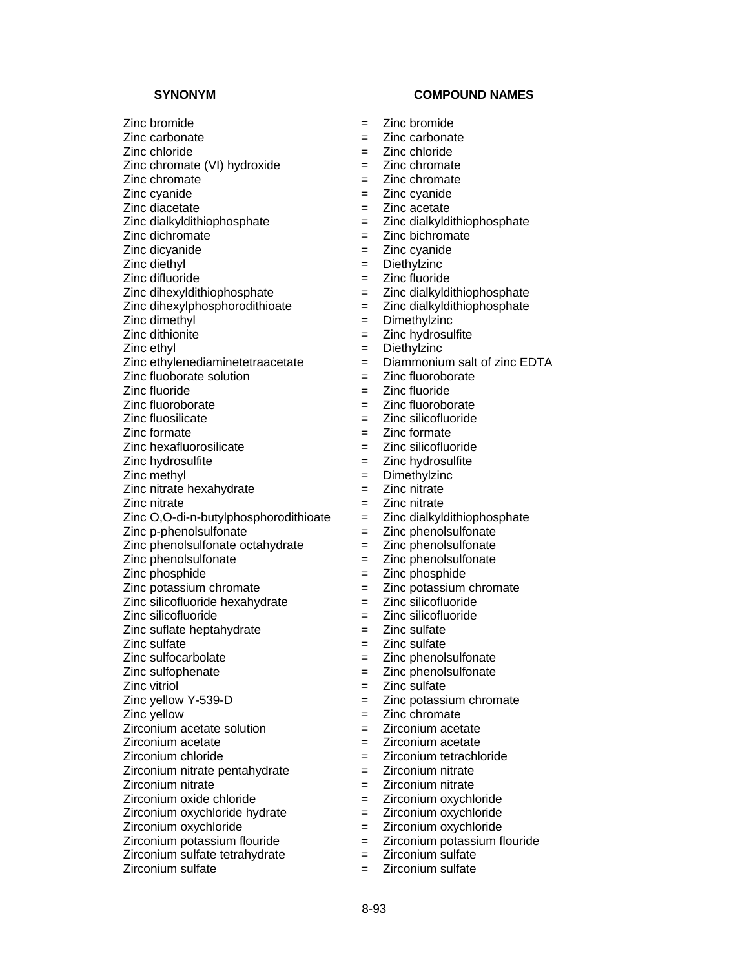Zinc diacetate = Zinc acetate<br>Zinc dialkyldithiophosphate = Zinc dialkyldi

Zinc diethyl

Zinc difluoride = Zinc fluoride

 $Zinc$  dihexylphosphorodithioate  $Zinc$  dialkyldithiophosphate

Zinc dimethyl = Dimethylzinc

Zinc ethylenediaminetetraacetate  $\begin{array}{rcl} \n\text{Z} \text{inc} & \text{Diammonium} \text{ salt} \text{ of} \text{ zinc} \text{ EDTA} \\
\text{Z} \text{inc} & \text{fluoroborate}\n\end{array}$ 

 $Zinc$  fluoborate solution  $=$ 

 $Zinc$  nitrate hexahydrate  $\qquad \qquad = \qquad Zinc$  nitrate

Zinc nitrate = Zinc nitrate

Zinc O,O-di-n-butylphosphorodithioate  $=$  Zinc dialkyldithiophosphate

 $Zinc$  phenolsulfonate octahydrate  $=$   $Zinc$  phenolsulfonate

 $Zinc$  potassium chromate  $=$ 

Zinc silicofluoride hexahydrate = Zinc silicofluoride

Zinc silicofluoride = Zinc silicofluoride

 $Zinc$  suflate heptahydrate  $\qquad \qquad = \qquad Zinc$  sulfate

 $Zircoinum acetate solution$  =  $Zircoinum acetate$ 

 $Zircoinum nitrate pentahydrate = Zirconium nitrate$ 

Zirconium nitrate = Zirconium nitrate

Zirconium oxide chloride  $=$  Zirconium oxychloride

Zirconium oxychloride hydrate = Zirconium oxychloride

Zirconium oxychloride = Zirconium oxychloride

Zirconium potassium flouride  $\begin{array}{rcl} \n\text{Zirconium potassium} & = & \text{Zirconium potassium} \\
\text{Zirconium sulfate} & = & \text{Zirconium sulfate}\n\end{array}$ 

 $Zirconium$  sulfate tetrahydrate  $=$ 

Zirconium sulfate  $\qquad \qquad \qquad = \qquad$ Zirconium sulfate

**SYNONYM COMPOUND NAMES** 

- Zinc bromide = Zinc bromide
- Zinc carbonate = Zinc carbonate
- Zinc chloride = Zinc chloride
- Zinc chromate  $(VI)$  hydroxide  $=$  Zinc chromate
- $Zinc$  chromate  $Zinc$  chromate  $Zinc$
- Zinc cyanide = Zinc cyanide
	-
	- Zinc dialkyldithiophosphate = Zinc dialkyldithiophosphate
- $\sum$ inc dichromate  $\sum$  =  $\sum$ inc bichromate
	-
- Zinc dicyanide  $\begin{array}{rcl} \text{Zinc} & = & \text{Zinc} & \text{cyanide} \\ \text{Zinc} & \text{diethvl} & = & \text{Diethvlzinc} \end{array}$ 
	-
	- = Zinc dialkyldithiophosphate
	-
	-
- Zinc dithionite = Zinc hydrosulfite
- Zinc ethyl = Diethylzinc
	-
	-
- Zinc fluoride = Zinc fluoride
	-
- Zinc fluoroborate<br>
Zinc fluosilicate<br>
Zinc fluosilicate<br>  $\frac{1}{2}$  Zinc silicofluoride  $=$  Zinc silicofluoride
- Zinc formate = Zinc formate
- Zinc hexafluorosilicate = Zinc silicofluoride
- Zinc hydrosulfite = Zinc hydrosulfite
- Zinc methyl = Dimethylzinc
	-
	-
	-
- $Zinc p$ -phenolsulfonate  $Zinc p$ -phenolsulfonate
	-
- Zinc phenolsulfonate  $\qquad \qquad = \qquad$ Zinc phenolsulfonate
	-
- Zinc phosphide<br>
Zinc potassium chromate<br>
Zinc potassium chromate<br>  $\frac{1}{2}$  Zinc potassium chromate
	-
	-
	-
- $\sum$ inc sulfate  $\sum$   $\sum$ inc sulfate  $\sum$
- Zinc sulfocarbolate = Zinc phenolsulfonate
- Zinc sulfophenate  $\qquad \qquad = \qquad \text{Z}$ inc phenolsulfonate
- Zinc vitriol = Zinc sulfate
- $Zinc$  yellow Y-539-D  $=$   $Zinc$  potassium chromate
- Zinc yellow = Zinc chromate
	-
- Zirconium acetate  $\qquad \qquad = \qquad$ Zirconium acetate
- Zirconium chloride = Zirconium tetrachloride
	-

8-93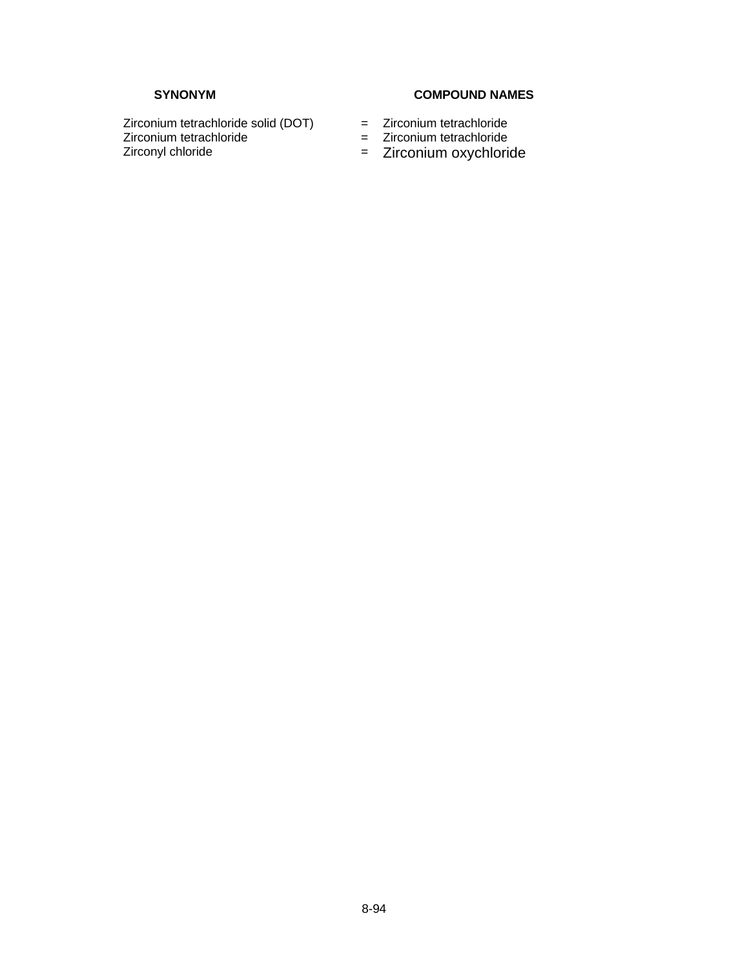# SYNONYM COMPOUND NAMES

Zirconium tetrachloride solid (DOT) = Zirconium tetrachloride<br>Zirconium tetrachloride = Zirconium tetrachloride Zirconium tetrachloride = Zirconium tetrachloride = Zirconium tetrachloride = Zirconium oxychlori

- 
- 
- = Zirconium oxychloride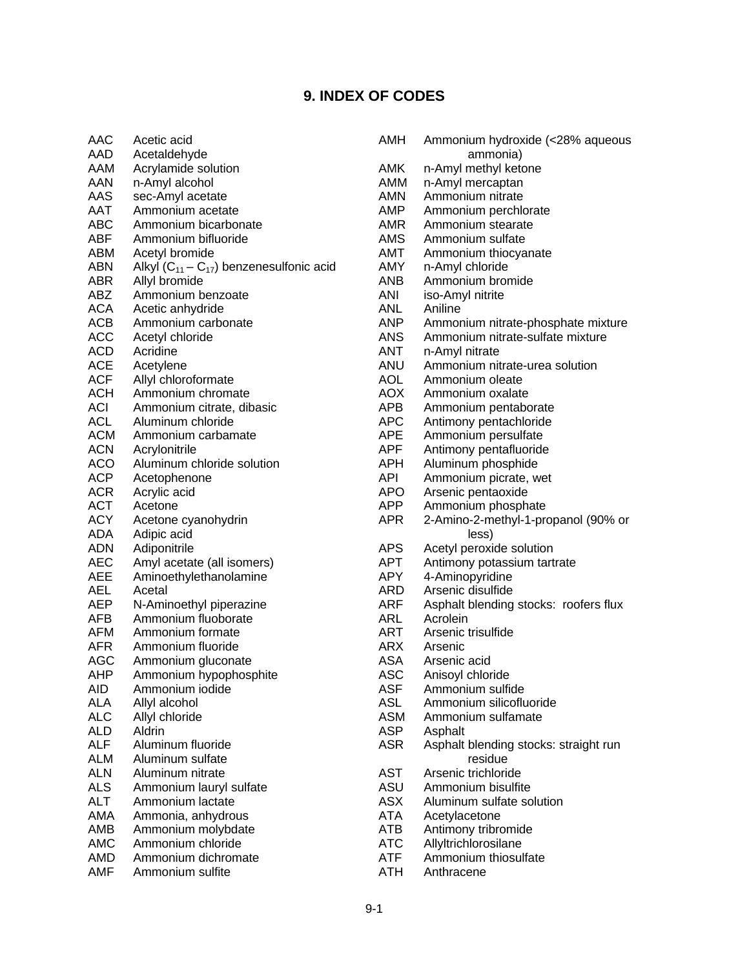# **9. INDEX OF CODES**

| AAC        | Acetic acid                                  | AN |
|------------|----------------------------------------------|----|
| AAD        | Acetaldehyde                                 |    |
| AAM        | Acrylamide solution                          | AN |
| AAN        | n-Amyl alcohol                               | AN |
| AAS        | sec-Amyl acetate                             | AN |
| AAT        | Ammonium acetate                             | AN |
| ABC        | Ammonium bicarbonate                         | AN |
| ABF        | Ammonium bifluoride                          | AN |
| ABM        | Acetyl bromide                               | AN |
| ABN        | Alkyl $(C_{11}-C_{17})$ benzenesulfonic acid | AN |
| ABR        | Allyl bromide                                | ΑN |
| ABZ        | Ammonium benzoate                            | ΑN |
| <b>ACA</b> |                                              | ΑN |
|            | Acetic anhydride                             |    |
| ACB        | Ammonium carbonate                           | AN |
| ACC        | Acetyl chloride                              | AN |
| ACD        | Acridine                                     | ΑN |
| <b>ACE</b> | Acetylene                                    | ΑN |
| <b>ACF</b> | Allyl chloroformate                          | AC |
| ACH        | Ammonium chromate                            | AC |
| ACI        | Ammonium citrate, dibasic                    | ΑP |
| ACL        | Aluminum chloride                            | ΑP |
| ACM        | Ammonium carbamate                           | ΑP |
| ACN        | Acrylonitrile                                | AP |
| ACO        | Aluminum chloride solution                   | AP |
| <b>ACP</b> | Acetophenone                                 | AP |
| <b>ACR</b> | Acrylic acid                                 | AP |
| ACT        | Acetone                                      | ΑP |
| <b>ACY</b> | Acetone cyanohydrin                          | AP |
| ADA        | Adipic acid                                  |    |
| ADN        | Adiponitrile                                 | ΑP |
| <b>AEC</b> | Amyl acetate (all isomers)                   | ΑP |
| AEE        | Aminoethylethanolamine                       | AP |
| AEL        | Acetal                                       | ΑR |
| <b>AEP</b> | N-Aminoethyl piperazine                      | ΑR |
| AFB        | Ammonium fluoborate                          | ΑR |
| AFM        | Ammonium formate                             | ΑR |
| <b>AFR</b> | Ammonium fluoride                            | ΑR |
| AGC        | Ammonium gluconate                           | AS |
| AHP        | Ammonium hypophosphite                       | AS |
| <b>AID</b> | Ammonium iodide                              | AS |
| ALA        | Allyl alcohol                                | AS |
| <b>ALC</b> | Allyl chloride                               | AS |
| <b>ALD</b> | Aldrin                                       | AS |
| <b>ALF</b> | Aluminum fluoride                            | AS |
|            |                                              |    |
| <b>ALM</b> | Aluminum sulfate                             |    |
| ALN        | Aluminum nitrate                             | AS |
| <b>ALS</b> | Ammonium lauryl sulfate                      | AS |
| <b>ALT</b> | Ammonium lactate                             | AS |
| AMA        | Ammonia, anhydrous                           | ΑT |
| AMB        | Ammonium molybdate                           | ΑT |
| <b>AMC</b> | Ammonium chloride                            | AT |
| AMD        | Ammonium dichromate                          | AT |
| AMF        | Ammonium sulfite                             | ΑT |

| AMH        | Ammonium hydroxide (<28% aqueous      |
|------------|---------------------------------------|
|            | ammonia)                              |
| AMK        | n-Amyl methyl ketone                  |
| AMM        | n-Amyl mercaptan                      |
| AMN        | Ammonium nitrate                      |
|            |                                       |
| AMP        | Ammonium perchlorate                  |
| <b>AMR</b> | Ammonium stearate                     |
| AMS        | Ammonium sulfate                      |
| AMT        | Ammonium thiocyanate                  |
| AMY        | n-Amyl chloride                       |
| ANB        | Ammonium bromide                      |
| ANI        | iso-Amyl nitrite                      |
| <b>ANL</b> | Aniline                               |
| ANP        | Ammonium nitrate-phosphate mixture    |
| ANS        | Ammonium nitrate-sulfate mixture      |
|            |                                       |
| ANT        | n-Amyl nitrate                        |
| ANU        | Ammonium nitrate-urea solution        |
| AOL        | Ammonium oleate                       |
| <b>AOX</b> | Ammonium oxalate                      |
| APB        | Ammonium pentaborate                  |
| <b>APC</b> | Antimony pentachloride                |
| <b>APE</b> | Ammonium persulfate                   |
| APF        | Antimony pentafluoride                |
| <b>APH</b> | Aluminum phosphide                    |
| API        | Ammonium picrate, wet                 |
| APO        | Arsenic pentaoxide                    |
|            |                                       |
| APP        | Ammonium phosphate                    |
| <b>APR</b> | 2-Amino-2-methyl-1-propanol (90% or   |
|            | less)                                 |
| <b>APS</b> | Acetyl peroxide solution              |
| APT        | Antimony potassium tartrate           |
| APY        | 4-Aminopyridine                       |
| ARD        | Arsenic disulfide                     |
| ARF        | Asphalt blending stocks: roofers flux |
| ARL        | Acrolein                              |
| <b>ART</b> | Arsenic trisulfide                    |
| ARX        | Arsenic                               |
|            |                                       |
| ASA        | Arsenic acid                          |
| ASC        | Anisoyl chloride                      |
| ASF        | Ammonium sulfide                      |
| ASL        | Ammonium silicofluoride               |
| ASM        | Ammonium sulfamate                    |
| ASP        | Asphalt                               |
| <b>ASR</b> | Asphalt blending stocks: straight run |
|            | residue                               |
| AST        | Arsenic trichloride                   |
| ASU        | Ammonium bisulfite                    |
| <b>ASX</b> | Aluminum sulfate solution             |
|            |                                       |
| ATA        | Acetylacetone                         |
| ATB        | Antimony tribromide                   |
| <b>ATC</b> | Allyltrichlorosilane                  |
| ATF        | Ammonium thiosulfate                  |
| ATH        | Anthracene                            |
|            |                                       |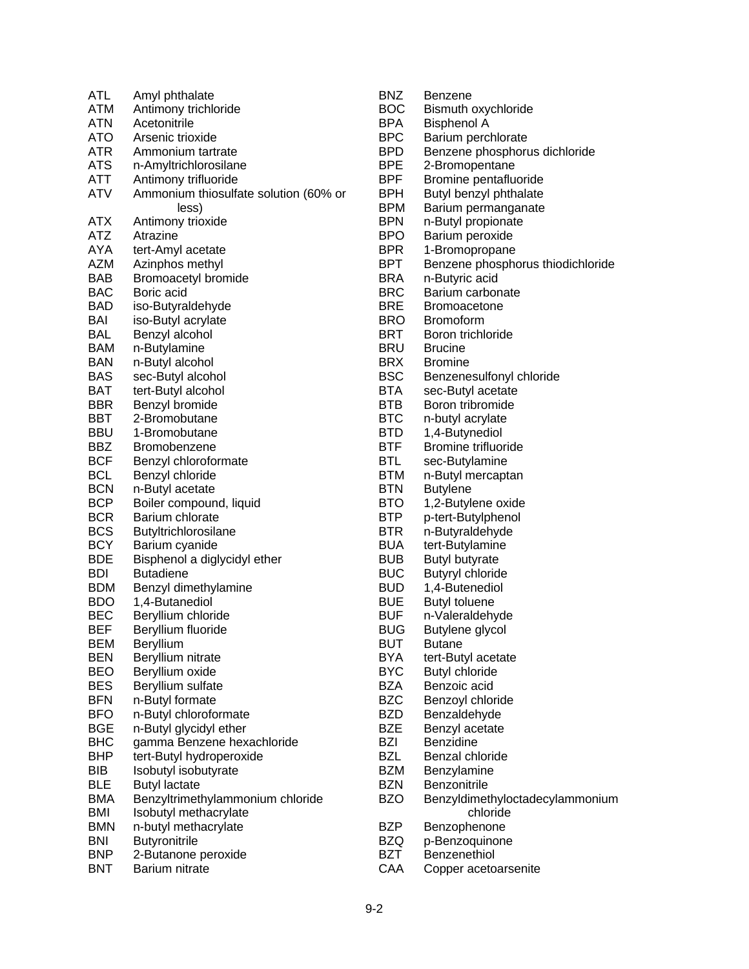| ATL        | Amyl phthalate                        |
|------------|---------------------------------------|
| <b>ATM</b> | Antimony trichloride                  |
| <b>ATN</b> | Acetonitrile                          |
| ATO        | Arsenic trioxide                      |
| ATR        | Ammonium tartrate                     |
| <b>ATS</b> | n-Amyltrichlorosilane                 |
| ATT        | Antimony trifluoride                  |
| ATV        | Ammonium thiosulfate solution (60% or |
|            | less)                                 |
| ATX        | Antimony trioxide                     |
| ATZ        | Atrazine                              |
| AYA        | tert-Amyl acetate                     |
| <b>AZM</b> | Azinphos methyl                       |
| <b>BAB</b> | <b>Bromoacetyl bromide</b>            |
| <b>BAC</b> | Boric acid                            |
| BAD        | iso-Butyraldehyde                     |
| BAI        | iso-Butyl acrylate                    |
| BAL        | Benzyl alcohol                        |
| <b>BAM</b> | n-Butylamine                          |
| BAN        | n-Butyl alcohol                       |
| <b>BAS</b> | sec-Butyl alcohol                     |
| <b>BAT</b> | tert-Butyl alcohol                    |
| BBR        | Benzyl bromide                        |
| BBT        | 2-Bromobutane                         |
| <b>BBU</b> | 1-Bromobutane                         |
| <b>BBZ</b> | Bromobenzene                          |
| <b>BCF</b> | Benzyl chloroformate                  |
| <b>BCL</b> | Benzyl chloride                       |
| <b>BCN</b> | n-Butyl acetate                       |
| <b>BCP</b> | Boiler compound, liquid               |
| <b>BCR</b> | Barium chlorate                       |
| <b>BCS</b> | Butyltrichlorosilane                  |
| <b>BCY</b> | Barium cyanide                        |
| <b>BDE</b> | Bisphenol a diglycidyl ether          |
| BDI        | <b>Butadiene</b>                      |
| BDM        | Benzyl dimethylamine                  |
| <b>BDO</b> | 1,4-Butanediol                        |
| <b>BEC</b> | Beryllium chloride                    |
| <b>BEF</b> | Beryllium fluoride                    |
| <b>BEM</b> | Beryllium                             |
| <b>BEN</b> | Beryllium nitrate                     |
| <b>BEO</b> | Beryllium oxide                       |
| <b>BES</b> | Beryllium sulfate                     |
| <b>BFN</b> | n-Butyl formate                       |
| <b>BFO</b> | n-Butyl chloroformate                 |
| <b>BGE</b> | n-Butyl glycidyl ether                |
| <b>BHC</b> | gamma Benzene hexachloride            |
| BHP        | tert-Butyl hydroperoxide              |
| BIB        | Isobutyl isobutyrate                  |
| <b>BLE</b> | <b>Butyl lactate</b>                  |
| <b>BMA</b> | Benzyltrimethylammonium chloride      |
| <b>BMI</b> | Isobutyl methacrylate                 |
| <b>BMN</b> | n-butyl methacrylate                  |
| BNI        | <b>Butyronitrile</b>                  |
| <b>BNP</b> | 2-Butanone peroxide                   |
| <b>BNT</b> | Barium nitrate                        |

| BNZ          | Benzene                           |
|--------------|-----------------------------------|
| BOC          | Bismuth oxychloride               |
| BPA          | <b>Bisphenol A</b>                |
| BPC          | Barium perchlorate                |
| BPD          | Benzene phosphorus dichloride     |
| BPE          | 2-Bromopentane                    |
| BPF          | Bromine pentafluoride             |
| BPH          | Butyl benzyl phthalate            |
| BPM          | Barium permanganate               |
| BPN          | n-Butyl propionate                |
| BPO          | Barium peroxide                   |
| BPR          | 1-Bromopropane                    |
| BPT          | Benzene phosphorus thiodichloride |
| BRA          | n-Butyric acid                    |
| BRC          | Barium carbonate                  |
| BRE          | <b>Bromoacetone</b>               |
| BRO          | <b>Bromoform</b>                  |
| BRT          | Boron trichloride                 |
| BRU          | <b>Brucine</b>                    |
| BRX          | <b>Bromine</b>                    |
| BSC          | Benzenesulfonyl chloride          |
| BTA          | sec-Butyl acetate                 |
| BTB          | Boron tribromide                  |
| BTC          | n-butyl acrylate                  |
| BTD          | 1,4-Butynediol                    |
| BTF          | <b>Bromine trifluoride</b>        |
| BTL          | sec-Butylamine                    |
| BTM          | n-Butyl mercaptan                 |
| $_{\rm BTN}$ | <b>Butylene</b>                   |
| BTO          | 1,2-Butylene oxide                |
| BTP          | p-tert-Butylphenol                |
| BTR          | n-Butyraldehyde                   |
| BUA          | tert-Butylamine                   |
| BUB          | <b>Butyl butyrate</b>             |
| BUC          | <b>Butyryl chloride</b>           |
| BUD          | 1,4-Butenediol                    |
| BUE          | <b>Butyl toluene</b>              |
| BUF          | n-Valeraldehyde                   |
| BUG          | Butylene glycol                   |
| BUT          | <b>Butane</b>                     |
| BYA          | tert-Butyl acetate                |
| BYC          | <b>Butyl chloride</b>             |
| BZA          | Benzoic acid                      |
| BZC          | Benzoyl chloride                  |
| BZD          | Benzaldehyde                      |
| BZE          | Benzyl acetate                    |
| BZI          | Benzidine                         |
| BZL          | Benzal chloride                   |
| BZM          | Benzylamine                       |
| BZN          | Benzonitrile                      |
| BZO          | Benzyldimethyloctadecylammonium   |
|              | chloride                          |
| BZP          | Benzophenone                      |
| BZQ          | p-Benzoquinone                    |
| BZT          | Benzenethiol                      |
| CAA          | Copper acetoarsenite              |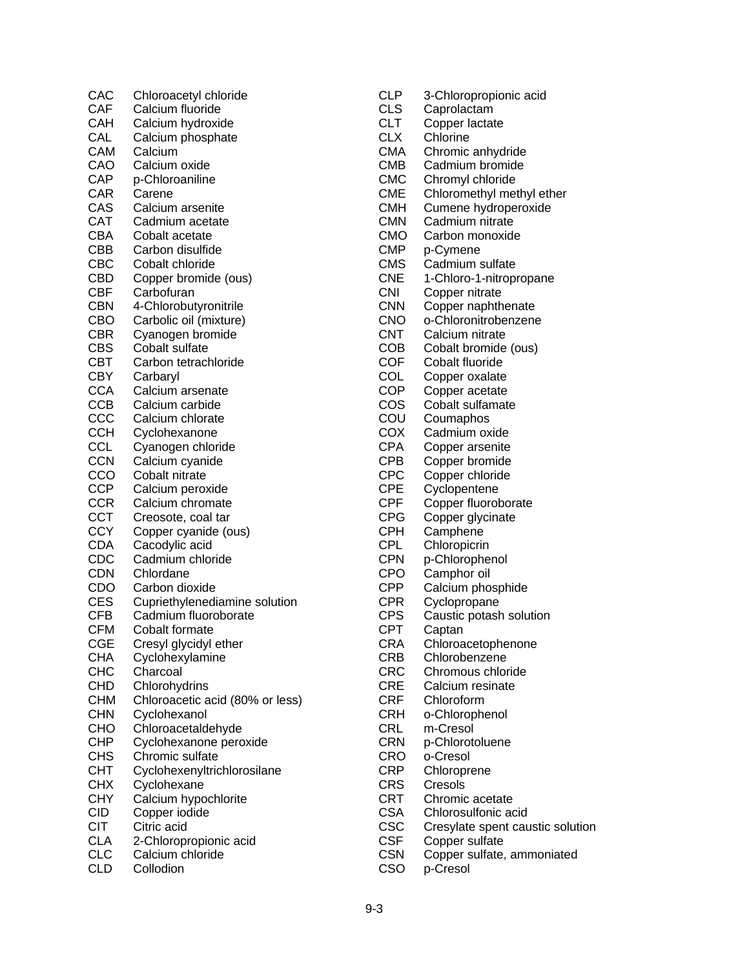CAC Chloroacetyl chloride CAF Calcium fluoride CAH Calcium hydroxide CAL Calcium phosphate CAM Calcium CAO Calcium oxide CAP p-Chloroaniline CAR Carene CAS Calcium arsenite<br>CAT Cadmium acetate Cadmium acetate CBA Cobalt acetate CBB Carbon disulfide CBC Cobalt chloride CBD Copper bromide (ous) CBF Carbofuran CBN 4-Chlorobutyronitrile CBO Carbolic oil (mixture) CBR Cyanogen bromide CBS Cobalt sulfate CBT Carbon tetrachloride<br>CBY Carbarvl Carbaryl CCA Calcium arsenate CCB Calcium carbide<br>CCC Calcium chlorate Calcium chlorate CCH Cyclohexanone CCL Cyanogen chloride CCN Calcium cyanide CCO Cobalt nitrate CCP Calcium peroxide CCR Calcium chromate CCT Creosote, coal tar CCY Copper cyanide (ous) CDA Cacodylic acid CDC Cadmium chloride CDN Chlordane CDO Carbon dioxide CES Cupriethylenediamine solution CFB Cadmium fluoroborate CFM Cobalt formate CGE Cresyl glycidyl ether CHA Cyclohexylamine CHC Charcoal<br>CHD Chlorohve Chlorohydrins CHM Chloroacetic acid (80% or less) CHN Cyclohexanol<br>CHO Chloroacetald Chloroacetaldehyde CHP Cyclohexanone peroxide CHS Chromic sulfate CHT Cyclohexenyltrichlorosilane CHX Cyclohexane CHY Calcium hypochlorite CID Copper iodide CIT Citric acid CLA 2-Chloropropionic acid<br>CLC Calcium chloride Calcium chloride CLD Collodion

CLP 3-Chloropropionic acid CLS Caprolactam CLT Copper lactate CLX Chlorine CMA Chromic anhydride CMB Cadmium bromide CMC Chromyl chloride CME Chloromethyl methyl ether CMH Cumene hydroperoxide CMN Cadmium nitrate CMO Carbon monoxide CMP p-Cymene CMS Cadmium sulfate CNE 1-Chloro-1-nitropropane CNI Copper nitrate CNN Copper naphthenate CNO o-Chloronitrobenzene CNT Calcium nitrate COB Cobalt bromide (ous) COF Cobalt fluoride COL Copper oxalate COP Copper acetate COS Cobalt sulfamate COU Coumaphos COX Cadmium oxide CPA Copper arsenite CPB Copper bromide CPC Copper chloride CPE Cyclopentene CPF Copper fluoroborate CPG Copper glycinate CPH Camphene<br>CPL Chloropicrin Chloropicrin CPN p-Chlorophenol CPO Camphor oil<br>CPP Calcium pho Calcium phosphide CPR Cyclopropane CPS Caustic potash solution CPT Captan CRA Chloroacetophenone CRB Chlorobenzene CRC Chromous chloride CRE Calcium resinate CRF Chloroform CRH o-Chlorophenol CRL m-Cresol CRN p-Chlorotoluene CRO o-Cresol CRP Chloroprene CRS Cresols CRT Chromic acetate CSA Chlorosulfonic acid CSC Cresylate spent caustic solution CSF Copper sulfate CSN Copper sulfate, ammoniated CSO p-Cresol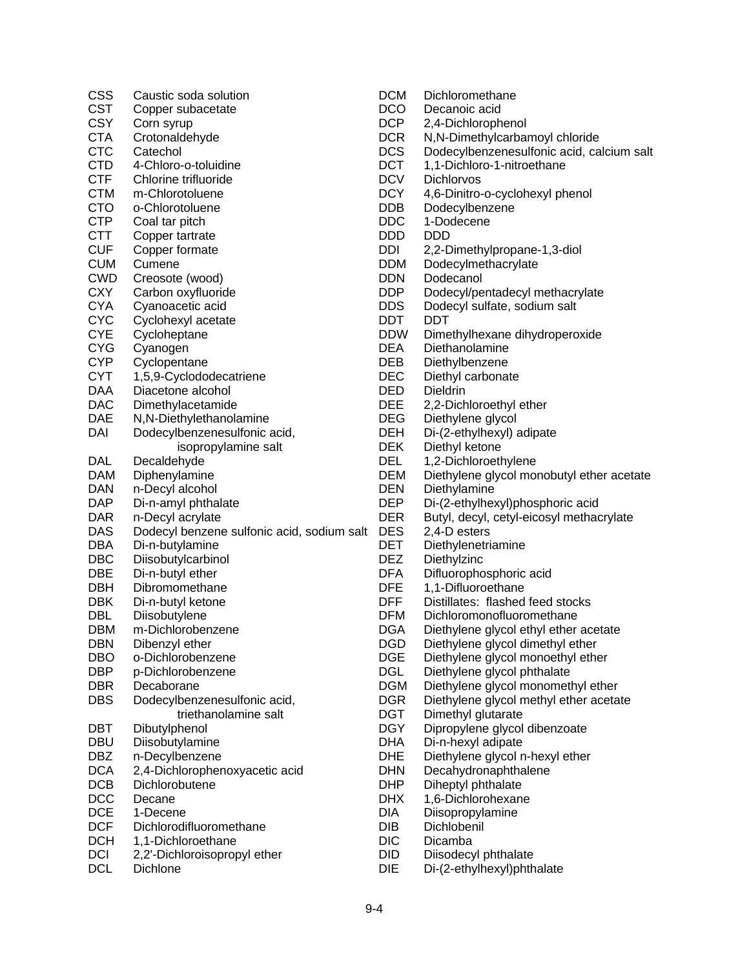| <b>CSS</b>               | Caustic soda solution                      | <b>DCM</b>               | Dichloromethane                               |
|--------------------------|--------------------------------------------|--------------------------|-----------------------------------------------|
| <b>CST</b>               | Copper subacetate                          | <b>DCO</b>               | Decanoic acid                                 |
| <b>CSY</b>               | Corn syrup                                 | <b>DCP</b>               | 2,4-Dichlorophenol                            |
| <b>CTA</b>               | Crotonaldehyde                             | <b>DCR</b>               | N,N-Dimethylcarbamoyl chloride                |
| <b>CTC</b>               | Catechol                                   | <b>DCS</b>               | Dodecylbenzenesulfonic acid, calcium salt     |
| <b>CTD</b>               | 4-Chloro-o-toluidine                       | <b>DCT</b>               | 1,1-Dichloro-1-nitroethane                    |
| <b>CTF</b>               | Chlorine trifluoride                       | <b>DCV</b>               | Dichlorvos                                    |
| <b>CTM</b>               | m-Chlorotoluene                            | <b>DCY</b>               | 4,6-Dinitro-o-cyclohexyl phenol               |
| <b>CTO</b>               | o-Chlorotoluene                            | <b>DDB</b>               | Dodecylbenzene                                |
| <b>CTP</b>               | Coal tar pitch                             | <b>DDC</b>               | 1-Dodecene                                    |
| <b>CTT</b>               | Copper tartrate                            | <b>DDD</b>               | <b>DDD</b>                                    |
| <b>CUF</b>               | Copper formate                             | DDI                      | 2,2-Dimethylpropane-1,3-diol                  |
| <b>CUM</b>               | Cumene                                     | <b>DDM</b>               | Dodecylmethacrylate                           |
| <b>CWD</b>               | Creosote (wood)                            | <b>DDN</b>               | Dodecanol                                     |
| <b>CXY</b>               | Carbon oxyfluoride                         | <b>DDP</b>               | Dodecyl/pentadecyl methacrylate               |
| <b>CYA</b>               | Cyanoacetic acid                           | <b>DDS</b>               | Dodecyl sulfate, sodium salt                  |
| <b>CYC</b>               | Cyclohexyl acetate                         | <b>DDT</b>               | <b>DDT</b>                                    |
| <b>CYE</b>               | Cycloheptane                               | <b>DDW</b>               | Dimethylhexane dihydroperoxide                |
| <b>CYG</b>               | Cyanogen                                   | <b>DEA</b>               | Diethanolamine                                |
| <b>CYP</b>               | Cyclopentane                               | <b>DEB</b>               | Diethylbenzene                                |
| <b>CYT</b>               | 1,5,9-Cyclododecatriene                    | <b>DEC</b>               | Diethyl carbonate                             |
| <b>DAA</b>               | Diacetone alcohol                          | <b>DED</b>               | Dieldrin                                      |
| <b>DAC</b>               | Dimethylacetamide                          | <b>DEE</b>               | 2,2-Dichloroethyl ether                       |
| <b>DAE</b>               | N,N-Diethylethanolamine                    | <b>DEG</b>               | Diethylene glycol                             |
| DAI                      | Dodecylbenzenesulfonic acid,               | <b>DEH</b>               | Di-(2-ethylhexyl) adipate                     |
|                          |                                            | <b>DEK</b>               |                                               |
| DAL                      | isopropylamine salt                        | <b>DEL</b>               | Diethyl ketone                                |
| <b>DAM</b>               | Decaldehyde                                | <b>DEM</b>               | 1,2-Dichloroethylene                          |
|                          | Diphenylamine                              |                          | Diethylene glycol monobutyl ether acetate     |
| <b>DAN</b>               | n-Decyl alcohol                            | <b>DEN</b>               | Diethylamine                                  |
| <b>DAP</b>               | Di-n-amyl phthalate                        | <b>DEP</b>               | Di-(2-ethylhexyl)phosphoric acid              |
| <b>DAR</b><br><b>DAS</b> | n-Decyl acrylate                           | <b>DER</b><br><b>DES</b> | Butyl, decyl, cetyl-eicosyl methacrylate      |
| <b>DBA</b>               | Dodecyl benzene sulfonic acid, sodium salt | <b>DET</b>               | 2,4-D esters                                  |
| <b>DBC</b>               | Di-n-butylamine                            | <b>DEZ</b>               | Diethylenetriamine<br>Diethylzinc             |
| <b>DBE</b>               | Diisobutylcarbinol                         | <b>DFA</b>               |                                               |
| <b>DBH</b>               | Di-n-butyl ether<br>Dibromomethane         | <b>DFE</b>               | Difluorophosphoric acid<br>1,1-Difluoroethane |
| <b>DBK</b>               |                                            | <b>DFF</b>               | Distillates: flashed feed stocks              |
| <b>DBL</b>               | Di-n-butyl ketone                          | <b>DFM</b>               | Dichloromonofluoromethane                     |
|                          | Diisobutylene                              |                          |                                               |
| <b>DBM</b>               | m-Dichlorobenzene                          | <b>DGA</b>               | Diethylene glycol ethyl ether acetate         |
| <b>DBN</b><br><b>DBO</b> | Dibenzyl ether                             | <b>DGD</b><br><b>DGE</b> | Diethylene glycol dimethyl ether              |
|                          | o-Dichlorobenzene                          |                          | Diethylene glycol monoethyl ether             |
| <b>DBP</b>               | p-Dichlorobenzene                          | <b>DGL</b>               | Diethylene glycol phthalate                   |
| <b>DBR</b>               | Decaborane                                 | <b>DGM</b>               | Diethylene glycol monomethyl ether            |
| <b>DBS</b>               | Dodecylbenzenesulfonic acid,               | <b>DGR</b>               | Diethylene glycol methyl ether acetate        |
|                          | triethanolamine salt                       | <b>DGT</b>               | Dimethyl glutarate                            |
| <b>DBT</b>               | Dibutylphenol                              | <b>DGY</b>               | Dipropylene glycol dibenzoate                 |
| <b>DBU</b>               | Diisobutylamine                            | <b>DHA</b>               | Di-n-hexyl adipate                            |
| <b>DBZ</b>               | n-Decylbenzene                             | <b>DHE</b>               | Diethylene glycol n-hexyl ether               |
| <b>DCA</b>               | 2,4-Dichlorophenoxyacetic acid             | <b>DHN</b>               | Decahydronaphthalene                          |
| <b>DCB</b>               | Dichlorobutene                             | <b>DHP</b>               | Diheptyl phthalate                            |
| <b>DCC</b>               | Decane                                     | <b>DHX</b>               | 1,6-Dichlorohexane                            |
| <b>DCE</b>               | 1-Decene                                   | DIA                      | Diisopropylamine                              |
| <b>DCF</b>               | Dichlorodifluoromethane                    | <b>DIB</b>               | Dichlobenil                                   |
| <b>DCH</b>               | 1,1-Dichloroethane                         | <b>DIC</b>               | Dicamba                                       |
| <b>DCI</b>               | 2,2'-Dichloroisopropyl ether               | <b>DID</b>               | Diisodecyl phthalate                          |
| <b>DCL</b>               | Dichlone                                   | <b>DIE</b>               | Di-(2-ethylhexyl)phthalate                    |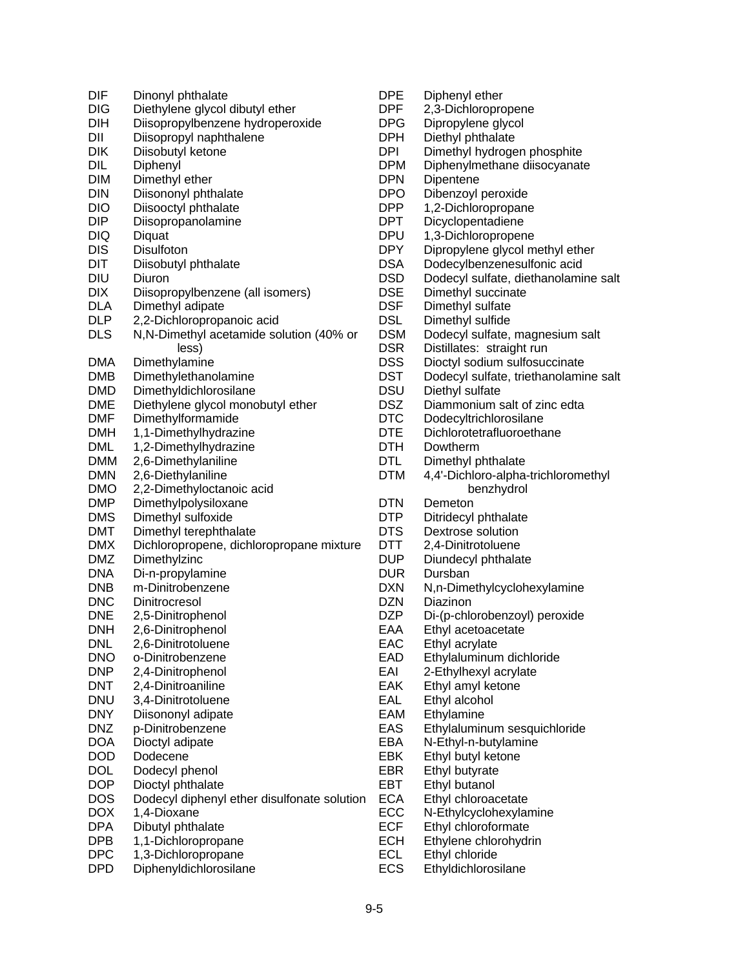| DIF                      | Dinonyl phthalate                           |
|--------------------------|---------------------------------------------|
| <b>DIG</b>               | Diethylene glycol dibutyl ether             |
| DIH                      | Diisopropylbenzene hydroperoxide            |
| DII                      | Diisopropyl naphthalene                     |
| DIK                      | Diisobutyl ketone                           |
| <b>DIL</b>               | Diphenyl                                    |
| <b>DIM</b>               | Dimethyl ether                              |
| <b>DIN</b>               | Diisononyl phthalate                        |
| <b>DIO</b>               | Diisooctyl phthalate                        |
| <b>DIP</b>               | Diisopropanolamine                          |
| <b>DIQ</b>               | Diquat                                      |
| <b>DIS</b>               | Disulfoton                                  |
| <b>DIT</b>               | Diisobutyl phthalate                        |
| <b>DIU</b>               | Diuron                                      |
| <b>DIX</b>               | Diisopropylbenzene (all isomers)            |
| <b>DLA</b>               | Dimethyl adipate                            |
| <b>DLP</b>               | 2,2-Dichloropropanoic acid                  |
| <b>DLS</b>               | N, N-Dimethyl acetamide solution (40% or    |
|                          | less)                                       |
| DMA                      | Dimethylamine                               |
| DMB                      | Dimethylethanolamine                        |
| <b>DMD</b>               | Dimethyldichlorosilane                      |
| DME                      | Diethylene glycol monobutyl ether           |
| DMF                      | Dimethylformamide                           |
| <b>DMH</b>               | 1,1-Dimethylhydrazine                       |
| DML                      | 1,2-Dimethylhydrazine                       |
| DMM                      | 2,6-Dimethylaniline                         |
| DMN                      | 2,6-Diethylaniline                          |
| <b>DMO</b>               | 2,2-Dimethyloctanoic acid                   |
| <b>DMP</b>               | Dimethylpolysiloxane                        |
| <b>DMS</b>               | Dimethyl sulfoxide                          |
| DMT                      | Dimethyl terephthalate                      |
| <b>DMX</b>               | Dichloropropene, dichloropropane mixture    |
| <b>DMZ</b>               | Dimethylzinc                                |
| <b>DNA</b><br><b>DNB</b> | Di-n-propylamine<br>m-Dinitrobenzene        |
|                          |                                             |
| <b>DNC</b><br><b>DNE</b> | Dinitrocresol                               |
| DNH                      | 2,5-Dinitrophenol                           |
| <b>DNL</b>               | 2,6-Dinitrophenol<br>2,6-Dinitrotoluene     |
| <b>DNO</b>               | o-Dinitrobenzene                            |
| <b>DNP</b>               | 2,4-Dinitrophenol                           |
| <b>DNT</b>               | 2,4-Dinitroaniline                          |
| <b>DNU</b>               | 3,4-Dinitrotoluene                          |
| <b>DNY</b>               | Diisononyl adipate                          |
| <b>DNZ</b>               | p-Dinitrobenzene                            |
| <b>DOA</b>               | Dioctyl adipate                             |
| <b>DOD</b>               | Dodecene                                    |
| DOL                      | Dodecyl phenol                              |
| <b>DOP</b>               | Dioctyl phthalate                           |
| <b>DOS</b>               | Dodecyl diphenyl ether disulfonate solution |
| <b>DOX</b>               | 1,4-Dioxane                                 |
| <b>DPA</b>               | Dibutyl phthalate                           |
| DPB                      | 1,1-Dichloropropane                         |
| <b>DPC</b>               | 1,3-Dichloropropane                         |
| <b>DPD</b>               | Diphenyldichlorosilane                      |
|                          |                                             |

| <b>DPE</b><br>DPF<br>DPG<br>DPH | Diphenyl ether<br>2,3-Dichloropropene<br>Dipropylene glycol<br>Diethyl phthalate |
|---------------------------------|----------------------------------------------------------------------------------|
|                                 |                                                                                  |
| DPI                             | Dimethyl hydrogen phosphite                                                      |
| <b>DPM</b>                      | Diphenylmethane diisocyanate                                                     |
| <b>DPN</b>                      | Dipentene                                                                        |
| DPO                             | Dibenzoyl peroxide                                                               |
| DPP                             | 1,2-Dichloropropane                                                              |
| DPT                             | Dicyclopentadiene                                                                |
| <b>DPU</b>                      | 1,3-Dichloropropene                                                              |
| <b>DPY</b>                      | Dipropylene glycol methyl ether                                                  |
| <b>DSA</b>                      | Dodecylbenzenesulfonic acid                                                      |
| <b>DSD</b>                      | Dodecyl sulfate, diethanolamine salt                                             |
| DSE                             | Dimethyl succinate                                                               |
| <b>DSF</b>                      | Dimethyl sulfate                                                                 |
| <b>DSL</b>                      | Dimethyl sulfide                                                                 |
| <b>DSM</b>                      | Dodecyl sulfate, magnesium salt                                                  |
| <b>DSR</b>                      | Distillates: straight run                                                        |
| <b>DSS</b>                      | Dioctyl sodium sulfosuccinate                                                    |
| DST                             | Dodecyl sulfate, triethanolamine salt                                            |
| DSU                             | Diethyl sulfate                                                                  |
| <b>DSZ</b>                      | Diammonium salt of zinc edta                                                     |
| <b>DTC</b>                      | Dodecyltrichlorosilane                                                           |
| <b>DTE</b>                      | Dichlorotetrafluoroethane                                                        |
| <b>DTH</b>                      | Dowtherm                                                                         |
| <b>DTL</b>                      |                                                                                  |
|                                 | Dimethyl phthalate                                                               |
| <b>DTM</b>                      | 4,4'-Dichloro-alpha-trichloromethyl                                              |
|                                 | benzhydrol                                                                       |
| <b>DTN</b>                      | Demeton                                                                          |
| DTP                             | Ditridecyl phthalate                                                             |
| <b>DTS</b>                      | Dextrose solution                                                                |
| DTT                             | 2,4-Dinitrotoluene                                                               |
| DUP                             | Diundecyl phthalate                                                              |
| <b>DUR</b>                      | Dursban                                                                          |
| <b>DXN</b>                      | N,n-Dimethylcyclohexylamine                                                      |
| <b>DZN</b>                      | Diazinon                                                                         |
| DZP                             | Di-(p-chlorobenzoyl) peroxide                                                    |
| EAA                             | Ethyl acetoacetate                                                               |
| EAC                             | Ethyl acrylate                                                                   |
| EAD                             | Ethylaluminum dichloride                                                         |
| EAI                             | 2-Ethylhexyl acrylate                                                            |
| EAK                             | Ethyl amyl ketone                                                                |
| EAL                             | Ethyl alcohol                                                                    |
| EAM                             | Ethylamine                                                                       |
| EAS                             | Ethylaluminum sesquichloride                                                     |
| EBA                             | N-Ethyl-n-butylamine                                                             |
| EBK                             | Ethyl butyl ketone                                                               |
| EBR                             | Ethyl butyrate                                                                   |
| EBT                             | Ethyl butanol                                                                    |
| <b>ECA</b>                      | Ethyl chloroacetate                                                              |
| ECC                             | N-Ethylcyclohexylamine                                                           |
| <b>ECF</b>                      | Ethyl chloroformate                                                              |
| <b>ECH</b>                      | Ethylene chlorohydrin                                                            |
|                                 |                                                                                  |

- ECL Ethyl chloride
- ECS Ethyldichlorosilane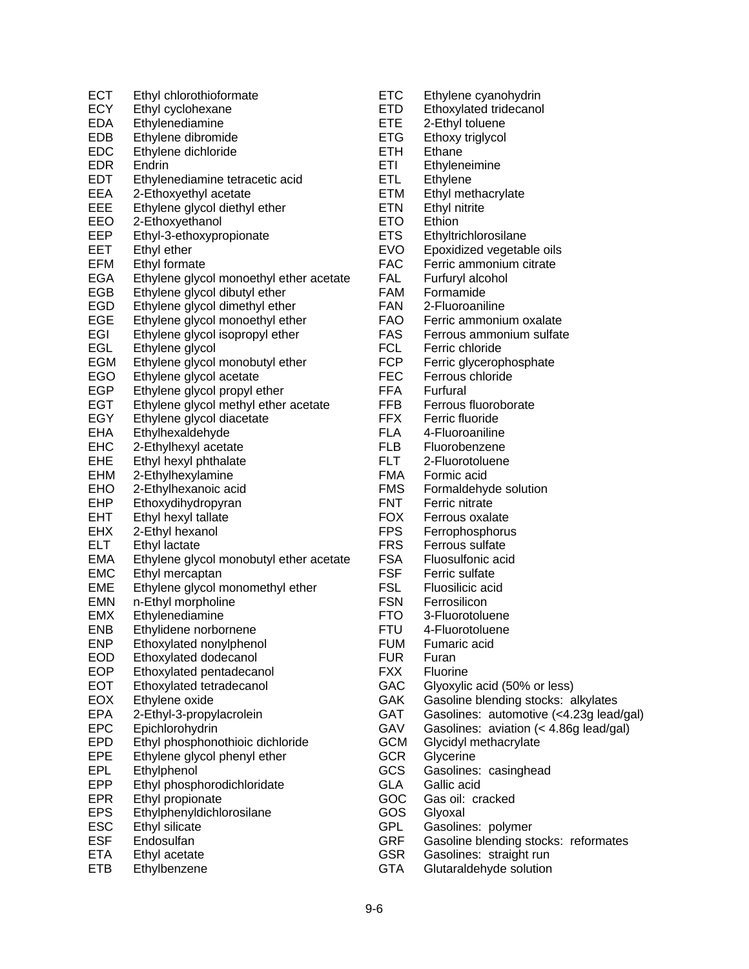ECT Ethyl chlorothioformate<br>ECY Ethyl cyclohexane Ethyl cyclohexane EDA Ethylenediamine EDB Ethylene dibromide EDC Ethylene dichloride EDR Endrin EDT Ethylenediamine tetracetic acid EEA 2-Ethoxyethyl acetate EEE Ethylene glycol diethyl ether<br>EEO 2-Ethoxyethanol 2-Ethoxyethanol EEP Ethyl-3-ethoxypropionate EET Ethyl ether EFM Ethyl formate EGA Ethylene glycol monoethyl ether acetate EGB Ethylene glycol dibutyl ether EGD Ethylene glycol dimethyl ether EGE Ethylene glycol monoethyl ether EGI Ethylene glycol isopropyl ether EGL Ethylene glycol EGM Ethylene glycol monobutyl ether<br>EGO Ethylene glycol acetate Ethylene glycol acetate EGP Ethylene glycol propyl ether EGT Ethylene glycol methyl ether acetate<br>EGY Ethylene glycol diacetate Ethylene glycol diacetate EHA Ethylhexaldehyde EHC 2-Ethylhexyl acetate EHE Ethyl hexyl phthalate EHM 2-Ethylhexylamine EHO 2-Ethylhexanoic acid EHP Ethoxydihydropyran EHT Ethyl hexyl tallate EHX 2-Ethyl hexanol ELT Ethyl lactate EMA Ethylene glycol monobutyl ether acetate EMC Ethyl mercaptan EME Ethylene glycol monomethyl ether EMN n-Ethyl morpholine EMX Ethylenediamine ENB Ethylidene norbornene ENP Ethoxylated nonylphenol EOD Ethoxylated dodecanol EOP Ethoxylated pentadecanol<br>EOT Ethoxylated tetradecanol Ethoxylated tetradecanol EOX Ethylene oxide EPA 2-Ethyl-3-propylacrolein EPC Epichlorohydrin EPD Ethyl phosphonothioic dichloride EPE Ethylene glycol phenyl ether EPL Ethylphenol EPP Ethyl phosphorodichloridate EPR Ethyl propionate EPS Ethylphenyldichlorosilane ESC Ethyl silicate<br>ESF Endosulfan Endosulfan ETA Ethyl acetate ETB Ethylbenzene

ETC Ethylene cyanohydrin ETD Ethoxylated tridecanol ETE 2-Ethyl toluene ETG Ethoxy triglycol ETH Ethane ETI Ethyleneimine ETL Ethylene ETM Ethyl methacrylate ETN Ethyl nitrite ETO Ethion ETS Ethyltrichlorosilane EVO Epoxidized vegetable oils FAC Ferric ammonium citrate FAL Furfuryl alcohol FAM Formamide FAN 2-Fluoroaniline FAO Ferric ammonium oxalate FAS Ferrous ammonium sulfate FCL Ferric chloride FCP Ferric glycerophosphate FEC Ferrous chloride FFA Furfural FFB Ferrous fluoroborate<br>FFX Ferric fluoride Ferric fluoride FLA 4-Fluoroaniline FLB Fluorobenzene FLT 2-Fluorotoluene FMA Formic acid FMS Formaldehyde solution FNT Ferric nitrate FOX Ferrous oxalate FPS Ferrophosphorus FRS Ferrous sulfate FSA Fluosulfonic acid FSF Ferric sulfate FSL Fluosilicic acid FSN Ferrosilicon FTO 3-Fluorotoluene FTU 4-Fluorotoluene FUM Fumaric acid FUR Furan FXX Fluorine GAC Glyoxylic acid (50% or less) GAK Gasoline blending stocks: alkylates GAT Gasolines: automotive (<4.23g lead/gal) GAV Gasolines: aviation (< 4.86g lead/gal) GCM Glycidyl methacrylate GCR Glycerine GCS Gasolines: casinghead GLA Gallic acid GOC Gas oil: cracked GOS Glyoxal GPL Gasolines: polymer

- GRF Gasoline blending stocks: reformates
- GSR Gasolines: straight run
- GTA Glutaraldehyde solution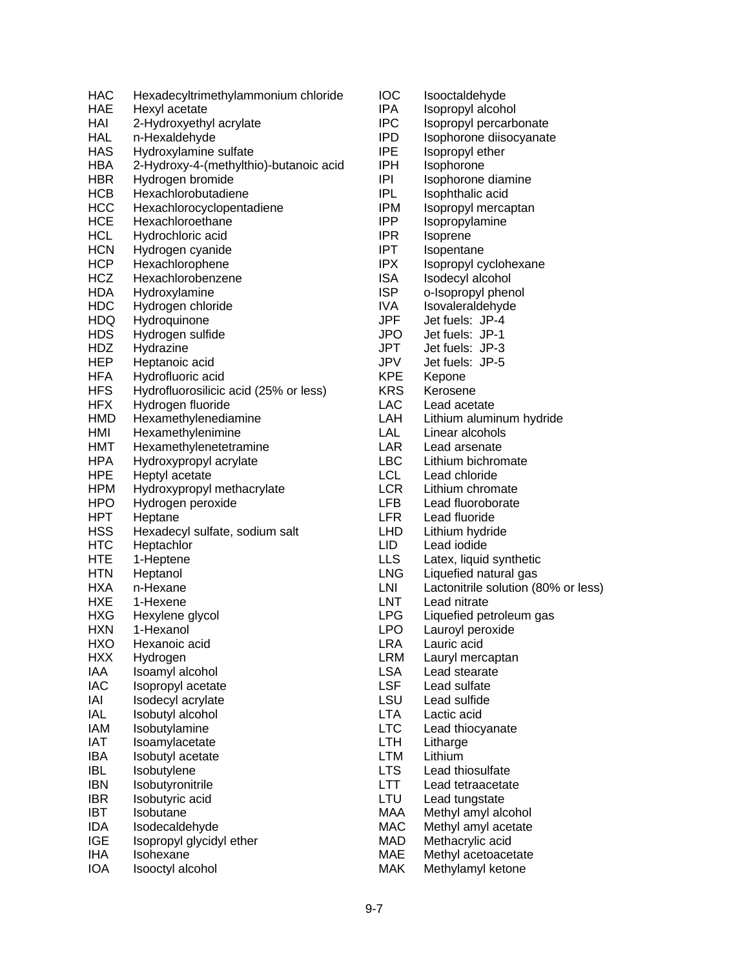| HAC        | Hexadecyltrimethylammonium chloride    |
|------------|----------------------------------------|
| HAE        | Hexyl acetate                          |
| HAI        | 2-Hydroxyethyl acrylate                |
| <b>HAL</b> | n-Hexaldehyde                          |
| <b>HAS</b> | Hydroxylamine sulfate                  |
| HBA        | 2-Hydroxy-4-(methylthio)-butanoic acid |
| HBR        | Hydrogen bromide                       |
| HCB        | Hexachlorobutadiene                    |
| HCC        | Hexachlorocyclopentadiene              |
| <b>HCE</b> | Hexachloroethane                       |
| <b>HCL</b> | Hydrochloric acid                      |
| <b>HCN</b> | Hydrogen cyanide                       |
| <b>HCP</b> | Hexachlorophene                        |
| HCZ        | Hexachlorobenzene                      |
| <b>HDA</b> | Hydroxylamine                          |
| <b>HDC</b> | Hydrogen chloride                      |
| <b>HDQ</b> | Hydroquinone                           |
| <b>HDS</b> | Hydrogen sulfide                       |
| HDZ        | Hydrazine                              |
| HEP        | Heptanoic acid                         |
| HFA        | Hydrofluoric acid                      |
| <b>HFS</b> | Hydrofluorosilicic acid (25% or less)  |
| <b>HFX</b> | Hydrogen fluoride                      |
| HMD        | Hexamethylenediamine                   |
| HMI        | Hexamethylenimine                      |
| HMT        | Hexamethylenetetramine                 |
| HPA        | Hydroxypropyl acrylate                 |
| HPE        | Heptyl acetate                         |
| <b>HPM</b> | Hydroxypropyl methacrylate             |
| <b>HPO</b> | Hydrogen peroxide                      |
| HPT        | Heptane                                |
| <b>HSS</b> | Hexadecyl sulfate, sodium salt         |
| HTC        | Heptachlor                             |
| HTE        | 1-Heptene                              |
| <b>HTN</b> | Heptanol                               |
| HXA        | n-Hexane                               |
| <b>HXE</b> | 1-Hexene                               |
| <b>HXG</b> | Hexylene glycol                        |
| <b>HXN</b> | 1-Hexanol                              |
| <b>HXO</b> | Hexanoic acid                          |
| <b>HXX</b> | Hydrogen                               |
| IAA        | Isoamyl alcohol                        |
| IAC        | Isopropyl acetate                      |
| IAI        | Isodecyl acrylate                      |
| <b>IAL</b> | Isobutyl alcohol                       |
| <b>IAM</b> | Isobutylamine                          |
| IAT        | Isoamylacetate                         |
| IBA        | Isobutyl acetate                       |
| <b>IBL</b> | Isobutylene                            |
| <b>IBN</b> | Isobutyronitrile                       |
| <b>IBR</b> | Isobutyric acid                        |
| IBT        | Isobutane                              |
| <b>IDA</b> | Isodecaldehyde                         |
| <b>IGE</b> | Isopropyl glycidyl ether               |
| IHA        | Isohexane                              |
| IOA        | Isooctyl alcohol                       |

**IOC** Isooctaldehyde<br>IPA Isopropylalcoh IPA Isopropyl alcohol<br>IPC Isopropyl percarb Isopropyl percarbonate IPD Isophorone diisocyanate IPE Isopropyl ether IPH Isophorone IPI Isophorone diamine IPL Isophthalic acid IPM Isopropyl mercaptan<br>IPP Isopropylamine Isopropylamine **IPR** Isoprene IPT Isopentane<br>IPX Isopropyl cy Isopropyl cyclohexane ISA Isodecyl alcohol ISP o-Isopropyl phenol IVA Isovaleraldehyde JPF Jet fuels: JP-4 Jet fuels: JP-1 JPT Jet fuels: JP-3 JPV Jet fuels: JP-5<br>KPE Kepone KPE Kepone<br>KRS Kerosen Kerosene LAC Lead acetate<br>LAH Lithium alumi Lithium aluminum hydride LAL Linear alcohols LAR Lead arsenate LBC Lithium bichromate LCL Lead chloride LCR Lithium chromate LFB Lead fluoroborate LFR Lead fluoride LHD Lithium hydride LID Lead iodide LLS Latex, liquid synthetic LNG Liquefied natural gas LNI Lactonitrile solution (80% or less) LNT Lead nitrate<br>LPG Liquefied pe Liquefied petroleum gas LPO Lauroyl peroxide LRA Lauric acid LRM Lauryl mercaptan LSA Lead stearate<br>LSF Lead sulfate Lead sulfate LSU Lead sulfide LTA Lactic acid<br>LTC Lead thiocy Lead thiocyanate LTH Litharge LTM Lithium LTS Lead thiosulfate LTT Lead tetraacetate LTU Lead tungstate MAA Methyl amyl alcohol MAC Methyl amyl acetate<br>MAD Methacrylic acid MAD Methacrylic acid<br>MAE Methyl acetoace Methyl acetoacetate

MAK Methylamyl ketone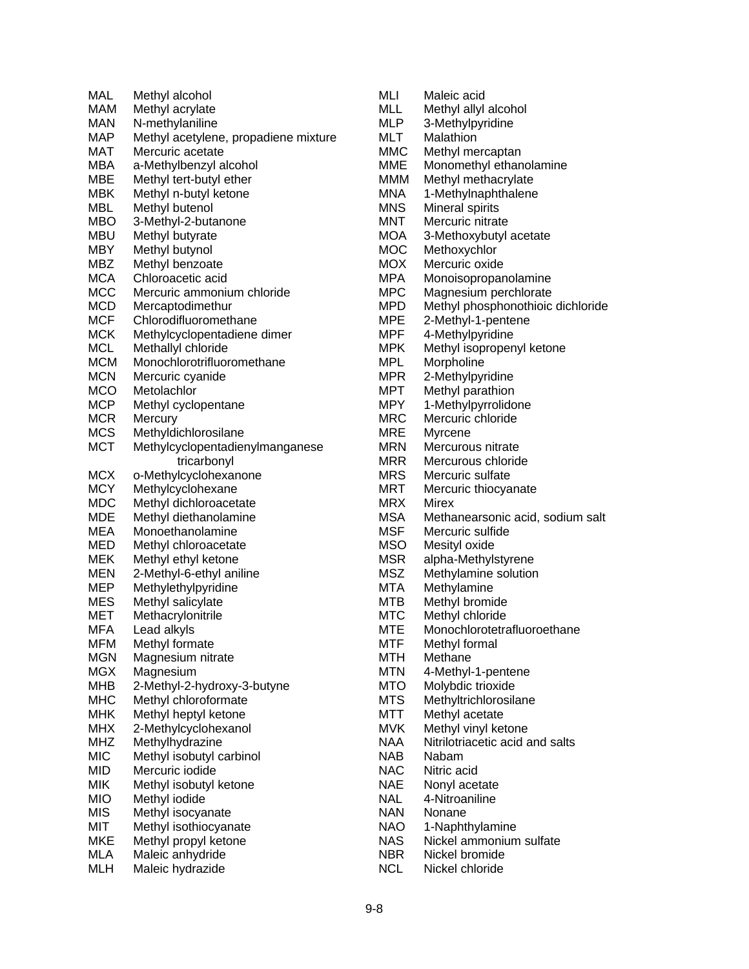| MAL        | Methyl alcohol                       |
|------------|--------------------------------------|
| MAM        | Methyl acrylate                      |
|            |                                      |
| <b>MAN</b> | N-methylaniline                      |
| MAP        | Methyl acetylene, propadiene mixture |
| MAT        | Mercuric acetate                     |
| MBA        | a-Methylbenzyl alcohol               |
| MBE        | Methyl tert-butyl ether              |
| MBK        | Methyl n-butyl ketone                |
| <b>MBL</b> | Methyl butenol                       |
| <b>MBO</b> | 3-Methyl-2-butanone                  |
| <b>MBU</b> | Methyl butyrate                      |
| MBY        | Methyl butynol                       |
| <b>MBZ</b> | Methyl benzoate                      |
|            |                                      |
| <b>MCA</b> | Chloroacetic acid                    |
| <b>MCC</b> | Mercuric ammonium chloride           |
| <b>MCD</b> | Mercaptodimethur                     |
| <b>MCF</b> | Chlorodifluoromethane                |
| <b>MCK</b> | Methylcyclopentadiene dimer          |
| <b>MCL</b> | Methallyl chloride                   |
| <b>MCM</b> | Monochlorotrifluoromethane           |
| <b>MCN</b> | Mercuric cyanide                     |
| <b>MCO</b> | Metolachlor                          |
| <b>MCP</b> | Methyl cyclopentane                  |
| <b>MCR</b> | Mercury                              |
| <b>MCS</b> | Methyldichlorosilane                 |
|            |                                      |
| <b>MCT</b> | Methylcyclopentadienylmanganese      |
|            | tricarbonyl                          |
| <b>MCX</b> | o-Methylcyclohexanone                |
| <b>MCY</b> | Methylcyclohexane                    |
| MDC        | Methyl dichloroacetate               |
| <b>MDE</b> | Methyl diethanolamine                |
| MEA        | Monoethanolamine                     |
| MED        | Methyl chloroacetate                 |
| MEK        | Methyl ethyl ketone                  |
| <b>MEN</b> | 2-Methyl-6-ethyl aniline             |
| <b>MEP</b> | Methylethylpyridine                  |
| <b>MES</b> | Methyl salicylate                    |
| MET        | Methacrylonitrile                    |
| MFA        | Lead alkyls                          |
|            |                                      |
| <b>MFM</b> | Methyl formate                       |
| MGN        | Magnesium nitrate                    |
| MGX        | Magnesium                            |
| МНВ        | 2-Methyl-2-hydroxy-3-butyne          |
| МНС        | Methyl chloroformate                 |
| <b>MHK</b> | Methyl heptyl ketone                 |
| <b>MHX</b> | 2-Methylcyclohexanol                 |
| <b>MHZ</b> | Methylhydrazine                      |
| <b>MIC</b> | Methyl isobutyl carbinol             |
| MID        | Mercuric iodide                      |
| MIK        | Methyl isobutyl ketone               |
| <b>MIO</b> | Methyl iodide                        |
| <b>MIS</b> |                                      |
|            | Methyl isocyanate                    |
| MIT        | Methyl isothiocyanate                |
| <b>MKE</b> | Methyl propyl ketone                 |
| MLA        | Maleic anhydride                     |
| <b>MLH</b> | Maleic hydrazide                     |
|            |                                      |

| Monomethyl ethanolamine           |
|-----------------------------------|
|                                   |
|                                   |
|                                   |
|                                   |
|                                   |
|                                   |
|                                   |
| Monoisopropanolamine              |
| Magnesium perchlorate             |
| Methyl phosphonothioic dichloride |
|                                   |
|                                   |
| Methyl isopropenyl ketone         |
|                                   |
|                                   |
|                                   |
|                                   |
|                                   |
|                                   |
|                                   |
|                                   |
|                                   |
|                                   |
|                                   |
| Methanearsonic acid, sodium salt  |
|                                   |
|                                   |
|                                   |
|                                   |
|                                   |
|                                   |
|                                   |
|                                   |
| Monochlorotetrafluoroethane       |
|                                   |
|                                   |
|                                   |
|                                   |
|                                   |
|                                   |
|                                   |
| Nitrilotriacetic acid and salts   |
|                                   |
|                                   |
|                                   |
|                                   |
|                                   |
|                                   |
|                                   |
| Nickel ammonium sulfate           |
|                                   |
| 3-Methoxybutyl acetate            |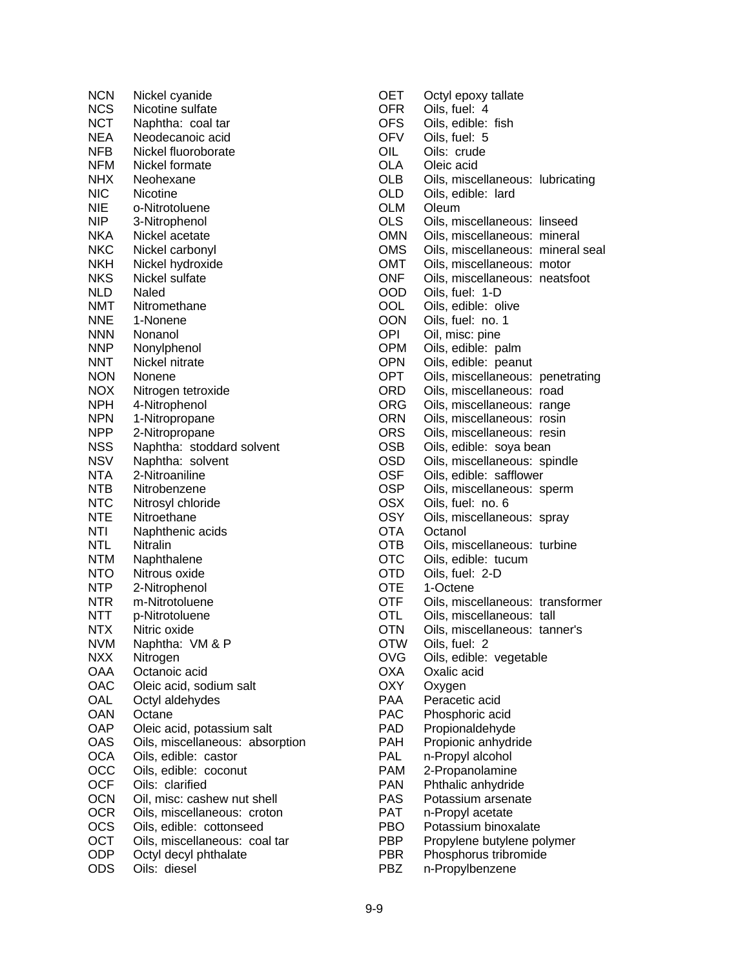| <b>NCN</b> | Nickel cyanide                  |
|------------|---------------------------------|
| <b>NCS</b> | Nicotine sulfate                |
| <b>NCT</b> | Naphtha: coal tar               |
| NEA        | Neodecanoic acid                |
| NFB        | Nickel fluoroborate             |
| NFM        | Nickel formate                  |
| NHX        | Neohexane                       |
| NIC        | Nicotine                        |
| NIE        | o-Nitrotoluene                  |
| NIP        | 3-Nitrophenol                   |
| NKA        | Nickel acetate                  |
| NKC        | Nickel carbonyl                 |
| NKH        | Nickel hydroxide                |
| NKS        | Nickel sulfate                  |
| NLD        | Naled                           |
| NMT        | Nitromethane                    |
| NNE        | 1-Nonene                        |
| <b>NNN</b> | Nonanol                         |
| NNP        | Nonylphenol                     |
| NNT        | Nickel nitrate                  |
| NON        | Nonene                          |
| NOX        | Nitrogen tetroxide              |
| NPH        | 4-Nitrophenol                   |
| <b>NPN</b> | 1-Nitropropane                  |
| <b>NPP</b> | 2-Nitropropane                  |
| <b>NSS</b> | Naphtha: stoddard solvent       |
| <b>NSV</b> | Naphtha: solvent                |
| <b>NTA</b> | 2-Nitroaniline                  |
| NTB        | Nitrobenzene                    |
| <b>NTC</b> | Nitrosyl chloride               |
| <b>NTE</b> | Nitroethane                     |
| NTI        | Naphthenic acids                |
| <b>NTL</b> | Nitralin                        |
| <b>NTM</b> | Naphthalene                     |
| <b>NTO</b> | Nitrous oxide                   |
| NTP        | 2-Nitrophenol                   |
| NTR        | m-Nitrotoluene                  |
| NTT        | p-Nitrotoluene                  |
| NTX        | Nitric oxide                    |
| <b>NVM</b> | Naphtha: VM & P                 |
| <b>NXX</b> | Nitrogen                        |
| OAA        | Octanoic acid                   |
| OAC        | Oleic acid, sodium salt         |
| OAL        | Octyl aldehydes                 |
| OAN        | Octane                          |
| <b>OAP</b> | Oleic acid, potassium salt      |
| OAS        | Oils, miscellaneous: absorption |
| <b>OCA</b> | Oils, edible: castor            |
| осс        | Oils, edible: coconut           |
| <b>OCF</b> | Oils:<br>clarified              |
| OCN        | Oil, misc: cashew nut shell     |
| OCR        | Oils, miscellaneous: croton     |
| OCS        | Oils, edible: cottonseed        |
| OCT        | Oils, miscellaneous: coal tar   |
| ODP        | Octyl decyl phthalate           |
| ODS        | Oils: diesel                    |

| OET        | Octyl epoxy tallate               |
|------------|-----------------------------------|
| <b>OFR</b> | Oils, fuel: 4                     |
| <b>OFS</b> | Oils, edible: fish                |
| <b>OFV</b> | Oils, fuel: 5                     |
| OIL        | Oils: crude                       |
| OLA        | Oleic acid                        |
| OLB        | Oils, miscellaneous: lubricating  |
| OLD        | Oils, edible: lard                |
| <b>OLM</b> | Oleum                             |
| <b>OLS</b> | Oils, miscellaneous: linseed      |
| <b>OMN</b> | Oils, miscellaneous: mineral      |
| OMS        | Oils, miscellaneous: mineral seal |
| ОМТ        | Oils, miscellaneous: motor        |
| ONF        | Oils, miscellaneous: neatsfoot    |
| OOD        | Oils, fuel: 1-D                   |
| OOL        | Oils, edible: olive               |
| OON        | Oils, fuel: no. 1                 |
| OPI        | Oil, misc: pine                   |
| <b>OPM</b> | Oils, edible: palm                |
| <b>OPN</b> | Oils, edible: peanut              |
| <b>OPT</b> | Oils, miscellaneous: penetrating  |
| ORD        | Oils, miscellaneous: road         |
| <b>ORG</b> | Oils, miscellaneous: range        |
| <b>ORN</b> | Oils, miscellaneous: rosin        |
| ORS        | Oils, miscellaneous: resin        |
| <b>OSB</b> | Oils, edible: soya bean           |
| OSD        | Oils, miscellaneous:<br>spindle   |
| OSF        | Oils, edible: safflower           |
| OSP        | Oils, miscellaneous: sperm        |
| OSX        | Oils, fuel: no. 6                 |
| OSY        | Oils, miscellaneous: spray        |
| <b>OTA</b> | Octanol                           |
| OTB        | Oils, miscellaneous: turbine      |
| <b>OTC</b> | Oils, edible: tucum               |
| <b>OTD</b> | Oils, fuel: 2-D                   |
| <b>OTE</b> | 1-Octene                          |
| <b>OTF</b> | Oils, miscellaneous: transformer  |
| OTL        | Oils, miscellaneous: tall         |
| <b>OTN</b> | Oils, miscellaneous: tanner's     |
| <b>OTW</b> | Oils, fuel: 2                     |
| OVG        | Oils, edible: vegetable           |
| OXA        | Oxalic acid                       |
| <b>OXY</b> | Oxygen                            |
| PAA        | Peracetic acid                    |
| PAC        | Phosphoric acid                   |
| PAD        | Propionaldehyde                   |
| <b>PAH</b> | Propionic anhydride               |
| PAL        | n-Propyl alcohol                  |
| <b>PAM</b> | 2-Propanolamine                   |
| <b>PAN</b> | Phthalic anhydride                |
| PAS        | Potassium arsenate                |
| <b>PAT</b> | n-Propyl acetate                  |
| PBO        | Potassium binoxalate              |
| PBP        | Propylene butylene polymer        |
| PBR        | Phosphorus tribromide             |
| PBZ        | n-Propylbenzene                   |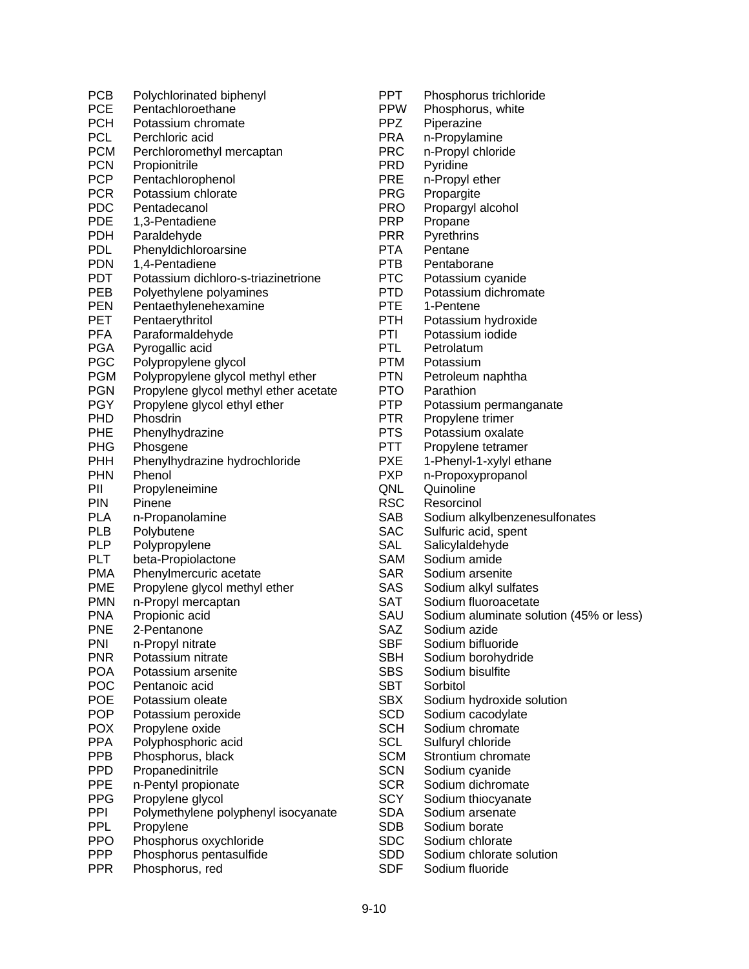| <b>PCB</b>        | Polychlorinated biphenyl              |
|-------------------|---------------------------------------|
| <b>PCE</b>        | Pentachloroethane                     |
| <b>PCH</b>        | Potassium chromate                    |
| <b>PCL</b>        | Perchloric acid                       |
| <b>PCM</b>        | Perchloromethyl mercaptan             |
| <b>PCN</b>        | Propionitrile                         |
| <b>PCP</b>        | Pentachlorophenol                     |
| <b>PCR</b>        | Potassium chlorate                    |
| PDC               | Pentadecanol                          |
| <b>PDE</b>        | 1,3-Pentadiene                        |
| PDH               | Paraldehyde                           |
| PDL               | Phenyldichloroarsine                  |
| <b>PDN</b>        | 1,4-Pentadiene                        |
| PDT               | Potassium dichloro-s-triazinetrione   |
| PEB               | Polyethylene polyamines               |
| <b>PEN</b>        | Pentaethylenehexamine                 |
| <b>PET</b>        | Pentaerythritol                       |
| PFA               | Paraformaldehyde                      |
| <b>PGA</b>        | Pyrogallic acid                       |
| <b>PGC</b>        | Polypropylene glycol                  |
| <b>PGM</b>        | Polypropylene glycol methyl ether     |
| <b>PGN</b>        | Propylene glycol methyl ether acetate |
| PGY               | Propylene glycol ethyl ether          |
| <b>PHD</b>        | Phosdrin                              |
| PHE               | Phenylhydrazine                       |
| <b>PHG</b>        | Phosgene                              |
| PHH               | Phenylhydrazine hydrochloride         |
| <b>PHN</b>        | Phenol                                |
| PII               | Propyleneimine                        |
| <b>PIN</b>        | Pinene                                |
| PLA               | n-Propanolamine                       |
| PLB               | Polybutene                            |
| <b>PLP</b>        | Polypropylene                         |
| PLT               | beta-Propiolactone                    |
| <b>PMA</b>        | Phenylmercuric acetate                |
| <b>PME</b>        | Propylene glycol methyl ether         |
| <b>PMN</b>        | n-Propyl mercaptan                    |
| <b>PNA</b>        | Propionic acid                        |
| PNE               | 2-Pentanone                           |
| PNI               | n-Propyl nitrate                      |
| <b>PNR</b>        | Potassium nitrate                     |
| <b>POA</b>        | Potassium arsenite                    |
|                   |                                       |
| POC<br><b>POE</b> | Pentanoic acid<br>Potassium oleate    |
| <b>POP</b>        |                                       |
|                   | Potassium peroxide                    |
| POX               | Propylene oxide                       |
| <b>PPA</b>        | Polyphosphoric acid                   |
| <b>PPB</b>        | Phosphorus, black                     |
| PPD               | Propanedinitrile                      |
| <b>PPE</b>        | n-Pentyl propionate                   |
| <b>PPG</b>        | Propylene glycol                      |
| PPI               | Polymethylene polyphenyl isocyanate   |
| <b>PPL</b>        | Propylene                             |
| <b>PPO</b>        | Phosphorus oxychloride                |
| <b>PPP</b>        | Phosphorus pentasulfide               |
| <b>PPR</b>        | Phosphorus, red                       |

| PPT                      | Phosphorus trichloride                  |
|--------------------------|-----------------------------------------|
| <b>PPW</b>               | Phosphorus, white                       |
| PPZ                      | Piperazine                              |
| PRA                      | n-Propylamine                           |
| <b>PRC</b>               | n-Propyl chloride                       |
| PRD.                     | Pyridine                                |
| PRE                      | n-Propyl ether                          |
| PRG                      | Propargite                              |
| <b>PRO</b>               | Propargyl alcohol                       |
| <b>PRP</b>               | Propane                                 |
| <b>PRR</b>               | Pyrethrins                              |
| PTA                      | Pentane                                 |
| PTB                      | Pentaborane                             |
| PTC                      | Potassium cyanide                       |
| PTD.                     | Potassium dichromate                    |
| PTE                      | 1-Pentene                               |
| PTH                      | Potassium hydroxide                     |
| PTI                      | Potassium iodide                        |
| PTL                      | Petrolatum                              |
| PTM                      | Potassium                               |
| PTN                      | Petroleum naphtha                       |
| <b>PTO</b>               | Parathion                               |
| <b>PTP</b>               | Potassium permanganate                  |
| PTR                      | Propylene trimer                        |
| <b>PTS</b>               | Potassium oxalate                       |
| PTT                      | Propylene tetramer                      |
| PXE                      | 1-Phenyl-1-xylyl ethane                 |
| <b>PXP</b>               | n-Propoxypropanol                       |
| QNL                      | Quinoline                               |
| RSC                      | Resorcinol                              |
| SAB                      | Sodium alkylbenzenesulfonates           |
| <b>SAC</b>               | Sulfuric acid, spent                    |
| SAL                      | Salicylaldehyde                         |
| SAM                      | Sodium amide                            |
| <b>SAR</b>               | Sodium arsenite                         |
| SAS                      | Sodium alkyl sulfates                   |
| SAT                      | Sodium fluoroacetate                    |
| SAU                      | Sodium aluminate solution (45% or less) |
| SAZ                      | Sodium azide                            |
| <b>SBF</b>               | Sodium bifluoride                       |
| SBH                      | Sodium borohydride                      |
| SBS                      | Sodium bisulfite                        |
| <b>SBT</b><br><b>SBX</b> | Sorbitol                                |
| SCD                      | Sodium hydroxide solution               |
|                          | Sodium cacodylate<br>Sodium chromate    |
| SCH<br><b>SCL</b>        |                                         |
| SCM                      | Sulfuryl chloride<br>Strontium chromate |
| <b>SCN</b>               | Sodium cyanide                          |
| <b>SCR</b>               | Sodium dichromate                       |
| SCY                      | Sodium thiocyanate                      |
| SDA                      | Sodium arsenate                         |
| SDB                      | Sodium borate                           |
| SDC                      | Sodium chlorate                         |
| <b>SDD</b>               | Sodium chlorate solution                |
|                          |                                         |

SDF Sodium fluoride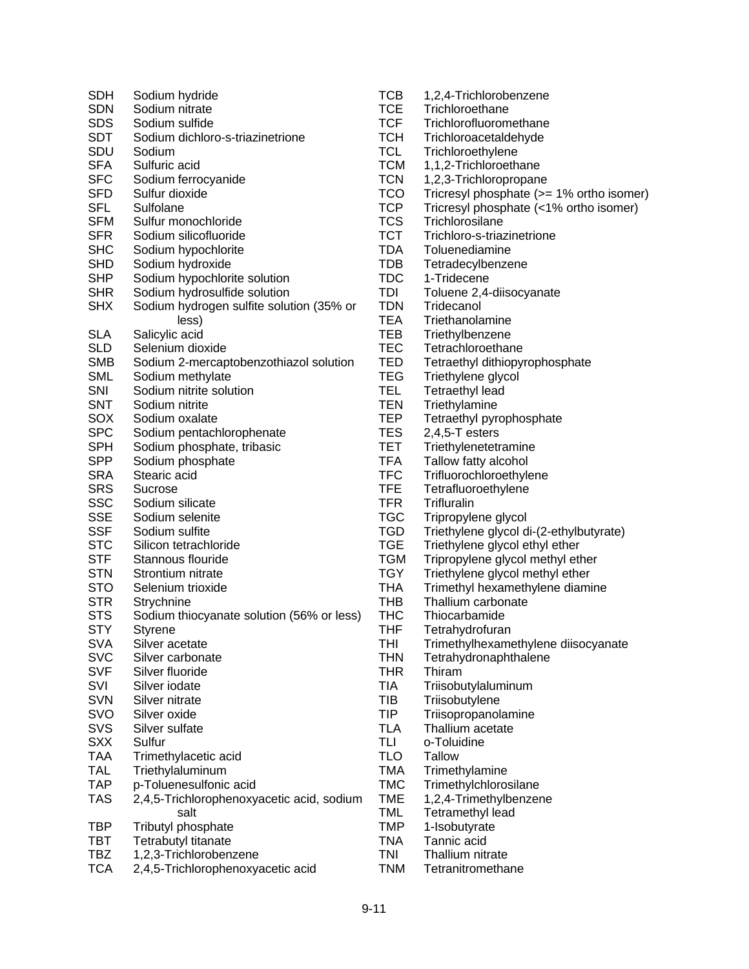| SDH        | Sodium hydride                                    | <b>TCB</b>               | 1,2,4-Trichlorob        |
|------------|---------------------------------------------------|--------------------------|-------------------------|
| <b>SDN</b> | Sodium nitrate                                    | <b>TCE</b>               | Trichloroethane         |
| <b>SDS</b> | Sodium sulfide                                    | <b>TCF</b>               | Trichlorofluorom        |
| SDT        | Sodium dichloro-s-triazinetrione                  | <b>TCH</b>               | Trichloroacetald        |
| SDU        | Sodium                                            | <b>TCL</b>               | Trichloroethylen        |
| <b>SFA</b> | Sulfuric acid                                     | <b>TCM</b>               | 1,1,2-Trichloroe        |
| <b>SFC</b> | Sodium ferrocyanide                               | <b>TCN</b>               | 1,2,3-Trichlorop        |
| <b>SFD</b> | Sulfur dioxide                                    | <b>TCO</b>               | <b>Tricresyl phospl</b> |
| <b>SFL</b> | Sulfolane                                         | <b>TCP</b>               | <b>Tricresyl phospl</b> |
| <b>SFM</b> | Sulfur monochloride                               | <b>TCS</b>               | Trichlorosilane         |
| <b>SFR</b> | Sodium silicofluoride                             | <b>TCT</b>               | Trichloro-s-triaz       |
| <b>SHC</b> | Sodium hypochlorite                               | <b>TDA</b>               | Toluenediamine          |
| <b>SHD</b> | Sodium hydroxide                                  | <b>TDB</b>               | Tetradecylbenze         |
| <b>SHP</b> | Sodium hypochlorite solution                      | <b>TDC</b>               | 1-Tridecene             |
| <b>SHR</b> | Sodium hydrosulfide solution                      | TDI                      | Toluene 2,4-diis        |
| <b>SHX</b> | Sodium hydrogen sulfite solution (35% or          | <b>TDN</b>               | Tridecanol              |
|            | less)                                             | <b>TEA</b>               | Triethanolamine         |
| <b>SLA</b> | Salicylic acid                                    | TEB                      | Triethylbenzene         |
| <b>SLD</b> | Selenium dioxide                                  | <b>TEC</b>               | Tetrachloroetha         |
| <b>SMB</b> | Sodium 2-mercaptobenzothiazol solution            | <b>TED</b>               | Tetraethyl dithio       |
| <b>SML</b> | Sodium methylate                                  | <b>TEG</b>               | Triethylene glyc        |
| SNI        | Sodium nitrite solution                           | <b>TEL</b>               | Tetraethyl lead         |
| <b>SNT</b> | Sodium nitrite                                    | <b>TEN</b>               | Triethylamine           |
| SOX        | Sodium oxalate                                    | <b>TEP</b>               | Tetraethyl pyrop        |
| <b>SPC</b> | Sodium pentachlorophenate                         | <b>TES</b>               | $2,4,5$ -T esters       |
| <b>SPH</b> | Sodium phosphate, tribasic                        | <b>TET</b>               | Triethylenetetra        |
| <b>SPP</b> | Sodium phosphate                                  | <b>TFA</b>               | Tallow fatty alco       |
| <b>SRA</b> | Stearic acid                                      | <b>TFC</b>               | <b>Trifluorochloroe</b> |
| <b>SRS</b> | Sucrose                                           | <b>TFE</b>               | Tetrafluoroethyl        |
| <b>SSC</b> | Sodium silicate                                   | <b>TFR</b>               | <b>Trifluralin</b>      |
| <b>SSE</b> | Sodium selenite                                   | <b>TGC</b>               | Tripropylene gly        |
| <b>SSF</b> | Sodium sulfite                                    | <b>TGD</b>               | Triethylene glyc        |
| <b>STC</b> | Silicon tetrachloride                             | <b>TGE</b>               | Triethylene glyc        |
| <b>STF</b> | Stannous flouride                                 | <b>TGM</b>               | Tripropylene gly        |
| <b>STN</b> | Strontium nitrate                                 | <b>TGY</b>               | Triethylene glyc        |
| <b>STO</b> | Selenium trioxide                                 | <b>THA</b>               | <b>Trimethyl hexan</b>  |
| <b>STR</b> | Strychnine                                        | <b>THB</b>               | Thallium carbon         |
| <b>STS</b> | Sodium thiocyanate solution (56% or less)         | THC                      | Thiocarbamide           |
| <b>STY</b> | <b>Styrene</b>                                    | <b>THF</b>               | Tetrahydrofuran         |
| <b>SVA</b> | Silver acetate                                    | THI                      | Trimethylhexam          |
| <b>SVC</b> | Silver carbonate                                  | <b>THN</b>               | Tetrahydronaph          |
| <b>SVF</b> | Silver fluoride                                   | <b>THR</b>               | Thiram                  |
| SVI        | Silver iodate                                     | <b>TIA</b>               | Triisobutylalumi        |
| <b>SVN</b> | Silver nitrate                                    | TIB                      | Triisobutylene          |
| SVO        | Silver oxide                                      | <b>TIP</b>               | Triisopropanola         |
| SVS        | Silver sulfate                                    | <b>TLA</b>               | Thallium acetate        |
| <b>SXX</b> | Sulfur                                            | TLI                      | o-Toluidine             |
| <b>TAA</b> | Trimethylacetic acid                              | <b>TLO</b>               | <b>Tallow</b>           |
| <b>TAL</b> | Triethylaluminum                                  | <b>TMA</b>               |                         |
| <b>TAP</b> |                                                   | <b>TMC</b>               | Trimethylamine          |
|            | p-Toluenesulfonic acid                            |                          | <b>Trimethylchloros</b> |
| <b>TAS</b> | 2,4,5-Trichlorophenoxyacetic acid, sodium<br>salt | <b>TME</b><br><b>TML</b> | 1,2,4-Trimethylb        |
|            |                                                   | <b>TMP</b>               | Tetramethyl lea         |
| TBP        | Tributyl phosphate                                |                          | 1-Isobutyrate           |
| TBT        | Tetrabutyl titanate                               | <b>TNA</b>               | Tannic acid             |
| <b>TBZ</b> | 1,2,3-Trichlorobenzene                            | <b>TNI</b>               | Thallium nitrate        |
| <b>TCA</b> | 2,4,5-Trichlorophenoxyacetic acid                 | <b>TNM</b>               | Tetranitrometha         |

| <b>TCB</b> | 1,2,4-Trichlorobenzene                   |
|------------|------------------------------------------|
| <b>TCE</b> | Trichloroethane                          |
| TCF        | Trichlorofluoromethane                   |
|            |                                          |
| <b>TCH</b> | Trichloroacetaldehyde                    |
| <b>TCL</b> | Trichloroethylene                        |
| тсм        | 1,1,2-Trichloroethane                    |
| <b>TCN</b> | 1,2,3-Trichloropropane                   |
| TCO        | Tricresyl phosphate (>= 1% ortho isomer) |
| <b>TCP</b> | Tricresyl phosphate (<1% ortho isomer)   |
| <b>TCS</b> | Trichlorosilane                          |
|            |                                          |
| <b>TCT</b> | Trichloro-s-triazinetrione               |
| <b>TDA</b> | Toluenediamine                           |
| <b>TDB</b> | Tetradecylbenzene                        |
| <b>TDC</b> | 1-Tridecene                              |
| TDI        | Toluene 2,4-diisocyanate                 |
| <b>TDN</b> | Tridecanol                               |
| <b>TEA</b> | Triethanolamine                          |
| TEB        |                                          |
|            | Triethylbenzene                          |
| <b>TEC</b> | Tetrachloroethane                        |
| <b>TED</b> | Tetraethyl dithiopyrophosphate           |
| <b>TEG</b> | Triethylene glycol                       |
| <b>TEL</b> | <b>Tetraethyl lead</b>                   |
| <b>TEN</b> | Triethylamine                            |
| <b>TEP</b> | Tetraethyl pyrophosphate                 |
| <b>TES</b> | $2,4,5$ -T esters                        |
|            |                                          |
| <b>TET</b> | Triethylenetetramine                     |
| <b>TFA</b> | Tallow fatty alcohol                     |
| <b>TFC</b> | Trifluorochloroethylene                  |
| TFE        | Tetrafluoroethylene                      |
| <b>TFR</b> | Trifluralin                              |
| <b>TGC</b> | Tripropylene glycol                      |
| TGD        | Triethylene glycol di-(2-ethylbutyrate)  |
| <b>TGE</b> | Triethylene glycol ethyl ether           |
| <b>TGM</b> | Tripropylene glycol methyl ether         |
|            |                                          |
| TGY        | Triethylene glycol methyl ether          |
| <b>THA</b> | Trimethyl hexamethylene diamine          |
| THB        | Thallium carbonate                       |
| <b>THC</b> | Thiocarbamide                            |
| THF        | Tetrahydrofuran                          |
| THI        | Trimethylhexamethylene diisocyanate      |
| THN        | Tetrahydronaphthalene                    |
| THR        | Thiram                                   |
| TIA        |                                          |
| TIB        | Triisobutylaluminum                      |
|            | Triisobutylene                           |
| <b>TIP</b> | Triisopropanolamine                      |
| <b>TLA</b> | Thallium acetate                         |
| TLI        | o-Toluidine                              |
| <b>TLO</b> | Tallow                                   |
| <b>TMA</b> | Trimethylamine                           |
| <b>TMC</b> | Trimethylchlorosilane                    |
| <b>TME</b> | 1,2,4-Trimethylbenzene                   |
| TML        |                                          |
|            | Tetramethyl lead                         |
| <b>TMP</b> | 1-Isobutyrate                            |
| TNA        | Tannic acid                              |

Tetranitromethane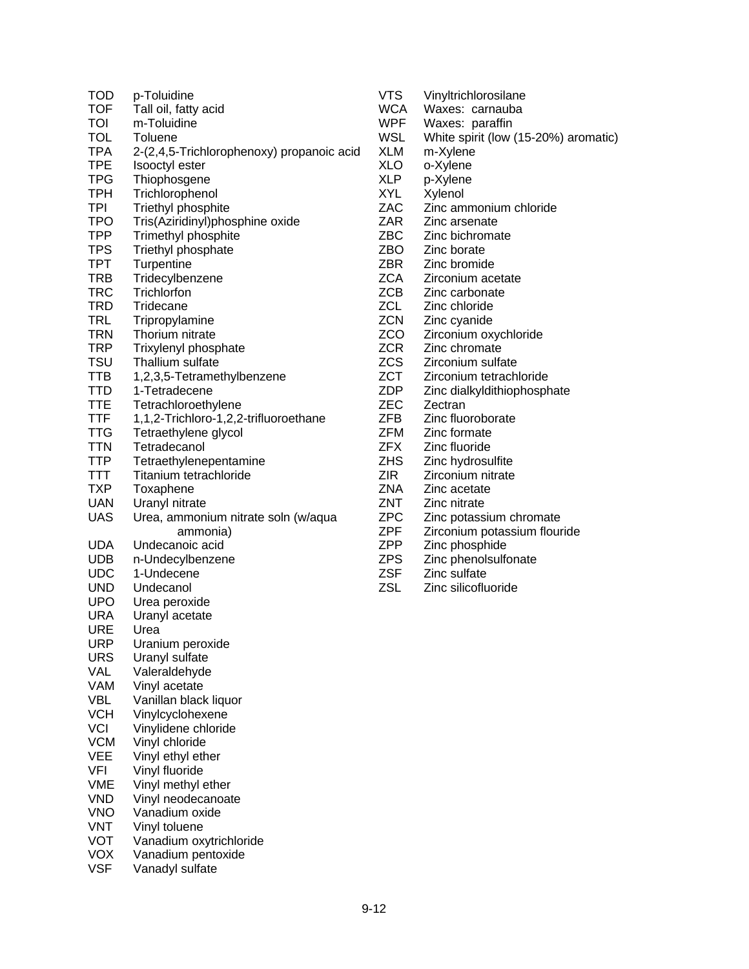| TOD<br><b>TOF</b><br>TOI | p-Toluidine<br>Tall oil, fatty acid<br>m-Toluidine |
|--------------------------|----------------------------------------------------|
| <b>TOL</b>               | Toluene                                            |
| TPA                      | 2-(2,4,5-Trichlorophenoxy) propanoic acid          |
| <b>TPE</b>               | <b>Isooctyl ester</b>                              |
| TPG                      | Thiophosgene                                       |
| TPH                      | Trichlorophenol                                    |
| TPI                      | Triethyl phosphite                                 |
| TPO                      | Tris(Aziridinyl)phosphine oxide                    |
| <b>TPP</b>               | Trimethyl phosphite                                |
| <b>TPS</b>               | Triethyl phosphate                                 |
| <b>TPT</b>               | Turpentine                                         |
| TRB                      | Tridecylbenzene                                    |
| <b>TRC</b>               | Trichlorfon                                        |
| TRD                      | Tridecane                                          |
| TRL                      | Tripropylamine                                     |
| <b>TRN</b>               | Thorium nitrate                                    |
| TRP                      | Trixylenyl phosphate                               |
| TSU                      | Thallium sulfate                                   |
| TTB                      | 1,2,3,5-Tetramethylbenzene                         |
| TTD                      | 1-Tetradecene                                      |
| TTE                      | Tetrachloroethylene                                |
| <b>TTF</b>               | 1,1,2-Trichloro-1,2,2-trifluoroethane              |
| <b>TTG</b>               | Tetraethylene glycol                               |
| TTN                      | Tetradecanol                                       |
|                          |                                                    |
| TTP                      | Tetraethylenepentamine                             |
| TTT                      | Titanium tetrachloride                             |
| TXP                      | Toxaphene                                          |
| <b>UAN</b>               | Uranyl nitrate                                     |
| <b>UAS</b>               | Urea, ammonium nitrate soln (w/aqua                |
|                          | ammonia)                                           |
| UDA                      | Undecanoic acid                                    |
| <b>UDB</b>               | n-Undecylbenzene                                   |
| <b>UDC</b>               | 1-Undecene                                         |
| UND                      | Undecanol                                          |
| <b>UPO</b>               | Urea peroxide                                      |
| <b>URA</b>               | Uranyl acetate                                     |
| <b>URE</b>               | Urea                                               |
| URP                      | Uranium peroxide                                   |
| <b>URS</b>               | Uranyl sulfate                                     |
| <b>VAL</b>               | Valeraldehyde                                      |
| VAM                      | Vinyl acetate                                      |
| <b>VBL</b>               | Vanillan black liquor                              |
| <b>VCH</b>               | Vinylcyclohexene                                   |
| <b>VCI</b>               | Vinylidene chloride                                |
| <b>VCM</b>               | Vinyl chloride                                     |
| VEE                      | Vinyl ethyl ether                                  |
| VFI                      | Vinyl fluoride                                     |
| <b>VME</b>               | Vinyl methyl ether                                 |
| VND                      | Vinyl neodecanoate                                 |
| VNO                      | Vanadium oxide                                     |
| VNT                      | Vinyl toluene                                      |
| VOT                      | Vanadium oxytrichloride                            |
| VOX                      | Vanadium pentoxide                                 |
| <b>VSF</b>               | Vanadyl sulfate                                    |

- VTS Vinyltrichlorosilane<br>WCA Waxes: carnauba
- WCA Waxes: carnauba<br>WPF Waxes: paraffin
- Waxes: paraffin
- WSL White spirit (low (15-20%) aromatic)
- XLM m-Xylene
- XLO o-Xylene<br>XLP p-Xylene
- p-Xylene
- XYL Xylenol
- ZAC Zinc ammonium chloride<br>ZAR Zinc arsenate
- Zinc arsenate
- ZBC Zinc bichromate<br>ZBO Zinc borate
- ZBO Zinc borate<br>ZBR Zinc bromid
- Zinc bromide
- ZCA Zirconium acetate<br>ZCB Zinc carbonate
- Zinc carbonate
- ZCL Zinc chloride
- ZCN Zinc cyanide<br>ZCO Zirconium ox
- Zirconium oxychloride
- ZCR Zinc chromate
- 
- ZCS Zirconium sulfate<br>ZCT Zirconium tetrachl
- ZCT Zirconium tetrachloride Zinc dialkyldithiophosphate
- ZEC Zectran<br>ZFB Zinc fluc
- ZFB Zinc fluoroborate<br>ZFM Zinc formate
- ZFM Zinc formate<br>ZFX Zinc fluoride
- ZFX Zinc fluoride<br>ZHS Zinc hydrosu
- Zinc hydrosulfite
- ZIR Zirconium nitrate
- ZNA Zinc acetate
- ZNT Zinc nitrate
- ZPC Zinc potassium chromate
- ZPF Zirconium potassium flouride<br>ZPP Zinc phosphide
- ZPP Zinc phosphide
- ZPS Zinc phenolsulfonate
- ZSF Zinc sulfate<br>ZSL Zinc silicoflu
- Zinc silicofluoride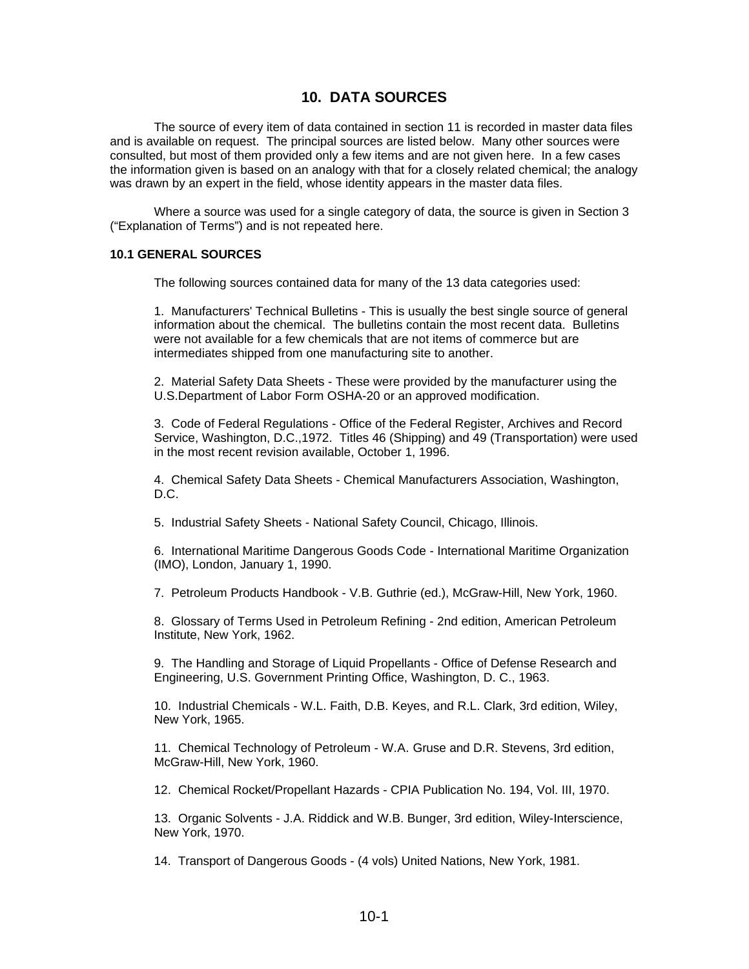# **10. DATA SOURCES**

The source of every item of data contained in section 11 is recorded in master data files and is available on request. The principal sources are listed below. Many other sources were consulted, but most of them provided only a few items and are not given here. In a few cases the information given is based on an analogy with that for a closely related chemical; the analogy was drawn by an expert in the field, whose identity appears in the master data files.

Where a source was used for a single category of data, the source is given in Section 3 ("Explanation of Terms") and is not repeated here.

### **10.1 GENERAL SOURCES**

The following sources contained data for many of the 13 data categories used:

1. Manufacturers' Technical Bulletins - This is usually the best single source of general information about the chemical. The bulletins contain the most recent data. Bulletins were not available for a few chemicals that are not items of commerce but are intermediates shipped from one manufacturing site to another.

2. Material Safety Data Sheets - These were provided by the manufacturer using the U.S.Department of Labor Form OSHA-20 or an approved modification.

3. Code of Federal Regulations - Office of the Federal Register, Archives and Record Service, Washington, D.C.,1972. Titles 46 (Shipping) and 49 (Transportation) were used in the most recent revision available, October 1, 1996.

4. Chemical Safety Data Sheets - Chemical Manufacturers Association, Washington,  $D.C.$ 

5. Industrial Safety Sheets - National Safety Council, Chicago, Illinois.

6. International Maritime Dangerous Goods Code - International Maritime Organization (IMO), London, January 1, 1990.

7. Petroleum Products Handbook - V.B. Guthrie (ed.), McGraw-Hill, New York, 1960.

8. Glossary of Terms Used in Petroleum Refining - 2nd edition, American Petroleum Institute, New York, 1962.

9. The Handling and Storage of Liquid Propellants - Office of Defense Research and Engineering, U.S. Government Printing Office, Washington, D. C., 1963.

10. Industrial Chemicals - W.L. Faith, D.B. Keyes, and R.L. Clark, 3rd edition, Wiley, New York, 1965.

11. Chemical Technology of Petroleum - W.A. Gruse and D.R. Stevens, 3rd edition, McGraw-Hill, New York, 1960.

12. Chemical Rocket/Propellant Hazards - CPIA Publication No. 194, Vol. III, 1970.

13. Organic Solvents - J.A. Riddick and W.B. Bunger, 3rd edition, Wiley-Interscience, New York, 1970.

14. Transport of Dangerous Goods - (4 vols) United Nations, New York, 1981.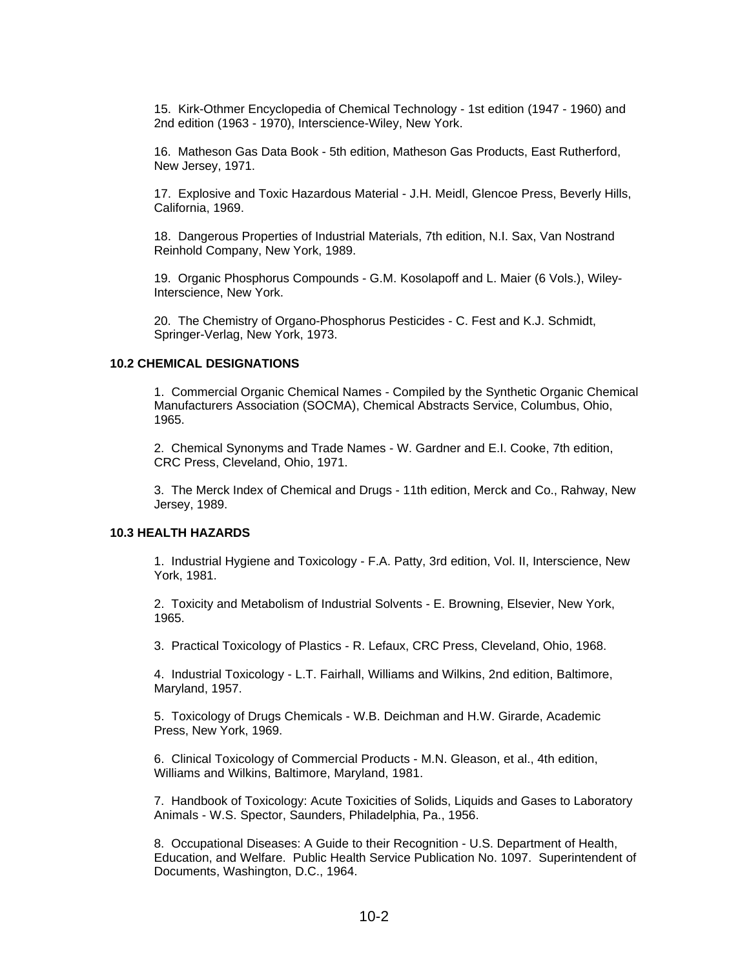15. Kirk-Othmer Encyclopedia of Chemical Technology - 1st edition (1947 - 1960) and 2nd edition (1963 - 1970), Interscience-Wiley, New York.

16. Matheson Gas Data Book - 5th edition, Matheson Gas Products, East Rutherford, New Jersey, 1971.

17. Explosive and Toxic Hazardous Material - J.H. Meidl, Glencoe Press, Beverly Hills, California, 1969.

18. Dangerous Properties of Industrial Materials, 7th edition, N.I. Sax, Van Nostrand Reinhold Company, New York, 1989.

19. Organic Phosphorus Compounds - G.M. Kosolapoff and L. Maier (6 Vols.), Wiley-Interscience, New York.

20. The Chemistry of Organo-Phosphorus Pesticides - C. Fest and K.J. Schmidt, Springer-Verlag, New York, 1973.

### **10.2 CHEMICAL DESIGNATIONS**

1. Commercial Organic Chemical Names - Compiled by the Synthetic Organic Chemical Manufacturers Association (SOCMA), Chemical Abstracts Service, Columbus, Ohio, 1965.

2. Chemical Synonyms and Trade Names - W. Gardner and E.I. Cooke, 7th edition, CRC Press, Cleveland, Ohio, 1971.

3. The Merck Index of Chemical and Drugs - 11th edition, Merck and Co., Rahway, New Jersey, 1989.

### **10.3 HEALTH HAZARDS**

1. Industrial Hygiene and Toxicology - F.A. Patty, 3rd edition, Vol. II, Interscience, New York, 1981.

2. Toxicity and Metabolism of Industrial Solvents - E. Browning, Elsevier, New York, 1965.

3. Practical Toxicology of Plastics - R. Lefaux, CRC Press, Cleveland, Ohio, 1968.

4. Industrial Toxicology - L.T. Fairhall, Williams and Wilkins, 2nd edition, Baltimore, Maryland, 1957.

5. Toxicology of Drugs Chemicals - W.B. Deichman and H.W. Girarde, Academic Press, New York, 1969.

6. Clinical Toxicology of Commercial Products - M.N. Gleason, et al., 4th edition, Williams and Wilkins, Baltimore, Maryland, 1981.

7. Handbook of Toxicology: Acute Toxicities of Solids, Liquids and Gases to Laboratory Animals - W.S. Spector, Saunders, Philadelphia, Pa., 1956.

8. Occupational Diseases: A Guide to their Recognition - U.S. Department of Health, Education, and Welfare. Public Health Service Publication No. 1097. Superintendent of Documents, Washington, D.C., 1964.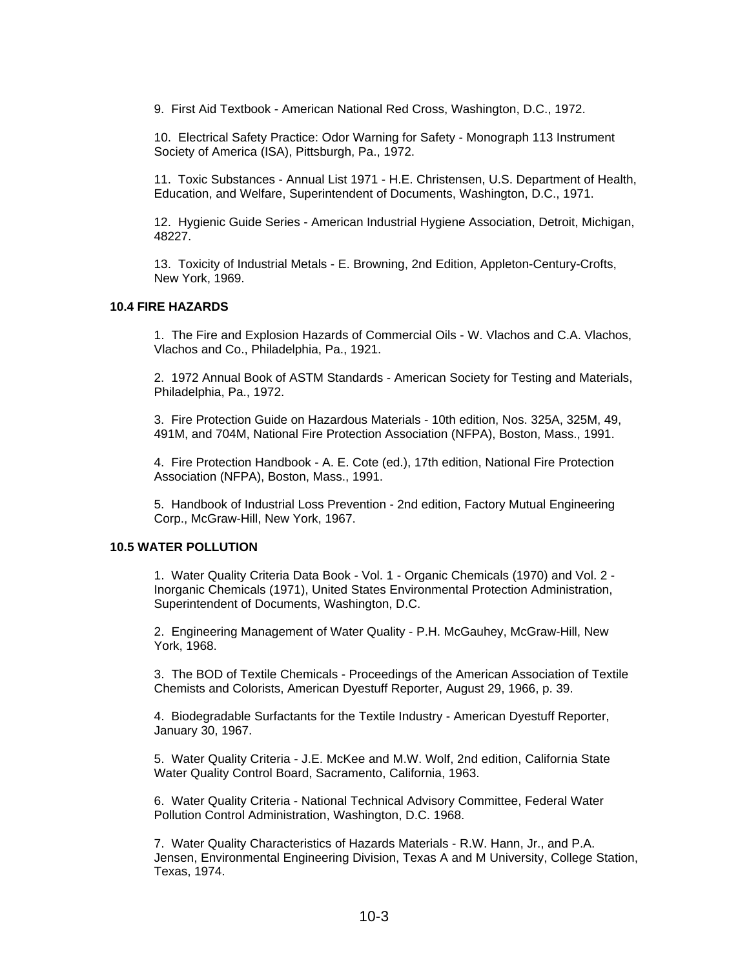9. First Aid Textbook - American National Red Cross, Washington, D.C., 1972.

10. Electrical Safety Practice: Odor Warning for Safety - Monograph 113 Instrument Society of America (ISA), Pittsburgh, Pa., 1972.

11. Toxic Substances - Annual List 1971 - H.E. Christensen, U.S. Department of Health, Education, and Welfare, Superintendent of Documents, Washington, D.C., 1971.

12. Hygienic Guide Series - American Industrial Hygiene Association, Detroit, Michigan, 48227.

13. Toxicity of Industrial Metals - E. Browning, 2nd Edition, Appleton-Century-Crofts, New York, 1969.

### **10.4 FIRE HAZARDS**

1. The Fire and Explosion Hazards of Commercial Oils - W. Vlachos and C.A. Vlachos, Vlachos and Co., Philadelphia, Pa., 1921.

2. 1972 Annual Book of ASTM Standards - American Society for Testing and Materials, Philadelphia, Pa., 1972.

3. Fire Protection Guide on Hazardous Materials - 10th edition, Nos. 325A, 325M, 49, 491M, and 704M, National Fire Protection Association (NFPA), Boston, Mass., 1991.

4. Fire Protection Handbook - A. E. Cote (ed.), 17th edition, National Fire Protection Association (NFPA), Boston, Mass., 1991.

5. Handbook of Industrial Loss Prevention - 2nd edition, Factory Mutual Engineering Corp., McGraw-Hill, New York, 1967.

### **10.5 WATER POLLUTION**

1. Water Quality Criteria Data Book - Vol. 1 - Organic Chemicals (1970) and Vol. 2 - Inorganic Chemicals (1971), United States Environmental Protection Administration, Superintendent of Documents, Washington, D.C.

2. Engineering Management of Water Quality - P.H. McGauhey, McGraw-Hill, New York, 1968.

3. The BOD of Textile Chemicals - Proceedings of the American Association of Textile Chemists and Colorists, American Dyestuff Reporter, August 29, 1966, p. 39.

4. Biodegradable Surfactants for the Textile Industry - American Dyestuff Reporter, January 30, 1967.

5. Water Quality Criteria - J.E. McKee and M.W. Wolf, 2nd edition, California State Water Quality Control Board, Sacramento, California, 1963.

6. Water Quality Criteria - National Technical Advisory Committee, Federal Water Pollution Control Administration, Washington, D.C. 1968.

7. Water Quality Characteristics of Hazards Materials - R.W. Hann, Jr., and P.A. Jensen, Environmental Engineering Division, Texas A and M University, College Station, Texas, 1974.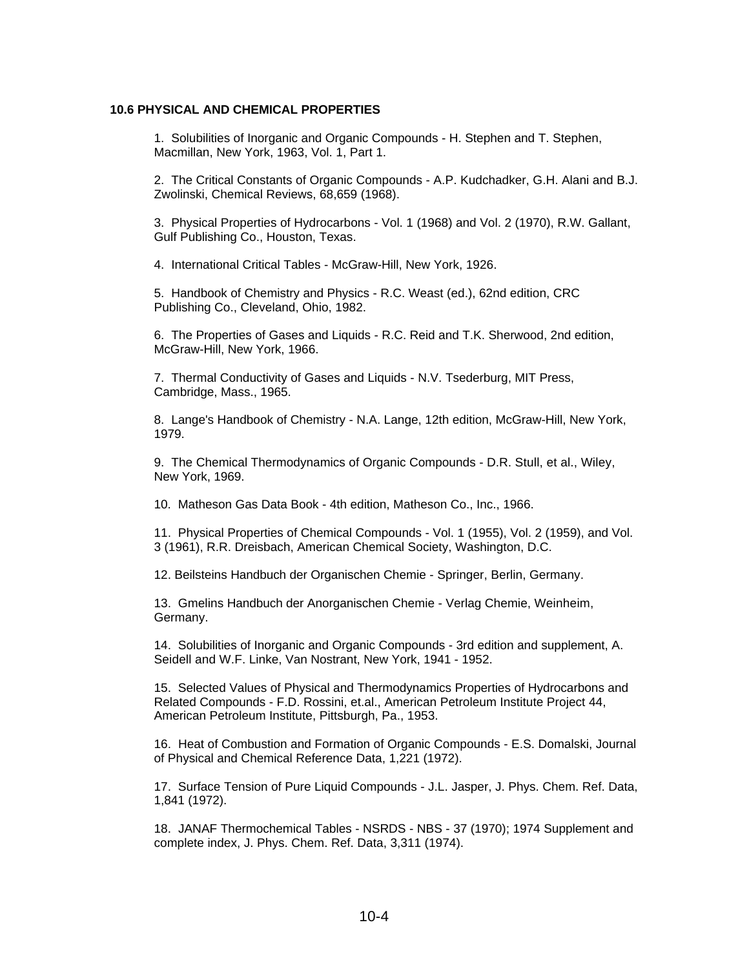### **10.6 PHYSICAL AND CHEMICAL PROPERTIES**

1. Solubilities of Inorganic and Organic Compounds - H. Stephen and T. Stephen, Macmillan, New York, 1963, Vol. 1, Part 1.

2. The Critical Constants of Organic Compounds - A.P. Kudchadker, G.H. Alani and B.J. Zwolinski, Chemical Reviews, 68,659 (1968).

3. Physical Properties of Hydrocarbons - Vol. 1 (1968) and Vol. 2 (1970), R.W. Gallant, Gulf Publishing Co., Houston, Texas.

4. International Critical Tables - McGraw-Hill, New York, 1926.

5. Handbook of Chemistry and Physics - R.C. Weast (ed.), 62nd edition, CRC Publishing Co., Cleveland, Ohio, 1982.

6. The Properties of Gases and Liquids - R.C. Reid and T.K. Sherwood, 2nd edition, McGraw-Hill, New York, 1966.

7. Thermal Conductivity of Gases and Liquids - N.V. Tsederburg, MIT Press, Cambridge, Mass., 1965.

8. Lange's Handbook of Chemistry - N.A. Lange, 12th edition, McGraw-Hill, New York, 1979.

9. The Chemical Thermodynamics of Organic Compounds - D.R. Stull, et al., Wiley, New York, 1969.

10. Matheson Gas Data Book - 4th edition, Matheson Co., Inc., 1966.

11. Physical Properties of Chemical Compounds - Vol. 1 (1955), Vol. 2 (1959), and Vol. 3 (1961), R.R. Dreisbach, American Chemical Society, Washington, D.C.

12. Beilsteins Handbuch der Organischen Chemie - Springer, Berlin, Germany.

13. Gmelins Handbuch der Anorganischen Chemie - Verlag Chemie, Weinheim, Germany.

14. Solubilities of Inorganic and Organic Compounds - 3rd edition and supplement, A. Seidell and W.F. Linke, Van Nostrant, New York, 1941 - 1952.

15. Selected Values of Physical and Thermodynamics Properties of Hydrocarbons and Related Compounds - F.D. Rossini, et.al., American Petroleum Institute Project 44, American Petroleum Institute, Pittsburgh, Pa., 1953.

16. Heat of Combustion and Formation of Organic Compounds - E.S. Domalski, Journal of Physical and Chemical Reference Data, 1,221 (1972).

17. Surface Tension of Pure Liquid Compounds - J.L. Jasper, J. Phys. Chem. Ref. Data, 1,841 (1972).

18. JANAF Thermochemical Tables - NSRDS - NBS - 37 (1970); 1974 Supplement and complete index, J. Phys. Chem. Ref. Data, 3,311 (1974).